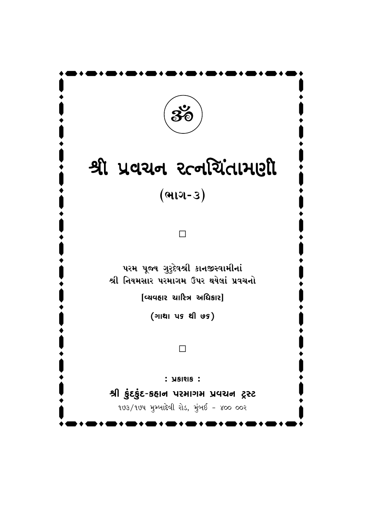

# $x^2$  yaad ecoleidriell

 $($ ભાગ-૩ $)$ 

 $\Box$ 

પરમ પૂજ્ય ગુરુદેવશ્રી કાનજીસ્વામીનાં શ્રી નિયમસાર પરમાગમ ઉપર થયેલાં પ્રવચનો

 $[$ વ્યવહાર ચારિત્ર અધિકાર]

(ગાથા પક થી ७૬)

#### $\Box$

 $:$   $\overline{y}$   $\overline{y}$   $\overline{z}$  :

 $4$  gove in the 20  $\pm$  20  $\pm$ 

 $193/194$  મુમ્બાદેવી રોડ, મુંબઈ - ૪૦૦ ૦૦૨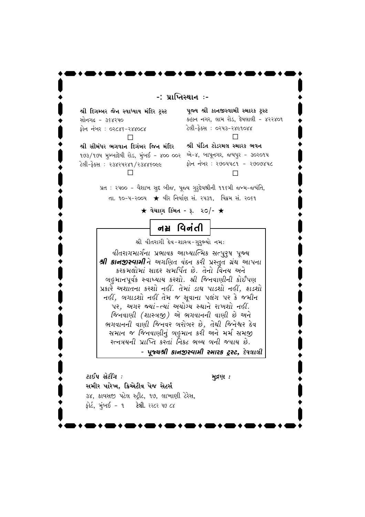-: પ્રાપ્તિસ્થાન **ઃ**-

શ્રી દિગમ્બર જૈન સ્વાધ્યાય મંદિર **ટ્**સ્ટ સોનગઢ - 3૬૪૨૫૦ \_⁄P– –˜·T H 02846-244084  $\Box$ 

પૂજ્ય શ્રી કાનજીસ્વામી સ્મારક ટ્રસ્ટ કહાન નગર, લામ રોડ, દેવલાલી - ૪૨૨૪૦૧ ટેલી-ફેક્સ : ૦૨૫૩-૨૪૯૧૦૪૪  $\Box$ 

 $\cdot$   $\cdot$   $\cdot$   $\cdot$   $\cdot$   $\cdot$   $\cdot$ 

ક્રી સીમંધર ભગવાન દિગંબર જિન મંદિર ૧૭૩/૧૭૫ મુમ્બાદેવી રોડ, મુંબઈ - ૪૦૦ ૦૦ર એ-૪, બાપૂનગર, જયપુર - ૩૦૨૦૧૫ del- 33224281/23886066 d

શ્રી પંડિત ટોડરમલ સ્મારક **ભવ**ન ફોન નંબર : ર૭૦૫૫૮૧ - ર૭૦૭૪૫૮  $\Box$ 

પ્રત : ૨૫૦૦ - વૈશાખ સુદ બીજ, પૂજ્ય ગુરૂદેવશ્રીની ૧૧૬મી જન્મ-જયંતિ, તા. ૧૦-૫-૨૦૦૫ ★ વીર નિર્વાણ સં. ૨૫૩૧, વિક્રમ સં. ૨૦૬૧

 $\bigstar$  વેચાણ કિંમત - રૂ. ૨૦/-  $\bigstar$ 

नम्र पिनंती

શ્રી વીતરાગી દેવ−શાસ્ત્ર−ગુરુભ્યો નમ:

*વીતરાગમાર્ગના પ્રભાવક આધ્યાત્મિક સત્પુરુષ પૂજ્ય ≠] Q¶⁄–'π'⁄E] –P #Ufias '˜¡¶– Q¶T] ~˚πsÒs U˚˜z #⁄~–⁄ કરકમલોમાં સાદર સમર્પિત છે. તેનો વિનય અને બ*હમાનપૂર્વક સ્વાધ્યાય કરશો. શ્રી જિનવાણીની કોઈપણ  $\overline{x}$ કારે અશાતના કરશો નહીં. તેમાં ડાઘ પાડશો નહીં, ફાડશો *નહીં, બગાડશો નહીં તેમ જ સુવાના પલંગ પર કે જમીન પર, આગર જ્યાં-ત્યાં અયોગ્ય સ્થાને રાખશો નહીં. જિનવાણી (શાસ્ત્રજી) એ ભગવાનની વાણી છે અને ભગવાનની વાણી જિનવર બરોબર છે, તેથી જિનેશ્વર દેવ સમાન જ જિનવાણીનું બહુમાન કરી અને મર્મ સમજી*  $3$ *•*–<br>*R*+નવ્યની પ્રાપ્તિ કરતાં નિકટ ભવ્ય બની જવાય છે.

- **પૂજ્યશ્રી કાનજીસ્વામી સ્મારક ટ્રસ્ટ,** દેવલાલી

 $\mathcal{E}I\mathcal{S}Q$ *ii*  $\mathcal{E}Q$   $\mathcal{E}Q$   $\mathcal{E}Q$   $\mathcal{E}Q$   $\mathcal{E}Q$   $\mathcal{E}Q$   $\mathcal{E}Q$   $\mathcal{E}Q$   $\mathcal{E}Q$   $\mathcal{E}Q$   $\mathcal{E}Q$   $\mathcal{E}Q$   $\mathcal{E}Q$   $\mathcal{E}Q$   $\mathcal{E}Q$   $\mathcal{E}Q$   $\mathcal{E}Q$   $\mathcal{E}Q$   $\mathcal{E}Q$   $\mathcal{E}Q$  સમીર પારેખ, ક્રિએટીવ પેજ સેટર્સ 3४, કાવસજી પટેલ સ્ટ્રીટ, ૧૭, લાખાણી ટેરેસ, ફોર્ટ, મુંબઈ - ૧ **ટેલી.** ૨૨૮૨ ૫૭ ૮૪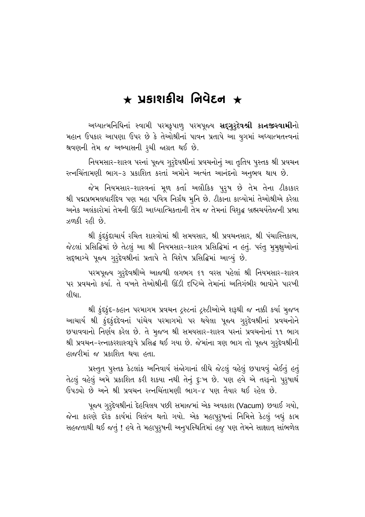## $\,\,\star\,$  ਪੁકાશફીચ નિવેદન  $\,\,\star\,$

અધ્યાત્મનિધિનાં સ્વામી પરમક્રૃપાળુ પરમપૂજ્ય **સદ્ગુરૂદેવશ્રી કાનજીસ્વામી**નો મહાન ઉપકાર આપણા ઉપર છે કે તેઓશ્રીનાં પાવન પ્રતાપે આ યુગમાં અધ્યાત્મતત્ત્વનાં શ્રવણની તેમ જ અભ્યાસની રૂચી જાગ્રત થઈ છે.

નિયમસાર-શાસ્ત્ર પરનાં પૂજ્ય ગુરૂદેવશ્રીનાં પ્રવચનોનું આ તૃતિય પુસ્તક શ્રી પ્રવચન રત્નચિંતામણી ભાગ−૩ પ્રકાશિત કરતાં અમોને અત્યંત આનંદનો અનુભવ થાય છે.

જેમ નિયમસાર-શાસ્ત્રનાં મૂળ કર્તા અલૌકિક પુરૃષ છે તેમ તેના *દી*કાકાર શ્રી પદ્મપ્રભમલધારીદેવ પણ મહા પવિત્ર નિર્ગ્રંથ મુનિ છે. ટીકાના કાવ્યોમાં તેઓશ્રીએ કરેલા અનેક અલંકારોમાં તેમની ઊંડી આધ્યાત્મિકતાની તેમ જ તેમનાં વિશુદ્ધ બ્રહ્મચર્યતેજની પ્રભા ઝળકી રહી છે.

શ્રી કુંદકુંદાચાર્ય રચિત શાસ્ત્રોમાં શ્રી સમયસાર, શ્રી પ્રવચનસાર, શ્રી પંચાસ્તિકાય, જેટલાં પ્રસિદ્ધિમાં છે તેટલું આ શ્રી નિયમસાર-શાસ્ત્ર પ્રસિદ્ધિમાં ન હતું. પરંતુ મુમુક્ષુઓનાં સદ્દભાગ્યે પૂજ્ય ગુરૃદેવશ્રીનાં પ્રતાપે તે વિશેષ પ્રસિદ્ધિમાં આવ્યું છે.

~પરમપૂજ્ય ગુરૂદેવશ્રીએ આજથી લગભગ ૬૧ વરસ પહેલાં શ્રી નિયમસાર−શાસ્ત્ર પર પ્રવચનો કર્યા. તે વખતે તેઓશ્રીની ઊંડી દષ્ટિએ તેમાંનાં અતિગંભીર ભાવોને પારખી  $f$ લીધા.

થી કુંદકુંદ-કહાન પરમાગમ પ્રવચન દ્રસ્ટનાં દ્રસ્ટીઓએ શરૂથી જ નક્કી કર્યા મુજબ આચાર્ય શ્રી કુંદકુંદદેવનાં પાંચેય પરમાગમો પર થયેલા પૂજ્ય ગુરૂદેવશ્રીનાં પ્રવચનોને છપાવવાનો નિર્ણય કરેલ છે. તે મુજબ શ્રી સમયસાર-શાસ્ત્ર પરનાં પ્રવચનોનાં ૧૧ ભાગ શ્રી પ્રવચન-રત્નાકરશાસ્ત્રરૂપે પ્રસિદ્ધ થઈ ગયા છે. જેમાંના ત્રણ ભાગ તો પૂજ્ય ગુરૂદેવશ્રીની હાજરીમાં જ પ્રકાશિત થયા હતા.

પ્રસ્તુત પુસ્તક કેટલાંક અનિવાર્ય સંજોગાનાં લીધે જેટલું વહેલું છપાવવું જોઈતું હતું તેટલું વહેલું અમે પ્રકાશિત કરી શકયા નથી તેનું દુઃખ છે. પણ હવે એ તરફનો પુરૂષાર્થ ઉપડ્યો છે અને શ્રી પ્રવચન રત્નચિંતામણી ભાગ-૪ પણ તૈયાર થઈ રહેલ છે.

પૂજ્ય ગુરૂદેવશ્રીનાં દેહવિલય પછી સમાજમાં એક અવકાશ (Vacum) છવાઈ ગયો, જેના કારણે દરેક કાર્યમાં વિલંબ થતો ગયો. એક મહાપુરૂષનાં નિમિત્તે કેટલું બધું કામ સહજતાથી થઈ જતું ! હવે તે મહાપુરૃષની અનુપસ્થિતિમાં હજુ પણ તેમને સાક્ષાત્ સાંભળેલ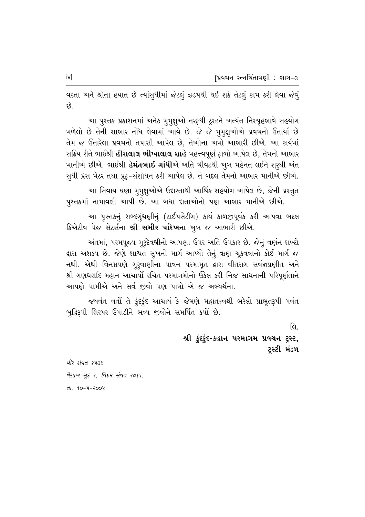વક્તા અને શ્રોતા હયાત છે ત્યાંસુધીમાં જેટલું ઝડપથી થઈ શકે તેટલું કામ કરી લેવા જેવું કડે

આ પુસ્તક પ્રકાશનમાં અનેક મુમુક્ષુઓ તરફથી ટ્રસ્ટને અત્યંત નિસ્પૃહભાવે સહયોગ મળેલો છે તેની સાભાર નોંધ લેવામાં આવે છે. જે જે મુમુક્ષુઓએ પ્રવચનો ઉતાર્યા છે તેમ જ ઉતારેલા પ્રવચનો તપાસી આપેલ છે, તેઓના અમો આભારી છીએ. આ કાર્યમાં સક્રિય રીતે ભાઈશ્રી **હીરાલાલ ભીખાલાલ શાહે** મહત્ત્વપૂર્ણ ફાળો આપેલ છે, તેમનો આભાર માનીએ છીએ. ભાઈશ્રી હે**મંતભાઈ ગાંધી**એ અતિ ચીવટથી ખુબ મહેનત લઈને શરૂથી અંત સુધી પ્રેસ મેટર તથા પ્રૂફ-સંશોધન કરી આપેલ છે. તે બદલ તેમનો આભાર માનીએ છીએ.

આ સિવાય ઘણા મુમુક્ષુઓએ ઉદારતાથી આર્થિક સહયોગ આપેલ છે, જેની પ્રસ્તુત પુસ્તકમાં નામાવલી આપી છે. આ બધા દાતાઓનો પણ આભાર માનીએ છીએ.

આ પુસ્તકનું શબ્દગુંથણીનું (ટાઈપસેટીંગ) કાર્ય કાળજીપૂર્વક કરી આપવા બદલ ક્રિએટીવ પેજ સેટર્સના શ્રી સમીર પારેખના ખુબ જ આભારી છીએ.

અંતમાં, પરમપૂજ્ય ગુરૃદેવશ્રીનો આપણા ઉપર અતિ ઉપકાર છે. જેનું વર્ણન શબ્દો દ્વારા અશક્ય છે. જેણે શાશ્વત સુખનો માર્ગ આપ્યો તેનું ઋણ ચૂકવવાનો કોઈ માર્ગ જ નથી. એથી વિનમ્રપણે ગુરૂવાણીના પાવન પરમામૃત દ્વારા વીતરાગ સર્વજ્ઞપ્રણીત અને શ્રી ગણધરાદિ મહાન આચાર્યો રચિત પરમાગમોનો ઉકેલ કરી નિજ સાધનાની પરિપૂર્ણતાને આપણે પામીએ અને સર્વ જીવો પણ પામો એ જ અભ્યર્થના.

જયવંત વર્તા તે કુંદકુંદ આચાર્ય કે જેમણે મહાતત્ત્વથી ભરેલો પ્રાભૃતરૂપી પર્વત બુદ્ધિરૂપી શિરપર ઉપાડીને ભવ્ય જીવોને સમર્પિત કર્યો છે.

> લિ શ્રી કુંદકુંદ-કહાન પરમાગમ પ્રવચન ટ્રસ્ટ, ટસ્ટી મંડળ

वीर संवत २५३१ वैशाण सुद्द २, विड्य संवत २०६१, તા. ૧૦-૫-૨૦૦૫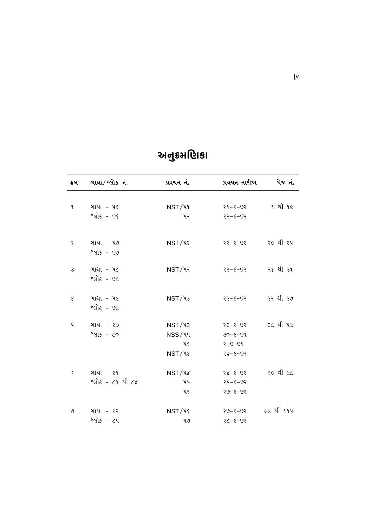| કમ            | ગાથા/શ્લોકનં.           | પ્રવચન નં.                  | પ્રવચન તારીખ            | પેજ નં. |
|---------------|-------------------------|-----------------------------|-------------------------|---------|
| ۹.            | ગાથા - પ૬               | $\mathsf{NST}/\mathsf{V1}$  | २१-४-७२                 | ૧ થી ૧૯ |
|               | શ્લોક - $vs$            | પર                          | २२-४-७२                 |         |
| २             | ગાથા - ૫૭               | $\mathsf{NST}/\mathsf{V}$ ર | ૨૨-૬-૭૨ ૨૦થી ૨૫         |         |
|               | શ્લોક - ७७              |                             |                         |         |
| $\mathcal{S}$ | ગાથા - ૫૮<br>શ્લોક - ૭૮ | $\mathsf{NST}/\mathsf{V}$ ર | ૨૨-૬-૭૨ ર૬થી ૩૧         |         |
|               |                         |                             |                         |         |
| $\lambda$     | ગાથા - ૫૯<br>$20 - 36$  | NST/43                      | २३-४-७२ 3२ थी ३७        |         |
| પ             | ગાથા - ૬૦               | $\mathsf{NST}/\mathsf{43}$  | <u>23-8-02</u> 36 થી પહ |         |
|               | $2$ and $-$ co          | NSS/૫૫                      | $30 - 5 - 99$           |         |
|               |                         | પ૬                          | २-७-७१                  |         |
|               |                         | $\mathsf{NST}/\mathsf{V}$ ४ | $28 - 5 - 05$           |         |
| Š.            | ગાથા - ૬૧               | $\mathsf{NST}/\mathsf{V}$ ४ | २४-४-७२ ६० थी ૯८        |         |
|               | શ્લોક - ૮૧ થી ૮૪        | ૫૫                          | $24 - 5 - 92$           |         |
|               |                         | પ૬                          | $20 - 5 - 02$           |         |
| V             | ગાથા - ૬૨               | $\n  NST/\n  \sqrt{2}\n$    | २७-६-७२ ૯૯ थी ११५       |         |
|               | શ્લોક - ૮૫              | $40^{\circ}$                | $50 - 3 - 35$           |         |

## અનુક્રમણિકા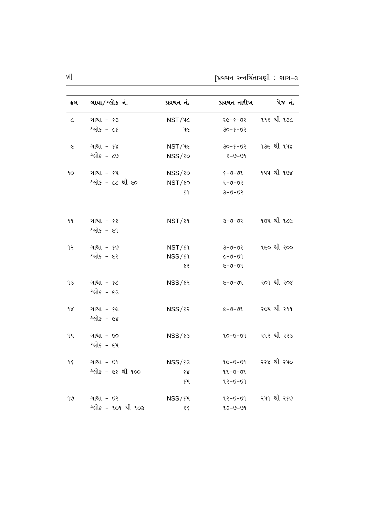| કમ         | ગાથા/શ્લોક નં.            | પ્રવચન નં.               | પ્રવચન તારીખ  | પેજ નં.           |
|------------|---------------------------|--------------------------|---------------|-------------------|
| $\epsilon$ | ગાથા - ૬૩                 | NST/4C                   | २૯–६–७२       | ૧૧૬ થી ૧૩૮        |
|            | $2$ and $-25$             | ૫૯                       | $30 - 5 - 95$ |                   |
| $\epsilon$ | ગાથા - ૬૪                 | NST/46                   | $30 - 5 - 95$ | ૧૩૯ થી ૧૫૪        |
|            | શ્લોક - ૮૭                | NSS/so                   | १७-७-३        |                   |
| ٩o         | ગાથા - ૬૫                 | $NSS/\sqrt{6}$           | $8 - 9 - 99$  | ૧૫૫ થી ૧૭૪        |
|            | શ્લોક - ૮૮ થી ૯૦          | NST/90                   | $50 - 9 - 9$  |                   |
|            |                           | $\mathfrak{g}$           | $50 - 0 - 0$  |                   |
| ٩l         | ગાથા - ૬૬<br>શ્લોક - ૯૧   | $NST$ / $§$ <sup>{</sup> | $50 - 0 - 0$  | 104 21 126        |
| १२         | ગાથા - ૬૭                 | $NST/\mathcal{S}$        | $50 - 9 - 3$  | ૧૯૦ થી ૨૦૦        |
|            | શ્લોક - ૯૨                | $NSS/\mathcal{S}$        | $C - 9 - 99$  |                   |
|            |                           | ६२                       | $C - 9 - 99$  |                   |
| LЗ         | ગાથા - ૬૮<br>શ્લોક - ૯૩   | $NSS/\sqrt{32}$          | ૯−७−७१        | ર <b>ા</b> થી ર૦૪ |
| 9 X        | ગાથા - ૬૯<br>શ્લોક – ૯૪   | $NSS/\sqrt{3}$           | ૯−७−७१        | ર૦૫ થી ર૧૧        |
| ૧૫         | ગાથા - ૭૦<br>શ્લોક - ૯૫   | $NSS/\xi$ 3              | $20 - 9 - 92$ | ર૧ર થી રર૩        |
| १६         | ગાથા - ૭૧                 | $NSS/\sqrt{3}$           | १०-७-७१       | રર૪થી રપ૦         |
|            | <u> શ્લોક - ૯૬ થી ૧૦૦</u> | 88                       | 99-0-09       |                   |
|            |                           | ૬૫                       | $92 - 9 - 99$ |                   |
| 9 V        | ગાથા - ૭૨                 | NSS/84                   | $92 - 9 - 99$ | ર૫૧ થી ર૬૭        |
|            | શ્લોક - ૧૦૧ થી ૧૦૩        | $\xi \, \xi$             | $93 - 9 - 99$ |                   |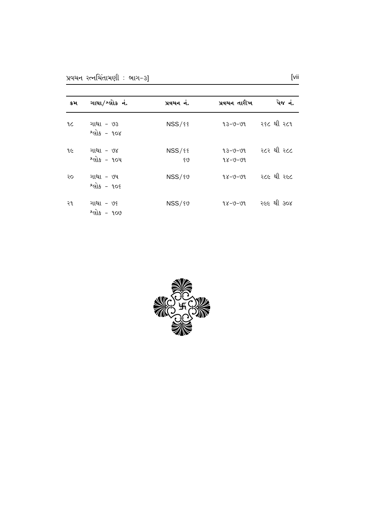| કમ | ગાથા/શ્લોકનં.            | પ્રવચન નં.          | પ્રવચન તારીખ       | પેજ નં.     |
|----|--------------------------|---------------------|--------------------|-------------|
| 9C | ગાથા - ૭૩<br>શ્લોક - ૧૦૪ | <b>NSS/88</b>       | $13 - 9 - 91$      | ર૬૮ થી ર૮૧  |
| १૯ | ગાથા - ૭૪<br>શ્લોક - ૧૦૫ | <b>NSS/88</b><br>80 | 93-0-09<br>98-0-09 | ર૮ર થી ર૮૮  |
| २० | ગાથા - ૭૫<br>શ્લોક - ૧૦૬ | $NSS/\$0$           | $98 - 9 - 99$      | ર૮૯ થી ર૯૮  |
| ર૧ | ગાથા - ૭૬<br>શ્લોક - ૧૦૭ | $NSS/\$0$           | $98 - 9 - 99$      | રલ્લ થી ૩૦૪ |

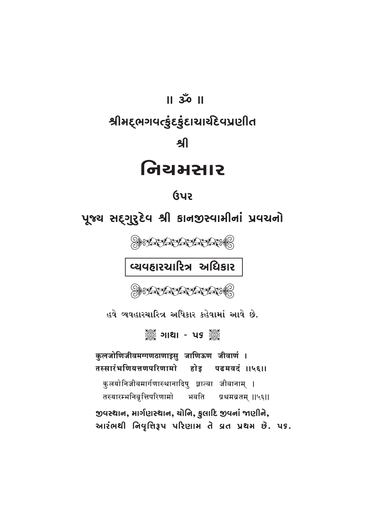## $\overline{1}$   $\overline{30}$   $\overline{1}$ શ્રીમદ્ભગવત્કુંદકુંદાચાર્યદેવપ્રણીત ௮ નિચમસાર

## <u>ઉપર</u>

પૂજ્ય સદ્ગુરૂદેવ શ્રી કાનજીસ્વામીનાં પ્રવચનો

OPSYLANDANANANGO

વ્યવહારચારિત્ર અધિકાર

OBBY A TANANA TANAGO

હવે વ્યવહારચારિત્ર અધિકાર કહેવામાં આવે છે.

▒ ગાથા - પક ▒

कुलजोणिजीवमग्गणठाणाइसु जाणिऊण जीवाणं । तस्सारंभणियत्तणपरिणामो होड पढमवदं ।।५६।। कुलयोनिजीवमार्गणास्थानादिषु ज्ञात्वा जीवानाम् । तस्यारम्भनिवृत्तिपरिणामो भवति प्रथमब्रतम् ॥५६॥ જીવસ્થાન, માર્ગણસ્થાન, ચોનિ, કુલાદિ જીવનાં જાણીને, આરંભથી નિવૃત્તિરૂપ પરિણામ તે વ્રત પ્રથમ છે. ૫૬.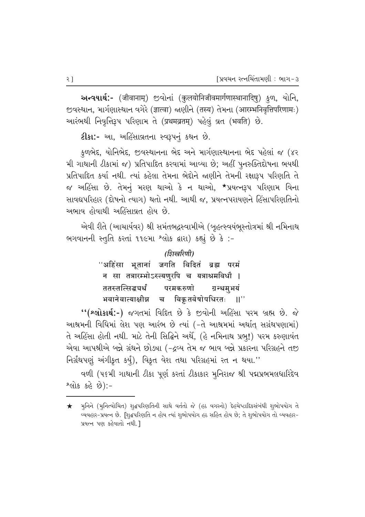આન્વયાર્થ:- (जीवानाम्) જીવોનાં (कुलयोनिजीवमार्गणास्थानादिषु) કુળ, યોનિ, Tavaral ( anti-produced to the origin to the evolution of the evolution ( ) આરંભથી નિવૃત્તિરૂપ પરિણામ તે (प्रथमव्रतम्) પહેલું વ્રત (भवति) છે.

**ટીકા:-** આ, અહિંસાવ્રતના સ્વરૂપનું કથન છે.

ફળભેદ, યોનિભેદ, જીવસ્થાનના ભેદ અને માર્ગણાસ્થાનના ભેદ પહેલાં જ (૪૨ મી ગાથાની ટીકામાં જ) પ્રતિપાદિત કરવામાં આવ્યા છે; અહીં પુનરુક્તિદોષના ભયથી <u>પ્રતિપાદિત કર્યા નથી. ત્યાં કહેલા તેમના ભેદોને જાણીને તેમની રક્ષારૂપ પરિણતિ તે</u> જ અહિંસા છે. તેમનું મરણ થાઓ કે ન થાઓ, \*પ્રયત્નરૂપ પરિણામ વિના સાવદ્યપરિહાર (દોષનો ત્યાગ) થતો નથી. આથી જ, પ્રયત્નપરાયણને હિંસાપરિણતિનો અભાવ હોવાથી અહિંસાવ્રત હોય છે.

એવી રીતે (આચાર્યવર) શ્રી સમંતભદ્રસ્વામીએ (બૃહત્સ્વયંભૂસ્તોત્રમાં શ્રી નમિનાથ ભગવાનની સ્તૃતિ કરતાં ૧૧૯મા<sup>, શ્</sup>લોક દ્વારા) કહ્યું છે કે :-

> *(डिखिरिणी)* "अहिंसा भूतानां जगति विदितं ब्रह्म परमं न सा तत्रारम्भोऽस्त्यणुरपि च यत्राश्रमविधौ |<br>ततस्तत्सिद्धचर्थं परमकरुणो ग्रन्थमभयं ततस्तत्सिद्ध**र्य्थं परमकरुणो ग्रन्थमभयं** भवानेवात्याक्षीन्न च विकृतवेषोपधिरतः ।।''

''(શ્લોકાર્થ:-) જગતમાં વિદિત છે કે જીવોની અહિંસા પરમ બ્રહ્મ છે. જે આશ્રમની વિધિમાં લેશ પણ આરંભ છે ત્યાં (-તે આશ્રમમાં અર્થાત્ સગ્રંથપણામાં) તે અહિંસા હોતી નથી. માટે તેની સિદ્ધિને અર્થે, (હે નમિનાથ પ્રભુ!) પરમ કરુણાવંત એવા આપશ્રીએ બન્ને ગ્રંથને છોઙ્યા (-દ્રવ્ય તેમ જ ભાવ બન્ને પ્રકારના પરિગ્રહને તજી fa) [4] [av] [av] five-book book as denoted and the second with the second the second the second the ten selev

વળી (૫૬મી ગાથાની ટીકા પૂર્ણ કરતાં ટીકાકાર મુનિરાજ શ્રી પદ્મપ્રભમલધારિદેવ  $P(15, 56, 8)$ :-

 $\bigstar$  yનિને (મુનિત્વોચિત) શુદ્ધપરિણતિની સાથે વર્તતો જે (હઠ વગરનો) દેહચેષ્ટાદિકસંબંધી શુભોપયોગ તે વ્યવહાર-પ્રયત્ન છે. [શૃદ્ધપરિણતિ ન હોય ત્યાં શૃભોપયોગ હઠ સહિત હોય છે; તે શૃભોપયોગ તો વ્યવહાર-પ્રયત્ન પણ કહેવાતો નથી.]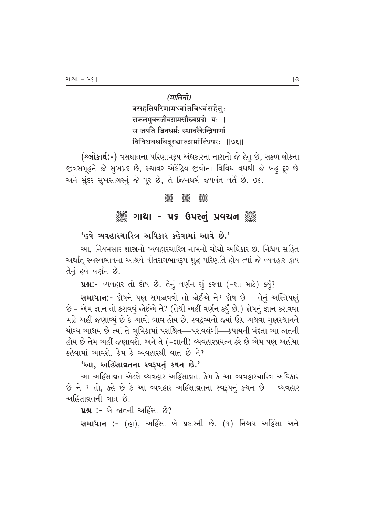(मालिनी) त्रसहतिपरिणामध्वांतविध्वंसहेतुः सकलभुवनजीवग्रामसौख्यप्रदो यः | स जयति जिनधर्मः स्थावरैकेन्द्रियाणां विविधवधविद्रश्चारुशमांब्धिपरः ।।७६।।

(શ્લોકાર્થ:-) ત્રસઘાતના પરિણામરૂપ અંધકારના નાશનો જે હેતુ છે, સકળ લોકના જીવસમૂહને જે સુખપ્રદ છે, સ્થાવર એકેંદ્રિય જીવોના વિવિધ વધથી જે બહુ દૂર છે અને સુંદર સુખસાગરનું જે પૂર છે, તે જિનધર્મ જયવંત વર્તે છે. ૭૬.

#### **ASSE Jesse**  $\frac{1}{2}$

#### ૈું ગાથા - ૫૬ ઉપરનું પ્રવચન ૅું

#### 'હવે વ્યવહારચારિત્ર અધિકાર કહેવામાં આવે છે.'

આ. નિયમસાર શાસ્રનો વ્યવહારચારિત્ર નામનો ચોથો અધિકાર છે. નિશ્ચય સહિત અર્થાત્ સ્વસ્વભાવના આશ્રયે વીતરાગભાવરૂપ શુદ્ધ પરિણતિ હોય ત્યાં જે વ્યવહાર હોય તેનું હવે વર્ણન છે.

uશ:- વ્યવહાર તો દોષ છે. તેનું વર્ણન શું કરવા (-શા માટે) કર્યું?

સમાધાન:- દોષને પણ સમજાવવો તો જોઈએ ને? દોષ છે - તેનું અસ્તિપણું છે - એમ જ્ઞાન તો કરાવવું જોઈએ ને? (તેથી અહીં વર્ણન કર્યું છે.) દોષનું જ્ઞાન કરાવવા માટે અહીં જણાવ્યું છે કે આવો ભાવ હોય છે. સ્વદ્રવ્યનો જ્યાં ઉગ્ર અથવા ગૃણસ્થાનને યોગ્ય આશ્રય છે ત્યાં તે ભૂમિકામાં પરાશ્રિત—પરાવલંબી—કષાયની મંદતા આ જાતની હોય છે તેમ અહીં જણાવશે. અને તે (-જ્ઞાની) વ્યવહારપ્રયત્ન કરે છે એમ પણ અહીંયા કહેવામાં આવશે. કેમ કે વ્યવહારથી વાત છે ને?

#### 'આ, અહિંસાવ્રતના સ્વરૂપનું કથન છે.'

આ અહિંસાવ્રત એટલે વ્યવહાર અહિંસાવ્રત. કેમ કે આ વ્યવહારચારિત્ર અધિકાર છે ને ? તો, કહે છે કે આ વ્યવહાર અહિંસાવ્રતના સ્વરૂપનું કથન છે - વ્યવહાર અહિંસાવ્રતની વાત છે.

**પ્રશ:** - બે જાતની અહિંસા છે?

સમાધાન :- (હા), અહિંસા બે પ્રકારની છે. (૧) નિશ્ચય અહિંસા અને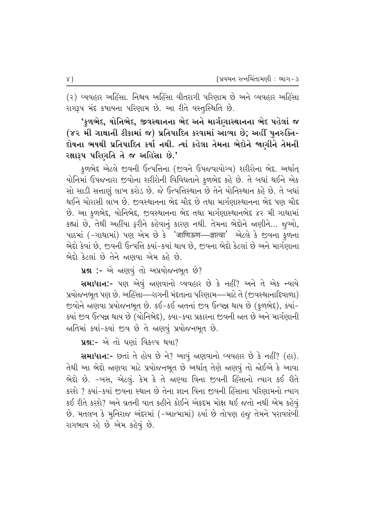(૨) વ્યવહાર અહિંસા. નિશ્ચય અહિંસા વીતરાગી પરિણામ છે અને વ્યવહાર અહિંસા રાગરૂપ મંદ કષાયના પરિણામ છે. આ રીતે વસ્તુસ્થિતિ છે.

'કુળભેદ, યોનિભેદ, જીવસ્થાનના ભેદ અને માર્ગણાસ્થાનના ભેદ પહેલાં જ (૪૨ મી ગાથાની ટીકામાં જ) પ્રતિપાદિત કરવામાં આવ્યા છે; અહીં પુનરુક્તિ-દોષના ભયથી પ્રતિપાદિત કર્યા નથી. ત્યાં કહેલા તેમના ભેદોને જાણીને તેમની રક્ષારૂપ પરિણતિ તે જ અહિંસા છે.'

કુળભેદ એટલે જીવની ઉત્પત્તિના (જીવને ઉપજવાયોગ્ય) શરીરોના ભેદ. અર્થાત્ યોનિમાં ઉપજનારા જીવોના શરીરોની વિવિધતાને કુળભેદ કહે છે. તે બધાં થઈને એક સો સાડી સત્તાણું લાખ કરોડ છે. જે ઉત્પત્તિસ્થાન છે તેને યોનિસ્થાન કહે છે. તે બધાં થઈને ચોરાસી લાખ છે. જીવસ્થાનના ભેદ ચૌદ છે તથા માર્ગણાસ્થાનના ભેદ પણ ચૌદ છે. આ કળભેદ, યોનિભેદ, જીવસ્થાનના ભેદ તથા માર્ગણાસ્થાનભેદ ૪૨ મી ગાથામાં કહ્યાં છે, તેથી અહીંયા ફરીને કહેવાનું કારણ નથી. તેમના ભેદોને જાણીને… જુઓ, પાઠમાં (-ગાથામાં) પણ એમ છે કે 'जाणिऊण—ज्ञात्वा' એટલે કે જીવના કુળના ભેદો કેવાં છે, જીવની ઉત્પત્તિ ક્યાં-કયાં થાય છે, જીવના ભેદો કેટલાં છે અને માર્ગણાના ભેદ્દો કેટલાં છે તેને જાણવા એમ કહે છે.

પ્રશ્ન :- એ જાણવું તો અપ્રયોજનભૂત છે?

**સમાધાન:**- પણ એવું જાણવાનો વ્યવહાર છે કે નહીં? અને તે એક ન્યાયે પ્રયોજનભૂત પણ છે. અહિંસા—–રાગની મંદતાના પરિણામ—–માટે તે (જીવસ્થાનાદિવાળા) જીવોને જાણવા પ્રયોજનભૂત છે. કઈ–કઈ જાતનાં જીવ ઉત્પન્ન થાય છે (કુળભેદ), ક્યાં-કયાં જીવ ઉત્પન્ન થાય છે (યોનિભેદ), કયા-કયા પ્રકારના જીવની જાત છે અને માર્ગણાની જાતિમાં ક્યાં-ક્યાં છવ છે તે જાણવું પ્રયોજનભૂત છે.

**પ્રશ્ન:-** એ તો ઘણાં વિકલ્પ થયા?

સમાધાન:- છતાં તે હોય છે ને? આવું જણવાનો વ્યવહાર છે કે નહીં? (હા). તેથી આ ભેદો જાણવા માટે પ્રયોજનભૂત છે અર્થાત્ તેણે જાણવું તો જોઈએ કે આવા ભેદો છે. -બસ, એટલું. કેમ કે તે જાણ્યા વિના જીવની હિંસાનો ત્યાગ કઈ રીતે કરશે ? ક્યાં−ક્યાં જીવના સ્થાન છે તેના જ્ઞાન વિના જીવની હિંસાના પરિણામનો ત્યાગ કઈ રીતે કરશે? અને વ્રતની વાત કહીને કોઈને એકદમ મોક્ષ થઈ જતો નથી એમ કહેવ<del>ુ</del>ં છે. મતલબ કે મુનિરાજ અંદરમાં (-આત્મામાં) ઠર્યા છે તોપણ હજુ તેમને પરાવલંબી રાગભાવ રહે છે એમ કહેવું છે.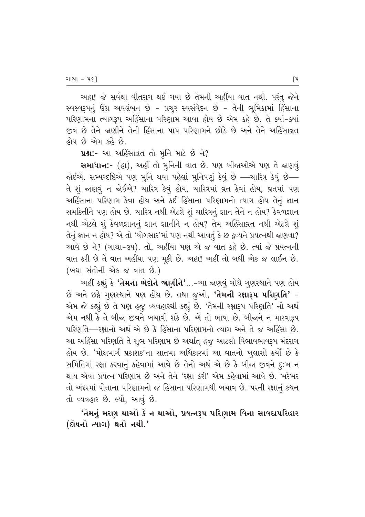અહા! જે સર્વથા વીતરાગ થઈ ગયા છે તેમની અહીંયા વાત નથી. પરંતુ જેને સ્વસ્વરૂપનું ઉગ્ર અવલંબન છે - પ્રચુર સ્વસંવેદન છે - તેની ભૂમિકામાં હિંસાના પરિણામના ત્યાગરૂપ અહિંસાના પરિણામ આવા હોય છે એમ કહે છે. તે ક્યાં-ક્યાં જીવ છે તેને જાણીને તેની હિંસાના પાપ પરિણામને છોડે છે અને તેને અહિંસાવ્રત હોય છે એમ કહે છે.

ua :- આ અહિંસાવ્રત તો મુનિ માટે છે ને?

સમાધાન:- (હા), અહીં તો મુનિની વાત છે. પણ બીજાઓએ પણ તે જાણવું જોઈએ. સમ્યગ્દષ્ટિએ પણ મૃનિ થવા પહેલાં મૃનિપણું કેવું છે —ચારિત્ર કેવું છે— તે શું જાણવું ન જોઈએ? ચારિત્ર કેવું હોય, ચારિત્રમાં વ્રત કેવાં હોય, વ્રતમાં પણ અહિંસાના પરિણામ કેવા હોય અને કઈ હિંસાના પરિણામનો ત્યાગ હોય તેનું જ્ઞાન સમકિતીને પણ હોય છે. ચારિત્ર નથી એટલે શું ચારિત્રનું જ્ઞાન તેને ન હોય? કેવળજ્ઞાન નથી એટલે શું કેવળજ્ઞાનનું જ્ઞાન જ્ઞાનીને ન હોય? તેમ અહિંસાવ્રત નથી એટલે શું તેનું જ્ઞાન ન હોય? એ તો 'યોગસાર'માં પણ નથી આવતું કે છ દ્રવ્યને પ્રયત્નથી જાણવા? આવે છે ને? (ગાથા-૩૫). તો, અહીંયા પણ એ જ વાત કહે છે. ત્યાં જે પ્રયત્નની વાત કરી છે તે વાત અહીંયા પણ મૂકી છે. અહા! અહીં તો બધી એક જ લાઈન છે. (બધા સંતોની એક જ વાત છે.)

અહીં કહ્યું કે **'તેમના ભેદોને જાણીને'**…-આ જાણવું ચોથે ગુણસ્થાને પણ હોય છે અને છઠ્ઠે ગુણસ્થાને પણ હોય છે. તથા જુઓ, 'તેમની રક્ષારૂપ પરિણતિ' -એમ જે કહ્યું છે તે પણ હજુ વ્યવહારથી કહ્યું છે. 'તેમની રક્ષારૂપ પરિણતિ' નો અર્થ એમ નથી કે તે બીજા જીવને બચાવી શકે છે. એ તો ભાષા છે. બીજાને ન મારવારૂપ પરિણતિ—રક્ષાનો અર્થ એ છે કે હિંસાના પરિણામનો ત્યાગ અને તે જ અહિંસા છે. આ અહિંસા પરિણતિ તે શુભ પરિણામ છે અર્થાત્ હજુ આટલો વિભાવભાવરૂપ મંદરાગ હોય છે. 'મોક્ષમાર્ગ પ્રકાશક'ના સાતમા અધિકારમાં આ વાતનો ખુલાસો કર્યો છે કે સમિતિમાં રક્ષા કરવાનું કહેવામાં આવે છે તેનો અર્થ એ છે કે બીજા જીવને દૃ:ખ ન થાય એવા પ્રયત્ન પરિણામ છે અને તેને 'રક્ષા કરી' એમ કહેવામાં આવે છે. ખરેખર તો અંદરમાં પોતાના પરિણામનો જ હિંસાના પરિણામથી બચાવ છે. પરની રક્ષાનું કથન તો વ્યવહાર છે. લ્યો, આવું છે.

'તેમનું મરણ થાઓ કે ન થાઓ, પ્રયત્નરૂપ પરિણામ વિના સાવદ્યપરિહાર (દોષનો ત્યાગ) થતો નથી.'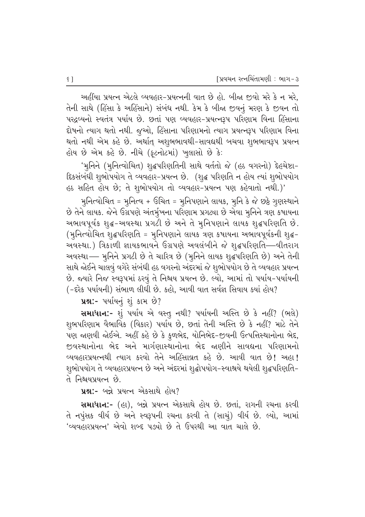અહીંયા પ્રયત્ન એટલે વ્યવહાર-પ્રયત્નની વાત છે હો. બીજા જીવો મરે કે ન મરે, તેની સાથે (હિંસા કે અહિંસાને) સંબંધ નથી. કેમ કે બીજા જીવનું મરણ કે જીવન તો પરદ્રવ્યનો સ્વતંત્ર પર્યાય છે. છતાં પણ વ્યવહાર-પ્રયત્નરૂપ પરિણામ વિના હિંસાના દોષનો ત્યાગ થતો નથી. જૂઓ, હિંસાના પરિણામનો ત્યાગ પ્રયત્નરૂપ પરિણામ વિના થતો નથી એમ કહે છે. અર્થાત્ અશુભભાવથી-સાવદ્યથી બચવા શુભભાવરૂપ પ્રયત્ન હોય છે એમ કહે છે. નીચે (ફૂટનોટમાં) ખુલાસો છે કે:

'મુનિને (મુનિત્વોચિત) શુદ્ધપરિણતિની સાથે વર્તતો જે (હઠ વગરનો) દેહચેષ્ટા− દિકસંબંધી શુભોપયોગ તે વ્યવહાર-પ્રયત્ન છે. (શુદ્ધ પરિણતિ ન હોય ત્યાં શુભોપયોગ હઠ સહિત હોય છે; તે શુભોપયોગ તો વ્યવહાર-પ્રયત્ન પણ કહેવાતો નથી.)'

મુનિત્વોચિત = મૂનિત્વ + ઉચિત = મૂનિપણાને લાયક, મૂનિ કે જે છઠ્ઠે ગુણસ્થાને છે તેને લાયક. જેને ઉગ્રપણે અંતર્મુખના પરિણામ પ્રગટ્યા છે એવા મુનિને ત્રણ કષાયના : અભાવપૂર્વક શુદ્ધ-અવસ્થા પ્રગટી છે અને તે મુનિપણાને લાયક શુદ્ધપરિણતિ છે. (મુનિત્વોચિત શુદ્ધપરિણતિ = મુનિપણાને લાયક ત્રણ કષાયના અભાવપૂર્વકની શુદ્ધ-અવસ્થા.) ત્રિકાળી જ્ઞાયકભાવને ઉગ્રપણે અવલંબીને જે શુદ્ધપરિણતિ—વીતરાગ 'અવસ્થા— મુનિને પ્રગટી છે તે ચારિત્ર છે (મુનિને લાયક શુદ્ધપરિણતિ છે) અને તેની સાથે જોઈને ચાલવું વગેરે સંબંધી હઠ વગરનો અંદરમાં જે શુભોપયોગ છે તે વ્યવહાર પ્રયત્ન છે. જ્યારે નિજ સ્વરૂપમાં ઠરવું તે નિશ્રય પ્રયત્ન છે. લ્યો, આમાં તો પર્યાય-પર્યાયની (-દરેક પર્યાયની) સંભાળ લીધી છે. કહો, આવી વાત સર્વજ્ઞ સિવાય ક્યાં હોય?

 $\mathbf{u}$ શ્ન:- પર્યાયનું શું કામ છે?

સમાધાન:- શું પર્યાય એ વસ્તુ નથી? પર્યાયની અસ્તિ છે કે નહીં? (ભલે) શુભપરિણામ વૈભાવિક (વિકાર) પર્યાય છે, છતાં તેની અસ્તિ છે કે નહીં? માટે તેને  $\overline{v}$ ણ જાણવી જોઈએ. અહીં કહે છે કે કુળભેદ, યોનિભેદ-જીવની ઉત્પત્તિસ્થાનોના ભેદ, જીવસ્થાનોના ભેદ અને માર્ગણાસ્થાનોના ભેદ જાણીને સાવદ્યના પરિણામનો <u>વ્યવહારપ્રયત્નથી ત્યાગ કરવો તેને અહિંસાવ્રત કહે છે. આવી વાત છે! અહા!</u> શુભોપયોગ તે વ્યવહારપ્રયત્ન છે અને અંદરમાં શુદ્ધોપયોગ−સ્વાશ્રયે થયેલી શુદ્ધપરિણતિ− તે નિશ્વયપ્રયત્ન છે.

 $~\mathbf{u}$ શ:- બન્ને પ્રયત્ન એકસાથે હોય?

Rullud:- (હા), બન્ને પ્રયત્ન એકસાથે હોય છે. છતાં, રાગની રચના કરવી તે નપુંસક વીર્ય છે અને સ્વરૂપની રચના કરવી તે (સાચું) વીર્ય છે. લ્યો, આમાં 'વ્યવહારપ્રયત્ન' એવો શબ્દ પડ્યો છે તે ઉપરથી આ વાત ચાલે છે.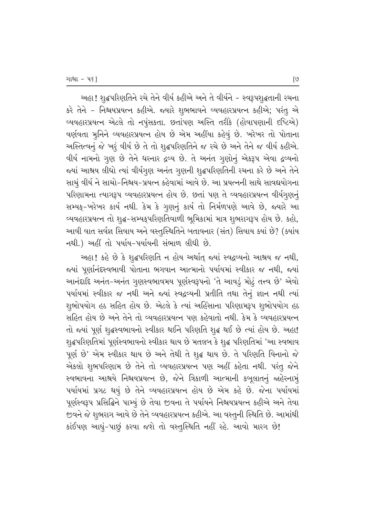અહા! શૃદ્ધપરિણતિને રચે તેને વીર્ય કહીએ અને તે વીર્યને – સ્વરૂપશૃદ્ધતાની રચના કરે તેને – નિશ્ચયપ્રયત્ન કહીએ. જ્યારે શુભભાવને વ્યવહારપ્રયત્ન કહીએ; પરંતુ એ વ્યવહારપ્રયત્ન એટલે તો નપુંસકતા. છતાંપણ અસ્તિ તરીકે (હોવાપણાની દષ્ટિએ) વર્ણવતા મૃનિને વ્યવહારપ્રયત્ન હોય છે એમ અહીંયા કહેવું છે. ખરેખર તો પોતાના આસ્તિત્વનું જે ખરૂં વીર્ય છે તે તો શુદ્ધપરિણતિને જ રચે છે અને તેને જ વીર્ય કહીએ. વીર્ય નામનો ગુણ છે તેને ધરનાર દ્રવ્ય છે. તે અનંત ગુણોનું એકરૂપ એવા દ્રવ્યનો જયાં આશ્રય લીધો ત્યાં વીર્યગુણ અનંત ગૃણની શૃદ્ધપરિણતિની રચના કરે છે અને તેને સાચું વીર્ય ને સાચો-નિશ્ચય-પ્રયત્ન કહેવામાં આવે છે. આ પ્રયત્નની સાથે સાવદ્યયોગના પરિણામના ત્યાગરૂપ વ્યવહારપ્રયત્ન હોય છે. છતાં પણ તે વ્યવહારપ્રયત્ન વીર્યગુણનું સમ્યક્-ખરેખર કાર્ય નથી. કેમ કે ગુણનું કાર્ય તો નિર્મળપણે આવે છે, જ્યારે આ વ્યવહારપ્રયત્ન તો શૃદ્ધ-સમ્યકૃપરિણતિવાળી ભૂમિકામાં માત્ર શુભરાગરૂપ હોય છે. કહો, આવી વાત સર્વજ્ઞ સિવાય અને વસ્તુસ્થિતિને બતાવનાર (સંત) સિવાય કયાં છે? (ક્યાંય  $-$ નથી.) અહીં તો પર્યાય-પર્યાયની સંભાળ લીધી છે.

આહા! કહે છે કે શુદ્ધપરિણતિ ન હોય અર્થાત્ જ્યાં સ્વદ્રવ્યનો આશ્રય જ નથી, જયાં પૂર્ણાનંદસ્વભાવી પોતાના ભગવાન આત્માનો પર્યાયમાં સ્વીકાર જ નથી, જ્યાં આનંદાદિ અનંત-અનંત ગુણસ્વભાવમય પૂર્ણસ્વરૂપનો 'તે આવડું મોટું તત્ત્વ છે' એવો પર્યાયમાં સ્વીકાર જ નથી અને જ્યાં સ્વદ્રવ્યની પ્રતીતિ તથા તેનું જ્ઞાન નથી ત્યાં શુભોપયોગ હઠ સહિત હોય છે. એટલે કે ત્યાં અહિંસાના પરિણામરૂપ શુભોપયોગ હઠ સહિત હોય છે અને તેને તો વ્યવહારપ્રયત્ન પણ કહેવાતો નથી. કેમ કે વ્યવહારપ્રયત્ન તો જ્યાં પૂર્ણ શુદ્ધસ્વભાવનો સ્વીકાર થઈને પરિણતિ શુદ્ધ થઈ છે ત્યાં હોય છે. અહા! શૃદ્ધપરિણતિમાં પૂર્ણસ્વભાવનો સ્વીકાર થાય છે મતલબ કે શૃદ્ધ પરિણતિમાં 'આ સ્વભાવ પૂર્ણ છે' એમ સ્વીકાર થાય છે અને તેથી તે શુદ્ધ થાય છે. તે પરિણતિ વિનાનો જે એકલો શુભપરિણામ છે તેને તો વ્યવહારપ્રયત્ન પણ અહીં કહેતા નથી. પરંતુ જેને સ્વભાવના આશ્રયે નિશ્ચયપ્રયત્ન છે, જેને ત્રિકાળી આત્માની કબૂલાતનું જાહેરનામ<del>ું</del> પર્યાયમાં પ્રગટ થયું છે તેને વ્યવહારપ્રયત્ન હોય છે એમ કહે છે. જેના પર્યાયમાં પૂર્ણસ્વરૂપ પ્રસિદ્ધિને પામ્યું છે તેવા જીવના તે પર્યાયને નિશ્ચયપ્રયત્ન કહીએ અને તેવા જીવને જે શુભરાગ આવે છે તેને વ્યવહારપ્રયત્ન કહીએ. આ વસ્તુની સ્થિતિ છે. આમાંથી કાંઈપણ આઘું-પાછું કરવા જશે તો વસ્તુસ્થિતિ નહીં રહે. આવો મારગ છે!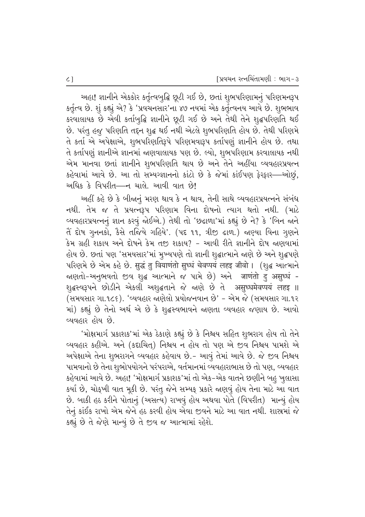અહા! જ્ઞાનીને એકકોર કર્તૃત્વબુદ્ધિ છૂટી ગઈ છે, છતાં શુભપરિણામનું પરિણમનરૂપ કર્તૃત્વ છે. શું કહ્યું એ? કે 'પ્રવચનસાર'ના ૪૭ નયમાં એક કર્તૃત્વનય આવે છે. શુભભાવ કરવાલાયક છે એવી કર્તાબુદ્ધિ જ્ઞાનીને છૂટી ગઈ છે અને તેથી તેને શુદ્ધપરિણતિ થઈ છે. પરંતુ હજુ પરિણતિ તદ્દન શૃદ્ધ થઈ નથી એટલે શુભપરિણતિ હોય છે. તેથી પરિણમે તે કર્તા એ અપેક્ષાએ, શુભપરિણતિરૂપે પરિણમવારૂપ કર્તાપણું જ્ઞાનીને હોય છે. તથા તે કર્તાપણું જ્ઞાનીએ જ્ઞાનમાં જાણવાલાયક પણ છે. લ્યો, શુભપરિણામ કરવાલાયક નથી એમ માનવા છતાં જ્ઞાનીને શુભપરિણતિ થાય છે અને તેને અહીંયા વ્યવહારપ્રયત્ન કહેવામાં આવે છે. આ તો સમ્યગ્જ્ઞાનનો કાંટો છે કે જેમાં કાંઈપણ ફેરફાર—ઓછું, આધિક કે વિપરીત—ન ચાલે. આવી વાત છે!

અહીં કહે છે કે બીજાનું મરણ થાવ કે ન થાવ, તેની સાથે વ્યવહારપ્રયત્નને સંબંધ નથી. તેમ જ તે પ્રયત્નરૂપ પરિણામ વિના દોષનો ત્યાગ થતો નથી. (માટે વ્યવહારપ્રયત્નનું જ્ઞાન કરવું જોઈએ.) તેથી તો 'છઢાળા'માં કહ્યું છે ને? કે 'બિન જાને તેં દોષ ગુનનકો, કૈસે તજિયે ગહિયે'. (પદ ૧૧, ત્રીજી ઢાળ.) જાણ્યા વિના ગુણને કેમ ગ્રહી શકાય અને દોષને કેમ તજી શકાય? – આવી રીતે જ્ઞાનીને દોષ જ્રણવામાં હોય છે. છતાં પણ 'સમયસાર'માં મુખ્યપણે તો જ્ઞાની શૃદ્ધાત્માને જાણે છે અને શૃદ્ધપણે परिशमे છे એમ કહે છે. सुद्धं तु वियाणंतो सुध्धं चेवप्पयं लहइ जीवो। (शुद्ध આत्माने જાણતો-અનુભવતો જીવ શૃદ્ધ આત્માને જ પામે છે) અને जाणंतो दु असुर्ध्ध -शुद्धस्व३पने છોડીને એકલી અશુદ્ધતાને જે જાણે છે તે असुध्धमेवप्पयं लहइ ॥ (સમયસાર ગા.૧૮૬). 'વ્યવહાર જાણેલો પ્રયોજનવાન છે' - એમ જે (સમયસાર ગા.૧૨ માં) કહ્યું છે તેનો અર્થ એ છે કે શુદ્ધસ્વભાવને જાણતા વ્યવહાર જણાય છે. આવો <u>વ્યવહાર હોય છે.</u>

'મોક્ષમાર્ગ પ્રકાશક'માં એક ઠેકાણે કહ્યું છે કે નિશ્રય સહિત શુભરાગ હોય તો તેને વ્યવહાર કહીએ. અને (કદાચિત) નિશ્ચય ન હોય તો પણ એ જીવ નિશ્ચય પામશે એ અપેક્ષાએ તેના શભરાગને વ્યવહાર કહેવાય છે.- આવું તેમાં આવે છે. જે જીવ નિશ્ચય પામવાનો છે તેના શુભોપયોગને પરંપરાએ, વર્તમાનમાં વ્યવહારાભાસ છે તો પણ, વ્યવહાર કહેવામાં આવે છે. અહા! 'મોક્ષમાર્ગ પ્રકાશક'માં તો એક−એક વાતને છણીને બહુ ખુલાસા કર્યા છે, ચોકુખી વાત મૂકી છે. પરંતુ જેને સમ્યક્ પ્રકારે જાણવું હોય તેના માટે આ વાત છે. બાકી હઠ કરીને પોતાનું (અસત્ય) રાખવું હોય અથવા પોતે (વિપરીત) માન્યું હોય તેનું કાંઈક રાખો એમ જેને હઠ કરવી હોય એવા જીવને માટે આ વાત નથી. શાસ્રમાં જે કહ્યું છે તે જેણે માન્યું છે તે જીવ જ આત્મામાં રહેશે.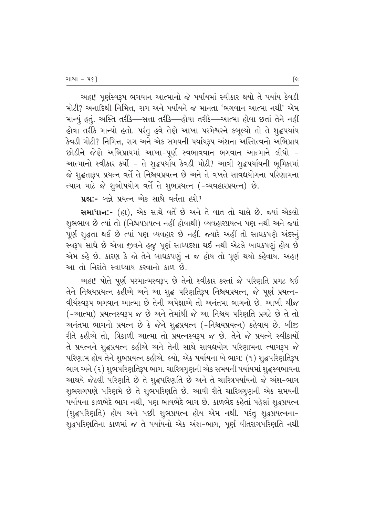અહા! પૂર્ણસ્વરૂપ ભગવાન આત્માનો જે પર્યાયમાં સ્વીકાર થયો તે પર્યાય કેવડી મોટી? અનાદિથી નિમિત્ત, રાગ અને પર્યાયને જ માનતા 'ભગવાન આત્મા નથી' એમ માન્યું હતું. અસ્તિ તરીકે—સત્તા તરીકે—હોવા તરીકે—આત્મા હોવા છતાં તેને નહીં હોવા તરીકે માન્યો હતો. પરંતુ હવે તેણે આખા પરમેશ્વરને કબૂલ્યો તો તે શુદ્ધપર્યાય કેવડી મોટી? નિમિત્ત, રાગ અને એક સમયની પર્યાયરૂપ અંશના અસ્તિત્વનો અભિપ્રાય છોડીને જેણે અભિપ્રાયમાં આખા-પૂર્ણ સ્વભાવવાન ભગવાન આત્માને લીધો -આત્માનો સ્વીકાર કર્યો - તે શૃદ્ધપર્યાય કેવડી મોટી? આવી શૃદ્ધપર્યાયની ભૂમિકામાં જે શૃદ્ધતારૂપ પ્રયત્ન વર્તે તે નિશ્ચયપ્રયત્ન છે અને તે વખતે સાવદ્યયોગના પરિણામના ત્યાગ માટે જે શુભોપયોગ વર્તે તે શુભપ્રયત્ન (-વ્યવહારપ્રયત્ન) છે.

**4%:-** બન્ને પ્રયત્ન એક સાથે વર્તતા હશે?

સમાધાન:- (હા), એક સાથે વર્તે છે અને તે વાત તો ચાલે છે. જ્યાં એકલો શુભભાવ છે ત્યાં તો (નિશ્ચયપ્રયત્ન નહીં હોવાથી) વ્યવહારપ્રયત્ન પણ નથી અને જ્યાં પૂર્ણ શુદ્ધતા થઈ છે ત્યાં પણ વ્યવહાર છે નહીં. જ્યારે અહીં તો સાધકપણે અંદરનું સ્વરૂપ સાધે છે એવા જીવને હજુ પૂર્ણ સાધ્યદશા થઈ નથી એટલે બાધકપણું હોય છે એમ કહે છે. કારણ કે જો તેને બાધકપણું ન જ હોય તો પૂર્ણ થયો કહેવાય. અહા! આ તો નિરાંતે સ્વાધ્યાય કરવાનો કાળ છે.

અહા! પોતે પૂર્ણ પરમાત્મસ્વરૂપ છે તેનો સ્વીકાર કરતાં જે પરિણતિ પ્રગટ થઈ તેને નિશ્ચયપ્રયત્ન કહીએ અને આ શુદ્ધ પરિણતિરૂપ નિશ્ચયપ્રયત્ન, જે પૂર્ણ પ્રયત્ન− વીર્યસ્વરૂપ ભગવાન આત્મા છે તેની અપેક્ષાએ તો અનંતમા ભાગનો છે. આખી ચીજ (-આત્મા) પ્રયત્નસ્વરૂપ જ છે અને તેમાંથી જે આ નિશ્ચય પરિણતિ પ્રગટે છે તે તો આનંતમા ભાગનો પ્રયત્ન છે કે જેને શદ્ધપ્રયત્ન (-નિશ્રયપ્રયત્ન) કહેવાય છે. બીજી રીતે કહીએ તો, ત્રિકાળી આત્મા તો પ્રયત્નસ્વરૂપ જ છે. તેને જે પ્રયત્ને સ્વીકાર્યો તે પ્રયત્નને શુદ્ધપ્રયત્ન કહીએ અને તેની સાથે સાવદ્યયોગ પરિણામના ત્યાગરૂપ જે પરિણામ હોય તેને શુભપ્રયત્ન કહીએ. લ્યો, એક પર્યાયના બે ભાગ: (૧) શૃદ્ધપરિણતિરૂપ ભાગ અને (૨) શુભપરિણતિરૂપ ભાગ. ચારિત્રગુણની એક સમયની પર્યાયમાં શુદ્ધસ્વભાવના આશ્રયે જેટલી પરિણતિ છે તે શૃદ્ધપરિણતિ છે અને તે ચારિત્રપર્યાયનો જે અંશ-ભાગ શુભરાગપણે પરિણમે છે તે શુભપરિણતિ છે. આવી રીતે ચારિત્રગુણની એક સમયની પર્યાયના કાળભેદે ભાગ નથી, પણ ભાવભેદે ભાગ છે. કાળભેદ કહેતાં પહેલાં શુદ્ધપ્રયત્ન (શુદ્ધપરિણતિ) હોય અને પછી શુભપ્રયત્ન હોય એમ નથી. પરંતુ શુદ્ધપ્રયત્નના− શ્દ્રપરિણતિના કાળમાં જ તે પર્યાયનો એક અંશ−ભાગ, પૂર્ણ વીતરાગપરિણતિ નથી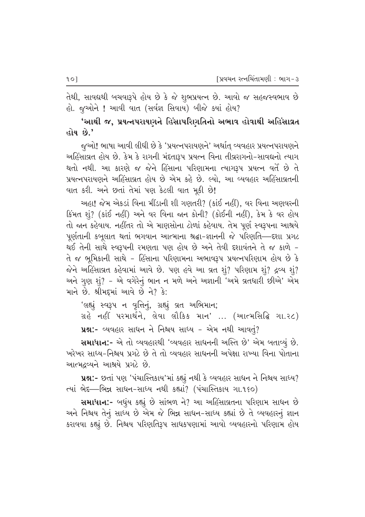તેથી, સાવદ્યથી બચવારૂપે હોય છે કે જે શુભપ્રયત્ન છે. આવો જ સહજસ્વભાવ છે  $\ell$ ે હ્યુઓને ! આવી વાત (સર્વજ્ઞ સિવાય) બીજે ક્યાં હોય?

'આથી જ, પ્રયત્નપરાયણને હિંસાપરિણતિનો અભાવ હોવાથી અહિંસાવ્રત હોય છે.'

જુઓ! ભાષા આવી લીધી છે કે 'પ્રયત્નપરાયણને' અર્થાત વ્યવહાર પ્રયત્નપરાયણને અહિંસાવ્રત હોય છે. કેમ કે રાગની મંદતારૂપ પ્રયત્ન વિના તીવ્રરાગનો-સાવદ્યનો ત્યાગ થતો નથી. આ કારણે જ જેને હિંસાના પરિણામના ત્યાગરૂપ પ્રયત્ન વર્તે છે તે પ્રયત્નપરાયણને અહિંસાવ્રત હોય છે એમ કહે છે. લ્યો. આ વ્યવહાર અહિંસાવ્રતની વાત કરી. અને છતાં તેમાં પણ કેટલી વાત મૂકી છે!

અહા! જેમ એકડાં વિના મીંડાની શી ગણતરી? (કાંઈ નહીં), વર વિના અણવરની  $B$ મત શું? (કાંઈ નહીં) અને વર વિના જાન કોની? (કોઈની નહીં), કેમ કે વર હોય તો જાન કહેવાય. નહીંતર તો એ માણસોના ટોળાં કહેવાય. તેમ પૂર્ણ સ્વરૂપના આશ્રયે પૂર્ણતાની કબૂલાત થતાં ભગવાન આત્માના શ્રદ્ધા–જ્ઞાનની જે પરિણતિ—દશા પ્રગટ થઈ તેની સાથે સ્વરૂપની રમણતા પણ હોય છે અને તેવી દશાવંતને તે જ કાળે − તે જ ભૂમિકાની સાથે - હિંસાના પરિણામના અભાવરૂપ પ્રયત્નપરિણામ હોય છે કે જેને અહિંસાવ્રત કહેવામાં આવે છે. પણ હવે આ વ્રત શું? પરિણામ શું? દ્રવ્ય શું? અને ગુણ શું? – એ વગેરેનું ભાન ન મળે અને અજ્ઞાની 'અમે વ્રતધારી છીએ' એમ માને છે. શ્રીમદમાં આવે છે ને? કે:

'લહ્યું સ્વરૂપ ન વૃત્તિનું, ગ્રહ્યું વ્રત અભિમાન;  $u$ ે નહીં પરમાર્થને, લેવા લૌકિક માન' ... (આત્મસિદ્ધિ ગા.૨૮) પ્રશ્ન:- વ્યવહાર સાધન ને નિશ્ચય સાધ્ય – એમ નથી આવતું?

સમાધાન:- એ તો વ્યવહારથી 'વ્યવહાર સાધનની અસ્તિ છે' એમ બતાવ્યું છે. `ખરેખર સાધ્ય−નિશ્ચય પ્રગટે છે તે તો વ્યવહાર સાધનની અપેક્ષા રાખ્યા વિના પોતાના આત્મદ્રવ્યને આશ્રયે પ્રગટે છે.

પ્રશ્ન:- છતાં પણ 'પંચાસ્તિકાય'માં કહ્યું નથી કે વ્યવહાર સાધન ને નિશ્ચય સાધ્ય? ત્યાં ભેદ—ભિન્ન સાધન-સાધ્ય નથી કહ્યાં? (પંચાસ્તિકાય ગા.૧૬૦)

સમાધાન:- બધુંય કહ્યું છે સાંભળ ને? આ અહિંસાવ્રતના પરિણામ સાધન છે અને નિશ્રય તેનું સાધ્ય છે એમ જે ભિન્ન સાધન-સાધ્ય કહ્યાં છે તે વ્યવહારનું જ્ઞાન કરાવવા કહ્યું છે. નિશ્ચય પરિણતિરૂપ સાધકપણામાં આવો વ્યવહારનો પરિણામ હોય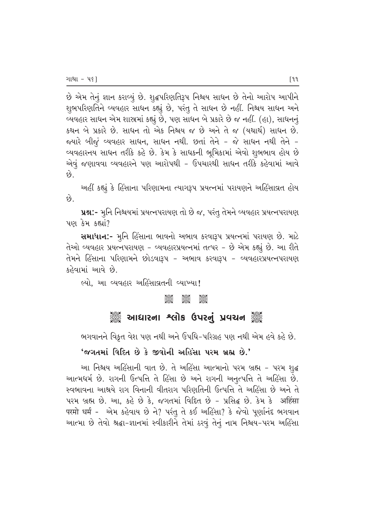છે એમ તેનું જ્ઞાન કરાવ્યું છે. શુદ્ધપરિણતિરૂપ નિશ્ચય સાધન છે તેનો આરોપ આપીને શુભપરિણતિને વ્યવહાર સાધન કહ્યું છે, પરંતુ તે સાધન છે નહીં. નિશ્ચય સાધન અને વ્યવહાર સાધન એમ શાસ્ત્રમાં કહ્યું છે, પણ સાધન બે પ્રકારે છે જ નહીં. (હા), સાધનનું કથન બે પ્રકારે છે. સાધન તો એક નિશ્ચય જ છે અને તે જ (યથાર્થ) સાધન છે. જયારે બીજું વ્યવહાર સાધન, સાધન નથી. છતાં તેને - જે સાધન નથી તેને -વ્યવહારનય સાધન તરીકે કહે છે. કેમ કે સાધકની ભૂમિકામાં એવો શુભભાવ હોય છે એવું જણાવવા વ્યવહારને પણ આરોપથી - ઉપચારથી સાધન તરીકે કહેવામાં આવે  $\hat{e}$ 

અહીં કહ્યું કે હિંસાના પરિણામના ત્યાગરૂપ પ્રયત્નમાં પરાયણને અહિંસાવ્રત હોય છે.

પ્રશ્ન:- મૂનિ નિશ્ચયમાં પ્રયત્નપરાયણ તો છે જ, પરંતુ તેમને વ્યવહાર પ્રયત્નપરાયણ  $"$ પણ કેમ કહ્યાં?

સમાધાન:- મુનિ હિંસાના ભાવનો અભાવ કરવારૂપ પ્રયત્નમાં પરાયણ છે. માટે તેઓ વ્યવહાર પ્રયત્નપરાયણ - વ્યવહારપ્રયત્નમાં તત્પર - છે એમ કહ્યું છે. આ રીતે તેમને હિંસાના પરિણામને છોડવારૂપ – અભાવ કરવારૂપ – વ્યવહારપ્રયત્નપરાયણ કહેવામાં આવે છે.

લ્યો, આ વ્યવહાર અહિંસાવ્રતની વ્યાખ્યા!

#### $\frac{1}{2}$   $\frac{1}{2}$   $\frac{1}{2}$   $\frac{1}{2}$   $\frac{1}{2}$   $\frac{1}{2}$   $\frac{1}{2}$   $\frac{1}{2}$   $\frac{1}{2}$   $\frac{1}{2}$   $\frac{1}{2}$   $\frac{1}{2}$   $\frac{1}{2}$   $\frac{1}{2}$   $\frac{1}{2}$   $\frac{1}{2}$   $\frac{1}{2}$   $\frac{1}{2}$   $\frac{1}{2}$   $\frac{1}{2}$   $\frac{1}{2}$   $\frac{1}{2}$

#### ું આઘારના શ્લોક ઉપરનું પ્રવચન ું

ભગવાનને વિકૃત વેશ પણ નથી અને ઉપધિ-પરિગ્રહ પણ નથી એમ હવે કહે છે.

#### 'જગતમાં વિદિત છે કે જીવોની અહિંસા પરમ બ્રહ્મ છે.'

આ નિશ્ચય અહિંસાની વાત છે. તે અહિંસા આત્માનો પરમ બ્રહ્મ - પરમ શુદ્ધ આત્મધર્મ છે. રાગની ઉત્પત્તિ તે હિંસા છે અને રાગની અનૃત્પત્તિ તે અહિંસા છે. સ્વભાવના આશ્રયે રાગ વિનાની વીતરાગ પરિણતિની ઉત્પત્તિ તે અહિંસા છે અને તે પરમ બ્રહ્મ છે. આ, કહે છે કે, જગતમાં વિદિત છે - પ્રસિદ્ધ છે. કેમ કે अहिंसा परमो धर्म - એમ કહેવાય છે ને? પરંતુ તે કઈ અહિંસા? કે જેવો પૂર્ણાનંદ ભગવાન આત્મા છે તેવો શ્રદ્ધા-જ્ઞાનમાં સ્વીકારીને તેમાં ઠરવું તેનું નામ નિશ્ચય-પરમ અહિંસા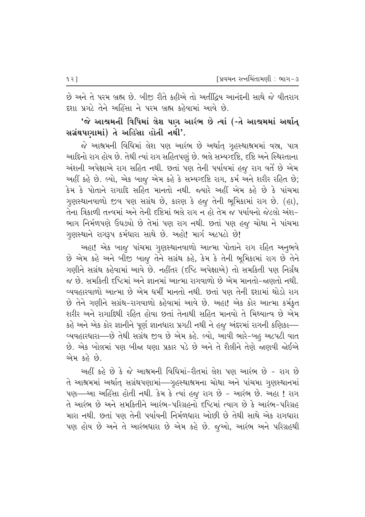છે અને તે પરમ બ્રહ્મ છે. બીજી રીતે કહીએ તો અતીંદ્રિય આનંદની સાથે જે વીતરાગ દશા પ્રગટે તેને અહિંસા ને પરમ બ્રહ્મ કહેવામાં આવે છે.

#### $^{\prime}$ જે આશ્રમની વિધિમાં લેશ પણ આરંભ છે ત્યાં (-તે આશ્રમમાં અર્થાત્ સગ્રંથપણામાં) તે અહિંસા હોતી નથી'.

જે આશ્રમની વિધિમાં લેશ પણ આરંભ છે અર્થાત ગુહસ્થાશ્રમમાં વસ્ત્ર, પાત્ર આદિનો રાગ હોય છે. તેથી ત્યાં રાગ સહિતપણું છે. ભલે સમ્યગ્દષ્ટિ, દષ્ટિ અને સ્થિરતાના અંશની અપેક્ષાએ રાગ સહિત નથી. છતાં પણ તેની પર્યાયમાં હજુ રાગ વર્તે છે એમ આહીં કહે છે. લ્યો, એક બાજુ એમ કહે કે સમ્યગ્દષ્ટિ રાગ, કર્મ અને શરીર રહિત છે; કેમ કે પોતાને રાગાદિ સહિત માનતો નથી. જ્યારે અહીં એમ કહે છે કે પાંચમા ગુણસ્થાનવાળો જીવ પણ સગ્રંથ છે, કારણ કે હજુ તેની ભુમિકામાં રાગ છે. (હા), તેના ત્રિકાળી તત્ત્વમાં અને તેની દષ્ટિમાં ભલે રાગ ન હો તેમ જ પર્યાયનો જેટલો અંશ− ભાગ નિર્મળપણે ઉઘઙ્યો છે તેમાં પણ રાગ નથી. છતાં પણ હજુ ચોથા ને પાંચમા ગુણસ્થાને રાગરૂપ કર્મધારા સાથે છે. અહો! માર્ગ અટપટો છે!

અહા! એક બાજુ પાંચમા ગૃણસ્થાનવાળો આત્મા પોતાને રાગ રહિત અનુભવે છે એમ કહે અને બીજી બાજુ તેને સગ્રંથ કહે, કેમ કે તેની ભૂમિકામાં રાગ છે તેને ગણીને સગ્રંથ કહેવામાં આવે છે. નહીંતર (દષ્ટિ અપેક્ષાએ) તો સમકિતી પણ નિર્ગ્રંથ જ છે. સમકિતી દૃષ્ટિમાં અને જ્ઞાનમાં આત્મા રાગવાળો છે એમ માનતો–જ્ઞણતો નથી. વ્યવહારવાળો આત્મા છે એમ ધર્મી માનતો નથી. છતાં પણ તેની દશામાં થોડો રાગ છે તેને ગણીને સગ્રંથ-રાગવાળો કહેવામાં આવે છે. અહા! એક કોર આત્મા કર્મકુત શરીર અને રાગાદિથી રહિત હોવા છતાં તેનાથી સહિત માનવો તે મિથ્યાત્વ છે એમ કહે અને એક કોર જ્ઞાનીને પૂર્ણ જ્ઞાનધારા પ્રગટી નથી ને હજુ અંદરમાં રાગની કણિકા— વ્યવહારધારા—છે તેથી સગ્રંથ જીવ છે એમ કહે. લ્યો, આવી ભારે-બહ અટપટી વાત છે. એક બોલમાં પણ બીજા ઘણા પ્રકાર પડે છે અને તે શૈલીને તેણે જાણવી જોઈએ એમ કહે છે.

અહીં કહે છે કે જે આશ્રમની વિધિમાં-રીતમાં લેશ પણ આરંભ છે − રાગ છે તે આશ્રમમાં અર્થાત્ સગ્રંથપણામાં—ગૃહસ્થાશ્રમના ચોથા અને પાંચમા ગૃણસ્થાનમાં પણ—આ અહિંસા હોતી નથી. કેમ કે ત્યાં હજૂ રાગ છે - આરંભ છે. અહા ! રાગ તે આરંભ છે અને સમકિતીને આરંભ-પરિગ્રહનો દષ્ટિમાં ત્યાગ છે કે આરંભ-પરિગ્રહ મારા નથી. છતાં પણ તેની પર્યાયની નિર્મળધારા ઓછી છે તેથી સાથે એક રાગધારા પણ હોય છે અને તે આરંભધારા છે એમ કહે છે. જૂઓ, આરંભ અને પરિગ્રહથી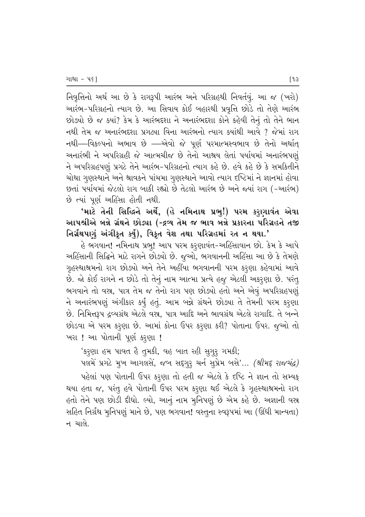નિવૃત્તિનો અર્થ આ છે કે રાગરૂપી આરંભ અને પરિગ્રહથી નિવર્તવું. આ જ (ખરો) આરંભ-પરિગ્રહનો ત્યાગ છે. આ સિવાય કોઈ બહારથી પ્રવૃત્તિ છોડે તો તેણે આરંભ છોડ્યો છે જ ક્યાં? કેમ કે આરંભદ્દશા ને અનારંભદ્દશા કોને કહેવી તેનું તો તેને ભાન નથી તેમ જ અનારંભદશા પ્રગટ્યા વિના આરંભનો ત્યાગ ક્યાંથી આવે ? જેમાં રાગ નથી—વિકલ્પનો અભાવ છે —એવો જે પૂર્ણ પરમાત્મસ્વભાવ છે તેનો અર્થાત આનારંભી ને અપરિગ્રહી જે આત્મચીજ છે તેનો આશ્રય લેતાં પર્યાયમાં અનારંભપણં ને અપરિગ્રહપણું પ્રગટે તેને આરંભ-પરિગ્રહનો ત્યાગ કહે છે. હવે કહે છે કે સમકિતીને ચોથા ગૃણસ્થાને અને શ્રાવકને પાંચમા ગૃણસ્થાને આવો ત્યાગ દષ્ટિમાં ને જ્ઞાનમાં હોવા છતાં પર્યાયમાં જેટલો રાગ બાકી રહ્યો છે તેટલો આરંભ છે અને જ્યાં રાગ (-આરંભ) છે ત્યાં પૂર્ણ અહિંસા હોતી નથી.

'માટે તેની સિદ્ધિને અર્થે, (હે નમિનાથ પ્રભુ!) પરમ કરૃણાવંત એવા આપશ્રીએ બન્ને ગ્રંથને છોડ્યા (-દ્રવ્ય તેમ જ ભાવ બન્ને પ્રકારના પરિગ્રહને તજી  $\mathsf{G}$ ર્ચાંથપણું અંગીકૃત કર્યું), વિકૃત વેશ તથા પરિગ્રહમાં રત ન થયા.'

હે ભગવાન! નમિનાથ પ્રભ્! આપ પરમ કરૃણાવંત−અહિંસાવાન છો. કેમ કે આપે અહિંસાની સિદ્ધિને માટે રાગને છોડ્યો છે. જુઓ, ભગવાનની અહિંસા આ છે કે તેમણે ગૃહસ્થાશ્રમનો રાગ છોડ્યો અને તેને અહીંયા ભગવાનની પરમ કરૃણા કહેવામાં આવે છે. જો કોઈ રાગને ન છોડે તો તેનું નામ આત્મા પ્રત્યે હજુ એટલી અકરૂણા છે. પરંતુ ભગવાને તો વસ્ત્ર, પાત્ર તેમ જ તેનો રાગ પણ છોડ્યો હતો અને એવું અપરિગ્રહપણું ને અનારંભપણું અંગીકાર કર્યું હતું. આમ બન્ને ગ્રંથને છોડ્યા તે તેમની પરમ કરૂણા છે. નિમિત્તરૂપ દ્રવ્યગ્રંથ એટલે વસ્ત્ર, પાત્ર આદિ અને ભાવગ્રંથ એટલે રાગાદિ. તે બ<del>ન્</del>ને છોડવા એ પરમ કરૂણા છે. આમાં કોના ઉપર કરુણા કરી? પોતાના ઉપર. જુઓ તો ેખરા! આ પોતાની પૂર્ણ કરૃણા!

'કરૂણા હમ પાવત હૈ તુમકી, વહ બાત રહી સુગુરૂ ગમકી;

 $n$   $\mathcal{A}$   $\mathcal{A}$   $\mathcal{A}$   $\mathcal{B}$   $\mathcal{B}$   $\mathcal{B}$   $\mathcal{B}$   $\mathcal{B}$   $\mathcal{B}$   $\mathcal{B}$   $\mathcal{B}$   $\mathcal{B}$   $\mathcal{B}$   $\mathcal{B}$   $\mathcal{B}$   $\mathcal{B}$   $\mathcal{B}$   $\mathcal{B}$   $\mathcal{B}$   $\mathcal{B}$   $\mathcal{B}$   $\mathcal{B}$   $\mathcal{B}$   $\mathcal{B}$  પહેલાં પણ પોતાની ઉપર કરૂણા તો હતી જ એટલે કે દષ્ટિ ને જ્ઞાન તો સમ્યક્ થયા હતા જ, પરંતુ હવે પોતાની ઉપર પરમ કરૂણા થઈ એટલે કે ગૃહસ્થાશ્રમનો રાગ હતો તેને પણ છોડી દીધો. લ્યો, આનું નામ મુનિપણું છે એમ કહે છે. અજ્ઞાની વસ્ર સહિત નિર્ગ્રંથ મુનિપણું માને છે, પણ ભગવાન! વસ્તુના સ્વરૂપમાં આ (ઊંઘી માન્યતા) ન ચાલે.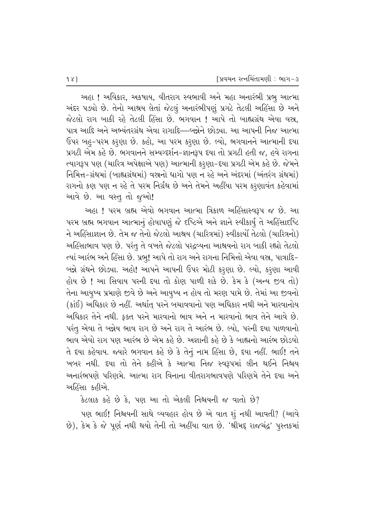આહા ! અવિકાર, અકષાય, વીતરાગ સ્વભાવી અને મહા અનારંભી પ્રભુ આત્મા અંદર પડ્યો છે. તેનો આશ્રય લેતાં જેટલું અનારંભીપણું પ્રગટે તેટલી અહિંસા છે અને જેટલો રાગ બાકી રહે તેટલી હિંસા છે. ભગવાન ! આપે તો બાહ્યગ્રંથ એવા વસ્ર. પાત્ર આદિ અને અભ્યંતરગ્રંથ એવા રાગાદિ—બન્નેને છોઙ્યા. આ આપની નિજ આત્મા ઉપર બહુ-પરમ કરૂણા છે. કહો, આ પરમ કરૂણા છે. લ્યો, ભગવાનને આત્માની દયા પ્રગટી એમ કહે છે. ભગવાનને સમ્યગ્દર્શન-જ્ઞાનરૂપ દયા તો પ્રગટી હતી જ, હવે રાગના ત્યાગરૂપ પણ (ચારિત્ર અપેક્ષાએ પણ) આત્માની કરૃણા−દૃયા પ્રગટી એમ કહે છે. જેમને નિમિત્ત-ગ્રંથમાં (બાહ્યગ્રંથમાં) વસ્રનો ધાગો પણ ન રહે અને અંદરમાં (અંતરંગ ગ્રંથમાં) રાગનો કણ પણ ન રહે તે પરમ નિર્ગ્રંથ છે અને તેમને અહીંયા પરમ કરૂણાવંત કહેવામાં આવે છે. આ વસ્તુ તો જુઓ!

આહા ! પરમ બ્રહ્મ એવો ભગવાન આત્મા ત્રિકાળ અહિંસાસ્વરૂપ જ છે. આ પરમ બ્રહ્મ ભગવાન આત્માનું હોવાપણું જે દષ્ટિએ અને જ્ઞાને સ્વીકાર્યું તે અહિંસાદષ્ટિ ને અહિંસાજ્ઞાન છે. તેમ જ તેનો જેટલો આશ્રય (ચારિત્રમાં) સ્વીકાર્યો તેટલો (ચારિત્રનો) અહિંસાભાવ પણ છે. પરંતુ તે વખતે જેટલો પરદ્રવ્યના આશ્રયનો રાગ બાકી રહ્યો તેટલો ત્યાં આરંભ અને હિંસા છે. પ્રભ્! આપે તો રાગ અને રાગના નિમિત્તો એવા વસ્ર, પાત્રાદિ− બન્ને ગ્રંથને છોડ્યા. અહો! આપને આપની ઉપર મોટી કરૂણા છે. લ્યો, કરૂણા આવી હોય છે ! આ સિવાય પરની દયા તો કોણ પાળી શકે છે. કેમ કે (અન્ય જીવ તો) તેના આયુષ્ય પ્રમાણે જીવે છે અને આયુષ્ય ન હોય તો મરણ પામે છે. તેમાં આ જીવનો (કાંઈ) અધિકાર છે નહીં. અર્થાત્ પરને બચાવવાનો પણ અધિકાર નથી અને મારવાનોય અધિકાર તેને નથી. કક્ત પરને મારવાનો ભાવ અને ન મારવાનો ભાવ તેને આવે છે. પરંતુ એવા તે બન્નેય ભાવ રાગ છે અને રાગ તે આરંભ છે. લ્યો, પરની દયા પાળવાનો ભાવ એવો રાગ પણ આરંભ છે એમ કહે છે. અજ્ઞાની કહે છે કે બાહ્યનો આરંભ છોડવો તે દયા કહેવાય. જ્યારે ભગવાન કહે છે કે તેનું નામ હિંસા છે, દયા નહીં. ભાઈ! તને ખબર નથી. દયા તો તેને કહીએ કે આત્મા નિજ સ્વરૂપમાં લીન થઈને નિશ્ચય અનારંભપણે પરિણમે. આત્મા રાગ વિનાના વીતરાગભાવપણે પરિણમે તેને દયા અને આહિંસા કહીએ.

 $3$ ટલાક કહે છે કે, પણ આ તો એકલી નિશ્વયની જ વાતો છે?

પણ ભાઈ! નિશ્ચયની સાથે વ્યવહાર હોય છે એ વાત શું નથી આવતી? (આવે છે), કેમ કે જે પૂર્ણ નથી થયો તેની તો અહીંયા વાત છે. 'શ્રીમદૃ રાજચંદ્ર' પુસ્તકમાં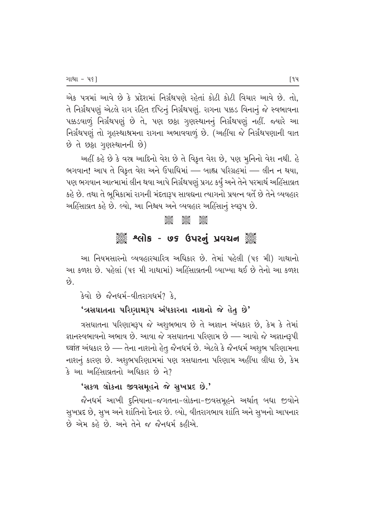એક પત્રમાં આવે છે કે પ્રદેશમાં નિર્ગ્રંથપણે રહેતાં કોટી કોટી વિચાર આવે છે. તો, તે નિર્ગ્રંથપણું એટલે રાગ રહિત દષ્ટિનું નિર્ગ્રંથપણું. રાગના પક્કડ વિનાનું જે સ્વભાવના પક્કડવાળું નિર્ગ્રંથપણું છે તે, પણ છઠ્ઠા ગુણસ્થાનનું નિર્ગ્રંથપણું નહીં. જ્યારે આ નિર્ગ્રંથપણું તો ગૃહસ્થાશ્રમના રાગના અભાવવાળું છે. (અહીંયા જે નિર્ગ્રંથપણાની વાત  $\vartheta$  તે છઠ્ઠા ગુણસ્થાનની છે)

અહીં કહે છે કે વસ્ર આદિનો વેશ છે તે વિકૃત વેશ છે, પણ મુનિનો વેશ નથી. હે ભગવાન! આપ તે વિકૃત વેશ અને ઉપાધિમાં — બાહ્ય પરિગ્રહમાં — લીન ન થયા, પણ ભગવાન આત્મામાં લીન થવા આપે નિર્ગ્રંથપણું પ્રગટ કર્યું અને તેને પરમાર્થ અહિંસાવ્રત કહે છે. તથા તે ભુમિકામાં રાગની મંદતારૂપ સાવદ્યના ત્યાગનો પ્રયત્ન વર્તે છે તેને વ્યવહાર અહિંસાવ્રત કહે છે. લ્યો, આ નિશ્વય અને વ્યવહાર અહિંસાનું સ્વરૂપ છે.

## $\frac{1}{2}$ ેં "લોક - ૭૬ ઉપરનું પ્રવચન ૅું

આ નિયમસારનો વ્યવહારચારિત્ર અધિકાર છે. તેમાં પહેલી (૫૬ મી) ગાથાનો આ કળશ છે. પહેલાં (૫૬ મી ગાથામાં) અહિંસાવ્રતની વ્યાખ્યા થઈ છે તેનો આ કળશ છે.

કેવો છે જૈનધર્મ-વીતરાગધર્મ? કે.

#### $'$ ત્રસઘાતના પરિણામરૂપ અંધકારના નાશનો જે હેતુ છે'

ે ત્રસઘાતના પરિણામરૂપ જે અશુભભાવ છે તે અજ્ઞાન અંધકાર છે, કેમ કે તેમાં જ્ઞાનસ્વભાવનો અભાવ છે. આવા જે ત્રસઘાતના પરિણામ છે — આવો જે અજ્ઞાનરૂપી ध्वांत અંધકાર છે — તેના નાશનો હેતુ જૈનધર્મ છે. એટલે કે જૈનધર્મ અશુભ પરિણામના નાશનું કારણ છે. અશુભપરિણામમાં પણ ત્રસઘાતના પરિણામ અહીંયા લીધા છે, કેમ કે આ અહિંસાવ્રતનો અધિકાર છે ને?

#### 'સકળ લોકના જીવસમુહને જે સુખપ્રદ છે.'

જૈનધર્મ આખી દૃનિયાના–જગતના–લોકના–જીવસમૂહને અર્થાત્ બધા જીવોને સુખપ્રદ છે, સુખ અને શાંતિનો દેનાર છે. લ્યો, વીતરાગભાવ શાંતિ અને સુખનો આપનાર  $\dot{\vartheta}$  એમ કહે છે. અને તેને જ જૈનધર્મ કહીએ.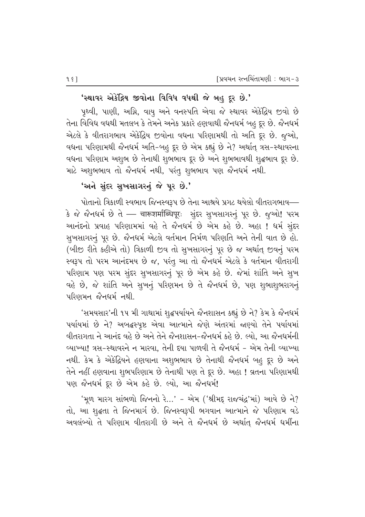#### 'સ્થાવર એકેંદ્રિય જીવોના વિવિધ વધથી જે બહુ દૂર છે.'

પૃથ્વી, પાણી, અગ્નિ, વાયુ અને વનસ્પતિ એવા જે સ્થાવર એકેંદ્રિય જીવો છે તેના વિવિધ વધથી મતલબ કે તેમને અનેક પ્રકારે હણવાથી જૈનધર્મ બહુ દૂર છે. જૈનધર્મ એટલે કે વીતરાગભાવ એકેંદ્રિય જીવોના વધના પરિણામથી તો અતિ દૂર છે. જૂઓ, વધના પરિણામથી જૈનધર્મ અતિ-બહુ દૂર છે એમ કહ્યું છે ને? અર્થાત્ ત્રસ-સ્થાવરના વધના પરિણામ અશુભ છે તેનાથી શુભભાવ દૂર છે અને શુભભાવથી શુદ્ધભાવ દૂર છે. માટે અશુભભાવ તો જૈનધર્મ નથી, પરંતુ શુભભાવ પણ જૈનધર્મ નથી.

#### 'અને સુંદર સુખસાગરનું જે પૂર છે.'

પોતાનો ત્રિકાળી સ્વભાવ જિનસ્વરૂપ છે તેના આશ્રયે પ્રગટ થયેલો વીતરાગભાવ— કે જે જૈનધર્મ છે તે — चारूशर्माब्धिपूरः सुंદર सुખસાગરનું પૂર છે. જુઓ! પરમ આનંદનો પ્રવાહ પરિણામમાં વહે તે જૈનધર્મ છે એમ કહે છે. અહા ! ધર્મ સુંદર સુખસાગરનું પૂર છે. જૈનધર્મ એટલે વર્તમાન નિર્મળ પરિણતિ અને તેની વાત છે હો. (બીજી રીતે કહીએ તો) ત્રિકાળી જીવ તો સુખસાગરનું પૂર છે જ અર્થાત્ જીવનું પરમ સ્વરૂપ તો પરમ આનંદમય છે જ, પરંતુ આ તો જૈનધર્મ એટલે કે વર્તમાન વીતરાગી પરિણામ પણ પરમ સુંદર સુખસાગરનું પૂર છે એમ કહે છે. જેમાં શાંતિ અને સુખ વહે છે, જે શાંતિ અને સુખનું પરિણમન છે તે જૈનધર્મ છે, પણ શુભાશુભરાગનું પરિણમન જૈનધર્મ નથી.

'સમયસાર'ની ૧૫ મી ગાથામાં શુદ્ધપર્યાયને જૈનશાસન કહ્યું છે ને? કેમ કે જૈનધર્મ પર્યાયમાં છે ને? અબદ્ધસ્પૃષ્ટ એવા આત્માને જેણે અંતરમાં જાણ્યો તેને પર્યાયમાં વીતરાગતા ને આનંદ વહે છે અને તેને જૈનશાસન-જૈનધર્મ કહે છે. લ્યો, આ જૈનધર્મની વ્યાખ્યા! ત્રસ-સ્થાવરને ન મારવા. તેની દયા પાળવી તે જૈનધર્મ – એમ તેની વ્યાખ્યા નથી. કેમ કે એકેંદ્રિયને હણવાના અશુભભાવ છે તેનાથી જૈનધર્મ બહ દૂર છે અને તેને નહીં હણવાના શુભપરિણામ છે તેનાથી પણ તે દૂર છે. અહા ! વ્રતના પરિણામથી પણ જૈનધર્મ દૂર છે એમ કહે છે. લ્યો, આ જૈનધર્મ!

'મૂળ મારગ સાંભળો જિનનો રે...' - એમ ('શ્રીમદ્ રાજચંદ્ર'માં) આવે છે ને? તો, આ શુદ્ધતા તે જિનમાર્ગ છે. જિનસ્વરૂપી ભગવાન આત્માને જે પરિણામ વડે અવલંબ્યો તે પરિણામ વીતરાગી છે અને તે જૈનધર્મ છે અર્થાત્ જૈનધર્મ ધર્મીના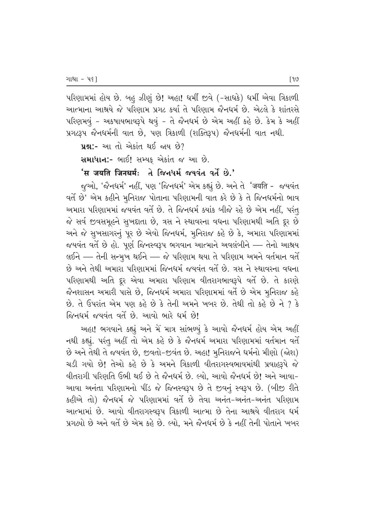પરિણામમાં હોય છે. બહ ઝીણું છે! અહા! ધર્મી જીવે (-સાધકે) ધર્મી એવા ત્રિકાળી આત્માના આશ્રયે જે પરિણામ પ્રગટ કર્યા તે પરિણામ જૈનધર્મ છે. એટલે કે શાંતરસે  $V$ મરિણમવું - અકષાયભાવરૂપે થવું - તે જૈનધર્મ છે એમ અહીં કહે છે. કેમ કે અહીં  $x$ ગટરૂપ જૈનધર્મની વાત છે, પણ ત્રિકાળી (શક્તિરૂપ) જૈનધર્મની વાત નથી.

 $yx$ :- આ તો એકાંત થઈ જાય છે?

સમાધાન:- ભાઈ! સમ્યક એકાંત જ આ છે.

#### $'$ स जयति जिनधर्मः  $d$  જિનધર્મ જયવંત વર્તે છે.'

જુઓ, 'જૈનધર્મ' નહીં, પણ 'જિનધર્મ' એમ કહ્યું છે. અને તે 'जयति - જયવંત વર્તે છે' એમ કહીને મૃનિરાજ પોતાના પરિણામની વાત કરે છે કે તે જિનધર્મનો ભાવ અમારા પરિણામમાં જયવંત વર્તે છે. તે જિનધર્મ ક્યાંક બીજે રહે છે એમ નહીં, પરંત જે સર્વ જીવસમૂહને સુખદાતા છે, ત્રસ ને સ્થાવરના વધના પરિણામથી અતિ દૂર છે અને જે સુખસાગરનું પૂર છે એવો જિનધર્મ, મુનિરાજ કહે છે કે, અમારા પરિણામમાં જયવંત વર્તે છે હો. પૂર્ણ જિનસ્વરૂપ ભગવાન આત્માને અવલંબીને — તેનો આશ્રય લઈને –– તેની સન્મૂખ થઈને –– જે પરિણામ થયા તે પરિણામ અમને વર્તમાન વર્તે છે અને તેથી અમારા પરિણામમાં જિનધર્મ જયવંત વર્તે છે. ત્રસ ને સ્થાવરના વધના પરિણામથી અતિ દૂર એવા અમારા પરિણામ વીતરાગભાવરૂપે વર્તે છે. તે કારણે જૈનશાસન અમારી પાસે છે. જિનધર્મ અમારા પરિણામમાં વર્તે છે એમ મનિરાજ કહે છે. તે ઉપરાંત એમ પણ કહે છે કે તેની અમને ખબર છે. તેથી તો કહે છે ને ? કે જિનધર્મ જયવંત વર્તે છે. આવો ભારે ધર્મ છે!

આહા! ભગવાને કહ્યું અને મેં માત્ર સાંભળ્યું કે આવો જૈનધર્મ હોય એમ અહીં નથી કહ્યું. પરંતુ અહીં તો એમ કહે છે કે જૈનધર્મ અમારા પરિણામમાં વર્તમાન વર્તે છે અને તેથી તે જયવંત છે, જીવતો-જીવંત છે. અહા! મુનિરાજને ધર્મનો મીણો (જોશ) ચડી ગયો છે! તેઓ કહે છે કે અમને ત્રિકાળી વીતરાગસ્વભાવમાંથી પ્રવાહરૂપે જ<mark>ે</mark> 'વીતરાગી પરિણતિ ઉભી થઈ છે તે જૈનધર્મ છે. લ્યો, આવો જૈનધર્મ છે! અને આવા– આવા અનંતા પરિણામનો પીંડ જે જિનસ્વરૂપ છે તે જીવનું સ્વરૂપ છે. (બીજી રીતે કહીએ તો) જૈનધર્મ જે પરિણામમાં વર્તે છે તેવા અનંત-અનંત-અનંત પરિણામ આત્મામાં છે. આવો વીતરાગસ્વરૂપ ત્રિકાળી આત્મા છે તેના આશ્રયે વીતરાગ ધર્મ પ્રગટ્યો છે અને વર્તે છે એમ કહે છે. લ્યો. મને જૈનધર્મ છે કે નહીં તેની પોતાને ખબર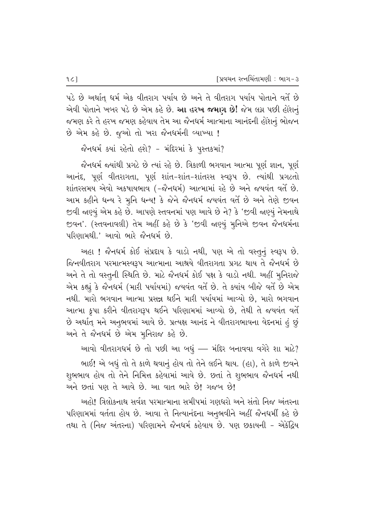પડે છે અર્થાત્ ધર્મ એક વીતરાગ પર્યાય છે અને તે વીતરાગ પર્યાય પોતાને વર્તે છે એવી પોતાને ખબર પડે છે એમ કહે છે. **આ હરખ જમાગ છે!** જેમ લગ્ન પછી હોંશનું જમણ કરે તે હરખ જમણ કહેવાય તેમ આ જૈનધર્મ આત્માના આનંદની હોંશનું ભોજન  $\dot{\vartheta}$  એમ કહે છે. જૂઓ તો ખરા જૈનધર્મની વ્યાખ્યા !

જૈનધર્મ કર્યા રહેતો હશે? - મંદિરમાં કે પુસ્તકમાં?

જેનધર્મ જ્યાંથી પ્રગટે છે ત્યાં રહે છે. ત્રિકાળી ભગવાન આત્મા પૂર્ણ જ્ઞાન, પૂર્ણ આનંદ, પૂર્ણ વીતરાગતા, પૂર્ણ શાંત-શાંત-શાંતરસ સ્વરૂપ છે. ત્યાંથી પ્રગટતો શાંતરસમય એવો અકષાયભાવ (-જૈનધર્મ) આત્મામાં રહે છે અને જયવંત વર્તે છે. આમ કહીને ધન્ય રે મુનિ ધન્ય! કે જેને જૈનધર્મ જયવંત વર્તે છે અને તેણે જીવન જીવી જાણ્યું એમ કહે છે. આપણે સ્તવનમાં પણ આવે છે ને? કે 'જીવી જાણ્યું નેમનાથે જીવન'. (સ્તવનાવલી) તેમ અહીં કહે છે કે 'જીવી જાણ્યું મૂનિએ જીવન જૈનધર્મના  $\mu$ રિણામથી.' આવો ભારે જૈનધર્મ છે.

અહા ! જૈનધર્મ કોઈ સંપ્રદાય કે વાડો નથી, પણ એ તો વસ્તુનું સ્વરૂપ છે. જિનવીતરાગ પરમાત્મસ્વરૂપ આત્માના આશ્રયે વીતરાગતા પ્રગટ થાય તે જૈનધર્મ છે અને તે તો વસ્તુની સ્થિતિ છે. માટે જૈનધર્મ કોઈ પક્ષ કે વાડો નથી. અહીં મુનિરાજે એમ કહ્યું કે જૈનધર્મ (મારી પર્યાયમાં) જયવંત વર્તે છે. તે ક્યાંય બીજે વર્તે છે એમ નથી. મારો ભગવાન આત્મા પ્રસન્ન થઈને મારી પર્યાયમાં આવ્યો છે. મારો ભગવાન આત્મા કૃપા કરીને વીતરાગરૂપ થઈને પરિણામમાં આવ્યો છે, તેથી તે જયવંત વર્તે છે અર્થાત્ મને અનુભવમાં આવે છે. પ્રત્યક્ષ આનંદ ને વીતરાગભાવના વેદનમાં હું છું અને તે જૈનધર્મ છે એમ મુનિરાજ કહે છે.

આવો વીતરાગધર્મ છે તો પછી આ બધું — મંદિર બનાવવા વગેરે શા માટે? ભાઈ! એ બધું તો તે કાળે થવાનું હોય તો તેને લઈને થાય. (હા), તે કાળે જીવને શુભભાવ હોય તો તેને નિમિત્ત કહેવામાં આવે છે. છતાં તે શુભભાવ જૈનધર્મ નથી અને છતાં પણ તે આવે છે. આ વાત ભારે છે! ગજબ છે!

અહો! ત્રિલોકનાથ સર્વજ્ઞ પરમાત્માના સમીપમાં ગણધરો અને સંતો નિજ અંતરના પરિણામમાં વર્તતા હોય છે. આવા તે નિત્યાનંદના અનુભવીને અહીં જૈનધર્મી કહે છે તથા તે (નિજ અંતરના) પરિણામને જૈનધર્મ કહેવાય છે. પણ છકાયની – એકેંદ્રિય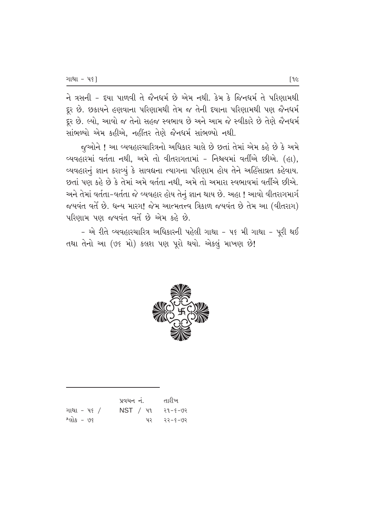ને ત્રસની - દયા પાળવી તે જૈનધર્મ છે એમ નથી. કેમ કે જિનધર્મ તે પરિણામથી દૂર છે. છકાયને હણવાના પરિણામથી તેમ જ તેની દયાના પરિણામથી પણ જૈનધર્મ ..<br>દૂર છે. લ્યો, આવો જ તેનો સહજ સ્વભાવ છે અને આમ જે સ્વીકારે છે તેણે જૈનધર્મ સાંભળ્યો એમ કહીએ, નહીંતર તેણે જૈનધર્મ સાંભળ્યો નથી.

જઆેને ! આ વ્યવહારચારિત્રનો અધિકાર ચાલે છે છતાં તેમાં એમ કહે છે કે અમે વ્યવહારમાં વર્તતા નથી, અમે તો વીતરાગતામાં - નિશ્ચયમાં વર્તીએ છીએ. (હા), વ્યવહારનું જ્ઞાન કરાવ્યું કે સાવદ્યના ત્યાગના પરિણામ હોય તેને અહિંસાવ્રત કહેવાય. છતાં પણ કહે છે કે તેમાં અમે વર્તતા નથી, અમે તો અમારા સ્વભાવમાં વર્તીએ છીએ. અને તેમાં વર્તતા-વર્તતા જે વ્યવહાર હોય તેનું જ્ઞાન થાય છે. અહા ! આવો વીતરાગમાર્ગ જયવંત વર્તે છે. ધન્ય મારગ! જેમ આત્મતત્ત્વ ત્રિકાળ જયવંત છે તેમ આ (વીતરાગ) પરિણામ પણ જયવંત વર્તે છે એમ કહે છે.

 $-$  એ રીતે વ્યવહારચારિત્ર અધિકારની પહેલી ગાથા - ૫૬ મી ગાથા - પૂરી થઈ તથા તેનો આ (૭૬ મો) કલશ પણ પૂરો થયો. એકલું માખણ છે!



|             | પ્રવચન નં. | તારીખ   |
|-------------|------------|---------|
| ગાથા - પ૬ / | NST / 41   | २१-४-७२ |
| શ્લોક - ७૬  | ิน⊋        | २२-४-७२ |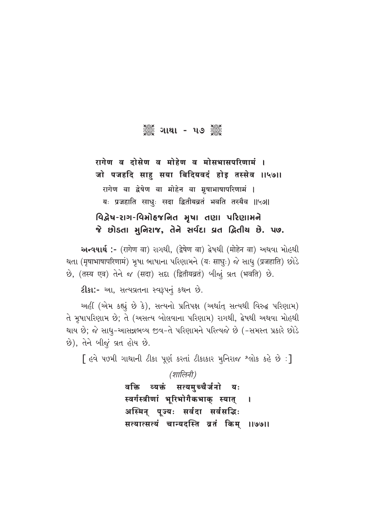ેૢૺ૾ૄૺ ગાથા - ૫૭ ૅુૢૺ

## रागेण व दोसेण व मोहेण व मोसभासपरिणामं । जो पजहदि साहु सया बिदियवदं होइ तस्सेव ।।५७।। रागेण वा द्वेषेण वा मोहेन वा मृषाभाषापरिणामं । यः प्रजहाति साधुः सदा द्वितीयव्रतं भवति तस्यैव ॥५७॥

### વિદ્વેષ-રાગ-વિમોહજનિત મૃષા તણા પરિણામને જે છોડતા મુનિરાજ, તેને સર્વદા વ્રત દ્વિતીય છે. ૫૭.

અन्वयार्थ :- (रागेण वा) रागथी, (द्वेषेण वा) द्वेषथी (मोहेन वा) અथवा भोહथी थता (मृषाभाषापरिणामं) भूषा ભाषाना परिણाभने (यः साधुः) જે साधु (प्रजहाति) છोડे છે, (तस्य एव) तेने જ (सदा) सद्दा (द्वितीयव्रतं) जीन्धूं व्रत (भवति) છे.

ટીકા:- આ, સત્યવ્રતના સ્વરૂપનું કથન છે.

અહીં (એમ કહ્યું છે કે), સત્યનો પ્રતિપક્ષ (અર્થાત્ સત્યથી વિરુદ્ધ પરિણામ) તે મૃષાપરિણામ છે; તે (અસત્ય બોલવાના પરિણામ) રાગથી, દ્વેષથી અથવા મોહથી થાય છે; જે સાધુ-આસન્નભવ્ય જીવ-તે પરિણામને પરિત્યજે છે (-સમસ્ત પ્રકારે છોડે છે), તેને બીજું વ્રત હોય છે.

[ હવે પછમી ગાથાની ટીકા પૂર્ણ કરતાં ટીકાકાર મુનિરાજ શ્લોક કહે છે:]

(शालिनी) व्यक्तं सत्यमच्चैर्जनो वक्ति यः स्वर्गस्त्रीणां भूरिभोगैकभाक् स्यात्  $\mathbf{I}$ अस्मिन् पूज्यः सर्वदा सर्वसद्धिः सत्यात्सत्यं चान्यदस्ति व्रतं किम् ॥७७॥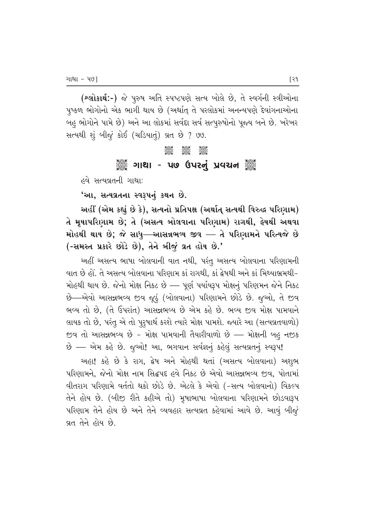(શ્લોકાર્થ:-) જે પુરુષ અતિ સ્પષ્ટપણે સત્ય બોલે છે, તે સ્વર્ગની સ્ત્રીઓના પૃષ્કળ ભોગોનો એક ભાગી થાય છે (અર્થાત્ તે પરલોકમાં અનન્યપણે દેવાંગનાઓના બહુ ભોગોને પામે છે) અને આ લોકમાં સર્વદા સર્વ સત્પુરુષોનો પૂજ્ય બને છે. ખરેખર સત્યથી શું બીજું કોઈ (ચડિયાતું) વ્રત છે ? ૭૭.

#### **COC COC COC**<br>Coco Coco Coco

#### ુઁૢઁ ગાથા - પ૭ ઉપરનું પ્રવચન ૅું

હવે સત્યવ્રતની ગાથા:

'આ, સત્યવ્રતના સ્વરૂપનું કથન છે.

આહીં (એમ કહ્યું છે કે), સત્યનો પ્રતિપક્ષ (અર્થાત્ સત્યથી વિરુદ્ધ પરિણામ) તે મૃષાપરિણામ છે; તે (અસત્ય બોલવાના પરિણામ) રાગથી, **ફેષથી અથવા** મોહથી થાય છે; જે સાધુ—આસન્નભ્ય જીવ — તે પરિણામને પરિત્યજે છે (-સમસ્ત પ્રકારે છોડે છે), તેને બીજું વ્રત હોય છે.'

અહીં અસત્ય ભાષા બોલવાની વાત નથી, પરંતુ અસત્ય બોલવાના પરિણામની 'વાત છે હોં. તે અસત્ય બોલવાના પરિણામ કાં રાગથી. કાં ક્રેષથી અને કાં મિથ્યાભ્રમથી-મોહથી થાય છે. જેનો મોક્ષ નિકટ છે — પૂર્ણ પર્યાયરૂપ મોક્ષનું પરિણમન જેને નિકટ  $\dot{\vartheta}$ —એવો આસન્નભવ્ય જીવ જૂઠું (બોલવાના) પરિણામને છોડે છે. જૂઓ, તે જીવ ભવ્ય તો છે, (તે ઉપરાંત) આસન્નભવ્ય છે એમ કહે છે. ભવ્ય જીવ મોક્ષ પામવાને લાયક તો છે, પરંતુ એ તો પુરૂષાર્થ કરશે ત્યારે મોક્ષ પામશે. જ્યારે આ (સત્યવ્રતવાળો) જીવ તો આસન્નભવ્ય છે - મોક્ષ પામવાની તૈયારીવાળો છે — મોક્ષની બહુ નજીક છે – એમ કહે છે. જુઓ! આ, ભગવાન સર્વજ્ઞનું કહેલું સત્યવ્રતનું સ્વરૂપ!

અહા! કહે છે કે રાગ, દ્વેષ અને મોહથી થતાં (અસત્ય બોલવાના) અશુભ પરિણામને. જેનો મોક્ષ નામ સિદ્ધપદ હવે નિકટ છે એવો આસન્નભવ્ય જવ. પોતામાં વીતરાગ પરિણામે વર્તતો થકો છોડે છે. એટલે કે એવો (-સત્ય બોલવાનો) વિકલ્પ તેને હોય છે. (બીજી રીતે કહીએ તો) મૂષાભાષા બોલવાના પરિણામને છોડવારૂપ પરિણામ તેને હોય છે અને તેને વ્યવહાર સત્યવ્રત કહેવામાં આવે છે. આવું બીજું વ્રત તેને હોય છે.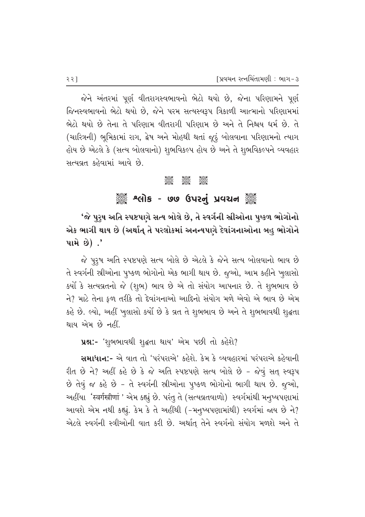જેને અંતરમાં પૂર્ણ વીતરાગસ્વભાવનો ભેટો થયો છે, જેના પરિણામને પૂર્ણ જિનસ્વભાવનો ભેટો થયો છે. જેને પરમ સત્યસ્વરૂપ ત્રિકાળી આત્માનો પરિણામમાં ભેટો થયો છે તેના તે પરિણામ વીતરાગી પરિણામ છે અને તે નિશ્ચય ધર્મ છે. તે (ચારિત્રની) ભુમિકામાં રાગ, દ્વેષ અને મોહથી થતાં જૂઠું બોલવાના પરિણામનો ત્યાગ હોય છે એટલે કે (સત્ય બોલવાનો) શુભવિકલ્પ હોય છે અને તે શુભવિકલ્પને વ્યવહાર સત્યવ્રત કહેવામાં આવે છે.

#### $\frac{1}{2}$   $\frac{1}{2}$   $\frac{1}{2}$   $\frac{1}{2}$   $\frac{1}{2}$   $\frac{1}{2}$   $\frac{1}{2}$   $\frac{1}{2}$   $\frac{1}{2}$   $\frac{1}{2}$   $\frac{1}{2}$   $\frac{1}{2}$   $\frac{1}{2}$   $\frac{1}{2}$   $\frac{1}{2}$   $\frac{1}{2}$   $\frac{1}{2}$   $\frac{1}{2}$   $\frac{1}{2}$   $\frac{1}{2}$   $\frac{1}{2}$   $\frac{1}{2}$

### ેંૢૺ૾ શ્લોક - ૭૭ ઉપરનું પ્રવચન ૅું

'જે પુરૃષ અતિ સ્પષ્ટપણે સત્ય બોલે છે, તે સ્વર્ગની સ્રીઓના પુષ્કળ ભોગોનો એક ભાગી થાય છે (અર્થાત્ તે પરલોકમાં અનન્યપણે દેવાંગનાઓના બહુ ભોગોને પામે છે $)$  .'

જે પુરૂષ અતિ સ્પષ્ટપણે સત્ય બોલે છે એટલે કે જેને સત્ય બોલવાનો ભાવ છે તે સ્વર્ગની સ્રીઓના પુષ્કળ ભોગોનો એક ભાગી થાય છે. જૂઓ, આમ કહીને ખુલાસો  $\,$ કર્યો કે સત્યવ્રતનો જે (શુભ) ભાવ છે એ તો સંયોગ આપનાર છે. તે શુભભાવ છે ને? માટે તેના ફળ તરીકે તો દેવાંગનાઓ આદિનો સંયોગ મળે એવો એ ભાવ છે એમ કહે છે. લ્યો, અહીં ખુલાસો કર્યો છે કે વ્રત તે શુભભાવ છે અને તે શુભભાવથી શુદ્ધતા થાય એમ છે નહીં.

**4%:-** 'શુભભાવથી શૃદ્ધતા થાય' એમ પછી તો કહેશે?

સમાધાન:- એ વાત તો 'પરંપરાએ' કહેશે. કેમ કે વ્યવહારમાં પરંપરાએ કહેવાની  $f$ રીત છે ને? અહીં કહે છે કે જે અતિ સ્પષ્ટપણે સત્ય બોલે છે - જેવું સત્ સ્વરૂપ છે તેવું જ કહે છે - તે સ્વર્ગની સ્રીઓના પૂષ્કળ ભોગોનો ભાગી થાય છે. જૂઓ, અહીંયા 'स्वर्गस्त्रीणां ' એમ કહ્યું છે. પરંતુ તે (સત્યવ્રતવાળો) સ્વર્ગમાંથી મનુષ્યપણામાં આવશે એમ નથી કહ્યું. કેમ કે તે અહીંથી (-મનુષ્યપણામાંથી) સ્વર્ગમાં જાય છે ને? એટલે સ્વર્ગની સ્ત્રીઓની વાત કરી છે. અર્થાત તેને સ્વર્ગનો સંયોગ મળશે અને તે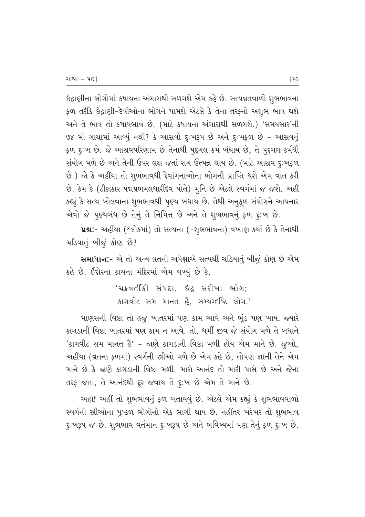ઇંદ્રાણીના ભોગોમાં કષાયના અંગારાથી સળગશે એમ કહે છે. સત્યવ્રતવાળો શુભભાવના ફળ તરીકે છેદ્રાણી-દેવીઓના ભોગને પામશે એટલે કે તેના તરફનો અશુભ ભાવ થશે અને તે ભાવ તો કષાયભાવ છે. (માટે કષાયના અંગારાથી સળગશે.) 'સમયસાર'ની ७४ મી ગાથામાં આવ્યું નથી? કે આસવો દૃ:ખરૂપ છે અને દૃ:ખફળ છે - આસવનું ફળ દુઃખ છે. જે આસવપરિણામ છે તેનાથી પુદ્દગલ કર્મ બંધાય છે, તે પુદ્દગલ કર્મથી સંયોગ મળે છે અને તેની ઉપર લક્ષ જતાં રાગ ઉત્પન્ન થાય છે. (માટે આસ્રવ દૃ:ખફળ છે.) જો કે અહીંયા તો શુભભાવથી દેવાંગનાઓના ભોગની પ્રાપ્તિ થશે એમ વાત કરી છે. કેમ કે (ટીકાકાર પદ્મપ્રભમલધારીદેવ પોતે) મૂનિ છે એટલે સ્વર્ગમાં જ જશે. અહીં કહ્યું કે સત્ય બોલવાના શુભભાવથી પુણ્ય બંધાય છે. તેથી અનુકૂળ સંયોગને આપનાર

એવો જે પુણ્યબંધ છે તેનું તે નિમિત્ત છે અને તે શુભભાવનું ફળ દુઃખ છે. ur:- અહીંયા (શ્લોકમાં) તો સત્યના (-શુભભાવના) વખાણ કર્યા છે કે તેનાથી ચડિયાતું બીજું કોણ છે?

સમાધાન:- એ તો અન્ય વ્રતની અપેક્ષાએ સત્યથી ચડિયાતું બીજું કોણ છે એમ કહે છે. ઈંદોરના કાચના મંદિરમાં એમ લખ્યું છે કે,

> 'ચક્રવર્તીકી સંપદા, ઇંદ્ર સરીખા ભોગ; કાગવીટ સમ માનત હૈ. સમ્યગ્દૃષ્ટિ લોગ.'

માણસની વિષ્ટા તો હજુ ખાતરમાં પણ કામ આવે અને ભૂંડ પણ ખાય. જ્યારે કાગડાની વિષ્ટા ખાતરમાં પણ કામ ન આવે. તો. ધર્મી જીવ જે સંયોગ મળે તે બધાને 'કાગવીટ સમ માનત હૈ' - જાણે કાગડાની વિષ્ટા મળી હોય એમ માને છે. જુઓ, અહીંયા (વ્રતના કળમાં) સ્વર્ગની સ્રીઓ મળે છે એમ કહે છે, તોપણ જ્ઞાની તેને એમ માને છે કે જાણે કાગડાની વિષ્ટા મળી. મારો આનંદ તો મારી પાસે છે અને જેના तरફ જતાં, તે આનંદથી દૂર જવાય તે દુ:ખ છે એમ તે માને છે.

અહા! અહીં તો શુભભાવનું ફળ બતાવવું છે. એટલે એમ કહ્યું કે શુભભાવવાળો સ્વર્ગની સ્રીઓના પુષ્કળ ભોગોનો એક ભાગી થાય છે. નહીંતર ખરેખર તો શુભભાવ દૃ:ખરૂપ જ છે. શુભભાવ વર્તમાન દૃ:ખરૂપ છે અને ભવિષ્યમાં પણ તેનું ફળ દૃ:ખ છે.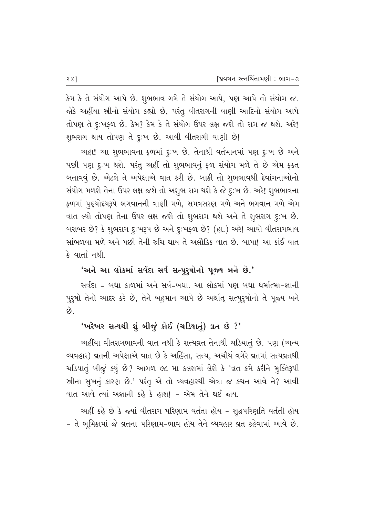કેમ કે તે સંયોગ આપે છે. શુભભાવ ગમે તે સંયોગ આપે, પણ આપે તો સંયોગ જ. જોકે અહીંયા સ્રીનો સંયોગ કહ્યો છે, પરંતુ વીતરાગની વાણી આદિનો સંયોગ આપે તોપણ તે દૃ:ખફળ છે. કેમ? કેમ કે તે સંયોગ ઉપર લક્ષ જશે તો રાગ જ થશે. અરે! શુભરાગ થાય તોપણ તે દૃ:ખ છે. આવી વીતરાગી વાણી છે!

અહા! આ શુભભાવના ફળમાં દુ:ખ છે. તેનાથી વર્તમાનમાં પણ દુ:ખ છે અને પછી પણ દુઃખ થશે. પરંતુ અહીં તો શુભભાવનું ફળ સંયોગ મળે તે છે એમ ફક્ત બતાવવું છે. એટલે તે અપેક્ષાએ વાત કરી છે. બાકી તો શુભભાવથી દેવાંગનાઓનો સંયોગ મળશે તેના ઉપર લક્ષ જશે તો અશુભ રાગ થશે કે જે દૃઃખ છે. અરે! શુભભાવના ફળમાં પુણ્યોદયરૂપે ભગવાનની વાણી મળે, સમવસરણ મળે અને ભગવાન મળે એમ વાત લ્યો તોપણ તેના ઉપર લક્ષ જશે તો શુભરાગ થશે અને તે શુભરાગ દુઃખ છે. બરાબર છે? કે શુભરાગ દુઃખરૂપ છે અને દુઃખફળ છે? (હા.) અરે! આવો વીતરાગભાવ સાંભળવા મળે અને પછી તેની રુચિ થાય તે અલૌકિક વાત છે. બાપા! આ કાંઈ વાત કે વાર્તા નથી.

#### 'અને આ લોકમાં સર્વદા સર્વ સત્પુરૃષોનો પૂજ્ય બને છે.'

સર્વદા = બધા કાળમાં અને સર્વ=બધા. આ લોકમાં પણ બધા ધર્માત્મા-જ્ઞાની પુરૂષો તેનો આદર કરે છે, તેને બહુમાન આપે છે અર્થાતુ સત્પુરૂષોનો તે પુજ્ય બને છે.

#### 'ખરેખર સત્યથી શું બીજું કોઈ (ચડિયાતું) વ્રત છે ?'

અહીંયા વીતરાગભાવની વાત નથી કે સત્યવ્રત તેનાથી ચડિયાતું છે. પણ (અન્ય વ્યવહાર) વ્રતની અપેક્ષાએ વાત છે કે અહિંસા, સત્ય, અચૌર્ય વગેરે વ્રતમાં સત્યવ્રતથી ચડિયાતું બીજું કયું છે? આગળ ૭૮ મા કલશમાં લેશે કે 'વ્રત ક્રમે કરીને મુક્તિરૂપી સ્રીના સુખનું કારણ છે.' પરંતુ એ તો વ્યવહારથી એવા જ કથન આવે ને? આવી વાત આવે ત્યાં અજ્ઞાની કહે કે હાશ! - એમ તેને થઈ જાય.

અહીં કહે છે કે જ્યાં વીતરાગ પરિણામ વર્તતા હોય - શુદ્ધપરિણતિ વર્તતી હોય - તે ભૂમિકામાં જે વ્રતના પરિણામ-ભાવ હોય તેને વ્યવહાર વ્રત કહેવામાં આવે છે.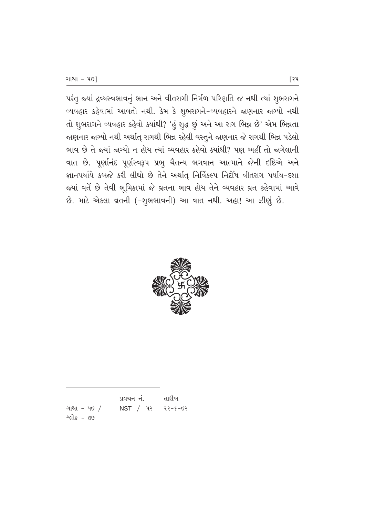પરંતુ જ્યાં દ્રવ્યસ્વભાવનું ભાન અને વીતરાગી નિર્મળ પરિણતિ જ નથી ત્યાં શુભરાગને વ્યવહાર કહેવામાં આવતો નથી. કેમ કે શુભરાગને-વ્યવહારને જાણનાર જાગ્યો નથી તો શુભરાગને વ્યવહાર કહેવો ક્યાંથી? 'હું શુદ્ધ છું અને આ રાગ ભિન્ન છે' એમ ભિન્નતા જાણનાર જાગ્યો નથી અર્થાત્ રાગથી ભિન્ન રહેલી વસ્તુને જાણનાર જે રાગથી ભિન્ન પડેલો ભાવ છે તે જ્યાં જાગ્યો ન હોય ત્યાં વ્યવહાર કહેવો ક્યાંથી? પણ અહીં તો જાગેલાની વાત છે. પૂર્ણાનંદ પૂર્ણસ્વરૂપ પ્રભુ ચૈતન્ય ભગવાન આત્માને જેની દષ્ટિએ અને જ્ઞાનપર્યાયે કબજે કરી લીધો છે તેને અર્થાત્ નિર્વિકલ્પ નિર્દોષ વીતરાગ પર્યાય-દશા જયાં વર્તે છે તેવી ભૂમિકામાં જે વ્રતના ભાવ હોય તેને વ્યવહાર વ્રત કહેવામાં આવે  $\dot{\vartheta}$ . માટે એકલા વ્રતની (-શુભભાવની) આ વાત નથી. અહા! આ ઝીણું છે.



|                     | પ્રવચન નં.         | તારીખ |
|---------------------|--------------------|-------|
| ગાથા – પ $\sqrt{ }$ | $NST / 42 22-5-92$ |       |
| <u> શ્લોક - ७७</u>  |                    |       |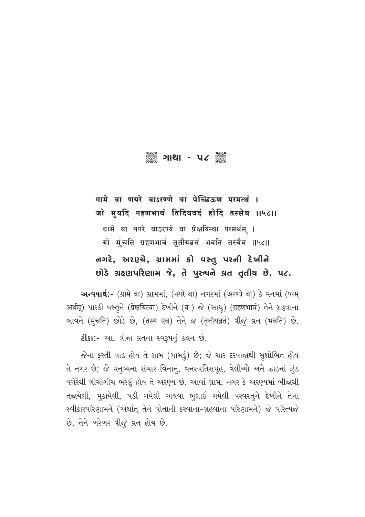## ▒ ગાથા - ૫૮ ▒

गामे वा णयरे वाऽरण्णे वा पेच्छिऊण परमर्त्थं । जो मुयदि गहणभावं तिदियवदं होदि तस्सेव ॥५८॥ ग्रामे वा नगरे वाऽरण्ये वा प्रेक्षयित्वा परमर्थम् । यो मुंचति ग्रहणभावं तृतीयब्रतं भवति तस्यैव ॥५८॥ નગરે, અરણ્યે, ગ્રામમાં કો વસ્તુ પરની દેખીને છોડે ગ્રહણપરિણામ જે, તે પુરુષને વ્રત તૃતીય છે. ૫૮.

અન્વયાર્થ:- (ग्रामे वा) ગ્રામમાં, (नगरे वा) નગરમાં (अरण्ये वा) કે વનમાં (परम् अर्थम्) पारडी वस्तूने (प्रेक्षयित्वा) देणीने (यः) જे (साधु) (ग्रहणभावं) तेने ग्रहवाना ભાવને (मुंचति) છોડે છે, (तस्य एव) तेने જ (तृतीयव्रतं) त्रीજूं व्रत (भवति) છे.

ટીકા:- આ, ત્રીજા વ્રતના સ્વરૂપનું કથન છે.

જેના ફરતી વાડ હોય તે ગ્રામ (ગામડું) છે; જે ચાર દરવાજાથી સુશોભિત હોય તે નગર છે; જે મનુષ્યના સંચાર વિનાનું, વનસ્પતિસમૂહ, વેલીઓ અને ઝાડનાં ઝુંડ વગેરેથી ગીચોગીચ ભરેલું હોય તે અરણ્ય છે. આવાં ગ્રામ, નગર કે અરણ્યમાં બીજાથી તજાયેલી, મુકાયેલી, પડી ગયેલી અથવા ભુલાઈ ગયેલી પરવસ્તુને દેખીને તેના સ્વીકારપરિણામને (અર્થાત તેને પોતાની કરવાના-ગ્રહવાના પરિણામને) જે પરિત્યજે છે, તેને ખરેખર ત્રીજું વ્રત હોય છે.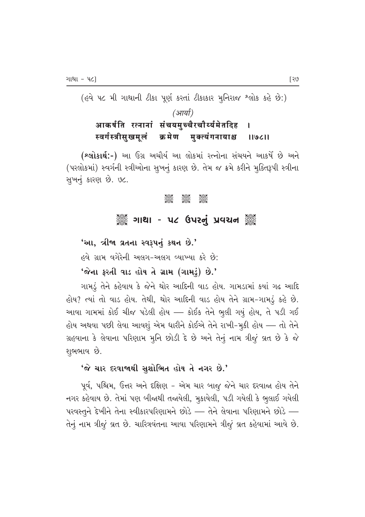$($ હવે ૫૮ મી ગાથાની ટીકા પૂર્ણ કરતાં ટીકાકાર મુનિરાજ ^લોક કહે છે:)

#### *(आर्या)* आकर्षति रत्नानां संचयमुच्चैरचौर्य्यमेतदिह<br>स्वर्गस्त्रीसुखमूलं क्रमेण मुक्त्यंगनायाश्च स्वर्गस्त्रीसुखमूलं क्रमेण मुक्त्यंगनायाश्च ।।७८।।

(શ્લોકાર્થ:-) આ ઉગ્ર અચૌર્ય આ લોકમાં રત્નોના સંચયને આકર્ષે છે અને (પરલોકમાં) સ્વર્ગની સ્ત્રીઓના સુખનું કારણ છે. તેમ જ ક્રમે કરીને મુક્તિરૂપી સ્ત્રીના સૂખનું કારણ છે. ૭૮.

#### C C C

#### ુઁૺૺૺ૾ૢૺ ગાથા - ૫૮ ઉપરનું પ્રવચન ૅુ૾ૺ

 $'$ આ, ત્રીજા વ્રતના સ્વરૂપનું કથન છે.' ,હવે ગ્રામ વગેરેની અલગ–અલગ વ્યાખ્યા કરે છે:  $'$ જેના ફરતી વાડ હોય તે ગ્રામ (ગામડું) છે.'

ગામડું તેને કહેવાય કે જેને થોર આદિની વાડ હોય. ગામડામાં કયાં ગઢ આદિ હોય? ત્યાં તો વાડ હોય. તેથી, થોર આદિની વાડ હોય તેને ગ્રામ-ગામડું કહે છે. આવા ગામમાં કોઈ ચીજ પડેલી હોય — કોઈક તેને ભુલી ગયું હોય, તે પડી ગઈ હોય અથવા પછી લેવા આવશું એમ ધારીને કોઈએ તેને રાખી−મૂકી હોય — તો તેને ગ્રહવાના કે લેવાના પરિણામ મૂનિ છોડી દે છે અને તેનું નામ ત્રીજું વ્રત છે કે જે શુભભાવ છે.

#### $'$ જે ચાર દરવાજાથી સુશોભિત હોય તે નગર છે.'

પૂર્વ, પશ્ચિમ, ઉત્તર અને દક્ષિણ – એમ ચાર બાજૂ જેને ચાર દરવાજા હોય તેને નગર કહેવાય છે. તેમાં પણ બીજાથી તજાયેલી, મુકાયેલી, પડી ગયેલી કે ભુલાઈ ગયેલી  $-1$ પરવસ્તુને દેખીને તેના સ્વીકારપરિણામને છોડે — તેને લેવાના પરિણામને છોડે – તેનું નામ ત્રીજું વ્રત છે. ચારિત્રવંતના આવા પરિણામને ત્રીજું વ્રત કહેવામાં આવે છે.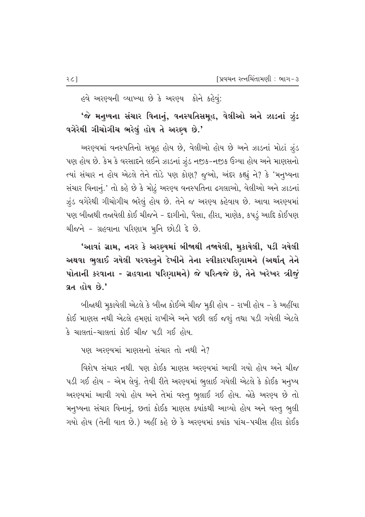હવે અરણ્યની વ્યાખ્યા છે કે અરણ્ય કોને કહેવું:

#### 'જે મનુષ્યના સંચાર વિનાનું, વનસ્પતિસમૂહ, વેલીઓ અને ઝાડનાં ઝુંડ વગેરેથી ગીચોગીચ ભરેલું હોય તે અરણ્ય છે.'

અરણ્યમાં વનસ્પતિનો સમૂહ હોય છે, વેલીઓ હોય છે અને ઝાડનાં મોટાં ઝુંડ પણ હોય છે. કેમ કે વરસાદને લઈને ઝાડનાં ઝૂંડ નજીક−નજીક ઉગ્યા હોય અને માણસનો ત્યાં સંચાર ન હોય એટલે તેને તોડે પણ કોણ? જુઓ, અંદર કહ્યું ને? કે 'મનુષ્યના સંચાર વિનાનું.' તો કહે છે કે મોટું અરણ્ય વનસ્પતિના ઢગલાઓ, વેલીઓ અને ઝાડનાં ઝુંડ વગેરેથી ગીચોગીચ ભરેલું હોય છે. તેને જ અરણ્ય કહેવાય છે. આવા અરણ્યમાં પણ બીજાથી તજાયેલી કોઈ ચીજને - દાગીનો, પૈસા, હીરા, માણેક, કપડું આદિ કોઈપણ ચીજને - ગ્રહવાના પરિણામ મુનિ છોડી દે છે.

'આવાં ગ્રામ, નગર કે અરણ્યમાં બીજાથી તજાયેલી, મુકાયેલી, પડી ગયેલી અથવા ભુલાઈ ગયેલી પરવસ્તુને દેખીને તેના સ્વીકારપરિણામને (અર્થાત્ તેને પોતાની કરવાના - ગ્રહવાના પરિણામને) જે પરિત્યજે છે, તેને ખરેખર ત્રીજું વ્રત હોય છે.**'** 

બીજાથી મૂકાયેલી એટલે કે બીજા કોઈએ ચીજ મૂકી હોય - રાખી હોય - કે અહીંયા કોઈ માણસ નથી એટલે હમણાં રાખીએ અને પછી લઈ જશું તથા પડી ગયેલી એટલે કે ચાલતાં-ચાલતાં કોઈ ચીજ પડી ગઈ હોય.

પણ અરણ્યમાં માણસનો સંચાર તો નથી ને?

વિશેષ સંચાર નથી. પણ કોઈક માણસ અરણ્યમાં આવી ગયો હોય અને ચીજ પડી ગઈ હોય - એમ લેવું. તેવી રીતે અરણ્યમાં ભુલાઈ ગયેલી એટલે કે કોઈક મનુષ્ય અરણ્યમાં આવી ગયો હોય અને તેમાં વસ્તુ ભૂલાઈ ગઈ હોય. જોકે અરણ્ય છે તો મનૃષ્યના સંચાર વિનાનું, છતાં કોઈક માણસ ક્યાંકથી આવ્યો હોય અને વસ્તુ ભૂલી ગયો હોય (તેની વાત છે.) અહીં કહે છે કે અરણ્યમાં ક્યાંક પાંચ-પચીસ હીરા કોઈક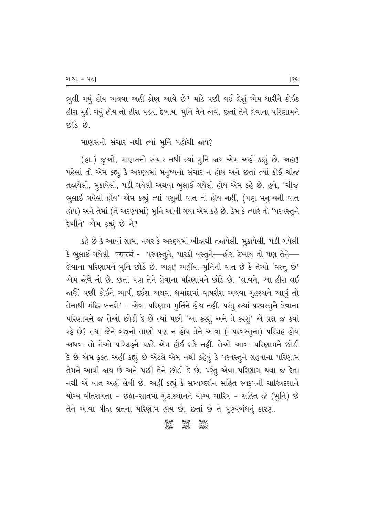ભુલી ગયું હોય અથવા અહીં કોણ આવે છે? માટે પછી લઈ લેશું એમ ધારીને કોઈક હીરા મુકી ગયું હોય તો હીરા પડ્યા દેખાય. મુનિ તેને જોવે, છતાં તેને લેવાના પરિણામને  $\mathcal{E}$  દિવિર

#### માણસનો સંચાર નથી ત્યાં મૂનિ પહોંચી જાય?

(હા.) જુઓ, માણસનો સંચાર નથી ત્યાં મુનિ જાય એમ અહીં કહ્યું છે. અહા! પહેલાં તો એમ કહ્યું કે અરણ્યમાં મનુષ્યનો સંચાર ન હોય અને છતાં ત્યાં કોઈ ચીજ તજાયેલી, મુકાયેલી, પડી ગયેલી અથવા ભુલાઈ ગયેલી હોય એમ કહે છે. હવે, 'ચીજ ભુલાઈ ગયેલી હોય' એમ કહ્યું ત્યાં પશુની વાત તો હોય નહીં, (પણ મનુષ્યની વાત હોય) અને તેમાં (તે અરણ્યમાં) મૂનિ આવી ગયા એમ કહે છે. કેમ કે ત્યારે તો 'પરવસ્તુને દેખીને' એમ કહ્યું છે ને?

કહે છે કે આવાં ગ્રામ, નગર કે અરણ્યમાં બીજાથી તજાયેલી, મૂકાયેલી, પડી ગયેલી કે ભુલાઈ ગયેલી परमत्थं - પરવસ્તુને, પારકી વસ્તુને—હીરા દેખાય તો પણ તેને— લેવાના પરિણામને મૂનિ છોડે છે. અહા! અહીંયા મુનિની વાત છે કે તેઓ 'વસ્તુ છે' એમ જોવે તો છે, છતાં પણ તેને લેવાના પરિણામને છોડે છે. 'લાવને, આ હીરા લઈ જાઉં. પછી કોઈને આપી દઈશ અથવા ધર્માદામાં વાપરીશ અથવા ગૃહસ્થને આપું તો તેનાથી મંદિર બનશે' – એવા પરિણામ મુનિને હોય નહીં. પરંતુ જ્યાં પરવસ્તુને લેવાના પરિણામને જ તેઓ છોડી દે છે ત્યાં પછી 'આ કરશું અને તે કરશું' એ પ્રશ્ન જ ક્યાં રહે છે? તથા જેને વસ્ત્રનો તાણો પણ ન હોય તેને આવા (-પરવસ્તુના) પરિગ્રહ હોય અથવા તો તેઓ પરિગ્રહને પકડે એમ હોઈ શકે નહીં. તેઓ આવા પરિણામને છોડી  $\hat{\epsilon}$  છે એમ ફક્ત અહીં કહ્યું છે એટલે એમ નથી કહેવું કે પરવસ્તુને ગ્રહવાના પરિણામ તેમને આવી જાય છે અને પછી તેને છોડી દે છે. પરંતુ એવા પરિણામ થવા જ દેતા નથી એ વાત અહીં લેવી છે. અહીં કહ્યું કે સમ્યગ્દર્શન સહિત સ્વરૂપની ચારિત્રદશાને મોગ્ય વીતરાગતા - છઠ્ઠા-સાતમા ગુણસ્થાનને યોગ્ય ચારિત્ર - સહિત જે (મુનિ) છે તેને આવા ત્રીજા વ્રતના પરિણામ હોય છે, છતાં છે તે પુણ્યબંધનું કારણ.

**COC COC COC**<br>Coco Coco Coco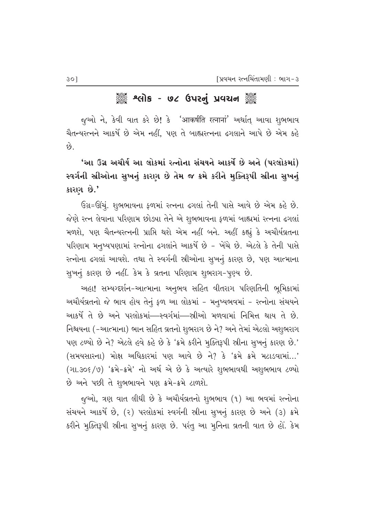# ેં શ્લિમિક - ૭૮ ઉપરનું પ્રવચન ૅં

જૂઓ ને, કેવી વાત કરે છે! કે 'आकर्षति रत्नानां' અર્થાત્ આવા શુભભાવ ચૈતન્યરત્નને આકર્ષે છે એમ નહીં, પણ તે બાહ્યરત્નના ઢગલાને આપે છે એમ કહે  $\hat{\epsilon}$ 

<u>'આ ઉગ્ર અચૌર્ય આ લોકમાં રત્નોના સંચયને આકર્ષે છે અને (પરલોકમાં)</u> સ્વર્ગની સ્રીઓના સુખનું કારણ છે તેમ જ ક્રમે કરીને મુક્તિરૂપી સ્રીના સુખનું કારણ છે.'

ઉગ્ર=ઊંચું. શુભભાવના કળમાં રત્નના ઢગલાં તેની પાસે આવે છે એમ કહે છે. જેણે રત્ન લેવાના પરિણામ છોડ્યા તેને એ શુભભાવના કળમાં બાહ્યમાં રત્નના ઢગલાં મળશે, પણ ચૈતન્યરત્નની પ્રાપ્તિ થશે એમ નહીં બને. અહીં કહ્યું કે અચૌર્યવ્રતના પરિણામ મનુષ્યપણામાં રત્નોના ઢગલાંને આકર્ષે છે - ખેંચે છે. એટલે કે તેની પાસે રત્નોના ઢગલાં આવશે. તથા તે સ્વર્ગની સ્રીઓના સુખનું કારણ છે, પણ આત્માના સુખનું કારણ છે નહીં. કેમ કે વ્રતના પરિણામ શુભરાગ-પુણ્ય છે.

અહા! સમ્યગ્દર્શન-આત્માના અનુભવ સહિત વીતરાગ પરિણતિની ભૂમિકામાં અચૌર્યવ્રતનો જે ભાવ હોય તેનું ફળ આ લોકમાં - મનુષ્યભવમાં - રત્નોના સંચયને <u>આકર્ષે તે છે અને પરલોકમાં—સ્વર્ગમાં—સ્ત્રીઓ મળવામાં નિમિત્ત થાય તે છે.</u> નિશ્ચયના (-આત્માના) ભાન સહિત વ્રતનો શુભરાગ છે ને? અને તેમાં એટલો અશુભરાગ  $n$ ણ ટળ્યો છે ને? એટલે હવે કહે છે કે 'ક્રમે કરીને મૂક્તિરૂપી સ્ત્રીના સૂખનું કારણ છે.'  $($ સમયસારના $)$  મોક્ષ અધિકારમાં પણ આવે છે ને $?$  કે 'ક્રમે ક્રમે મટાડવામાં...' (ગા.30૬/૭) 'ક્રમે-ક્રમે' નો અર્થ એ છે કે અત્યારે શુભભાવથી અશુભભાવ ટળ્યો છે અને પછી તે શુભભાવને પણ ક્રમે-ક્રમે ટાળશે.

જૂઓ, ત્રણ વાત લીધી છે કે અચૌર્યવ્રતનો શુભભાવ (૧) આ ભવમાં રત્નોના સંચયને આકર્ષે છે, (૨) પરલોકમાં સ્વર્ગની સ્ત્રીના સુખનું કારણ છે અને (૩) ક્રમે કરીને મૂક્તિરૂપી સ્ત્રીના સૂખનું કારણ છે. પરંતુ આ મૂનિના વ્રતની વાત છે હોં. કેમ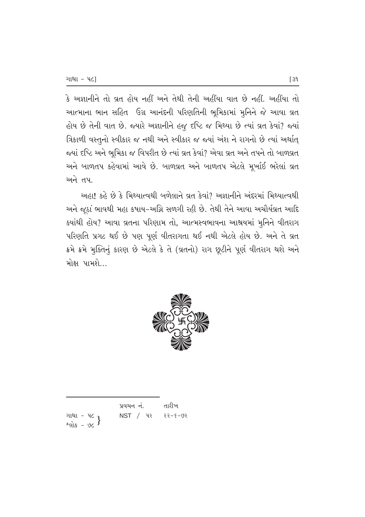$\,$ કે અજ્ઞાનીને તો વ્રત હોય નહીં અને તેથી તેની અહીંયા વાત છે નહીં. અહીંયા તો આત્માના ભાન સહિત ઉગ્ર આનંદની પરિણતિની ભૂમિકામાં મુનિને જે આવા વ્રત હોય છે તેની વાત છે. જ્યારે અજ્ઞાનીને હજુ દષ્ટિ જ મિથ્યા છે ત્યાં વ્રત કેવાં? જ્યાં fasiળી વસ્તુનો સ્વીકાર જ નથી અને સ્વીકાર જ જ્યાં અંશ ને રાગનો છે ત્યાં અર્થાત્ જયાં દષ્ટિ અને ભૂમિકા જ વિપરીત છે ત્યાં વ્રત કેવાં? એવા વ્રત અને તપને તો બાળવ્રત અને બાળતપ કહેવામાં આવે છે. બાળવ્રત અને બાળતપ એટલે મૂર્ખાઈ ભરેલાં વ્રત <u>અને તપા</u>

અહા! કહે છે કે મિથ્યાત્વથી બળેલાને વ્રત કેવાં? અજ્ઞાનીને અંદરમાં મિથ્યાત્વથી આને જૂઠાં ભાવથી મહા કષાય-અગ્નિ સળગી રહી છે. તેથી તેને આવા અચૌર્યવ્રત આદિ કયાંથી હોય? આવા વ્રતના પરિણામ તો, આત્મસ્વભાવના આશ્રયમાં મુનિને વીતરાગ પરિણતિ પ્રગટ થઈ છે પણ પૂર્ણ વીતરાગતા થઈ નથી એટલે હોય છે. અને તે વ્રત ક્રમે ક્રમે મુક્તિનું કારણ છે એટલે કે તે (વ્રતનો) રાગ છૂટીને પૂર્ણ વીતરાગ થશે અને મોક્ષ પામશે...



|                                        | પ્રવચન નં. | તારીખ   |
|----------------------------------------|------------|---------|
| ગાથા - ૫૮ }<br>શ્લોક - ૭૮ <sup>}</sup> | $NST$ / પર | २२-४-७२ |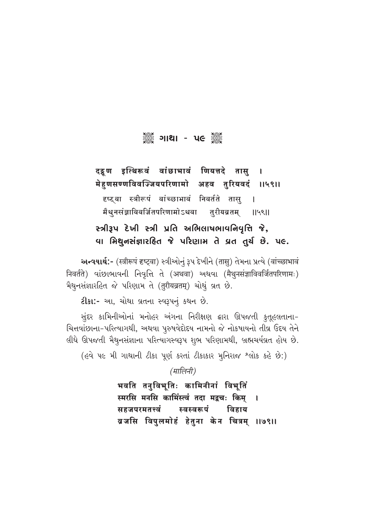# ઁૢૺ૾ૢૺ૾૱**૱**

दद्दण इत्थिरूवं वांछाभावं णियत्तदे तासु  $\mathbf{I}$ मेहणसण्णविवज्जियपरिणामो अहव तुरियवदं ।।५९।। दृष्ट्वा स्त्रीरूपं वांच्छाभावं निवर्तते तास्  $\overline{1}$ मैथुनसंज्ञाविवर्जितपरिणामोऽथवा तु**रीय**ब्रतम् 119811

# સ્ત્રીરૂપ દેખી સ્ત્રી પ્રતિ અભિલાષભાવનિવૃત્તિ જે, વા મિથુનસંજ્ઞારહિત જે પરિણામ તે વ્રત તુર્ચ છે. ૫૯.

અન્વયાર્થ:- (स्त्रीरूपं दृष्ट्वा) स्त्रीઓનું રૂપ દેખીને (तासु) તેમના પ્રત્યે (वांच्छाभावं निवर्तते) वांछालावनी निवृत्ति ते (अथवा) अथवा (मैथुनसंज्ञाविवर्जितपरिणामः) भैथूनसंज्ञारलित જे परिणाम ते (तुरीयव्रतम्) योथुं व्रत છे.

2ીકા :- આ, ચોથા વ્રતના સ્વરૂપનું કથન છે.

સુંદર કામિનીઓનાં મનોહર અંગના નિરીક્ષણ દ્વારા ઊપજતી કુતૂહલતાના-ચિત્તવાંછાના-પરિત્યાગથી, અથવા પુરુષવેદોદય નામનો જે નોકષાયનો તીવ્ર ઉદય તેને લીધે ઊપજતી મૈથુનસંજ્ઞાના પરિત્યાગસ્વરૂપ શુભ પરિણામથી, બ્રહ્મચર્યવ્રત હોય છે.

(હવે ૫૯ મી ગાથાની ટીકા પૂર્ણ કરતાં ટીકાકાર મુનિરાજ શ્લોક કહે છે:)

(मालिनी)

भवति तनुविभूतिः कामिनीनां विभूतिं स्मरसि मनसि कामिंस्त्वं तदा मद्रचः किम  $\mathbf{I}$ स्वस्वरूपं सहजपरमतत्त्वं विहाय ब्रजसि विपुलमोहं हेतुना केन चित्रम् ॥७९॥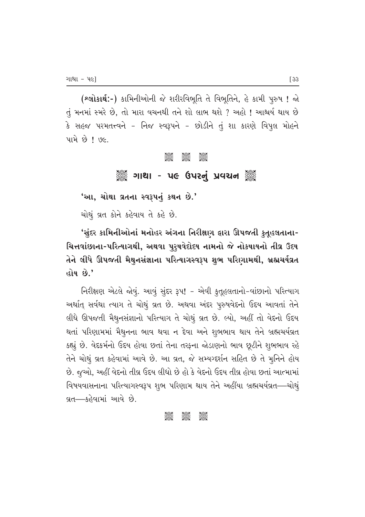(શ્લોકાર્થ:-) કામિનીઓની જે શરીરવિભૂતિ તે વિભૂતિને, હે કામી પુરુષ ! જો તું મનમાં સ્મરે છે, તો મારા વચનથી તને શો લાભ થશે ? અહો ! આશ્ચર્ય થાય છે કે સહજ પરમતત્ત્વને – નિજ સ્વરૂપને – છોડીને તું શા કારણે વિપુલ મોહને પામે $~$ છે !  $~$   $9$ .

#### 3685 3685 3685<br>2682 2682 2692

## ું – 59 કિલોમાં - પલ ઉપરનું પ્રવચન કું

<u>'આ, ચોથા વ્રતના સ્વરૂપનું કથન છે.'</u>

ચોથું વ્રત કોને કહેવાય તે કહે છે.

'સુંદર કામિનીઓનાં મનોહર અંગના નિરીક્ષણ **ફારા ઊપજતી કુતૂહલતાના**-ચિત્તવાંછાના-પરિત્યાગથી, અથવા પુરૃષવેદોદય નામનો જે નોકષાયનો તીવ્ર ઉદય તેને લીધે ઊપજતી મૈથુનસંજ્ઞાના પરિત્યાગસ્વરૂપ શુભ પરિણામથી, બ્રહ્મચર્યવ્રત હોય છે.**'** 

fi-They and the external and the Pality of the Palace Palace Palace Palace Palace Palace Palace Palace Palace અર્થાત સર્વથા ત્યાગ તે ચોથું વ્રત છે. અથવા અંદર પૂરુષવેદનો ઉદય આવતાં તેને લીધે ઊપજતી મૈથુનસંજ્ઞાનો પરિત્યાગ તે ચોથું વ્રત છે. લ્યો, અહીં તો વેદનો ઉદય થતાં પરિણામમાં મૈથુનના ભાવ થવા ન દેવા અને શુભભાવ થાય તેને બ્રહ્મચર્યવ્રત  $\,$ કહ્યું છે. વેદકર્મનો ઉદય હોવા છતાં તેના તરફના જોડાણનો ભાવ છુટીને શુભભાવ રહે તેને ચોથું વ્રત કહેવામાં આવે છે. આ વ્રત, જે સમ્યર્ગ્દર્શન સહિત છે તે મુનિને હોય છે. જુઓ, અહીં વેદનો તીવ્ર ઉદય લીધો છે હો કે વેદનો ઉદય તીવ્ર હોવા છતાં આત્મામાં વિષયવાસનાના પરિત્યાગસ્વરૂપ શુભ પરિણામ થાય તેને અહીંયા બ્રહ્મચર્યવ્રત—ચોથું વ્રત—કહેવામાં આવે છે.

#### C C C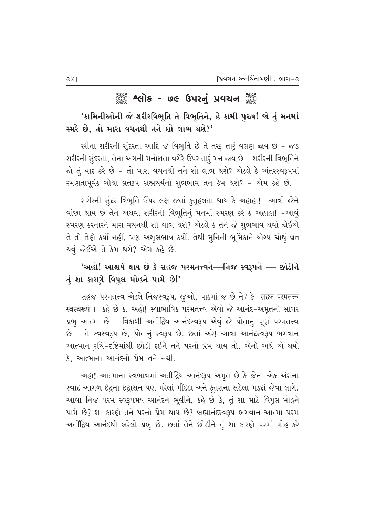# ૿ૢૺૺ૾ૄૺ શ્લોક - ૭૯ ઉપરનું પ્રવચન ૅૢૺ

'કામિનીઓની જે શરીરવિભૂતિ તે વિભૂતિને, હે કામી પુરુષ! જો તું મનમાં સ્મરે છે, તો મારા વચનથી તને શો લાભ થશે?'

સ્રીના શરીરની સુંદરતા આદિ જે વિભૂતિ છે તે તરફ તારૂં વલણ જાય છે - જડ શરીરની સુંદરતા, તેના અંગની મનોજ્ઞતા વગેરે ઉપર તારૂં મન જાય છે – શરીરની વિભૂતિને જો તું યાદ કરે છે - તો મારા વચનથી તને શો લાભ થશે? એટલે કે અંતરસ્વરૂપમાં રમણતાપૂર્વક ચોથા વ્રતરૂપ બ્રહ્મચર્યનો શુભભાવ તને કેમ થશે? - એમ કહે છે.

શરીરની સુંદર વિભૂતિ ઉપર લક્ષ જતાં કુતૂહલતા થાય કે અહાહા! -આવી જેને વાંછા થાય છે તેને અથવા શરીરની વિભૂતિનું મનમાં સ્મરણ કરે કે અહાહા! -આવું સ્મરણ કરનારને મારા વચનથી શો લાભ થશે? એટલે કે તેને જે શુભભાવ થવો જોઈએ તે તો તેણે કર્યો નહીં, પણ અશુભભાવ કર્યો. તેથી મુનિની ભૂમિકાને યોગ્ય ચોથું વ્રત થવું જોઈએ તે કેમ થશે? એમ કહે છે.

# 'અહો! આશ્ચર્ય થાય છે કે સહજ પરમતત્ત્વને—નિજ સ્વરૂપને — છોડીને તું શા કારણે વિપુલ મોહને પામે છે!'

સહજ પરમતત્ત્વ એટલે નિજસ્વરૂપ. જુઓ, પાઠમાં જ છે ને? કે सहज परमतत्त्वं स्वस्वरूपं । કહે છે કે, અહો! સ્વાભાવિક પરમતત્ત્વ એવો જે આનંદ-અમૃતનો સાગર પ્રભૂ આત્મા છે - ત્રિકાળી અતીદ્ભિય આનંદસ્વરૂપ એવું જે પોતાનું પૂર્ણ પરમતત્ત્વ છે - તે સ્વસ્વરૂપ છે, પોતાનું સ્વરૂપ છે. છતાં અરે! આવા આનંદસ્વરૂપ ભગવાન આત્માને રૂચિ-દષ્ટિમાંથી છોડી દઈને તને પરનો પ્રેમ થાય તો, એનો અર્થ એ થયો કે. આત્માના આનંદનો પ્રેમ તને નથી.

અહા! આત્માના સ્વભાવમાં અતીંદ્રિય આનંદરૂપ અમૃત છે કે જેના એક અંશના સ્વાદ આગળ છેદ્રના છેદ્રાસન પણ મરેલાં મીંદડા અને કૂતરાના સડેલા મડદાં જેવા લાગે. આવા નિજ પરમ સ્વરૂપમય આનંદને ભૂલીને, કહે છે કે, તું શા માટે વિપુલ મોહને પામે છે? શા કારણે તને પરનો પ્રેમ થાય છે? બ્રહ્માનંદસ્વરૂપ ભગવાન આત્મા પરમ અતીંદ્રિય આનંદથી ભરેલો પ્રભુ છે. છતાં તેને છોડીને તું શા કારણે પરમાં મોહ કરે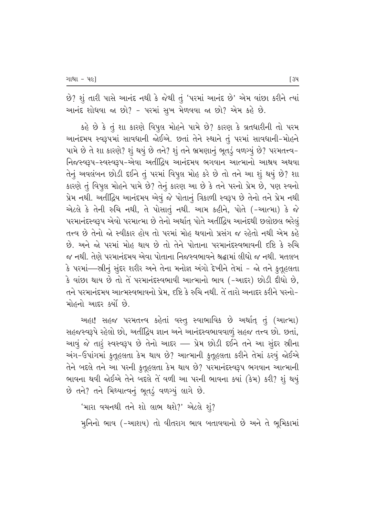છે? શું તારી પાસે આનંદ નથી કે જેથી તું 'પરમાં આનંદ છે' એમ વાંછા કરીને ત્યાં આનંદ શોધવા જા છો? - પરમાં સૂખ મેળવવા જા છો? એમ કહે છે.

 $s$ હે છે કે તું શા કારણે વિપુલ મોહને પામે છે? કારણ કે વ્રતધારીની તો પરમ આનંદમય સ્વરૂપમાં સાવધાની જોઈએ. છતાં તેને સ્થાને તું પરમાં સાવધાની-મોહને ખામે છે તે શા કારણે? શું થયું છે તને? શું તને ભ્રમણાનું ભૂતડું વળગ્યું છે? પરમતત્ત્વ− નિજસ્વરૂપ-સ્વસ્વરૂપ-એવા અતીંદ્રિય આનંદમય ભગવાન આત્માનો આશ્રય અથવા તેનું અવલંબન છોડી દઈને તું પરમાં વિપુલ મોહ કરે છે તો તને આ શું થયું છે? શા કારણે તું વિપુલ મોહને પામે છે? તેનું કારણ આ છે કે તને પરનો પ્રેમ છે, પણ સ્વનો પ્રેમ નથી. અતીંદ્રિય આનંદમય એવું જે પોતાનું ત્રિકાળી સ્વરૂપ છે તેનો તને પ્રેમ નથી એટલે કે તેની રુચિ નથી, તે પોસાતું નથી. આમ કહીને, પોતે (-આત્મા) કે જે પરમાનંદસ્વરૂપ એવો પરમાત્મા છે તેનો અર્થાત્ પોતે અતીંદ્રિય આનંદથી છલોછલ ભરેલું તત્ત્વ છે તેનો જો સ્વીકાર હોય તો પરમાં મોહ થવાનો પ્રસંગ જ રહેતો નથી એમ કહે છે. અને જો પરમાં મોહ થાય છે તો તેને પોતાના પરમાનંદસ્વભાવની દષ્ટિ કે રુચિ જ નથી. તેણે પરમાનંદમય એવા પોતાના નિજસ્વભાવને શ્રદ્ધામાં લીધો જ નથી. મતલબ કે પરમાં—સ્ત્રીનું સુંદર શરીર અને તેના મનોજ્ઞ અંગો દેખીને તેમાં – જો તને કુતુહલતા કે વાંછા થાય છે તો તે પરમાનંદસ્વભાવી આત્માનો ભાવ (-આદર) છોડી દીધો છે, તને પરમાનંદમય આત્મસ્વભાવનો પ્રેમ. દષ્ટિ કે રુચિ નથી. તે તારો અનાદર કરીને પરનો– મોહનો આદર કર્યો છે.

આહા! સહજ પરમતત્ત્વ કહેતાં વસ્તૂ સ્વાભાવિક છે અર્થાત્ તું (આત્મા) સહજસ્વરૂપે રહેલો છો, અતીંદ્રિય જ્ઞાન અને આનંદસ્વભાવવાળું સહજ તત્ત્વ છો. છતાં, આવું જે તારૂં સ્વસ્વરૂપ છે તેનો આદર –– પ્રેમ છોડી દઈને તને આ સુંદર સ્રીના અંગ-ઉપાંગમાં કુતૂહલતા કેમ થાય છે? આત્માની કુતૂહલતા કરીને તેમાં ઠરવું જોઈએ તેને બદલે તને આ પરની કૂતુહલતા કેમ થાય છે? પરમાનંદસ્વરૂપ ભગવાન આત્માની ભાવના થવી જોઈએ તેને બદલે તે વળી આ પરની ભાવના કયાં (કેમ) કરી? શું થયું છે તને? તને મિથ્યાત્વનું ભૂતડું વળગ્યું લાગે છે.

 $'$ મારા વચનથી તને શો લાભ થશે?' એટલે શું?

મુનિનો ભાવ (-આશય) તો વીતરાગ ભાવ બતાવવાનો છે અને તે ભૂમિકામાં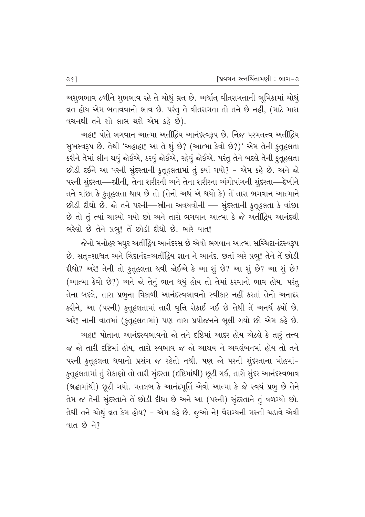અશુભભાવ ટળીને શુભભાવ રહે તે ચોથું વ્રત છે. અર્થાત્ વીતરાગતાની ભૂમિકામાં ચોથું વ્રત હોય એમ બતાવવાનો ભાવ છે. પરંતુ તે વીતરાગતા તો તને છે નહીં, (માટે મારા 'વચનથી તને શો લાભ થશે એમ કહે છે).

અહા! પોતે ભગવાન આત્મા અતીંદ્રિય આનંદસ્વરૂપ છે. નિજ પરમતત્ત્વ અતીંદ્રિય સુખસ્વરૂપ છે. તેથી 'અહાહા! આ તે શું છે? (આત્મા કેવો છે?)' એમ તેની કુતુહલતા કરીને તેમાં લીન થવું જોઈએ, ઠરવું જોઈએ, રહેવું જોઈએ. પરંતુ તેને બદલે તેની કુતૂહલતા છોડી દઈને આ પરની સુંદરતાની કુતૂહલતામાં તું ક્યાં ગયો? - એમ કહે છે. અને જો પરની સુંદરતા—સ્ત્રીની, તેના શરીરની અને તેના શરીરના અંગોપાંગની સુંદરતા—દેખીને તને વાંછા કે કુતૂહલતા થાય છે તો (તેનો અર્થ એ થયો કે) તે તારા ભગવાન આત્માને છોડી દીધો છે. જો તને પરની—સ્ત્રીના અવયવોની — સુંદરતાની કુતૂહલતા કે વાંછા છે તો તું ત્યાં ચાલ્યો ગયો છો અને તારો ભગવાન આત્મા કે જે અતીંદ્રિય આનંદથી ભરેલો છે તેને પ્રભુ! તે છોડી દીધો છે. ભારે વાત!

જેનો મનોહર મધુર અતીંદ્રિય આનંદરસ છે એવો ભગવાન આત્મા સચ્ચિદાનંદસ્વરૂપ છે. સત્=શાશ્વત અને ચિદાનંદ=અતીંદ્રિય જ્ઞાન ને આનંદ. છતાં અરે પ્રભુ! તેને તે છોડી  $f$ દીધો? અરે! તેની તો કુતૂહલતા થવી જોઈએ કે આ શું છે? આ શું છે? આ શું છે? (આત્મા કેવો છે?) અને જો તેનું ભાન થયું હોય તો તેમાં ઠરવાનો ભાવ હોય. પરંતુ તેના બદલે, તારા પ્રભુના ત્રિકાળી આનંદસ્વભાવનો સ્વીકાર નહીં કરતાં તેનો અનાદર કરીને, આ (પરની) કુતૂહલતામાં તારી વૃત્તિ રોકાઈ ગઈ છે તેથી તે અનર્થ કર્યો છે. અરે! નાની વાતમાં (કુતૂહલતામાં) પણ તારા પ્રયોજનને ભૂલી ગયો છો એમ કહે છે. અહા! પોતાના આનંદસ્વભાવનો જો તને દષ્ટિમાં આદર હોય એટલે કે તાર<del>ૂં</del> તત્ત્વ જ જો તારી દષ્ટિમાં હોય. તારો સ્વભાવ જ જો આશ્રય ને અવલંબનમાં હોય તો તને પરની કુતુહુલતા થવાનો પ્રસંગ જ રહેતો નથી. પણ જો પરની સુંદરતાના મોહમાં– કુતૂહલતામાં તું રોકાણો તો તારી સુંદરતા (દષ્ટિમાંથી) છૂટી ગઈ, તારો સુંદર આનંદસ્વભાવ (શ્રદ્ધામાંથી) છુટી ગયો. મતલબ કે આનંદમૂર્તિ એવો આત્મા કે જે સ્વયં પ્રભુ છે તેને તેમ જ તેની સુંદરતાને તે છોડી દીધા છે અને આ (પરની) સુંદરતાને તું વળગ્યો છો. તેથી તને ચોથું વ્રત કેમ હોય? - એમ કહે છે. જુઓ ને! વૈરાગ્યની મસ્તી ચડાવે એવી વાત $\vartheta$  ને?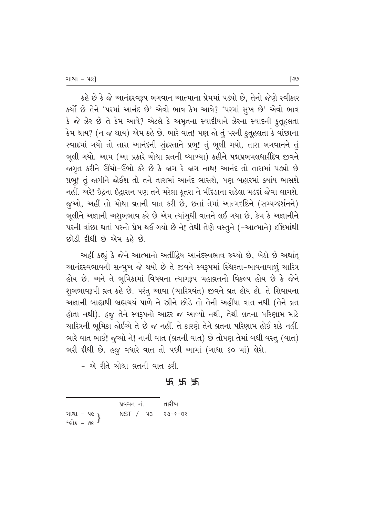કહે છે કે જે આનંદસ્વરૂપ ભગવાન આત્માના પ્રેમમાં પડ્યો છે, તેનો જેણે સ્વીકાર કર્યો છે તેને 'પરમાં આનંદ છે' એવો ભાવ કેમ આવે? 'પરમાં સુખ છે' એવો ભાવ  $\delta$  જે ઝેર છે તે કેમ આવે? એટલે કે અમૃતના સ્વાદીયાને ઝેરના સ્વાદની કુતુહલતા કેમ થાય? (ન જ થાય) એમ કહે છે. ભારે વાત! પણ જો તું પરની કુતૂહલતા કે વાંછાના स्વાદમાં ગયો તો તારા આનંદની સુંદરતાને પ્રભુ! તું ભૂલી ગયો, તારા ભગવાનને તું ભૂલી ગયો. આમ (આ પ્રકારે ચોથા વ્રતની વ્યાખ્યા) કહીને પદ્મપ્રભમલધારીદેવ જીવને જાગૃત કરીને ઊંચો-ઉભો કરે છે કે જાગ રે જાગ નાથ! આનંદ તો તારામાં પડ્યો છે પ્રભ! તું જગીને જોઈશ તો તને તારામાં આનંદ ભાસશે, પણ બહારમાં ક્યાંય ભાસશે નહીં. અરે! ઈંદ્રના ઈંદ્રાસન પણ તને મરેલા કૂતરા ને મીંદડાના સડેલા મડદાં જેવા લાગશે. જુઓ, અહીં તો ચોથા વ્રતની વાત કરી છે, છતાં તેમાં આત્મદષ્ટિને (સમ્યગ્દર્શનને) ભૂલીને અજ્ઞાની અશુભભાવ કરે છે એમ ત્યાંસુધી વાતને લઈ ગયા છે, કેમ કે અજ્ઞાનીને પરની વાંછા થતાં પરનો પ્રેમ થઈ ગયો છે ને! તેથી તેણે વસ્તુને (-આત્માને) દષ્ટિમાંથી છોડી દીધી છે એમ કહે છે.

આહીં કહ્યું કે જેને આત્માનો અતીંદ્રિય આનંદસ્વભાવ રુચ્યો છે, બેઠો છે અર્થાત્ આનંદસ્વભાવની સન્મૂખ જે થયો છે તે જીવને સ્વરૂપમાં સ્થિરતા-ભાવનાવાળું ચારિત્ર ્ણેય છે. અને તે ભુમિકામાં વિષયના ત્યાગરૂપ મહાવ્રતનો વિકલ્પ હોય છે કે જેને શુભભાવરૂપી વ્રત કહે છે. પરંતુ આવા (ચારિત્રવંત) જીવને વ્રત હોય હો. તે સિવાયના અજ્ઞાની બાહ્યથી બ્રહ્મચર્ય પાળે ને સ્રીને છોડે તો તેની અહીંયા વાત નથી (તેને વ્રત હોતા નથી). હજુ તેને સ્વરૂપનો આદર જ આવ્યો નથી, તેથી વ્રતના પરિણામ માટે ચારિત્રની ભૂમિકા જોઈએ તે છે જ નહીં. તે કારણે તેને વ્રતના પરિણામ હોઈ શકે નહીં. ભારે વાત ભાઈ! જૂઓ ને! નાની વાત (વ્રતની વાત) છે તોપણ તેમાં બધી વસ્તુ (વાત) ભરી દીધી છે. હજુ વધારે વાત તો પછી આમાં (ગાથા ૬૦ માં) લેશે.

- એ રીતે ચોથા વ્રતની વાત કરી.

c c c

|                                        | પ્રવચન નં.              | તારીખ |
|----------------------------------------|-------------------------|-------|
| ગાથા - ૫૯ }<br>શ્લોક - ૭૯ <sup>}</sup> | $NST /$ 43 $3 - 5 - 92$ |       |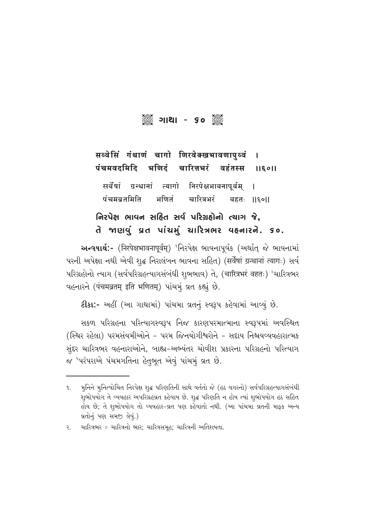# 

#### सब्वेसिं गंथाणं चागो णिरवेक्खभावणापुब्वं  $\mathbf I$ पंचमवदमिदि चारित्तभरं वहंतस्स भणिटं 116011

ग्रन्थानां त्यागो निरपेक्षभावनापूर्वम् सर्वेषां 1 पंचमबतमिति भणितं चारित्रभरं बहतः ॥६०॥

# નિરપેક્ષ ભાવન સહિત સર્વ પરિગ્રહોનો ત્યાગ જે. તે જાણવું વ્રત પાંચમું ચારિત્રભર વહનારને. ૬૦.

અન્વયાર્થ:- (निरपेक्षभावनापूर्वम्) 'નિરપેક્ષ ભાવનાપૂર્વક (અર્થાત્ જે ભાવનામાં परनी અપેક્ષા નથી એવી શૃદ્ધ નિરાલંબન ભાવના સહિત) (सर्वेषां ग्रन्थानां त्यागः) સર્વ પરિગ્રહોનો ત્યાગ (સર્વપરિગ્રહત્યાગસંબંધી શુભભાવ) તે, (चारित्रभरं वहतः) <sup>ર</sup>ચારિત્રભર वहनारने (पंचमव्रतम् इति भणितम्) पांथभं व्रत कहां छे.

ટીકા:- અહીં (આ ગાથામાં) પાંચમા વ્રતનું સ્વરૂપ કહેવામાં આવ્યું છે.

સકળ પરિગ્રહના પરિત્યાગસ્વરૂપ નિજ કારણપરમાત્માના સ્વરૂપમાં અવસ્થિત (સ્થિર રહેલા) પરમસંયમીઓને - પરમ જિનયોગીશ્વરોને - સદાય નિશ્ચયવ્યવહારાત્મક સુંદર ચારિત્રભર વહનારાઓને, બાહ્ય-અભ્યંતર ચોવીશ પ્રકારના પરિગ્રહનો પરિત્યાગ જ 'પરંપરાએ પંચમગતિના હેતુભૂત એવું પાંચમું વ્રત છે.

મૂનિને મૂનિત્વોચિત નિરપેક્ષ શૃદ્ધ પરિણતિની સાથે વર્તતો જે (હઠ વગરનો) સર્વપરિગ્રહત્યાગસંબંધી ૧. શુભોપયોગ તે વ્યવહાર અપરિગ્રહવ્રત કહેવાય છે. શુદ્ધ પરિણતિ ન હોય ત્યાં શુભોપયોગ હઠ સહિત હોય છે; તે શુભોપયોગ તો વ્યવહાર-વ્રત પણ કહેવાતો નથી. (આ પાંચમા વ્રતની માફક અન્ય વ્રતોનું પણ સમજી લેવું.)

ચારિત્રભર = ચારિત્રનો ભાર: ચારિત્રસમહ: ચારિત્રની અતિશયતા.  $\overline{R}$ .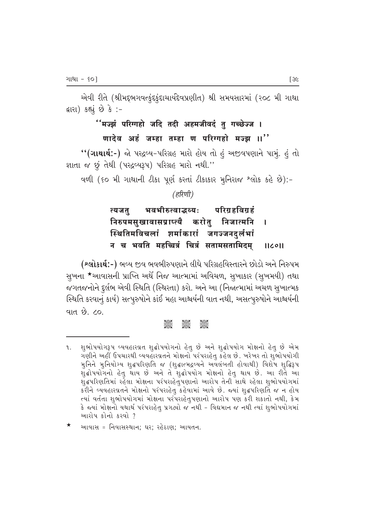એવી રીતે (શ્રીમદ્દભગવત્કુંદકુંદાચાર્યદેવપ્રણીત) શ્રી સમયસારમાં (૨૦૮ મી ગાથા દ્રારા) કહ્યું છે કે :-

## ''मज्झं परिग्गहो जदि तदी अहमजीवदं तु गच्छेज्ज ।

### णादेव अहं जम्हा तम्हा ण परिग्गहो मज्झ ।।''

"(ગાથાર્થ:-) જો પરદ્રવ્ય-પરિગ્રહ મારો હોય તો હું અજીવપણાને પામું. હું તો જ્ઞાતા જ છું તેથી (પરદ્રવ્યરૂપ) પરિગ્રહ મારો નથી.''

વળી (૬૦ મી ગાથાની ટીકા પૂર્ણ કરતાં ટીકાકાર મુનિરાજ શ્લોક કહે છે):-

(हरिणी)

#### भवभीरुत्वाद्भव्यः परिग्रहविग्रहं त्यजतू करोतु निजात्मनि निरुपमसुखावासप्राप्त्यै T स्थितिमविचलां शर्माकारां जगज्जनदर्लभां न च भवति महच्चित्रं चित्रं सतामसतामिदम  $IICOII$

(શ્લોકાર્થ:-) ભવ્ય જીવ ભવભીરુપણાને લીધે પરિગ્રહવિસ્તારને છોડો અને નિરુપમ સુખના \*આવાસની પ્રાપ્તિ અર્થે નિજ આત્મામાં અવિચળ, સુખાકાર (સુખમયી) તથા જગતજનોને દુર્લભ એવી સ્થિતિ (સ્થિરતા) કરો. અને આ (નિજાત્મામાં અચળ સુખાત્મક સ્થિતિ કરવાનું કાર્ય) સત્પુરુષોને કાંઈ મહા આશ્ચર્યની વાત નથી, અસત્પુરુષોને આશ્ચર્યની વાત છે. ૮૦.

#### asse asses<br>Seec

શુભોપયોગરૂપ વ્યવહારવ્રત શુદ્ધોપયોગનો હેતુ છે અને શુદ્ધોપયોગ મોક્ષનો હેતુ છે એમ ૧. ગણીને અહીં ઉપચારથી વ્યવહારવ્રતને મોક્ષનો પરંપરાહેતુ કહેલ છે. ખરેખર તો શુભોપયોગી મુનિને મુનિયોગ્ય શુદ્ધપરિણતિ જ (શુદ્ધાત્મદ્રવ્યને અવલંબતી હોવાથી) વિશેષ શુદ્ધિરૂપ શુદ્ધોપયોગનો હેતુ થાય છે અને તે શુદ્ધોપયોગ મોક્ષનો હેતુ થાય છે. આ રીતે આ શૃદ્ધપરિણતિમાં રહેલા મોક્ષના પરંપરાહેતૃપણાનો આરોપ તેની સાથે રહેલા શૃભોપયોગમાં કરીને વ્યવહારવ્રતને મોક્ષનો પરંપરાહેતુ કહેવામાં આવે છે. જ્યાં શુદ્ધપરિણતિ જ ન હોય ત્યાં વર્તતા શુભોપયોગમાં મોક્ષના પરંપરાહેતુપણાનો આરોપ પણ કરી શકાતો નથી, કેમ કે જ્યાં મોક્ષનો યથાર્થ પરંપરાહેતુ પ્રગટ્યો જ નથી - વિદ્યમાન જ નથી ત્યાં શુભોપયોગમાં આરોપ કોનો કરવો ?

આવાસ = નિવાસસ્થાન: ઘર: રહેઠાણ: આયતન.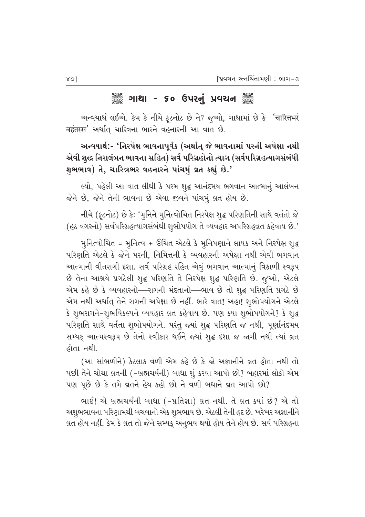### ૈું ગાથા - ૬૦ ઉપરનું પ્રવચન ૅું

અન્વયાર્થ લઈએ. કેમ કે નીચે ફૂટનોટ છે ને? જુઓ, ગાથામાં છે કે 'चारित्तभरं वहंतस्स' અर्थात् यारित्रना लारने वहनारनी આ वात છे.

અન્વયાર્થ:- 'નિરપેક્ષ ભાવનાપૂર્વક (અર્થાત્ જે ભાવનામાં પરની અપેક્ષા નથી એવી શુદ્ધ નિરાલંબન ભાવના સહિત) સર્વ પરિગ્રહોનો ત્યાગ (સર્વપરિગ્રહત્યાગસંબંધી શુભભાવ) તે, ચારિત્રભર વહનારને પાંચમું વ્રત કહ્યું છે.'

લ્યો, પહેલી આ વાત લીધી કે પરમ શુદ્ધ આનંદમય ભગવાન આત્માનું આલંબન જેને છે, જેને તેની ભાવના છે એવા જીવને પાંચમું વ્રત હોય છે.

નીચે (ફૂટનોટ) છે કે: 'મુનિને મુનિત્વોચિત નિરપેક્ષ શુદ્ધ પરિણતિની સાથે વર્તતો જે (હઠ વગરનો) સર્વપરિગ્રહત્યાગસંબંધી શુભોપયોગ તે વ્યવહાર અપરિગ્રહવ્રત કહેવાય છે.'

મુનિત્વોચિત = મુનિત્વ + ઉચિત એટલે કે મુનિપણાને લાયક અને નિરપેક્ષ શુદ્ધ પરિણતિ એટલે કે જેને પરની, નિમિત્તની કે વ્યવહારની અપેક્ષા નથી એવી ભગવાન આત્માની વીતરાગી દશા. સર્વ પરિગ્રહ રહિત એવું ભગવાન આત્માનું ત્રિકાળી સ્વરૂપ છે તેના આશ્રયે પ્રગટેલી શુદ્ધ પરિણતિ તે નિરપેક્ષ શુદ્ધ પરિણતિ છે. જુઓ, એટલે એમ કહે છે કે વ્યવહારનો—રાગની મંદતાનો—ભાવ છે તો શુદ્ધ પરિણતિ પ્રગટે છે એમ નથી અર્થાત્ તેને રાગની અપેક્ષા છે નહીં. ભારે વાત! અહા! શુભોપયોગને એટલે કે શુભરાગને-શુભવિકલ્પને વ્યવહાર વ્રત કહેવાય છે. પણ કયા શુભોપયોગને? કે શુદ્ધ પરિણતિ સાથે વર્તતા શુભોપયોગને. પરંતુ જ્યાં શુદ્ધ પરિણતિ જ નથી, પૂર્ણાનંદમય સમ્યક્ આત્મસ્વરૂપ છે તેનો સ્વીકાર થઈને જ્યાં શુદ્ધ દશા જ જાગી નથી ત્યાં વ્રત હોતા નથી.

(આ સાંભળીને) કેટલાક વળી એમ કહે છે કે જો અજ્ઞાનીને વ્રત હોતા નથી તો પછી તેને ચોથા વ્રતની (-બ્રહ્મચર્યની) બાધા શું કરવા આપો છો? બહારમાં લોકો એમ પણ પૂછે છે કે તમે વ્રતને હેય કહો છો ને વળી બધાને વ્રત આપો છો?

ભાઈ! એ બ્રહ્મચર્યની બાધા (-પ્રતિજ્ઞા) વ્રત નથી. તે વ્રત ક્યાં છે? એ તો અશુભભાવના પરિણામથી બચવાનો એક શુભભાવ છે. એટલી તેની હદ છે. ખરેખર અજ્ઞાનીને વ્રત હોય નહીં. કેમ કે વ્રત તો જેને સમ્યક્ અનુભવ થયો હોય તેને હોય છે. સર્વ પરિગ્રહના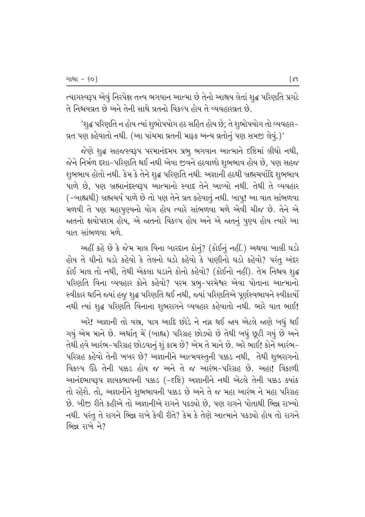ત્યાગસ્વરૂપ એવું નિરપેક્ષ તત્ત્વ ભગવાન આત્મા છે તેનો આશ્રય લેતાં શુદ્ધ પરિણતિ પ્રગટે તે નિશ્ચયવ્રત છે અને તેની સાથે વ્રતનો વિકલ્પ હોય તે વ્યવહારવ્રત છે.

'શૃદ્ધ પરિણતિ ન હોય ત્યાં શૃભોપયોગ હઠ સહિત હોય છે; તે શૃભોપયોગ તો વ્યવહાર– વ્રત પણ કહેવાતો નથી. (આ પાંચમા વ્રતની માફ્ક અન્ય વ્રતોનું પણ સમજી લેવું.)'

જેણે શુદ્ધ સહજસ્વરૂપ પરમાનંદમય પ્રભુ ભગવાન આત્માને દષ્ટિમાં લીધો નથી, જેને નિર્મળ દશા–પરિણતિ થઈ નથી એવા જીવને હઠવાળો શુભભાવ હોય છે, પણ સહજ શુભભાવ હોતો નથી. કેમ કે તેને શુદ્ધ પરિણતિ નથી. અજ્ઞાની હઠથી બ્રહ્મચર્યાદિ શુભભાવ પાળે છે, પણ બ્રહ્માનંદસ્વરૂપ આત્માનો સ્વાદ તેને આવ્યો નથી. તેથી તે વ્યવહાર (-બાહ્યથી) બ્રહ્મચર્ય પાળે છે તો પણ તેને વ્રત કહેવાતું નથી. બાપ્! આ વાત સાંભળવા મળવી તે પણ મહાપૂણ્યનો યોગ હોય ત્યારે સાંભળવા મળે એવી ચીજ છે. તેને એ જાતનો ક્ષયોપશમ હોય, એ જાતનો વિકલ્પ હોય અને એ જાતનું પૂણ્ય હોય ત્યારે આ વાત સાંભળવા મળે $^{\circ}$ 

આહીં કહે છે કે જેમ માલ વિના બારદાન કોનું? (કોઈનું નહીં.) અથવા ખાલી ઘડો હોય તે ઘીનો ઘડો કહેવો કે તેલનો ઘડો કહેવો કે પાણીનો ઘડો કહેવો? પરંતુ અંદર કોઈ માલ તો નથી, તેથી એકલા ઘડાને કોનો કહેવો? (કોઈનો નહીં). તેમ નિશ્ચય શ્¢ પરિણતિ વિના વ્યવહાર કોને કહેવો? પરમ પ્રભુ–પરમેશ્વર એવા પોતાના આત્માનો સ્વીકાર થઈને જ્યાં હજુ શુદ્ધ પરિણતિ થઈ નથી, જ્યાં પરિણતિએ પૂર્ણસ્વભાવને સ્વીકાર્યો નથી ત્યાં શુદ્ધ પરિણતિ વિનાના શુભરાગને વ્યવહાર કહેવાતો નથી. ભારે વાત ભાઈ!

અરે! અજ્ઞાની તો વસ્ત્ર, પાત્ર આદિ છોડે ને નગ્ન થઈ જાય એટલે જાણે બધું થઈ ગયું એમ માને છે. અર્થાત્ મેં (બાહ્ય) પરિગ્રહ છોડ્યો છે તેથી બધું છૂટી ગયું છે અને તેથી હવે આરંભ-પરિગ્રહ છોડવાનું શું કામ છે? એમ તે માને છે. અરે ભાઈ! કોને આરંભ-પરિગ્રહ કહેવો તેની ખબર છે? અજ્ઞાનીને આત્મવસ્તુની પક્કડ નથી, તેથી શુભરાગનો faકલ્પ ઉઠે તેની પક્કડ હોય જ અને તે જ આરંભ-પરિગ્રહ છે. અહા! ત્રિકાળી આનંદભાવરૂપ જ્ઞાયકભાવની પક્કડ (-દષ્ટિ) અજ્ઞાનીને નથી એટલે તેની પક્કડ ક્યાંક તો રહેશે. તો, અજ્ઞાનીને શુભભાવની પક્કડ છે અને તે જ મહા આરંભ ને મહા પરિગ્રહ છે. બીજી રીતે કહીએ તો અજ્ઞાનીએ રાગને પકલ્યો છે, પણ રાગને પોતાથી ભિન્ન રાખ્યો નથી. પરંતુ તે રાગને ભિન્ન રાખે કેવી રીતે? કેમ કે તેણે આત્માને પકલ્યો હોય તો રાગને ભિન્ન રાખે ને?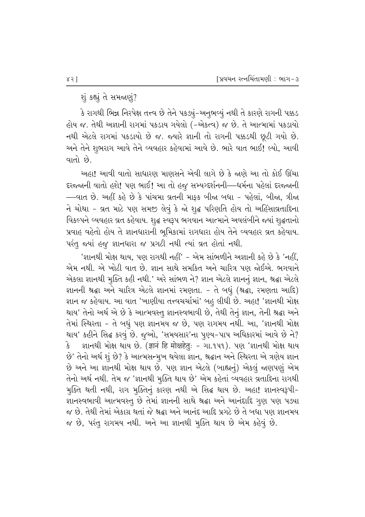શું કહ્યું તે સમજણું?

કે રાગથી ભિન્ન નિરપેક્ષ તત્ત્વ છે તેને પક*હ્યું*–અનૂભવ્યું નથી તે કારણે રાગની પક્કડ હોય જ. તેથી અજ્ઞાની રાગમાં પકડાય ગયેલો (-એકત્વ) જ છે. તે આત્મામાં પકડાયો નથી એટલે રાગમાં પકડાયો છે જ. જ્યારે જ્ઞાની તો રાગની પક્કડથી છૂટી ગયો છે. અને તેને શુભરાગ આવે તેને વ્યવહાર કહેવામાં આવે છે. ભારે વાત ભાઈ! લ્યો, આવી વાતો  $\dot{\mathcal{B}}$ .

અહા! આવી વાતો સાધારણ માણસને એવી લાગે છે કે જાણે આ તો કોઈ ઊંચા દરજ્જાની વાતો હશે! પણ ભાઈ! આ તો હજુ સમ્યગ્દર્શનની—ધર્મના પહેલાં દરજ્જાની —વાત છે. અહીં કહે છે કે પાંચમા વ્રતની માફક બીજા બધા - પહેલાં, બીજા, ત્રીજા ને ચોથા - વ્રત માટે પણ સમજી લેવું કે જો શુદ્ધ પરિણતિ હોય તો અહિંસાવ્રતાદિના વિકલ્પને વ્યવહાર વ્રત કહેવાય. શુદ્ધ સ્વરૂપ ભગવાન આત્માને અવલંબીને જ્યાં શુદ્ધતાનો <u>પ્રવાહ વહેતો હોય તે જ્ઞાનધારાની ભુમિકામાં રાગધારા હોય તેને વ્યવહાર વ્રત કહેવાય.</u> પરંતુ જ્યાં હજુ જ્ઞાનધારા જ પ્રગટી નથી ત્યાં વ્રત હોતાં નથી.

'જ્ઞાનથી મોક્ષ થાય, પણ રાગથી નહીં' – એમ સાંભળીને અજ્ઞાની કહે છે કે 'નહીં, એમ નથી. એ ખોટી વાત છે. જ્ઞાન સાથે સમકિત અને ચારિત્ર પણ જોઈએ. ભગવાને એકલા જ્ઞાનથી મુક્તિ કહી નથી.' અરે સાંભળ ને? જ્ઞાન એટલે જ્ઞાનનું જ્ઞાન, શ્રદ્ધા એટલે જ્ઞાનની શ્રદ્ધા અને ચારિત્ર એટલે જ્ઞાનમાં રમણતા. - તે બધું (શ્રદ્ધા, રમણતા આદિ) જ્ઞાન જ કહેવાય. આ વાત 'ખાણીયા તત્ત્વચર્ચામાં' બહ લીધી છે. અહા! 'જ્ઞાનથી મોક્ષ થાય' તેનો અર્થ એ છે કે આત્મવસ્તુ જ્ઞાનસ્વભાવી છે, તેથી તેનું જ્ઞાન, તેની શ્રદ્ઘા અને તેમાં સ્થિરતા - તે બધું પણ જ્ઞાનમય જ છે, પણ રાગમય નથી. આ, 'જ્ઞાનથી મોક્ષ થાય' કહીને સિદ્ધ કરવું છે. જુઓ, 'સમયસાર'ના પુણ્ય-પાપ અધિકારમાં આવે છે ને?  $\mathrm{\hat{3}}$  – જ્ઞાનથી મોક્ષ થાય છે. (ज्ञानं हि मोक्षहेतुः – ગા.૧૫૧). પણ 'જ્ઞાનથી મોક્ષ થાય છે' તેનો અર્થ શું છે? કે આત્મસન્મુખ થયેલા જ્ઞાન, શ્રદ્ધાન અને સ્થિરતા એ ત્રણેય જ્ઞાન છે અને આ જ્ઞાનથી મોક્ષ થાય છે. પણ જ્ઞાન એટલે (બાહ્યનું) એકલું જાણપણું એમ તેનો અર્થ નથી. તેમ જ 'જ્ઞાનથી મુક્તિ થાય છે' એમ કહેતાં વ્યવહાર વ્રતાદિના રાગથી મુક્તિ થતી નથી, રાગ મુક્તિનું કારણ નથી એ સિદ્ધ થાય છે. અહા! જ્ઞાનસ્વરૂપી-જ્ઞાનસ્વભાવી આત્મવસ્તુ છે તેમાં જ્ઞાનની સાથે શ્રદ્ધા અને આનંદાદિ ગૃણ પણ પડ્યા જ છે. તેથી તેમાં એકાગ્ર થતાં જે શ્રદ્ધા અને આનંદ આદિ પ્રગટે છે તે બધા પણ જ્ઞાનમય જ છે, પરંતુ રાગમય નથી. અને આ જ્ઞાનથી મુક્તિ થાય છે એમ કહેવું છે.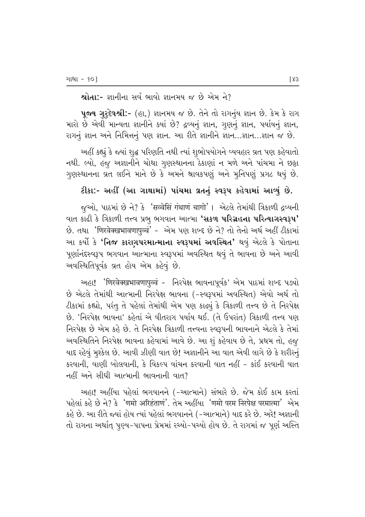$2$ મોતા:- જ્ઞાનીના સર્વભાવો જ્ઞાનમય જ છે એમ ને?

પૂજ્ય ગુરૂદેવશ્રી:- (હા,) જ્ઞાનમય જ છે. તેને તો રાગનુંય જ્ઞાન છે. કેમ કે રાગ મારો છે એવી માન્યતા જ્ઞાનીને ક્યાં છે? દ્રવ્યનું જ્ઞાન, ગુણનું જ્ઞાન, પર્યાયનું જ્ઞાન, રાગનું જ્ઞાન અને નિમિત્તનું પણ જ્ઞાન. આ રીતે જ્ઞાનીને જ્ઞાન...જ્ઞાન...જ્ઞાન જ છે.

આહીં કહ્યું કે જ્યાં શૃદ્ધ પરિણતિ નથી ત્યાં શુભોપયોગને વ્યવહાર વ્રત પણ કહેવાતો નથી. લ્યો, હજુ અજ્ઞાનીને ચોથા ગુણસ્થાનના ઠેકાણાં ન મળે અને પાંચમા ને છઠ્ઠા ગુણસ્થાનના વ્રત લઈને માને છે કે અમને શ્રાવકપણું અને મુનિપણું પ્રગટ થયું છે.

### ટીકા:- અહીં (આ ગાથામાં) પાંચમા વ્રતનું સ્વરૂપ કહેવામાં આવ્યું છે.

જુઓ, પાઠમાં છે ને? કે 'सव्वेसिं गंथाणं चागो'। એટલે તેમાંથી ત્રિકાળી દ્રવ્યની વાત કાઢી કે ત્રિકાળી તત્ત્વ પ્રભુ ભગવાન આત્મા **'સકળ પરિગ્રહના પરિત્યાગસ્વરૂપ'**  $\dot{\vartheta}$ . તથા 'णिरवेक्खभावणापुब्बं' - એમ પણ શબ્દ છે ને? તો તેનો અર્થ અહીં ટીકામાં આ કર્યો કે **'નિજ કારણપરમાત્માના સ્વરૂપમાં અવસ્થિત'** થવું એટલે કે પોતાના પુર્ણાનંદસ્વરૂપ ભગવાન આત્માના સ્વરૂપમાં અવસ્થિત થવું તે ભાવના છે અને આવી અવસ્થિતિપૂર્વક વ્રત હોય એમ કહેવું છે.

અહા! 'णिरवेक्खभावणापुळ्वं - નિરપેક્ષ ભાવનાપૂર્વક' એમ પાઠમાં શબ્દ પડ્યો છે એટલે તેમાંથી આત્માની નિરપેક્ષ ભાવના (-સ્વરૂપમાં અવસ્થિત) એવો અર્થ તો  $\ell$ કામાં કહ્યો, પરંતુ તે પહેલાં તેમાંથી એમ પણ કાઢ્યું કે ત્રિકાળી તત્ત્વ છે તે નિરપેક્ષ  $\dot{\vartheta}$ . 'નિરપેક્ષ ભાવના' કહેતાં એ વીતરાગ પર્યાય થઈ. (તે ઉપરાંત) ત્રિકાળી તત્ત્વ પણ <u>નિરપેક્ષ છે એમ કહે છે. તે નિરપેક્ષ ત્રિકાળી તત્ત્વના સ્વરૂપની ભાવનાને એટલે કે તેમાં</u> અવસ્થિતિને નિરપેક્ષ ભાવના કહેવામાં આવે છે. આ શું કહેવાય છે તે, પ્રથમ તો, હજ્ પાદ રહેવું મૂશ્કેલ છે. આવી ઝીણી વાત છે! અજ્ઞાનીને આ વાત એવી લાગે છે કે શરીરનું કરવાની, વાણી બોલવાની, કે વિકલ્પ વાંચન કરવાની વાત નહીં – કાંઈ કરવાની વાત નહીં અને સીધી આત્માની ભાવનાની વાત?

અહા! અહીંયા પહેલાં ભગવાનને (–આત્માને) સંભારે છે. જેમ કોઈ કામ કરતાં  $\nu$ હેલાં કહે છે ને? કે 'णमो अरिहंताणं'. તેમ અહીંયા 'णमो परम निरपेक्ष परमात्मा' એમ કહે છે. આ રીતે જ્યાં હોય ત્યાં પહેલાં ભગવાનને (–આત્માને) યાદ કરે છે. અરે! અજ્ઞાની તો રાગના અર્થાત્ પુણ્ય−પાપના પ્રેમમાં રચ્યો−પચ્યો હોય છે. તે રાગમાં જ પૂર્ણ અસ્તિ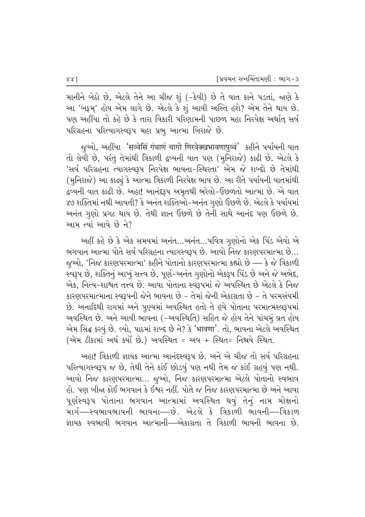માનીને બેઠો છે, એટલે તેને આ ચીજ શું (-કેવી) છે તે વાત કાને પડતાં, જાણે કે આ 'બફમ્' હોય એમ લાગે છે. એટલે કે શું આવી અસ્તિ હશે? એમ તેને થાય છે. \_પણ અહીંયા તો કહે છે કે તારા વિકારી પરિણામની પાછળ મહા નિરપેક્ષ અર્થાત્ સર્વ પરિગ્રહના પરિત્યાગસ્વરૂપ મહા પ્રભ્ આત્મા બિરાજે છે.

જૂઓ, અહીંયા 'सव्वेसिं गंथाणं चागो णिरवेक्खभावणापुव्वं' કહીને પર્યાયની વાત તો લેવી છે, પરંતુ તેમાંથી ત્રિકાળી દ્રવ્યની વાત પણ (મૂનિરાજે) કાઢી છે. એટલે કે 'સર્વ પરિગ્રહના ત્યાગસ્વરૂપ નિરપેક્ષ ભાવના−સ્થિરતા' એમ જે શબ્દો છે તેમાંથી (મુનિરાજે) આ કાઢ્યું કે આત્મા ત્રિકાળી નિરપેક્ષ ભાવ છે. આ રીતે પર્યાયની વાતમાંથી દ્રવ્યની વાત કાઢી છે. અહા! આનંદરૂપ અમૃતથી ભરેલો-ઉછળતો આત્મા છે. એ વાત ૪૭ શક્તિમાં નથી આવતી? કે અનંત શક્તિઓ−અનંત ગુણો ઉછળે છે. એટલે કે પર્યાયમાં અનંત ગુણો પ્રગટ થાય છે. તેથી જ્ઞાન ઉછળે છે તેની સાથે આનંદ પણ ઉછળે છે. <u>આમ ત્યાં આવે છે ને?</u>

આહીં કહે છે કે એક સમયમાં અનંત…અનંત…પવિત્ર ગુણોનો એક પિંડ એવો એ ભગવાન આત્મા પોતે સર્વ પરિગ્રહના ત્યાગસ્વરૂપ છે. આવો નિજ કારણપરમાત્મા છે... જુઓ, 'નિજ કારણપરમાત્મા' કહીને પોતાનો કારણપરમાત્મા કહ્યો છે — કે જે ત્રિકાળી સ્વરૂપ છે, શક્તિનું આખું સત્ત્વ છે, પૂર્ણ-અનંત ગુણોનો એકરૂપ પિંડ છે અને જે અભેદ, એક, નિત્ય–શાશ્વત તત્ત્વ છે. આવા પોતાના સ્વરૂપમાં જે અવસ્થિત છે એટલે કે નિજ કારણપરમાત્માના સ્વરૂપની જેને ભાવના છે – તેમાં જેની એકાગ્રતા છે – તે પરમસંયમી છે. અનાદિથી રાગમાં અને પુણ્યમાં અવસ્થિત હતો તે હવે પોતાના પરમાત્મસ્વરૂપમાં અવસ્થિત છે. અને આવી ભાવના (-અવસ્થિતિ) સહિત જે હોય તેને પાંચમું વ્રત હોય એમ સિદ્ધ કરવું છે. લ્યો, પાઠમાં શબ્દ છે ને? કે 'भावणा'. તો, ભાવના એટલે અવસ્થિત (એમ ટીકામાં અર્થ કર્યો છે.) અવસ્થિત = અવ + સ્થિત= નિશ્ચયે સ્થિત.

આહા! ત્રિકાળી જ્ઞાયક આત્મા આનંદસ્વરૂપ છે. અને એ ચીજ તો સર્વ પરિગ્રહના પરિત્યાગસ્વરૂપ જ છે, તેથી તેને કાંઈ છોડવું પણ નથી તેમ જ કાંઈ ગ્રહવું પણ નથી. આવો નિજ કારણપરમાત્મા... જુઓ, નિજ કારણપરમાત્મા એટલે પોતાનો સ્વભાવ હો. પણ બીજા કોઈ ભગવાન કે ઈશ્વર નહીં. પોતે જ નિજ કારણપરમાત્મા છે અને આવા પૂર્ણસ્વરૂપ પોતાના ભગવાન આત્મામાં અવસ્થિત થવું તેનું નામ મોક્ષનો માર્ગ—સ્વભાવભાવની ભાવના—છે. એટલે કે ત્રિકાળી ભાવની—ત્રિકાળ જ્ઞાયક સ્વભાવી ભગવાન આત્માની—એકાગ્રતા તે ત્રિકાળી ભાવની ભાવના છે.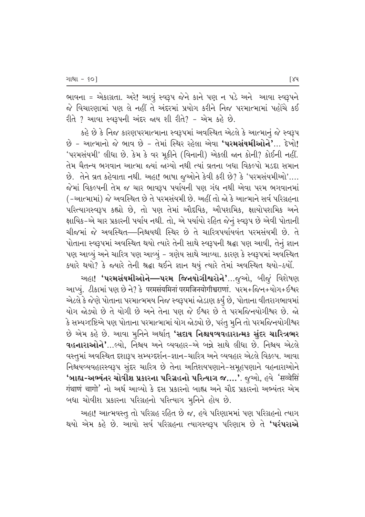ભાવના = એકાગ્રતા. અરે! આવું સ્વરૂપ જેને કાને પણ ન પડે અને આવા સ્વરૂપને જે વિચારણામાં પણ લે નહીં તે અંદરમાં પ્રયોગ કરીને નિજ પરમાત્મામાં પહોંચે કઈ  $f(x)$  ? આવા સ્વરૂપની અંદર જાય શી રીતે? - એમ કહે છે.

કહે છે કે નિજ કારણપરમાત્માના સ્વરૂપમાં અવસ્થિત એટલે કે આત્માનું જે સ્વરૂપ  $\hat{p}$  – આત્માનો જે ભાવ છે – તેમાં સ્થિર રહેલા એવા **'પરમસંયમીઓને'**... દેખો! 'પરમસંયમી' લીધા છે. કેમ કે વર મૂકીને (વિનાની) એકલી જાન કોની? કોઈની નહીં. તેમ ચૈતન્ય ભગવાન આત્મા જ્યાં જગ્યો નથી ત્યાં વ્રતના બધા વિકલ્પો મડદા સમાન છે. તેને વ્રત કહેવાતા નથી. અહા! ભાષા જૂઓને કેવી કરી છે? કે 'પરમસંયમીઓ'.... જેમાં વિકલ્પની તેમ જ ચાર ભાવરૂપ પર્યાયની પણ ગંધ નથી એવા પરમ ભગવાનમાં ( -આત્મામાં) જે અવસ્થિત છે તે પરમસંયમી છે. અહીં તો જો કે આત્માને સર્વ પરિગ્રહના પરિત્યાગસ્વરૂપ કહ્યો છે, તો પણ તેમાં ઔદયિક, ઔપશમિક, ક્ષાયોપશમિક અને ક્ષાયિક−એ ચાર પ્રકારની પર્યાય નથી. તો, એ પર્યાયો રહિત જેનું સ્વરૂપ છે એવી પોતાની ચીજમાં જે અવસ્થિત—નિશ્ચયથી સ્થિર છે તે ચારિત્રપર્યાયવંત પરમસંયમી છે. તે પોતાના સ્વરૂપમાં અવસ્થિત થયો ત્યારે તેની સાથે સ્વરૂપની શ્રદ્ધા પણ આવી, તેનું જ્ઞાન પણ આવ્યું અને ચારિત્ર પણ આવ્યું – ત્રણેય સાથે આવ્યા. કારણ કે સ્વરૂપમાં અવસ્થિત ક્યારે થયો? કે જ્યારે તેની શ્રદ્ધા થઈને જ્ઞાન થયું ત્યારે તેમાં અવસ્થિત થયો-ઠર્યો.

અહા! **'પરમસંયમીઓને—પરમ જિનયોગીશ્વરોને'**…જૂઓ, બીજું વિશેષણ આપ્યું. ટીકામાં પણ છે ને? કે परमसंयमिनां परमजिनयोगीश्वराणां. પરમ+જિન+યોગ+ઈશ્વર એટલે કે જેણે પોતાના પરમાત્મમય નિજ સ્વરૂપમાં જોડાણ કર્યું છે, પોતાના વીતરાગભાવમાં યોગ જોલ્યો છે તે યોગી છે અને તેના પણ જે ઈશ્વર છે તે પરમજિનયોગીશ્વર છે. જો કે સમ્યગ્દષ્ટિએ પણ પોતાના પરમાત્મામાં યોગ જોઙ્યો છે, પરંતુ મૂનિ તો પરમજિનયોગીશ્વર છે એમ કહે છે. આવા મુનિને અર્થાત **'સદાય નિશ્ચયવહારાત્મક સુંદર ચારિત્રભર વહનારાઓને'**…લ્યો. નિશ્રય અને વ્યવહાર-એ બન્ને સાથે લીધા છે. નિશ્રય એટલે 'વસ્તુમાં અવસ્થિત દશારૂપ સમ્યગ્દર્શન-જ્ઞાન-ચારિત્ર અને વ્યવહાર એટલે વિકલ્પ. આવા fi42000 five-yapore align that the chain was charged the education of the field of **'બાહ્ય-અભ્યંતર ચોવીશ પ્રકારના પરિગ્રહનો પરિત્યાગ જ….'**. જુઓ, હવે 'सव्वेसिं गंथाणं चागो' નો અર્થ આવ્યો કે દસ પ્રકારનો બાહ્ય અને ચૌદ પ્રકારનો અભ્યંતર એમ ખધા ચોવીશ પ્રકારના પરિગ્રહનો પરિત્યાગ મૂનિને હોય છે.

અહા! આત્મવસ્તુ તો પરિગ્રહ રહિત છે જ, હવે પરિણામમાં પણ પરિગ્રહનો ત્યાગ થયો એમ કહે છે. આવો સર્વ પરિગ્રહના ત્યાગસ્વરૂપ પરિણામ છે તે **'પરંપરાએ**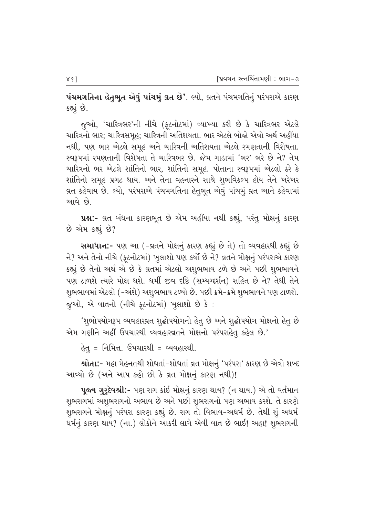**પંચમગતિના હેતુભૂત એવું પાંચમું વ્રત છે'**. લ્યો, વ્રતને પંચમગતિનું પરંપરાએ કારણ કહ્યું છે.

જૂઓ, 'ચારિત્રભર'ની નીચે (ફ્ટનોટમાં) વ્યાખ્યા કરી છે કે ચારિત્રભર એટલે ચારિત્રનો ભાર; ચારિત્રસમૂહ; ચારિત્રની અતિશયતા. ભાર એટલે બોજો એવો અર્થ અહીંયા નથી, પણ ભાર એટલે સમૂહ અને ચારિત્રની અતિશયતા એટલે રમણતાની વિશેષતા. ્સ્વરૂપમાં રમણતાની વિશેષતા તે ચારિત્રભર છે. જેમ ગાડામાં 'ભર' ભરે છે ને? તેમ ચારિત્રનો ભર એટલે શાંતિનો ભાર, શાંતિનો સમૂહ. પોતાના સ્વરૂપમાં એટલો ઠરે કે <u>શાંતિનો સમૂહ પ્રગટ થાય. અને તેના વહનારને સાથે શુભવિકલ્પ હોય તેને ખરેખર</u> વ્રત કહેવાય છે. લ્યો, પરંપરાએ પંચમગતિના હેતુભૂત એવું પાંચમું વ્રત આને કહેવામાં <u>આવે છે.</u>

પ્રશ્ન:- વ્રત બંધના કારણભૂત છે એમ અહીંયા નથી કહ્યું, પરંતુ મોક્ષનું કારણ છે એમ કહ્યું છે?

**સમાધાન:-** પણ આ (-વ્રતને મોક્ષનું કારણ કહ્યું છે તે) તો વ્યવહારથી કહ્યું છે ને? અને તેનો નીચે (ફૂટનોટમાં) ખુલાશો પણ કર્યો છે ને? વ્રતને મોક્ષનું પરંપરાએ કારણ કહ્યું છે તેનો અર્થ એ છે કે વ્રતમાં એટલો અશુભભાવ ટળે છે અને પછી શુભભાવને પણ ટાળશે ત્યારે મોક્ષ થશે. ધર્મી જીવ દષ્ટિ (સમ્યગ્દર્શન) સહિત છે ને? તેથી તેને શુભભાવમાં એટલો (−અંશે) અશુભભાવ ટળ્યો છે. પછી ક્રમે−ક્રમે શુભભાવને પણ ટાળશે. જુઓ, એ વાતનો (નીચે ફૂટનોટમાં) ખુલાશો છે કે :

'શુભોપયોગરૂપ વ્યવહારવ્રત શુદ્ધોપયોગનો હેતુ છે અને શુદ્ધોપયોગ મોક્ષનો હેતુ છે એમ ગણીને અહીં ઉપચારથી વ્યવહારવ્રતને મોક્ષનો પરંપરાહેત્ કહેલ છે.'

હેત્ = નિમિત્ત. ઉપચારથી = વ્યવહારથી.

**શ્રોતા:-** મહા મેહનતથી શોધતાં-શોધતાં વ્રત મોક્ષનું 'પરંપરા' કારણ છે એવો શબ્દ આવ્યો છે (અને આપ કહો છો કે વ્રત મોક્ષનું કારણ નથી)!

**પૂજ્ય ગુરૂદેવશ્રી:-** પણ રાગ કાંઈ મોક્ષનું કારણ થાય? (ન થાય.) એ તો વર્તમાન શુભરાગમાં અશુભરાગનો અભાવ છે અને પછી શુભરાગનો પણ અભાવ કરશે. તે કારણે શુભરાગને મોક્ષનું પરંપરા કારણ કહ્યું છે. રાગ તો વિભાવ-અધર્મ છે. તેથી શું અધર્મ ધર્મનું કારણ થાય? (ના.) લોકોને આકરી લાગે એવી વાત છે ભાઈ! અહા! શુભરાગની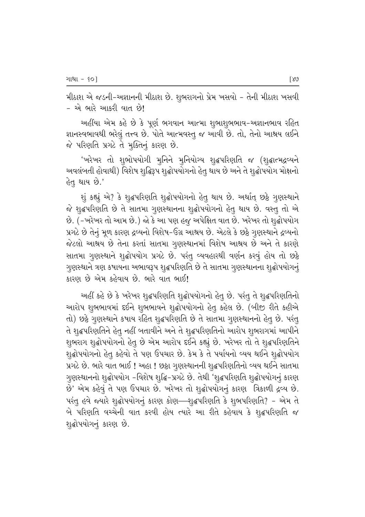મીઠાશ એ જડની-અજ્ઞાનની મીઠાશ છે. શુભરાગનો પ્રેમ ખસવો – તેની મીઠાશ ખસવી – એ ભારે આકરી વાત છે!

અહીંયા એમ કહે છે કે પૂર્ણ ભગવાન આત્મા શુભાશુભભાવ-અજ્ઞાનભાવ રહિત જ્ઞાનસ્વભાવથી ભરેલું તત્ત્વ છે. પોતે આત્મવસ્તુ જ આવી છે. તો, તેનો આશ્રય લઈને જે પરિણતિ પ્રગટે તે મુક્તિનું કારણ છે.

'ખરેખર તો શુભોપયોગી મુનિને મુનિયોગ્ય શૃદ્ધપરિણતિ જ (શૃદ્ધાત્મદ્રવ્યને અવલંબતી હોવાથી) વિશેષ શુદ્ધિરૂપ શુદ્ધોપયોગનો હેતુ થાય છે અને તે શુદ્ધોપયોગ મોક્ષનો હેતૃ થાય છે.'

શું કહ્યું એ? કે શૃદ્ધપરિણતિ શૃદ્ધોપયોગનો હેતુ થાય છે. અર્થાત્ છઠ્ઠે ગુણસ્થાને જે શુદ્ધપરિણતિ છે તે સાતમા ગુણસ્થાનના શુદ્ધોપયોગનો હેતુ થાય છે. વસ્તુ તો એ છે. (-ખરેખર તો આમ છે.) જો કે આ પણ હજુ અપેક્ષિત વાત છે. ખરેખર તો શુદ્ધોપયોગ પ્રગટે છે તેનું મૂળ કારણ દ્રવ્યનો વિશેષ-ઉગ્ર આશ્રય છે. એટલે કે છઠ્ઠે ગુણસ્થાને દ્રવ્યનો જેટલો આશ્રય છે તેના કરતાં સાતમા ગુણસ્થાનમાં વિશેષ આશ્રય છે અને તે કારણે સાતમા ગુણસ્થાને શુદ્ધોપયોગ પ્રગટે છે. પરંતુ વ્યવહારથી વર્ણન કરવું હોય તો છઠે ગુણસ્થાને ત્રણ કષાયના અભાવરૂપ શૃદ્ધપરિણતિ છે તે સાતમા ગુણસ્થાનના શૃદ્ધોપયોગનું કારણ છે એમ કહેવાય છે. ભારે વાત ભાઈ!

અહીં કહે છે કે ખરેખર શુદ્ધપરિણતિ શુદ્ધોપયોગનો હેતુ છે. પરંતુ તે શુદ્ધપરિણતિનો આરોપ શુભભાવમાં દઈને શુભભાવને શુદ્ધોપયોગનો હેતુ કહેલ છે. (બીજી રીતે કહીએ તો) છઠ્ઠે ગુણસ્થાને કષાય રહિત શુદ્ધપરિણતિ છે તે સાતમા ગુણસ્થાનનો હેતુ છે. પરંતુ તે શુદ્ધપરિણતિને હેતુ નહીં બતાવીને અને તે શુદ્ધપરિણતિનો આરોપ શુભરાગમાં આપીને શુભરાગ શુદ્ધોપયોગનો હેતુ છે એમ આરોપ દઈને કહ્યું છે. ખરેખર તો તે શુદ્ધપરિણતિને શૃદ્ધોપયોગનો હેતુ કહેવો તે પણ ઉપચાર છે. કેમ કે તે પર્યાયનો વ્યય થઈને શૃદ્ધોપયોગ પ્રગટે છે. ભારે વાત ભાઈ ! અહા ! છઠ્ઠા ગુણસ્થાનની શૃદ્ધપરિણતિનો વ્યય થઈને સાતમા ગુણસ્થાનનો શુદ્ધોપયોગ -વિશેષ શુદ્ધિ-પ્રગટે છે. તેથી 'શુદ્ધપરિણતિ શુદ્ધોપયોગનું કારણ છે' એમ કહેવું તે પણ ઉપચાર છે. ખરેખર તો શુદ્ધોપયોગનું કારણ ત્રિકાળી દ્રવ્ય છે. પરંતુ હવે જ્યારે શુદ્ધોપયોગનું કારણ કોણ—શુદ્ધપરિણતિ કે શુભપરિણતિ? - એમ તે બે પરિણતિ વચ્ચેની વાત કરવી હોય ત્યારે આ રીતે કહેવાય કે શૃદ્ધપરિણતિ જ શુદ્ધોપયોગનું કારણ છે.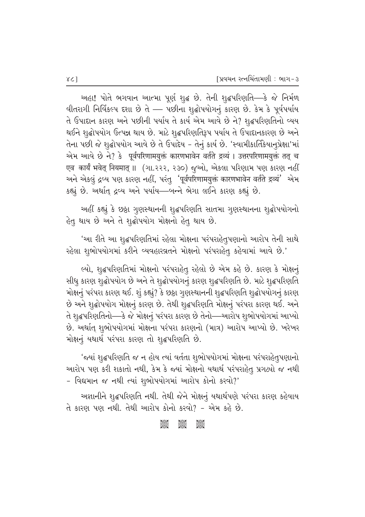અહા! પોતે ભગવાન આત્મા પૂર્ણ શુદ્ધ છે. તેની શુદ્ધપરિણતિ—કે જે નિર્મળ  $\theta$ વીતરાગી નિર્વિકલ્પ દશા છે તે — પછીના શુદ્ધોપયોગનું કારણ છે. કેમ કે પૂર્વપર્યાય તે ઉપાદાન કારણ અને પછીની પર્યાય તે કાર્ય એમ આવે છે ને? શુદ્ધપરિણતિનો વ્યય થઈને શૃદ્ધોપયોગ ઉત્પન્ન થાય છે. માટે શૃદ્ધપરિણતિરૂપ પર્યાય તે ઉપાદાનકારણ છે અને તેના પછી જે શૃદ્ધોપયોગ આવે છે તે ઉપાદેય - તેનું કાર્ય છે. 'સ્વામીકાર્તિકેયાનૂપ્રેક્ષા'માં એમ આવે છે ને? કે पूर्वपरिणामयुक्तं कारणभावेन वर्तते द्रव्यं । उत्तरपरिणामयुक्तं तत् च एव कार्यं भवेत् नियमात् ॥ (ગા.२२२, २३०) જુઓ, એકલા પરિણામ પણ કારણ નહીં અને એકલું દ્રવ્ય પણ કારણ નહીં, પરંતુ 'पूर्वपरिणामयुक्तं कारणभावेन वर्तते द्रव्यं' એમ કહ્યું છે. અર્થાત્ દ્રવ્ય અને પર્યાય—બન્ને ભેગા લઈને કારણ કહ્યું છે.

અહીં કહ્યું કે છઠ્ઠા ગુણસ્થાનની શુદ્ધપરિણતિ સાતમા ગુણસ્થાનના શુદ્ધોપયોગનો હેતુ થાય છે અને તે શૃદ્ધોપયોગ મોક્ષનો હેતુ થાય છે.

'આ રીતે આ શૃદ્ધપરિણતિમાં રહેલા મોક્ષના પરંપરાહેતૃપણાનો આરોપ તેની સાથે <u>રહેલા શૂભોપયોગમાં કરીને વ્યવહારવ્રતને મોક્ષનો પરંપરાહેતૂ કહેવામાં આવે છે.'</u>

લ્યો, શુદ્ધપરિણતિમાં મોક્ષનો પરંપરાહેત્ રહેલો છે એમ કહે છે. કારણ કે મોક્ષનું સીધુ કારણ શુદ્ધોપયોગ છે અને તે શુદ્ધોપયોગનું કારણ શુદ્ધપરિણતિ છે. માટે શુદ્ધપરિણતિ મોક્ષનું પરંપરા કારણ થઈ. શું કહ્યું? કે છઠ્ઠા ગૃણસ્થાનની શુદ્ધપરિણતિ શૃદ્ધોપયોગનું કારણ છે અને શુદ્ધોપયોગ મોક્ષનું કારણ છે. તેથી શુદ્ધપરિણતિ મોક્ષનું પરંપરા કારણ થઈ. અને તે શુદ્ધપરિણતિનો—કે જે મોક્ષનું પરંપરા કારણ છે તેનો—આરોપ શુભોપયોગમાં આપ્યો છે. અર્થાત્ શૃભોપયોગમાં મોક્ષના પરંપરા કારણનો (માત્ર) આરોપ આપ્યો છે. ખરેખર મોક્ષનું યથાર્થ પરંપરા કારણ તો શૃદ્ધપરિણતિ છે.

'જયાં શુદ્ધપરિણતિ જ ન હોય ત્યાં વર્તતા શુભોપયોગમાં મોક્ષના પરંપરાહેતુપણાનો આરોપ પણ કરી શકાતો નથી, કેમ કે જ્યાં મોક્ષનો યથાર્થ પરંપરાહેત્ પ્રગટ્યો જ નથી  $-$  વિદ્યમાન જ નથી ત્યાં શુભોપયોગમાં આરોપ કોનો કરવો?'

અજ્ઞાનીને શુદ્ધપરિણતિ નથી. તેથી જેને મોક્ષનું યથાર્થપણે પરંપરા કારણ કહેવાય તે કારણ પણ નથી. તેથી આરોપ કોનો કરવો? - એમ કહે છે.

#### aces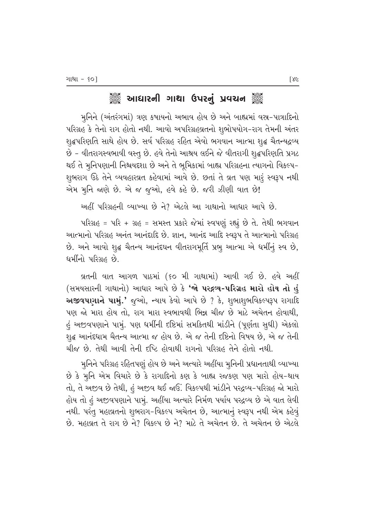## ેૢઁૺ૾ આધારની ગાથા ઉપરનું પ્રવચન ૅું

મુનિને (અંતરંગમાં) ત્રણ કષાયનો અભાવ હોય છે અને બાહ્યમાં વસ્ર-પાત્રાદિનો પરિગ્રહ કે તેનો રાગ હોતો નથી. આવો અપરિગ્રહવ્રતનો શુભોપયોગ-રાગ તેમની અંતર શૃદ્ધપરિણતિ સાથે હોય છે. સર્વ પરિગ્રહ રહિત એવો ભગવાન આત્મા શૃદ્ધ ચૈતન્યદ્રવ્ય છે - વીતરાગસ્વભાવી વસ્તુ છે. હવે તેનો આશ્રય લઈને જે વીતરાગી શુદ્ધપરિણતિ પ્રગટ થઈ તે મુનિપણાની નિશ્ચયદ્દશા છે અને તે ભૂમિકામાં બાહ્ય પરિગ્રહના ત્યાગનો વિકલ્પ− શુભરાગ ઉઠે તેને વ્યવહારવ્રત કહેવામાં આવે છે. છતાં તે વ્રત પણ મારૂં સ્વરૂપ નથી એમ મુનિ જાણે છે. એ જ જૂઓ, હવે કહે છે. જરી ઝીણી વાત છે!

અહીં પરિગ્રહની વ્યાખ્યા છે ને? એટલે આ ગાથાનો આધાર આપે છે.

પરિગ્રહ = પરિ + ગ્રહ = સમસ્ત પ્રકારે જેમાં સ્વપણું રહ્યું છે તે. તેથી ભગવાન આત્માનો પરિગ્રહ અનંત આનંદાદિ છે. જ્ઞાન, આનંદ આદિ સ્વરૂપ તે આત્માનો પરિગ્રહ છે. અને આવો શુદ્ધ ચૈતન્ય આનંદઘન વીતરાગમૂર્તિ પ્રભુ આત્મા એ ધર્મીનું સ્વ છે, ધર્મીનો પરિગ્રહ છે.

્રવ્રતની વાત આગળ પાઠમાં (૬૦ મી ગાથામાં) આવી ગઈ છે. હવે અહીં (સમયસારની ગાથાનો) આધાર આપે છે કે '**જો પરદ્રવ્ય-પરિગ્રહ મારો હોય તો હું**  $\sim$  અજીવપાગાને પામું.' જગ્યો, ન્યાય કેવો આપે છે ? કે, શુભાશુભવિકલ્પરૂપ રાગાદિ પણ જો મારા હોય તો. રાગ મારા સ્વભાવથી ભિન્ન ચીજ છે માટે અચેતન હોવાથી. હું અજીવપણાને પામું. પણ ધર્મીની દષ્ટિમાં સમકિતથી માંડીને (પૂર્ણતા સુધી) એકલો શૃદ્ધ આનંદધામ ચૈતન્ય આત્મા જ હોય છે. એ જ તેની દષ્ટિનો વિષય છે, એ જ તેની ચીજ છે. તેથી આવી તેની દષ્ટિ હોવાથી રાગનો પરિગ્રહ તેને હોતો નથી.

મુનિને પરિગ્રહ રહિતપણું હોય છે અને અત્યારે અહીંયા મુનિની પ્રધાનતાથી વ્યાખ્યા છે કે મુનિ એમ વિચારે છે કે રાગાદિનો કણ કે બાહ્ય રજકણ પણ મારો હોય-થાય તો, તે અજીવ છે તેથી, હું અજીવ થઈ જાઉં. વિકલ્પથી માંડીને પરદ્રવ્ય-પરિગ્રહ જો મારો હોય તો હં અજીવપણાને પામું. અહીંયા અત્યારે નિર્મળ પર્યાય પરદ્રવ્ય છે એ વાત લેવી નથી. પરંતુ મહાવ્રતનો શુભરાગ-વિકલ્પ અચેતન છે, આત્માનું સ્વરૂપ નથી એમ કહેવું છે. મહાવ્રત તે રાગ છે ને? વિકલ્પ છે ને? માટે તે અચેતન છે. તે અચેતન છે એટલે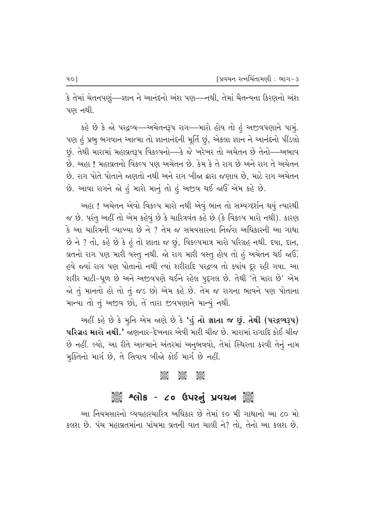કે તેમાં ચેતનપણું—્જ્ઞાન ને આનંદનો અંશ પણ—નથી, તેમાં ચૈતન્યના કિરણનો અંશ પણ નથી.

કહે છે કે જો પરદ્રવ્ય—અચેતનરૂપ રાગ—મારો હોય તો હું અજીવપણાને પામું. પણ હું પ્રભુ ભગવાન આત્મા તો જ્ઞાનાનંદની મૂર્તિ છું, એકલા જ્ઞાન ને આનંદનો પીંડલો છું. તેથી મારામાં મહાવ્રતરૂપ વિકલ્પનો—કે જે ખરેખર તો અચેતન છે તેનો—અભાવ છે. અહા ! મહાવ્રતનો વિકલ્પ પણ અચેતન છે. કેમ કે તે રાગ છે અને રાગ તે અચેતન છે. રાગ પોતે પોતાને જાણતો નથી અને રાગ બીજા દ્વારા જણાય છે, માટે રાગ અચેતન છે. આવા રાગને જો હું મારો માનું તો હું અજીવ થઈ જાઉ<sup>:</sup> એમ કહે છે.

અહા ! અચેતન એવો વિકલ્પ મારો નથી એવું ભાન તો સમ્યગ્દર્શન થયું ત્યારથી જ છે. પરંતુ અહીં તો એમ કહેવું છે કે ચારિત્રવંત કહે છે (કે વિકલ્પ મારો નથી). કારણ  $\,$ કે આ ચારિત્રની વ્યાખ્યા છે ને ? તેમ જ સમયસારના નિર્જરા અધિકારની આ ગાથા  $\hat{P}$  ને ? તો, કહે છે કે હં તો જ્ઞાતા જ છું, વિકલ્પમાત્ર મારો પરિગ્રહ નથી. દયા, દાન, વ્રતનો રાગ પણ મારી વસ્તુ નથી. જો રાગ મારી વસ્તુ હોય તો હું અચેતન થઈ જાઉં. હવે જ્યાં રાગ પણ પોતાનો નથી ત્યાં શરીરાદિ પરદ્રવ્ય તો ક્યાંય દૂર રહી ગયા. આ શરીર માટી-ધૂળ છે અને અજીવપણે થઈને રહેલ પૂદ્દગલ છે. તેથી 'તે મારા છે' એમ જો તું માનતો હો તો તું જડ છો એમ કહે છે. તેમ જ રાગના ભાવને પણ પોતાના માન્યા તો તું અજીવ છો, તે તારા જીવપણાને માન્યું નથી.

અહીં કહે છે કે મૃનિ એમ જાણે છે કે 'હું તો જ્ઞાતા જ છું. તેથી (પરદ્રવ્યરૂપ) <mark>પરિગ્રહ મારો નથી.'</mark> જાણનાર-દેખનાર એવી મારી ચીજ છે. મારામાં રાગાદિ કોઈ ચીજ છે નહીં. લ્યો, આ રીતે આત્માને અંતરમાં અનુભવવો, તેમાં સ્થિરતા કરવી તેનું નામ મુક્તિનો માર્ગ છે, તે સિવાય બીજો કોઈ માર્ગ છે નહીં.

#### C C C

# ે અલોક - ૮૦ ઉપરનું પ્રવચન ૅુ

આ નિયમસારનો વ્યવહારચારિત્ર અધિકાર છે તેમાં ૬૦ મી ગાથાનો આ ૮૦ મો કલશ છે. પંચ મહાવ્રતમાંના પાંચમા વ્રતની વાત ચાલી ને? તો, તેનો આ કલશ છે.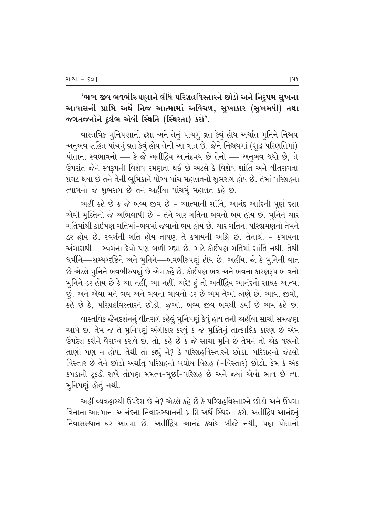'ભવ્ય જીવ ભવભીરુપણાને લીધે પરિગ્રહવિસ્તારને છોડો અને નિરૃપમ સુખના આવાસની પ્રાપ્તિ અર્થે નિજ આત્મામાં અવિચળ, સુખાકાર (સુખમયી) તથા જગતજનોને દુર્લભ એવી સ્થિતિ (સ્થિરતા) કરો'.

વાસ્તવિક મુનિપણાની દશા અને તેનું પાંચમું વ્રત કેવું હોય અર્થાત્ મૂનિને નિશ્ચય અનુભવ સહિત પાંચમું વ્રત કેવું હોય તેની આ વાત છે. જેને નિશ્ચયમાં (શુદ્ધ પરિણતિમાં) પોતાના સ્વભાવનો — કે જે અતીંદ્રિય આનંદમય છે તેનો — અનુભવ થયો છે, તે ઉપરાંત જેને સ્વરૂપની વિશેષ રમણતા થઈ છે એટલે કે વિશેષ શાંતિ અને વીતરાગતા પ્રગટ થયા છે તેને તેની ભુમિકાને યોગ્ય પાંચ મહાવ્રતનો શુભરાગ હોય છે. તેમાં પરિગ્રહના ત્યાગનો જે શુભરાગ છે તેને અહીંયા પાંચમું મહાવ્રત કહે છે.

અહીં કહે છે કે જે ભવ્ય જીવ છે - આત્માની શાંતિ, આનંદ આદિની પૂર્ણ દશા એવી મૂક્તિનો જે અભિલાષી છે - તેને ચાર ગતિના ભવનો ભય હોય છે. મૂનિને ચાર ગતિમાંથી કોઈપણ ગતિમાં-ભવમાં જવાનો ભય હોય છે. ચાર ગતિના પરિભ્રમણનો તેમને ડર હોય છે. સ્વર્ગની ગતિ હોય તોપણ તે કષાયની અગ્નિ છે. તેનાથી - કષાયના અંગારાથી - સ્વર્ગના દેવો પણ બળી રહ્યા છે. માટે કોઈપણ ગતિમાં શાંતિ નથી. તેથી ધર્મીને—સમ્યગ્દષ્ટિને અને મુનિને—ભવભીરુપણું હોય છે. અહીંયા જો કે મુનિની વાત છે એટલે મુનિને ભવભીરુપણું છે એમ કહે છે. કોઈપણ ભવ અને ભવના કારણરૂપ ભાવનો મુનિને ડર હોય છે કે આ નહીં, આ નહીં. અરે! હું તો અતીંદ્રિય આનંદનો સાધક આત્મા છું. અને એવા મને ભવ અને ભવના ભાવનો ડર છે એમ તેઓ જાણે છે. આવા જીવો, કહે છે કે, પરિગ્રહવિસ્તારને છોડો. જુઓ, ભવ્ય જીવ ભવથી ડર્યો છે એમ કહે છે.

વાસ્તવિક જૈનદર્શનનું વીતરાગે કહેલું મુનિપણું કેવું હોય તેની અહીંયા સાચી સમજણ આપે છે. તેમ જ તે મુનિપણું અંગીકાર કરવું કે જે મુક્તિનું તાત્કાલિક કારણ છે એમ ઉપદેશ કરીને વૈરાગ્ય કરાવે છે. તો, કહે છે કે જે સાચા મૂર્નિ છે તેમને તો એક વસ્ત્રનો તાણો પણ ન હોય. તેથી તો કહ્યું ને? કે પરિગ્રહવિસ્તારને છોડો. પરિગ્રહનો જેટલો વિસ્તાર છે તેને છોડો અર્થાત્ પરિગ્રહનો બધોય વિગ્રહ (-વિસ્તાર) છોડો. કેમ કે એક કપડાનો ટુકડો રાખે તોપણ મમત્વ-મૂર્છા-પરિગ્રહ છે અને જ્યાં એવો ભાવ છે ત્યાં મુનિપણું હોતું નથી.

અહીં વ્યવહારથી ઉપદેશ છે ને? એટલે કહે છે કે પરિગ્રહવિસ્તારને છોડો અને ઉપમા વિનાના આત્માના આનંદના નિવાસસ્થાનની પ્રાપ્તિ અર્થે સ્થિરતા કરો. અતીંદ્રિય આનંદનું નિવાસસ્થાન-ઘર આત્મા છે. અતીંદ્રિય આનંદ ક્યાંય બીજે નથી, પણ પોતાનો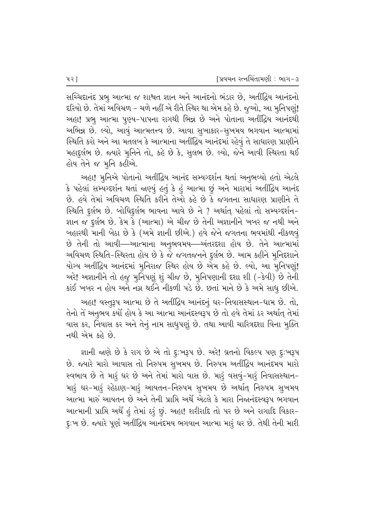સચ્ચિદાનંદ પ્રભુ આત્મા જ શાશ્વત જ્ઞાન અને આનંદનો ભંડાર છે, અતીંદ્રિય આનંદનો દરિયો છે. તેમાં અવિચળ – ચળે નહીં એ રીતે સ્થિર થા એમ કહે છે. જુઓ, આ મુનિપણું! અહા! પ્રભુ આત્મા પુણ્ય-પાપના રાગથી ભિન્ન છે અને પોતાના અતીંદ્રિય આનંદથી અભિન્ન છે. લ્યો, આવું આત્મતત્ત્વ છે. આવા સુખાકાર-સુખમય ભગવાન આત્મામાં સ્થિતિ કરો અને આ મતલબ કે આત્માના અતીંદ્રિય આનંદમાં રહેવું તે સાધારણ પ્રાણીને મહાદુર્લભ છે. જ્યારે મુનિને તો, કહે છે કે, સુલભ છે. લ્યો, જેને આવી સ્થિરતા થઈ હોય તેને જ મૂનિ કહીએ.

અહા! મુનિએ પોતાનો અતીંદ્રિય આનંદ સમ્યગ્દર્શન થતાં અનુભવ્યો હતો એટલે કે પહેલાં સમ્યગ્દર્શન થતાં જાણ્યું હતું કે હું આત્મા છું અને મારામાં અતીંદ્રિય આનંદ છે. હવે તેમાં અવિચળ સ્થિતિ કરીને તેઓ કહે છે કે જગતના સાધારણ પ્રાણીને તે સ્થિતિ દુર્લભ છે. બોધિદુર્લભ ભાવના આવે છે ને ? અર્થાત્ પહેલાં તો સમ્યગ્દર્શન-જ્ઞાન જ દુર્લભ છે. કેમ કે (આત્મા) એ ચીજ છે તેની અજ્ઞાનીને ખબર જ નથી અને બહારથી માની બેઠા છે કે (અમે જ્ઞાની છીએ.) હવે જેને જગતના ભવમાંથી નીકળવું છે તેની તો આવી—આત્માના અનુભવમય—અંતરદશા હોય છે. તેને આત્મામાં અવિચળ સ્થિતિ-સ્થિરતા હોય છે કે જે જગતજનને દુર્લભ છે. આમ કહીને મુનિદશાને યોગ્ય અતીંદ્રિય આનંદમાં મુનિરાજ સ્થિર હોય છે એમ કહે છે. લ્યો, આ મુનિપણું! અરે! અજ્ઞાનીને તો હજુ મુનિપણું શું ચીજ છે, મુનિપણાની દશા શી (-કેવી) છે તેની કાંઈ ખબર ન હોય અને નગ્ન થઈને નીકળી પડે છે. છતાં માને છે કે અમે સાધુ છીએ.

અહા! વસ્તુરૂપ આત્મા છે તે અતીંદ્રિય આનંદનું ઘર-નિવાસસ્થાન-ધામ છે. તો, તેનો તે અનુભવ કર્યો હોય કે આ આત્મા આનંદસ્વરૂપ છે તો હવે તેમાં ઠર અર્થાત્ તેમાં વાસ કર, નિવાસ કર અને તેનું નામ સાધુપણું છે. તથા આવી ચારિત્રદશા વિના મુક્તિ નથી એમ કહે છે.

જ્ઞાની જાણે છે કે રાગ છે એ તો દુઃખરૂપ છે. અરે! વ્રતનો વિકલ્પ પણ દુઃખરૂપ છે. જ્યારે મારો આવાસ તો નિરુપમ સુખમય છે. નિરુપમ અતીંદ્રિય આનંદમય મારો સ્વભાવ છે તે મારૂં ઘર છે અને તેમાં મારો વાસ છે. મારૂં વસવું-મારૂં નિવાસસ્થાન-મારૂં ઘર-મારૂં રહેઠાણ-મારૂં આયતન-નિરુપમ સુખમય છે અર્થાત્ નિરુપમ સુખમય આત્મા મારું આયતન છે અને તેની પ્રાપ્તિ અર્થે એટલે કે મારા નિજાનંદસ્વરૂપ ભગવાન આત્માની પ્રાપ્તિ અર્થે હું તેમાં કરું છું. અહા! શરીરાદિ તો પર છે અને રાગાદિ વિકાર-દૃ:ખ છે. જ્યારે પૂર્ણ અતીંદ્રિય આનંદમય ભગવાન આત્મા મારૂં ઘર છે. તેથી તેની મારી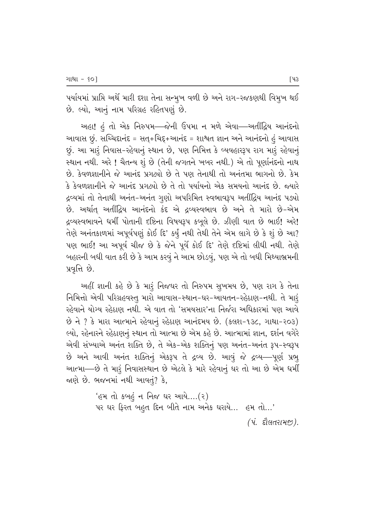પર્યાયમાં પ્રાપ્તિ અર્થે મારી દશા તેના સન્મુખ વળી છે અને રાગ-રજકણથી વિમુખ થઈ છે. લ્યો, આનું નામ પરિગ્રહ રહિતપણું છે.

અહા! હં તો એક નિરુપમ—જેની ઉપમા ન મળે એવા—અતીંદ્રિય આનંદનો આવાસ છું. સચ્ચિદાનંદ = સત્+ચિદ્દ+આનંદ = શાશ્વત જ્ઞાન અને આનંદનો હં આવાસ છું. આ મારૂં નિવાસ-રહેવાનું સ્થાન છે, પણ નિમિત્ત કે વ્યવહારરૂપ રાગ મારૂં રહેવાનું સ્થાન નથી. અરે ! ચૈતન્ય શું છે (તેની જગતને ખબર નથી.) એ તો પૂર્ણાનંદનો નાથ છે. કેવળજ્ઞાનીને જે આનંદ પ્રગટ્યો છે તે પણ તેનાથી તો અનંતમા ભાગનો છે. કેમ  $\hat A$  ફેવળજ્ઞાનીને જે આનંદ પગત્થો છે તે તો પર્યાયનો એક સમયનો આનંદ છે. જ્યારે દ્રવ્યમાં તો તેનાથી અનંત-અનંત ગુણો અપરિમિત સ્વભાવરૂપ અતીંદ્રિય આનંદ પડ્યો છે. અર્થાત્ અતીંદ્રિય આનંદનો કંદ એ દ્રવ્યસ્વભાવ છે અને તે મારો છે-એમ દ્રવ્યસ્વભાવને ધર્મી પોતાની દષ્ટિના વિષયરૂપ કબૂલે છે. ઝીણી વાત છે ભાઈ! અરે! તેણે અનંતકાળમાં અપૂર્વપણું કોઈ દિ' કર્યું નથી તેથી તેને એમ લાગે છે કે શું છે આ? પણ ભાઈ! આ અપૂર્વ ચીજ છે કે જેને પૂર્વે કોઈ દિ' તેણે દષ્ટિમાં લીધી નથી. તેણે બહારની બધી વાત કરી છે કે આમ કરવું ને આમ છોડવું, પણ એ તો બધી મિથ્યાભ્રમની પ્રવૃત્તિ છે.

અહીં જ્ઞાની કહે છે કે મારૂં નિજઘર તો નિરુપમ સુખમય છે, પણ રાગ કે તેના fiful એવી પરિગ્રહવસ્તુ મારો આવાસ-સ્થાન-ઘર-આયતન-રહેઠાણ-નથી. તે મારૂં રહેવાને યોગ્ય રહેઠાણ નથી. એ વાત તો 'સમયસાર'ના નિર્જરા અધિકારમાં પણ આવે છે ને ? કે મારા આત્માને રહેવાનું રહેઠાણ આનંદમય છે. (કલશ-૧૩૮, ગાથા-૨૦૩) લ્યો, રહેનારને રહેઠાણનું સ્થાન તો આત્મા છે એમ કહે છે. આત્મામાં જ્ઞાન, દર્શન વગેરે એવી સંખ્યાએ અનંત શક્તિ છે, તે એક-એક શક્તિનું પણ અનંત-અનંત રૂપ-સ્વરૂપ છે અને આવી અનંત શક્તિનું એકરૂપ તે દ્રવ્ય છે. આવું જે દ્રવ્ય—પૂર્ણ પ્રભુ આત્મા—છે તે મારૂં નિવાસસ્થાન છે એટલે કે મારે રહેવાનું ઘર તો આ છે એમ ધર્મી જાણે છે. ભજનમાં નથી આવતું? કે,

> 'હમ તો કબહું ન નિજ ઘર આયે….(૨)  $n$ યર ઘર ફિરત બહુત દિન બીતે નામ અનેક ઘરાયે... હમ તો...'

> > *(પં. દૌલતરામ*જી).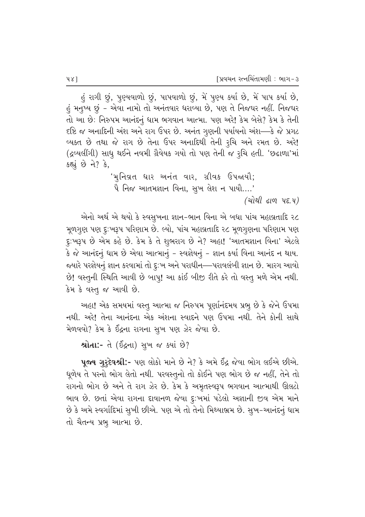હું રાગી છું, પુણ્યવાળો છું, પાપવાળો છું, મેં પુણ્ય કર્યા છે, મેં પાપ કર્યા છે, હું મનુષ્ય છું – એવા નામો તો અનંતવાર ધરાવ્યા છે, પણ તે નિજઘર નહીં. નિજઘર તો આ છે: નિરુપમ આનંદનું ધામ ભગવાન આત્મા. પણ અરે! કેમ બેસે? કેમ કે તેની  $\epsilon$ ષ્ટિ જ અનાદિની અંશ અને રાગ ઉપર છે. અનંત ગુણની પર્યાયનો અંશ—કે જે પ્રગટ વ્યક્ત છે તથા જે રાગ છે તેના ઉપર અનાદિથી તેની રૂચિ અને રમત છે. અરે! (દ્રવ્યલીંગી) સાધુ થઈને નવમી ગ્રૈવેયક ગયો તો પણ તેની જ રૂચિ હતી. 'છઢાળા'માં કહ્યું છે ને? કે,

> 'મુનિવ્રત ધાર અનંત વાર, ગ્રીવક ઉપજાયૌ;  $\hat{A}$  નિજ આતમજ્ઞાન વિના, સુખ લેશ ન પાયૌ….'

> > *(योथी ढाण पह.य)*

એનો અર્થ એ થયો કે સ્વસુખના જ્ઞાન-ભાન વિના એ બધા પાંચ મહાવ્રતાદિ ર૮ મૂળગુણ પણ દુ:ખરૂપ પરિણામ છે. લ્યો, પાંચ મહાવ્રતાદિ ૨૮ મૂળગુણના પરિણામ પણ દુ:ખરૂપ છે એમ કહે છે. કેમ કે તે શુભરાગ છે ને? અહા! 'આતમજ્ઞાન વિના' એટલે કે જે આનંદનું ધામ છે એવા આત્માનું – સ્વજ્ઞેયનું – જ્ઞાન કર્યા વિના આનંદ ન થાય. જયારે પરજ્ઞેયનું જ્ઞાન કરવામાં તો દુઃખ અને પરાધીન—પરાવલંબી જ્ઞાન છે. મારગ આવો છે! વસ્તુની સ્થિતિ આવી છે બાપુ! આ કાંઈ બીજી રીતે કરે તો વસ્તુ મળે એમ નથી. કેમ કે વસ્તુ જ આવી છે.

આહા! એક સમયમાં વસ્તુ આત્મા જ નિરુપમ પૂર્ણાનંદમય પ્રભુ છે કે જેને ઉપમા નથી. અરે! તેના આનંદના એક અંશના સ્વાદને પણ ઉપમા નથી. તેને કોની સાથે મેળવવો? કેમ કે ઈંદ્રના રાગના સુખ પણ ઝેર જેવા છે.

શ્રોતા:- તે (ઈંદ્રના) સુખ જ ક્યાં છે?

પૂ**જ્ય** ગુરૂ**દેવશ્રી:**- પણ લોકો માને છે ને? કે અમે ઈંદ્ર જેવા ભોગ લઈએ છીએ. ધૂળેય તે પરનો ભોગ લેતો નથી. પરવસ્તુનો તો કોઈને પણ ભોગ છે જ નહીં, તેને તો રાગનો ભોગ છે અને તે રાગ ઝેર છે. કેમ કે અમૃતસ્વરૂપ ભગવાન આત્માથી ઊલટો <sub>્ભાવ</sub> છે. છતાં એવા રાગના દાવાનળ જેવા દુઃખમાં પડેલો અજ્ઞાની જીવ એમ માને છે કે અમે સ્વર્ગાદિમાં સુખી છીએ. પણ એ તો તેનો મિથ્યાભ્રમ છે. સુખ-આનંદનું ધામ તો ચૈતન્ય પ્રભુ આત્મા છે.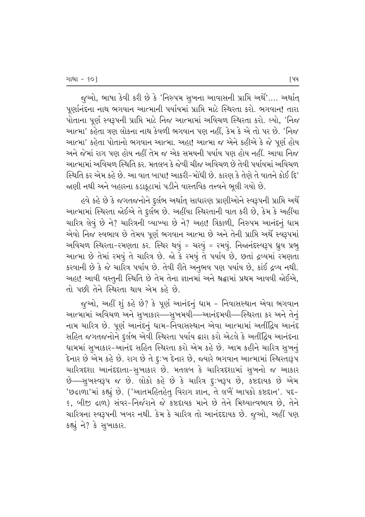જુઓ, ભાષા કેવી કરી છે કે 'નિરુપમ સુખના આવાસની પ્રાપ્તિ અર્થે'.... અર્થાત્ પૂર્ણાનંદના નાથ ભગવાન આત્માની પર્યાયમાં પ્રાપ્તિ માટે સ્થિરતા કરો. ભગવાન! તારા પોતાના પૂર્ણ સ્વરૂપની પ્રાપ્તિ માટે નિજ આત્મામાં અવિચળ સ્થિરતા કરો. લ્યો, 'નિજ આત્મા' કહેતા ત્રણ લોકના નાથ કેવળી ભગવાન પણ નહીં, કેમ કે એ તો પર છે. 'નિજ આત્મા' કહેતા પોતાનો ભગવાન આત્મા. અહા! આત્મા જ એને કહીએ કે જે પૂર્ણ હોય આને જેમાં રાગ પણ હોય નહીં તેમ જ એક સમયની પર્યાય પણ હોય નહીં. આવા નિજ આત્મામાં અવિચળ સ્થિતિ કર. મતલબ કે જેવી ચીજ અવિચળ છે તેવી પર્યાયમાં અવિચળ સ્થિતિ કર એમ કહે છે. આ વાત બાપા! આકરી-મોંધી છે. કારણ કે તેણે તે વાતને કોઈ દિ' જાણી નથી અને બહારના કડાકૂટામાં પડીને વાસ્તવિક તત્ત્વને ભૂલી ગયો છે.

હવે કહે છે કે જગતજનોને દુર્લભ અર્થાત્ સાધારણ પ્રાણીઓને સ્વરૂપની પ્રાપ્તિ અર્થે આત્મામાં સ્થિરતા જોઈએ તે દુર્લભ છે. અહીંયા સ્થિરતાની વાત કરી છે, કેમ કે અહીંયા ચારિત્ર લેવું છે ને? ચારિત્રની વ્યાખ્યા છે ને? અહા! ત્રિકાળી, નિરુપમ આનંદનું ધામ એવો નિજ સ્વભાવ છે તેમય પૂર્ણ ભગવાન આત્મા છે અને તેની પ્રાપ્તિ અર્થે સ્વરૂપમાં અવિચળ સ્થિરતા-રમણતા કર. સ્થિર થવું = ચરવું = રમવું. નિજાનંદસ્વરૂપ ધ્રુવ પ્રભુ આત્મા છે તેમાં રમવું તે ચારિત્ર છે. જો કે રમવું તે પર્યાય છે, છતાં દ્રવ્યમાં રમણતા કરવાની છે કે જે ચારિત્ર પર્યાય છે. તેવી રીતે અનુભવ પણ પર્યાય છે, કાંઈ દ્રવ્ય નથી. અહા! આવી વસ્તુની સ્થિતિ છે તેમ તેના જ્ઞાનમાં અને શ્રદ્ધામાં પ્રથમ આવવી જોઈએ, તો પછી તેને સ્થિરતા થાય એમ કહે છે.

જુઓ, અહીં શું કહે છે? કે પૂર્ણ આનંદનું ધામ - નિવાસસ્થાન એવા ભગવાન આત્મામાં અવિચળ અને સુખાકાર—સુખમયી—આનંદમયી—સ્થિરતા કર અને તેનું નામ ચારિત્ર છે. પૂર્ણ આનંદનું ધામ-નિવાસસ્થાન એવા આત્મામાં અતીંદ્રિય આનંદ સહિત જગતજનોને દુર્લભ એવી સ્થિરતા પર્યાય ક્રારા કરો એટલે કે અતીંદ્રિય આનંદના ધામમાં સુખાકાર-આનંદ સહિત સ્થિરતા કરો એમ કહે છે. આમ કહીને ચારિત્ર સુખનું  $\hat{\epsilon}$ નાર છે એમ કહે છે. રાગ છે તે દુ:ખ દેનાર છે, જ્યારે ભગવાન આત્મામાં સ્થિરતારૂપ ચારિત્રદશા આનંદદાતા-સુખાકાર છે. મતલબ કે ચારિત્રદશામાં સુખનો જ આકાર છે—સુખસ્વરૂપ જ છે. લોકો કહે છે કે ચારિત્ર દુઃખરૂપ છે, કષ્ટદાયક છે એમ 'છઢાળા'માં કહ્યું છે. ('આતમહિતહેતુ વિરાગ જ્ઞાન, તે લખૈં આપકો કષ્ટદાન'. પદ− 6, બીજી ઢાળ) સંવર-નિર્જરાને જે કષ્ટદાયક માને છે તેને મિથ્યાત્વભાવ છે, તેને ચારિત્રના સ્વરૂપની ખબર નથી. કેમ કે ચારિત્ર તો આનંદદાયક છે. જુઓ, અહીં પણ કહ્યું ને? કે સુખાકાર.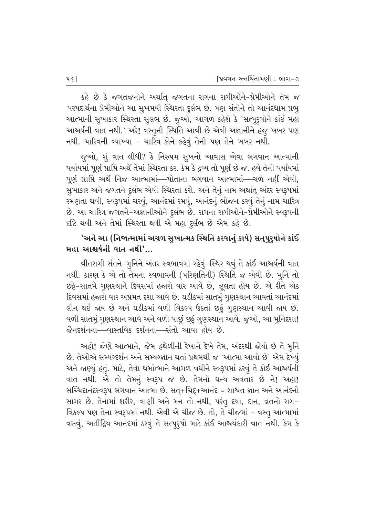કહે છે કે જગતજનોને અર્થાત્ જગતના રાગના રાગીઓને–પ્રેમીઓને તેમ જ પરપદાર્થના પ્રેમીઓને આ સુખમયી સ્થિરતા દુર્લભ છે. પણ સંતોને તો આનંદધામ પ્રભુ આત્માની સુખાકાર સ્થિરતા સુલભ છે. જુઓ, આગળ કહેશે કે 'સત્પુરૃષોને કાંઈ મહા આશ્ચર્યની વાત નથી.' અરે! વસ્તૂની સ્થિતિ આવી છે એવી અજ્ઞાનીને હજુ ખબર પણ નથી. ચારિત્રની વ્યાખ્યા - ચારિત્ર કોને કહેવું તેની પણ તેને ખબર નથી.

જુઓ, શું વાત લીધી? કે નિરુપમ સુખનો આવાસ એવા ભગવાન આત્માની પર્યાયમાં પૂર્ણ પ્રાપ્તિ અર્થે તેમાં સ્થિરતા કર. કેમ કે દ્રવ્ય તો પૂર્ણ છે જ. હવે તેની પર્યાયમાં પૂર્ણ પ્રાપ્તિ અર્થે નિજ આત્મામાં—પોતાના ભગવાન આત્મામાં—ચળે નહીં એવી, સુખાકાર અને જગતને દુર્લભ એવી સ્થિરતા કરો. અને તેનું નામ અર્થાત્ અંદર સ્વરૂપમાં રમણતા થવી, સ્વરૂપમાં ચરવું, આનંદમાં રમવું, આનંદનું ભોજન કરવું તેનું નામ ચારિત્ર છે. આ ચારિત્ર જગતને-અજ્ઞાનીઓને દુર્લભ છે. રાગના રાગીઓને-પ્રેમીઓને સ્વરૂપની દષ્ટિ થવી અને તેમાં સ્થિરતા થવી એ મહા દુર્લભ છે એમ કહે છે.

## 'અને આ (નિજાત્મામાં અચળ સુખાત્મક સ્થિતિ કરવાનું કાર્ય) સતપુરૂષોને કાંઈ મહા આશ્ચર્યની વાત નથી $'...$

વીતરાગી સંતને-મૂનિને અંતર સ્વભાવમાં રહેવું-સ્થિર થવું તે કાંઈ આશ્ચર્યની વાત નથી. કારણ કે એ તો તેમના સ્વભાવની (પરિણતિની) સ્થિતિ જ એવી છે. મૂનિ તો છઠ્ઠે-સાતમે ગુણસ્થાને દિવસમાં હજારો વાર આવે છે, ઝૂલતા હોય છે. એ રીતે એક દિવસમાં હજારો વાર અપ્રમત દશા આવે છે. ઘડીકમાં સાતમું ગુણસ્થાન આવતાં આનંદમાં લીન થઈ જાય છે અને ઘડીકમાં વળી વિકલ્પ ઉઠતાં છઠું ગુણસ્થાન આવી જાય છે. વળી સાતમું ગુણસ્થાન આવે અને વળી પાછું છઠું ગુણસ્થાન આવે. જૂઓ, આ મુનિદશા! જૈનદર્શનના—વાસ્તવિક દર્શનના—સંતો આવા હોય છે.

આહો! જેણે આત્માને, જેમ હથેળીની રેખાને દેખે તેમ, અંદરથી જોયો છે તે મુનિ છે. તેઓએ સમ્યગ્દર્શન અને સમ્યગ્જ્ઞાન થતાં પ્રથમથી જ 'આત્મા આવો છે' એમ દેખ્યું આને જાણ્યું હતું. માટે, તેવા ધર્માત્માને આગળ વધીને સ્વરૂપમાં ઠરવું તે કોઈ આશ્ચર્યની વાત નથી. એ તો તેમનું સ્વરૂપ જ છે. તેમનો ધન્ય અવતાર છે ને! અહા! સચ્ચિદાનંદસ્વરૂપ ભગવાન આત્મા છે. સત્+ચિદ્દ+આનંદ = શાશ્વત જ્ઞાન અને આનંદનો સાગર છે. તેનામાં શરીર, વાણી અને મન તો નથી, પરંતુ દયા, દાન, વ્રતનો રાગ– વિકલ્પ પણ તેના સ્વરૂપમાં નથી. એવી એ ચીજ છે. તો, તે ચીજમાં - વસ્તુ આત્મામાં વસવું, અતીંદ્રિય આનંદમાં ઠરવું તે સત્પુરૃષો માટે કાંઈ આશ્ચર્યકારી વાત નથી. કેમ કે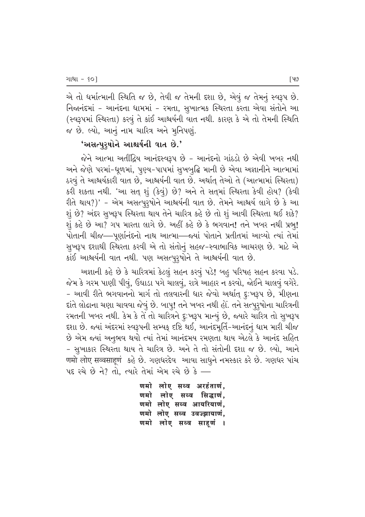એ તો ધર્માત્માની સ્થિતિ જ છે, તેવી જ તેમની દશા છે, એવું જ તેમનું સ્વરૂપ છે. નિજાનંદમાં – આનંદના ધામમાં – રમતા, સુખાત્મક સ્થિરતા કરતા એવા સંતોને આ (સ્વરૂપમાં સ્થિરતા) કરવું તે કાંઈ આશ્ચર્યની વાત નથી. કારણ કે એ તો તેમની સ્થિતિ જ છે. લ્યો, આનું નામ ચારિત્ર અને મુનિપણું.

### *'*અસત્પરષોને આશ્ચર્યની વાત છે.'

જેને આત્મા અતીંદ્રિય આનંદસ્વરૂપ છે – આનંદનો ગાંઠડો છે એવી ખબર નથી અને જેણે પરમાં-ધૂળમાં, પુણ્ય-પાપમાં સુખબુદ્ધિ માની છે એવા અજ્ઞાનીને આત્મામાં ઠરવું તે આશ્ચર્યકારી વાત છે, આશ્ચર્યની વાત છે. અર્થાત્ તેઓ તે (આત્મામાં સ્થિરતા) કરી શકતા નથી. 'આ સત્ શું (કેવું) છે? અને તે સત્**માં સ્થિરતા કેવી હોય?** (કેવી રીતે થાય?)' - એમ અસત્પુરૃષોને આશ્ચર્યની વાત છે. તેમને આશ્ચર્ય લાગે છે કે આ શું છે? અંદર સૂખરૂપ સ્થિરતા થાય તેને ચારિત્ર કહે છે તો શું આવી સ્થિરતા થઈ શકે? શું કહે છે આ? ગપ મારતા લાગે છે. અહીં કહે છે કે ભગવાન! તને ખબર નથી પ્રભુ! પોતાની ચીજ—પૂર્ણાનંદનો નાથ આત્મા—જયાં પોતાને પ્રતીતમાં આવ્યો ત્યાં તેમાં સુખરૂપ દશાથી સ્થિરતા કરવી એ તો સંતોનું સહજ−સ્વાભાવિક આચરણ છે. માટે એ કાંઈ આશ્ચર્યની વાત નથી. પણ અસત્પુરૃષોને તે આશ્ચર્યની વાત છે.

અજ્ઞાની કહે છે કે ચારિત્રમાં કેટલું સહન કરવું પડે! બહુ પરિષહ સહન કરવા પડે. જેમ કે ગરમ પાણી પીવું, ઉઘાડા પગે ચાલવું, રાત્રે આહાર ન કરવો, જોઈને ચાલવું વગેરે. – આવી રીતે ભગવાનનો માર્ગ તો તલવારની ધાર જેવો અર્થાત્ દૃ:ખરૂપ છે, મીણના દાંતે લોઢાના ચણા ચાવવા જેવું છે. બાપ્! તને ખબર નથી હોં. તને સત્પુરૃષોના ચારિત્રની રમતની ખબર નથી. કેમ કે તે તો ચારિત્રને દુઃખરૂપ માન્યું છે, જ્યારે ચારિત્ર તો સુખરૂપ દશા છે. જ્યાં અંદરમાં સ્વરૂપની સમ્યક્ દષ્ટિ થઈ, આનંદમૂર્તિ-આનંદનું ધામ મારી ચીજ  $\dot{\vartheta}$  એમ જ્યાં અનુભવ થયો ત્યાં તેમાં આનંદમય રમણતા થાય એટલે કે આનંદ સહિત - સુખાકાર સ્થિરતા થાય તે ચારિત્ર છે. અને તે તો સંતોની દશા જ છે. લ્યો, આને णमो लोए सव्वसाहणं કહે છે. ગણધરદેવ આવા સાધુને નમસ્કાર કરે છે. ગણધર પાંચ પદ રચે છે ને? તો, ત્યારે તેમાં એમ રચે છે કે —

> णमो लोए सब्ब अरहंताणं, णमो लोए सब्व सिद्धाणं. णमो लोए सब्व आयरियाणं. णमो लोए सब्ब उवज्झायाणं, णमो लोए सब्व साहणं ।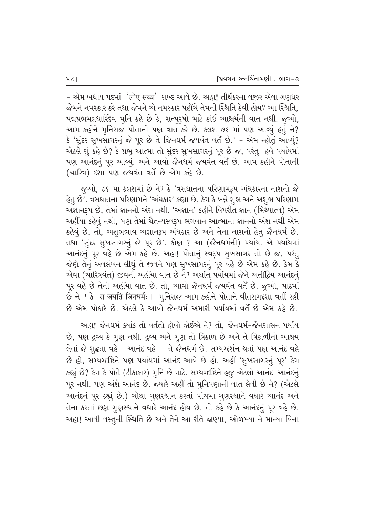- એમ બધાય પદમાં 'लोए सव्व' શબ્દ આવે છે. અહા! તીર્થંકરના વજીર એવા ગણધર જેમને નમસ્કાર કરે તથા જેમને એ નમસ્કાર પહોંચે તેમની સ્થિતિ કેવી હોય? આ સ્થિતિ. પદ્મપ્રભમલધારિદેવ મુનિ કહે છે કે, સત્પુરૂષો માટે કાંઈ આશ્ચર્યની વાત નથી. જુઓ, આમ કહીને મુનિરાજ પોતાની પણ વાત કરે છે. કલશ ૭૬ માં પણ આવ્યું હતું ને? કે 'સુંદર સુખસાગરનું જે પૂર છે તે જિનધર્મ જયવંત વર્તે છે.' - એમ ન્હોતું આવ્યું? એટલે શું કહે છે? કે પ્રભુ આત્મા તો સુંદર સુખસાગરનું પૂર છે જ, પરંતુ હવે પર્યાયમાં પણ આનંદનું પૂર આવ્યું. અને આવો જૈનધર્મ જયવંત વર્તે છે. આમ કહીને પોતાની (ચારિત્ર) દશા પણ જયવંત વર્તે છે એમ કહે છે.

જૂઓ, ૭૬ મા કલશમાં છે ને? કે 'ત્રસઘાતના પરિણામરૂપ અંધકારના નાશનો જે હેતુ છે'. ત્રસઘાતના પરિણામને 'અંધકાર' કહ્યા છે, કેમ કે બન્ને શુભ અને અશુભ પરિણામ અજ્ઞાનરૂપ છે, તેમાં જ્ઞાનનો અંશ નથી. 'અજ્ઞાન' કહીને વિપરીત જ્ઞાન (મિથ્યાત્વ) એમ અહીંયા કહેવું નથી, પણ તેમાં ચૈતન્યસ્વરૂપ ભગવાન આત્માના જ્ઞાનનો અંશ નથી એમ કહેવું છે. તો, અશુભભાવ અજ્ઞાનરૂપ અંધકાર છે અને તેના નાશનો હેતુ જૈનધર્મ છે. તથા 'સુંદર સુખસાગરનું જે પૂર છે'. કોણ ? આ (જૈનધર્મની) પર્યાય. એ પર્યાયમાં આનંદનું પૂર વહે છે એમ કહે છે. અહા! પોતાનું સ્વરૂપ સુખસાગર તો છે જ, પરંતુ જેણે તેનું અવલંબન લીધું તે જીવને પણ સુખસાગરનું પૂર વહે છે એમ કહે છે. કેમ કે એવા (ચારિત્રવંત) જીવની અહીંયા વાત છે ને? અર્થાત્ પર્યાયમાં જેને અતીંદ્રિય આનંદનું પૂર વહે છે તેની અહીંયા વાત છે. તો, આવો જૈનધર્મ જયવંત વર્તે છે. જૂઓ, પાઠમાં છે ને ? કે स जयति जिनधर्मः । મુનિરાજ આમ કહીને પોતાને વીતરાગદરાા વર્તી રહી  $\dot{\vartheta}$  એમ પોકારે છે. એટલે કે આવો જૈનધર્મ અમારી પર્યાયમાં વર્તે છે એમ કહે છે.

આહા! જૈનધર્મ ક્યાંક તો વર્તતો હોવો જોઈએ ને? તો, જૈનધર્મ-જૈનશાસન પર્યાય છે, પણ દ્રવ્ય કે ગુણ નથી. દ્રવ્ય અને ગુણ તો ત્રિકાળ છે અને તે ત્રિકાળીનો આશ્રય લેતાં જે શુદ્ધતા વહે—આનંદ વહે —તે જૈનધર્મ છે. સમ્યગ્દર્શન થતાં પણ આનંદ વહે છે હો, સમ્યગ્દષ્ટિને પણ પર્યાયમાં આનંદ આવે છે હો. અહીં 'સૂખસાગરનું પૂર' કેમ કહ્યું છે? કેમ કે પોતે (ટીકાકાર) મુનિ છે માટે. સમ્યગ્દષ્ટિને હજુ એટલો આનંદ-આનંદનું પૂર નથી, પણ અંશે આનંદ છે. જ્યારે અહીં તો મુનિપણાની વાત લેવી છે ને? (એટલે આનંદનું પૂર કહ્યું છે.) ચોથા ગુણસ્થાન કરતાં પાંચમા ગુણસ્થાને વધારે આનંદ અને તેના કરતાં છઠ્ઠા ગુણસ્થાને વધારે આનંદ હોય છે. તો કહે છે કે આનંદનું પૂર વહે છે. અહા! આવી વસ્તુની સ્થિતિ છે અને તેને આ રીતે જાણ્યા, ઓળખ્યા ને માન્યા વિના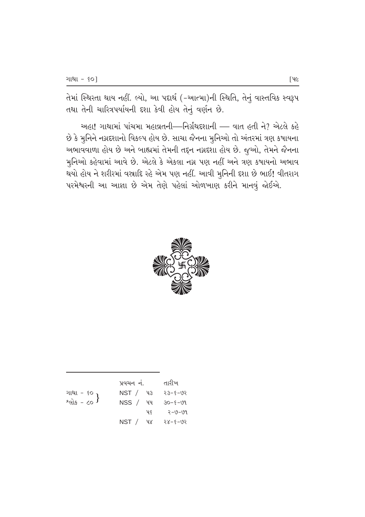તેમાં સ્થિરતા થાય નહીં. લ્યો, આ પદાર્થ (-આત્મા)ની સ્થિતિ, તેનું વાસ્તવિક સ્વરૂપ તથા તેની ચારિત્રપર્યાયની દશા કેવી હોય તેનું વર્ણન છે.

અહા! ગાથામાં પાંચમા મહાવ્રતની—નિર્ગ્રંથદશાની — વાત હતી ને? એટલે કહે છે કે મુનિને નગ્નદશાનો વિકલ્પ હોય છે. સાચા જૈનના મુનિઓ તો અંતરમાં ત્રણ કષાયના અભાવવાળા હોય છે અને બાહ્યમાં તેમની તદ્દન નગ્નદશા હોય છે. જુઓ, તેમને જૈનના મુનિઓ કહેવામાં આવે છે. એટલે કે એકલા નગ્ન પણ નહીં અને ત્રણ કષાયનો અભાવ ·<br>થયો હોય ને શરીરમાં વસ્રાદિ રહે એમ પણ નહીં. આવી મુનિની દશા છે ભાઈ! વીતરાગ પરમેશ્વરની આ આજ્ઞા છે એમ તેણે પહેલાં ઓળખાણ કરીને માનવું જોઈએ.



|                                      | પ્રવચન નં. |    | તારીખ         |
|--------------------------------------|------------|----|---------------|
| ગાથા - ૬૦<br>શ્લોક - ૮૦ <sup>}</sup> | NST / 43   |    | २३-६-७२       |
|                                      | NSS / W    |    | $30 - 5 - 09$ |
|                                      |            | પ૬ | २-७-७१        |
|                                      | NST / W    |    | $-50 - 8 - 8$ |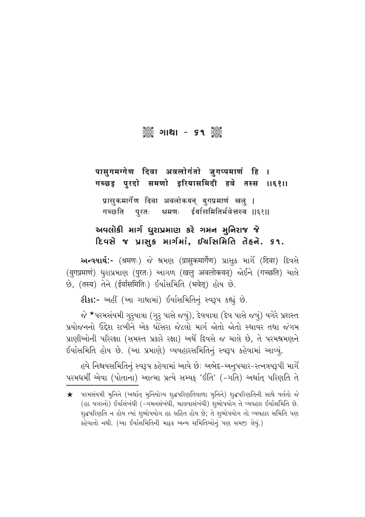# ୁଁ ।।ଥା - ୨९ କୁଁ

## पासुगमग्गेण दिवा अवलोगंतो जुगप्पमाणं हि । गच्छइ पुरदो समणो इरियासमिदी हवे तस्स ।।६१।।

प्रासुकमार्गेण दिवा अवलोकयन् युगप्रमाणं खल् । श्रमणः ईर्यासमितिर्भवेत्तस्य ॥६१॥ गच्छति पुरतः

## અવલોકી માર્ગ ધુરાપ્રમાણ કરે ગમન મુનિરાજ જે દિવસે જ પ્રાસુક માર્ગમાં, ઈર્ચાસમિતિ તેહને. ૬૧.

અન્વયાર્થ:- (श्रमणः) જે શ્રમણ (प्रासुकमार्गेण) પ્રાસુક માર્ગે (दिवा) દિવસે છે, (तस्य) તેને (ईर्यासमितिः) ઈર્યાસમિતિ (भवेत्) હોય છે.

ટીકા:- અહીં (આ ગાથામાં) ઈર્યાસમિતિનું સ્વરૂપ કહ્યું છે.

જે \*પરમસંયમી ગુરૂયાત્રા (ગુરૂ પાસે જવું), દેવયાત્રા (દેવ પાસે જવું) વગેરે પ્રશસ્ત પ્રયોજનનો ઉદ્દેશ રાખીને એક ધોસરા જેટલો માર્ગ જોતો જોતો સ્થાવર તથા જંગમ પ્રાણીઓની પરિરક્ષા (સમસ્ત પ્રકારે રક્ષા) અર્થે દિવસે જ ચાલે છે. તે પરમશ્રમણને ઈર્યાસમિતિ હોય છે. (આ પ્રમાણે) વ્યવહારસમિતિનું સ્વરૂપ કહેવામાં આવ્યું.

હવે નિશ્ચયસમિતિનું સ્વરૂપ કહેવામાં આવે છે: અભેદ-અનુપચાર-રત્નત્રયરૂપી માર્ગે પરમધર્મી એવા (પોતાના) આત્મા પ્રત્યે સમ્યક્ 'ઈતિ' (-ગતિ) અર્થાત્ પરિણતિ તે

<sup>★</sup> પરમસંયમી મુનિને (અર્થાત્ મુનિયોગ્ય શુદ્ધપરિણતિવાળા મુનિને) શુદ્ધપરિણતિની સાથે વર્તતો જે (હઠ વગરનો) ઈર્યાસંબંધી (-ગમનસંબંધી, ચાલવાસંબંધી) શુભોપયોગ તે વ્યવહાર ઈર્યાસમિતિ છે. શૃદ્ધપરિણતિ ન હોય ત્યાં શૃભોપયોગ હઠ સહિત હોય છે; તે શૃભોપયોગ તો વ્યવહાર સમિતિ પણ કહેવાતો નથી. (આ ઈર્યાસમિતિની માફક અન્ય સમિતિઓનું પણ સમજી લેવું.)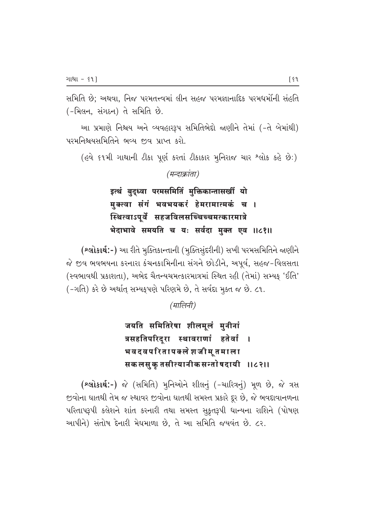સમિતિ છે: અથવા. નિજ પરમતત્ત્વમાં લીન સહજ પરમજ્ઞાનાદિક પરમધર્મોની સંહતિ (-મિલન, સંગઠન) તે સમિતિ છે.

આ પ્રમાણે નિશ્ચય અને વ્યવહારરૂપ સમિતિભેદો જાણીને તેમાં (-તે બેમાંથી) પરમનિશ્ચયસમિતિને ભવ્ય જીવ પ્રાપ્ત કરો.

(હવે ૬૧મી ગાથાની ટીકા પૂર્ણ કરતાં ટીકાકાર મુનિરાજ ચાર શ્લોક કહે છે:)

### (मन्दाक्रांता)

इत्थं बुद्ध्वा परमसमितिं मुक्तिकान्तासखीं यो मुक्त्वा संगं भवभयकरं हेमरामात्मकं च । स्थित्वाऽपूर्वे सहजविलसच्चिच्चमत्कारमात्रे भेदाभावे समयति च यः सर्वदा मुक्त एव ॥८१॥

(શ્લોકાર્થ:-) આ રીતે મુક્તિકાન્તાની (મુક્તિસુંદરીની) સખી પરમસમિતિને જાણીને જે જીવ ભવભયના કરનારા કંચનકામિનીના સંગને છોડીને, અપૂર્વ, સહજ-વિલસતા (સ્વભાવથી પ્રકાશતા), અભેદ ચૈતન્યચમત્કારમાત્રમાં સ્થિત રહી (તેમાં) સમ્યકુ 'ઈતિ' (-ગતિ) કરે છે અર્થાત્ સમ્યકૃપણે પરિણમે છે, તે સર્વદા મૂક્ત જ છે. ૮૧.

(मालिनी)

जयति समितिरेषा शीलमुलं मुनीनां त्रसहतिपरिदरा स्थावराणां हतेर्वा  $\blacksquare$ भवदवपरितापक्ले शजीमू तमाला सकलसुकु तसीत्यानीकसन्तोषदायी ॥८२॥

(શ્લોકાર્થ:-) જે (સમિતિ) મુનિઓને શીલનું (-ચારિત્રનું) મૂળ છે, જે ત્રસ જીવોના ઘાતથી તેમ જ સ્થાવર જીવોના ઘાતથી સમસ્ત પ્રકારે દૂર છે, જે ભવદાવાનળના પરિતાપરૂપી કલેશને શાંત કરનારી તથા સમસ્ત સૂકૃતરૂપી ધાન્યના રાશિને (પોષણ આપીને) સંતોષ દેનારી મેઘમાળા છે. તે આ સમિતિ જયવંત છે. ૮૨.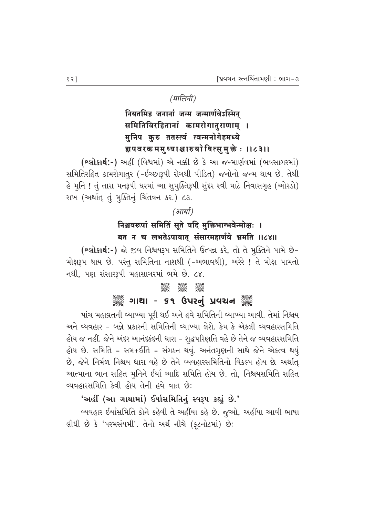## (मालिनी)

# नियतमिह जनानां जन्म जन्मार्णवेऽस्मिन् समितिविरहितानां कामरोगातुराणाम् । मुनिप कुरु ततस्त्वं त्वन्मनोगेहमध्ये ह्यपवरक ममुष्याश्चारुयो षित्सुमुक्तेः ।।८३।।

(શ્લોકાર્થ:-) અહીં (વિશ્વમાં) એ નક્કી છે કે આ જન્માર્ણવમાં (ભવસાગરમાં) સમિતિરહિત કામરોગાતુર (-ઈચ્છારૂપી રોગથી પીડિત) જનોનો જન્મ થાય છે. તેથી હે મુનિ ! તું તારા મનરૂપી ઘરમાં આ સુમુક્તિરૂપી સુંદર સ્ત્રી માટે નિવાસગૃહ (ઓરડો) રાખ (અર્થાત્ તું મુક્તિનું ચિંતવન કર.) ૮૩.

#### (आर्या)

## निश्चयरूपां समितिं सूते यदि मुक्तिभाग्भवेन्मोक्षः । बत न च लभतेऽपायात् संसारमहार्णवे भ्रमति ॥८४॥

(શ્લોકાર્થ:-) જો જીવ નિશ્ચયરૂપ સમિતિને ઉત્પન્ન કરે, તો તે મુક્તિને પામે છે-મોક્ષરૂપ થાય છે. પરંતુ સમિતિના નાશથી (-અભાવથી), અરેરે ! તે મોક્ષ પામતો નથી, પણ સંસારરૂપી મહાસાગરમાં ભમે છે. ૮૪.

#### **Beec**

# ૢૺૺૺૺ૾ૢૺ ગાથા - ૬૧ ઉપરનું પ્રવચન ૢ૾ૺૺ૾ૢૺ

પાંચ મહાવ્રતની વ્યાખ્યા પૂરી થઈ અને હવે સમિતિની વ્યાખ્યા આવી. તેમાં નિશ્ચય અને વ્યવહાર - બન્ને પ્રકારની સમિતિની વ્યાખ્યા લેશે. કેમ કે એકલી વ્યવહારસમિતિ હોય જ નહીં. જેને અંદર આનંદકંદની ધારા - શદ્ધપરિણતિ વહે છે તેને જ વ્યવહારસમિતિ હોય છે. સમિતિ = સમ+ઈતિ = સંગઠન થવું. અનંતગુણની સાથે જેને એકત્વ થયું છે, જેને નિર્મળ નિશ્ચય ધારા વહે છે તેને વ્યવહારસમિતિનો વિકલ્પ હોય છે. અર્થાત્ આત્માના ભાન સહિત મુનિને ઈર્યા આદિ સમિતિ હોય છે. તો, નિશ્ચયસમિતિ સહિત વ્યવહારસમિતિ કેવી હોય તેની હવે વાત છે:

### 'અહીં (આ ગાથામાં) ઈર્યાસમિતિનું સ્વરૂપ કહ્યું છે.'

વ્યવહાર ઈર્યાસમિતિ કોને કહેવી તે અહીંયા કહે છે. જુઓ, અહીંયા આવી ભાષા લીધી છે કે 'પરમસંયમી'. તેનો અર્થ નીચે (ફૂટનોટમાં) છે: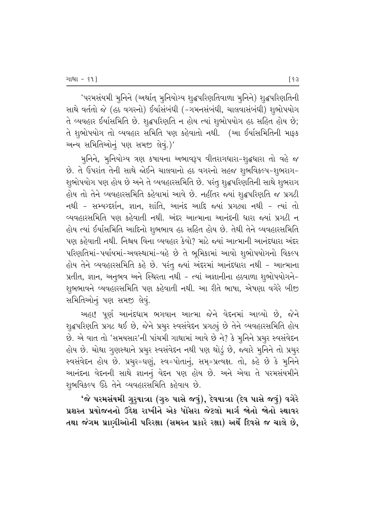'પરમસંયમી મુનિને (અર્થાત્ મુનિયોગ્ય શુદ્ધપરિણતિવાળા મુનિને) શુદ્ધપરિણતિની સાથે વર્તતો જે (હઠ વગરનો) ઈર્યાસંબંધી (-ગમનસંબંધી, ચાલવાસંબંધી) શુભોપયોગ તે વ્યવહાર ઈર્યાસમિતિ છે. શુદ્ધપરિણતિ ન હોય ત્યાં શુભોપયોગ હઠ સહિત હોય છે; તે શુભોપયોગ તો વ્યવહાર સમિતિ પણ કહેવાતો નથી. (આ ઈર્યાસમિતિની માફક અન્ય સમિતિઓનું પણ સમજી લેવું.)'

મુનિને, મુનિયોગ્ય ત્રણ કષાયના અભાવરૂપ વીતરાગધારા–શ્દ્રધારા તો વહે જ છે. તે ઉપરાંત તેની સાથે જોઈને ચાલવાનો હઠ વગરનો સહજ શુભવિકલ્પ-શુભરાગ− શુભોપયોગ પણ હોય છે અને તે વ્યવહારસમિતિ છે. પરંતુ શુદ્ધપરિણતિની સાથે શુભરાગ હોય તો તેને વ્યવહારસમિતિ કહેવામાં આવે છે. નહીંતર જ્યાં શૃદ્ધપરિણતિ જ પ્રગટી નથી - સમ્યગ્દર્શન, જ્ઞાન, શાંતિ, આનંદ આદિ જ્યાં પ્રગટ્યા નથી - ત્યાં તો વ્યવહારસમિતિ પણ કહેવાતી નથી. અંદર આત્માના આનંદની ધારા જ્યાં પ્રગટી ન હોય ત્યાં ઈર્યાસમિતિ આદિનો શુભભાવ હઠ સહિત હોય છે. તેથી તેને વ્યવહારસમિતિ પણ કહેવાતી નથી. નિશ્ચય વિના વ્યવહાર કેવો? માટે જ્યાં આત્માની આનંદધારા અંદર ~પરિણતિમાં-પર્યાયમાં-અવસ્થામાં-વહે છે તે ભુમિકામાં આવો શુભોપયોગનો વિકલ્પ હોય તેને વ્યવહારસમિતિ કહે છે. પરંતુ જ્યાં અંદરમાં આનંદધારા નથી – આત્માના પ્રતીત, જ્ઞાન, અનુભવ અને સ્થિરતા નથી – ત્યાં અજ્ઞાનીના હઠવાળા શુભોપયોગને– શુભભાવને વ્યવહારસમિતિ પણ કહેવાતી નથી. આ રીતે ભાષા, એષણા વગેરે બીજી સમિતિઓનું પણ સમજી લેવું.

અહા! પૂર્ણ આનંદધામ ભગવાન આત્મા જેને વેદનમાં આવ્યો છે, જેને શ્દ્રપરિણતિ પ્રગટ થઈ છે, જેને પ્રચુર સ્વસંવેદન પ્રગટ્યું છે તેને વ્યવહારસમિતિ હોય છે. એ વાત તો 'સમયસાર'ની પાંચમી ગાથામાં આવે છે ને? કે મુનિને પ્રચુર સ્વસંવેદન હોય છે. ચોથા ગુણસ્થાને પ્રચુર સ્વસંવેદન નથી પણ થોડું છે, જ્યારે મુનિને તો પ્રચુર સ્વસંવેદન હોય છે. પ્રચુર=ઘણું, સ્વ=પોતાનું, સમ્=પ્રત્યક્ષ. તો, કહે છે કે મુનિને આનંદના વેદનની સાથે જ્ઞાનનું વેદન પણ હોય છે. અને એવા તે પરમસંયમીને શુભવિકલ્પ ઉઠે તેને વ્યવહારસમિતિ કહેવાય છે.

'જે પરમસંયમી ગુરૂયાત્રા (ગુરુ પાસે જવું), દેવયાત્રા (દેવ પાસે જવું) વગેરે પ્રશસ્ત પ્રયોજનનો ઉદ્દેશ રાખીને એક ધોંસરા જેટલો માર્ગ જોતો જોતો સ્થાવર તથા જંગમ પ્રાણીઓની પરિરક્ષા (સમસ્ત પ્રકારે રક્ષા) અર્થે દિવસે જ ચાલે છે,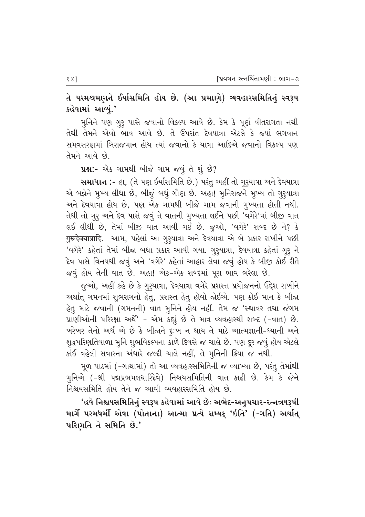તે પરમશ્રમણને ઈર્યાસમિતિ હોય છે. (આ પ્રમાણે) વ્યવહારસમિતિનું સ્વરૂપ કહેવામાં આવ્યું.'

મુનિને પણ ગૃરૃ પાસે જવાનો વિકલ્પ આવે છે. કેમ કે પૂર્ણ વીતરાગતા નથી તેથી તેમને એવો ભાવ આવે છે. તે ઉપરાંત દેવયાત્રા એટલે કે જ્યાં ભગવાન સમવસરણમાં બિરાજમાન હોય ત્યાં જવાનો કે યાત્રા આદિએ જવાનો વિકલ્પ પણ તેમને આવે છે.

પ્રશ્ન:- એક ગામથી બીજે ગામ જવું તે શું છે?

સમાધાન :- હા, (તે પણ ઈર્યાસમિતિ છે.) પરંતુ અહીં તો ગુરૂયાત્રા અને દેવયાત્રા એ બન્નેને મુખ્ય લીધા છે, બીજું બધું ગૌણ છે. અહા! મુનિરાજને મુખ્ય તો ગુરૂયાત્રા અને દેવયાત્રા હોય છે, પણ એક ગામથી બીજે ગામ જવાની મુખ્યતા હોતી નથી. તેથી તો ગુરૂ અને દેવ પાસે જવું તે વાતની મુખ્યતા લઈને પછી 'વગેરે'માં બીજી વાત લઈ લીધી છે, તેમાં બીજી વાત આવી ગઈ છે. જુઓ, 'વગેરે' શબ્દ છે ને? કે गुरूदेवयात्रादि. આમ, પહેલાં આ ગુરૂયાત્રા અને દેવયાત્રા એ બે પ્રકાર રાખીને પછી 'વગેરે' કહેતાં તેમાં બીજા બધા પ્રકાર આવી ગયા. ગુરૂયાત્રા, દેવયાત્રા કહેતાં ગુરૂ ને દેવ પાસે વિનયથી જવું અને 'વગેરે' કહેતાં આહાર લેવા જવું હોય કે બીજી કોઈ રીતે જવું હોય તેની વાત છે. અહા! એક-એક શબ્દમાં પૂરા ભાવ ભરેલા છે.

જૂઓ, અહીં કહે છે કે ગુરૃયાત્રા, દેવયાત્રા વગેરે પ્રશસ્ત પ્રયોજનનો ઉદ્દેશ રાખીને અર્થાત્ ગમનમાં શુભરાગનો હેતુ, પ્રશસ્ત હેતુ હોવો જોઈએ. પણ કોઈ માન કે બીજા હેતુ માટે જવાની (ગમનની) વાત મુનિને હોય નહીં. તેમ જ 'સ્થાવર તથા જંગમ પ્રાણીઓની પરિરક્ષા અર્થે' – એમ કહ્યું છે તે માત્ર વ્યવહારથી શબ્દ (–વાત) છે. ખરેખર તેનો અર્થ એ છે કે બીજાને દુઃખ ન થાય તે માટે આત્મજ્ઞાની-ધ્યાની અને શુદ્ધપરિણતિવાળા મુનિ શુભવિકલ્પના કાળે દિવસે જ ચાલે છે. પણ દૂર જવું હોય એટલે કાંઈ વહેલી સવારના અંધારે જલ્દી ચાલે નહીં, તે મૂનિની ક્રિયા જ નથી.

મૂળ પાઠમાં (-ગાથામાં) તો આ વ્યવહારસમિતિની જ વ્યાખ્યા છે, પરંતુ તેમાંથી મુનિએ (-શ્રી પદ્મપ્રભમલધારિદેવે) નિશ્ચયસમિતિની વાત કાઢી છે. કેમ કે જેને નિશ્ચયસમિતિ હોય તેને જ આવી વ્યવહારસમિતિ હોય છે.

'હવે નિશ્ચયસમિતિનું સ્વરૂપ કહેવામાં આવે છેઃ અભેદ-અનુપચાર-રત્નત્રયરૂપી માર્ગે પરમધર્મી એવા (પોતાના) આત્મા પ્રત્યે સમ્યક્ 'ઇતિ' (-ગતિ) અર્થાત્ પરિણતિ તે સમિતિ છે.'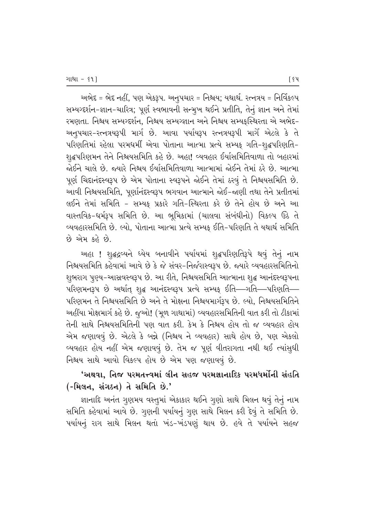અભેદ = ભેદ નહીં, પણ એકરૂપ. અનુપચાર = નિશ્ચય; યથાર્થ. રત્નત્રય = નિર્વિકલ્પ સમ્યગ્દર્શન-જ્ઞાન-ચારિત્ર; પૂર્ણ સ્વભાવની સન્મૂખ થઈને પ્રતીતિ, તેનું જ્ઞાન અને તેમાં રમણતા. નિશ્ચય સમ્યગ્દર્શન, નિશ્ચય સમ્યગ્જ્ઞાન અને નિશ્ચય સમ્યક્સ્થિરતા એ અભેદ− અનુપચાર-રત્નત્રયરૂપી માર્ગ છે. આવા પર્યાયરૂપ રત્નત્રયરૂપી માર્ગે એટલે કે તે ~પરિણતિમાં રહેલા પરમધર્મી એવા પોતાના આત્મા પ્રત્યે સમ્યક્ ગતિ-શૃદ્ધપરિણતિ-શૃદ્ધપરિણમન તેને નિશ્ચયસમિતિ કહે છે. અહા! વ્યવહાર ઈર્યાસમિતિવાળા તો બહારમાં જોઈને ચાલે છે. જ્યારે નિશ્ચય ઈર્યાસમિતિવાળા આત્મામાં જોઈને તેમાં ઠરે છે. આત્મા પૂર્ણ ચિદાનંદસ્વરૂપ છે એમ પોતાના સ્વરૂપને જોઈને તેમાં ઠરવું તે નિશ્ચયસમિતિ છે. આવી નિશ્ચયસમિતિ, પૂર્ણાનંદસ્વરૂપ ભગવાન આત્માને જોઈ-જાણી તથા તેને પ્રતીતમાં લઈને તેમાં સમિતિ - સમ્યક્ પ્રકારે ગતિ-સ્થિરતા કરે છે તેને હોય છે અને આ વાસ્તવિક-ધર્મરૂપ સમિતિ છે. આ ભૂમિકામાં (ચાલવા સંબંધીનો) વિકલ્પ ઉઠે તે વ્યવહારસમિતિ છે. લ્યો, પોતાના આત્મા પ્રત્યે સમ્યક્ ઈતિ−પરિણતિ તે યથાર્થ સમિતિ  $69$  એમ કહે છે.

અહા ! શુદ્ધદ્રવ્યને ધ્યેય બનાવીને પર્યાયમાં શુદ્ધપરિણતિરૂપે થવું તેનું નામ નિશ્ચયસમિતિ કહેવામાં આવે છે કે જે સંવર-નિર્જરાસ્વરૂપ છે. જ્યારે વ્યવહારસમિતિનો શુભરાગ પુણ્ય−આસ્રવસ્વરૂપ છે. આ રીતે, નિશ્ચયસમિતિ આત્માના શુદ્ધ આનંદસ્વરૂપના ~પરિણમનરૂપ છે અર્થાત્ શૃદ્ધ આનંદસ્વરૂપ પ્રત્યે સમ્યક્ ઈતિ—ગતિ—પરિણતિ—– પરિણમન તે નિશ્ચયસમિતિ છે અને તે મોક્ષના નિશ્ચયમાર્ગરૂપ છે. લ્યો, નિશ્ચયસમિતિને અહીંયા મોક્ષમાર્ગ કહે છે. જૂઓ! (મૂળ ગાથામાં) વ્યવહારસમિતિની વાત કરી તો ટીકામાં તેની સાથે નિશ્ચયસમિતિની પણ વાત કરી. કેમ કે નિશ્ચય હોય તો જ વ્યવહાર હોય એમ જણાવવું છે. એટલે કે બન્ને (નિશ્ચય ને વ્યવહાર) સાથે હોય છે, પણ એકલો વ્યવહાર હોય નહીં એમ જણાવવું છે. તેમ જ પૂર્ણ વીતરાગતા નથી થઈ ત્યાંસુધી નિશ્ચય સાથે આવો વિકલ્પ હોય છે એમ પણ જણાવવું છે.

## 'અથવા. નિજ પરમતત્ત્વમાં લીન સહજ પરમજ્ઞાનાદિક પરમધર્મોની સંહતિ (-મિલન, સંગઠન) તે સમિતિ છે.'

જ્ઞાનાદિ અનંત ગૃણમય વસ્તુમાં એકાકાર થઈને ગૃણો સાથે મિલન થવું તેનું નામ સમિતિ કહેવામાં આવે છે. ગુણની પર્યાયનું ગુણ સાથે મિલન કરી દેવું તે સમિતિ છે. પર્યાયનું રાગ સાથે મિલન થતાં ખંડ-ખંડપણું થાય છે. હવે તે પર્યાયને સહજ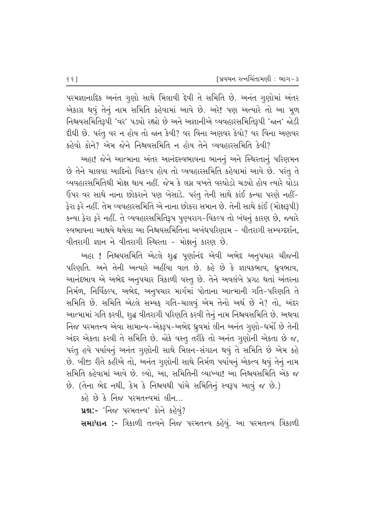પરમજ્ઞાનાદિક અનંત ગૃણો સાથે મિલાવી દેવી તે સમિતિ છે. અનંત ગૃણોમાં અંતર એકાગ્ર થવું તેનું નામ સમિતિ કહેવામાં આવે છે. અરે! પણ અત્યારે તો આ મૂળ નિશ્ચયસમિતિરૂપી 'વર' પડ્યો રહ્યો છે અને અજ્ઞાનીએ વ્યવહારસમિતિરૂપી 'જાન' જોડી हीधी છે. પરંતુ વર ન હોય તો જાન કેવી? વર વિના અણવર કેવો? વર વિના અણવર  $s$ હેવો કોને? એમ જેને નિશ્ચયસમિતિ ન હોય તેને વ્યવહારસમિતિ કેવી?

આહા! જેને આત્માના અંતર આનંદસ્વભાવના ભાનનં અને સ્થિરતાનં પરિણમન  $\dot{\vartheta}$  તેને ચાલવા આદિનો વિકલ્પ હોય તો વ્યવહારસમિતિ કહેવામાં આવે છે. પરંતુ તે વ્યવહારસમિતિથી મોક્ષ થાય નહીં. જેમ કે લગ્ન વખતે વરઘોડો ચડ્યો હોય ત્યારે ઘોડા  $6$ પર વર સાથે નાના છોકરાને પણ બેસાડે. પરંતુ તેની સાથે કાંઈ કન્યા પરણે નહીં–  $_2$ રા ફરે નહીં. તેમ વ્યવહારસમિતિ એ નાના છોકરા સમાન છે. તેની સાથે કાંઈ (મોક્ષરૂપી) કન્યા ફેરા ફરે નહીં. તે વ્યવહારસમિતિરૂપ પૂણ્યરાગ-વિકલ્પ તો બંધનું કારણ છે, જ્યારે સ્વભાવના આશ્રયે થયેલા આ નિશ્રયસમિતિના અબંધપરિણામ – વીતરાગી સમ્યગ્દર્શન, વીતરાગી જ્ઞાન ને વીતરાગી સ્થિરતા - મોક્ષનું કારણ છે.

આહા ! નિશ્ચયસમિતિ એટલે શુદ્ધ પૂર્ણાનંદ એવી અભેદ અનુપચાર ચીજની પરિણતિ. અને તેની અત્યારે અહીંયા વાત છે. કહે છે કે જ્ઞાયકભાવ, ધ્રૂવભાવ, આનંદભાવ એ અભેદ અનુપચાર ત્રિકાળી વસ્તુ છે. તેને અવલંબે પ્રગટ થતાં અંતરના fi40, નિર્વિકલ્પ, અભેદ, અનુપચાર માર્ગમાં પોતાના આત્માની ગતિ-પરિણતિ તે સમિતિ છે. સમિતિ એટલે સમ્યફ ગતિ-ચાલવું એમ તેનો અર્થ છે ને? તો, અંદર આત્મામાં ગતિ કરવી, શુદ્ધ વીતરાગી પરિણતિ કરવી તેનું નામ નિશ્ચયસમિતિ છે. અથવા નિજ પરમતત્ત્વ એવા સામાન્ય-એકરૂપ-અભેદ ધ્રુવમાં લીન અનંત ગૃણો-ધર્મો છે તેની અંદર એકતા કરવી તે સમિતિ છે. જોકે વસ્તુ તરીકે તો અનંત ગુણોની એકતા છે જ, પરંતુ હવે પર્યાયનું અનંત ગુણોની સાથે મિલન-સંગઠન થવું તે સમિતિ છે એમ કહે છે. બીજી રીતે કહીએ તો, અનંત ગુણોની સાથે નિર્મળ પર્યાયનું એકત્વ થવું તેનું નામ સમિતિ કહેવામાં આવે છે. લ્યો, આ, સમિતિની વ્યાખ્યા! આ નિશ્ચયસમિતિ એક જ છે. (તેના ભેદ નથી, કેમ કે નિશ્ચયથી પાંચે સમિતિનું સ્વરૂપ આવું જ છે.)

 $s$ ે છે કે નિજ પરમતત્ત્વમાં લીન…

પ્રશ્ન:- 'નિજ પરમતત્ત્વ' કોને કહેવું?

સમાધાન :- ત્રિકાળી તત્ત્વને નિજ પરમતત્ત્વ કહેવું. આ પરમતત્ત્વ ત્રિકાળી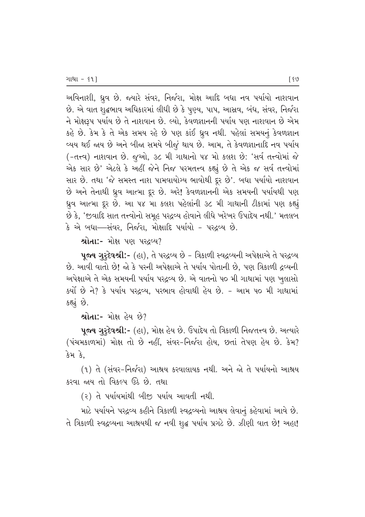અવિનાશી, ધ્રુવ છે. જ્યારે સંવર, નિર્જરા, મોક્ષ આદિ બધા નવ પર્યાયો નાશવાન છે. એ વાત શુદ્ધભાવ અધિકારમાં લીધી છે કે પુણ્ય, પાપ, આસ્રવ, બંધ, સંવર, નિર્જરા ને મોક્ષરૂપ પર્યાય છે તે નાશવાન છે. લ્યો, કેવળજ્ઞાનની પર્યાય પણ નાશવાન છે એમ કહે છે. કેમ કે તે એક સમય રહે છે પણ કાંઈ ઘ્રુવ નથી. પહેલાં સમયનું કેવળજ્ઞાન વ્યય થઈ જાય છે અને બીજા સમયે બીજું થાય છે. આમ, તે કેવળજ્ઞાનાદિ નવ પર્યાય (-તત્ત્વ) નાશવાન છે. જુઓ, ૩૮ મી ગાથાનો ૫૪ મો કલશ છે: 'સર્વ તત્ત્વોમાં જે એક સાર છે' એટલે કે અહીં જેને નિજ પરમતત્ત્વ કહ્યું છે તે એક જ સર્વ તત્ત્વોમાં સાર છે. તથા 'જે સમસ્ત નાશ પામવાયોગ્ય ભાવોથી દૂર છે'. બધા પર્યાયો નાશવાન છે અને તેનાથી ધ્રુવ આત્મા દૂર છે. અરે! કેવળજ્ઞાનની એક સમયની પર્યાયથી પણ ક્રુવ આત્મા દૂર છે. આ ૫૪ મા કલશ પહેલાંની ૩૮ મી ગાથાની ટીકામાં પણ કહ્યું છે કે, 'જીવાદિ સાત તત્ત્વોનો સમૂહ પરદ્રવ્ય હોવાને લીધે ખરેખર ઉપાદેય નથી.' મતલબ કે એ બધા—સંવર, નિર્જરા, મોક્ષાદિ પર્યાયો - પરદવ્ય છે.

 $\mathbf{R}$ ોતા:- મોક્ષ પણ પર $\mathcal{C}$ ધ્ય $\mathcal{V}$ 

**4જય ગુરૂદેવશ્રી:-** (હા), તે પરદ્રવ્ય છે - ત્રિકાળી સ્વદ્રવ્યની અપેક્ષાએ તે પરદ્રવ્ય છે. આવી વાતો છે! જો કે પરની અપેક્ષાએ તે પર્યાય પોતાની છે, પણ ત્રિકાળી દ્રવ્યની અપેક્ષાએ તે એક સમયની પર્યાય પરદ્રવ્ય છે. એ વાતનો ૫૦ મી ગાથામાં પણ ખુલાસો  $\,$ કર્યો છે ને? કે પર્યાય પરદ્રવ્ય, પરભાવ હોવાથી હેય છે. – આમ ૫૦ મી ગાથામાં કહ્યું છે.

 $\mathbf{A}$ ોતા:- મોક્ષ હેય છે?

પૂજ્ય ગુરૂદેવશ્રી:- (હા), મોક્ષ હેય છે. ઉપાદેય તો ત્રિકાળી નિજતત્ત્વ છે. અત્યારે (પંચમકાળમાં) મોક્ષ તો છે નહીં, સંવર-નિર્જરા હોય, છતાં તેપણ હેય છે. કેમ? કેમ કે.

(૧) તે (સંવર-નિર્જરા) આશ્રય કરવાલાયક નથી. અને જો તે પર્યાયનો આશ્રય કરવા જાય તો વિકલ્પ ઉઠે છે. તથા

(૨) તે પર્યાયમાંથી બીજી પર્યાય આવતી નથી.

માટે પર્યાયને પરદ્રવ્ય કહીને ત્રિકાળી સ્વદ્રવ્યનો આશ્રય લેવાનું કહેવામાં આવે છે. તે ત્રિકાળી સ્વદ્રવ્યના આશ્રયથી જ નવી શૃદ્ધ પર્યાય પ્રગટે છે. ઝીણી વાત છે! અહા!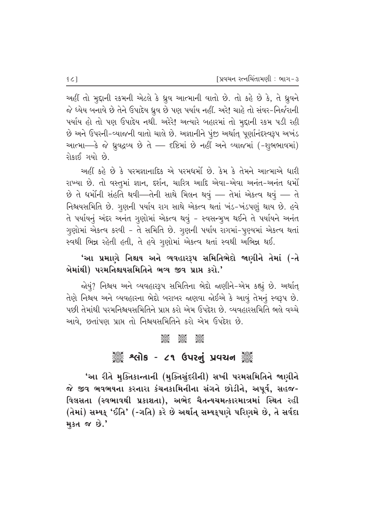અહીં તો મુદ્દાની રકમની એટલે કે ધ્રુવ આત્માની વાતો છે. તો કહે છે કે, તે ધ્રુવને જે ધ્યેય બનાવે છે તેને ઉપાદેય ધ્રુવ છે પણ પર્યાય નહીં. અરે! ચાહે તો સંવર-નિર્જરાની પર્યાય હો તો પણ ઉપાદેય નથી. અરેરે! અત્યારે બહારમાં તો મુદ્દાની રકમ પડી રહી છે અને ઉપરની-વ્યાજની વાતો ચાલે છે. અજ્ઞાનીને પૂંજી અર્થાત્ પૂર્ણાનંદસ્વરૂપ અખંડ આત્મા—કે જે ધ્રૂવદ્રવ્ય છે તે — દષ્ટિમાં છે નહીં અને વ્યાજમાં (-શુભભાવમાં) રોકાઈ ગયો છે.

અહીં કહે છે કે પરમજ્ઞાનાદિક એ પરમધર્મો છે. કેમ કે તેમને આત્માએ ધારી રાખ્યા છે. તો વસ્તુમાં જ્ઞાન, દર્શન, ચારિત્ર આદિ એવા-એવા અનંત-અનંત ધર્મો છે તે ધર્મોની સંહતિ થવી—તેની સાથે મિલન થવું — તેમાં એકત્વ થવું — તે નિશ્ચયસમિતિ છે. ગુણની પર્યાય રાગ સાથે એકત્વ થતાં ખંડ-ખંડપણું થાય છે. હવે તે પર્યાયનું અંદર અનંત ગૃણોમાં એકત્વ થવું – સ્વસન્મૂખ થઈને તે પર્યાયને અનંત ગુણોમાં એકત્વ કરવી - તે સમિતિ છે. ગુણની પર્યાય રાગમાં-પૂણ્યમાં એકત્વ થતાં સ્વથી ભિન્ન રહેતી હતી, તે હવે ગુણોમાં એકત્વ થતાં સ્વથી અભિન્ન થઈ.

'આ પ્રમાણે નિશ્ચય અને વ્યવહારરૂપ સમિતિભેદો જાણીને તેમાં (-તે બેમાંથી) પરમનિશ્ચયસમિતિને ભવ્ય જીવ પ્રાપ્ત કરો.'

જોયું? નિશ્ચય અને વ્યવહારરૂપ સમિતિના ભેદો જાણીને-એમ કહ્યું છે. અર્થાત્ તેણે નિશ્ચય અને વ્યવહારના ભેદો બરાબર જાણવા જોઈએ કે આવું તેમનું સ્વરૂપ છે. પછી તેમાંથી પરમનિશ્ચયસમિતિને પ્રાપ્ત કરો એમ ઉપદેશ છે. વ્યવહારસમિતિ ભલે વચ્ચે આવે. છતાંપણ પ્રાપ્ત તો નિશ્ચયસમિતિને કરો એમ ઉપદેશ છે.

### asse උදහස<br>පිදිවිදි පැවරි ૾ૢૺૢ૾ૺ શ્લોક - ૮૧ ઉપરનું પ્રવચન ૢ૾ૺૢ

'આ રીતે મુક્તિકાન્તાની (મુક્તિસુંદરીની) સખી પરમસમિતિને જાણીને જે જીવ ભવભયના કરનારા કંચનકામિનીના સંગને છોડીને, અપૂર્વ, સહજ-વિલસતા (સ્વભાવથી પ્રકાશતા), અભેદ ચૈતન્યચમત્કારમાત્રમાં સ્થિત રહી (તેમાં) સમ્યક્ 'ઈતિ' (-ગતિ) કરે છે અર્થાત્ સમ્યક્**પણે પરિણમે છે, તે સર્વદા** મુકત જ છે.'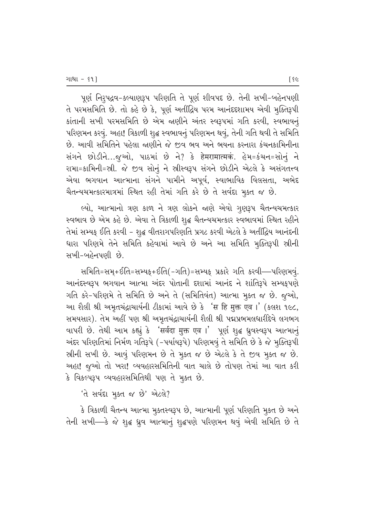પૂર્ણ નિરૂપદ્રવ-કલ્યાણરૂપ પરિણતિ તે પૂર્ણ શીવપદ છે. તેની સખી-બહેનપણી તે પરમસમિતિ છે. તો કહે છે કે, પૂર્ણ અતીંદ્રિય પરમ આનંદદશામય એવી મૂક્તિરૂપી કાંતાની સખી પરમસમિતિ છે એમ જાણીને અંતર સ્વરૂપમાં ગતિ કરવી, સ્વભાવનું પરિણમન કરવું. અહા! ત્રિકાળી શુદ્ધ સ્વભાવનું પરિણમન થવું, તેની ગતિ થવી તે સમિતિ છે. આવી સમિતિને પહેલા જાણીને જે જીવ ભવ અને ભયના કરનારા કંચનકામિનીના સંગને છોડીને...જુઓ, પાઠમાં છે ને? કે हेमरामात्मकं. હેમ=કંચન=સોનું ને રામા=કામિની=સ્રી. જે જીવ સોનું ને સ્રીસ્વરૂપ સંગને છોડીને એટલે કે અસંગતત્ત્વ એવા ભગવાન આત્માના સંગને પામીને અપૂર્વ, સ્વાભાવિક વિલસતા, અભેદ ચૈતન્યચમત્કારમાત્રમાં સ્થિત રહી તેમાં ગતિ કરે છે તે સર્વદા મુક્ત જ છે.

લ્યો, આત્માનો ત્રણ કાળ ને ત્રણ લોકને જાણે એવો ગુણરૂપ ચૈતન્યચમત્કાર સ્વભાવ છે એમ કહે છે. એવા તે ત્રિકાળી શુદ્ધ ચૈતન્યચમત્કાર સ્વભાવમાં સ્થિત રહીને તેમાં સમ્યક ઈતિ કરવી - શુદ્ધ વીતરાગપરિણતિ પ્રગટ કરવી એટલે કે અતીંદ્રિય આનંદની ધારા પરિણમે તેને સમિતિ કહેવામાં આવે છે અને આ સમિતિ મૂક્તિરૂપી સ્રીની સખી-બહેનપણી છે.

સમિતિ=સમૃ+ઈતિ=સમ્યક્+ઈતિ(-ગતિ)=સમ્યક્ પ્રકારે ગતિ કરવી—પરિણમવું. આનંદસ્વરૂપ ભગવાન આત્મા અંદર પોતાની દશામાં આનંદ ને શાંતિરૂપે સમ્યક્પણે ગતિ કરે-પરિણમે તે સમિતિ છે અને તે (સમિતિવંત) આત્મા મુક્ત જ છે. જુઓ, આ શૈલી શ્રી અમૃતચંદ્રાચાર્યની ટીકામાં આવે છે કે 'स हि मुक्त एव ।' (કલશ ૧૯૮, સમયસાર). તેમ અહીં પણ શ્રી અમૃતચંદ્રાચાર્યની શૈલી શ્રી પદ્મપ્રભમલધારીદેવે લગભગ વાપરી છે. તેથી આમ કહ્યું કે 'सर्वदा मुक्त एव ।' પૂર્ણ શુદ્ધ ધ્રુવસ્વરૂપ આત્માનું અંદર પરિણતિમાં નિર્મળ ગતિરૂપે (-પર્યાયરૂપે) પરિણમવું તે સમિતિ છે કે જે મુક્તિરૂપી સ્રીની સખી છે. આવું પરિણમન છે તે મુક્ત જ છે એટલે કે તે જીવ મુક્ત જ છે. અહા! જુઓ તો ખરા! વ્યવહારસમિતિની વાત ચાલે છે તોપણ તેમાં આ વાત કરી કે વિકલ્પરૂપ વ્યવહારસમિતિથી પણ તે મુક્ત છે.

'તે સર્વદા મૂક્ત જ છે' એટલે?

કે ત્રિકાળી ચૈતન્ય આત્મા મુક્તસ્વરૂપ છે, આત્માની પૂર્ણ પરિણતિ મુકત છે અને તેની સખી—કે જે શુદ્ધ ઘ્રુવ આત્માનું શુદ્ધપણે પરિણમન થવું એવી સમિતિ છે તે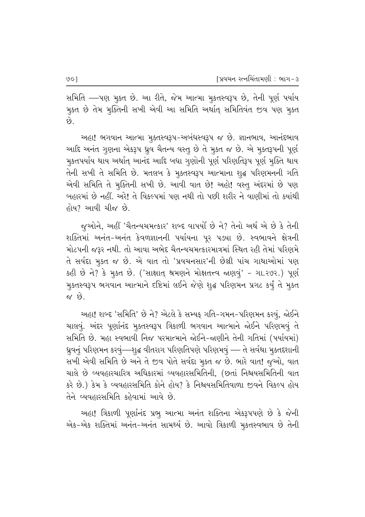સમિતિ —પણ મુક્ત છે. આ રીતે, જેમ આત્મા મુકતસ્વરૂપ છે, તેની પૂર્ણ પર્યાય મુક્ત છે તેમ મૂક્તિની સખી એવી આ સમિતિ અર્થાત્ સમિતિવંત જીવ પણ મૂક્ત છે.

અહા! ભગવાન આત્મા મૂક્તસ્વરૂપ-અબંધસ્વરૂપ જ છે. જ્ઞાનભાવ, આનંદભાવ આદિ અનંત ગુણના એકરૂપ ધ્રુવ ચૈતન્ય વસ્તુ છે તે મુકત જ છે. એ મુકતરૂપની પૂર્ણ મુકતપર્યાય થાય અર્થાત્ આનંદ આદિ બધા ગુણોની પૂર્ણ પરિણતિરૂપ પૂર્ણ મુક્તિ થાય તેની સખી તે સમિતિ છે. મતલબ કે મૂકતસ્વરૂપ આત્માના શુદ્ધ પરિણમનની ગતિ એવી સમિતિ તે મુક્તિની સખી છે. આવી વાત છે! અહો! વસ્તુ અંદરમાં છે પણ બહારમાં છે નહીં. અરે! તે વિકલ્પમાં પણ નથી તો પછી શરીર ને વાણીમાં તો ક્યાંથી હોય? આવી ચીજ છે.

જૂઓને, અહીં 'ચૈતન્યચમત્કાર' શબ્દ વાપર્યો છે ને? તેનો અર્થ એ છે કે તેની શક્તિમાં અનંત-અનંત કેવળજ્ઞાનની પર્યાયના પૂર પડ્યા છે. સ્વભાવને ક્ષેત્રની મોટપની જરૂર નથી. તો આવા અભેદ ચૈતન્યચમત્કારમાત્રમાં સ્થિત રહી તેમાં પરિણમે તે સર્વદા મુક્ત જ છે. એ વાત તો 'પ્રવચનસાર'ની છેલ્રી પાંચ ગાથાઓમાં પણ કહી છે ને? કે મૂક્ત છે. ('સાક્ષાત્ શ્રમણને મોક્ષતત્ત્વ જાણવું' - ગા.૨૭૨.) પૂર્ણ મુકતસ્વરૂપ ભગવાન આત્માને દષ્ટિમાં લઈને જેણે શુદ્ધ પરિણમન પ્રગટ કર્યું તે મુક્ત  $\hat{M}$   $\hat{M}$ 

અહા! શબ્દ 'સમિતિ' છે ને? એટલે કે સમ્યક ગતિ-ગમન-પરિણમન કરવું, જોઈને ચાલવું. અંદર પૂર્ણાનંદ મુક્તસ્વરૂપ ત્રિકાળી ભગવાન આત્માને જોઈને પરિણમવું તે સમિતિ છે. મહા સ્વભાવી નિજ પરમાત્માને જોઈને-જાણીને તેની ગતિમાં (પર્યાયમાં) ધ્રુવનું પરિણમન કરવું—શુદ્ધ વીતરાગ પરિણતિપણે પરિણમવું — તે સર્વથા મુકતદશાની સખી એવી સમિતિ છે અને તે જીવ પોતે સર્વદા મુક્ત જ છે. ભારે વાત! જુઓ, વાત ચાલે છે વ્યવહારચારિત્ર અધિકારમાં વ્યવહારસમિતિની. (છતાં નિશ્ચયસમિતિની વાત કરે છે.) કેમ કે વ્યવહારસમિતિ કોને હોય? કે નિશ્ચયસમિતિવાળા જીવને વિકલ્પ હોય તેને વ્યવહારસમિતિ કહેવામાં આવે છે.

અહા! ત્રિકાળી પૂર્ણાનંદ પ્રભૂ આત્મા અનંત શક્તિના એકરૂપપણે છે કે જેની એક-એક શક્તિમાં અનંત-અનંત સામર્થ્ય છે. આવો ત્રિકાળી મૂકતસ્વભાવ છે તેની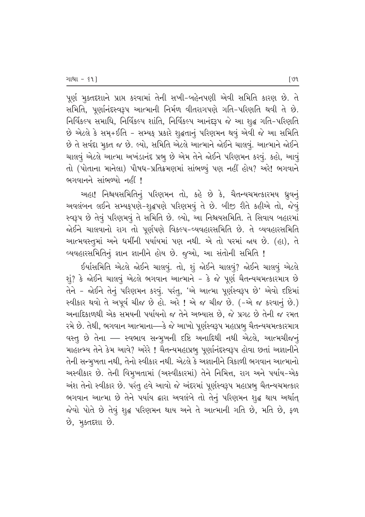પૂર્ણ મુક્તદશાને પ્રાપ્ત કરવામાં તેની સખી−બહેનપણી એવી સમિતિ કારણ છે. તે સમિતિ, પૂર્ણાનંદસ્વરૂપ આત્માની નિર્મળ વીતરાગપણે ગતિ-પરિણતિ થવી તે છે. fielse water and fieldse with fieldsen whit in the sola-theral છે એટલે કે સમ્+ઈતિ - સમ્યફ પ્રકારે શુદ્ધતાનું પરિણમન થવું એવી જે આ સમિતિ છે તે સર્વદા મૂકત જ છે. લ્યો, સમિતિ એટલે આત્માને જોઈને ચાલવું. આત્માને જોઈને ચાલવું એટલે આત્મા અખંડાનંદ પ્રભુ છે એમ તેને જોઈને પરિણમન કરવું. કહો, આવું તો (પોતાના માનેલા) પૌષધ-પ્રતિક્રમણમાં સાંભળ્યું પણ નહીં હોય? અરે! ભગવાને ભગવાનને સાંભળ્યો નહીં !

અહા! નિશ્ચયસમિતિનું પરિણમન તો, કહે છે કે, ચૈતન્યચમત્કારમય ધ્રુવનું અવલંબન લઈને સમ્યક્પણે-શૃદ્ધપણે પરિણમવું તે છે. બીજી રીતે કહીએ તો, જેવું સ્વરૂપ છે તેવું પરિણમવું તે સમિતિ છે. લ્યો, આ નિશ્ચયસમિતિ. તે સિવાય બહારમાં જોઈને ચાલવાનો રાગ તો પૂર્ણપણે વિકલ્પ-વ્યવહારસમિતિ છે. તે વ્યવહારસમિતિ આત્મવસ્તુમાં અને ધર્મીની પર્યાયમાં પણ નથી. એ તો પરમાં જાય છે. (હા), તે વ્યવહારસમિતિનું જ્ઞાન જ્ઞાનીને હોય છે. જૂઓ, આ સંતોની સમિતિ !

ઈર્યાસમિતિ એટલે જોઈને ચાલવું. તો, શું જોઈને ચાલવું? જોઈને ચાલવું એટલે  $\Sigma$ ે જોઈને ચાલવું એટલે ભગવાન આત્માને – કે જે પૂર્ણ ચૈતન્યચમત્કારમાત્ર છે તેને – જોઈને તેનું પરિણમન કરવું. પરંતુ, 'એ આત્મા પૂર્ણસ્વરૂપ છે' એવો દષ્ટિમાં સ્વીકાર થવો તે અપૂર્વ ચીજ છે હો. અરે ! એ જ ચીજ છે. (-એ જ કરવાનું છે.) આનાદિકાળથી એક સમયની પર્યાયનો જ તેને અભ્યાસ છે, જે પ્રગટ છે તેની જ રમત રમે છે. તેથી, ભગવાન આત્માના—્કે જે આખો પૂર્ણસ્વરૂપ મહાપ્રભૂ ચૈતન્યચમત્કારમાત્ર વસ્ત્ છે તેના — સ્વભાવ સન્મુખની દષ્ટિ અનાદિથી નથી એટલે, આત્મચીજનું માહાત્મ્ય તેને કેમ આવે? અરેરે ! ચૈતન્યમહાપ્રભૂ પૂર્ણાનંદસ્વરૂપ હોવા છતાં અજ્ઞાનીને તેની સન્મુખતા નથી, તેનો સ્વીકાર નથી. એટલે કે અજ્ઞાનીને ત્રિકાળી ભગવાન આત્માનો અસ્વીકાર છે. તેની વિમુખતામાં (અસ્વીકારમાં) તેને નિમિત્ત, રાગ અને પર્યાય-એક અંશ તેનો સ્વીકાર છે. પરંતુ હવે આવો જે અંદરમાં પૂર્ણસ્વરૂપ મહાપ્રભુ ચૈતન્યચમત્કાર ભગવાન આત્મા છે તેને પર્યાય દ્વારા અવલંબે તો તેનું પરિણમન શુદ્ધ થાય અર્થાત્ જેવો પોતે છે તેવું શુદ્ધ પરિણમન થાય અને તે આત્માની ગતિ છે, મતિ છે, ફળ ે, મુક્તદશા છે.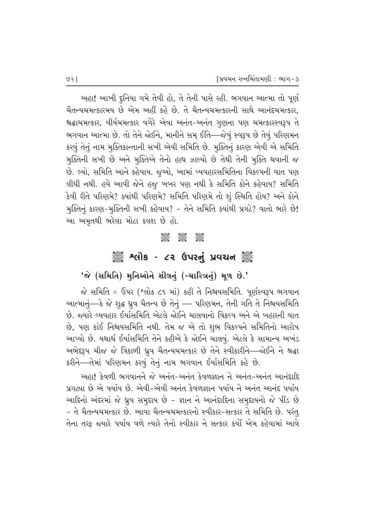અહા! આખી દુનિયા ગમે તેવી હો, તે તેની પાસે રહી. ભગવાન આત્મા તો પૂર્ણ ચૈતન્યચમત્કારમય છે એમ અહીં કહે છે. તે ચૈતન્યચમત્કારની સાથે આનંદચમત્કાર. શ્રદ્ધાચમત્કાર, વીર્યચમત્કાર વગેરે એવા અનંત-અનંત ગુણના પણ ચમત્કારસ્વરૂપ તે ભગવાન આત્મા છે. તો તેને જોઈને, માનીને સમ્ ઈતિ—જેવું સ્વરૂપ છે તેવું પરિણમન કરવું તેનું નામ મુક્તિકાન્તાની સખી એવી સમિતિ છે. મુક્તિનું કારણ એવી એ સમિતિ મુક્તિની સખી છે અને મુક્તિએ તેનો હાથ ઝાલ્યો છે તેથી તેની મુક્તિ થવાની જ છે. લ્યો, સમિતિ આને કહેવાય. જુઓ, આમાં વ્યવહારસમિતિના વિકલ્પની વાત પણ લીધી નથી. હવે આવી જેને હજુ ખબર પણ નથી કે સમિતિ કોને કહેવાય? સમિતિ કેવી રીતે પરિણમે? ક્યાંથી પરિણમે? સમિતિ પરિણમે તો શું સ્થિતિ હોય? અને કોને મુક્તિનું કારણ-મુક્તિની સખી કહેવાય? - તેને સમિતિ ક્યાંથી પ્રગટે? વાતો ભારે છે! આ અમૃતથી ભરેલા મોટા કલશ છે હો.

#### **DESCRIPTION** 1925 1925<br>2926 292

# ૾ૢૺૺ૾ૢૺ શ્લોક - ૮૨ ઉપરનું પ્રવચન ૢ૾ૺૺ૾

### 'જે (સમિતિ) મુનિઓને શીલનું (-ચારિત્રનું) મૂળ છે.'

જે સમિતિ = ઉપર (શ્લોક ૮૧ માં) કહી તે નિશ્ચયસમિતિ. પૂર્ણસ્વરૂપ ભગવાન આત્માનું—કે જે શુદ્ધ ધ્રુવ ચૈતન્ય છે તેનું — પરિણમન, તેની ગતિ તે નિશ્ચયસમિતિ છે. જ્યારે વ્યવહાર ઈર્યાસમિતિ એટલે જોઈને ચાલવાનો વિકલ્પ અને એ બહારની વાત છે, પણ કાંઈ નિશ્ચયસમિતિ નથી. તેમ જ એ તો શુભ વિકલ્પને સમિતિનો આરોપ આપ્યો છે. યથાર્થ ઈર્યાસમિતિ તેને કહીએ કે જોઈને ચાલવું. એટલે કે સામાન્ય અખંડ અભેદરૂપ ચીજ જે ત્રિકાળી ધ્રુવ ચૈતન્યચમત્કાર છે તેને સ્વીકારીને—જોઈને ને શ્રદ્ધા કરીને—તેમાં પરિણમન કરવું તેનું નામ ભગવાન ઈર્યાસમિતિ કહે છે.

અહા! કેવળી ભગવાનને જે અનંત-અનંત કેવળજ્ઞાન ને અનંત-અનંત આનંદાદિ પ્રગટ્યા છે એ પર્યાય છે. એવી-એવી અનંત કેવળજ્ઞાન પર્યાય ને અનંત આનંદ પર્યાય આદિનો અંદરમાં જે ધ્રુવ સમુદાય છે - જ્ઞાન ને આનંદાદિના સમુદાયનો જે પીંડ છે - તે ચૈતન્યચમત્કાર છે. આવા ચૈતન્યચમત્કારનો સ્વીકાર-સત્કાર તે સમિતિ છે. પરંતુ તેના તરફ જ્યારે પર્યાય વળે ત્યારે તેનો સ્વીકાર ને સત્કાર કર્યો એમ કહેવામાં આવે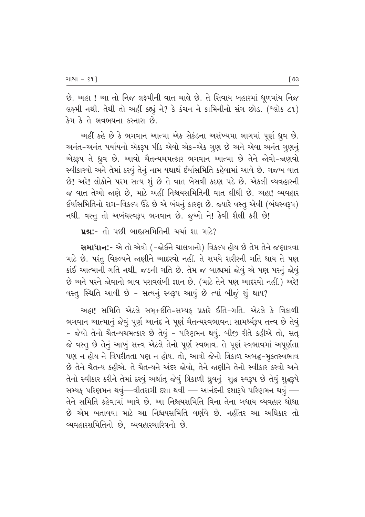છે. અહા ! આ તો નિજ લક્ષ્મીની વાત ચાલે છે. તે સિવાય બહારમાં ધૂળમાંય નિજ લક્ષ્મી નથી. તેથી તો અહીં કહ્યું ને? કે કંચન ને કામિનીનો સંગ છોડ. (શ્લોક ૮૧) કેમ કે તે ભવભયના કરનારા છે.

અહીં કહે છે કે ભગવાન આત્મા એક સેકંડના અસંખ્યમા ભાગમાં પૂર્ણ ધ્રૂવ છે. અનંત-અનંત પર્યાયનો એકરૂપ પીંડ એવો એક-એક ગુણ છે અને એવા અનંત ગુણનું એક્રમ તે ધ્રુવ છે. આવો ચૈતન્યચમત્કાર ભગવાન આત્મા છે તેને જોવો-જાણવો સ્વીકારવો અને તેમાં ઠરવું તેનું નામ યથાર્થ ઈર્યાસમિતિ કહેવામાં આવે છે. ગજબ વાત છે! અરે! લોકોને પરમ સત્ય શું છે તે વાત બેસવી કઠણ પડે છે. એકલી વ્યવહારની જ વાત તેઓ જાણે છે. માટે અહીં નિશ્ચયસમિતિની વાત લીધી છે. અહા! વ્યવહાર ઈર્યાસમિતિનો રાગ-વિકલ્પ ઉઠે છે એ બંધનું કારણ છે. જ્યારે વસ્તુ એવી (બંધસ્વરૂપ) નથી. વસ્તુ તો અબંધસ્વરૂપ ભગવાન છે. જુઓ ને! કેવી શૈલી કરી છે!

**પ્રશ્ન:-** તો પછી બાહ્યસમિતિની ચર્ચા શા માટે?

સમાધાન:- એ તો એવો (-જોઈને ચાલવાનો) વિકલ્પ હોય છે તેમ તેને જણાવવા માટે છે. પરંતુ વિકલ્પને જાણીને આદરવો નહીં. તે સમયે શરીરની ગતિ થાય તે પણ કાંઈ આત્માની ગતિ નથી, જડની ગતિ છે. તેમ જ બાહ્યમાં જોવું એ પણ પરનું જોવું છે અને પરને જોવાનો ભાવ પરાવલંબી જ્ઞાન છે. (માટે તેને પણ આદરવો નહીં.) અરે! વસ્તુ સ્થિતિ આવી છે - સત્યનું સ્વરૂપ આવું છે ત્યાં બીજું શું થાય?

અહા! સમિતિ એટલે સમ્+ઈતિ=સમ્યક્ પ્રકારે ઈતિ-ગતિ. એટલે કે ત્રિકાળી ભગવાન આત્માનું જેવું પૂર્ણ આનંદ ને પૂર્ણ ચૈતન્યસ્વભાવના સામર્થ્યરૂપ તત્ત્વ છે તેવું - જેવો તેનો ચૈતન્યચમત્કાર છે તેવું - પરિણમન થવું. બીજી રીતે કહીએ તો, સત્ જે વસ્તુ છે તેનું આખું સત્ત્વ એટલે તેનો પૂર્ણ સ્વભાવ. તે પૂર્ણ સ્વભાવમાં અપૂર્ણતા પણ ન હોય ને વિપરીતતા પણ ન હોય. તો, આવો જેનો ત્રિકાળ અબદ્ધ-મુક્તસ્વભાવ છે તેને ચૈતન્ય કહીએ. તે ચૈતન્યને અંદર જોવો. તેને જાણીને તેનો સ્વીકાર કરવો અને તેનો સ્વીકાર કરીને તેમાં ઠરવું અર્થાત્ જેવું ત્રિકાળી ધ્રુવનું શુદ્ધ સ્વરૂપ છે તેવું શુદ્ધરૂપે સમ્યક્ પરિણમન થવું—વીતરાગી દશા થવી — આનંદની દશારૂપે પરિણમન થવું — તેને સમિતિ કહેવામાં આવે છે. આ નિશ્ચયસમિતિ વિના તેના બધાય વ્યવહાર થોથા છે એમ બતાવવા માટે આ નિશ્ચયસમિતિ વર્ણવે છે. નહીંતર આ અધિકાર તો વ્યવહારસમિતિનો છે, વ્યવહારચારિત્રનો છે.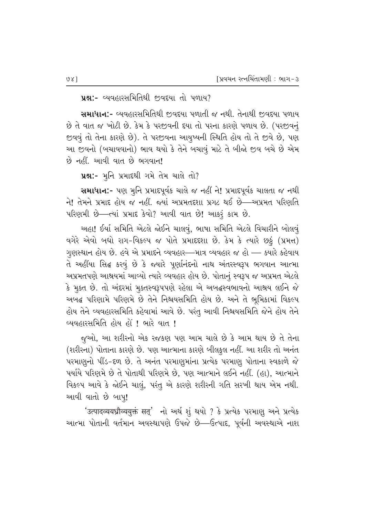**પ્રશ્ન:-** વ્યવહારસમિતિથી જીવદયા તો પળાય?

સમાધાન:- વ્યવહારસમિતિથી જ઼વદયા પળાતી જ નથી. તેનાથી જ઼વદયા પળાય છે તે વાત જ ખોટી છે. કેમ કે પરજીવની દયા તો પરના કારણે પળાય છે. (પરજીવનું જીવવું તો તેના કારણે છે). તે પરજીવના આયુષ્યની સ્થિતિ હોય તો તે જીવે છે, પણ આ જીવનો (બચાવવાનો) ભાવ થયો કે તેને બચાવું માટે તે બીજો જીવ બચે છે એમ  $\dot{\vartheta}$  નહીં. આવી વાત છે ભગવાન!

42:- મૂનિ પ્રમાદથી ગમે તેમ ચાલે તો?

સમાધાન:- પણ મુનિ પ્રમાદપૂર્વક ચાલે જ નહીં ને! પ્રમાદપૂર્વક ચાલતા જ નથી ને! તેમને પ્રમાદ હોય જ નહીં. જ્યાં અપ્રમતદશા પ્રગટ થઈ છે—અપ્રમત પરિણતિ  $\mu$ રિણમી છે—ત્યાં પ્રમાદ કેવો? આવી વાત છે! આકરૂં કામ છે.

અહા! ઈર્યા સમિતિ એટલે જોઈને ચાલવું, ભાષા સમિતિ એટલે વિચારીને બોલવું  $\alpha$ ગેરે એવો બધો રાગ-વિકલ્પ જ પોતે પ્રમાદદશા છે. કેમ કે ત્યારે છઠું (પ્રમત્ત) ગણસ્થાન હોય છે. હવે એ પ્રમાદને વ્યવહાર—માત્ર વ્યવહાર જ હો — ક્યારે કહેવાય તે અહીંયા સિદ્ધ કરવું છે કે જ્યારે પૂર્ણાનંદનો નાથ અંતરસ્વરૂપ ભગવાન આત્મા અપ્રમતપણે આશ્રયમાં આવ્યો ત્યારે વ્યવહાર હોય છે. પોતાનું સ્વરૂપ જ અપ્રમત એટલે કે મૂક્ત છે. તો અંદરમાં મૂક્તસ્વરૂપપણે રહેલા એ અબદ્ધસ્વભાવનો આશ્રય લઈને જે અબદ્ધ પરિણામે પરિણમે છે તેને નિશ્ચયસમિતિ હોય છે. અને તે ભૂમિકામાં વિકલ્પ હોય તેને વ્યવહારસમિતિ કહેવામાં આવે છે. પરંતુ આવી નિશ્ચયસમિતિ જેને હોય તેને વ્યવહારસમિતિ હોય હોં ! ભારે વાત !

જૂઓ, આ શરીરનો એક રજકણ પણ આમ ચાલે છે કે આમ થાય છે તે તેના (શરીરના) પોતાના કારણે છે. પણ આત્માના કારણે બીલકુલ નહીં. આ શરીર તો અનંત પરમાણુનો પીંડ-દળ છે. તે અનંત પરમાણુમાંના પ્રત્યેક પરમાણુ પોતાના સ્વકાળે જે પર્યાયે પરિણમે છે તે પોતાથી પરિણમે છે, પણ આત્માને લઈને નહીં. (હા), આત્માને વિકલ્પ આવે કે જોઈને ચાલું, પરંતુ એ કારણે શરીરની ગતિ સરખી થાય એમ નથી. આવી વાતો છે બાપુ!

'उत्पादव्ययध्रौव्ययुक्तं सत्' नो અर्थ शूं थयो ? કે प्रत्येક પરમાણૂ અને પ્રત્યેક આત્મા પોતાની વર્તમાન અવસ્થાપણે ઉપજે છે—ઉત્પાદ, પૂર્વની અવસ્થાએ નાશ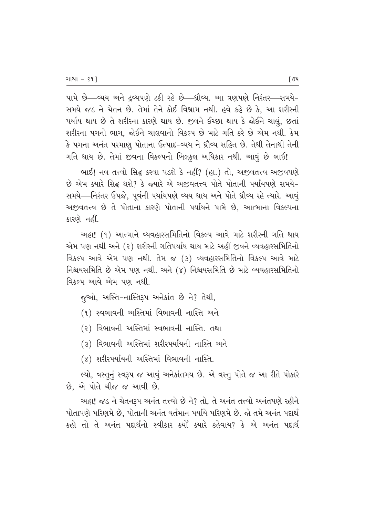~પામે છે—વ્યય અને દ્રવ્યપણે ટકી રહે છે—ઘ્રૌવ્ય. આ ત્રણપણે નિરંતર—સમયે– સમયે જડ ને ચેતન છે. તેમાં તેને કોઈ વિશ્રામ નથી. હવે કહે છે કે, આ શરીરની પર્યાય થાય છે તે શરીરના કારણે થાય છે. જીવને ઈચ્છા થાય કે જોઈને ચાલું, છતાં શરીરના પગનો ભાગ, જોઈને ચાલવાનો વિકલ્પ છે માટે ગતિ કરે છે એમ નથી. કેમ કે પગના અનંત પરમાણુ પોતાના ઉત્પાદ-વ્યય ને ધ્રૌવ્ય સહિત છે. તેથી તેનાથી તેની ગતિ થાય છે. તેમાં જીવના વિકલ્પનો બિલકુલ અધિકાર નથી. આવું છે ભાઈ**!** 

ભાઈ! નવ તત્ત્વો સિદ્ધ કરવા પડશે કે નહીં? (હા.) તો. અજીવતત્ત્વ અજીવપણે <u>છે એમ ક્યારે સિદ્ધ થશે? કે જ્યારે એ અજીવતત્ત્વ પોતે પોતાની પર્યાયપણે સમયે–</u> સમયે—નિરંતર ઉપજે, પૂર્વની પર્યાયપણે વ્યય થાય અને પોતે ધ્રૌવ્ય રહે ત્યારે. આવું <u>અજીવતત્ત્વ છે તે પોતાના કારણે પોતાની પર્યાયને પામે છે. આત્માના વિકલ્પના</u> કારણે નહીં.

અહા! (૧) આત્માને વ્યવહારસમિતિનો વિકલ્પ આવે માટે શરીરની ગતિ થાય એમ પણ નથી અને (૨) શરીરની ગતિપર્યાય થાય માટે અહીં જીવને વ્યવહારસમિતિનો વિકલ્પ આવે એમ પણ નથી. તેમ જ (૩) વ્યવહારસમિતિનો વિકલ્પ આવે માટે fi–∂•ÆfiEfis cflP #PE ~a –z]. #–P (4) fi–∂•ÆfiEfis cflP E⁄SP¶ ¤•'q⁄TÆfiEfis–⁄P વિકલ્પ આવે એમ પણ નથી.

જુઓ, અસ્તિ-નાસ્તિરૂપ અનેકાંત છે ને? તેથી,

(૧) સ્વભાવની અસ્તિમાં વિભાવની નાસ્તિ અને

(૨) વિભાવની અસ્તિમાં સ્વભાવની નાસ્તિ. તથા

(૩) વિભાવની અસ્તિમાં શરીરપર્યાયની નાસ્તિ અને

(૪) શરીરપર્યાયની અસ્તિમાં વિભાવની નાસ્તિ.

લ્યો, વસ્તુનું સ્વરૂપ જ આવું અનેકાંતમય છે. એ વસ્તુ પોતે જ આ રીતે પોકારે છે, એ પોતે ચીજ જ આવી છે.

આહા! જડ ને ચેતનરૂપ અનંત તત્ત્વો છે ને? તો. તે અનંત તત્ત્વો અનંતપણે રહીને ~⁄Ps⁄~aP ~ATaEP cflP, ~⁄Ps⁄–] #–˜s 's›E⁄– ~•⁄›•P ~ATaEP cflP. œP sEP #–˜s ~¡¶⁄z› કહો તો તે અનંત પદાર્થનો સ્વીકાર કર્યો ક્યારે કહેવાય? કે એ અનંત પદાર્થ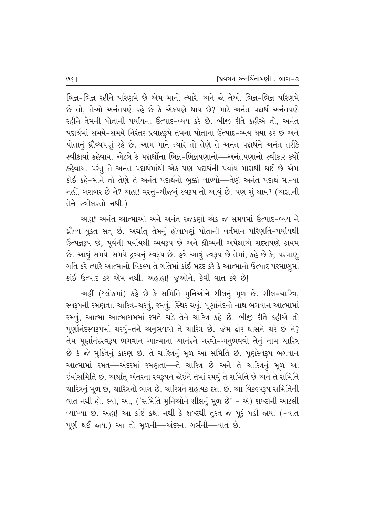ભિન્ન-ભિન્ન રહીને પરિણમે છે એમ માનો ત્યારે. અને જો તેઓ ભિન્ન-ભિન્ન પરિણમે  $\dot{\vartheta}$  તો. તેઓ અનંતપણે રહે છે કે એકપણે થાય છે? માટે અનંત પદાર્થ અનંતપણે રહીને તેમની પોતાની પર્યાયના ઉત્પાદ-વ્યય કરે છે. બીજી રીતે કહીએ તો, અનંત પદાર્થમાં સમયે-સમયે નિરંતર પ્રવાહરૂપે તેમના પોતાના ઉત્પાદ-વ્યય થયા કરે છે અને <u>પોતાન</u>ં ધ્રોવ્યપણું રહે છે. આમ માને ત્યારે તો તેણે તે અનંત પદાર્થને અનંત તરીકે સ્વીકાર્યા કહેવાય. એટલે કે પદાર્થોના ભિન્ન–ભિન્નપણાનો—અનંતપણાનો સ્વીકાર કર્યો કહેવાય. પરંતુ તે અનંત પદાર્થમાંથી એક પણ પદાર્થની પર્યાય મારાથી થઈ છે એમ કોઈ કહે-માને તો તેણે તે અનંત પદાર્થનો ભૂક્કો વાળ્યો—તેણે અનંત પદાર્થ માન્યા નહીં. બરાબર છે ને? અહા! વસ્ત્-ચીજનું સ્વરૂપ તો આવું છે. પણ શું થાય? (અજ્ઞાની તેને સ્વીકારતો નથી.)

અહા! અનંત આત્માઓ અને અનંત રજકણો એક જ સમયમાં ઉત્પાદ-વ્યય ને ધ્રૌવ્ય યુકત સત છે. અર્થાત તેમનું હોવાપણું પોતાની વર્તમાન પરિણતિ-પર્યાયથી  $6$ ત્પન્નરૂપ છે, પૂર્વની પર્યાયથી વ્યયરૂપ છે અને ધ્રૌવ્યની અપેક્ષાએ સદશપણે કાયમ છે. આવું સમયે-સમયે દ્રવ્યનું સ્વરૂપ છે. હવે આવું સ્વરૂપ છે તેમાં, કહે છે કે, પરમાણૂ ગતિ કરે ત્યારે આત્માનો વિકલ્પ તે ગતિમાં કાંઈ મદદ કરે કે આત્માનો ઉત્પાદ પરમાણુમાં કાંઈ ઉત્પાદ કરે એમ નથી. અહાહા! જૂઓને, કેવી વાત કરે છે!

અહીં (શ્લોકમાં) કહે છે કે સમિતિ મુનિઓને શીલનું મુળ છે. શીલ=ચારિત્ર, સ્વરૂપની રમણતા. ચારિત્ર=ચરવું, રમવું, સ્થિર થવું. પૂર્ણાનંદનો નાથ ભગવાન આત્મામાં રમવું, આત્મા આત્મારામમાં રમતે ચડે તેને ચારિત્ર કહે છે. બીજી રીતે કહીએ તો પૂર્ણાનંદસ્વરૂપમાં ચરવું-તેને અનુભવવો તે ચારિત્ર છે. જેમ ઢોર ઘાસને ચરે છે ને? તેમ પૂર્ણાનંદસ્વરૂપ ભગવાન આત્માના આનંદને ચરવો-અનુભવવો તેનું નામ ચારિત્ર છે કે જે મુક્તિનું કારણ છે. તે ચારિત્રનું મૂળ આ સમિતિ છે. પૂર્ણસ્વરૂપ ભગવાન આત્મામાં રમત—અંદરમાં રમણતા—તે ચારિત્ર છે અને તે ચારિત્રનું મૂળ આ ઈર્યાસમિતિ છે. અર્થાત્ અંતરના સ્વરૂપને જોઈને તેમાં રમવું તે સમિતિ છે અને તે સમિતિ ચારિત્રનું મૂળ છે, ચારિત્રનો ભાગ છે, ચારિત્રને સહાયક દશા છે. આ વિકલ્પરૂપ સમિતિની વાત નથી હો. લ્યો, આ, ('સમિતિ મુનિઓને શીલનું મૂળ છે' - એ) શબ્દોની આટલી વ્યાખ્યા છે. અહા! આ કાંઈ કથા નથી કે શબ્દથી તુરત જ પૂરૃં પડી જાય. (-વાત પૂર્ણ થઈ જાય.) આ તો મૂળની—અંદરના ગર્ભની—વાત છે.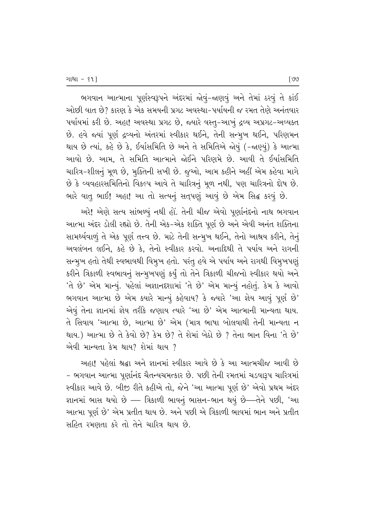ભગવાન આત્માના પૂર્ણસ્વરૂપને અંદરમાં જોવું-જાણવું અને તેમાં ઠરવું તે કાંઈ ઓછી વાત છે? કારણ કે એક સમયની પ્રગટ અવસ્થા-પર્યાયની જ રમત તેણે અનંતવાર vર્યાયમાં કરી છે. અહા! અવસ્થા પ્રગટ છે, જ્યારે વસ્તુ-આખું દ્રવ્ય અપ્રગટ-અવ્યક્ત છે. હવે જ્યાં પૂર્ણ દ્રવ્યનો અંતરમાં સ્વીકાર થઈને, તેની સન્મૂખ થઈને, પરિણમન થાય છે ત્યાં, કહે છે કે, ઈર્યાસમિતિ છે અને તે સમિતિએ જોયું (-જાણ્યું) કે આત્મા આવો છે. આમ, તે સમિતિ આત્માને જોઈને પરિણમે છે. આવી તે ઈર્યાસમિતિ ચારિત્ર-શીલનું મૂળ છે, મૂક્તિની સખી છે. જુઓ, આમ કહીને અહીં એમ કહેવા માગે છે કે વ્યવહારસમિતિનો વિકલ્પ આવે તે ચારિત્રનું મૂળ નથી, પણ ચારિત્રનો દોષ છે. ભારે વાતુ ભાઈ! અહા! આ તો સત્યનું સત્પણું આવું છે એમ સિદ્ધ કરવું છે.

અરે! એણે સત્ય સાંભળ્યું નથી હોં. તેની ચીજ એવો પૂર્ણાનંદનો નાથ ભગવાન આત્મા અંદર ડોલી રહ્યો છે. તેની એક-એક શક્તિ પૂર્ણ છે અને એવી અનંત શક્તિના સામર્થ્યવાળું તે એક પૂર્ણ તત્ત્વ છે. માટે તેની સન્મૂખ થઈને, તેનો આશ્રય કરીને, તેનું 'અવલંબન લઈને, કહે છે કે, તેનો સ્વીકાર કરવો. અનાદિથી તે પર્યાય અને રાગની સન્મુખ હતો તેથી સ્વભાવથી વિમુખ હતો. પરંતુ હવે એ પર્યાય અને રાગથી વિમુખપણું કરીને ત્રિકાળી સ્વભાવનું સન્મુખપણું કર્યું તો તેને ત્રિકાળી ચીજનો સ્વીકાર થયો અને  $'$ તે છે' એમ માન્યું. પહેલાં અજ્ઞાનદશામાં 'તે છે' એમ માન્યું નહોતું. કેમ કે આવો ભગવાન આત્મા છે એમ ક્યારે માન્યું કહેવાય? કે જ્યારે 'આ જ્ઞેય આવું પૂર્ણ છે' એવું તેના જ્ઞાનમાં જ્ઞેય તરીકે જણાય ત્યારે 'આ છે' એમ આત્માની માન્યતા થાય. તે સિવાય 'આત્મા છે, આત્મા છે' એમ (માત્ર ભાષા બોલવાથી તેની માન્યતા ન થાય.) આત્મા છે તે કેવો છે? કેમ છે? તે શેમાં બેઠો છે ? તેના ભાન વિના 'તે છે' એવી માન્યતા કેમ થાય? શેમાં થાય ?

આહા! પહેલાં શ્રદ્ધા અને જ્ઞાનમાં સ્વીકાર આવે છે કે આ આત્મચીજ આવી છે - ભગવાન આત્મા પૂર્ણાનંદ ચૈતન્યચમત્કાર છે. પછી તેની રમતમાં ચડવારૂપ ચારિત્રમાં સ્વીકાર આવે છે. બીજી રીતે કહીએ તો, જેને 'આ આત્મા પૂર્ણ છે' એવો પ્રથમ અંદર જ્ઞાનમાં ભાસ થયો છે — ત્રિકાળી ભાવનું ભાસન-ભાન થયું છે—તેને પછી, 'આ આત્મા પૂર્ણ છે' એમ પ્રતીત થાય છે. અને પછી એ ત્રિકાળી ભાવમાં ભાન અને પ્રતીત સહિત રમણતા કરે તો તેને ચારિત્ર થાય છે.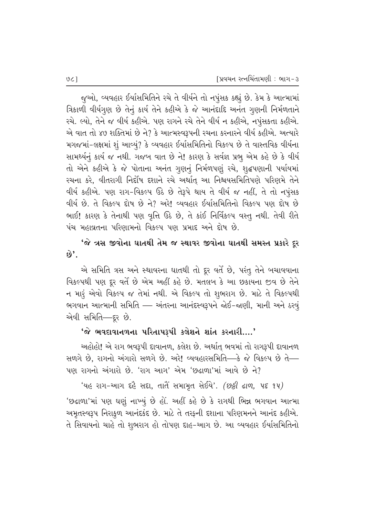જુઓ, વ્યવહાર ઈર્યાસમિતિને રચે તે વીર્યને તો નપુંસક કહ્યું છે. કેમ કે આત્મામાં aિકાળી વીર્યગૂણ છે તેનું કાર્ય તેને કહીએ કે જે આનંદાદિ અનંત ગૃણની નિર્મળતાને રચે. લ્યો, તેને જ વીર્ય કહીએ. પણ રાગને રચે તેને વીર્ય ન કહીએ, નપુંસકતા કહીએ. એ વાત તો ૪૭ શક્તિમાં છે ને? કે આત્મસ્વરૂપની રચના કરનારને વીર્ય કહીએ. અત્યારે મગજમાં-લક્ષમાં શું આવ્યું? કે વ્યવહાર ઈર્યાસમિતિનો વિકલ્પ છે તે વાસ્તવિક વીર્યના સામર્થ્યનું કાર્ય જ નથી. ગજબ વાત છે ને! કારણ કે સર્વજ્ઞ પ્રભુ એમ કહે છે કે વીર્ય તો એને કહીએ કે જે પોતાના અનંત ગુણનું નિર્મળપણું રચે, શૃદ્ધપણાની પર્યાયમાં રચના કરે, વીતરાગી નિર્દોષ દશાને રચે અર્થાત આ નિશ્રયસમિતિપણે પરિણમે તેને વીર્ય કહીએ. પણ રાગ-વિકલ્પ ઉઠે છે તેરૂપે થાય તે વીર્ય જ નહીં, તે તો નપુંસક વીર્ય છે. તે વિકલ્પ દોષ છે ને? અરે! વ્યવહાર ઈર્યાસમિતિનો વિકલ્પ પણ દોષ છે ભાઈ! કારણ કે તેનાથી પણ વૃત્તિ ઉઠે છે, તે કાંઈ નિર્વિકલ્પ વસ્તુ નથી. તેવી રીતે પંચ મહાવ્રતના પરિણામનો વિકલ્પ પણ પ્રમાદ અને દોષ છે.

 $\hat{\mathbf{v}}$ ે ત્રસ જીવોના ઘાતથી તેમ જ સ્થાવર જીવોના ઘાતથી સમસ્ત પ્રકારે દૂર  $\omega'$ .

એ સમિતિ ત્રસ અને સ્થાવરના ઘાતથી તો દૂર વર્તે છે, પરંતુ તેને બચાવવાના વિકલ્પથી પણ દૂર વર્તે છે એમ અહીં કહે છે. મતલબ કે આ છકાયના જીવ છે તેને ન મારૂં એવો વિકલ્પ જ તેમાં નથી. એ વિકલ્પ તો શુભરાગ છે. માટે તે વિકલ્પથી ભગવાન આત્માની સમિતિ —– અંતરના આનંદસ્વરૂપને જોઈ-જાણી, માની અને ઠરવું એવી સમિતિ—દૂર છે.

#### $'$ જે ભવદાવાનળના પરિતાપરૂપી કલેશને શાંત કરનારી....'

અહોહો! એ રાગ ભવરૂપી દાવાનળ, કલેશ છે. અર્થાત્ ભવમાં તો રાગરૂપી દાવાનળ  $R$ ળગે છે, રાગનો અંગારો સળગે છે. અરે! વ્યવહારસમિતિ—કે જે વિકલ્પ છે તે—  $\,$ પણ રાગનો અંગારો છે. 'રાગ આગ' એમ 'છઢાળા'માં આવે છે ને?

'યહ રાગ-આગ દહૈ સદા, તાતે સમામૂત સેઈયે'. *(છઠ્ઠી ઢાળ, પદ ૧૫)* 

'છઢાળા'માં પણ ઘણું નાખ્યું છે હો. અહીં કહે છે કે રાગથી ભિન્ન ભગવાન આત્મા અમૃતસ્વરૂપ નિરાકૂળ આનંદકંદ છે. માટે તે તરફની દશાના પરિણમનને આનંદ કહીએ. તે સિવાયનો ચાહે તો શુભરાગ હો તોપણ દાહ-આગ છે. આ વ્યવહાર ઈર્યાસમિતિનો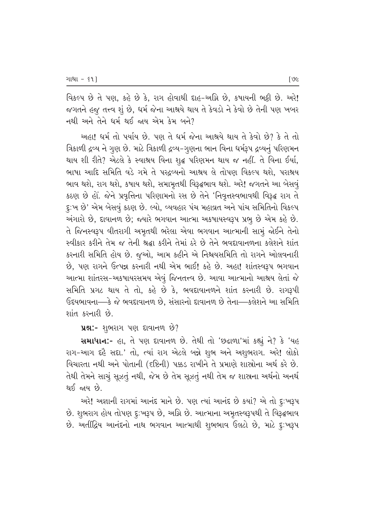વિકલ્પ છે તે પણ, કહે છે કે, રાગ હોવાથી દાહ-અગ્નિ છે. કષાયની ભકી છે. અરે! જગતને હજુ તત્ત્વ શું છે, ધર્મ જેના આશ્રયે થાય તે કેવડો ને કેવો છે તેની પણ ખબર નથી અને તેને ધર્મ થઈ જાય એમ કેમ બને?

અહા! ધર્મ તો પર્યાય છે. પણ તે ધર્મ જેના આશ્રયે થાય તે કેવો છે? કે તે તો ત્રિકાળી દ્રવ્ય ને ગુણ છે. માટે ત્રિકાળી દ્રવ્ય-ગુણના ભાન વિના ધર્મરૂપ દ્રવ્યનું પરિણમન થાય શી રીતે? એટલે કે સ્વાશ્રય વિના શૃદ્ધ પરિણમન થાય જ નહીં. તે વિના ઈર્યા, ભાષા આદિ સમિતિ વડે ગમે તે પરઢવ્યનો આશ્રય લે તોપણ વિકલ્પ થશે. પરાશ્રય ભાવ થશે, રાગ થશે, કષાય થશે, સમામૃતથી વિરૂદ્ધભાવ થશે. અરે! જગતને આ બેસવૃં કઠણ છે હોં. જેને પ્રવૃત્તિના પરિણામનો રસ છે તેને 'નિવૃત્તસ્વભાવથી વિરૂદ્ધ રાગ તે દૃ:ખ છે' એમ બેસવું કઠણ છે. લ્યો, વ્યવહાર પંચ મહાવ્રત અને પાંચ સમિતિનો વિકલ્પ અંગારો છે, દાવાનળ છે; જ્યારે ભગવાન આત્મા અકષાયસ્વરૂપ પ્રભુ છે એમ કહે છે. તે જિનસ્વરૂપ વીતરાગી અમૃતથી ભરેલા એવા ભગવાન આત્માની સામું જોઈને તેનો સ્વીકાર કરીને તેમ જ તેની શ્રદ્ધા કરીને તેમાં ઠરે છે તેને ભવદાવાનળના કલેશને શાંત કરનારી સમિતિ હોય છે. જૂઓ, આમ કહીને એ નિશ્ચયસમિતિ તો રાગને ઓલવનારી છે. પણ રાગને ઉત્પન્ન કરનારી નથી એમ ભાઈ! કહે છે. અહા! શાંતસ્વરૂપ ભગવાન આત્મા શાંતરસ-અકષાયરસમય એવં જિનતત્ત્વ છે. આવા આત્માનો આશ્રય લેતાં જે સમિતિ પ્રગટ થાય તે તો, કહે છે કે, ભવદાવાનળને શાંત કરનારી છે. રાગરૂપી ઉદયભાવના—કે જે ભવદાવાનળ છે. સંસારનો દાવાનળ છે તેના—કલેશને આ સમિતિ  $\mathfrak{so}$  Russ bile

 $\mathbf{u}$ શ્ન:- શુભરાગ પણ દાવાનળ છે?

**સમાધાન:-** હા, તે પણ દાવાનળ છે. તેથી તો 'છઢાળા'માં કહ્યું ને? કે 'યહ રાગ-આગ દહૈ સદા.' તો, ત્યાં રાગ એટલે બન્ને શુભ અને અશુભરાગ. અરે! લોકો વિચારતા નથી અને પોતાની (દષ્ટિની) પક્કડ રાખીને તે પ્રમાણે શાસ્રોના અર્થ કરે છે. તેથી તેમને સાચું સૂઝતું નથી, જેમ છે તેમ સૂઝતું નથી તેમ જ શાસ્રના અર્થનો અનર્થ થઈ જાય  $\dot{\mathcal{B}}$ 

 $x^2$  અજ્ઞાની રાગમાં આનંદ માને છે. પણ ત્યાં આનંદ છે ક્યાં? એ તો દૃ:ખરૂપ છે. શુભરાગ હોય તોપણ દૃઃખરૂપ છે, અગ્નિ છે. આત્માના અમૃતસ્વરૂપથી તે વિરૂદ્ધભાવ છે. અતીંદ્રિય આનંદનો નાથ ભગવાન આત્માથી શુભભાવ ઉલટો છે, માટે દૃઃખરૂપ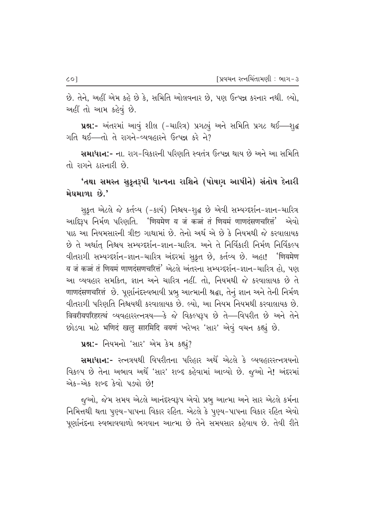છે. તેને, અહીં એમ કહે છે કે, સમિતિ ઓલવનાર છે, પણ ઉત્પન્ન કરનાર નથી. લ્યો, અહીં તો આમ કહેવું છે.

uશ:- અંતરમાં આવું શીલ (-ચારિત્ર) પ્રગટ્યું અને સમિતિ પ્રગટ થઈ-શુદ્ધ ગતિ થઈ-તો તે રાગને-વ્યવહારને ઉત્પન્ન કરે ને?

સમાધાન:- ના. રાગ-વિકારની પરિણતિ સ્વતંત્ર ઉત્પન્ન થાય છે અને આ સમિતિ તો રાગને ઠારનારી છે.

## 'તથા સમસ્ત સુકૃતરૂપી ધાન્યના રાશિને (પોષણ આપીને) સંતોષ દેનારી મેઘમાળા છે.'

સુકૃત એટલે જે કર્તવ્ય (-કાર્ય) નિશ્ચય-શુદ્ધ છે એવી સમ્યગ્દર્શન-જ્ઞાન-ચારિત્ર આદિરૂપ નિર્મળ પરિણતિ. 'णियमेण य जं कज्जं तं णियमं णाणदंसणचरित्तं' એવો પાઠ આ નિયમસારની ત્રીજ઼ ગાથામાં છે. તેનો અર્થ એ છે કે નિયમથી જે કરવાલાયક છે તે અર્થાત નિશ્ચય સમ્યગ્દર્શન-જ્ઞાન-ચારિત્ર. અને તે નિર્વિકારી નિર્મળ નિર્વિકલ્પ વીતરાગી સમ્યગ્દર્શન-જ્ઞાન-ચારિત્ર અંદરમાં સૂકૃત છે, કર્તવ્ય છે. અહા! 'णियमेण य जं कज्जं तं णियमं णाणदंसणचरित्तं' એटले અंतरना सभ्यग्दर्शन-ज्ञान-यारित्र હो, पણ આ વ્યવહાર સમકિત, જ્ઞાન અને ચારિત્ર નહીં. તો, નિયમથી જે કરવાલાયક છે તે णाणदंसणचरित्तं છે. પૂર્ણાનંદસ્વભાવી પ્રભૂ આત્માની શ્રદ્ધા, તેનું જ્ઞાન અને તેની નિર્મળ વીતરાગી પરિણતિ નિશ્ચયથી કરવાલાયક છે. લ્યો, આ નિયમ નિયમથી કરવાલાયક છે. विवरीयपरिहरत्थं व्यवहाररत्नत्रय-डे के विडल्प३प छे ते-विपरीत छे अने तेने છોડવા માટે भणिदं खलु सारमिदि वयणं ખરેખર 'સાર' એવું વચન કહ્યું છે.

uશ:- નિયમનો 'સાર' એમ કેમ કહ્યું?

સમાધાન:- રત્નત્રયથી વિપરીતના પરિહાર અર્થે એટલે કે વ્યવહારરત્નત્રયનો વિકલ્પ છે તેના અભાવ અર્થે 'સાર' શબ્દ કહેવામાં આવ્યો છે. જૂઓ ને! અંદરમાં એક-એક શબ્દ કેવો પડ્યો છે!

જૂઓ, જેમ સમય એટલે આનંદસ્વરૂપ એવો પ્રભુ આત્મા અને સાર એટલે કર્મના નિમિત્તથી થતા પૂણ્ય-પાપના વિકાર રહિત. એટલે કે પૂણ્ય-પાપના વિકાર રહિત એવો પૂર્ણાનંદના સ્વભાવવાળો ભગવાન આત્મા છે તેને સમયસાર કહેવાય છે. તેવી રીતે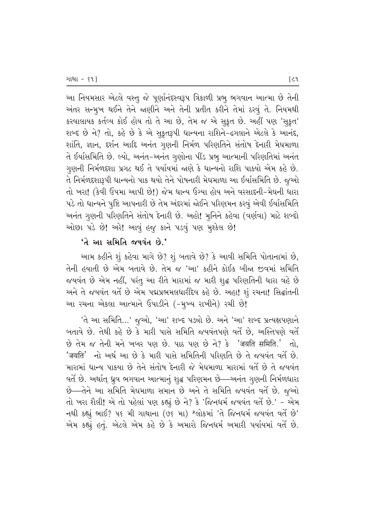આ નિયમસાર એટલે વસ્તુ જે પૂર્ણાનંદસ્વરૂપ ત્રિકાળી પ્રભુ ભગવાન આત્મા છે તેની અંતર સન્મૂખ થઈને તેને જાણીને અને તેની પ્રતીત કરીને તેમાં ઠરવું તે. નિયમથી કરવાલાયક કર્તવ્ય કોઈ હોય તો તે આ છે, તેમ જ એ સુકૃત છે. અહીં પણ 'સુકૃત' શબ્દ છે ને? તો, કહે છે કે એ સૂકૃતરૂપી ધાન્યના રાશિને-ઢગલાને એટલે કે આનંદ, શાંતિ, જ્ઞાન, દર્શન આદિ અનંત ગૃણની નિર્મળ પરિણતિને સંતોષ દેનારી મેઘમાળા તે ઈર્યાસમિતિ છે. લ્યો, અનંત-અનંત ગુણોના પીંડ પ્રભુ આત્માની પરિણતિમાં અનંત ગુણની નિર્મળદશા પ્રગટ થઈ તે પર્યાયમાં જાણે કે ધાન્યનો રાશિ પાક્યો એમ કહે છે. તે નિર્મળદશારૂપી ધાન્યનો પાક થયો તેને પોષનારી મેઘમાળા આ ઈર્યાસમિતિ છે. જૂઓ તો ખરા! (કેવી ઉપમા આપી છે!) જેમ ધાન્ય ઉગ્યા હોય અને વરસાદની-મેઘની ધારા પડે તો ધાન્યને પુષ્ટિ આપનારી છે તેમ અંદરમાં જોઈને પરિણમન કરવું એવી ઈર્યાસમિતિ અનંત ગુણની પરિણતિને સંતોષ દેનારી છે. અહો! મુનિને કહેવા (વર્ણવા) માટે શબ્દો ઓછા પડે છે! અરે! આવું હજુ કાને પડવું પણ મુશ્કેલ છે!

#### $'$ તે આ સમિતિ જયવંત છે.'

આમ કહીને શું કહેવા માગે છે? શું બતાવે છે? કે આવી સમિતિ પોતાનામાં છે, તેની હયાતી છે એમ બતાવે છે. તેમ જ 'આ' કહીને કોઈક બીજા જીવમાં સમિતિ જયવંત છે એમ નહીં, પરંતુ આ રીતે મારામાં જ મારી શુદ્ધ પરિણતિની ધારા વહે છે અને તે જયવંત વર્તે છે એમ પદ્મપ્રભમલધારીદેવ કહે છે. અહા! શું રચના! સિદ્ઘાંતની આ રચના એકલા આત્માને ઉપાડીને (-મુખ્ય રાખીને) રચી છે!

'તે આ સમિતિ...' જુઓ, 'આ' શબ્દ પડ્યો છે. અને 'આ' શબ્દ પ્રત્યક્ષપણાને બતાવે છે. તેથી કહે છે કે મારી પાસે સમિતિ જયવંતપણે વર્તે છે, અસ્તિપણે વર્તે છે તેમ જ તેની મને ખબર પણ છે. પાઠ પણ છે ને? કે 'जयति समिति.' તો. 'जयति' નો અર્થ આ છે કે મારી પાસે સમિતિની પરિણતિ છે તે જયવંત વર્તે છે. મારામાં ધાન્ય પાકયા છે તેને સંતોષ દેનારી જે મેઘમાળા મારામાં વર્તે છે તે જયવંત વર્તે છે. અર્થાત્ ઘ્રુવ ભગવાન આત્માનું શુદ્ધ પરિણમન છે—અનંત ગુણની નિર્મળધારા છે—તેને આ સમિતિ મેઘમાળા સમાન છે અને તે સમિતિ જયવંત વર્તે છે. જૂઓ તો ખરા શૈલી! એ તો પહેલાં પણ કહ્યું છે ને? કે 'જિનધર્મ જયવંત વર્તે છે.' - એમ નથી કહ્યું ભાઈ? ૫૬ મી ગાથાના (૭૬ મા) શ્લોકમાં 'તે જિનધર્મ જયવંત વર્તે છે' એમ કહ્યું હતું. એટલે એમ કહે છે કે અમારો જિનધર્મ અમારી પર્યાયમાં વર્તે છે.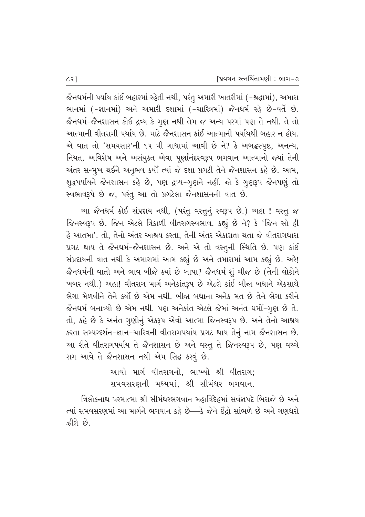જૈનધર્મની પર્યાય કાંઈ બહારમાં રહેતી નથી, પરંતુ અમારી ખાતરીમાં (-શ્રદ્ધામાં), અમારા ભાનમાં (-જ્ઞાનમાં) અને અમારી દશામાં (-ચારિત્રમાં) જૈનધર્મ રહે છે-વર્તે છે. જૈનધર્મ-જૈનશાસન કોઈ દ્રવ્ય કે ગુણ નથી તેમ જ અન્ય પરમાં પણ તે નથી. તે તો આત્માની વીતરાગી પર્યાય છે. માટે જૈનશાસન કાંઈ આત્માની પર્યાયથી બહાર ન હોય. એ વાત તો 'સમયસાર'ની ૧૫ મી ગાથામાં આવી છે ને? કે અબદ્ધસ્પષ્ટ, અનન્ય, નિયત, અવિશેષ અને અસંયૂક્ત એવા પૂર્ણાનંદસ્વરૂપ ભગવાન આત્માનો જ્યાં તેની અંતર સન્મુખ થઈને અનુભવ કર્યો ત્યાં જે દશા પ્રગટી તેને જૈનશાસન કહે છે. આમ, શુદ્ધપર્યાયને જૈનશાસન કહે છે, પણ દ્રવ્ય-ગુણને નહીં. જો કે ગુણરૂપ જૈનપણું તો સ્વભાવરૂપે છે જ, પરંતુ આ તો પ્રગટેલા જૈનશાસનની વાત છે.

આ જૈનધર્મ કોઈ સંપ્રદાય નથી, (પરંતુ વસ્તુનું સ્વરૂપ છે.) અહા ! વસ્તુ જ જિનસ્વરૂપ છે. જિન એટલે ત્રિકાળી વીતરાગસ્વભાવ. કહ્યું છે ને? કે 'જિન સો હી  $\hat{\alpha}$  આતમા'. તો, તેનો અંતર આશ્રય કરતા, તેની અંતર એકાગ્રતા થતા જે વીતરાગધારા પ્રગટ થાય તે જૈનધર્મ-જૈનશાસન છે. અને એ તો વસ્તુની સ્થિતિ છે. પણ કાંઈ સંપ્રદાયની વાત નથી કે અમારામાં આમ કહ્યું છે અને તમારામાં આમ કહ્યું છે. અરે! જૈનધર્મની વાતો અને ભાવ બીજે ક્યાં છે બાપા? જૈનધર્મ શું ચીજ છે (તેની લોકોને `ખબર નથી.) અહા! વીતરાગ માર્ગ અનેકાંતરૂપ છે એટલે કાંઈ બીજા બધાને એકસાથે ભેગા મેળવીને તેને કર્યો છે એમ નથી. બીજા બધાના અનેક મત છે તેને ભેગા કરીને જૈનધર્મ બનાવ્યો છે એમ નથી. પણ અનેકાંત એટલે જેમાં અનંત ધર્મો-ગૃણ છે તે. તો, કહે છે કે અનંત ગુણોનું એકરૂપ એવો આત્મા જિનસ્વરૂપ છે. અને તેનો આશ્રય કરતા સમ્યગ્દર્શન-જ્ઞાન-ચારિત્રની વીતરાગપર્યાય પ્રગટ થાય તેનું નામ જૈનશાસન છે. આ રીતે વીતરાગપર્યાય તે જૈનશાસન છે અને વસ્ત્ તે જિનસ્વરૂપ છે, પણ વચ્ચે રાગ આવે તે જૈનશાસન નથી એમ સિદ્ધ કરવું છે.

> આવો માર્ગ વીતરાગનો, ભાખ્યો શ્રી વીતરાગ; સમવસરણની મધ્યમાં. શ્રી સીમંઘર ભગવાન.

ત્રિલોકનાથ પરમાત્મા શ્રી સીમંધરભગવાન મહાવિદેહમાં સર્વજ્ઞપદે બિરાજે છે અને ત્યાં સમવસરણમાં આ માર્ગને ભગવાન કહે છે—કે જેને ઈંદ્રો સાંભળે છે અને ગણધરો ઝીલે છે.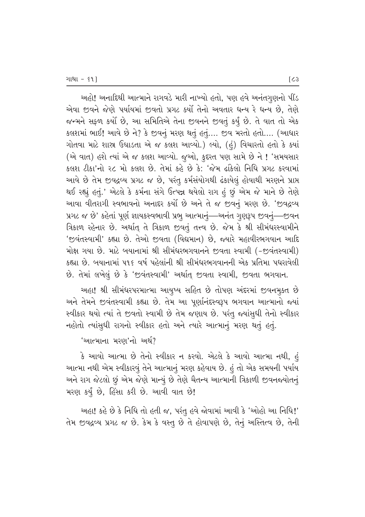આહો! અનાદિથી આત્માને રાગવડે મારી નાખ્યો હતો, પણ હવે અનંતગુણનો પીંડ એવા જીવને જેણે પર્યાયમાં જીવતો પ્રગટ કર્યો તેનો અવતાર ધન્ય રે ધન્ય છે, તેણે જન્મને સફળ કર્યો છે, આ સમિતિએ તેના જીવનને જીવતું કર્યું છે. તે વાત તો એક  $S$ કલશમાં ભાઈ! આવે છે ને? કે જીવનું મરણ થતું હતું.... જીવ મરતો હતો.... (આધાર ગોતવા માટે શાસ્ત્ર ઉઘાડતા એ જ કલશ આવ્યો.) લ્યો, (હં) વિચારતો હતો કે ક્યાં (એ વાત) હશે ત્યાં એ જ કલશ આવ્યો. જૂઓ, કુદરત પણ સામે છે ને ! 'સમયસાર કલશ ટીકા'નો ૨૮ મો કલશ છે. તેમાં કહે છે કે: 'જેમ ઢાંકેલો નિધિ પ્રગટ કરવામાં આવે છે તેમ જીવદ્રવ્ય પ્રગટ જ છે, પરંતુ કર્મસંયોગથી ઢંકાયેલું હોવાથી મરણને પ્રાપ્ત થઈ રહ્યું હતું.' એટલે કે કર્મના સંગે ઉત્પન્ન થયેલો રાગ હું છું એમ જે માને છે તેણે આવા વીતરાગી સ્વભાવનો અનાદર કર્યો છે અને તે જ જીવનું મરણ છે. 'જીવદ્રવ્ય પ્રગટ જ છે' કહેતાં પૂર્ણ જ્ઞાયકસ્વભાવી પ્રભુ આત્માનું—અનંત ગુણરૂપ જીવનું—જીવન aિકાળ રહેનાર છે. અર્થાત્ તે ત્રિકાળ જીવતું તત્ત્વ છે. જેમ કે શ્રી સીમંધરસ્વામીને 'જવંતસ્વામી' કહ્યા છે. તેઓ જીવતા (વિદ્યમાન) છે, જ્યારે મહાવીરભગવાન આદિ મોક્ષ ગયા છે. માટે બયાનામાં શ્રી સીમંધરભગવાનને જીવતા સ્વામી (-જીવંતસ્વામી) કહ્યા છે. બયાનામાં ૫૧૬ વર્ષ પહેલાંની શ્રી સીમંધરભગવાનની એક પ્રતિમા પધરાવેલી  $\dot{\vartheta}$ . તેમાં લખેલું છે કે 'જીવંતસ્વામી' અર્થાત્ જીવતા સ્વામી, જીવતા ભગવાન.

અહા! શ્રી સીમંઘરપરમાત્મા આયુષ્ય સહિત છે તોપણ અંદરમાં જીવનમૂક્ત છે આને તેમને જીવંતસ્વામી કહ્યા છે. તેમ આ પૂર્ણાનંદસ્વરૂપ ભગવાન આત્માનો જ્યાં સ્વીકાર થયો ત્યાં તે જીવતો સ્વામી છે તેમ જણાય છે. પરંતુ જ્યાંસુધી તેનો સ્વીકાર નહોતો ત્યાંસુધી રાગનો સ્વીકાર હતો અને ત્યારે આત્માનું મરણ થતું હતું.

#### 'આત્માના મરણ'નો અર્થ?

 $\,$ કે આવો આત્મા છે તેનો સ્વીકાર ન કરવો. એટલે કે આવો આત્મા નથી, હું આત્મા નથી એમ સ્વીકારવું તેને આત્માનું મરણ કહેવાય છે. હું તો એક સમયની પર્યાય આને રાગ જેટલો છું એમ જેણે માન્યું છે તેણે ચૈતન્ય આત્માની ત્રિકાળી જીવનજયોતનું મરણ કર્યું છે, હિંસા કરી છે. આવી વાત છે!

અહા! કહે છે કે નિધિ તો હતી જ, પરંતુ હવે જોવામાં આવી કે 'ઓહો આ નિધિ!' તેમ જીવદ્રવ્ય પ્રગટ જ છે. કેમ કે વસ્તૂ છે તે હોવાપણે છે, તેનું અસ્તિત્વ છે, તેની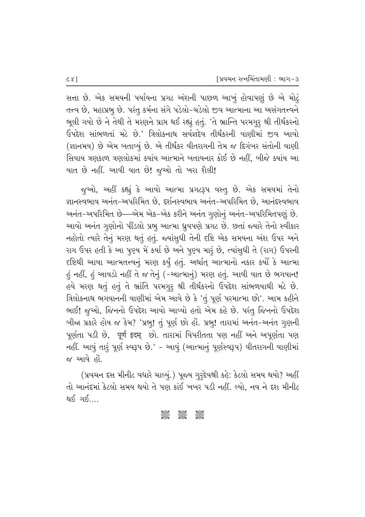સત્તા છે. એક સમયની પર્યાયના પ્રગટ અંશની પાછળ આખું હોવાપણું છે એ મોટું તત્ત્વ છે, મહાપ્રભુ છે. પરંતુ કર્મના સંગે પડેલો-ચડેલો જીવ આત્માના આ અસંગતત્ત્વને ભૂલી ગયો છે ને તેથી તે મરણને પ્રાપ્ત થઈ રહ્યું હતું. 'તે ભ્રાન્તિ પરમગુરૂ શ્રી તીર્થંકરનો ઉપદેશ સાંભળતાં મટે છે.' ત્રિલોકનાથ સર્વજ્ઞદેવ તીર્થંકરની વાણીમાં જીવ આવો (જ્ઞાનમય) છે એમ બતાવ્યું છે. એ તીર્થંકર વીતરાગની તેમ જ દિગંબર સંતોની વાણી સિવાય ત્રણકાળ ત્રણલોકમાં ક્યાંય આત્માને બતાવનાર કોઈ છે નહીં, બીજે ક્યાંય આ વાત છે નહીં. આવી વાત છે! જુઓ તો ખરા શૈલી!

જૂઓ, અહીં કહ્યું કે આવો આત્મા પ્રગટરૂપ વસ્તુ છે. એક સમયમાં તેનો જ્ઞાનસ્વભાવ અનંત-અપરિમિત છે, દર્શનસ્વભાવ અનંત-અપરિમિત છે, આનંદસ્વભાવ અનંત-અપરિમિત છે—એમ એક-એક કરીને અનંત ગુણોનું અનંત-અપરિમિતપણું છે. આવો અનંત ગુણોનો પીંડલો પ્રભુ આત્મા ધ્રુવપણે પ્રગટ છે. છતાં જ્યારે તેનો સ્વીકાર નહોતો ત્યારે તેનું મરણ થતું હતું. જ્યાંસુધી તેની દષ્ટિ એક સમયના અંશ ઉપર અને રાગ ઉપર હતી કે આ પુણ્ય મેં કર્યા છે અને પુણ્ય મારૂં છે, ત્યાંસુધી તે (રાગ) ઉપરની દષ્ટિથી આવા આત્મતત્ત્વનું મરણ કર્યું હતું. અર્થાત્ આત્માનો નકાર કર્યો કે આત્મા હું નહીં, હું આવડો નહીં તે જ તેનું (-આત્માનું) મરણ હતું. આવી વાત છે ભગવાન! હવે મરણ થતું હતું તે ભ્રાંતિ પરમગુરૂ શ્રી તીર્થંકરનો ઉપદેશ સાંભળવાથી મટે છે. ત્રિલોકનાથ ભગવાનની વાણીમાં એમ આવે છે કે 'તું પૂર્ણ પરમાત્મા છો'. આમ કહીને ભાઈ! જુઓ, જિનનો ઉપદેશ આવો આવ્યો હતો એમ કહે છે. પરંતુ જિનનો ઉપદેશ બીજા પ્રકારે હોય જ કેમ? 'પ્રભુ! તું પૂર્ણ છો હોં. પ્રભુ! તારામાં અનંત-અનંત ગૃણની પૂર્ણતા પડી છે, पूर्ण इदम् છો. તારામાં વિપરીતતા પણ નહીં અને અપૂર્ણતા પણ નહીં. આવું તારૂં પૂર્ણ સ્વરૂપ છે.' - આવું (આત્માનું પૂર્ણસ્વરૂપ) વીતરાગની વાણીમાં જ આવે હોં.

(પ્રવચન દસ મીનીટ વધારે ચાલ્યું.) પૂજ્ય ગુરૂદેવશ્રી કહે: કેટલો સમય થયો? અહીં તો આનંદમાં કેટલો સમય થયો તે પણ કાંઈ ખબર પડી નહીં. લ્યો. નવ ને દશ મીનીટ <u>થઈ ગઈ....</u>

#### ခ်မိုးမိုင် asse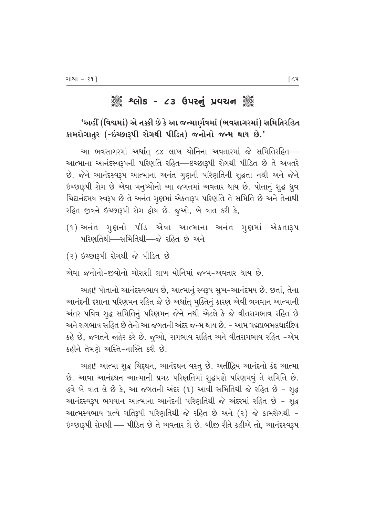# ૾ૢૺૺૺ૾ૢૺ શ્લોક - ૮૩ ઉપરનું પ્રવચન ૢૺૺૺ૾

### 'અહીં (વિશ્વમાં) એ નક્કી છે કે આ જન્માર્ણવમાં (ભવસાગરમાં) સમિતિરહિત કામરોગાતૂર (-ઇચ્છારૂપી રોગથી પીડિત) જનોનો જન્મ થાય છે.'

આ ભવસાગરમાં અર્થાત ૮૪ લાખ યોનિના અવતારમાં જે સમિતિરહિત— આત્માના આનંદસ્વરૂપની પરિણતિ રહિત—ઇચ્છારૂપી રોગથી પીડિત છે તે અવતરે છે. જેને આનંદસ્વરૂપ આત્માના અનંત ગુણની પરિણતિની શુદ્ધતા નથી અને જેને ઇચ્છારૂપી રોગ છે એવા મનુષ્યોનો આ જગતમાં અવતાર થાય છે. પોતાનું શુદ્ધ ધ્રુવ ચિદ્દાનંદમય સ્વરૂપ છે તે અનંત ગુણમાં એકતારૂપ પરિણતિ તે સમિતિ છે અને તેનાથી રહિત જીવને ઇચ્છારૂપી રોગ હોય છે. જૂઓ, બે વાત કરી કે,

- (૧) અનંત ગુણનો પીંડ એવા આત્માના અનંત ગુણમાં એકતારૂપ પરિણતિથી—સમિતિથી—જે રહિત છે અને
- (૨) ઇચ્છારૂપી રોગથી જે પીડિત છે

એવા જનોનો-જીવોનો ચોરાશી લાખ યોનિમાં જન્મ-અવતાર થાય છે.

અહા! પોતાનો આનંદસ્વભાવ છે, આત્માનું સ્વરૂપ સૂખ-આનંદમય છે. છતાં, તેના આનંદની દશાના પરિણમન રહિત જે છે અર્થાત્ મૂક્તિનું કારણ એવી ભગવાન આત્માની અંતર પવિત્ર શુદ્ધ સમિતિનું પરિણમન જેને નથી એટલે કે જે વીતરાગભાવ રહિત છે અને રાગભાવ સહિત છે તેનો આ જગતની અંદર જન્મ થાય છે. – આમ પદ્મપ્રભમલધારીદેવ કહે છે, જગતને જ્ઞહેર કરે છે. જુઓ, રાગભાવ સહિત અને વીતરાગભાવ રહિત –એમ કહીને તેમણે અસ્તિ-નાસ્તિ કરી છે.

અહા! આત્મા શુદ્ધ ચિદ્દઘન, આનંદઘન વસ્તુ છે. અતીંદ્રિય આનંદનો કંદ આત્મા છે. આવા આનંદઘન આત્માની પ્રગટ પરિણતિમાં શુદ્ધપણે પરિણમવું તે સમિતિ છે. હવે બે વાત લે છે કે, આ જગતની અંદર (૧) આવી સમિતિથી જે રહિત છે - શુદ્ધ આનંદસ્વરૂપ ભગવાન આત્માના આનંદની પરિણતિથી જે અંદરમાં રહિત છે - શુદ્ધ આત્મસ્વભાવ પ્રત્યે ગતિરૂપી પરિણતિથી જે રહિત છે અને (૨) જે કામરોગથી -ઇચ્છારૂપી રોગથી — પીડિત છે તે અવતાર લે છે. બીજી રીતે કહીએ તો, આનંદસ્વરૂપ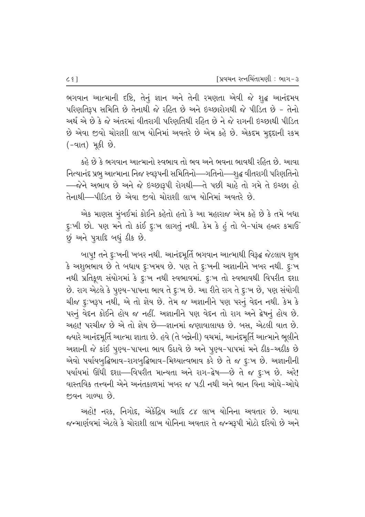ભગવાન આત્માની દષ્ટિ, તેનું જ્ઞાન અને તેની રમણતા એવી જે શુદ્ધ આનંદમય  $n-1$ મરિણતિરૂપ સમિતિ છે તેનાથી જે રહિત છે અને ઇચ્છારોગથી જે પીડિત છે – તેનો અર્થ એ છે કે જે અંતરમાં વીતરાગી પરિણતિથી રહિત છે ને જે રાગની ઇચ્છાથી પીડિત  $\dot{\vartheta}$  એવા જીવો ચોરાશી લાખ યોનિમાં અવતરે છે એમ કહે છે. એકદમ મુદદાની રકમ  $(-q<sub>l</sub>ct)$  મૂકી છે.

કહે છે કે ભગવાન આત્માનો સ્વભાવ તો ભવ અને ભવના ભાવથી રહિત છે. આવા નિત્યાનંદ પ્રભુ આત્માના નિજ સ્વરૂપની સમિતિનો—ગતિનો—્શુદ્ધ વીતરાગી પરિણતિનો —જેને અભાવ છે અને જે ઇચ્છારૂપી રોગથી—તે પછી ચાહે તો ગમે તે ઇચ્છા હો તેનાથી—પીડિત છે એવા જીવો ચોરાશી લાખ યોનિમાં અવતરે છે.

એક માણસ મુંબઈમાં કોઈને કહેતો હતો કે આ મહારાજ એમ કહે છે કે તમે બધા દુ:ખી છો. પણ મને તો કાંઈ દુ:ખ લાગતું નથી. કેમ કે હું તો બે-પાંચ હજાર કમાઉં છું અને પુત્રાદિ બધું *ડીક* છે.

બાપ્! તને દૃઃખની ખબર નથી. આનંદમૂર્તિ ભગવાન આત્માથી વિરૂદ્ઘ જેટલાય શુભ કે અશુભભાવ છે તે બધાય દુઃખમય છે. પણ તે દુઃખની અજ્ઞાનીને ખબર નથી. દુઃખ નથી પ્રતિકુળ સંયોગમાં કે દૃઃખ નથી સ્વભાવમાં. દૃઃખ તો સ્વભાવથી વિપરીત દશા છે. રાગ એટલે કે પૂણ્ય-પાપના ભાવ તે દુઃખ છે. આ રીતે રાગ તે દુઃખ છે, પણ સંયોગી ચીજ દુ:ખરૂપ નથી, એ તો જ્ઞેય છે. તેમ જ અજ્ઞાનીને પણ પરનું વેદન નથી. કેમ કે પરનું વેદન કોઈને હોય જ નહીં. અજ્ઞાનીને પણ વેદન તો રાગ અને ક્રેષનું હોય છે. આહા! પરચીજ છે એ તો જ્ઞેય છે—જ્ઞાનમાં જણાવાલાયક છે. બસ, એટલી વાત છે. જયારે આનંદમૂર્તિ આત્મા જ્ઞાતા છે. હવે (તે બન્નેની) વચમાં, આનંદમૂર્તિ આત્માને ભૂલીને આજ્ઞાની જે કાંઈ પુણ્ય-પાપના ભાવ ઉઠાવે છે અને પુણ્ય-પાપમાં મને ઠીક-અઠીક છે એવો પર્યાયબુદ્ધિભાવ-રાગબુદ્ધિભાવ-મિથ્યાત્વભાવ કરે છે તે જ દુઃખ છે. અજ્ઞાનીની પર્યાયમાં ઊંઘી દશા—વિપરીત માન્યતા અને રાગ-દ્વેષ—છે તે જ દુઃખ છે. અરે! વાસ્તવિક તત્ત્વની એને અનંતકાળમાં ખબર જ પડી નથી અને ભાન વિના ઓઘે–ઓઘે  $\mathfrak{p}$ વન ગાળ્યા છે.

આહો! નરક, નિગોદ, એકેંદ્રિય આદિ ૮૪ લાખ યોનિના અવતાર છે. આવા જન્માર્ણવમાં એટલે કે ચોરાશી લાખ યોનિના અવતાર તે જન્મરૂપી મોટો દરિયો છે અને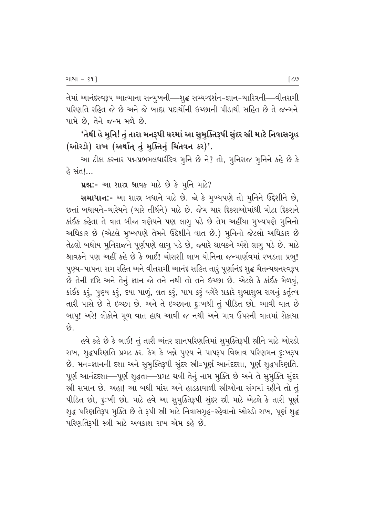તેમાં આનંદસ્વરૂપ આત્માના સન્મુખની—શુદ્ધ સમ્યગ્દર્શન-જ્ઞાન-ચારિત્રની—વીતરાગી પરિણતિ રહિત જે છે અને જે બાહ્ય પદાર્થોની ઇચ્છાની પીડાથી સહિત છે તે જન્મને પામે છે. તેને જન્મ મળે છે.

'તેથી હે મુનિ! તું તારા મનરૂપી ઘરમાં આ સુમુક્તિરૂપી સુંદર સ્રી માટે નિવાસગૃહ (ઓરડો) રાખ (અર્થાત્ તું મુક્તિનું ચિંતવન કર)'.

આ ટીકા કરનાર પદ્મપ્રભમલધારીદેવ મૂનિ છે ને? તો, મુનિરાજ મૂનિને કહે છે કે હે સંત!…

**પ્રશ્ન:-** આ શાસ્ર શ્રાવક માટે છે કે મુનિ માટે?

સમાધાન:- આ શાસ્ર બધાને માટે છે. જો કે મુખ્યપણે તો મૂનિને ઉદ્દેશીને છે, છતાં બધાયને-ચારેયને (ચારે તીર્થને) માટે છે. જેમ ચાર દિકરાઓમાંથી મોટા દિકરાને કાંઈક કહેતા તે વાત બીજા ત્રણેયને પણ લાગૂ પડે છે તેમ અહીંયા મુખ્યપણે મૂનિનો અધિકાર છે (એટલે મુખ્યપણે તેમને ઉદ્દેશીને વાત છે.) મુનિનો જેટલો અધિકાર છે તેટલો બધોય મુનિરાજને પૂર્ણપણે લાગૃ પડે છે, જ્યારે શ્રાવકને અંશે લાગૃ પડે છે. માટે શ્રાવકને પણ અહીં કહે છે કે ભાઈ! ચોરાશી લાખ યોનિના જન્માર્ણવમાં રખડતા પ્રભુ! પુણ્ય-પાપના રાગ રહિત અને વીતરાગી આનંદ સહિત તારું પૂર્ણાનંદ શુદ્ધ ચૈતન્યઘનસ્વરૂપ છે તેની દષ્ટિ અને તેનું જ્ઞાન જો તને નથી તો તને ઇચ્છા છે. એટલે કે કાંઈક મેળવું, કાંઈક કરૂં, પુણ્ય કરૂં, દયા પાળું, વ્રત કરૂં, પાપ કરૂં વગેરે પ્રકારે શુભાશુભ રાગનું કર્તૃત્વ તારી પાસે છે તે ઇચ્છા છે. અને તે ઇચ્છાના દુ:ખથી તું પીડિત છો. આવી વાત છે બાપ્! અરે! લોકોને મૂળ વાત હાથ આવી જ નથી અને માત્ર ઉપરની વાતમાં રોકાયા છે.

હવે કહે છે કે ભાઈ! તું તારી અંતર જ્ઞાનપરિણતિમાં સુમુક્તિરૂપી સ્રીને માટે ઓરડો રાખ, શૃદ્ધપરિણતિ પ્રગટ કર. કેમ કે બન્ને પુણ્ય ને પાપરૂપ વિભાવ પરિણમન દુઃખરૂપ છે. મન=જ્ઞાનની દશા અને સુમુક્તિરૂપી સુંદર સ્રી=પૂર્ણ આનંદદશા, પૂર્ણ શુદ્ધપરિણતિ. પૂર્ણ આનંદદશા—પૂર્ણ શુદ્ધતા—પ્રગટ થવી તેનું નામ મુક્તિ છે અને તે સુમુક્તિ સુંદર સ્રી સમાન છે. અહા! આ બધી માંસ અને હાડકાવાળી સ્રીઓના સંગમાં રહીને તો તું પીડિત છો, દુ:ખી છો. માટે હવે આ સુમૂક્તિરૂપી સુંદર સ્રી માટે એટલે કે તારી પૂર્ણ શુદ્ધ પરિણતિરૂપ મુક્તિ છે તે રૂપી સ્રી માટે નિવાસગૃહ-રહેવાનો ઓરડો રાખ, પૂર્ણ શુદ્ધ પરિણતિરૂપી સ્ત્રી માટે અવકાશ રાખ એમ કહે છે.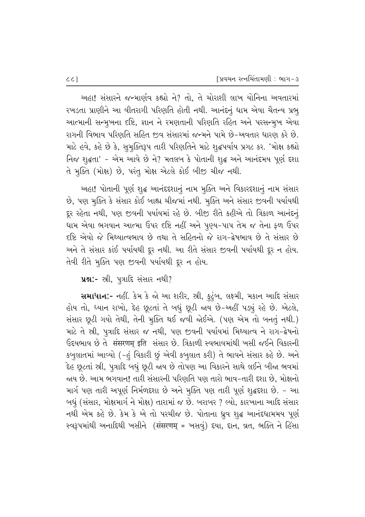અહા! સંસારને જન્માર્ણવ કહ્યો ને? તો. તે ચોરાશી લાખ યોનિના અવતારમાં રખડતા પ્રાણીને આ વીતરાગી પરિણતિ હોતી નથી. આનંદનું ધામ એવા ચૈતન્ય પ્રભૂ આત્માની સન્મૂખના દષ્ટિ, જ્ઞાન ને રમણતાની પરિણતિ રહિત અને પરસન્મૂખ એવા રાગની વિભાવ પરિણતિ સહિત જીવ સંસારમાં જન્મને પામે છે-અવતાર ધારણ કરે છે. માટે હવે, કહે છે કે, સુમૂક્તિરૂપ તારી પરિણતિને માટે શુદ્ધપર્યાય પ્રગટ કર. 'મોક્ષ કહ્યો flo શૃદ્ધતા' - એમ આવે છે ને? મતલબ કે પોતાની શૃદ્ધ અને આનંદમય પૂર્ણ દશા તે મૂક્તિ (મોક્ષ) છે, પરંતુ મોક્ષ એટલે કોઈ બીજી ચીજ નથી.

અહા! પોતાની પૂર્ણ શૃદ્ધ આનંદદશાનું નામ મૂક્તિ અને વિકારદશાનું નામ સંસાર છે, પણ મુક્તિ કે સંસાર કોઈ બાહ્ય ચીજમાં નથી. મુક્તિ અને સંસાર જીવની પર્યાયથી દૂર રહેતા નથી, પણ જીવની પર્યાયમાં રહે છે. બીજી રીતે કહીએ તો ત્રિકાળ આનંદનું ધામ એવા ભગવાન આત્મા ઉપર દષ્ટિ નહીં અને પુણ્ય-પાપ તેમ જ તેના કળ ઉપર દષ્ટિ એવો જે મિથ્યાત્વભાવ છે તથા તે સહિતનો જે રાગ-દ્વેષભાવ છે તે સંસાર છે અને તે સંસાર કાંઈ પર્યાયથી દૂર નથી. આ રીતે સંસાર જીવની પર્યાયથી દૂર ન હોય. તેવી રીતે મુક્તિ પણ જીવની પર્યાયથી દૂર ન હોય.

પ્રશ્ન:- સ્રી, પુત્રાદિ સંસાર નથી?

સમાધાન:- નહીં. કેમ કે જો આ શરીર, સ્રી, કુટુંબ, લક્ષ્મી, મકાન આદિ સંસાર હોય તો, ધ્યાન રાખો, દેહ છૂટતાં તે બધું છૂટી જાય છે-અહીં પડ્યું રહે છે. એટલે, સંસાર છૂટી ગયો તેથી, તેની મુક્તિ થઈ જવી જોઈએ. (પણ એમ તો બનતું નથી.) માટે તે સ્રી, પુત્રાદિ સંસાર જ નથી, પણ જીવની પર્યાયમાં મિથ્યાત્વ ને રાગ-દ્વેષનો ઉદયભાવ છે તે संसरणम् इति સંસાર છે. ત્રિકાળી સ્વભાવમાંથી ખસી જઈને વિકારની કબુલાતમાં આવ્યો (-હું વિકારી છું એવી કબુલાત કરી) તે ભાવને સંસાર કહે છે. અને દેહ છૂટતાં સ્રી, પુત્રાદિ બધું છૂટી જાય છે તોપણ આ વિકારને સાથે લઈને બીજા ભવમાં જાય છે. આમ ભગવાન! તારી સંસારની પરિણતિ પણ તારો ભાવ-તારી દશા છે, મોક્ષનો માર્ગ પણ તારી અપૂર્ણ નિર્મળદશા છે અને મૂક્તિ પણ તારી પૂર્ણ શુદ્ધદશા છે. - આ બધું (સંસાર, મોક્ષમાર્ગ ને મોક્ષ) તારામાં જ છે. બરાબર ? લ્યો, કારખાના આદિ સંસાર નથી એમ કહે છે. કેમ કે એ તો પરચીજ છે. પોતાના ધ્ર્વ શ્¢ આનંદધામમય પૂર્ણ સ્વરૂપમાંથી અનાદિથી ખસીને (संसरणम् = ખસવું) દયા, દાન, વ્રત, ભક્તિ ને હિંસા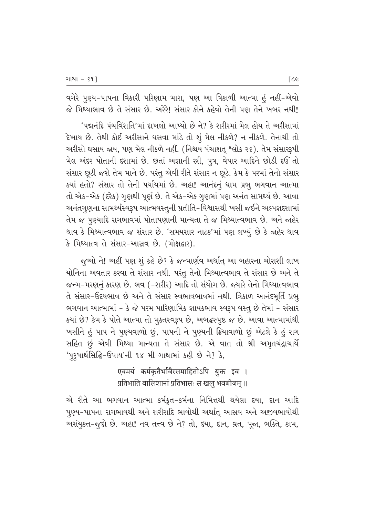વગેરે પુણ્ય-પાપના વિકારી પરિણામ મારા, પણ આ ત્રિકાળી આત્મા હું નહીં-એવો જે મિથ્યાભાવ છે તે સંસાર છે. અરેરે! સંસાર કોને કહેવો તેની પણ તેને ખબર નથી!

 $^{\prime}$ પદ્મનંદિ પંચવિંશતિ'માં દાખલો આપ્યો છે ને? કે શરીરમાં મેલ હોય તે અરીસામાં  $\,$  દેખાય છે. તેથી કોઈ અરીસાને ઘસવા માંડે તો શું મેલ નીકળે? ન નીકળે. તેનાથી તો અરીસો ઘસાય જાય, પણ મેલ નીકળે નહીં. (નિશ્રય પંચાશત્ શ્લોક ૨૬). તેમ સંસારરૂપી મેલ અંદર પોતાની દશામાં છે. છતાં અજ્ઞાની સ્રી, પુત્ર, વેપાર આદિને છોડી દઉ*ં*તો સંસાર છૂટી જશે તેમ માને છે. પરંતુ એવી રીતે સંસાર ન છૂટે. કેમ કે પરમાં તેનો સંસાર  $\,$ ક્યાં હતો? સંસાર તો તેની પર્યાયમાં છે. અહા! આનંદનું ધામ પ્રભૂ ભગવાન આત્મા તો એક-એક (દરેક) ગુણથી પૂર્ણ છે. તે એક-એક ગુણમાં પણ અનંત સામર્થ્ય છે. આવા આનંતગુણના સામર્થ્યસ્વરૂપ આત્મવસ્તુની પ્રતીતિ−વિશ્વાસથી ખસી જઈને અલ્પજ્ઞદશામાં તેમ જ પુણ્યાદિ રાગભાવમાં પોતાપણાની માન્યતા તે જ મિથ્યાત્વભાવ છે. અને જાહેર थाव કે મિથ્યાત્વભાવ જ સંસાર છે. 'સમયસાર નાટક'માં પણ લખ્યું છે કે જાહેર થાવ કે મિથ્યાત્વ તે સંસાર-આસ્રવ છે. (મોક્ષદ્વાર).

જુઓ ને! અહીં પણ શું કહે છે? કે જન્માર્ણવ અર્થાત્ આ બહારના ચોરાશી લાખ <u>યોનિના અવતાર કરવા તે સંસાર નથી. પરંતુ</u> તેનો મિથ્યાત્વભાવ તે સંસાર છે અને તે જન્મ-મરણનું કારણ છે. ભવ (-શરીર) આદિ તો સંયોગ છે. જ્યારે તેનો મિથ્યાત્વભાવ તે સંસાર-ઉદયભાવ છે અને તે સંસાર સ્વભાવભાવમાં નથી. ત્રિકાળ આનંદમૂર્તિ પ્રભુ ભગવાન આત્મામાં - કે જે પરમ પારિણામિક જ્ઞાયકભાવ સ્વરૂપ વસ્તૂ છે તેમાં - સંસાર કયાં છે? કેમ કે પોતે આત્મા તો મુક્તસ્વરૂપ છે, અબદ્ધસ્પૃષ્ટ જ છે. આવા આત્મામાંથી ખસીને હું પાપ ને પુણ્યવાળો છું, પાપની ને પુણ્યની ક્રિયાવાળો છું એટલે કે હું રાગ સહિત છું એવી મિથ્યા માન્યતા તે સંસાર છે. એ વાત તો શ્રી અમૃતચંદ્રાચાર્યે  $'$ પુરૃષાર્થસિદ્ધિ-ઉપાય'ની ૧૪ મી ગાથામાં કહી છે ને? કે,

> ण्वमयं कर्मकृतैर्भावैरसमाहितोऽपि युक्त इव । प्रतिभाति बालिशानां प्रतिभासः स खलु भवबीजम् ॥

એ રીતે આ ભગવાન આત્મા કર્મકૃત-કર્મના નિમિત્તથી થયેલા દયા, દાન આદિ પુણ્ય-પાપના રાગભાવથી અને શરીરાદિ ભાવોથી અર્થાત્ આસ્રવ અને અજીવભાવોથી અસંયુકત-જુદો છે. અહા! નવ તત્ત્વ છે ને? તો, દયા, દાન, વ્રત, પૂજા, ભક્તિ, કામ,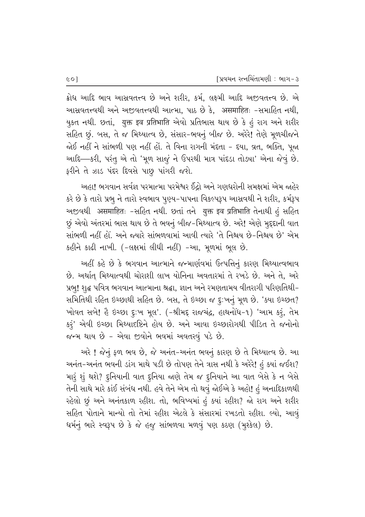ક્રોધ આદિ ભાવ આસવતત્ત્વ છે અને શરીર, કર્મ, લક્ષ્મી આદિ અજીવતત્ત્વ છે. એ આસવતત્ત્વથી અને અજીવતત્ત્વથી આત્મા, પાઠ છે કે, असमाहितः -સમાહિત નથી, યુકત નથી. છતાં, યુक्त इव प्रतिभाति એવો પ્રતિભાસ થાય છે કે હું રાગ અને શરીર સહિત છું. બસ, તે જ મિથ્યાત્વ છે, સંસાર-ભવનું બીજ છે. અરેરે! તેણે મૂળચીજને જોઈ નહીં ને સાંભળી પણ નહીં હોં. તે વિના રાગની મંદતા - દયા, વ્રત, ભક્તિ, પૂજા આદિ-કરી, પરંતુ એ તો 'મૂળ સાજું ને ઉપરથી માત્ર પાંદડા તોહ્યા' એના જેવું છે. ફરીને તે ઝાડ પંદર દિવસે પાછુ પાંગરી જશે.

અહા! ભગવાન સર્વજ્ઞ પરમાત્મા પરમેશ્વર ઈંદ્રો અને ગણધરોની સમક્ષમાં એમ જાહેર કરે છે કે તારો પ્રભૂ ને તારો સ્વભાવ પુણ્ય-પાપના વિકલ્પરૂપ આસ્રવથી ને શરીર, કર્મરૂપ અજીવથી असमाहितः -સહિત નથી. છતાં તને युक्त इव प्रतिभाति તેનાથી હં સહિત છું એવો અંતરમાં ભાસ થાય છે તે ભવનું બીજ-મિથ્યાત્વ છે. અરે! એણે મૃદૃદાની વાત સાંભળી નહીં હોં. અને જ્યારે સાંભળવામાં આવી ત્યારે 'તે નિશ્ચય છે-નિશ્ચય છે' એમ કહીને કાઢી નાખી. (-લક્ષમાં લીધી નહીં) -આ, મૂળમાં ભૂલ છે.

અહીં કહે છે કે ભગવાન આત્માને જન્માર્ણવમાં ઉત્પત્તિનું કારણ મિથ્યાત્વભાવ છે. અર્થાત્ મિથ્યાત્વથી ચોરાશી લાખ યોનિના અવતારમાં તે રખડે છે. અને તે, અરે પ્રભુ! શુદ્ધ પવિત્ર ભગવાન આત્માના શ્રદ્ધા, જ્ઞાન અને રમણતામય વીતરાગી પરિણતિથી-સમિતિથી રહિત ઇચ્છાથી સહિત છે. બસ, તે ઇચ્છા જ દૃ:ખનું મૂળ છે. 'ક્યા ઇચ્છત? ખોવત સબે! હૈ ઇચ્છા દૃઃખ મૂલ'. (-શ્રીમદૃ રાજચંદ્ર, હાથનોંધ-૧) 'આમ કરૂં, તેમ કરૂં' એવી ઇચ્છા મિથ્યાદષ્ટિને હોય છે. અને આવા ઇચ્છારોગથી પીડિત તે જનોનો જન્મ થાય છે - એવા જીવોને ભવમાં અવતરવું પડે છે.

અરે ! જેનું ફળ ભવ છે, જે અનંત-અનંત ભવનું કારણ છે તે મિથ્યાત્વ છે. આ અનંત-અનંત ભવની ડાંગ માથે પડી છે તોપણ તેને ત્રાસ નથી કે અરેરે! હું ક્યાં જઈશ? મારૂં શું થશે? દુનિયાની વાત દુનિયા જાણે તેમ જ દુનિયાને આ વાત બેસે કે ન બેસે તેની સાથે મારે કાંઈ સંબંધ નથી. હવે તેને એમ તો થવું જોઈએ કે અહો! હં અનાદિકાળથી રહેલો છું અને અનંતકાળ રહીશ. તો, ભવિષ્યમાં હું ક્યાં રહીશ? જો રાગ અને શરીર સહિત પોતાને માન્યો તો તેમાં રહીશ એટલે કે સંસારમાં રખડતો રહીશ. લ્યો, આવું ધર્મનું ભારે સ્વરૂપ છે કે જે હજુ સાંભળવા મળવું પણ કઠણ (મુશ્કેલ) છે.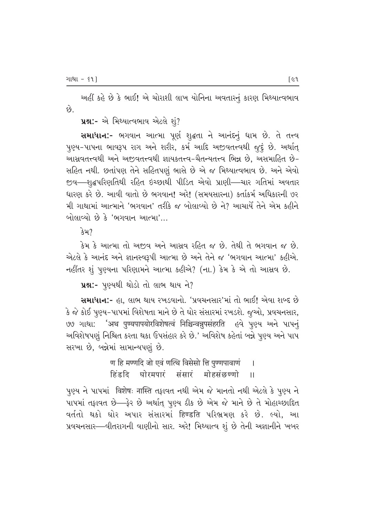અહીં કહે છે કે ભાઈ! એ ચોરાશી લાખ યોનિના અવતારનું કારણ મિથ્યાત્વભાવ છે.

ue:- એ મિથ્યાત્વભાવ એટલે શું?

સમાધાન:- ભગવાન આત્મા પૂર્ણ શુદ્ધતા ને આનંદનું ધામ છે. તે તત્ત્વ પુણ્ય-પાપના ભાવરૂપ રાગ અને શરીર, કર્મ આદિ અજીવતત્ત્વથી જુદું છે. અર્થાત્ આસવતત્ત્વથી અને અજીવતત્ત્વથી જ્ઞાયકતત્ત્વ-ચૈતન્યતત્ત્વ ભિન્ન છે, અસમાહિત છે-સહિત નથી. છતાંપણ તેને સહિતપણું ભાસે છે એ જ મિથ્યાત્વભાવ છે. અને એવો જીવ—શૃદ્ધપરિણતિથી રહિત ઇચ્છાથી પીડિત એવો પ્રાણી—ચાર ગતિમાં અવતાર ધારણ કરે છે. આવી વાતો છે ભગવાન! અરે! (સમયસારના) કર્તાકર્મ અધિકારની ૭૨ મી ગાથામાં આત્માને 'ભગવાન' તરીકે જ બોલાવ્યો છે ને? આચાર્યે તેને એમ કહીને બોલાવ્યો છે કે 'ભગવાન આત્મા'...

 $342$ 

કેમ કે આત્મા તો અજ઼વ અને આસવ રહિત જ છે. તેથી તે ભગવાન જ છે. એટલે કે આનંદ અને જ્ઞાનસ્વરૂપી આત્મા છે અને તેને જ 'ભગવાન આત્મા' કહીએ. નહીંતર શું પુણ્યના પરિણામને આત્મા કહીએ? (ના.) કેમ કે એ તો આસવ છે.

પ્રશ્ન:- પૃણ્યથી થોડો તો લાભ થાય ને?

સમાધાન:- હા. લાભ થાય રખડવાનો. 'પ્રવચનસાર'માં તો ભાઈ! એવા શબ્દ છે કે જે કોઈ પુણ્ય-પાપમાં વિશેષતા માને છે તે ઘોર સંસારમાં રખડશે. જુઓ, પ્રવચનસાર, ७७ ગાથા: 'अथ पुण्यपापयोरविशेषत्वं निश्चिन्वन्नुपसंहरति ७वे पु७्थ અने पापनुं અવિશેષપણું નિશ્ચિત કરતા થકા ઉપસંહાર કરે છે.' અવિશેષ કહેતાં બન્ને પુણ્ય અને પાપ સરખા છે, બન્નેમાં સામાન્યપણું છે.

> ण हि मण्णदि जो एवं णत्थि विसेसो ति पुण्णपावाणं  $\overline{1}$ हिंडदि घोरमपारं संसारं मोहसंछण्णो  $\overline{11}$

પુણ્ય ને પાપમાં विशेषः नास्ति તફાવત નથી એમ જે માનતો નથી એટલે કે પુણ્ય ને પાપમાં તફાવત છે- ફેર છે અર્થાત્ પુણ્ય ઠીક છે એમ જે માને છે તે મોહાચ્છાદિત વર્તતો થકો ઘોર અપાર સંસારમાં हिण्डति પરિભ્રમણ કરે છે. લ્યો, આ પ્રવચનસાર-વીતરાગની વાણીનો સાર. અરે! મિથ્યાત્વ શું છે તેની અજ્ઞાનીને ખબર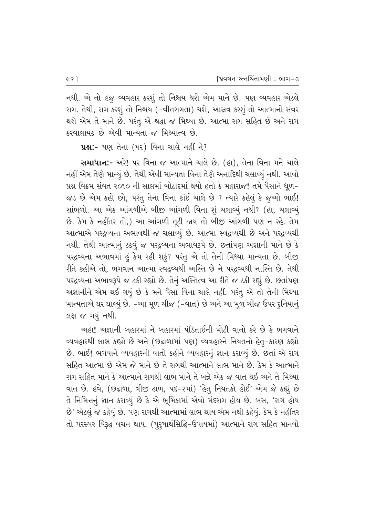નથી. એ તો હજુ વ્યવહાર કરશું તો નિશ્ચય થશે એમ માને છે. પણ વ્યવહાર એટલે રાગ. તેથી, રાગ કરશું તો નિશ્ચય (-વીતરાગતા) થશે, આસ્રવ કરશું તો આત્માનો સંવર થશે એમ તે માને છે. પરંતુ એ શ્રદ્ધા જ મિથ્યા છે. આત્મા રાગ સહિત છે અને રાગ કરવાલાયક છે એવી માન્યતા જ મિથ્યાત્વ છે.

પ્રશ્ન:- પણ તેના (૫૨) વિના ચાલે નહીં ને?

સમાધાન:- અરે! પર વિના જ આત્માને ચાલે છે. (હા), તેના વિના મને ચાલે નહીં એમ તેણે માન્યું છે. તેથી એવી માન્યતા વિના તેણે અનાદિથી ચલાવ્યું નથી. આવો પ્રશ્ન વિક્રમ સંવત ૨૦૧૦ ની સાલમાં બોટાદમાં થયો હતો કે મહારાજ! તમે પૈસાને ધૂળ-જડ છે એમ કહો છો, પરંતુ તેના વિના કાંઈ ચાલે છે ? ત્યારે કહેલું કે જૂઓ ભાઈ! સાંભળો. આ એક આંગળીએ બીજી આંગળી વિના શું ચલાવ્યું નથી? (હા, ચલાવ્યું છે. કેમ કે નહીંતર તો,) આ આંગળી તૂટી જ્ઞય તો બીજી આંગળી પણ ન રહે. તેમ આત્માએ પરદ્રવ્યના અભાવથી જ ચલાવ્યું છે. આત્મા સ્વદ્રવ્યથી છે અને પરદ્રવ્યથી નથી. તેથી આત્માનું ટકવું જ પરદ્રવ્યના અભાવરૂપે છે. છતાંપણ અજ્ઞાની માને છે કે પરદ્રવ્યના અભાવમાં હું કેમ રહી શકું? પરંતુ એ તો તેની મિથ્યા માન્યતા છે. બીજી રીતે કહીએ તો, ભગવાન આત્મા સ્વદ્રવ્યથી અસ્તિ છે ને પરદ્રવ્યથી નાસ્તિ છે. તેથી પરદ્રવ્યના અભાવરૂપે જ ટકી રહ્યો છે. તેનું અસ્તિત્વ આ રીતે જ ટકી રહ્યું છે. છતાંપણ અજ્ઞાનીને એમ થઈ ગયું છે કે મને પૈસા વિના ચાલે નહીં. પરંતુ એ તો તેની મિથ્યા માન્યતાએ ઘર ઘાલ્યું છે. -આ મૂળ ચીજ (-વાત) છે અને આ મૂળ ચીજ ઉપર દુનિયાનું લક્ષ જ ગયું નથી.

<u>અહા! અજ્ઞાની બહારમાં ને બહારમાં પંડિતાઈની મોટી વાતો કરે છે કે ભગવાને</u> વ્યવહારથી લાભ કહ્યો છે અને (છઢાળામાં પણ) વ્યવહારને નિયતનો હેત-કારણ કહ્યો છે. ભાઈ! ભગવાને વ્યવહારની વાતો કહીને વ્યવહારનું જ્ઞાન કરાવ્યું છે. છતાં એ રાગ સહિત આત્મા છે એમ જે માને છે તે રાગથી આત્માને લાભ માને છે. કેમ કે આત્માને રાગ સહિત માને કે આત્માને રાગથી લાભ માને તે બન્ને એક જ વાત થઈ અને તે મિથ્યા વાત છે. હવે, (છઢાળા, ત્રીજી ઢાળ, પદ-૨માં) 'હેતુ નિયતકો હોઈ' એમ જે કહ્યું છે તે નિમિત્તનું જ્ઞાન કરાવ્યું છે કે એ ભૂમિકામાં એવો મંદરાગ હોય છે. બસ, 'રાગ હોય છે' એટલું જ કહેવું છે. પણ રાગથી આત્મામાં લાભ થાય એમ નથી કહેવું. કેમ કે નહીંતર તો પરસ્પર વિરૂદ્ધ વચન થાય. (પુરૂષાર્થસિદ્ધિ-ઉપાયમાં) આત્માને રાગ સહિત માનવો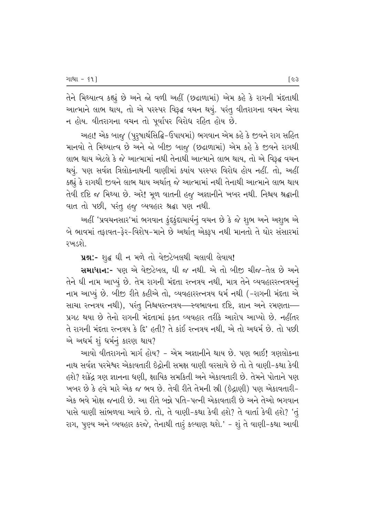તેને મિથ્યાત્વ કહ્યું છે અને જો વળી અહીં (છઢાળામાં) એમ કહે કે રાગની મંદતાથી આત્માને લાભ થાય, તો એ પરસ્પર વિરૂદ્ધ વચન થયું. પરંતુ વીતરાગના વચન એવા ન હોય. વીતરાગના વચન તો પૂર્વાપર વિરોધ રહિત હોય છે.

આહા! એક બાજુ (પુરૂષાર્થસિદ્ધિ-ઉપાયમાં) ભગવાન એમ કહે કે જીવને રાગ સહિત માનવો તે મિથ્યાત્વ છે અને જો બીજી બાજુ (છઢાળામાં) એમ કહે કે જીવને રાગથી લાભ થાય એટલે કે જે આત્મામાં નથી તેનાથી આત્માને લાભ થાય, તો એ વિરૂદ્ઘ વચન થયું. પણ સર્વજ્ઞ ત્રિલોકનાથની વાણીમાં ક્યાંય પરસ્પર વિરોધ હોય નહીં. તો, અહીં કહ્યું કે રાગથી જીવને લાભ થાય અર્થાત્ જે આત્મામાં નથી તેનાથી આત્માને લાભ થાય તેવી દષ્ટિ જ મિથ્યા છે. અરે! મૂળ વાતની હજુ અજ્ઞાનીને ખબર નથી. નિશ્ચય શ્રદ્ધાની વાત તો પછી, પરંતુ હજુ વ્યવહાર શ્રદ્ધા પણ નથી.

આહીં 'પ્રવચનસાર'માં ભગવાન કુંદકુંદાચાર્યનું વચન છે કે જે શુભ અને અશુભ એ બે ભાવમાં તફાવત-ફેર-વિશેષ-માને છે અર્થાત્ એક્રરૂપ નથી માનતો તે ઘોર સંસારમાં રખડશે.

પ્રશ્ન:- શૃદ્ધ ઘી ન મળે તો વેજીટેબલથી ચલાવી લેવાય!

સમાધાન:- પણ એ વેજીટેબલ, ઘી જ નથી. એ તો બીજી ચીજ-તેલ છે અને તેને ઘી નામ આપ્યું છે. તેમ રાગની મંદતા રત્નત્રય નથી, માત્ર તેને વ્યવહારરત્નત્રયનું નામ આપ્યું છે. બીજી રીતે કહીએ તો, વ્યવહારરત્નત્રય ધર્મ નથી (-રાગની મંદતા એ સાચા રત્નત્રય નથી), પરંતુ નિશ્ચયરત્નત્રય—સ્વભાવના દષ્ટિ, જ્ઞાન અને રમણતા— પ્રગટ થયા છે તેનો રાગની મંદતામાં ફક્ત વ્યવહાર તરીકે આરોપ આપ્યો છે. નહીંતર તે રાગની મંદતા રત્નત્રય કે દિ' હતી? તે કાંઈ રત્નત્રય નથી, એ તો અધર્મ છે. તો પછી એ અધર્મ શું ધર્મનું કારણ થાય?

આવો વીતરાગનો માર્ગ હોય? – એમ અજ્ઞાનીને થાય છે. પણ ભાઈ! ત્રણલોકના નાથ સર્વજ્ઞ પરમેશ્વર એકાવતારી ઇેદ્રોની સમક્ષ વાણી વરસાવે છે તો તે વાણી-કથા કેવી હશે? શકેંદ્ર ત્રણ જ્ઞાનના ધણી, ક્ષાયિક સમકિતી અને એકાવતારી છે. તેમને પોતાને પણ `ખબર છે કે હવે મારે એક જ ભવ છે. તેવી રીતે તેમની સ્રી (ઇંદ્રાણી) પણ એકાવતારી− એક ભવે મોક્ષ જનારી છે. આ રીતે બન્ને પતિ-પત્ની એકાવતારી છે અને તેઓ ભગવાન  $\mu$ સે વાણી સાંભળવા આવે છે. તો, તે વાણી-કથા કેવી હશે? તે વાર્તા કેવી હશે? 'તું રાગ, પુણ્ય અને વ્યવહાર કરજે, તેનાથી તારૂં કલ્યાણ થશે.' - શું તે વાણી-કથા આવી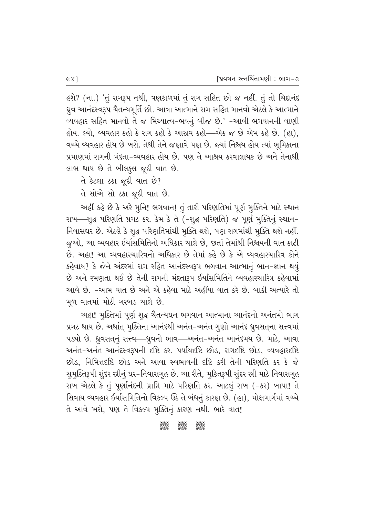હશે? (ના.) 'તું રાગરૂપ નથી, ત્રણકાળમાં તું રાગ સહિત છો જ નહીં. તું તો ચિદાનંદ ધ્રુવ આનંદસ્વરૂપ ચૈતન્યમૂર્તિ છો. આવા આત્માને રાગ સહિત માનવો એટલે કે આત્માને વ્યવહાર સહિત માનવો તે જ મિથ્યાત્વ-ભવનું બીજ છે.' -આવી ભગવાનની વાણી હોય. લ્યો, વ્યવહાર કહો કે રાગ કહો કે આસવ કહો—એક જ છે એમ કહે છે. (હા), વચ્ચે વ્યવહાર હોય છે ખરો. તેથી તેને જણાવે પણ છે. જ્યાં નિશ્ચય હોય ત્યાં ભૂમિકાના પ્રમાણમાં રાગની મંદતા-વ્યવહાર હોય છે. પણ તે આશ્રય કરવાલાયક છે અને તેનાથી લાભ થાય છે તે બીલકૂલ જૂઠી વાત છે.

તે કેટલા ટકા જૂઠી વાત છે?

તે સોએ સો ટકા જૂઠી વાત છે.

અહીં કહે છે કે અરે મુનિ! ભગવાન! તું તારી પરિણતિમાં પૂર્ણ મુક્તિને માટે સ્થાન રાખ—શુદ્ધ પરિણતિ પ્રગટ કર. કેમ કે તે (-શુદ્ધ પરિણતિ) જ પૂર્ણ મુક્તિનું સ્થાનfield. 29. 226 & Play 26 & Play Chiler & P. G. 2011 2012 Play 2011 And જુઓ, આ વ્યવહાર ઈર્યાસમિતિનો અધિકાર ચાલે છે, છતાં તેમાંથી નિશ્ચયની વાત કાઢી છે. આહા! આ વ્યવહારચારિત્રનો અધિકાર છે તેમાં કહે છે કે એ વ્યવહારચારિત્ર કોને કહેવાય? કે જેને અંદરમાં રાગ રહિત આનંદસ્વરૂપ ભગવાન આત્માનું ભાન-જ્ઞાન થયું  $\dot{\vartheta}$  અને રમણતા થઈ છે તેની રાગની મંદતારૂપ ઈર્યાસમિતિને વ્યવહારચારિત્ર કહેવામાં આવે છે. -આમ વાત છે અને એ કહેવા માટે અહીંયા વાત કરે છે. બાકી અત્યારે તો મૂળ વાતમાં મોટી ગરબડ ચાલે છે.

અહા! મુક્તિમાં પૂર્ણ શુદ્ધ ચૈતન્યઘન ભગવાન આત્માના આનંદનો અનંતમો ભાગ  $~$ પ્રગટ થાય છે. અર્થાત્ મુક્તિના આનંદથી અનંત−અનંત ગુણો આનંદ ધ્રુવસતના સત્ત્વમાં પડ્યો છે. ધ્રુવસતનું સત્ત્વ—ધ્રુવનો ભાવ—અનંત-અનંત આનંદમય છે. માટે, આવા આનંત-અનંત આનંદસ્વરૂપની દષ્ટિ કર. પર્યાયદષ્ટિ છોડ, રાગદષ્ટિ છોડ, વ્યવહારદષ્ટિ છોડ. નિમિત્તદષ્ટિ છોડ અને આવા સ્વભાવની દષ્ટિ કરી તેની પરિણતિ કર કે જે સુમુક્તિરૂપી સુંદર સ્રીનું ઘર-નિવાસગૃહ છે. આ રીતે, મુકિતરૂપી સુંદર સ્રી માટે નિવાસગૃહ રાખ એટલે કે તું પૂર્ણાનંદની પ્રાપ્તિ માટે પરિણતિ કર. આટલું રાખ (-કર) બાપા! તે સિવાય વ્યવહાર ઈર્યાસમિતિનો વિકલ્પ ઉઠે તે બંધનું કારણ છે. (હા), મોક્ષમાર્ગમાં વચ્ચે તે આવે ખરો, પણ તે વિકલ્પ મુક્તિનું કારણ નથી. ભારે વાત!

 $\frac{1}{2}$   $\frac{1}{2}$   $\frac{1}{2}$   $\frac{1}{2}$   $\frac{1}{2}$   $\frac{1}{2}$   $\frac{1}{2}$   $\frac{1}{2}$   $\frac{1}{2}$   $\frac{1}{2}$   $\frac{1}{2}$   $\frac{1}{2}$   $\frac{1}{2}$   $\frac{1}{2}$   $\frac{1}{2}$   $\frac{1}{2}$   $\frac{1}{2}$   $\frac{1}{2}$   $\frac{1}{2}$   $\frac{1}{2}$   $\frac{1}{2}$   $\frac{1}{2}$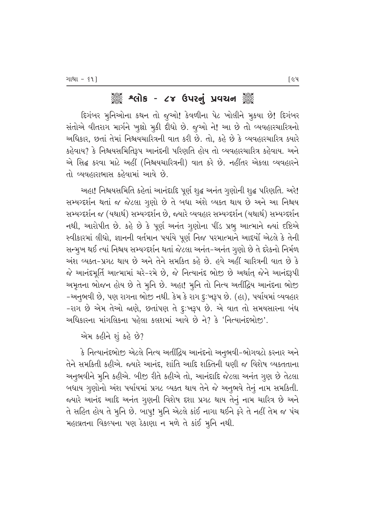## ેં કહે કર્યોક - ૮૪ ઉપરનું પ્રવચન ૅં

દિગંબર મુનિઓના કથન તો જુઓ! કેવળીના પેટ ખોલીને મુકયા છે! દિગંબર સંતોએ વીતરાગ માર્ગને ખુક્ષો મુકી દીધો છે. જુઓ ને! આ છે તો વ્યવહારચારિત્રનો અધિકાર, છતાં તેમાં નિશ્ચયચારિત્રની વાત કરી છે. તો, કહે છે કે વ્યવહારચારિત્ર ક્યારે કહેવાય? કે નિશ્ચયસમિતિરૂપ આનંદની પરિણતિ હોય તો વ્યવહારચારિત્ર કહેવાય. અને એ સિદ્ધ કરવા માટે અહીં (નિશ્ચયચારિત્રની) વાત કરે છે. નહીંતર એકલા વ્યવહારને તો વ્યવહારાભાસ કહેવામાં આવે છે.

અહા! નિશ્ચયસમિતિ કહેતાં આનંદાદિ પૂર્ણ શુદ્ધ અનંત ગુણોની શુદ્ધ પરિણતિ. અરે! સમ્યગ્દર્શન થતાં જ જેટલા ગુણો છે તે બધા અંશે વ્યક્ત થાય છે અને આ નિશ્ચય સમ્યગ્દર્શન જ (યથાર્થ) સમ્યગ્દર્શન છે, જ્યારે વ્યવહાર સમ્યગ્દર્શન (યથાર્થ) સમ્યગ્દર્શન નથી, આરોપીત છે. કહે છે કે પૂર્ણ અનંત ગુણોના પીંડ પ્રભુ આત્માને જ્યાં દષ્ટિએ સ્વીકારમાં લીધો, જ્ઞાનની વર્તમાન પર્યાયે પૂર્ણ નિજ પરમાત્માને આદર્યો એટલે કે તેની સન્મુખ થઈ ત્યાં નિશ્ચય સમ્યગ્દર્શન થતાં જેટલા અનંત-અનંત ગુણો છે તે દરેકનો નિર્મળ અંશ વ્યક્ત-પ્રગટ થાય છે અને તેને સમકિત કહે છે. હવે અહીં ચારિત્રની વાત છે કે જે આનંદમૂર્તિ આત્મામાં ચરે-રમે છે, જે નિત્યાનંદ ભોજી છે અર્થાત્ જેને આનંદરૂપી અમૃતના ભોજન હોય છે તે મુનિ છે. અહા! મુનિ તો નિત્ય અતીંદ્રિય આનંદના ભોજી -અનૃભવી છે, પણ રાગના ભોજી નથી. કેમ કે રાગ દુઃખરૂપ છે. (હા), પર્યાયમાં વ્યવહાર -રાગ છે એમ તેઓ જાણે, છતાંપણ તે દૃ:ખરૂપ છે. એ વાત તો સમયસારના બંધ અધિકારના માંગલિકના પહેલા કલશમાં આવે છે ને? કે 'નિત્યાનંદભોજ'.

એમ કહીને શું કહે છે?

કે નિત્યાનંદભોજી એટલે નિત્ય અતીંદિય આનંદનો અનભવી-ભોગવટો કરનાર અને તેને સમકિતી કહીએ. જ્યારે આનંદ, શાંતિ આદિ શક્તિની ઘણી જ વિશેષ વ્યક્તતાના આનુભવીને મુનિ કહીએ. બીજી રીતે કહીએ તો, આનંદાદિ જેટલા અનંત ગુણ છે તેટલા બધાય ગુણોનો અંશ પર્યાયમાં પ્રગટ વ્યક્ત થાય તેને જે અનુભવે તેનું નામ સમકિતી. જયારે આનંદ આદિ અનંત ગૃણની વિશેષ દશા પ્રગટ થાય તેનું નામ ચારિત્ર છે અને તે સહિત હોય તે મુનિ છે. બાપુ! મુનિ એટલે કાંઈ નાગા થઈને ફરે તે નહીં તેમ જ પંચ મહાવ્રતના વિકલ્પના પણ ઠેકાણા ન મળે તે કાંઈ મુનિ નથી.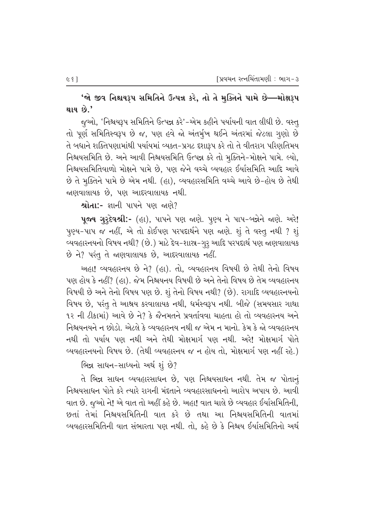'જો જીવ નિશ્ચયરૂપ સમિતિને ઉત્પન્ન કરે, તો તે મુક્તિને પામે છે—મોક્ષરૂપ થાય છે.'

જૂઓ, 'નિશ્ચયરૂપ સમિતિને ઉત્પન્ન કરે'-એમ કહીને પર્યાયની વાત લીધી છે. વસ્તૂ તો પૂર્ણ સમિતિસ્વરૂપ છે જ, પણ હવે જો અંતર્મુખ થઈને અંતરમાં જેટલા ગુણો છે તે બધાને શક્તિપણામાંથી પર્યાયમાં વ્યક્ત-પ્રગટ દશારૂપ કરે તો તે વીતરાગ પરિણતિમય નિશ્ચયસમિતિ છે. અને આવી નિશ્ચયસમિતિ ઉત્પન્ન કરે તો મુક્તિને-મોક્ષને પામે. લ્યો, નિશ્ચયસમિતિવાળો મોક્ષને પામે છે. પણ જેને વચ્ચે વ્યવહાર ઈર્યાસમિતિ આદિ આવે છે તે મુક્તિને પામે છે એમ નથી. (હા), વ્યવહારસમિતિ વચ્ચે આવે છે-હોય છે તેથી ન્નણવાલાયક છે. પણ આદરવાલાયક નથી.

શ્રોતા:- જ્ઞાની પાપને પણ જાણે?

પૂજ્ય ગૃરૃદેવશ્રી:- (હા), પાપને પણ જાણે. પૂણ્ય ને પાપ-બન્નેને જાણે. અરે! પુણ્ય-પાપ જ નહીં, એ તો કોઈપણ પરપદાર્થને પણ જાણે. શું તે વસ્તુ નથી ? શું વ્યવહારનયનો વિષય નથી? (છે.) માટે દેવ-શાસ્ર-ગુરૂ આદિ પરપદાર્થ પણ જાણવાલાયક છે ને? પરંતુ તે જાણવાલાયક છે, આદરવાલાયક નહીં.

અહા! વ્યવહારનય છે ને? (હા). તો, વ્યવહારનય વિષયી છે તેથી તેનો વિષય પણ હોય કે નહીં? (હા). જેમ નિશ્ચયનય વિષયી છે અને તેનો વિષય છે તેમ વ્યવહારનય વિષયી છે અને તેનો વિષય પણ છે. શું તેનો વિષય નથી? (છે). રાગાદિ વ્યવહારનયનો વિષય છે, પરંતુ તે આશ્રય કરવાલાયક નથી, ધર્મસ્વરૂપ નથી. બીજે (સમયસાર ગાથા ૧૨ ની ટીકામાં) આવે છે ને? કે જૈનમતને પ્રવર્તાવવા ચાહતા હો તો વ્યવહારનય અને નિશ્ચયનયને ન છોડો. એટલે કે વ્યવહારનય નથી જ એમ ન માનો. કેમ કે જો વ્યવહારનય નથી તો પર્યાય પણ નથી અને તેથી મોક્ષમાર્ગ પણ નથી. અરે! મોક્ષમાર્ગ પોતે વ્યવહારનયનો વિષય છે. (તેથી વ્યવહારનય જ ન હોય તો, મોક્ષમાર્ગ પણ નહીં રહે.)

ભિન્ન સાધન-સાધ્યનો અર્થશું છે?

તે ભિન્ન સાધન વ્યવહારસાધન છે. પણ નિશ્ચયસાધન નથી. તેમ જ પોતાનં નિશ્ચયસાધન પોતે કરે ત્યારે રાગની મંદતાને વ્યવહારસાધનનો આરોપ અપાય છે. આવી વાત છે. જુઓ ને! એ વાત તો અહીં કહે છે. અહા! વાત ચાલે છે વ્યવહાર ઈર્યાસમિતિની, છતાં તેમાં નિશ્ચયસમિતિની વાત કરે છે તથા આ નિશ્ચયસમિતિની વાતમાં વ્યવહારસમિતિની વાત સંભારતા પણ નથી. તો. કહે છે કે નિશ્ચય ઈર્યાસમિતિનો અર્થ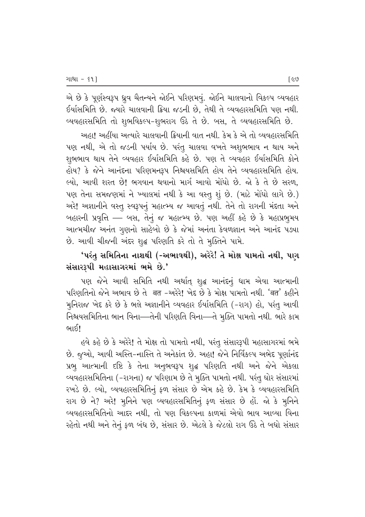એ છે કે પૂર્ણસ્વરૂપ ધ્રુવ ચૈતન્યને જોઈને પરિણમવું. જોઈને ચાલવાનો વિકલ્પ વ્યવહાર ઈર્યાસમિતિ છે. જ્યારે ચાલવાની ક્રિયા જડની છે, તેથી તે વ્યવહારસમિતિ પણ નથી. વ્યવહારસમિતિ તો શુભવિકલ્પ-શુભરાગ ઉઠે તે છે. બસ, તે વ્યવહારસમિતિ છે.

<u>અહા! અહીંયા અત્યારે ચાલવાની ક્રિયાની વાત નથી. કેમ કે એ તો વ્યવહારસમિતિ</u> પણ નથી, એ તો જડની પર્યાય છે. પરંતુ ચાલવા વખતે અશુભભાવ ન થાય અને શુભભાવ થાય તેને વ્યવહાર ઈર્યાસમિતિ કહે છે. પણ તે વ્યવહાર ઈર્યાસમિતિ કોને હોય? કે જેને આનંદના પરિણમનરૂપ નિશ્ચયસમિતિ હોય તેને વ્યવહારસમિતિ હોય. લ્યો. આવી શરત છે! ભગવાન થવાનો માર્ગ આવો મોંઘો છે. જો કે તે છે સરળ. પણ તેના સમજણમાં ને ખ્યાલમાં નથી કે આ વસ્તૂ શું છે. (માટે મોંઘો લાગે છે.) અરે! અજ્ઞાનીને વસ્તુ સ્વરૂપનું મહાત્મ્ય જ આવતું નથી. તેને તો રાગની મંદતા અને બહારની પ્રવૃત્તિ — બસ, તેનું જ મહાત્મ્ય છે. પણ અહીં કહે છે કે મહાપ્રભૂમય આત્મચીજ અનંત ગુણનો સાહેબો છે કે જેમાં અનંતા કેવળજ્ઞાન અને આનંદ પડ્યા છે. આવી ચીજની અંદર શુદ્ધ પરિણતિ કરે તો તે મુક્તિને પામે.

'પરંતુ સમિતિના નાશથી (-અભાવથી), અરેરે! તે મોક્ષ પામતો નથી, પણ સંસારરૂપી મહાસાગરમાં ભમે છે.'

પણ જેને આવી સમિતિ નથી અર્થાત્ શૃદ્ધ આનંદનું ધામ એવા આત્માની પરિણતિનો જેને અભાવ છે તે बत -અરેરે! ખેદ છે કે મોક્ષ પામતો નથી. 'बत' કહીને મુનિરાજ ખેદ કરે છે કે ભલે અજ્ઞાનીને વ્યવહાર ઈર્યાસમિતિ (-રાગ) હો, પરંતુ આવી નિશ્ચયસમિતિના ભાન વિના—તેની પરિણતિ વિના—તે મુક્તિ પામતો નથી. ભારે કામ ભાઈ $\mathsf{I}$ 

હવે કહે છે કે અરેરે! તે મોક્ષ તો પામતો નથી, પરંતુ સંસારરૂપી મહાસાગરમાં ભમે છે. જૂઓ, આવી અસ્તિ-નાસ્તિ તે અનેકાંત છે. અહા! જેને નિર્વિકલ્પ અભેદ પૂર્ણાનંદ પ્રભૂ આત્માની દષ્ટિ કે તેના અનુભવરૂપ શુદ્ધ પરિણતિ નથી અને જેને એકલા વ્યવહારસમિતિના (-રાગના) જ પરિણામ છે તે મુક્તિ પામતો નથી. પરંતુ ઘોર સંસારમાં રખડે છે. લ્યો, વ્યવહારસમિતિનું ફળ સંસાર છે એમ કહે છે. કેમ કે વ્યવહારસમિતિ રાગ છે ને? અરે! મુનિને પણ વ્યવહારસમિતિનું ફળ સંસાર છે હોં. જો કે મુનિને ્યવહારસમિતિનો આદર નથી. તો પણ વિકલ્પના કાળમાં એવો ભાવ આવ્યા વિના રહેતો નથી અને તેનું ફળ બંધ છે, સંસાર છે. એટલે કે જેટલો રાગ ઉઠે તે બધો સંસાર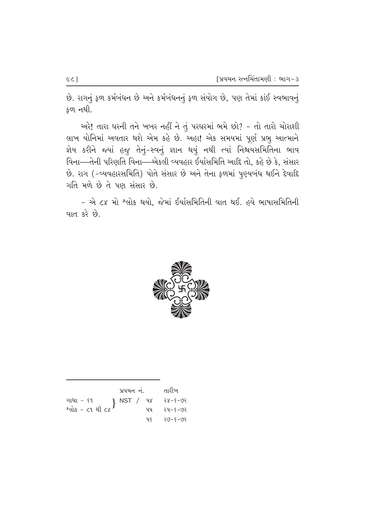છે. રાગનું ફળ કર્મબંધન છે અને કર્મબંધનનું ફળ સંયોગ છે, પણ તેમાં કાંઈ સ્વભાવનું  $$0, 10.$ 

 $x^2$  and weare the same softar in the sole of the sole and the sole and when લાખ યોનિમાં અવતાર થશે એમ કહે છે. અહા! એક સમયમાં પૂર્ણ પ્રભુ આત્માને જ્ઞેય કરીને જ્યાં હજુ તેનું-સ્વનું જ્ઞાન થયું નથી ત્યાં નિશ્ચયસમિતિના ભાવ વિના—તેની પરિણતિ વિના—એકલી વ્યવહાર ઈર્યાસમિતિ આદિ તો, કહે છે કે, સંસાર છે. રાગ (-વ્યવહારસમિતિ) પોતે સંસાર છે અને તેના ફળમાં પુણ્યબંધ થઈને દેવાદિ ગતિ મળે છે તે પણ સંસાર છે.

- એ ૮૪ મો <sup>શ્</sup>લોક થયો, જેમાં ઈર્યાસમિતિની વાત થઈ. હવે ભાષાસમિતિની વાત કરે છે.



|                                                                         | પ્રવચન નં. |     | તારીખ   |
|-------------------------------------------------------------------------|------------|-----|---------|
| ગાથા – ૬૧ ( NST / ૫૪ - ૨૪–૬–૭૨ ( શોક – ૮૧ થી ૮૪ )<br>શ્લોક – ૮૧ થી ૮૪ ) |            |     |         |
|                                                                         |            |     |         |
|                                                                         |            | प ६ | २७-४-७२ |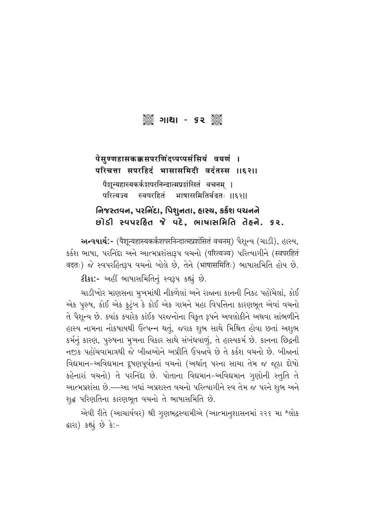# ગ્રેં ક્ષિરે કર ક્ષિરે

### पेसुण्णहासकक्कसपरणिंदप्पप्पसंसियं वयणं । परिचत्ता सपरहिदं भासासमिदी वदंतस्स ॥६२॥

पैशून्यहास्यकर्कशपरनिन्दात्मप्रशंसितं वचनम् ।<br>परित्यज्य स्वपरहितं भाषासमितिर्वदतः । –<br>भाषासमितिर्वदतः ॥६२॥

### **નિજસ્તવન, પરનિંદા, પિશુનતા, હાસ્ય, કર્કશ વચનને**  $\mathcal{B}$  $\mathcal{B}$  and  $\mathcal{B}$  and  $\mathcal{B}$  and  $\mathcal{B}$  and  $\mathcal{B}$  and  $\mathcal{B}$  are set  $\mathcal{B}$

આ न्यथार्थ:- (पैशून्यहास्यकर्कशपरनिन्दात्मप्रशंसितं वचनम्) पैशून्य (ચાડી), હાસ્ય, sर्डश ભાષા, પરનિંદા અને આત્મપ્રશંસારૂપ વચનો (परित्यज्य) પરિત્યાગીને (स्वपरहितं वदतः) જે સ્વપરહિતરૂપ વચનો બોલે છે. તેને (भाषासमितिः) ભાષાસમિતિ હોય છે.

**ટીકા:-** અહીં ભાષાસમિતિનું સ્વરૂપ કહ્યું છે.

ચાડીખોર માણસના મૂખમાંથી નીકળેલાં અને રાજાના કાનની નિકટ પહોંચેલાં, કોઈ એક પુરુષ, કોઈ એક કુટુંબ કે કોઈ એક ગામને મહા વિપત્તિના કારણભૂત એવાં વચનો તે પૈશુન્ય છે. ક્યાંક ક્યારેક કાંઈક પરજનોના વિકૃત રૂપને અવલોકીને અથવા સાંભળીને હાસ્ય નામના નોકષાયથી ઉત્પન્ન થતું, જરાક શુભ સાથે મિશ્રિત હોવા છતાં અશુભ કર્મનું કારણ, પુરુષના મુખના વિકાર સાથે સંબંધવાળું, તે હાસ્યકર્મ છે. કાનના છિદ્રની નજીક પહોંચવામાત્રથી જે બીજાઓને અપ્રીતિ ઉપજાવે છે તે કર્કશ વચનો છે. બીજાનાં fi'સિમાન-અવિદ્યમાન દ્રુષણપૂર્વકનાં વચનો (અર્થાત્ પરના સાચા તેમ જ જૂઠા દોષો કહેનારાં વચનો) તે પરનિંદા છે. પોતાના વિદ્યમાન-અવિદ્યમાન ગુણોની સ્તુતિ તે આત્મપ્રશંસા છે.—આ બધાં અપ્રશસ્ત વચનો પરિત્યાગીને સ્વ તેમ જ પરને શુભ અને શદ્ધ પરિણતિના કારણભુત વચનો તે ભાષાસમિતિ છે.

એવી રીતે (આચાર્યવર) શ્રી ગુણભદ્રસ્વામીએ (આત્માનુશાસનમાં ૨૨૬ મા<sup>. શ્</sup>લોક ક્રારા) કહ્યું છે કે:-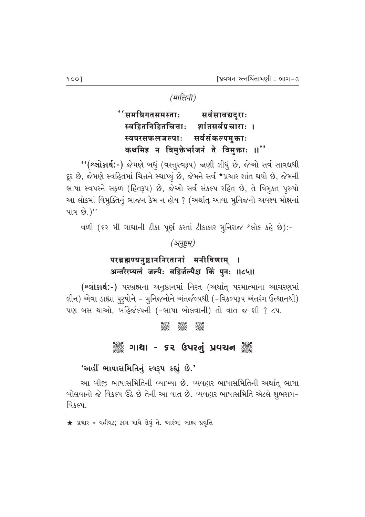(मालिनी)

''समधिगतसमस्ताः सर्वसावद्यदुराः स्वहितनिहितचित्ताः शांतसर्वप्रचाराः । सर्वसंकल्पमुक्ताः स्वपरसफलजल्पाः कथमिह न विमुक्तेर्भाजनं ते विमुक्ताः ॥''

"(શ્લોકાર્થ:-) જેમણે બધું (વસ્તુસ્વરૂપ) જાણી લીધું છે, જેઓ સર્વ સાવદ્યથી દૂર છે, જેમણે સ્વહિતમાં ચિત્તને સ્થાપ્યું છે, જેમને સર્વ \*પ્રચાર શાંત થયો છે, જેમની ભાષા સ્વપરને સફળ (હિતરૂપ) છે, જેઓ સર્વ સંકલ્પ રહિત છે, તે વિમુક્ત પૂરુષો આ લોકમાં વિમૂક્તિનું ભાજન કેમ ન હોય ? (અર્થાત્ આવા મુનિજનો અવશ્ય મોક્ષનાં પાત્ર છે.)"

વળી (૬૨ મી ગાથાની ટીકા પૂર્ણ કરતાં ટીકાકાર મુનિરાજ શ્લોક કહે છે):-

(अनुष्टभू)

## परब्रह्मण्यनुष्ठाननिरतानां मनीषिणाम् । अन्तरैरप्यलं जल्पैः बहिर्जल्पैश्च किं पुनः ॥८५॥

(શ્લોકાર્થ:-) પરબ્રહ્મના અનુષ્ઠાનમાં નિરત (અર્થાત્ પરમાત્માના આચરણમાં લીન) એવા ડાહ્યા પુરૂષોને - મુનિજનોને અંતર્જલ્પથી (-વિકલ્પરૂપ અંતરંગ ઉત્થાનથી) પણ બસ થાઓ, બહિર્જલ્પની (-ભાષા બોલવાની) તો વાત જ શી ? ૮૫.

#### **Seek**

## ૈું ગાથા - ૬૨ ઉપરનું પ્રવચન ૅું

#### 'અહીં ભાષાસમિતિનું સ્વરૂપ કહ્યું છે.'

આ બીજી ભાષાસમિતિની વ્યાખ્યા છે. વ્યવહાર ભાષાસમિતિની અર્થાત્ ભાષા બોલવાનો જે વિકલ્પ ઉઠે છે તેની આ વાત છે. વ્યવહાર ભાષાસમિતિ એટલે શુભરાગ-વિકલ્પ.

 $\bigstar$  પ્રચાર = વહીવટ; કામ માથે લેવું તે. આરંભ; બાહ્ય પ્રવૃત્તિ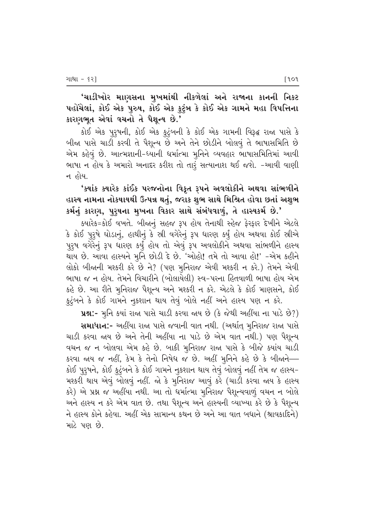'ચાડીખોર માણસના મુખમાંથી નીકળેલાં અને રાજાના કાનની નિકટ પહોંચેલાં, કોઈ એક પુરુષ, કોઈ એક કુટુંબ કે કોઈ એક ગામને મહા વિપત્તિના કારણભૂત એવાં વચનો તે પૈશૂન્ય છે.'

કોઈ એક પુરૂષની, કોઈ એક કુટુંબની કે કોઈ એક ગામની વિરૂદ્ધ રાજા પાસે કે બીજા પાસે ચાડી કરવી તે પૈશૂન્ય છે અને તેને છોડીને બોલવું તે ભાષાસમિતિ છે એમ કહેવું છે. આત્મજ્ઞાની-ધ્યાની ધર્માત્મા મુનિને વ્યવહાર ભાષાસમિતિમાં આવી ભાષા ન હોય કે અમારો અનાદર કરીશ તો તારૂં સત્યાનાશ થઈ જશે. -આવી વાણી ન હોય.

## 'ક્યાંક ક્યારેક કાંઈક પરજનોના વિકૃત રૂપને અવલોકીને અથવા સાંભળીને હાસ્ય નામના નોકષાયથી ઉત્પન્ન થતું, જરાક શુભ સાથે મિશ્રિત હોવા છતાં અશુભ કર્મનું કારણ, પુરૂષના મુખના વિકાર સાથે સંબંધવાળું, તે હાસ્યકર્મ છે.'

ક્યારેક=કોઈ વખતે. બીજાનું સહજ રૂપ હોય તેનાથી સ્હેજ ફેરફાર દેખીને એટલે કે કોઈ પુરૂષે ઘોડાનું, હાથીનું કે સ્રી વગેરેનું રૂપ ધારણ કર્યું હોય અથવા કોઈ સ્રીએ પુરૂષ વગેરેનું રૂપ ધારણ કર્યું હોય તો એવું રૂપ અવલોકીને અથવા સાંભળીને હાસ્ય થાય છે. આવા હાસ્યને મુનિ છોડી દે છે. 'ઓહો! તમે તો આવા હો!' -એમ કહીને લોકો બીજાની મશ્કરી કરે છે ને? (પણ મુનિરાજ એવી મશ્કરી ન કરે.) તેમને એવી ભાષા જ ન હોય. તેમને વિચારીને (બોલાયેલી) સ્વ-પરના હિતવાળી ભાષા હોય એમ કહે છે. આ રીતે મુનિરાજ પૈશુન્ય અને મશ્કરી ન કરે. એટલે કે કોઈ માણસને, કોઈ કુટુંબને કે કોઈ ગામને નુકશાન થાય તેવું બોલે નહીં અને હાસ્ય પણ ન કરે.

પ્રશ્ન:- મૂનિ કયાં રાજા પાસે ચાડી કરવા જાય છે (કે જેથી અહીંયા ના પાડે છે?) સમાધાન:- અહીંયા રાજા પાસે જવાની વાત નથી. (અર્થાત્ મૃનિરાજ રાજા પાસે ચાડી કરવા જાય છે અને તેની અહીંયા ના પાડે છે એમ વાત નથી.) પણ પૈશુન્ય વચન જ ન બોલવા એમ કહે છે. બાકી મુનિરાજ રાજા પાસે કે બીજે ક્યાંય ચાડી કરવા જાય જ નહીં, કેમ કે તેનો નિષેધ જ છે. અહીં મુનિને કહે છે કે બીજાને— કોઈ પુરૂષને, કોઈ કુટુંબને કે કોઈ ગામને નુકશાન થાય તેવું બોલવું નહીં તેમ જ હાસ્ય-મશ્કરી થાય એવું બોલવું નહીં. જો કે મુનિરાજ આવું કરે (ચાડી કરવા જાય કે હાસ્ય કરે) એ પ્રશ્ન જ અહીંયા નથી. આ તો ધર્માત્મા મુનિરાજ પૈશુન્યવાળું વચન ન બોલે અને હાસ્ય ન કરે એમ વાત છે. તથા પૈશૂન્ય અને હાસ્યની વ્યાખ્યા કરે છે કે પૈશૂન્ય ને હાસ્ય કોને કહેવા. અહીં એક સામાન્ય કથન છે અને આ વાત બધાને (શ્રાવકાદિને) માટે પણ છે.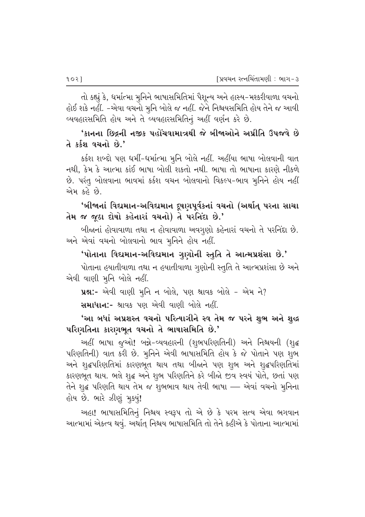તો કહ્યું કે, ધર્માત્મા મુનિને ભાષાસમિતિમાં પૈશૂન્ય અને હાસ્ય-મશ્કરીવાળા વચનો હોઈ શકે નહીં. -એવા વચનો મુનિ બોલે જ નહીં. જેને નિશ્ચયસમિતિ હોય તેને જ આવી વ્યવહારસમિતિ હોય અને તે વ્યવહારસમિતિનું અહીં વર્ણન કરે છે.

# 'કાનના છિદ્રની નજીક પહોંચવામાત્રથી જે બીજાઓને અપ્રીતિ ઉપજવે છે તે કર્કશ વચનો છે.'

કર્કશ શબ્દો પણ ધર્મી-ધર્માત્મા મૂનિ બોલે નહીં. અહીંયા ભાષા બોલવાની વાત નથી, કેમ કે આત્મા કાંઈ ભાષા બોલી શકતો નથી. ભાષા તો ભાષાના કારણે નીકળે છે. પરંતુ બોલવાના ભાવમાં કર્કશ વચન બોલવાનો વિકલ્પ-ભાવ મુનિને હોય નહીં એમ કહે છે.

'બીજાનાં વિદ્યમાન-અવિદ્યમાન દૂષણપૂર્વકનાં વચનો (અર્થાત્ પરના સાચા તેમ જ જૂઠા દોષો કહેનારાં વચનો) તે પરનિંદા છે.'

બીજાનાં હોવાવાળા તથા ન હોવાવાળા અવગુણો કહેનારાં વચનો તે પરનિંદા છે. અને એવાં વચનો બોલવાનો ભાવ મુનિને હોય નહીં.

'પોતાના વિદ્યમાન-અવિદ્યમાન ગુણોની સ્તુતિ તે આત્મપ્રશંસા છે.'

પોતાના હયાતીવાળા તથા ન હયાતીવાળા ગુણોની સ્તુતિ તે આત્મપ્રશંસા છે અને એવી વાણી મૂનિ બોલે નહીં.

**પ્રશ્ન:-** એવી વાણી મૂનિ ન બોલે, પણ શ્રાવક બોલે - એમ ને?

**સમાધાન:-** શ્રાવક પણ એવી વાણી બોલે નહીં.

'આ બધાં અપ્રશસ્ત વચનો પરિત્યાગીને સ્વ તેમ જ પરને શુભ અને શુદ્ધ પરિણતિના કારણભૂત વચનો તે ભાષાસમિતિ છે.'

અહીં ભાષા જુઓ! બન્ને-વ્યવહારની (શુભપરિણતિની) અને નિશ્ચયની (શુદ્ધ પરિણતિની) વાત કરી છે. મૂનિને એવી ભાષાસમિતિ હોય કે જે પોતાને પણ શુભ અને શુદ્ધપરિણતિમાં કારણભૂત થાય તથા બીજાને પણ શુભ અને શુદ્ધપરિણતિમાં કારણભૂત થાય. ભલે શુદ્ધ અને શુભ પરિણતિને કરે બીજો જીવ સ્વયં પોતે, છતાં પણ તેને શુદ્ધ પરિણતિ થાય તેમ જ શુભભાવ થાય તેવી ભાષા — એવાં વચનો મુનિના હોય છે. ભારે ઝીણું મુક્યું!

અહા! ભાષાસમિતિનું નિશ્ચય સ્વરૂપ તો એ છે કે પરમ સત્ય એવા ભગવાન આત્મામાં એકત્વ થવું. અર્થાત્ નિશ્ચય ભાષાસમિતિ તો તેને કહીએ કે પોતાના આત્મામાં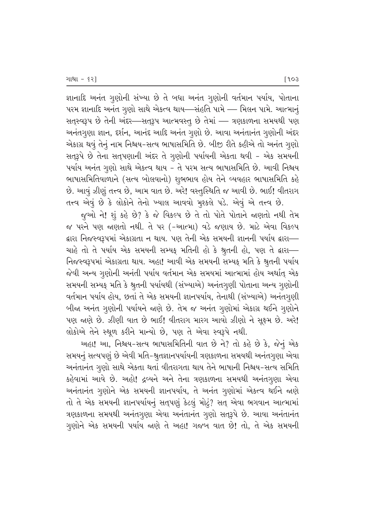જ્ઞાનાદિ અનંત ગુણોની સંખ્યા છે તે બધા અનંત ગુણોની વર્તમાન પર્યાય, પોતાના પરમ જ્ઞાનાદિ અનંત ગુણો સાથે એકત્વ થાય—સંહતિ પામે — મિલન પામે. આત્માનું સતુસ્વરૂપ છે તેની અંદર–સતુરૂપ આત્મવસ્તૂ છે તેમાં – ત્રણકાળના સમયથી પણ અનંતગૂણા જ્ઞાન, દર્શન, આનંદ આદિ અનંત ગૃણો છે. આવા અનંતાનંત ગૃણોની અંદર એકાગ્ર થવું તેનું નામ નિશ્ચય-સત્ય ભાષાસમિતિ છે. બીજી રીતે કહીએ તો અનંત ગૃણો સતુરૂપે છે તેના સત્પણાની અંદર તે ગુણોની પર્યાયની એકતા થવી - એક સમયની પર્યાય અનંત ગુણો સાથે એકત્વ થાય - તે પરમ સત્ય ભાષાસમિતિ છે. આવી નિશ્ચય ભાષાસમિતિવાળાને (સત્ય બોલવાનો) શુભભાવ હોય તેને વ્યવહાર ભાષાસમિતિ કહે છે. આવું ઝીણું તત્ત્વ છે, આમ વાત છે. અરે! વસ્તુસ્થિતિ જ આવી છે. ભાઈ! વીતરાગ

તત્ત્વ એવું છે કે લોકોને તેનો ખ્યાલ આવવો મુશ્કલે પડે. એવું એ તત્ત્વ છે. જુઓ ને! શું કહે છે? કે જે વિકલ્પ છે તે તો પોતે પોતાને જાણતો નથી તેમ જ પરને પણ જાણતો નથી. તે પર (-આત્મા) વડે જણાય છે. માટે એવા વિકલ્પ દ્વારા નિજસ્વરૂપમાં એકાગ્રતા ન થાય. પણ તેની એક સમયની જ્ઞાનની પર્યાય દ્વારા— ચાહે તો તે પર્યાય એક સમયની સમ્યક્ મતિની હો કે શ્રુતની હો, પણ તે દ્વારા— નિજસ્વરૂપમાં એકાગ્રતા થાય. અહા! આવી એક સમયની સમ્યક મતિ કે શ્રુતની પર્યાય જેવી અન્ય ગુણોની અનંતી પર્યાય વર્તમાન એક સમયમાં આત્મામાં હોય અર્થાત્ એક સમયની સમ્યફ મતિ કે શ્રુતની પર્યાયથી (સંખ્યાએ) અનંતગુણી પોતાના અન્ય ગુણોની વર્તમાન પર્યાય હોય, છતાં તે એક સમયની જ્ઞાનપર્યાય, તેનાથી (સંખ્યાએ) અનંતગૃણી બીજા અનંત ગૃણોની પર્યાયને જાણે છે. તેમ જ અનંત ગૃણોમાં એકાગ્ર થઈને ગૃણોને પણ જાણે છે. ઝીણી વાત છે ભાઈ! વીતરાગ મારગ આવો ઝીણો ને સૂક્ષ્મ છે. અરે! લોકોએ તેને સ્થૂળ કરીને માન્યો છે, પણ તે એવા સ્વરૂપે નથી.

અહા! આ, નિશ્ચય-સત્ય ભાષાસમિતિની વાત છે ને? તો કહે છે કે, જેનું એક સમયનું સત્યપણું છે એવી મતિ-શ્રુતજ્ઞાનપર્યાયની ત્રણકાળના સમયથી અનંતગુણા એવા અનંતાનંત ગૃણો સાથે એકતા થતાં વીતરાગતા થાય તેને ભાષાની નિશ્ચય-સત્ય સમિતિ કહેવામાં આવે છે. અહો! દ્રવ્યને અને તેના ત્રણકાળના સમયથી અનંતગૃણા એવા અનંતાનંત ગુણોને એક સમયની જ્ઞાનપર્યાય, તે અનંત ગુણોમાં એકત્વ થઈને જાણે તો તે એક સમયની જ્ઞાનપર્યાયનું સત્પણું કેટલું મોટું? સત્ એવા ભગવાન આત્મામાં ત્રણકાળના સમયથી અનંતગૃણા એવા અનંતાનંત ગૃણો સતુરૂપે છે. આવા અનંતાનંત ગુણોને એક સમયની પર્યાય જાણે તે અહા! ગજબ વાત છે! તો, તે એક સમયની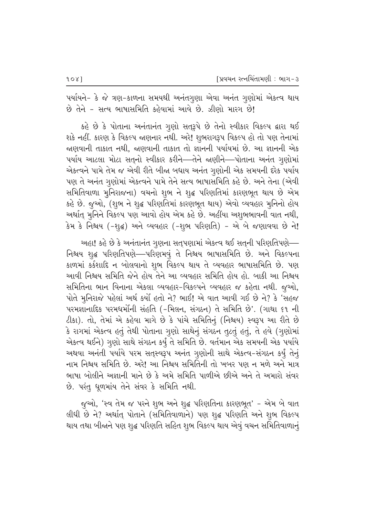પર્યાયને- કે જે ત્રણ-કાળના સમયથી અનંતગુણા એવા અનંત ગુણોમાં એકત્વ થાય છે તેને - સત્ય ભાષાસમિતિ કહેવામાં આવે છે. ઝીણો મારગ છે!

કહે છે કે પોતાના અનંતાનંત ગૃણો સતુરૂપે છે તેનો સ્વીકાર વિકલ્પ દ્વારા થઈ શકે નહીં. કારણ કે વિકલ્પ જાણનાર નથી. અરે! શુભરાગરૂપ વિકલ્પ હો તો પણ તેનામાં જાણવાની તાકાત નથી, જાણવાની તાકાત તો જ્ઞાનની પર્યાયમાં છે. આ જ્ઞાનની એક પર્યાય આટલા મોટા સતનો સ્વીકાર કરીને—તેને જાણીને—પોતાના અનંત ગણોમાં એકત્વને પામે તેમ જ એવી રીતે બીજા બધાય અનંત ગૃણોની એક સમયની દરેક પર્યાય પણ તે અનંત ગૃણોમાં એકત્વને પામે તેને સત્ય ભાષાસમિતિ કહે છે. અને તેના (એવી સમિતિવાળા મુનિરાજના) વચનો શુભ ને શુદ્ધ પરિણતિમાં કારણભૂત થાય છે એમ કહે છે. જુઓ, (શુભ ને શુદ્ધ પરિણતિમાં કારણભૂત થાય) એવો વ્યવહાર મુનિનો હોય અર્થાત મૂનિને વિકલ્પ પણ આવો હોય એમ કહે છે. અહીંયા અશુભભાવની વાત નથી, કેમ કે નિશ્ચય (-શૃદ્ધ) અને વ્યવહાર (-શૃભ પરિણતિ) - એ બે જણાવવા છે ને!

અહા! કહે છે કે અનંતાનંત ગુણના સત્પણામાં એકત્વ થઈ સત્ની પરિણતિપણે— નિશ્ચય શૃદ્ધ પરિણતિપણે—પરિણમવું તે નિશ્ચય ભાષાસમિતિ છે. અને વિકલ્પના કાળમાં કર્કશાદિ ન બોલવાનો શુભ વિકલ્પ થાય તે વ્યવહાર ભાષાસમિતિ છે. પણ આવી નિશ્ચય સમિતિ જેને હોય તેને આ વ્યવહાર સમિતિ હોય હો. બાકી આ નિશ્ચય સમિતિના ભાન વિનાના એકલા વ્યવહાર-વિકલ્પને વ્યવહાર જ કહેતા નથી. જૂઓ, પોતે મુનિરાજે પહેલાં અર્થ કર્યો હતો ને? ભાઈ! એ વાત આવી ગઈ છે ને? કે 'સહજ પરમજ્ઞાનાદિક પરમધર્મોની સંહતિ (-મિલન, સંગઠન) તે સમિતિ છે'. (ગાથા ૬૧ ની ટીકા). તો, તેમાં એ કહેવા માગે છે કે પાંચે સમિતિનું (નિશ્ચય) સ્વરૂપ આ રીતે છે કે રાગમાં એકત્વ હતું તેથી પોતાના ગુણો સાથેનું સંગઠન તુટતું હતું, તે હવે (ગુણોમાં એકત્વ થઈને) ગુણો સાથે સંગઠન કર્યું તે સમિતિ છે. વર્તમાન એક સમયની એક પર્યાયે અથવા અનંતી પર્યાયે પરમ સત્તસ્વરૂપ અનંત ગુણોની સાથે એકત્વ-સંગઠન કર્યું તેનું નામ નિશ્ચય સમિતિ છે. અરે! આ નિશ્ચય સમિતિની તો ખબર પણ ન મળે અને માત્ર ભાષા બોલીને અજ્ઞાની માને છે કે અમે સમિતિ પાળીએ છીએ અને તે અમારો સંવર છે. પરંતુ ધૂળમાંય તેને સંવર કે સમિતિ નથી.

જુઓ, 'સ્વ તેમ જ પરને શુભ અને શુદ્ધ પરિણતિના કારણભૂત' – એમ બે વાત લીધી છે ને? અર્થાત્ પોતાને (સમિતિવાળાને) પણ શુદ્ધ પરિણતિ અને શુભ વિકલ્પ થાય તથા બીજાને પણ શુદ્ધ પરિણતિ સહિત શુભ વિકલ્પ થાય એવું વચન સમિતિવાળાનું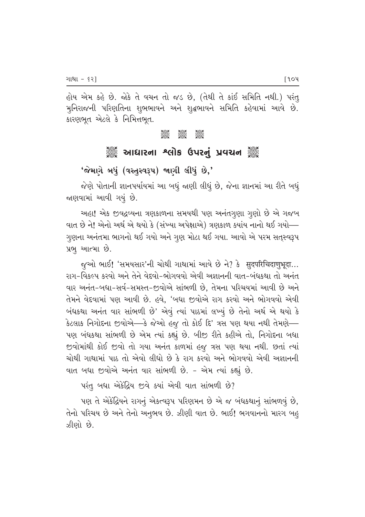હોય એમ કહે છે. જોકે તે વચન તો જડ છે, (તેથી તે કાંઈ સમિતિ નથી.) પરંતુ મુનિરાજની પરિણતિના શુભભાવને અને શુદ્ધભાવને સમિતિ કહેવામાં આવે છે. કારણભૂત એટલે કે નિમિત્તભૂત.

> ටුදිසිටි<br>උදවුද ටුපිට්ට්<br>පුලුගුල ටයයට<br>පියිසුව

# <sup>ૢૺૺૺૺ</sup>ૺ૾ૢૺ આધારના શ્લોક ઉપરનું પ્રવચન ૢ૾ૺૺ૾

## 'જેમાગે બધું (વસ્તુસ્વરૂપ) જાણી લીધું છે,'

જેણે પોતાની જ્ઞાનપર્યાયમાં આ બધું જાણી લીધું છે, જેના જ્ઞાનમાં આ રીતે બધું જાણવામાં આવી ગયું છે.

અહા! એક જીવદ્રવ્યના ત્રણકાળના સમયથી પણ અનંતગૃણા ગૃણો છે એ ગજબ વાત છે ને! એનો અર્થ એ થયો કે (સંખ્યા અપેક્ષાએ) ત્રણકાળ ક્યાંય નાનો થઈ ગયો— ગુણના અનંતમા ભાગનો થઈ ગયો અને ગુણ મોટા થઈ ગયા. આવો એ પરમ સતુસ્વરૂપ પ્રભુ આત્મા છે.

જૂઓ ભાઈ! 'સમયસાર'ની ચોથી ગાથામાં આવે છે ને? કે सुदपरिचिदाणुभूदा... રાગ-વિકલ્પ કરવો અને તેને વેદ્દવો-ભોગવવો એવી અજ્ઞાનની વાત-બંધકથા તો અનંત વાર અનંત-બધા-સર્વ-સમસ્ત-જીવોએ સાંભળી છે, તેમના પરિચયમાં આવી છે અને તેમને વેદવામાં પણ આવી છે. હવે, 'બધા જીવોએ રાગ કરવો અને ભોગવવો એવી બંધકથા અનંત વાર સાંભળી છે' એવું ત્યાં પાઠમાં લખ્યું છે તેનો અર્થ એ થયો કે કેટલાક નિગોદના જીવોએ—કે જેઓ હજુ તો કોઈ દિ' ત્રસ પણ થયા નથી તેમણે— પણ બંધકથા સાંભળી છે એમ ત્યાં કહ્યું છે. બીજી રીતે કહીએ તો, નિગોદના બધા જીવોમાંથી કોઈ જીવો તો ગયા અનંત કાળમાં હજુ ત્રસ પણ થયા નથી. છતાં ત્યાં ચોથી ગાથામાં પાઠ તો એવો લીધો છે કે રાગ કરવો અને ભોગવવો એવી અજ્ઞાનની વાત બધા જીવોએ અનંત વાર સાંભળી છે. - એમ ત્યાં કહ્યું છે.

પરંતુ બધા એકેંદ્રિય જીવે ક્યાં એવી વાત સાંભળી છે?

પણ તે એકંદ્રિયને રાગનું એકત્વરૂપ પરિણમન છે એ જ બંધકથાનું સાંભળવું છે, તેનો પરિચય છે અને તેનો અનુભવ છે. ઝીણી વાત છે. ભાઈ! ભગવાનનો મારગ બહુ ઝીણો છે.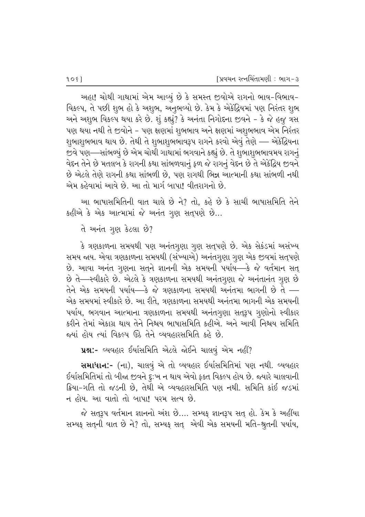અહા! ચોથી ગાથામાં એમ આવ્યું છે કે સમસ્ત જીવોએ રાગનો ભાવ-વિભાવ-વિકલ્પ, તે પછી શુભ હો કે અશુભ, અનુભવ્યો છે. કેમ કે એકેંદ્રિયમાં પણ નિરંતર શુભ અને અશુભ વિકલ્પ થયા કરે છે. શું કહ્યું? કે અનંતા નિગોદના જીવને - કે જે હજુ ત્રસ પણ થયા નથી તે જીવોને – પણ ક્ષણમાં શુભભાવ અને ક્ષણમાં અશુભભાવ એમ નિરંતર શુભાશુભભાવ થાય છે. તેથી તે શુભાશુભભાવરૂપ રાગને કરવો એવું તેણે — એકેંદ્રિયના જીવે પણ—સાંભળ્યું છે એમ ચોથી ગાથામાં ભગવાને કહ્યું છે. તે શુભાશુભભાવમય રાગનું વેદન તેને છે મતલબ કે રાગની કથા સાંભળવાનું ફળ જે રાગનું વેદન છે તે એકેંદ્રિય જીવને છે એટલે તેણે રાગની કથા સાંભળી છે. પણ રાગથી ભિન્ન આત્માની કથા સાંભળી નથી એમ કહેવામાં આવે છે. આ તો માર્ગ બાપા! વીતરાગનો છે.

આ ભાષાસમિતિની વાત ચાલે છે ને? તો, કહે છે કે સાચી ભાષાસમિતિ તેને કહીએ કે એક આત્મામાં જે અનંત ગુણ સત્પણે છે...

તે અનંત ગુણ કેટલા છે?

કે ત્રણકાળના સમયથી પણ અનંતગૂણા ગુણ સતુપણે છે. એક સેકંડમાં અસંખ્ય સમય જાય. એવા ત્રણકાળના સમયથી (સંખ્યાએ) અનંતગુણા ગુણ એક જીવમાં સત્પણે છે. આવા અનંત ગુણના સતુને જ્ઞાનની એક સમયની પર્યાય—કે જે વર્તમાન સત્ છે તે—સ્વીકારે છે. એટલે કે ત્રણકાળના સમયથી અનંતગુણા જે અનંતાનંત ગૃણ છે તેને એક સમયની પર્યાય—કે જે ત્રણકાળના સમયથી અનંતમા ભાગની છે તે — એક સમયમાં સ્વીકારે છે. આ રીતે, ત્રણકાળના સમયથી અનંતમા ભાગની એક સમયની પર્યાય, ભગવાન આત્માના ત્રણકાળના સમયથી અનંતગુણા સતરૂપ ગુણોનો સ્વીકાર કરીને તેમાં એકાગ્ર થાય તેને નિશ્ચય ભાષાસમિતિ કહીએ. અને આવી નિશ્ચય સમિતિ જ્યાં હોય ત્યાં વિકલ્પ ઉઠે તેને વ્યવહારસમિતિ કહે છે.

ue:- વ્યવહાર ઈર્યાસમિતિ એટલે જોઈને ચાલવું એમ નહીં?

સમાધાન:- (ના), ચાલવું એ તો વ્યવહાર ઈર્યાસમિતિમાં પણ નથી. વ્યવહાર ઈર્યાસમિતિમાં તો બીજા જીવને દુ:ખ ન થાય એવો ફક્ત વિકલ્પ હોય છે. જ્યારે ચાલવાની ક્રિયા-ગતિ તો જડની છે. તેથી એ વ્યવહારસમિતિ પણ નથી. સમિતિ કાંઈ જડમાં ન હોય. આ વાતો તો બાપા! પરમ સત્ય છે.

જે સતરૂપ વર્તમાન જ્ઞાનનો અંશ છે.... સમ્યક જ્ઞાનરૂપ સત હો. કેમ કે અહીંયા સમ્યક સતૃની વાત છે ને? તો, સમ્યક સત્ર એવી એક સમયની મતિ-શ્રુતની પર્યાય,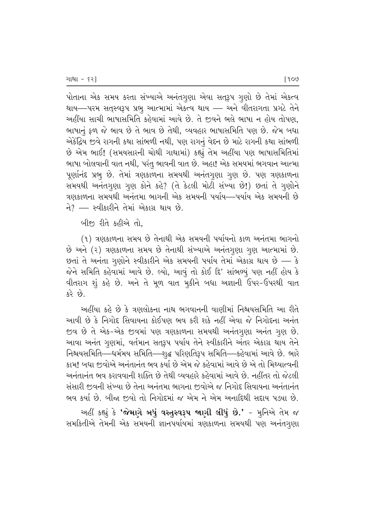<u>પોતાના એક સમય કરતા સંખ્યાએ અનંતગૂણા એવા સતુરૂપ ગૂણો છે તેમાં એકત્વ</u> થાય—પરમ સત્**સ્વરૂપ પ્રભુ આત્મામાં એકત્વ થાય — અને** વીતરાગતા પ્રગટે તેને અહીંયા સાચી ભાષાસમિતિ કહેવામાં આવે છે. તે જીવને ભલે ભાષા ન હોય તોપણ, ્ભાષાનું ફળ જે ભાવ છે તે ભાવ છે તેથી, વ્યવહાર ભાષાસમિતિ પણ છે. જેમ બધા એકેંદ્રિય જીવે રાગની કથા સાંભળી નથી, પણ રાગનું વેદન છે માટે રાગની કથા સાંભળી છે એમ ભાઈ! (સમયસારની ચોથી ગાથામાં) કહ્યું તેમ અહીંયા પણ ભાષાસમિતિમાં ભાષા બોલવાની વાત નથી, પરંતુ ભાવની વાત છે. અહા! એક સમયમાં ભગવાન આત્મા પૂર્ણાનંદ પ્રભુ છે. તેમાં ત્રણકાળના સમયથી અનંતગુણા ગુણ છે. પણ ત્રણકાળના સમયથી અનંતગુણા ગુણ કોને કહે? (તે કેટલી મોટી સંખ્યા છે!) છતાં તે ગુણોને ત્રણકાળના સમયથી અનંતમા ભાગની એક સમયની પર્યાય—પર્યાય એક સમયની છે  $\hat{H}$ ? — સ્વીકારીને તેમાં એકાગ્ર થાય છે.

બીજી રીતે કહીએ તો.

 $(1)$  ત્રણકાળના સમય છે તેનાથી એક સમયની પર્યાયનો કાળ અનંતમા ભાગનો છે અને (૨) ત્રણકાળના સમય છે તેનાથી સંખ્યાએ અનંતગુણા ગુણ આત્મામાં છે. છતાં તે અનંતા ગૃણોને સ્વીકારીને એક સમયની પર્યાય તેમાં એકાગ્ર થાય છે — કે જેને સમિતિ કહેવામાં આવે છે. લ્યો, આવું તો કોઈ દિ' સાંભળ્યું પણ નહીં હોય કે વીતરાગ શું કહે છે. અને તે મૂળ વાત મુકીને બધા અજ્ઞાની ઉપર-ઉપરથી વાત  $\overrightarrow{3}$   $\overrightarrow{6}$ 

અહીંયા કહે છે કે ત્રણલોકના નાથ ભગવાનની વાણીમાં નિશ્વયસમિતિ આ રીતે આવી છે કે નિગોદ સિવાયના કોઈપણ ભવ કરી શકે નહીં એવા જે નિગોદના અનંત જીવ છે તે એક-એક જીવમાં પણ ત્રણકાળના સમયથી અનંતગૂણા અનંત ગુણ છે. આવા અનંત ગુણમાં, વર્તમાન સત્**રૂપ પર્યાય તેને સ્વીકારીને અંતર એકાગ્ર** થાય તેને નિશ્ચયસમિતિ—ધર્મમય સમિતિ—શ્દ્ધ પરિણતિરૂપ સમિતિ—કહેવામાં આવે છે. ભારે કામ! બધા જીવોએ અનંતાનંત ભવ કર્યા છે એમ જે કહેવામાં આવે છે એ તો મિથ્યાત્વની અનંતાનંત ભવ કરાવવાની શક્તિ છે તેથી વ્યવહારે કહેવામાં આવે છે. નહીંતર તો જેટલી સંસારી જીવની સંખ્યા છે તેના અનંતમા ભાગના જીવોએ જ નિગોદ સિવાયના અનંતાનંત ભવ કર્યા છે. બીજા જીવો તો નિગોદમાં જ એમ ને એમ અનાદિથી સદાય પડ્યા છે.

અહીં કહ્યું કે '**જેમાગે બધું વસ્તુસ્વરૂપ જાણી લીધું છે.'** - મુનિએ તેમ જ સમકિતીએ તેમની એક સમયની જ્ઞાનપર્યાયમાં ત્રણકાળના સમયથી પણ અનંતગુણા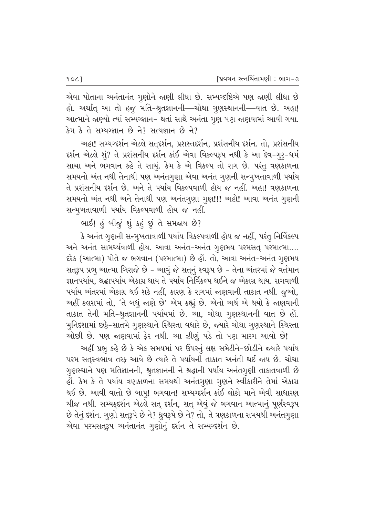એવા પોતાના અનંતાનંત ગુણોને જાણી લીધા છે. સમ્યગ્દષ્ટિએ પણ જાણી લીધા છે હો. અર્થાત્ આ તો હજુ મતિ-શ્રુતજ્ઞાનની—ચોથા ગુણસ્થાનની—વાત છે. અહા! આત્માને જાણ્યો ત્યાં સમ્યગ્જ્ઞાન- થતાં સાથે અનંતા ગુણ પણ જાણવામાં આવી ગયા. કેમ કે તે સમ્યગ્જ્ઞાન છે ને? સત્યજ્ઞાન છે ને?

અહા! સમ્યગ્દર્શન એટલે સતદર્શન, પ્રશસ્તદર્શન, પ્રશંસનીય દર્શન. તો, પ્રશંસનીય દર્શન એટલે શું? તે પ્રશંસનીય દર્શન કાંઈ એવા વિકલ્પરૂપ નથી કે આ દેવ-ગુરૂ-ધર્મ સાચા અને ભગવાન કહે તે સાચું. કેમ કે એ વિકલ્પ તો રાગ છે. પરંતુ ત્રણકાળના સમયનો અંત નથી તેનાથી પણ અનંતગૂણા એવા અનંત ગૃણની સન્મૂખતાવાળી પર્યાય તે પ્રશંસનીય દર્શન છે. અને તે પર્યાય વિકલ્પવાળી હોય જ નહીં. અહા! ત્રણકાળના સમયનો અંત નથી અને તેનાથી પણ અનંતગુણા ગુણ!!! અહો! આવા અનંત ગુણની સન્મુખતાવાળી પર્યાય વિકલ્પવાળી હોય જ નહીં.

ભાઈ! હું બીજું શું કહું છું તે સમજાય છે?

કે અનંત ગુણની સન્મુખતાવાળી પર્યાય વિકલ્પવાળી હોય જ નહીં, પરંતુ નિર્વિકલ્પ અને અનંત સામર્થ્યવાળી હોય. આવા અનંત-અનંત ગૃણમય પરમસત્ પરમાત્મા.... દરેક (આત્મા) પોતે જ ભગવાન (પરમાત્મા) છે હોં. તો, આવા અનંત-અનંત ગુણમય સતરૂપ પ્રભૂ આત્મા બિરાજે છે - આવું જે સતુનું સ્વરૂપ છે - તેના અંતરમાં જે વર્તમાન જ્ઞાનપર્યાય, શ્રદ્ધાપર્યાય એકાગ્ર થાય તે પર્યાય નિર્વિકલ્પ થઈને જ એકાગ્ર થાય. રાગવાળી પર્યાય અંતરમાં એકાગ્ર થઈ શકે નહીં, કારણ કે રાગમાં જાણવાની તાકાત નથી. જૂઓ, અહીં કલશમાં તો, 'તે બધું જાણે છે' એમ કહ્યું છે. એનો અર્થ એ થયો કે જાણવાની તાકાત તેની મતિ-શ્રુતજ્ઞાનની પર્યાયમાં છે. આ, ચોથા ગુણસ્થાનની વાત છે હોં. મુનિદશામાં છઠ્ઠે-સાતમે ગુણસ્થાને સ્થિરતા વધારે છે, જ્યારે ચોથા ગુણસ્થાને સ્થિરતા

ઓછી છે. પણ જાણવામાં ફેર નથી. આ ઝીણું પડે તો પણ મારગ આવો છે! અહીં પ્રભુ કહે છે કે એક સમયમાં પર ઉપરનું લક્ષ સમેટીને-છોડીને જ્યારે પર્યાય પરમ સતસ્વભાવ તરક આવે છે ત્યારે તે પર્યાયની તાકાત અનંતી થઈ જાય છે. ચોથા ગુણસ્થાને પણ મતિજ્ઞાનની, શ્રુતજ્ઞાનની ને શ્રદ્ધાની પર્યાય અનંતગૃણી તાકાતવાળી છે હોં. કેમ કે તે પર્યાય ત્રણકાળના સમયથી અનંતગુણા ગુણને સ્વીકારીને તેમાં એકાગ્ર થઈ છે. આવી વાતો છે બાપુ! ભગવાન! સમ્યગ્દર્શન કાંઈ લોકો માને એવી સાધારણ ચીજ નથી. સમ્યફદર્શન એટલે સત્ દર્શન, સત્ એવું જે ભગવાન આત્માનું પૂર્ણસ્વરૂપ છે તેનું દર્શન. ગુણો સત્3઼પે છે ને? ઘ્રુવરૂપે છે ને? તો, તે ત્રણકાળના સમયથી અનંતગુણા એવા પરમસત્3઼પ અનંતાનંત ગુણોનું દર્શન તે સમ્યગ્દર્શન છે.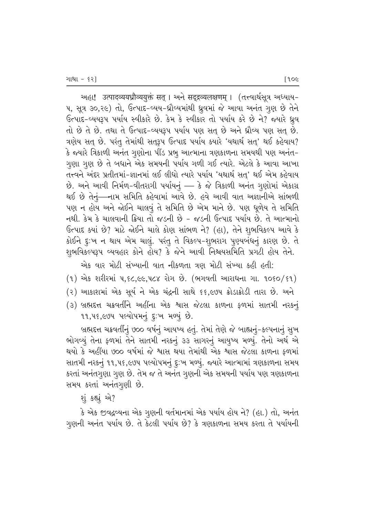અહા! उत्पादव्ययध्रौव्ययुक्तं सत् । અને सद्द्रव्यलक्षणम् । (तत्त्वार्थसूत्र અધ્યાય− પ, સૂત્ર ૩૦,૨૯) તો, ઉત્પાદ-વ્યય-ધ્રૌવ્યમાંથી ધ્રુવમાં જે આવા અનંત ગુણ છે તેને ઉત્પાદ-વ્યયરૂપ પર્યાય સ્વીકારે છે. કેમ કે સ્વીકાર તો પર્યાય કરે છે ને? જ્યારે ધ્ર્રવ તો છે તે છે. તથા તે ઉત્પાદ-વ્યયરૂપ પર્યાય પણ સતુ છે અને ધ્રૌવ્ય પણ સતુ છે.  $a$ રણેય સત્ છે. પરંતુ તેમાંથી સતુરૂપ ઉત્પાદ પર્યાય ક્યારે 'યથાર્થ સત્' થઈ કહેવાય? કે જ્યારે ત્રિકાળી અનંત ગૃણોના પીંડ પ્રભૂ આત્માના ત્રણકાળના સમયથી પણ અનંત-ગુણા ગૃણ છે તે બધાને એક સમયની પર્યાય ગળી ગઈ ત્યારે. એટલે કે આવા આખા તત્ત્વને અંદર પ્રતીતમાં–જ્ઞાનમાં લઈ લીધો ત્યારે પર્યાય 'યથાર્થ સત્' થઈ એમ કહેવાય  $\dot{\vartheta}$ . અને આવી નિર્મળ-વીતરાગી પર્યાયનું — કે જે ત્રિકાળી અનંત ગૃણોમાં એકાગ્ર થઈ છે તેનું—નામ સમિતિ કહેવામાં આવે છે. હવે આવી વાત અજ્ઞાનીએ સાંભળી પણ ન હોય અને જોઈને ચાલવું તે સમિતિ છે એમ માને છે. પણ ધૂળેય તે સમિતિ નથી. કેમ કે ચાલવાની ક્રિયા તો જડની છે - જડની ઉત્પાદ પર્યાય છે. તે આત્માનો  $6$ ત્પાદ ક્યાં છે? માટે જોઈને ચાલે કોણ સાંભળ ને? (હા), તેને શુભવિકલ્પ આવે કે કોઈને દુઃખ ન થાય એમ ચાલું. પરંતુ તે વિકલ્પ-શુભરાગ પુણ્યબંધનું કારણ છે. તે શુભવિકલ્પરૂપ વ્યવહાર કોને હોય? કે જેને આવી નિશ્ચયસમિતિ પ્રગટી હોય તેને.

એક વાર મોટી સંખ્યાની વાત નીકળતા ત્રણ મોટી સંખ્યા કહી હતી:

- $(1)$  એક શરીરમાં ૫,૬૮,૯૯,૫૮૪ રોગ છે. (ભગવતી આરાધના ગા. ૧૦૬૦/૬૧)
- (૨) આકાશમાં એક સૂર્ય ને એક ચંદ્રની સાથે ૬૬,૯૭૫ ક્રોડાક્રોડી તારા છે. અને
- (3) બ્રહ્મદત્ત ચક્રવર્તીને અહીંના એક શ્વાસ જેટલા કાળના ફળમાં સાતમી નરકનું 11, 48, EV4 4 rell 4 rel 5: 4 rel 8.

બ્રહ્મદત્ત ચક્રવર્તીનું ૭૦૦ વર્ષનું આયષ્ય હતું. તેમાં તેણે જે બાહ્યનું-કલ્પનાનું સુખ ભોગવ્યું તેના ફળમાં તેને સાતમી નરકનું ૩૩ સાગરનું આયુષ્ય મળ્યું. તેનો અર્થ એ થયો કે અહીંયા ૭૦૦ વર્ષમાં જે શ્વાસ થયા તેમાંથી એક શ્વાસ જેટલા કાળના ફળમાં સાતમી નરકનું ૧૧,૫૬,૯૭૫ પલ્યોપમનું દુઃખ મળ્યું. જ્યારે આત્મામાં ત્રણકાળના સમય કરતાં અનંતગુણા ગૃણ છે. તેમ જ તે અનંત ગૃણની એક સમયની પર્યાય પણ ત્રણકાળના સમય કરતાં અનંતગુણી છે.

શું કહ્યું એ?

 $\,$ કે એક જીવદ્રવ્યના એક ગુણની વર્તમાનમાં એક પર્યાય હોય ને? (હા.) તો, અનંત ગુણની અનંત પર્યાય છે. તે કેટલી પર્યાય છે? કે ત્રણકાળના સમય કરતા તે પર્યાયની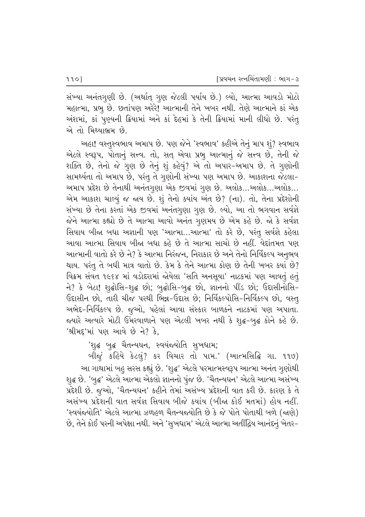સંખ્યા અનંતગુણી છે. (અર્થાત્ ગુણ જેટલી પર્યાય છે.) લ્યો, આત્મા આવડો મોટો મહાત્મા, પ્રભુ છે. છતાંપણ અરેરે! આત્માની તેને ખબર નથી. તેણે આત્માને કાં એક અંશમાં, કાં પુણ્યની ક્રિયામાં અને કાં દેહમાં કે તેની ક્રિયામાં માની લીધો છે. પરંતુ એ તો મિથ્યાભ્રમ છે.

અહા! વસ્તુસ્વભાવ અમાપ છે. પણ જેને 'સ્વભાવ' કહીએ તેનું માપ શું? સ્વભાવ એટલે સ્વરૂપ, પોતાનું સત્ત્વ. તો, સત્ એવા પ્રભુ આત્માનું જે સત્ત્વ છે, તેની જે શક્તિ છે, તેનો જે ગુણ છે તેનું શું કહેવું? એ તો અપાર-અમાપ છે. તે ગુણોની સામર્થ્યતા તો અમાપ છે, પરંતુ તે ગુણોની સંખ્યા પણ અમાપ છે. આકાશના જેટલા-અમાપ પ્રદેશ છે તેનાથી અનંતગુણા એક જીવમાં ગુણ છે. અલોક…અલોક…અલોક… એમ આકાશ ચાલ્યું જ જાય છે. શું તેનો ક્યાંય અંત છે? (ના). તો, તેના પ્રદેશોની સંખ્યા છે તેના કરતાં એક જીવમાં અનંતગુણા ગુણ છે. લ્યો, આ તો ભગવાન સર્વજ્ઞે જેને આત્મા કહ્યો છે તે આત્મા આવો અનંત ગુણમય છે એમ કહે છે. જો કે સર્વજ્ઞ સિવાય બીજા બધા અજ્ઞાની પણ 'આત્મા...આત્મા' તો કરે છે, પરંતુ સર્વજ્ઞે કહેલા આવા આત્મા સિવાય બીજા બધા કહે છે તે આત્મા સાચો છે નહીં. વેદાંતમત પણ આત્માની વાતો કરે છે ને? કે આત્મા નિરંજન, નિરાકાર છે અને તેનો નિર્વિકલ્પ અનુભવ થાય. પરંતુ તે બધી માત્ર વાતો છે. કેમ કે તેને આત્મા કોણ છે તેની ખબર ક્યાં છે? વિક્રમ સંવત ૧૯૬૪ માં વડોદરામાં જોયેલા 'સતિ અનસૂયા' નાટકમાં પણ આવતું હતું ને? કે બેટા! શૃદ્ધોસિ-શૃદ્ધ છો; બુદ્ધોસિ-બુદ્ધ છો, જ્ઞાનનો પીંડ છો; ઉદ્દાસીનોસિ-ઉદાસીન છો, તારી ચીજ પરથી ભિન્ન-ઉદાસ છે; નિર્વિકલ્પોસિ-નિર્વિકલ્પ છો, વસ્તૂ અભેદ-નિર્વિકલ્પ છે. જુઓ, પહેલાં આવા સંસ્કાર બાળકને નાટકમાં પણ અપાતા. જયારે અત્યારે મોટી ઉમરવાળાને પણ એટલી ખબર નથી કે શુદ્ધ-બુદ્ધ કોને કહે છે. 'શ્રીમદ્ર'માં પણ આવે છે ને? કે,

'શુદ્ધ બુદ્ધ ચૈતન્યઘન, સ્વયંજયોતિ સુખધામ;

બીજું કહિયે કેટલું? કર વિચાર તો પામ.' (આત્મસિદ્ધિ ગા. ૧૧૭) આ ગાથામાં બહુ સરસ કહ્યું છે. 'શુદ્ધ' એટલે પરમાત્મસ્વરૂપ આત્મા અનંત ગુણોથી શુદ્ધ છે. 'બુદ્ધ' એટલે આત્મા એકલો જ્ઞાનનો પુંજ છે. 'ચૈતન્યઘન' એટલે આત્મા અસંખ્ય પ્રદેશી છે. જુઓ, 'ચૈતન્યઘન' કહીને તેમાં અસંખ્ય પ્રદેશની વાત કરી છે. કારણ કે તે અસંખ્ય પ્રદેશની વાત સર્વજ્ઞ સિવાય બીજે ક્યાંય (બીજા કોઈ મતમાં) હોય નહીં. 'સ્વયંજયોતિ' એટલે આત્મા ઝળહળ ચૈતન્યજયોતિ છે કે જે પોતે પોતાથી બળે (જાણે) છે, તેને કોઈ પરની અપેક્ષા નથી. અને 'સુખધામ' એટલે આત્મા અતીંદ્રિય આનંદનું ખેતર–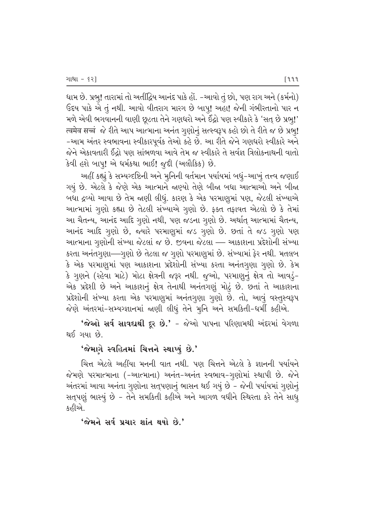ધામ છે. પ્રભુ! તારામાં તો અતીંદ્રિય આનંદ પાકે હોં. -આવો તું છો, પણ રાગ અને (કર્મનો)  $\,$  ઉદય પાકે એ તું નથી. આવો વીતરાગ મારગ છે બાપુ! અહા! જેની ગંભીરતાનો પાર ન મળે એવી ભગવાનની વાણી છૂટતા તેને ગણધરો અને ઈંદ્રો પણ સ્વીકારે કે 'સત્ છે પ્રભુ!'  $\vec{a}$  त्वमेव सच्चं જે રીતે આપ આત્માના અનંત ગુણોનું સત્સ્વરૂપ કહો છો તે રીતે જ છે પ્રભૂ! −આમ અંતર સ્વભાવના સ્વીકારપૂર્વક તેઓ કહે છે. આ રીતે જેને ગણધરો સ્વીકારે અને જેને એકાવતારી ઈંદ્રો પણ સાંભળવા આવે તેમ જ સ્વીકારે તે સર્વજ્ઞ ત્રિલોકનાથની વાતો કેવી હશે બાપ્! એ ધર્મકથા ભાઈ! જૂદી (અલૌકિક) છે.

અહીં કહ્યું કે સમ્યગ્દષ્ટિની અને મુનિની વર્તમાન પર્યાયમાં બધું−આખું તત્ત્વ જણાઈ ગયું છે. એટલે કે જેણે એક આત્માને જાણ્યો તેણે બીજા બધા આત્માઓ અને બીજા બધા દ્રવ્યો આવા છે તેમ જાણી લીધું. કારણ કે એક પરમાણુમાં પણ, જેટલી સંખ્યાએ આત્મામાં ગુણો કહ્યા છે તેટલી સંખ્યાએ ગુણો છે. ફક્ત તફાવત એટલો છે કે તેમાં આ ચૈતન્ય, આનંદ આદિ ગૃણો નથી, પણ જડના ગૃણો છે. અર્થાત્ આત્મામાં ચૈતન્ય, આનંદ આદિ ગૃણો છે, જ્યારે પરમાણૂમાં જડ ગૃણો છે. છતાં તે જડ ગૃણો પણ આત્માના ગુણોની સંખ્યા જેટલાં જ છે. જીવના જેટલા — આકાશના પ્રદેશોની સંખ્યા કરતા અનંતગુણા—ગુણો છે તેટલા જ ગુણો પરમાણુમાં છે. સંખ્યામાં ફેર નથી. મતલબ  $\,$ કે એક પરમાણુમાં પણ આકાશના પ્રદેશોની સંખ્યા કરતા અનંતગુણા ગૃણો છે. કેમ કે ગુણને (રહેવા માટે) મોટા ક્ષેત્રની જરૂર નથી. જુઓ, પરમાણુનું ક્ષેત્ર તો આવડું− એક પ્રદેશી છે અને આકાશનું ક્ષેત્ર તેનાથી અનંતગણું મોટું છે. છતાં તે આકાશના પ્રદેશોની સંખ્યા કરતા એક પરમાણુમાં અનંતગુણા ગુણો છે. તો, આવું વસ્તુસ્વરૂપ જેણે અંતરમાં-સમ્યગ્જ્ઞાનમાં જાણી લીધું તેને મુનિ અને સમકિતી-ધર્મી કહીએ.

 $'$ જેઓ સર્વ સાવદાથી દૂર છે.' - જેઓ પાપના પરિણામથી અંદરમાં વેગળા થઈ ગયા છે.

#### $'$ જેમાગે સ્વહિતમાં ચિત્તને સ્થાપ્યું છે.'

ચિત્ત એટલે અહીંયા મનની વાત નથી. પણ ચિત્તને એટલે કે જ્ઞાનની પર્યાયને જેમણે પરમાત્માના (-આત્માના) અનંત-અનંત સ્વભાવ-ગૃણોમાં સ્થાપી છે. જેને અંતરમાં આવા અનંતા ગુણોના સત્**પણાનું ભાસન થઈ ગયું છે – જેની પર્યાયમાં** ગુણોનું સત્પણું ભાસ્યું છે - તેને સમકિતી કહીએ અને આગળ વધીને સ્થિરતા કરે તેને સાધુ કહીએ.

'જેમને સર્વ પ્રચાર શાંત થયો છે.'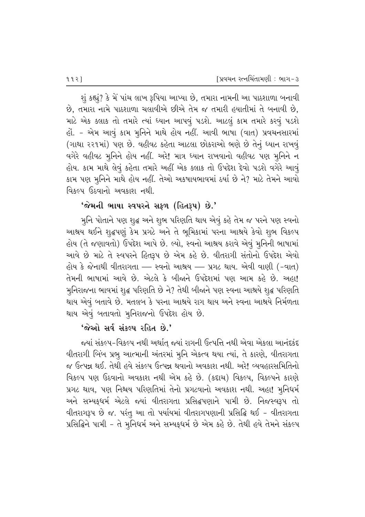$\frac{1}{2}$  કહ્યું? કે મેં પાંચ લાખ રૂપિયા આપ્યા છે, તમારા નામની આ પાઠશાળા બનાવી  $\dot{\vartheta}$ , તમારા નામે પાઠશાળા ચલાવીએ છીએ તેમ જ તમારી હયાતીમાં તે બનાવી છે, માટે એક ક્લાક તો તમારે ત્યાં ધ્યાન આપવું પડશે. આટલું કામ તમારે કરવું પડશે હોં. - એમ આવું કામ મુનિને માથે હોય નહીં. આવી ભાષા (વાત) પ્રવચનસારમાં (ગાથા ૨૨૧માં) પણ છે. વહીવટ કહેતા આટલા છોકરાઓ ભણે છે તેનું ધ્યાન રાખવૃં વગેરે વહીવટ મુનિને હોય નહીં. અરે! માત્ર ધ્યાન રાખવાનો વહીવટ પણ મુનિને ન હોય. કામ માથે લેવું કહેતા તમારે અહીં એક ક્લાક તો ઉપદેશ દેવો પડશે વગેરે આવું કામ પણ મૂનિને માથે હોય નહીં. તેઓ અકષાયભાવમાં ઠર્યા છે ને? માટે તેમને આવો વિકલ્પ ઉઠવાનો અવકાશ નથી.

# $'$ જેમની ભાષા સ્વપરને સફળ (હિતરૂપ) છે.'

મુનિ પોતાને પણ શૃદ્ધ અને શૃભ પરિણતિ થાય એવું કહે તેમ જ પરને પણ સ્વનો આશ્રય થઈને શદ્ધપણું કેમ પ્રગટે અને તે ભુમિકામાં પરના આશ્રયે કેવો શુભ વિકલ્પ હોય (તે જણાવતો) ઉપદેશ આપે છે. લ્યો, સ્વનો આશ્રય કરાવે એવું મુનિની ભાષામાં આવે છે માટે તે સ્વપરને હિતરૂપ છે એમ કહે છે. વીતરાગી સંતોનો ઉપદેશ એવો હોય કે જેનાથી વીતરાગતા — સ્વનો આશ્રય — પ્રગટ થાય. એવી વાણી (-વાત) તેમની ભાષામાં આવે છે. એટલે કે બીજાને ઉપદેશમાં પણ આમ કહે છે. અહા! મુનિરાજના ભાવમાં શુદ્ધ પરિણતિ છે ને? તેથી બીજાને પણ સ્વના આશ્રયે શુદ્ધ પરિણતિ થાય એવું બતાવે છે. મતલબ કે પરના આશ્રયે રાગ થાય અને સ્વના આશ્રયે નિર્મળતા થાય એવું બતાવતો મુનિરાજનો ઉપદેશ હોય છે.

# $'$ જેઓ સર્વસંકલ્પ રહિત છે.'

જયાં સંકલ્પ-વિકલ્પ નથી અર્થાત્ જ્યાં રાગની ઉત્પત્તિ નથી એવા એકલા આનંદકંદ વીતરાગી બિંબ પ્રભૂ આત્માની અંતરમાં મૂનિ એકત્વ થયા ત્યાં, તે કારણે, વીતરાગતા જ ઉત્પન્ન થઈ. તેથી હવે સંકલ્પ ઉત્પન્ન થવાનો અવકાશ નથી. અરે! વ્યવહારસમિતિનો વિકલ્પ પણ ઉઠવાનો અવકાશ નથી એમ કહે છે. (કદાચ) વિકલ્પ, વિકલ્પને કારણે પ્રગટ થાવ, પણ નિશ્ચય પરિણતિમાં તેનો પ્રગટવાનો અવકાશ નથી. અહા! મુનિધર્મ અને સમ્યક્**ધર્મ એટલે જ્યાં વીતરાગતા પ્રસિદ્ધપણાને** પામી છે. નિજસ્વરૂપ તો વીતરાગરૂપ છે જ. પરંતુ આ તો પર્યાયમાં વીતરાગપણાની પ્રસિદ્ધિ થઈ - વીતરાગતા પ્રસિદ્ધિને પામી – તે મુનિધર્મ અને સમ્યક્ધર્મ છે એમ કહે છે. તેથી હવે તેમને સંકલ્પ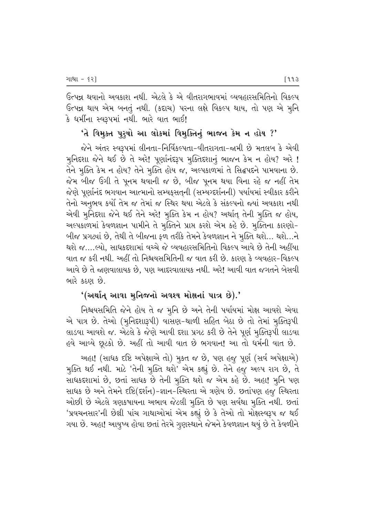ઉત્પન્ન થવાનો અવકાશ નથી. એટલે કે એ વીતરાગભાવમાં વ્યવહારસમિતિનો વિકલ્પ ઉત્પન્ન થાય એમ બનતું નથી. (કદાચ) પરના લક્ષે વિકલ્પ થાય, તો પણ એ મુનિ કે ધર્મીના સ્વરૂપમાં નથી. ભારે વાત ભાઈ!

## 'તે વિમુક્ત પુરૃષો આ લોકમાં વિમુક્તિનું ભાજન કેમ ન હોય ?'

જેને અંતર સ્વરૂપમાં લીનતા-નિર્વિકલ્પતા-વીતરાગતા-જામી છે મતલબ કે એવી મુનિદશા જેને થઈ છે તે અરે! પૂર્ણાનંદરૂપ મુક્તિદશાનું ભાજન કેમ ન હોય? અરે ! તેને મુક્તિ કેમ ન હોય? તેને મુક્તિ હોય જ, અલ્પકાળમાં તે સિદ્ધપદને પામવાના છે. જેમ બીજ ઉગી તે પૂનમ થવાની જ છે, બીજ પૂનમ થયા વિના રહે જ નહીં તેમ જેણે પૂર્ણાનંદ ભગવાન આત્માનો સમ્યક્સતની (સમ્યગ્દર્શનની) પર્યાયમાં સ્વીકાર કરીને તેનો અનુભવ કર્યો તેમ જ તેમાં જ સ્થિર થયા એટલે કે સંકલ્પનો જ્યાં અવકાશ નથી એવી મુનિદશા જેને થઈ તેને અરે! મુક્તિ કેમ ન હોય? અર્થાત્ તેની મુક્તિ જ હોય, અલ્પકાળમાં કેવળજ્ઞાન પામીને તે મૂક્તિને પ્રાપ્ત કરશે એમ કહે છે. મૂક્તિના કારણો-બીજ પ્રગટ્યાં છે, તેથી તે બીજના ફળ તરીકે તેમને કેવળજ્ઞાન ને મુક્તિ થશે… થશે…ને થશે જ….લ્યો. સાધકદશામાં વચ્ચે જે વ્યવહારસમિતિનો વિકલ્પ આવે છે તેની અહીંયા વાત જ કરી નથી. અહીં તો નિશ્ચયસમિતિની જ વાત કરી છે. કારણ કે વ્યવહાર-વિકલ્પ આવે છે તે જ્ઞણવાલાયક છે, પણ આદરવાલાયક નથી. અરે! આવી વાત જગતને બેસવી ભારે કઠણ છે.

#### '(અર્થાત્ આવા મુનિજનો અવશ્ય મોક્ષનાં પાત્ર છે).'

નિશ્ચયસમિતિ જેને હોય તે જ મૂનિ છે અને તેની પર્યાયમાં મોક્ષ આવશે એવા એ પાત્ર છે. તેઓ (મુનિદશારૂપી) વાસણ-થાળી સહિત બેઠા છે તો તેમાં મૂક્તિરૂપી લાડવા આવશે જ. એટલે કે જેણે આવી દશા પ્રગટ કરી છે તેને પૂર્ણ મુક્તિરૂપી લાડવા હવે આવ્યે છૂટકો છે. અહીં તો આવી વાત છે ભગવાન! આ તો ધર્મની વાત છે.

અહા! (સાધક દષ્ટિ અપેક્ષાએ તો) મૂકત જ છે, પણ હજૂ પૂર્ણ (સર્વ અપેક્ષાએ) મુક્તિ થઈ નથી. માટે 'તેની મુક્તિ થશે' એમ કહ્યું છે. તેને હજુ અલ્પ રાગ છે, તે સાધકદશામાં છે, છતાં સાધક છે તેની મૂક્તિ થશે જ એમ કહે છે. અહા! મૂનિ પણ સાધક છે અને તેમને દષ્ટિ(દર્શન)-જ્ઞાન-સ્થિરતા એ ત્રણેય છે. છતાંપણ હજુ સ્થિરતા ઓછી છે એટલે ત્રણકષાયના અભાવ જેટલી મુક્તિ છે પણ સર્વથા મુક્તિ નથી. છતાં 'પ્રવચનસાર'ની છેલ્રી પાંચ ગાથાઓમાં એમ કહ્યું છે કે તેઓ તો મોક્ષસ્વરૂપ જ થઈ ગયા છે. અહા! આયુષ્ય હોવા છતાં તેરમે ગુણસ્થાને જેમને કેવળજ્ઞાન થયું છે તે કેવળીને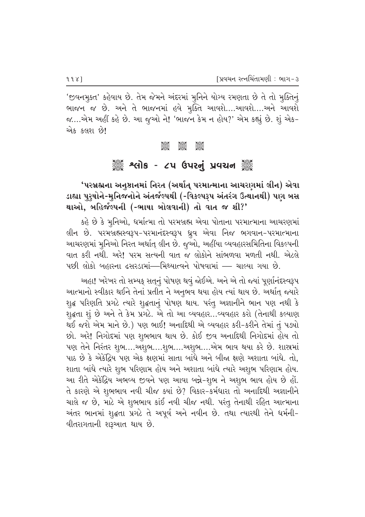'જીવનમુક્ત' કહેવાય છે. તેમ જેમને અંદરમાં મુનિને યોગ્ય રમણતા છે તે તો મુક્તિનું ભાજન જ છે. અને તે ભાજનમાં હવે મુક્તિ આવશે....આવશે....અને આવશે જ….એમ અહીં કહે છે. આ જુઓ ને! 'ભાજન કેમ ન હોય?' એમ કહ્યું છે. શું એક-એક કલશ છે!

> ටුදිසිටි<br>ඉදිදිුල ටුපිටිටි ටුපිටිටි<br>පිළිබද

# ૈું કે શ્લોક - ૮૫ ઉપરનું પ્રવચન ૅું

# 'પરબ્રહ્મના અનુષ્ઠાનમાં નિરત (અર્થાત્ પરમાત્માના આચરણમાં લીન) એવા ડાહ્યા પુરૂષોને-મુનિજનોને અંતર્જલ્પથી (-વિકલ્પરૂપ અંતરંગ ઉત્થાનથી) પણ બસ થાઓ, બહિર્જલ્પની (-ભાષા બોલવાની) તો વાત જ શી?'

કહે છે કે મુનિઓ, ધર્માત્મા તો પરમબ્રહ્મ એવા પોતાના પરમાત્માના આચરણમાં લીન છે. પરમબ્રહ્મસ્વરૂપ-પરમાનંદસ્વરૂપ ધ્રૂવ એવા નિજ ભગવાન-પરમાત્માના આચરણમાં મુનિઓ નિરત અર્થાત્ લીન છે. જુઓ, અહીંયા વ્યવહારસમિતિના વિકલ્પની વાત કરી નથી. અરે! પરમ સત્યની વાત જ લોકોને સાંભળવા મળતી નથી. એટલે પછી લોકો બહારના ઢસરડામાં—મિથ્યાત્વને પોષવામાં — ચાલ્યા ગયા છે.

અહા! ખરેખર તો સમ્યક્ સતનું પોષણ થવું જોઈએ. અને એ તો જ્યાં પૂર્ણાનંદસ્વરૂપ આત્માનો સ્વીકાર થઈને તેનાં પ્રતીત ને અનૃભવ થયા હોય ત્યાં થાય છે. અર્થાત્ જ્યારે શૃદ્ધ પરિણતિ પ્રગટે ત્યારે શૃદ્ધતાનું પોષણ થાય. પરંતુ અજ્ઞાનીને ભાન પણ નથી કે શુદ્ધતા શું છે અને તે કેમ પ્રગટે. એ તો આ વ્યવહાર...વ્યવહાર કરો (તેનાથી કલ્યાણ થઈ જશે એમ માને છે.) પણ ભાઈ! અનાદિથી એ વ્યવહાર કરી-કરીને તેમાં તું પડ્યો છો. અરે! નિગોદમાં પણ શુભભાવ થાય છે. કોઈ જીવ અનાદિથી નિગોદમાં હોય તો પણ તેને નિરંતર શુભ….અશુભ….શુભ….અશુભ….એમ ભાવ થયા કરે છે. શાસ્રમાં પાઠ છે કે એકંદ્રિય પણ એક ક્ષણમાં સાતા બાંધે અને બીજા ક્ષણે અશાતા બાંધે. તો. શાતા બાંધે ત્યારે શુભ પરિણામ હોય અને અશાતા બાંધે ત્યારે અશુભ પરિણામ હોય. આ રીતે એકંદ્રિય અભવ્ય જીવને પણ આવા બન્ને-શુભ ને અશુભ ભાવ હોય છે હોં. તે કારણે એ શુભભાવ નવી ચીજ ક્યાં છે? વિકાર-કર્મધારા તો અનાદિથી અજ્ઞાનીને ચાલે જ છે, માટે એ શુભભાવ કાંઈ નવી ચીજ નથી. પરંતુ તેનાથી રહિત આત્માના અંતર ભાનમાં શૃદ્ધતા પ્રગટે તે અપૂર્વ અને નવીન છે. તથા ત્યારથી તેને ધર્મની-વીતરાગતાની શરૂઆત થાય છે.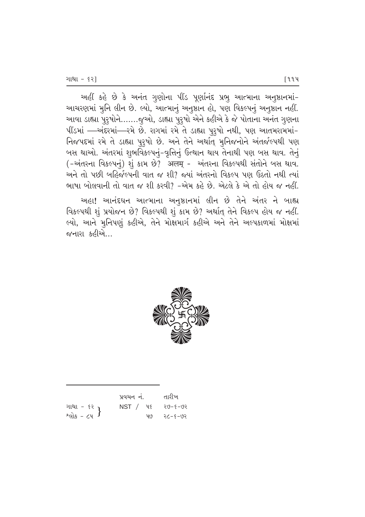અહીં કહે છે કે અનંત ગુણોના પીંડ પૂર્ણાનંદ પ્રભૂ આત્માના અનુષ્ઠાનમાં-આચરણમાં મુનિ લીન છે. લ્યો, આત્માનું અનુષ્ઠાન હો, પણ વિકલ્પનું અનુષ્ઠાન નહીં. આવા ડાહ્યા પુરુષોને.......જુઓ, ડાહ્યા પુરુષો એને કહીએ કે જે પોતાના અનંત ગુણના પીંડમાં —અંદરમાં—રમે છે. રાગમાં રમે તે ડાહ્યા પુરૂષો નથી, પણ આતમરામમાં-નિજપદમાં રમે તે ડાહ્યા પુરુષો છે. અને તેને અર્થાત્ મુનિજનોને અંતર્જલ્પથી પણ બસ થાઓ. અંતરમાં શુભવિકલ્પનું-વૃત્તિનું ઉત્થાન થાય તેનાથી પણ બસ થાવ. તેનું (-અંતરના વિકલ્પનું) શું કામ છે? अलम् - અંતરના વિકલ્પથી સંતોને બસ થાવ. અને તો પછી બહિર્જલ્પની વાત જ શી? જ્યાં અંતરનો વિકલ્પ પણ ઉઠતો નથી ત્યાં ભાષા બોલવાની તો વાત જ શી કરવી? -એમ કહે છે. એટલે કે એ તો હોય જ નહીં.

અહા! આનંદઘન આત્માના અનુષ્ઠાનમાં લીન છે તેને અંતર ને બાહ્ય વિકલ્પથી શું પ્રયોજન છે? વિકલ્પથી શું કામ છે? અર્થાત્ તેને વિકલ્પ હોય જ નહીં. લ્યો, આને મુનિપણું કહીએ, તેને મોક્ષમાર્ગ કહીએ અને તેને અલ્પકાળમાં મોક્ષમાં જનારા કહીએ…



|                                               | પ્રવચન નં. |     | તારીખ   |
|-----------------------------------------------|------------|-----|---------|
| ગાથા - ૬૨ <b>}</b><br>શ્લોક - ૮૫ <sup>}</sup> | NST / 4    |     | २७–४–७२ |
|                                               |            | પા9 | २८-६-७२ |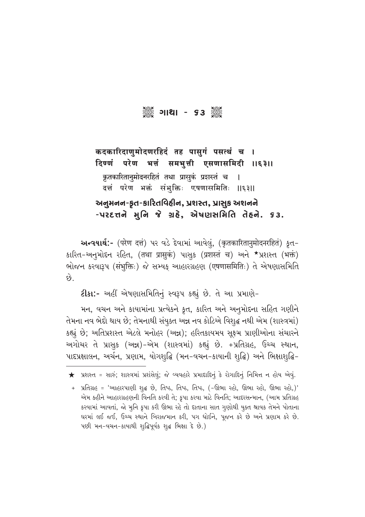# 

कदकारिदाणुमोदणरहिदं तह पासुगं पसत्थं च । परेण भत्तं समभुत्ती एसणासमिदी ॥६३॥ दिण्णं कृतकारितानुमोदनरहितं तथा प्रासुकं प्रशस्तं च  $\mathsf{I}$ दत्तं परेण भक्तं संभुक्तिः एषणासमितिः  $||\xi||$ અનુમનન-કૃત-કારિતવિહીન, પ્રશસ્ત, પ્રાસુક અશનને

#### $-$ uzɛत्तने भूनि ४े ग्रहे, એषણસમિતિ તેहने. **S3.**

**અન્વયાર્થ:-** (परेण दत्तं) પર વડે દેવામાં આવેલું, (कृतकारितानुमोदनरहितं) કૃત-કારિત-અનુમોદન રહિત, (तथा प्रासुकं) પાસ્\$ (प्रशस्तं च) અને \*પ્રશસ્ત (भक्तं) ભોજન કરવારૂપ (संभुक्तिः) જે સમ્યક આહારગ્રહણ (एषणासमितिः) તે એષણાસમિતિ છે.

ટીકા:- અહીં એષણાસમિતિનું સ્વરૂપ કહ્યું છે. તે આ પ્રમાણે-

મન, વચન અને કાયામાંના પ્રત્યેકને કૃત, કારિત અને અનુમોદના સહિત ગણીને તેમના નવ ભેદો થાય છે; તેમનાથી સંયુક્ત અન્ન નવ કોટિએ વિશુદ્ધ નથી એમ (શાસ્ત્રમાં) કહ્યું છે; અતિપ્રશસ્ત એટલે મનોહર (અન્ન); હરિતકાયમય સુક્ષ્મ પ્રાણીઓના સંચારને અગોચર તે પ્રાસુક (અન્ન)-એમ (શાસ્ત્રમાં) કહ્યું છે. +પ્રતિગ્રહ, ઉચ્ચ સ્થાન, પાદપ્રક્ષાલન, અર્ચન, પ્રણામ, યોગશૃદ્ધિ (મન-વચન-કાયાની શૃદ્ધિ) અને ભિક્ષાશૃદ્ધિ-

 $\bigstar$  પ્રશસ્ત = સારું; શાસ્ત્રમાં પ્રશંસેલું; જે વ્યવહારે પ્રમાદાદિનું કે રોગાદિનું નિમિત્ત ન હોય એવું.

<sup>+</sup> પ્રતિગ્રહ = 'આહારપાણી શુદ્ધ છે, તિષ્ઠ, તિષ્ઠ, તિષ્ઠ, (-ઊભા રહો, ઊભા રહો, ઊભા રહો,)' એમ કહીને આહારગ્રહણની વિનતિ કરવી તે; કૃપા કરવા માટે વિનતિ; આદરસન્માન, (આમ પ્રતિગ્રહ કરવામાં આવતાં, જો મુનિ કૃપા કરી ઊભા રહે તો દાતાના સાત ગુણોથી યુક્ત શ્રાવક તેમને પોતાના ઘરમાં લઈ જઈ, ઉચ્ચ સ્થાને બિરાજમાન કરી, પગ ધોઈને, પૂજન કરે છે અને પ્રણામ કરે છે. પછી મન-વચન-કાયાથી શૃદ્ધિપૂર્વક શૃદ્ધ ભિક્ષા દે છે.)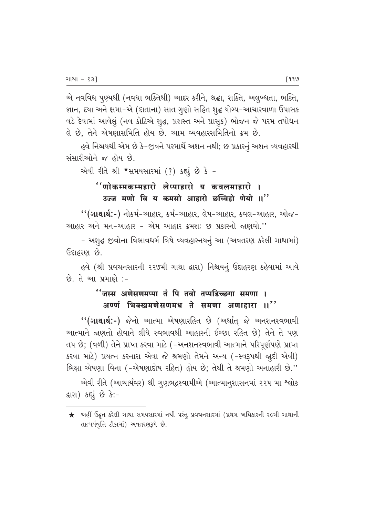એ નવવિધ પુણ્યથી (નવધા ભક્તિથી) આદર કરીને, શ્રદ્ધા, શક્તિ, અલુબ્ધતા, ભક્તિ, જ્ઞાન, દયા અને ક્ષમા-એ (દાતાના) સાત ગૃણો સહિત શૃદ્ધ યોગ્ય-આચારવાળા ઉપાસક વડે દેવામાં આવેલું (નવ કોટિએ શુદ્ધ, પ્રશસ્ત અને પ્રાસુક) ભોજન જે પરમ તપોધન લે છે, તેને એષણાસમિતિ હોય છે. આમ વ્યવહારસમિતિનો ક્રમ છે.

હવે નિશ્ચયથી એમ છે કે-જીવને પરમાર્થે અશન નથી: છ પ્રકારનં અશન વ્યવહારથી સંસારીઓને જ હોય છે.

એવી રીતે શ્રી \*સમયસારમાં (?) કહ્યું છે કે -

# <u> ''णोकम्मकम्महारो लेप्पाहारो य कवलमाहारो ।</u> उज्ज मणो वि य कमसो आहारो छव्विहो णेयो ॥"

"(ગાથાર્થ:-) નોકર્મ-આહાર, કર્મ-આહાર, લેપ-આહાર, કવલ-આહાર, ઓજ-આહાર અને મન-આહાર - એમ આહાર ક્રમશ: છ પ્રકારનો જાણવો.''

- અશુદ્ધ જીવોના વિભાવધર્મ વિષે વ્યવહારનયનું આ (અવતરણ કરેલી ગાથામાં) કિદ્દાહરણ છે.

હવે (શ્રી પ્રવચનસારની ૨૨૭મી ગાથા દ્વારા) નિશ્ચયનું ઉદાહરણ કહેવામાં આવે છે. તે આ પ્રમાણે :-

# ''जस्स अणेसणमप्पा तं पि तवो तप्पडिच्छगा समणा । अण्णं भिक्खमणेसणमध ते समणा अणाहारा ॥''

"(ગાથાર્થ:-) જેનો આત્મા એષણારહિત છે (અર્થાત્ જે અનશનસ્વભાવી આત્માને જાણતો હોવાને લીધે સ્વભાવથી આહારની ઈચ્છા રહિત છે) તેને તે પણ તપ છે; (વળી) તેને પ્રાપ્ત કરવા માટે (-અનશનસ્વભાવી આત્માને પરિપૂર્ણપણે પ્રાપ્ત કરવા માટે) પ્રયત્ન કરનારા એવા જે શ્રમણો તેમને અન્ય (-સ્વરૂપથી જાદી એવી) ભિક્ષા એષણા વિના (-એષણાદોષ રહિત) હોય છે; તેથી તે શ્રમણો અનાહારી છે.''

એવી રીતે (આચાર્યવર) શ્રી ગુણભદ્રસ્વામીએ (આત્માનુશાસનમાં ૨૨૫ મા શ્લોક ક્રારા) કહ્યું છે કે:-

 $\bigstar$  અહીં ઉદ્ભૃત કરેલી ગાથા સમયસારમાં નથી પરંતુ પ્રવચનસારમાં (પ્રથમ અધિકારની ર૦મી ગાથાની તાત્પર્યવૃત્તિ ટીકામાં) અવતરણરૂપે છે.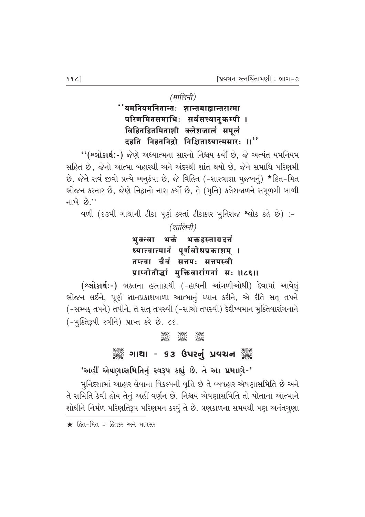*(मालिनी)* 

 $"$ यमनियमनितान्तः शान्तबाह्यान्तरात्मा परिणमितसमाधिः सर्वसत्त्वानुकम्पी । विहितहितमिताशी क्लेशजालं समूलं दहति निहतनिद्रो निश्चिताध्यात्मसारः ।।''

"(શ્લોકાર્થ:-) જેણે અધ્યાત્મના સારનો નિશ્ચય કર્યો છે, જે અત્યંત યમનિયમ સહિત છે, જેનો આત્મા બહારથી અને અંદરથી શાંત થયો છે. જેને સમાધિ પરિણમી છે, જેને સર્વ જીવો પ્રત્યે અનુકંપા છે, જે વિહિત (-શાસ્ત્રાજ્ઞા મુજબનું) \*હિત-મિત ભોજન કરનાર છે, જેણે નિદ્રાનો નાશ કર્યો છે, તે (મૂનિ) કલેશજાળને સમૂળગી બાળી નાખે $\hat{P}$ .''

વળી (૬૩મી ગાથાની ટીકા પૂર્ણ કરતાં ટીકાકાર મુનિરાજ શ્લોક કહે છે) :-

*(शालिनी)* 

<u>भु</u>क्त्वा भक्तं भक्तहस्ताग्रदत्तं ध्यात्वात्मानं पूर्णबोधप्रकाश**म्** । तप्त्वा चैवं सत्तपः सत्तपस्वी प्राप्नोतीद्धां मुक्तिवारांगनां सः ॥८६॥

(શ્લોકાર્થઃ-) ભક્તના હસ્તાગ્રથી (-હાથની આંગળીઓથી) દેવામાં આવેલું ભોજન લઈને, પૂર્ણ જ્ઞાનપ્રકાશવાળા આત્માનું ધ્યાન કરીને, એ રીતે સત્ તપને (-સમ્યફ તપને) તપીને, તે સત્ તપસ્વી (-સાચો તપસ્વી) દેદીપ્યમાન મુક્તિવારાંગનાને (-મૂક્તિરૂપી સ્ત્રીને) પ્રાપ્ત કરે છે. ૮૬.

#### **COC COC COC**<br>Coc Coc Coc

# ે આથા - ૬૩ ઉપરનું પ્રવચન ૅુ

# 'અહીં એષણાસમિતિનું સ્વરૂપ કહ્યું છે. તે આ પ્રમાણે-'

મૃનિદૃશામાં આહાર લેવાના વિકલ્પની વૃત્તિ છે તે વ્યવહાર એષણાસમિતિ છે અને તે સમિતિ કેવી હોય તેનું અહીં વર્ણન છે. નિશ્ચય એષણાસમિતિ તો પોતાના આત્માને <u>શોધીને નિર્મળ પરિણતિરૂપ પરિણમન કરવું તે છે. ત્રણકાળના સમયથી પણ અનંતગુણા</u>

 $\bigstar$  હિત-મિત = હિતકર અને માપસર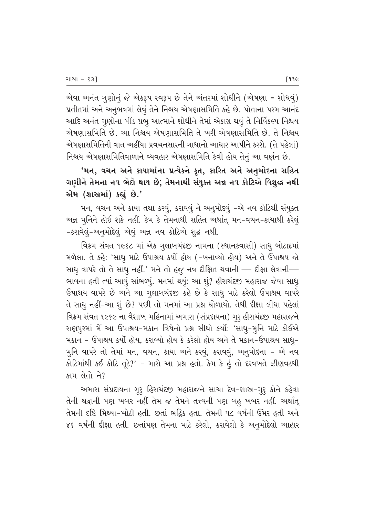એવા અનંત ગુણોનું જે એકરૂપ સ્વરૂપ છે તેને અંતરમાં શોધીને (એષણા = શોધવું) પ્રતીતમાં અને અનુભવમાં લેવું તેને નિશ્ચય એષણાસમિતિ કહે છે. પોતાના પરમ આનંદ આદિ અનંત ગુણોના પીંડ પ્રભુ આત્માને શોધીને તેમાં એકાગ્ર થવું તે નિર્વિકલ્પ નિશ્ચય એષણાસમિતિ છે. આ નિશ્ચય એષણાસમિતિ તે ખરી એષણાસમિતિ છે. તે નિશ્ચય એષણાસમિતિની વાત અહીંયા પ્રવચનસારની ગાથાનો આધાર આપીને કરશે. (તે પહેલાં) નિશ્ચય એષણાસમિતિવાળાને વ્યવહાર એષણાસમિતિ કેવી હોય તેનું આ વર્ણન છે.

'મન, વચન અને કાયામાંના પ્રત્યેકને કૃત, કારિત અને અનુમોદના સહિત ગણીને તેમના નવ ભેદો થાય છે; તેમનાથી સંયુક્ત અન્ન નવ કોટિએ વિશુદ્ધ નથી એમ (શાસ્ત્રમાં) કહ્યું છે.'

મન, વચન અને કાયા તથા કરવું, કરાવવું ને અનુમોદવું –એ નવ કોટિથી સંયુક્ત અન્ન મુનિને હોઈ શકે નહીં. કેમ કે તેમનાથી સહિત અર્થાત્ મન-વચન-કાયાથી કરેલું −કરાવેલું-અનુમોદેલું એવું અન્ન નવ કોટિએ શુદ્ધ નથી.

વિક્રમ સંવત ૧૯૬૮ માં એક ગુલાબચંદજી નામના (સ્થાનકવાસી) સાધુ બોટાદમાં મળેલા. તે કહે: 'સાધુ માટે ઉપાશ્રય કર્યો હોય (-બનાવ્યો હોય) અને તે ઉપાશ્રય જો સાધુ વાપરે તો તે સાધુ નહીં.' મને તો હજુ નવ દીક્ષિત થવાની — દીક્ષા લેવાની— ભાવના હતી ત્યાં આવું સાંભળ્યું. મનમાં થયું: આ શું? હીરાચંદજી મહારાજ જેવા સાધુ ઉપાશ્રય વાપરે છે અને આ ગુલાબચંદજી કહે છે કે સાધુ માટે કરેલો ઉપાશ્રય વાપરે તે સાધુ નહીં-આ શું છે? પછી તો મનમાં આ પ્રશ્ન ઘોળાયો. તેથી દીક્ષા લીધા પહેલાં વિક્રમ સંવત ૧૯૬૯ ના વૈશાખ મહિનામાં અમારા (સંપ્રદાયના) ગુરૂ હીરાચંદજી મહારાજને રાણપુરમાં મેં આ ઉપાશ્રય-મકાન વિષેનો પ્રશ્ન સીધો કર્યોઃ 'સાધુ-મુનિ માટે કોઈએ મકાન - ઉપાશ્રય કર્યો હોય, કરાવ્યો હોય કે કરેલો હોય અને તે મકાન-ઉપાશ્રય સાધ્-મૂનિ વાપરે તો તેમાં મન, વચન, કાયા અને કરવું, કરાવવું, અનુમોદના – એ નવ  $\hat{\mathcal{B}}$ િમાંથી કઈ કોટિ તૂટે?' - મારો આ પ્રશ્ન હતો. કેમ કે હું તો દરવખતે ઝીણવટથી કામ લેતો ને?

આમારા સંપ્રદાયના ગુરૂ હિરાચંદજી મહારાજને સાચા દેવ-શાસ્ર-ગુરૂ કોને કહેવા તેની શ્રદ્ધાની પણ ખબર નહીં તેમ જ તેમને તત્ત્વની પણ બહુ ખબર નહીં. અર્થાત્ તેમની દષ્ટિ મિથ્યા-ખોટી હતી. છતાં ભદ્ધિક હતા. તેમની પ૮ વર્ષની ઉમર હતી અને ૪૬ વર્ષની દીક્ષા હતી. છતાંપણ તેમના માટે કરેલો, કરાવેલો કે અનુમોદેલો આહાર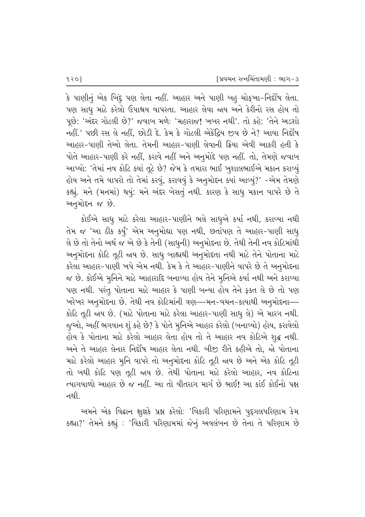કે પાણીનું એક બિંદુ પણ લેતા નહીં. આહાર અને પાણી બહુ ચોક્આ-નિર્દોષ લેતા. પણ સાધૂ માટે કરેલો ઉપાશ્રય વાપરતા. આહાર લેવા જાય અને કેરીનો રસ હોય તો  $\mu$ છે: 'અંદર ગોટલી છે?' જવાબ મળે: 'મહારાજ! ખબર નથી'. તો કહે: 'તેને અડશો નહીં.' પછી રસ લે નહીં, છોડી દે. કેમ કે ગોટલી એકેંદ્રિય જીવ છે ને? આવા નિર્દોષ આહાર-પાણી તેઓ લેતા. તેમની આહાર-પાણી લેવાની ક્રિયા એવી આકરી હતી કે પોતે આહાર-પાણી કરે નહીં, કરાવે નહીં અને અનુમોદે પણ નહીં. તો, તેમણે જવાબ આપ્યો: 'તેમાં નવ કોટિ ક્યાં તૂટે છે? જેમ કે તમારા ભાઈ ખુશાલભાઈએ મકાન કરાવ્યું હોય અને તમે વાપરો તો તેમાં કરવું, કરાવવું કે અનુમોદન ક્યાં આવ્યું?' -એમ તેમણે કહ્યું. મને (મનમાં) થયું: મને અંદર બેસતું નથી. કારણ કે સાધુ મકાન વાપરે છે તે અનુમોદન જ છે.

કોઈએ સાધુ માટે કરેલા આહાર-પાણીને ભલે સાધુએ કર્યા નથી, કરાવ્યા નથી તેમ જ 'આ ઠીક કર્યું' એમ અનુમોદ્યા પણ નથી, છતાંપણ તે આહાર-પાણી સાધ<del>્</del> લે છે તો તેનો અર્થ જ એ છે કે તેની (સાધુની) અનુમોદના છે. તેથી તેની નવ કોટિમાંથી અનુમોદના કોટિ તૂટી જાય છે. સાધુ બાહ્યથી અનુમોદતા નથી માટે તેને પોતાના માટે કરેલા આહાર-પાણી ખપે એમ નથી. કેમ કે તે આહાર-પાણીને વાપરે છે તે અનુમોદના જ છે. કોઈએ મુનિને માટે આહારાદિ બનાવ્યા હોય તેને મુનિએ કર્યા નથી અને કરાવ્યા પણ નથી. પરંતુ પોતાના માટે આહાર કે પાણી બન્યા હોય તેને ફક્ત લે છે તો પણ `ખરેખર અનુમોદના છે. તેથી નવ કોટિમાંની ત્રણ—મન-વચન-કાયાથી અનુમોદના— કોટિ તૂટી જાય છે. (માટે પોતાના માટે કરેલા આહાર-પાણી સાધુ લે) એ મારગ નથી. જુઓ, અહીં ભગવાન શું કહે છે? કે પોતે મુનિએ આહાર કરેલો (બનાવ્યો) હોય, કરાવેલો હોય કે પોતાના માટે કરેલો આહાર લેતા હોય તો તે આહાર નવ કોટિએ શુદ્ધ નથી. અને તે આહાર લેનાર નિર્દોષ આહાર લેતા નથી. બીજી રીતે કહીએ તો. જો પોતાના માટે કરેલો આહાર મુનિ વાપરે તો અનુમોદના કોટિ તૂટી જાય છે અને એક કોટિ તૂટી તો બધી કોટિ પણ તૂટી જાય છે. તેથી પોતાના માટે કરેલો આહાર, નવ કોટિના ત્યાગવાળો આહાર છે જ નહીં. આ તો વીતરાગ માર્ગ છે ભાઈ! આ કાંઈ કોઈનો પક્ષ નથી.

આમને એક વિદ્વાન ક્ષૂક્ષકે પ્રશ્ન કરેલો: 'વિકારી પરિણામને પૂદ્દગલપરિણામ કેમ કહ્યા?' તેમને કહ્યું : 'વિકારી પરિણામમાં જેનું અવલંબન છે તેના તે પરિણામ છે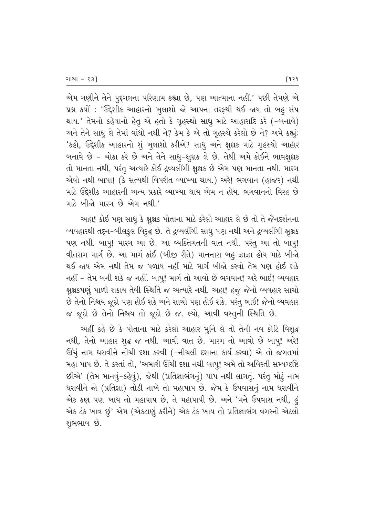એમ ગણીને તેને પુદ્દગલના પરિણામ કહ્યા છે, પણ આત્માના નહીં.' પછી તેમણે એ પ્રશ્ન કર્યો : 'ઉદ્દેશીક આહારનો ખૂલાશો જો આપના તરફથી થઈ જાય તો બહુ સંપ થાય.' તેમનો કહેવાનો હેતુ એ હતો કે ગૃહસ્થો સાધુ માટે આહારાદિ કરે (-બનાવે) અને તેને સાધુ લે તેમાં વાંધો નથી ને? કેમ કે એ તો ગૃહસ્થે કરેલો છે ને? અમે કહ્યું: 'કહો, ઉદ્દેશીક આહારનો શું ખુલાશો કરીએ? સાધુ અને ક્ષુક્ષક માટે ગૃહસ્થો આહાર બનાવે છે - ચોકા કરે છે અને તેને સાધુ-ક્ષુક્ષક લે છે. તેથી અમે કોઈને ભાવક્ષુક્ષક તો માનતા નથી, પરંતુ અત્યારે કોઈ દ્રવ્યલીંગી ક્ષૂક્ષક છે એમ પણ માનતા નથી. મારગ એવો નથી બાપા! (કે સત્યથી વિપરીત વ્યાખ્યા થાય.) અરે! ભગવાન (હાજર) નથી માટે ઉદ્દેશીક આહારની અન્ય પ્રકારે વ્યાખ્યા થાય એમ ન હોય. ભગવાનનો વિરહ છે માટે બીજો મારગ છે એમ નથી.'

અહા! કોઈ પણ સાધુ કે ક્ષુલ્નક પોતાના માટે કરેલો આહાર લે છે તો તે જૈનદર્શનના વ્યવહારથી તદ્દન-બીલકુલ વિરૃદ્ધ છે. તે દ્રવ્યલીંગી સાધુ પણ નથી અને દ્રવ્યલીંગી ક્ષુક્ષક પણ નથી. બાપુ! મારગ આ છે. આ વ્યક્તિગતની વાત નથી. પરંતુ આ તો બાપુ! વીતરાગ માર્ગ છે. આ માર્ગ કાંઈ (બીજી રીતે) માનનારા બહુ ઝાઝા હોય માટે બીજો થઈ જાય એમ નથી તેમ જ પળાય નહીં માટે માર્ગ બીજો કરવો તેમ પણ હોઈ શકે નહીં – તેમ બની શકે જ નહીં. બાપ્! માર્ગ તો આવો છે ભગવાન! અરે ભાઈ! વ્યવહાર ક્ષૂક્ષકપણું પાળી શકાય તેવી સ્થિતિ જ અત્યારે નથી. અહા! હજુ જેનો વ્યવહાર સાચો છે તેનો નિશ્ચય જૂઠો પણ હોઈ શકે અને સાચો પણ હોઈ શકે. પરંતુ ભાઈ! જેનો વ્યવહાર જ જૂઠો છે તેનો નિશ્ચય તો જૂઠો છે જ. લ્યો, આવી વસ્તુની સ્થિતિ છે.

અહીં કહે છે કે પોતાના માટે કરેલો આહાર મુનિ લે તો તેની નવ કોટિ વિશુદ્ધ નથી, તેનો આહાર શૃદ્ધ જ નથી. આવી વાત છે. મારગ તો આવો છે બાપ્! અરે! ઊંચું નામ ધરાવીને નીચી દશા કરવી (-નીચલી દશાના કાર્ય કરવા) એ તો જગતમાં મહા પાપ છે. તે કરતાં તો, 'અમારી ઊંચી દશા નથી બાપુ! અમે તો અવિરતી સમ્યગ્દષ્ટિ છીએ' (તેમ માનવું-કહેવું), જેથી (પ્રતિજ્ઞાભંગનું) પાપ નથી લાગતું. પરંતુ મોટું નામ 'ધરાવીને જો (પ્રતિજ્ઞા) તોડી નાખે તો મહાપાપ છે. જેમ કે ઉપવાસનું નામ ધરાવીને એક કણ પણ ખાય તો મહાપાપ છે, તે મહાપાપી છે. અને 'મને ઉપવાસ નથી, હં એક ટંક ખાવ છું' એમ (એકટાણું કરીને) એક ટંક ખાય તો પ્રતિજ્ઞાભંગ વગરનો એટલો શુભભાવ છે.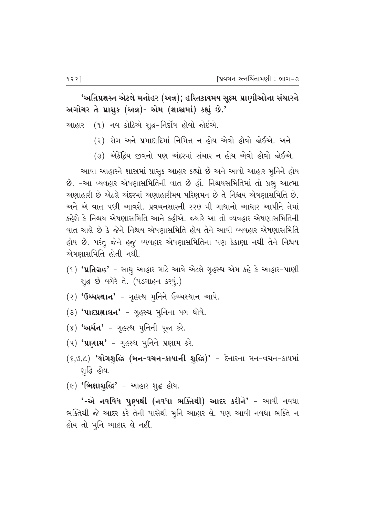'અતિપ્રશસ્ત એટલે મનોહર (અન્ન); હરિતકાયમય સૂક્ષ્મ પ્રાણીઓના સંચારને અગોચર તે પ્રાસુક (અન્ન)- એમ (શાસ્રમાં) કહ્યું છે.'

આહાર (૧) નવ કોટિએ શૃદ્ધ-નિર્દોષ હોવો જોઈએ.

- (૨) રોગ અને પ્રમાદાદિમાં નિમિત્ત ન હોય એવો હોવો જોઈએ. અને
- (૩) એકેંદ્રિય જીવનો પણ અંદરમાં સંચાર ન હોય એવો હોવો જોઈએ.

આવા આહારને શાસ્ત્રમાં પ્રાસુક આહાર કહ્યો છે અને આવો આહાર મૂનિને હોય છે. -આ વ્યવહાર એષણાસમિતિની વાત છે હોં. નિશ્વયસમિતિમાં તો પ્રભુ આત્મા <u>અણાહારી છે એટલે અંદરમાં અણાહારીમય પરિણમન છે તે નિશ્ચય એષણાસમિતિ છે.</u> અને એ વાત પછી આવશે. પ્રવચનસારની ૨૨૭ મી ગાથાનો આધાર આપીને તેમાં કહેશે કે નિશ્ચય એષણાસમિતિ આને કહીએ. જ્યારે આ તો વ્યવહાર એષણાસમિતિની વાત ચાલે છે કે જેને નિશ્ચય એષણાસમિતિ હોય તેને આવી વ્યવહાર એષણાસમિતિ હોય છે. પરંતુ જેને હજુ વ્યવહાર એષણાસમિતિના પણ ઠેકાણા નથી તેને નિશ્ચય એષણાસમિતિ હોતી નથી.

- $(1)$  'પ્રતિગ્રહ' સાધુ આહાર માટે આવે એટલે ગૃહસ્થ એમ કહે કે આહાર-પાણી શુદ્ધ છે વગેરે તે. (પડગાહન કરવું.)
- $(3)$  'ઉચ્ચસ્થાન' ગૃહસ્થ મુનિને ઉચ્ચસ્થાન આપે.
- $(3)$  'પાદપ્રક્ષાલન' ગુહસ્થ મુનિના પગ ધોવે.
- $(8)$  'અર્ચન' ગૃહસ્થ મૃનિની પૂજા કરે.
- $(4)$  'uvalu' ગૃહસ્થ મુનિને પ્રણામ કરે.
- $(6,9,2)$  'યોગશુદ્ધિ (મન-વચન-કાયાની શુદ્ધિ)' દેનારના મન-વચન-કાયમાં શ્જાહિ હોય.
- $($ ) 'ભિક્ષાશુદ્ધિ' આહાર શુદ્ધ હોય.

'-એ નવવિધ પુણ્યથી (નવધા ભક્તિથી) આદર કરીને' - આવી નવધા ભક્તિથી જે આદર કરે તેની પાસેથી મુનિ આહાર લે. પણ આવી નવધા ભક્તિ ન હોય તો મૂનિ આહાર લે નહીં.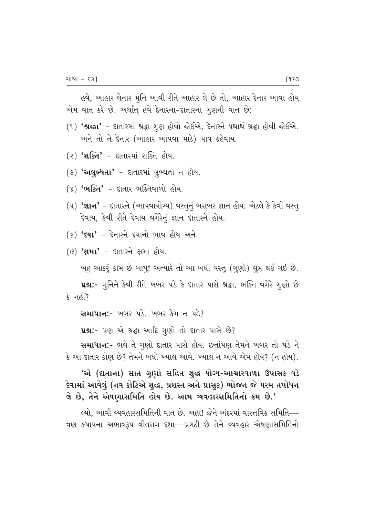હવે, આહાર લેનાર મુનિ આવી રીતે આહાર લે છે તો, આહાર દેનાર આવા હોય એમ વાત કરે છે. અર્થાત્ હવે દેનારના-દાતારના ગૃણની વાત છે:

- (૧) 'શ્રદ્ધા' દાતારમાં શ્રદ્ધા ગુણ હોવો જોઈએ, દેનારને યથાર્થ શ્રદ્ધા હોવી જોઈએ. અને તો તે દેનાર (આહાર આપવા માટે) પાત્ર કહેવાય.
- $(2)$  'શક્તિ' દાતારમાં શક્તિ હોય.
- $(3)$  **'અલુબ્ધતા'** દાતારમાં લુબ્ધતા ન હોય.
- $(\gamma)$  'ભક્તિ' દાતાર ભક્તિવાળો હોય.
- (૫) 'જ્ઞાન' દાતારને (આપવાયોગ્ય) વસ્તુનું બરાબર જ્ઞાન હોય. એટલે કે કેવી વસ્તુ <u>દેવાય, કેવી રીતે દેવાય વગેરેનું જ્ઞાન દાતારને હોય.</u>
- $(5)$  ' $541'$   $55174$   $5417$   $919$   $199$
- $(9)$   $'$ ક્ષમા' દાતારને ક્ષમા હોય.

બહુ આકરૂં કામ છે બાપુ! અત્યારે તો આ બધી વસ્તુ (ગુણો) લુપ્ત થઈ ગઈ છે.

પ્રશ્ન:- મૂનિને કેવી રીતે ખબર પડે કે દાતાર પાસે શ્રદ્ધા, ભક્તિ વગેરે ગુણો છે કે નહીં?

 $R$  and  $R$  . We are  $\mu$  and  $\mu$  and  $\mu$  and  $\mu$ 

 $x$ 2:- પણ એ શ્રદ્ધા આદિ ગુણો તો દાતાર પાસે છે?

Rulla:- ભલે તે ગૃણો દાતાર પાસે હોય. છતાંપણ તેમને ખબર તો પડે ને  $\hat{\mathcal{S}}$  આ દાતાર કોણ છે? તેમને બધો ખ્યાલ આવે. ખ્યાલ ન આવે એમ હોય? (ન હોય).

'એ (દાતાના) સાત ગુણો સહિત શુદ્ધ યોગ્ય-આચારવાળા ઉપાસક વડે દેવામાં આવેલું (નવ કોટિએ શુદ્ધ, પ્રશસ્ત અને પ્રાસુક) ભોજન જે પરમ તપોધન તે છે, તેને એષણાસમિતિ હોય છે. આમ વ્યવહારસમિતિનો ક્રમ છે.'

લ્યો. આવી વ્યવહારસમિતિની વાત છે. અહા! જેને અંદરમાં વાસ્તવિક સમિતિ— ત્રણ કષાયના અભાવરૂપ વીતરાગ દશા—પ્રગટી છે તેને વ્યવહાર એષણાસમિતિનો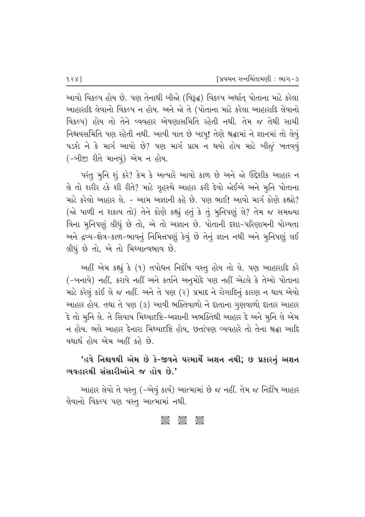આવો વિકલ્પ હોય છે. પણ તેનાથી બીજો (વિરૂદ્ધ) વિકલ્પ અર્થાત્ પોતાના માટે કરેલા આહારાદિ લેવાનો વિકલ્પ ન હોય. અને જો તે (પોતાના માટે કરેલા આહારાદિ લેવાનો વિકલ્પ) હોય તો તેને વ્યવહાર એષણાસમિતિ રહેતી નથી. તેમ જ તેથી સાચી નિશ્ચયસમિતિ પણ રહેતી નથી. આવી વાત છે બાપુ! તેણે શ્રદ્ધામાં ને જ્ઞાનમાં તો લેવું  $-$ પડશે ને કે માર્ગ આવો છે? પણ માર્ગ પ્રાપ્ત ન થયો હોય માટે બીજું ખતવવૃં (-બીજી રીતે માનવું) એમ ન હોય.

પરંતુ મુનિ શું કરે? કેમ કે અત્યારે આવો કાળ છે અને જો ઉદ્દેશીક આહાર ન તે તો શરીર ટકે શી રીતે? માટે ગૃહસ્થે આહાર કરી દેવો જોઈએ અને મુનિ પોતાના માટે કરેલો આહાર લે. - આમ અજ્ઞાની કહે છે. પણ ભાઈ! આવો માર્ગ કોણે કહ્યો? (જો પાળી ન શકાય તો) તેને કોણે કહ્યું હતું કે તું મુનિપણું લે? તેમ જ સમજ્યા વિના મુનિપણું લીધું છે તો, એ તો અજ્ઞાન છે. પોતાની દશા–પરિણામની યોગ્યતા અને દ્રવ્ય-ક્ષેત્ર-કાળ-ભાવનું નિમિત્તપણું કેવું છે તેનું જ્ઞાન નથી અને મુનિપણું લઈ લીધું છે તો, એ તો મિથ્યાત્વભાવ છે.

અહીં એમ કહ્યું કે (૧) તપોધન નિર્દોષ વસ્તુ હોય તો લે. પણ આહારાદિ કરે (-બનાવે) નહીં, કરાવે નહીં અને કર્તાને અનુમોદે પણ નહીં એટલે કે તેઓ પોતાના માટે કરેલું કાંઈ લે જ નહીં. અને તે પણ (૨) પ્રમાદ ને રોગાદિનું કારણ ન થાય એવો આહાર હોય. તથા તે પણ (૩) આવી ભક્તિવાળો ને દાતાના ગુણવાળો દાતાર આહાર દે તો મુનિ લે. તે સિવાય મિથ્યાદષ્ટિ-અજ્ઞાની અભક્તિથી આહાર દે અને મુનિ લે એમ ન હોય. ભલે આહાર દેનારા મિથ્યાદષ્ટિ હોય, છતાંપણ વ્યવહારે તો તેના શ્રદ્ઘા આદિ યથાર્થ હોય એમ અહીં કહે છે.

# 'હવે નિશ્ચયથી એમ છે કે-જીવને પરમાર્થે અશન નથી; છ પ્રકારનું અશન વ્યવહારથી સંસારીઓને જ હોય છે.'

આહાર લેવો તે વસ્તુ (-એવું કાર્ય) આત્મામાં છે જ નહીં. તેમ જ નિર્દોષ આહાર તેવાનો વિકલ્પ પણ વસ્તૂ આત્મામાં નથી.

ධිශිර් ධිශීවර් ධිශිර්රි<br>C C C C C C C C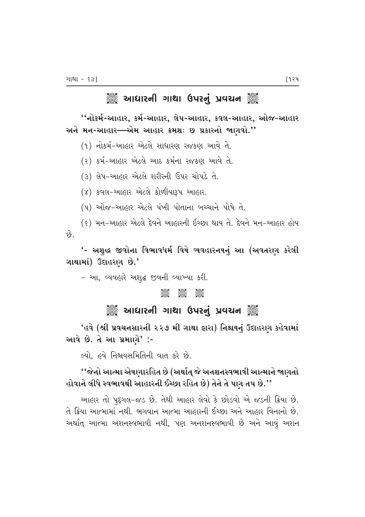# ે આઘારની ગાથા ઉપરનું પ્રવચન ૅું

''નોકર્મ-આહાર, કર્મ-આહાર, લેપ-આહાર, કવલ-આહાર, ઓજ-આહાર અને મન-આહાર—એમ આહાર ક્રમશઃ છ પ્રકારનો જાણવો.''

(૧) નોકર્મ-આહાર એટલે સાધારણ રજકણ આવે તે.

(૨) કર્મ-આહાર એટલે આઠ કર્મના રજકણ આવે તે.

(૩) લેપ-આહાર એટલે શરીરની ઉપર ચોપડે તે.

(४) કવલ-આહાર એટલે કોળીયારૂપ આહાર.

(૫) ઓજ-આહાર એટલે પંખી પોતાના બચ્ચાને પોષે તે.

(૬) મન-આહાર એટલે દેવને આહારની ઈચ્છા થાય તે. દેવને મન-આહાર હોય

 $\hat{e}_3$ 

'- અશુદ્ધ જીવોના વિભાવધર્મ વિષે વ્યવહારનયનું આ (અવતરણ કરેલી ગાથામાં) ઉદાહરણ છે.'

- આ, વ્યવહારે અશૃદ્ધ જીવની વ્યાખ્યા કરી.

#### C C C

# ે આઘારની ગાથા ઉપરનું પ્રવચન ૅું

'હવે (શ્રી પ્રવચનસારની ૨૨૭ મી ગાથા **ફારા) નિશ્ચયનું ઉદાહરણ કહેવામાં** આવે છે. તે આ પ્રમાણે $'$  :-

લ્યો. હવે નિશ્ચયસમિતિની વાત કરે છે.

# ''જેનો આત્મા એષણારહિત છે (અર્થાત્ જે અનશનસ્વભાવી આત્માને જાણતો હોવાને લીધે સ્વભાવથી આહારની ઈચ્છા રહિત છે) તેને તે પણ તપ છે.''

આહાર તો પુદૃગલ-જડ છે. તેથી આહાર લેવો કે છોડવો એ જડની ક્રિયા છે. તે ક્રિયા આત્મામાં નથી. ભગવાન આત્મા આહારની ઈચ્છા અને આહાર વિનાનો છે. અર્થાત્ આત્મા અશનસ્વભાવી નથી, પણ અનશનસ્વભાવી છે અને આવું અશન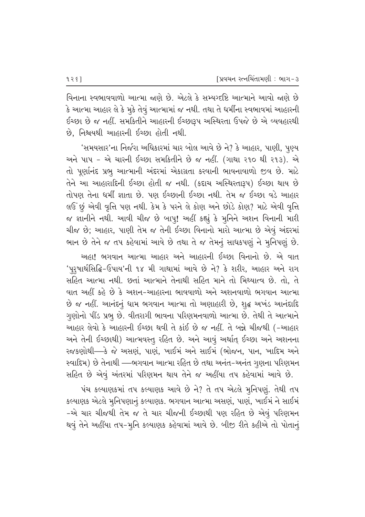વિનાના સ્વભાવવાળો આત્મા જાણે છે. એટલે કે સમ્યગ્દષ્ટિ આત્માને આવો જાણે છે  $\,$ કે આત્મા આહાર લે કે મૂકે તેવું આત્મામાં જ નથી. તથા તે ધર્મીના સ્વભાવમાં આહારની ઈચ્છા છે જ નહીં. સમકિતીને આહારની ઈચ્છારૂપ અસ્થિરતા ઉપજે છે એ વ્યવહારથી છે. નિશ્ચયથી આહારની ઈચ્છા હોતી નથી.

'સમયસાર'ના નિર્જરા અધિકારમાં ચાર બોલ આવે છે ને? કે આહાર, પાણી, પુણ્ય અને પાપ – એ ચારની ઈચ્છા સમકિતીને છે જ નહીં. (ગાથા ૨૧૦ થી ૨૧૩). એ તો પૃર્ણાનંદ પ્રભુ આત્માની અંદરમાં એકાગ્રતા કરવાની ભાવનાવાળો જીવ છે. માટે તેને આ આહારાદિની ઈચ્છા હોતી જ નથી. (કદાચ અસ્થિરતારૂપ) ઈચ્છા થાય છે તોપણ તેના ધર્મી જ્ઞાતા છે. પણ ઈચ્છાની ઈચ્છા નથી. તેમ જ ઈચ્છા વડે આહાર લઉં છું એવી વૃત્તિ પણ નથી. કેમ કે પરને લે કોણ અને છોડે કોણ? માટે એવી વૃત્તિ જ જ્ઞાનીને નથી. આવી ચીજ છે બાપુ! અહીં કહ્યું કે મુનિને અશન વિનાની મારી ચીજ છે; આહાર, પાણી તેમ જ તેની ઈચ્છા વિનાનો મારો આત્મા છે એવું અંદરમાં ભાન છે તેને જ તપ કહેવામાં આવે છે તથા તે જ તેમનું સાધકપણું ને મુનિપણું છે.

અહા! ભગવાન આત્મા આહાર અને આહારની ઈચ્છા વિનાનો છે. એ વાત 'પુરૃષાર્થસિદ્ધિ-ઉપાય'ની ૧૪ મી ગાથામાં આવે છે ને? કે શરીર, આહાર અને રાગ સહિત આત્મા નથી. છતાં આત્માને તેનાથી સહિત માને તો મિથ્યાત્વ છે. તો, તે 'વાત અહીં કહે છે કે અશન-આહારના ભાવવાળો અને અશનવાળો ભગવાન આત્મા છે જ નહીં. આનંદનું ધામ ભગવાન આત્મા તો અણાહારી છે, શુદ્ધ અખંડ આનંદાદિ ગુણોનો પીંડ પ્રભૂ છે. વીતરાગી ભાવના પરિણમનવાળો આત્મા છે. તેથી તે આત્માને આહાર લેવો કે આહારની ઈચ્છા થવી તે કાંઈ છે જ નહીં. તે બન્ને ચીજથી (-આહાર અને તેની ઈચ્છાથી) આત્મવસ્તુ રહિત છે. અને આવું અર્થાત્ ઈચ્છા અને અશનના રજકણોથી—કે જે અસણં, પાણં, ખાઈમં અને સાઈમં (ભોજન, પાન, ખાદિમ અને સ્વાદિમ) છે તેનાથી —્ભગવાન આત્મા રહિત છે તથા અનંત-અનંત ગુણના પરિણમન સહિત છે એવું અંતરમાં પરિણમન થાય તેને જ અહીંયા તપ કહેવામાં આવે છે.

<u>પંચ કલ્યાણકમાં તપ કલ્યાણક આવે છે ને? તે તપ એટલે મુનિપણું. તેથી તપ</u> કલ્યાણક એટલે મુનિપણાનું કલ્યાણક. ભગવાન આત્મા અસણં, પાણં, ખાઈમં ને સાઈમં −એ ચાર ચીજથી તેમ જ તે ચાર ચીજની ઈચ્છાથી પણ રહિત છે એવું પરિણમન થવું તેને અહીંયા તપ-મુનિ કલ્યાણક કહેવામાં આવે છે. બીજી રીતે કહીએ તો પોતાનું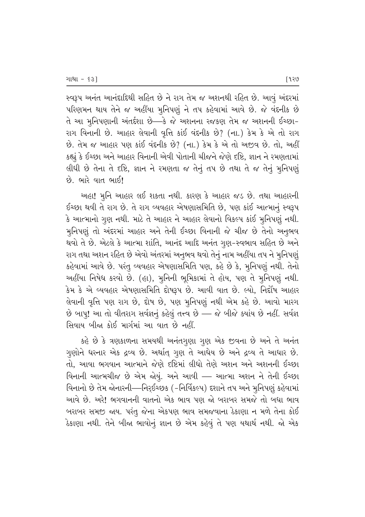સ્વરૂપ અનંત આનંદાદિથી સહિત છે ને રાગ તેમ જ અશનથી રહિત છે. આવું અંદરમાં પરિણમન થાય તેને જ અહીંયા મુનિપણું ને તપ કહેવામાં આવે છે. જે વંદનીક છે તે આ મુનિપણાની અંતર્દશા છે—કે જે અશનના રજકણ તેમ જ અશનની ઈચ્છા-રાગ વિનાની છે. આહાર લેવાની વૃત્તિ કાંઈ વંદનીક છે? (ના.) કેમ કે એ તો રાગ છે. તેમ જ આહાર પણ કાંઈ વંદનીક છે? (ના.) કેમ કે એ તો અજીવ છે. તો, અહીં કહ્યું કે ઈચ્છા અને આહાર વિનાની એવી પોતાની ચીજને જેણે દષ્ટિ, જ્ઞાન ને રમણતામાં f al flP so dell state in the sensy that in the sole in the set of the set of the set of the set of the set of  $\dot{\vartheta}$ . ભારે વાત ભાઈ!

આહા! મુનિ આહાર લઈ શકતા નથી. કારણ કે આહાર જડ છે. તથા આહારની ઈચ્છા થવી તે રાગ છે. તે રાગ વ્યવહાર એષણાસમિતિ છે, પણ કાંઈ આત્માનું સ્વરૂપ  $\,$ કે આત્માનો ગૃણ નથી. માટે તે આહાર ને આહાર લેવાનો વિકલ્પ કાંઈ મુનિપણું નથી. મુનિપણું તો અંદરમાં આહાર અને તેની ઈચ્છા વિનાની જે ચીજ છે તેનો અનુભવ થવો તે છે. એટલે કે આત્મા શાંતિ, આનંદ આદિ અનંત ગુણ-સ્વભાવ સહિત છે અને રાગ તથા અશન રહિત છે એવો અંતરમાં અનૂભવ થવો તેનું નામ અહીંયા તપ ને મુનિપણું કહેવામાં આવે છે. પરંતુ વ્યવહાર એષણાસમિતિ પણ, કહે છે કે, મુનિપણું નથી. તેનો અહીંયા નિષેધ કરવો છે. (હા), મુનિની ભૂમિકામાં તે હોય, પણ તે મૂનિપણું નથી. કેમ કે એ વ્યવહાર એષણાસમિતિ દોષરૂપ છે. આવી વાત છે. લ્યો, નિર્દોષ આહાર લેવાની વૃત્તિ પણ રાગ છે, દોષ છે, પણ મુનિપણું નથી એમ કહે છે. આવો મારગ  $\dot{\vartheta}$  બાપ્! આ તો વીતરાગ સર્વજ્ઞનું કહેલું તત્ત્વ છે — જે બીજે ક્યાંય છે નહીં. સર્વજ્ઞ સિવાય બીજા કોઈ માર્ગમાં આ વાત છે નહીં.

કહે છે કે ત્રણકાળના સમયથી અનંતગુણા ગુણ એક જીવના છે અને તે અનંત ગુણોને ધરનાર એક દ્રવ્ય છે. અર્થાત્ ગુણ તે આધેય છે અને દ્રવ્ય તે આધાર છે. તો, આવા ભગવાન આત્માને જેણે દષ્ટિમાં લીધો તેણે અશન અને અશનની ઈચ્છા વિનાની આત્મચીજ છે એમ જોયું. અને આવી — આત્મા અશન ને તેની ઈચ્છા વિનાનો છે તેમ જોનારની—નિરૂઈચ્છક (-નિર્વિકલ્પ) દશાને તપ અને મુનિપણું કહેવામાં આવે છે. અરે! ભગવાનની વાતનો એક ભાવ પણ જો બરાબર સમજે તો બધા ભાવ બરાબર સમજી જાય. પરંતુ જેના એકપણ ભાવ સમજવાના ઠેકાણા ન મળે તેના કોઈ ઠેકાણા નથી. તેને બીજા ભાવોનું જ્ઞાન છે એમ કહેવું તે પણ યથાર્થ નથી. જો એક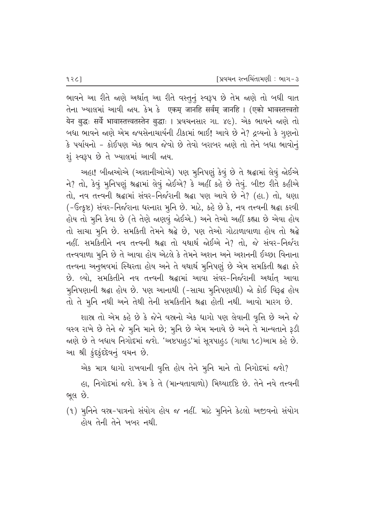ભાવને આ રીતે જાણે અર્થાત્ આ રીતે વસ્તુનું સ્વરૂપ છે તેમ જાણે તો બધી વાત तेना ખ्याલમાં આવી જાય. કેમ કે एकम् जानहि सर्वम् जानहि । (एको भावस्तत्त्वतो येन बुद्धः सर्वे भावास्तत्त्वतस्तेन बुद्धाः । प्रवयनसार गा. ४૯). એક ભावने काशे तो બધા ભાવને જાણે એમ જયસેનાચાર્યની ટીકામાં ભાઈ! આવે છે ને? દ્રવ્યનો કે ગુણનો કે પર્યાયનો – કોઈપણ એક ભાવ જેવો છે તેવો બરાબર જાણે તો તેને બધા ભાવોનું શું સ્વરૂપ છે તે ખ્યાલમાં આવી જાય.

અહા! બીજાઓએ (અજ્ઞાનીઓએ) પણ મુનિપણું કેવું છે તે શ્રદ્ધામાં લેવું જોઈએ ને? તો, કેવું મૂનિપણું શ્રદ્ધામાં લેવું જોઈએ? કે અહીં કહે છે તેવું. બીજી રીતે કહીએ તો, નવ તત્ત્વની શ્રદ્ધામાં સંવર-નિર્જરાની શ્રદ્ધા પણ આવે છે ને? (હા.) તો, ઘણા (-ઉત્કૃષ્ટ) સંવર-નિર્જરાના ધરનારા મુનિ છે. માટે, કહે છે કે, નવ તત્ત્વની શ્રદ્ધા કરવી હોય તો મૂનિ કેવા છે (તે તેણે જાણવું જોઈએ.) અને તેઓ અહીં કહ્યા છે એવા હોય તો સાચા મુનિ છે. સમકિતી તેમને શ્રદ્ધે છે, પણ તેઓ ગોટાળાવાળા હોય તો શ્રદ્ધે નહીં. સમકિતીને નવ તત્ત્વની શ્રદ્ધા તો યથાર્થ જોઈએ ને? તો, જે સંવર-નિર્જરા તત્ત્વવાળા મુનિ છે તે આવા હોય એટલે કે તેમને અશન અને અશનની ઈચ્છા વિનાના તત્ત્વના અનુભવમાં સ્થિરતા હોય અને તે યથાર્થ મુનિપણું છે એમ સમકિતી શ્રદ્ધા કરે છે. લ્યો. સમકિતીને નવ તત્ત્વની શ્રદ્ધામાં આવા સંવર-નિર્જરાની અર્થાત આવા મુનિપણાની શ્રદ્ધા હોય છે. પણ આનાથી (-સાચા મુનિપણાથી) જો કોઈ વિરૂદ્ધ હોય તો તે મુનિ નથી અને તેથી તેની સમકિતીને શ્રદ્ધા હોતી નથી. આવો મારગ છે.

શાસ્ત્ર તો એમ કહે છે કે જેને વસ્ત્રનો એક ધાગો પણ લેવાની વૃત્તિ છે અને જે વસ્ત્ર રાખે છે તેને જે મુનિ માને છે; મુનિ છે એમ મનાવે છે અને તે માન્યતાને રૂડી જાણે છે તે બધાય નિગોદમાં જશે. 'અષ્ટપાહુડ'માં સૂત્રપાહુડ (ગાથા ૧૮)આમ કહે છે. આ શ્રી કુંદકુંદદેવનું વચન છે.

એક માત્ર ધાગો રાખવાની વૃત્તિ હોય તેને મુનિ માને તો નિગોદમાં જશે?

હા, નિગોદમાં જશે. કેમ કે તે (માન્યતાવાળો) મિથ્યાદષ્ટિ છે. તેને નવે તત્ત્વની ભૂલ છે.

(૧) મુનિને વસ્ર-પાત્રનો સંયોગ હોય જ નહીં. માટે મુનિને કેટલો અજીવનો સંયોગ હોય તેની તેને ખબર નથી.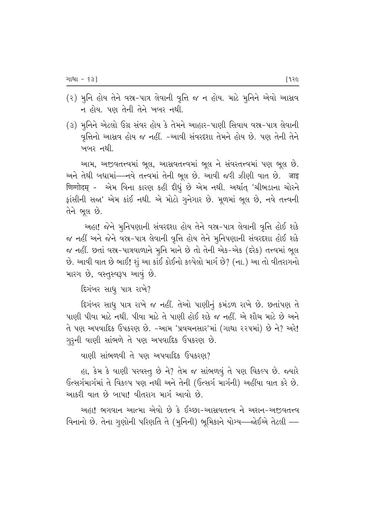- (૨) મુનિ હોય તેને વસ્ત્ર-પાત્ર લેવાની વૃત્તિ જ ન હોય. માટે મુનિને એવો આસ્રવ ન હોય. પણ તેની તેને ખબર નથી.
- (૩) મુનિને એટલો ઉગ્ર સંવર હોય કે તેમને આહાર-પાણી સિવાય વસ્ર-પાત્ર લેવાની વૃત્તિનો આસ્રવ હોય જ નહીં. -આવી સંવરદશા તેમને હોય છે. પણ તેની તેને ખબર નથી.

આમ, અજીવતત્ત્વમાં ભૂલ, આસવતત્ત્વમાં ભૂલ ને સંવરતત્ત્વમાં પણ ભૂલ છે. અને તેથી બધામાં—નવે તત્ત્વમાં તેની ભૂલ છે. આવી જરી ઝીણી વાત છે. जाइ णिग्गोदम् - એમ વિના કારણ કહી દીધું છે એમ નથી. અર્થાત્ 'ચીભડાના ચોરને ફાંસીની સજા' એમ કાંઈ નથી. એ મોટો ગુનેગાર છે. મૂળમાં ભૂલ છે, નવે તત્ત્વની તેને ભૂલ છે.

અહા! જેને મુનિપણાની સંવરદશા હોય તેને વસ્ત્ર-પાત્ર લેવાની વૃત્તિ હોઈ શકે જ નહીં અને જેને વસ્ત્ર-પાત્ર લેવાની વૃત્તિ હોય તેને મુનિપણાની સંવરદશા હોઈ શકે જ નહીં. છતાં વસ્ર-પાત્રવાળાને મુનિ માને છે તો તેની એક-એક (દરેક) તત્ત્વમાં ભૂલ છે. આવી વાત છે ભાઈ! શું આ કાંઈ કોઈનો કલ્પેલો માર્ગ છે? (ના.) આ તો વીતરાગનો મારગ છે, વસ્તુસ્વરૂપ આવું છે.

દિગંબર સાધુ પાત્ર રાખે?

દિગંબર સાધુ પાત્ર રાખે જ નહીં. તેઓ પાણીનું કમંડળ રાખે છે. છતાંપણ તે પાણી પીવા માટે નથી. પીવા માટે તે પાણી હોઈ શકે જ નહીં. એ શૌચ માટે છે અને તે પણ અપવાદિક ઉપકરણ છે. -આમ 'પ્રવચનસાર'માં (ગાથા રરપમાં) છે ને? અરે! ગુરૂની વાણી સાંભળે તે પણ અપવાદિક ઉપકરણ છે.

વાણી સાંભળવી તે પણ અપવાદિક ઉપકરણ?

હા, કેમ કે વાણી પરવસ્તુ છે ને? તેમ જ સાંભળવું તે પણ વિકલ્પ છે. જ્યારે ઉત્સર્ગમાર્ગમાં તે વિકલ્પ પણ નથી અને તેની (ઉત્સર્ગ માર્ગની) અહીંયા વાત કરે છે. આકરી વાત છે બાપા! વીતરાગ માર્ગ આવો છે.

અહા! ભગવાન આત્મા એવો છે કે ઈચ્છા-આસવતત્ત્વ ને અશન-અજીવતત્ત્વ વિનાનો છે. તેના ગૃણોની પરિણતિ તે (મૂનિની) ભૂમિકાને યોગ્ય—જોઈએ તેટલી —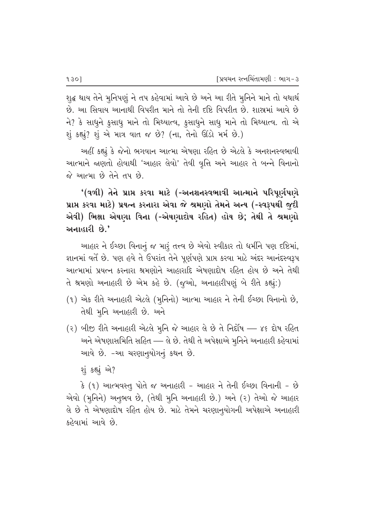શુદ્ધ થાય તેને મુનિપણું ને તપ કહેવામાં આવે છે અને આ રીતે મુનિને માને તો યથાર્થ છે. આ સિવાય આનાથી વિપરીત માને તો તેની દષ્ટિ વિપરીત છે. શાસ્રમાં આવે છે ને? કે સાધુને કુસાધુ માને તો મિથ્યાત્વ, કુસાધુને સાધુ માને તો મિથ્યાત્વ. તો એ શું કહ્યું? શું એ માત્ર વાત જ છે? (ના, તેનો ઊંડો મર્મ છે.)

અહીં કહ્યું કે જેનો ભગવાન આત્મા એષણા રહિત છે એટલે કે અનશનસ્વભાવી આત્માને જાણતો હોવાથી 'આહાર લેવો' તેવી વૃત્તિ અને આહાર તે બન્ને વિનાનો જે આત્મા છે તેને તપ છે.

'(વળી) તેને પ્રાપ્ત કરવા માટે (-અનશનસ્વભાવી આત્માને પરિપૂર્ણપણે પ્રાપ્ત કરવા માટે) પ્રયત્ન કરનારા એવા જે શ્રમણો તેમને અન્ય (-સ્વરૂપથી જુદી એવી) ભિક્ષા એષણા વિના (-એષણાદોષ રહિત) હોય છે; તેથી તે શ્રમણો અનાહારી છે.'

આહાર ને ઈચ્છા વિનાનું જ મારૂં તત્ત્વ છે એવો સ્વીકાર તો ધર્મીને પણ દષ્ટિમાં, જ્ઞાનમાં વર્તે છે. પણ હવે તે ઉપરાંત તેને પૂર્ણપણે પ્રાપ્ત કરવા માટે અંદર આનંદસ્વરૂપ આત્મામાં પ્રયત્ન કરનારા શ્રમણોને આહારાદિ એષણાદોષ રહિત હોય છે અને તેથી તે શ્રમણો અનાહારી છે એમ કહે છે. (જૂઓ, અનાહારીપણું બે રીતે કહ્યું:)

- (૧) એક રીતે અનાહારી એટલે (મૂનિનો) આત્મા આહાર ને તેની ઈચ્છા વિનાનો છે, તેથી મુનિ અનાહારી છે. અને
- (૨) બીજી રીતે અનાહારી એટલે મુનિ જે આહાર લે છે તે નિર્દોષ ૪૬ દોષ રહિત અને એષણાસમિતિ સહિત — લે છે. તેથી તે અપેક્ષાએ મુનિને અનાહારી કહેવામાં આવે છે. -આ ચરણાનુયોગનું કથન છે.

શું કહ્યું એ?

કે (૧) આત્મવસ્તુ પોતે જ અનાહારી - આહાર ને તેની ઈચ્છા વિનાની - છે એવો (મુનિને) અનુભવ છે, (તેથી મુનિ અનાહારી છે.) અને (૨) તેઓ જે આહાર લે છે તે એષણાદોષ રહિત હોય છે. માટે તેમને ચરણાનુયોગની અપેક્ષાએ અનાહારી કહેવામાં આવે છે.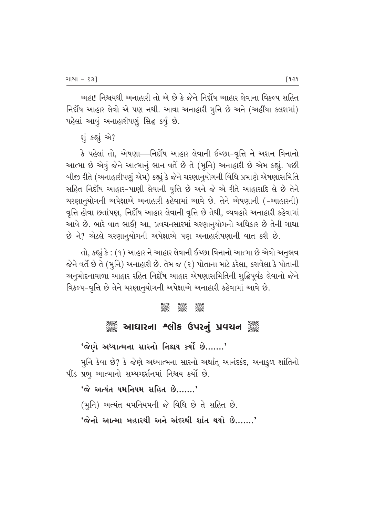અહા! નિશ્ચયથી અનાહારી તો એ છે કે જેને નિર્દોષ આહાર લેવાના વિકલ્પ સહિત fiel the whish and the last when where the four the fear and the fear whith the fearly and the section of the s <u>પહેલાં આવું અનાહારીપણું સિદ્ધ કર્યું</u> છે.

શું કહ્યું એ?

કે પહેલાં તો, એષણા—નિર્દોષ આહાર લેવાની ઈચ્છા-વૃત્તિ ને અશન વિનાનો આત્મા છે એવું જેને આત્માનું ભાન વર્તે છે તે (મૂનિ) અનાહારી છે એમ કહ્યું. પછી ખીજી રીતે (અનાહારીપણું એમ) કહ્યું કે જેને ચરણાનુયોગની વિધિ પ્રમાણે એષણાસમિતિ સહિત નિર્દોષ આહાર-પાણી લેવાની વૃત્તિ છે અને જે એ રીતે આહારાદિ લે છે તેને ચરણાનુયોગની અપેક્ષાએ અનાહારી કહેવામાં આવે છે. તેને એષણાની (-આહારની) વૃત્તિ હોવા છતાંપણ, નિર્દોષ આહાર લેવાની વૃત્તિ છે તેથી, વ્યવહારે અનાહારી કહેવામાં આવે છે. ભારે વાત ભાઈ! આ, પ્રવચનસારમાં ચરણાનૃયોગનો અધિકાર છે તેની ગાથા છે ને? એટલે ચરણાનુયોગની અપેક્ષાએ પણ અનાહારીપણાની વાત કરી છે.

તો, કહ્યું કે : (૧) આહાર ને આહાર લેવાની ઈચ્છા વિનાનો આત્મા છે એવો અનુભવ જેને વર્તે છે તે (મૂનિ) અનાહારી છે. તેમ જ (૨) પોતાના માટે કરેલા, કરાવેલા કે પોતાની અનુમોદનાવાળા આહાર રહિત નિર્દોષ આહાર એષણાસમિતિની શુદ્ધિપૂર્વક લેવાનો જેને વિકલ્પ-વૃત્તિ છે તેને ચરણાનુયોગની અપેક્ષાએ અનાહારી કહેવામાં આવે છે.

#### **COOL COOL**<br>Cool Cool Cool

# ે આઘારના શ્લોક ઉપરનું પ્રવચન ૅું

 $'$ જેણે અધ્યાત્મના સારનો નિશ્ચય કર્યો છે.......'

મુનિ કેવા છે? કે જેણે અધ્યાત્મના સારનો અર્થાત્ આનંદકંદ, અનાકુળ શાંતિનો  $-$ પીંડ પ્રભૂ આત્માનો સમ્યગ્દર્શનમાં નિશ્ચય કર્યો છે.

 $'$ જે અત્યંત યમનિયમ સહિત છે.......'

(મુનિ) અત્યંત યમનિયમની જે વિધિ છે તે સહિત છે.

 $'$ જેનો આત્મા બહારથી અને અંદરથી શાંત થયો છે.......'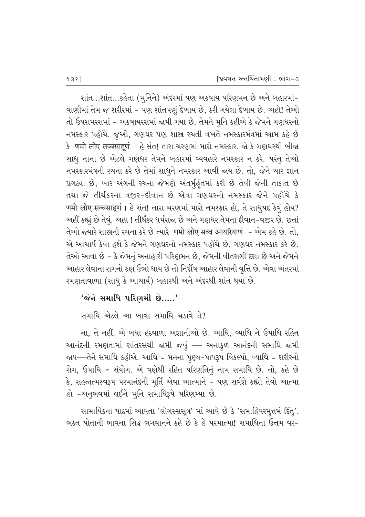શાંત…શાંત…કહેતા (મુનિને) અંદરમાં પણ અકષાય પરિણમન છે અને બહારમાં− વાણીમાં તેમ જ શરીરમાં - પણ શાંતપણું દેખાય છે, ઠરી ગયેલા દેખાય છે. અહો! તેઓ તો ઉપશમરસમાં - અકષાયરસમાં જામી ગયા છે. તેમને મુનિ કહીએ કે જેમને ગણધરનો નમસ્કાર પહોચે. જુઓ, ગણધર પણ શાસ્ર રચતી વખતે નમસ્કારમંત્રમાં આમ કહે છે કે णमो लोए सव्वसाहणं । હે સંત! તારા ચરણમાં મારો નમસ્કાર. જો કે ગણધરથી બીજા સાધૂ નાના છે એટલે ગણધર તેમને બહારમાં વ્યવહારે નમસ્કાર ન કરે. પરંતુ તેઓ નમસ્કારમંત્રની રચના કરે છે તેમાં સાધુને નમસ્કાર આવી જાય છે. તો, જેને ચાર જ્ઞાન પ્રગટ્યા છે, બાર અંગની રચના જેમણે અંતર્મૂર્હતમાં કરી છે તેવી જેની તાકાત છે તથા જે તીર્થંકરના વજ઼ર-દીવાન છે એવા ગણધરનો નમસ્કાર જેને પહોંચે કે णमो लोए सव्वसाहूणं । હે સંત! તારા ચરણમાં મારો નમસ્કાર હો, તે સાધુપદ કેવું હોય? અહીં કહ્યું છે તેવું. અહા ! તીર્થંકર ધર્મરાજ્ય છે અને ગણધર તેમના દીવાન-વજીર છે. છતાં तेઓ જ્યારે શાસ્ત્રની રચના કરે છે ત્યારે णमो लोए सव्व आयरियाणं - એમ કહે છે. તો. એ આચાર્ય કેવા હશે કે જેમને ગણધરનો નમસ્કાર પહોંચે છે. ગણધર નમસ્કાર કરે છે*.* તેઓ આવા છે – કે જેમનું અનાહારી પરિણમન છે, જેમની વીતરાગી દશા છે અને જેમને આહાર લેવાના રાગનો કણ ઉભો થાય છે તો નિર્દોષ આહાર લેવાની વૃત્તિ છે. એવા અંતરમાં રમણતાવાળા (સાધુ કે આચાર્ય) બહારથી અને અંદરથી શાંત થયા છે.

#### $'$ જેને સમાધિ પરિણમી છે.....'

સમાધિ એટલે આ બાવા સમાધિ ચડાવે તે?

ના, તે નહીં. એ બધા હઠવાળા અજ્ઞાનીઓ છે. આધિ, વ્યાધિ ને ઉપાધિ રહિત આનંદની રમણતામાં શાંતરસથી જામી જવું –– અનાકુળ આનંદની સમાધિ જામી જાય—તેને સમાધિ કહીએ. આધિ = મનના પુણ્ય-પાપરૂપ વિકલ્પો, વ્યાધિ = શરીરનો રોગ, ઉપાધિ = સંયોગ. એ ત્રણેથી રહિત પરિણતિનું નામ સમાધિ છે. તો, કહે છે કે, સહજાત્મસ્વરૂપ પરમાનંદની મૂર્તિ એવા આત્માને - પણ સર્વજ્ઞે કહ્યો તેવો આત્મા હો -અનુભવમાં લઈને મુનિ સમાધિરૂપે પરિણમ્યા છે.

સામાયિકના પાઠમાં આવતા 'લોગસ્સસૂત્ર' માં આવે છે કે 'સમાહિવરમુત્તમં દિંતુ'. ભક્ત પોતાની ભાવના સિદ્ધ ભગવાનને કહે છે કે હે પરમાત્મા! સમાધિના ઉત્તમ વર-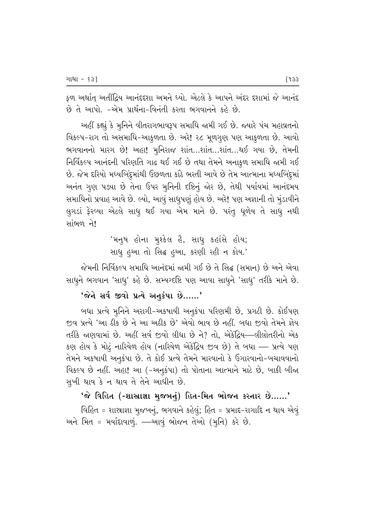ફળ અર્થાત્ અતીંદ્રિય આનંદદશા અમને ધ્યો. એટલે કે આપને અંદર દશામાં જે આનંદ છે તે આપો. -એમ પ્રાર્થના-વિનંતી કરતા ભગવાનને કહે છે.

અહીં કહ્યું કે મૂનિને વીતરાગભાવરૂપ સમાધિ જામી ગઈ છે. જ્યારે પંચ મહાવ્રતનો વિકલ્પ-રાગ તો અસમાધિ-આકુળતા છે. અરે! ૨૮ મુળગુણ પણ આકુળતા છે. આવો ભગવાનનો મારગ છે! અહા! મુનિરાજ શાંત...શાંત...શાંત...થઈ ગયા છે, તેમની નિર્વિકલ્પ આનંદની પરિણતિ ગાઢ થઈ ગઈ છે તથા તેમને અનાકૂળ સમાધિ જામી ગઈ છે. જેમ દરિયો મધ્યબિંદુમાંથી ઉછળતા કાંઠે ભરતી આવે છે તેમ આત્માના મધ્યબિંદુમાં અનંત ગુણ પડ્યા છે તેના ઉપર મુનિની દષ્ટિનું જોર છે, તેથી પર્યાયમાં આનંદમય સમાધિનો પ્રવાહ આવે છે. લ્યો, આવું સાધુપણું હોય છે. અરે! પણ અજ્ઞાની તો મુંડાવીને લુગડાં ફેરવ્યા એટલે સાધુ થઈ ગયા એમ માને છે. પરંતુ ધુળેય તે સાધુ નથી સાંભળ ને!

> 'મનુષ હોના મુશ્કેલ હૈ, સાધુ કહાંસે હોય; સાધુ હઆ તો સિદ્ધ હઆ, કરણી રહી ન કોય.'

જેમની નિર્વિકલ્પ સમાધિ આનંદમાં જામી ગઈ છે તે સિદ્ધ (સમાન) છે અને એવા સાધુને ભગવાન 'સાધુ' કહે છે. સમ્યગ્દષ્ટિ પણ આવા સાધુને 'સાધુ' તરીકે માને છે.

'જેને સર્વ જીવો પ્રત્યે અનુકંપા છે......'

બધા પ્રત્યે મૂનિને અરાગી-અકષાયી અનુકંપા પરિણમી છે, પ્રગટી છે. કોઈપણ જીવ પ્રત્યે 'આ ઠીક છે ને આ અઠીક છે' એવો ભાવ છે નહીં. બધા જીવો તેમને જ્ઞેય તરીકે જાણવામાં છે. અહીં સર્વ જીવો લીધા છે ને? તો, એકંદ્રિય—લીલોતરીનો એક કણ હોય કે મોટું નારિયેળ હોય (નારિયેળ એકંદ્રિય જીવ છે) તે બધા — પ્રત્યે પણ તેમને અકષાયી અનૂકંપા છે. તે કોઈ પ્રત્યે તેમને મારવાનો કે ઉગારવાનો-બચાવવાનો વિકલ્પ છે નહીં. અહા! આ (-અનુકંપા) તો પોતાના આત્માને માટે છે, બાકી બીજા સુખી થાવ કે ન થાવ તે તેને આધીન છે.

'જે વિહિત (-શાસ્રાજ્ઞા મુજબનું) હિત-મિત ભોજન કરનાર છે......'

વિહિત = શાસ્રાજ્ઞા મુજબનું, ભગવાને કહેલું; હિત = પ્રમાદ-રાગાદિ ન થાય એવું અને મિત = મર્યાદાવાળું. —આવું ભોજન તેઓ (મુનિ) કરે છે.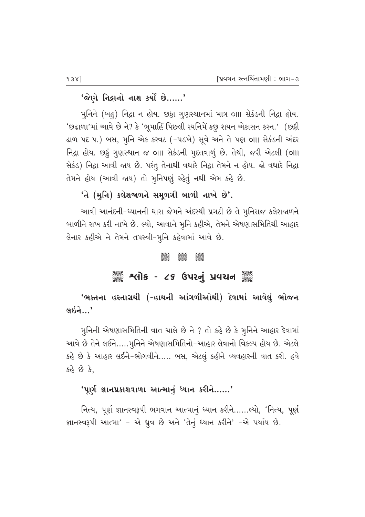## 'જેણે નિદ્રાનો નાશ કર્યો છે……'

મુનિને (બહુ) નિદ્રા ન હોય. છઠ્ઠા ગુણસ્થાનમાં માત્ર ૦ાા સેકંડની નિદ્રા હોય. 'છઢાળા'માં આવે છે ને? કે 'ભૂમાહિં પિછલી રયનિમેં કછુ શયન એકાસન કરન.' (છઠ્ઠી ढाળ પદ ૫.) બસ, મુનિ એક કરવટ (-૫ડખે) સૂવે અને તે પણ ૦॥ સેકંડની અંદર નિદ્રા હોય. છઠું ગુણસ્થાન જ ૦III સેકંડની મુદતવાળું છે. તેથી, જરી એટલી (૦III સેકંડ) નિદ્રા આવી જાય છે. પરંતુ તેનાથી વધારે નિદ્રા તેમને ન હોય. જો વધારે નિદ્રા તેમને હોય (આવી જાય) તો મુનિપણું રહેતું નથી એમ કહે છે.

# 'તે (મુનિ) કલેશજાળને સમુળગી બાળી નાખે છે'.

આવી આનંદની-ધ્યાનની ધારા જેમને અંદરથી પ્રગટી છે તે મુનિરાજ કલેશજ્ઞળને બાળીને રાખ કરી નાખે છે. લ્યો, આવાને મૂનિ કહીએ, તેમને એષણાસમિતિથી આહાર લેનાર કહીએ ને તેમને તપસ્વી-મુનિ કહેવામાં આવે છે.

#### **Jest**  $\frac{8}{3}$ 3880

# ૈું કે શ્લોક - ૮૬ ઉપરનું પ્રવચન ૅું

'ભક્તના હસ્તાગ્રથી (-હાથની આંગળીઓથી) દેવામાં આવેલું ભોજન લઇને $\ldots'$ 

મુનિની એષણાસમિતિની વાત ચાલે છે ને ? તો કહે છે કે મુનિને આહાર દેવામાં આવે છે તેને લઈને…..મુનિને એષણાસમિતિનો-આહાર લેવાનો વિકલ્પ હોય છે. એટલે કહે છે કે આહાર લઈને-ભોગવીને….. બસ, એટલું કહીને વ્યવહારની વાત કરી. હવે કહે છે કે.

#### 'પૂર્ણ જ્ઞાનપ્રકાશવાળા આત્માનું ધ્યાન કરીને……'

નિત્ય, પૂર્ણ જ્ઞાનસ્વરૂપી ભગવાન આત્માનું ધ્યાન કરીને......લ્યો, 'નિત્ય, પૂર્ણ જ્ઞાનસ્વરૂપી આત્મા' - એ ધ્રુવ છે અને 'તેનું ધ્યાન કરીને' -એ પર્યાય છે.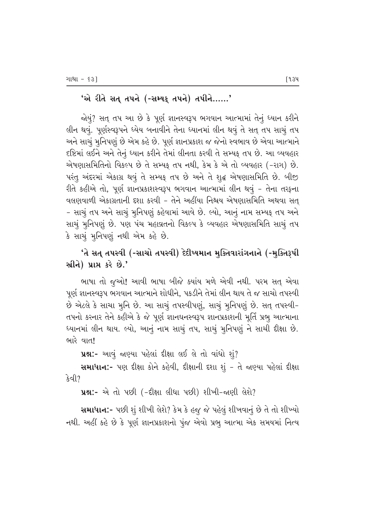## <u>'એ રીતે સત તપને (-સમ્યક તપને) તપીને……'</u>

જોયું? સત્ તપ આ છે કે પૂર્ણ જ્ઞાનસ્વરૂપ ભગવાન આત્મામાં તેનું ધ્યાન કરીને લીન થવું. પૂર્ણસ્વરૂપને ધ્યેય બનાવીને તેના ધ્યાનમાં લીન થવું તે સત્ તપ સાચું તપ અને સાચું મુનિપણું છે એમ કહે છે. પૂર્ણ જ્ઞાનપ્રકાશ જ જેનો સ્વભાવ છે એવા આત્માને દષ્ટિમાં લઈને અને તેનું ધ્યાન કરીને તેમાં લીનતા કરવી તે સમ્યક્ તપ છે. આ વ્યવહાર એષણાસમિતિનો વિકલ્પ છે તે સમ્યક્ તપ નથી, કેમ કે એ તો વ્યવહાર (-રાગ) છે. પરંતુ અંદરમાં એકાગ્ર થવું તે સમ્યક્ તપ છે અને તે શુદ્ધ એષણાસમિતિ છે. બીજી રીતે કહીએ તો, પૂર્ણ જ્ઞાનપ્રકાશસ્વરૂપ ભગવાન આત્મામાં લીન થવું – તેના તરફના વલણવાળી એકાગ્રતાની દશા કરવી – તેને અહીંયા નિશ્ચય એષણાસમિતિ અથવા સત્ – સાચું તપ અને સાચું મૂનિપણું કહેવામાં આવે છે. લ્યો, આનું નામ સમ્યક્ તપ અને સાચું મુનિપણું છે. પણ પંચ મહાવ્રતનો વિકલ્પ કે વ્યવહાર એષણાસમિતિ સાચું તપ કે સાચું મુનિપણું નથી એમ કહે છે.

# 'તે સત્ તપસ્વી (-સાચો તપસ્વી) દેદીપ્યમાન મુક્તિવારાંગનાને (-મુક્તિરૂપી સ્રીને) પ્રાપ્ત કરે છે.'

ભાષા તો જૃઓ! આવી ભાષા બીજે ક્યાંય મળે એવી નથી. પરમ સત્ એવા પૂર્ણ જ્ઞાનસ્વરૂપ ભગવાન આત્માને શોધીને, પકડીને તેમાં લીન થાય તે જ સાચો તપસ્વી છે એટલે કે સાચા મુનિ છે. આ સાચું તપસ્વીપણું, સાચું મુનિપણું છે. સત્ તપસ્વી-તપનો કરનાર તેને કહીએ કે જે પૂર્ણ જ્ઞાનઘનસ્વરૂપ જ્ઞાનપ્રકાશની મૂર્તિ પ્રભુ આત્માના ધ્યાનમાં લીન થાય. લ્યો, આનું નામ સાચું તપ, સાચું મુનિપણું ને સાચી દીક્ષા છે. ભારે વાત!

**પ્રશ્ન:-** આવું જાણ્યા પહેલાં દીક્ષા લઈ લે તો વાંધો શું?

**સમાધાન:**- પણ દીક્ષા કોને કહેવી, દીક્ષાની દશા શું – તે જાણ્યા પહેલાં દીક્ષા  $\mathcal{S}$ d $\mathcal{O}$ 

**પ્રશ્ન:-** એ તો પછી (-દીક્ષા લીધા પછી) શીખી-જાણી લેશે?

સમાધાન:- પછી શું શીખી લેશે? કેમ કે હજુ જે પહેલું શીખવાનું છે તે તો શીખ્યો નથી. અહીં કહે છે કે પૂર્ણ જ્ઞાનપ્રકાશનો પુંજ એવો પ્રભૂ આત્મા એક સમયમાં નિત્ય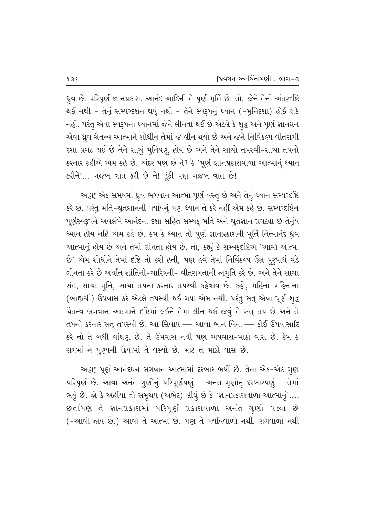ધ્રુવ છે. પરિપૂર્ણ જ્ઞાનપ્રકાશ, આનંદ આદિની તે પૂર્ણ મૂર્તિ છે. તો, જેને તેની અંતર્દ્દષ્ટિ થઈ નથી - તેનું સમ્યગ્દર્શન થયું નથી - તેને સ્વરૂપનું ધ્યાન (-મુનિદ્દશા) હોઈ શકે નહીં. પરંતુ એવા સ્વરૂપના ધ્યાનમાં જેને લીનતા થઈ છે એટલે કે શુદ્ધ અને પૂર્ણ જ્ઞાનઘન એવા ધ્રુવ ચૈતન્ય આત્માને શોધીને તેમાં જે લીન થયો છે અને જેને નિર્વિકલ્પ વીતરાગી દશા પ્રગટ થઈ છે તેને સાચું મુનિપણું હોય છે અને તેને સાચો તપસ્વી-સાચા તપનો કરનાર કહીએ એમ કહે છે. અંદર પણ છે ને? કે 'પૂર્ણ જ્ઞાનપ્રકાશવાળા આત્માનું ધ્યાન  $S(3, 2)$ - ગજબ વાત કરી છે ને! ટૂંકી પણ ગજબ વાત છે!

આહા! એક સમયમાં ઘ્રુવ ભગવાન આત્મા પૂર્ણ વસ્તુ છે અને તેનું ધ્યાન સમ્યગ્દષ્ટિ કરે છે. પરંતુ મતિ-શ્રુતજ્ઞાનની પર્યાયનું પણ ધ્યાન તે કરે નહીં એમ કહે છે. સમ્યગ્દષ્ટિને પૂર્ણસ્વરૂપને અવલંબે આનંદની દશા સહિત સમ્યક્ મતિ અને શ્રુતજ્ઞાન પ્રગટ્યા છે તેનુંય ધ્યાન હોય નહિ એમ કહે છે. કેમ કે ધ્યાન તો પૂર્ણ જ્ઞાનપ્રકાશની મૂર્તિ નિત્યાનંદ ઘ્રુવ આત્માનું હોય છે અને તેમાં લીનતા હોય છે. તો, કહ્યું કે સમ્યક્દષ્ટિએ 'આવો આત્મા છે' એમ શોધીને તેમાં દષ્ટિ તો કરી હતી, પણ હવે તેમાં નિર્વિકલ્પ ઉગ્ર પુરૂષાર્થ વડે લીનતા કરે છે અર્થાત્ શાંતિની-ચારિત્રની- વીતરાગતાની જાગૃતિ કરે છે. અને તેને સાચા સંત, સાચા મૃનિ, સાચા તપના કરનાર તપસ્વી કહેવાય છે. કહો, મહિના-મહિનાના (બાહ્યથી) ઉપવાસ કરે એટલે તપસ્વી થઈ ગયા એમ નથી. પરંતુ સતુ એવા પૂર્ણ શુદ્ધ ચૈતન્ય ભગવાન આત્માને દષ્ટિમાં લઈને તેમાં લીન થઈ જવું તે સતુ તપ છે અને તે તપનો કરનાર સત્ તપસ્વી છે. આ સિવાય –– આવા ભાન વિના –– કોઈ ઉપવાસાદિ કરે તો તે બધી લાંઘણ છે. તે ઉપવાસ નથી પણ અપવાસ-માઠો વાસ છે. કેમ કે રાગમાં ને પુણ્યની ક્રિયામાં તે વસ્યો છે. માટે તે માઠો વાસ છે.

અહા! પૂર્ણ આનંદઘન ભગવાન આત્મામાં દરબાર ભર્યો છે. તેના એક-એક ગુણ પરિપૂર્ણ છે. આવા અનંત ગુણોનું પરિપૂર્ણપણું – અનંત ગુણોનું દરબારપણું – તેમાં ભર્યું છે. જો કે અહીંયા તો સમુચય (અભેદ) લીધું છે કે 'જ્ઞાનપ્રકાશવાળા આત્માનું'.... છતાંપણ તે જ્ઞાનપ્રકાશમાં પરિપૂર્ણ પ્રકાશવાળા અનંત ગુણો પ*ઙ*યા છે (-આવી જાય છે.) આવો તે આત્મા છે. પણ તે પર્યાયવાળો નથી, રાગવાળો નથી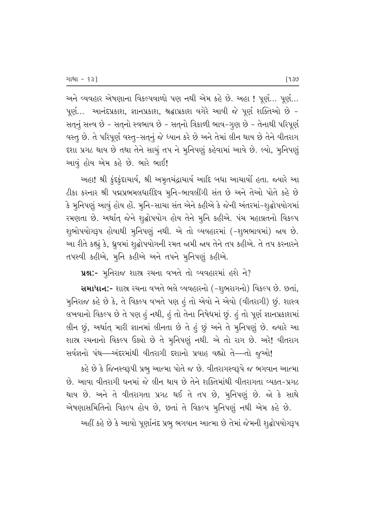અને વ્યવહાર એષણાના વિકલ્પવાળો પણ નથી એમ કહે છે. અહા! પૂર્ણ... પૂર્ણ... પૂર્ણ... આનંદપ્રકાશ, જ્ઞાનપ્રકાશ, શ્રદ્ધાપ્રકાશ વગેરે આવી જે પૂર્ણ શક્તિઓ છે -સતનું સત્ત્વ છે - સતુનો સ્વભાવ છે - સતુનો ત્રિકાળી ભાવ-ગુણ છે - તેનાથી પરિપૂર્ણ વસ્તુ છે. તે પરિપૂર્ણ વસ્તુ-સતુનું જે ધ્યાન કરે છે અને તેમાં લીન થાય છે તેને વીતરાગ દશા પ્રગટ થાય છે તથા તેને સાચું તપ ને મુનિપણું કહેવામાં આવે છે. લ્યો, મુનિપણું આવું હોય એમ કહે છે. ભારે ભાઈ!

અહા! શ્રી કુંદકુંદાચાર્ય, શ્રી અમૃતચંદ્રાચાર્ય આદિ બધા આચાર્યો હતા. જ્યારે આ ટીકા કરનાર શ્રી પદ્મપ્રભમલધારીદેવ મુનિ-ભાવલીંગી સંત છે અને તેઓ પોતે કહે છે કે મુનિપણું આવું હોય હોં. મુનિ-સાચા સંત એને કહીએ કે જેની અંતરમાં-શુદ્ધોપયોગમાં રમણતા છે. અર્થાત્ જેને શૃદ્ધોપયોગ હોય તેને મૂનિ કહીએ. પંચ મહાવ્રતનો વિકલ્પ શુભોપયોગરૂપ હોવાથી મુનિપણું નથી. એ તો વ્યવહારમાં (-શુભભાવમાં) જાય છે. આ રીતે કહ્યું કે, ધ્રુવમાં શૃદ્ધોપયોગની રમત જામી જાય તેને તપ કહીએ. તે તપ કરનારને તપસ્વી કહીએ, મુનિ કહીએ અને તપને મુનિપણું કહીએ.

ue:- भूनिराજ शास्त्र रथना वणते तो व्यवहारमां हरी ने?

સમાધાન:- શાસ્ત્ર રચના વખતે ભલે વ્યવહારનો (-શુભરાગનો) વિકલ્પ છે. છતાં, મુનિરાજ કહે છે કે, તે વિકલ્પ વખતે પણ હું તો એવો ને એવો (વીતરાગી) છું. શાસ્ત્ર લખવાનો વિકલ્પ છે તે પણ હું નથી, હું તો તેના નિષેધમાં છું. હું તો પૂર્ણ જ્ઞાનપ્રકાશમાં લીન છૂં, અર્થાત્ મારી જ્ઞાનમાં લીનતા છે તે હું છું અને તે મુનિપણું છે. જ્યારે આ શાસ્ત્ર રચનાનો વિકલ્પ ઉક્ષ્યો છે તે મુનિપણું નથી. એ તો રાગ છે. અરે! વીતરાગ સર્વજ્ઞનો પંથ—અંદરમાંથી વીતરાગી દશાનો પ્રવાહ વહ્યો તે—તો જુઓ!

કહે છે કે જિનસ્વરૂપી પ્રભુ આત્મા પોતે જ છે. વીતરાગસ્વરૂપે જ ભગવાન આત્મા છે. આવા વીતરાગી ઘનમાં જે લીન થાય છે તેને શક્તિમાંથી વીતરાગતા વ્યક્ત-પ્રગટ થાય છે. અને તે વીતરાગતા પ્રગટ થઈ તે તપ છે, મુનિપણું છે. જો કે સાથે એષણાસમિતિનો વિકલ્પ હોય છે, છતાં તે વિકલ્પ મુનિપણું નથી એમ કહે છે.

અહીં કહે છે કે આવો પૂર્ણાનંદ પ્રભુ ભગવાન આત્મા છે તેમાં જેમની શુદ્ધોપયોગરૂપ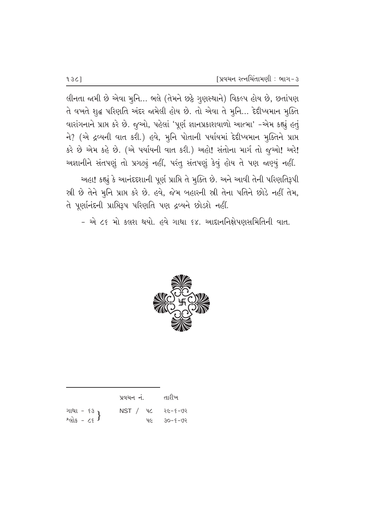લીનતા જામી છે એવા મુનિ... ભલે (તેમને છઠે ગુણસ્થાને) વિકલ્પ હોય છે, છતાંપણ તે વખતે શૃદ્ધ પરિણતિ અંદર જામેલી હોય છે. તો એવા તે મૂનિ... દેદીપ્યમાન મૂક્તિ વારાંગનાને પ્રાપ્ત કરે છે. જુઓ, પહેલાં 'પૂર્ણ જ્ઞાનપ્રકાશવાળો આત્મા' -એમ કહ્યું હતું ને? (એ દ્રવ્યની વાત કરી.) હવે, મુનિ પોતાની પર્યાયમાં દેદીપ્યમાન મૂક્તિને પ્રાપ્ત કરે છે એમ કહે છે. (એ પર્યાયની વાત કરી.) અહો! સંતોના માર્ગ તો જુઓ! અરે! અજ્ઞાનીને સંતપણું તો પ્રગટ્યું નહીં, પરંતુ સંતપણું કેવું હોય તે પણ જાણ્યું નહીં.

અહા! કહ્યું કે આનંદદશાની પૂર્ણ પ્રાપ્તિ તે મુક્તિ છે. અને આવી તેની પરિણતિરૂપી સી છે તેને મુનિ પ્રાપ્ત કરે છે. હવે, જેમ બહારની સ્રી તેના પતિને છોડે નહીં તેમ, તે પૂર્ણાનંદની પ્રાપ્તિરૂપ પરિણતિ પણ દ્રવ્યને છોડશે નહીં.

- એ ૮૬ મો કલશ થયો. હવે ગાથા ૬૪. આદાનનિક્ષેપણસમિતિની વાત.



|                           | પ્રવચન નં.                 | તારીખ             |
|---------------------------|----------------------------|-------------------|
| ગાથા - ૬૩<br>શ્લોક - ૮૬ } | $NST /$ $VC$ $26 - 5 - 02$ |                   |
|                           |                            | <b>46 30-8-02</b> |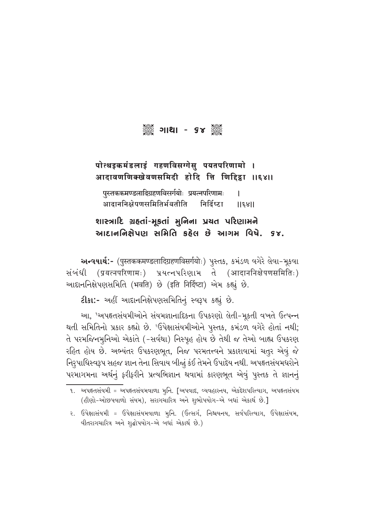▒ ગાથા - ૬૪ ▒

## पोत्थइकमंडलाइं गहणविसग्गेसु पयतपरिणामो । आदावणणिक्खेवणसमिदी होदि त्ति णिद्दिहा ॥६४॥

पस्तककमण्डलादिग्रहणविसर्गयोः प्रयत्नपरिणामः L आदाननिक्षेपणसमितिर्भवतीति निर्दिष्टा  $||\xi$ s $||$ 

# શાસ્ત્રાદિ ગ્રહતાં-મૂકતાં મુનિના પ્રચત પરિણામને આદાનનિક્ષેપણ સમિતિ કઠેલ છે આગમ વિષે. ૬૪.

અन्ययार्थ:- (पुस्तककमण्डलादिग्रहणविसर्गयोः) पुस्तक्ष, क्ष्मंडण वगेरे लेवा-भूक्ष्वा संબंधी (प्रयत्नपरिणामः) प्रयत्नपरिशाभ ते (आदाननिक्षेपणसमितिः) આદાનનિક્ષેપણસમિતિ (भवति) છે (इति निर्दिष्टा) એમ કહ્યું છે.

2ીકા:- અહીં આદાનનિક્ષેપણસમિતિનું સ્વરૂપ કહ્યું છે.

આ, 'અપહૃતસંયમીઓને સંયમજ્ઞાનાદિકના ઉપકરણો લેતી-મૂકતી વખતે ઉત્પન્ન થતી સમિતિનો પ્રકાર કહ્યો છે. <sup>ર</sup>ઉપેક્ષાસંયમીઓને પુસ્તક, કમંડળ વગેરે હોતાં નથી; તે પરમજિનમુનિઓ એકાંતે (-સર્વથા) નિસ્પુહ હોય છે તેથી જ તેઓ બાહ્ય ઉપકરણ રહિત હોય છે. અભ્યંતર ઉપકરણભૂત, નિજ પરમતત્ત્વને પ્રકાશવામાં ચતુર એવું જે નિરૂપાધિસ્વરૂપ સહજ જ્ઞાન તેના સિવાય બીજું કંઈ તેમને ઉપાદેય નથી. અપહૃતસંયમધરોને પરમાગમના અર્થનું ફરીફરીને પ્રત્યભિજ્ઞાન થવામાં કારણભૂત એવું પુસ્તક તે જ્ઞાનનું

૨. ઉપેક્ષાસંયમી = ઉપેક્ષાસંયમવાળા મૂનિ. (ઉત્સર્ગ, નિશ્ચયનય, સર્વપરિત્યાગ, ઉપેક્ષાસંયમ, વીતરાગચારિત્ર અને શુદ્ધોપયોગ-એ બધાં એકાર્થ છે.)

૧. અપહૃતસંયમી = અપહૃતસંયમવાળા મૃનિ. [અપવાદ, વ્યવહારનય, એકદેશપરિત્યાગ, અપહૃતસંયમ (હીણો-ઓછપવાળો સંયમ), સરાગચારિત્ર અને શુભોપયોગ-એ બધાં એકાર્થ છે.]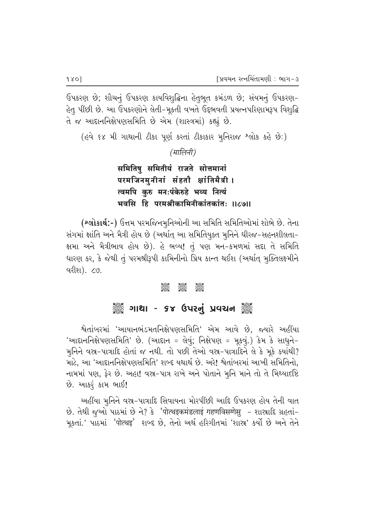ઉપકરણ છે; શૌચનું ઉપકરણ કાયવિશુદ્ધિના હેતુભૂત કમંડળ છે; સંયમનું ઉપકરણ-હેતુ પીંછી છે. આ ઉપકરણોને લેતી-મૂકતી વખતે ઉદ્દભવતી પ્રયત્નપરિણામરૂપ વિશુદ્ધિ તે જ આદાનનિક્ષેપણસમિતિ છે એમ (શાસ્ત્રમાં) કહ્યું છે.

(હવે ૬૪ મી ગાથાની ટીકા પૂર્ણ કરતાં ટીકાકાર મૂનિરાજ શ્લોક કહે છે:)

(मालिनी)

# समितिषु समितीयं राजते सोत्तमानां परमजिनमुनीनां संहतौ क्षांतिमैत्री । त्वमपि कुरु मनःपंकेरुहे भव्य नित्यं भवसि हि परमश्रीकामिनीकांतकांतः ॥८७॥

(શ્લોકાર્થ:-) ઉત્તમ પરમજિનમુનિઓની આ સમિતિ સમિતિઓમાં શોભે છે. તેના સંગમાં ક્ષાંતિ અને મૈત્રી હોય છે (અર્થાત્ આ સમિતિયૂક્ત મૂનિને ધીરજ-સહનશીલતા-ક્ષમા અને મૈત્રીભાવ હોય છે). હે ભવ્ય! તું પણ મન-કમળમાં સદા તે સમિતિ ધારણ કર, કે જેથી તું પરમશ્રીરૂપી કામિનીનો પ્રિય કાન્ત થઈશ (અર્થાત્ મુક્તિલક્ષ્મીને વરીશ). ૮૭.

#### asse asse<br>Seec

# ૢૺૺૺૺૢ૾ ગાથા - ૬૪ ઉપરનું પ્રવચન ૢ૾ૺ૿ૢ

શ્વેતાંબરમાં 'આયાનભંડમતનિક્ષેપણસમિતિ' એમ આવે છે, જ્યારે અહીંયા 'આદાનનિક્ષેપણસમિતિ' છે. (આદાન = લેવું; નિક્ષેપણ = મૂકવું.) કેમ કે સાધુને-મુનિને વસ્ત-પાત્રાદિ હોતાં જ નથી. તો પછી તેઓ વસ્ત-પાત્રાદિને લે કે મૂકે ક્યાંથી? માટે, આ 'આદાનનિક્ષેપણસમિતિ' શબ્દ યથાર્થ છે. અરે! શ્વેતાંબરમાં આખી સમિતિનો, નામમાં પણ, ફેર છે. અહા! વસ્ત્ર-પાત્ર રાખે અને પોતાને મૂનિ માને તો તે મિથ્યાદષ્ટિ છે. આકરૂં કામ ભાઈ!

અહીંયા મુનિને વસ્ર-પાત્રાદિ સિવાયના મોરપીંછી આદિ ઉપકરણ હોય તેની વાત છે. તેથી જુઓ પાઠમાં છે ને? કે 'पोत्थइकमंडलाइं गहणविसगोसु - શાસ્રાદિ ગ્રહતાં-મૂકતાં.' પાઠમાં 'पोत्थइ' શબ્દ છે, તેનો અર્થ હરિગીતમાં 'શાસ્ર' કર્યો છે અને તેને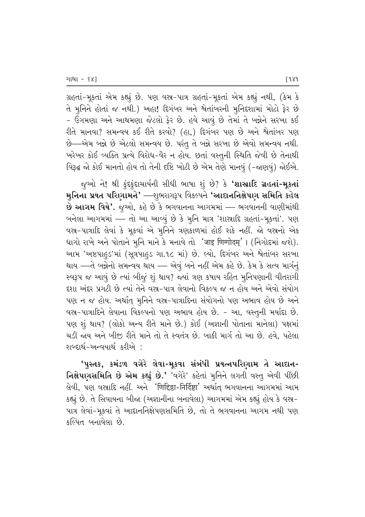ગ્રહતાં-મૂકતાં એમ કહ્યું છે. પણ વસ્ર-પાત્ર ગ્રહતાં-મૂકતાં એમ કહ્યું નથી, (કેમ કે તે મુનિને હોતાં જ નથી.) અહા! દિગંબર અને શ્વેતાંબરની મુનિદશામાં મોટો ફેર છે - ઉગમણા અને આથમણા જેટલો ફેર છે. હવે આવું છે તેમાં તે બન્નેને સરખા કઈ રીતે માનવા? સમન્વય કઈ રીતે કરવો? (હા,) દિગંબર પણ છે અને શ્વેતાંબર પણ છે—એમ બન્ને છે એટલો સમન્વય છે. પરંતુ તે બન્ને સરખા છે એવો સમન્વય નથી. ખરેખર કોઈ વ્યક્તિ પ્રત્યે વિરોધ-વૈર ન હોય. છતાં વસ્તુની સ્થિતિ જેવી છે તેનાથી વિરૂદ્ધ જો કોઈ માનતો હોય તો તેની દષ્ટિ ખોટી છે એમ તેણે માનવું (-જાણવું) જોઈએ.

જૂઓ ને! શ્રી કુંદકુંદાચાર્યની સીધી ભાષા શું છે? કે **'શાસ્રાદિ ગ્રહતાં-મુકતાં** મુનિના પ્રયત પરિણામને' —્યુભરાગરૂપ વિકલ્પને 'આદાનનિક્ષેપણ સમિતિ કહેલ છે આગમ વિષે'. જુઓ, કહે છે કે ભગવાનના આગમમાં — ભગવાનની વાણીમાંથી બનેલા આગમમાં — તો આ આવ્યું છે કે મૃનિ માત્ર 'શાસ્રાદિ ગ્રહતાં-મૂકતાં'. પણ વસ-પાત્રાદિ લેવાં કે મૂકવાં એ મુનિને ત્રણકાળમાં હોઈ શકે નહીં. જો વસ્તનો એક ધાગો રાખે અને પોતાને મુનિ માને કે મનાવે તો 'जाइ णिग्गोदम्'। (નિગોદમાં જશે). આમ 'અષ્ટપાહડ'માં (સૂત્રપાહડ ગા.૧૮ માં) છે. લ્યો, દિગંબર અને શ્વેતાંબર સરખા થાય —તે બન્નેનો સમન્વય થાય — એવું બને નહીં એમ કહે છે. કેમ કે સત્ય માર્ગનું સ્વરૂપ જ આવું છે ત્યાં બીજું શું થાય? જ્યાં ત્રણ કષાય રહિત મુનિપણાની વીતરાગી દશા અંદર પ્રગટી છે ત્યાં તેને વસ્ત્ર-પાત્ર લેવાનો વિકલ્પ જ ન હોય અને એવો સંયોગ પણ ન જ હોય. અર્થાત્ મૃનિને વસ્ત્ર-પાત્રાદિના સંયોગનો પણ અભાવ હોય છે અને વસ્ર-પાત્રાદિને લેવાના વિકલ્પનો પણ અભાવ હોય છે. - આ, વસ્તુની મર્યાદા છે. પણ શું થાય? (લોકો અન્ય રીતે માને છે.) કોઈ (અજ્ઞાની પોતાના માનેલા) પક્ષમાં ચડી જાય અને બીજી રીતે માને તો તે સ્વતંત્ર છે. બાકી માર્ગ તો આ છે. હવે, પહેલા <u>શબ્દાર્થ-અન્વયાર્થ કરીએ :</u>

'પુસ્તક, કમંડળ વગેરે લેવા-મૂકવા સંબંધી પ્રયત્નપરિણામ તે આદાન-નિક્ષેપણસમિતિ છે એમ કહ્યું છે.' 'વગેરે' કહેતાં મુનિને લગતી વસ્તુ એવી પીંછી લેવી, પણ વસ્રાદિ નહીં. અને 'णिद्दिष्टा-निर्दिष्टा' અર્થાત્ ભગવાનના આગમમાં આમ કહ્યું છે. તે સિવાયના બીજા (અજ્ઞાનીના બનાવેલા) આગમમાં એમ કહ્યું હોય કે વસ્ત્ર-પાત્ર લેવાં-મૂકવાં તે આદાનનિક્ષેપણસમિતિ છે, તો તે ભગવાનના આગમ નથી પણ કલ્પિત બનાવેલા છે.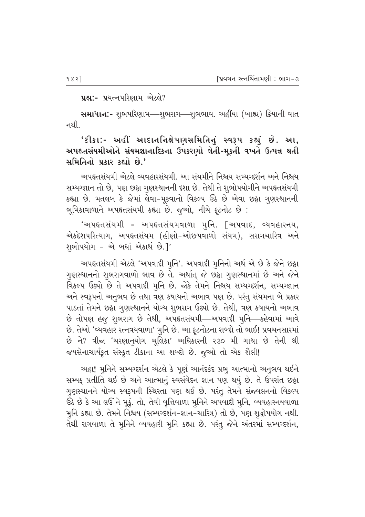#### પ્રશ્ન:- પ્રયત્નપરિણામ એટલે?

સમાધાન:- શુભપરિણામ—શુભરાગ—શુભભાવ. અહીંયા (બાહ્ય) ક્રિયાની વાત નથી.

'ટીકા:- અહીં આદાનનિક્ષેપણસમિતિનું સ્વરૂપ કહ્યું છે. આ, અપહ્નસંયમીઓને સંયમજ્ઞાનાદિકના ઉપકરણો લેતી-મૂકતી વખતે ઉત્પન્ન થતી સમિતિનો પ્રકાર કહ્યો છે.'

અપહૃતસંયમી એટલે વ્યવહારસંયમી. આ સંયમીને નિશ્ચય સમ્યગ્દર્શન અને નિશ્ચય સમ્યગ્જ્ઞાન તો છે, પણ છઠ્ઠા ગુણસ્થાનની દશા છે. તેથી તે શુભોપયોગીને અપહૃતસંયમી કહ્યા છે. મતલબ કે જેમાં લેવા-મૂકવાનો વિકલ્પ ઉઠે છે એવા છઠ્ઠા ગૃણસ્થાનની ભૂમિકાવાળાને અપહૃતસંયમી કહ્યા છે. જુઓ, નીચે ફૂટનોટ છે:

'અપહ્તસંયમી = અપહ્તસંયમવાળા મૃનિ. [અપવાદ, વ્યવહારનય, એકદેશપરિત્યાગ, અપહૃતસંયમ (હીણો-ઓછપવાળો સંયમ), સરાગચારિત્ર અને શુભોપયોગ - એ બધાં એકાર્થ છે.]'

અપહૃતસંયમી એટલે 'અપવાદી મુનિ'. અપવાદી મુનિનો અર્થ એ છે કે જેને છઠ્ઠા ગુણસ્થાનનો શુભરાગવાળો ભાવ છે તે. અર્થાત્ જે છઠ્ઠા ગુણસ્થાનમાં છે અને જેને વિકલ્પ ઉઠ્યો છે તે અપવાદી મુનિ છે. જોકે તેમને નિશ્ચય સમ્યગ્દર્શન, સમ્યગ્જ્ઞાન અને સ્વરૂપનો અનુભવ છે તથા ત્રણ કષાયનો અભાવ પણ છે. પરંતુ સંયમના બે પ્રકાર પાડતાં તેમને છઠ્ઠા ગુણસ્થાનને યોગ્ય શુભરાગ ઉઠ્યો છે. તેથી, ત્રણ કષાયનો અભાવ છે તોપણ હજુ શુભરાગ છે તેથી, અપહૃતસંયમી—અપવાદી મૂનિ—કહેવામાં આવે છે. તેઓ 'વ્યવહાર રત્નત્રયવાળા' મુનિ છે. આ ફૂટનોટના શબ્દો તો ભાઈ! પ્રવચનસારમાં છે ને? ત્રીજા 'ચરણાનુયોગ ચૂલિકા' અધિકારની ૨૩૦ મી ગાથા છે તેની શ્રી જયસેનાચાર્યકૃત સંસ્કૃત ટીકાના આ શબ્દો છે. જૂઓ તો એક શૈલી!

અહા! મુનિને સમ્યગ્દર્શન એટલે કે પૂર્ણ આનંદકંદ પ્રભુ આત્માનો અનુભવ થઈને સમ્યક્ પ્રતીતિ થઈ છે અને આત્માનું સ્વસંવેદન જ્ઞાન પણ થયું છે. તે ઉપરાંત છઠ્ઠા ગુણસ્થાનને યોગ્ય સ્વરૂપની સ્થિરતા પણ થઈ છે. પરંતુ તેમને સંજ્વલનનો વિકલ્પ ઉઠે છે કે આ લઉં ને મૂકું. તો, તેવી વૃત્તિવાળા મુનિને અપવાદી મુનિ, વ્યવહારનયવાળા મૂનિ કહ્યા છે. તેમને નિશ્ચય (સમ્યગ્દર્શન-જ્ઞાન-ચારિત્ર) તો છે, પણ શૃદ્ધોપયોગ નથી. તેથી રાગવાળા તે મુનિને વ્યવહારી મુનિ કહ્યા છે. પરંતુ જેને અંતરમાં સમ્યગ્દર્શન,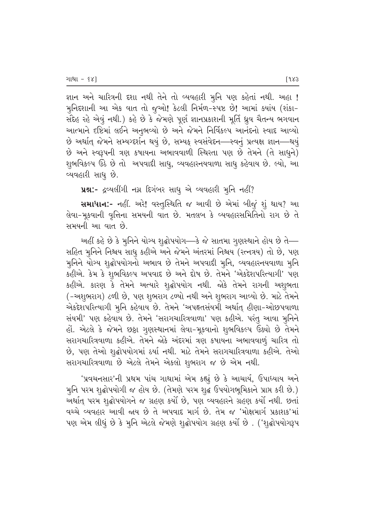જ્ઞાન અને ચારિત્રની દશા નથી તેને તો વ્યવહારી મુનિ પણ કહેતાં નથી. અહા **!** મુનિદ્દશાની આ એક વાત તો જુઓ! કેટલી નિર્મળ-સ્પષ્ટ છે! આમાં ક્યાંય (શંકા– સંદેહ રહે એવું નથી.) કહે છે કે જેમણે પૂર્ણ જ્ઞાનપ્રકાશની મૂર્તિ ધ્રુવ ચૈતન્ય ભગવાન આત્માને દષ્ટિમાં લઈને અનુભવ્યો છે અને જેમને નિર્વિકલ્પ આનંદનો સ્વાદ આવ્યો છે અર્થાત્ જેમને સમ્યગ્દર્શન થયું છે, સમ્યક્ સ્વસંવેદન—સ્વનું પ્રત્યક્ષ જ્ઞાન—થયું છે અને સ્વરૂપની ત્રણ કષાયના અભાવવાળી સ્થિરતા પણ છે તેમને (તે સાધુને) શુભવિકલ્પ ઉઠે છે તો અપવાદી સાધુ, વ્યવહારનયવાળા સાધુ કહેવાય છે. લ્યો, આ વ્યવહારી સાધ<del>્</del> છે.

પ્રશ્ન:- દ્રવ્યલીંગી નગ્ન દિગંબર સાધુ એ વ્યવહારી મુનિ નહીં?

સમાધાન:- નહીં. અરે! વસ્તુસ્થિતિ જ આવી છે એમાં બીજું શું થાય? આ તેવા-મૂકવાની વૃત્તિના સમયની વાત છે. મતલબ કે વ્યવહારસમિતિનો રાગ છે તે સમયની આ વાત છે.

અહીં કહે છે કે મુનિને યોગ્ય શૃદ્ધોપયોગ—કે જે સાતમા ગુણસ્થાને હોય છે તે— સહિત મૃનિને નિશ્ચય સાધુ કહીએ અને જેમને અંતરમાં નિશ્ચય (રત્નત્રય) તો છે, પણ મુનિને યોગ્ય શુદ્ધોપયોગનો અભાવ છે તેમને અપવાદી મુનિ, વ્યવહારનયવાળા મુનિ કહીએ. કેમ કે શુભવિકલ્પ અપવાદ છે અને દોષ છે. તેમને 'એકદેશપરિત્યાગી' પણ કહીએ. કારણ કે તેમને અત્યારે શુદ્ધોપયોગ નથી. જોકે તેમને રાગની અશુભતા (-અશુભરાગ) ટળી છે, પણ શુભરાગ ટળ્યો નથી અને શુભરાગ આવ્યો છે. માટે તેમને એકદેશપરિત્યાગી મૃનિ કહેવાય છે. તેમને 'અપહૃતસંયમી અર્થાત્ હીણા-ઓછપવાળા સંયમી' પણ કહેવાય છે. તેમને 'સરાગચારિત્રવાળા' પણ કહીએ. પરંતુ આવા મુનિને હોં. એટલે કે જેમને છઠ્ઠા ગુણસ્થાનમાં લેવા–મૂકવાનો શુભવિકલ્પ ઉઠ્યો છે તેમને સરાગચારિત્રવાળા કહીએ. તેમને જોકે અંદરમાં ત્રણ કષાયના અભાવવાળું ચારિત્ર તો છે, પણ તેઓ શૃદ્ધોપયોગમાં ઠર્યા નથી. માટે તેમને સરાગચારિત્રવાળા કહીએ. તેઓ સરાગચારિત્રવાળા છે એટલે તેમને એકલો શુભરાગ જ છે એમ નથી.

'પ્રવચનસાર'ની પ્રથમ પાંચ ગાથામાં એમ કહ્યું છે કે આચાર્ય, ઉપાધ્યાય અને મુનિ પરમ શુદ્ધોપયોગી જ હોય છે. (તેમણે પરમ શુદ્ધ ઉપયોગભૂમિકાને પ્રાપ્ત કરી છે.) અર્થાત પરમ શૃદ્ધોપયોગને જ ગ્રહણ કર્યો છે, પણ વ્યવહારને ગ્રહણ કર્યો નથી. છતાં વચ્ચે વ્યવહાર આવી જાય છે તે અપવાદ માર્ગ છે. તેમ જ 'મોક્ષમાર્ગ પ્રકાશક'માં પણ એમ લીધું છે કે મૃનિ એટલે જેમણે શૃદ્ધોપયોગ ગ્રહણ કર્યો છે . ('શૃદ્ધોપયોગરૂપ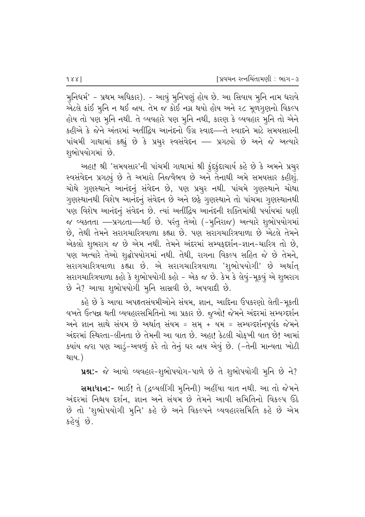મુનિધર્મ' - પ્રથમ અધિકાર). - આવું મુનિપણું હોય છે. આ સિવાય મુનિ નામ ધરાવે એટલે કાંઈ મુનિ ન થઈ જાય. તેમ જ કોઈ નગ્ન થયો હોય અને ૨૮ મૂળગુણનો વિકલ્પ હોય તો પણ મુનિ નથી. તે વ્યવહારે પણ મુનિ નથી, કારણ કે વ્યવહાર મુનિ તો એને કહીએ કે જેને અંતરમાં અતીંદ્રિય આનંદનો ઉગ્ર સ્વાદ—તે સ્વાદને માટે સમયસારની પાંચમી ગાથામાં કહ્યું છે કે પ્રચુર સ્વસંવેદન — પ્રગટ્યો છે અને જે અત્યારે શૂભોપયોગમાં છે.

અહા! શ્રી 'સમયસાર'ની પાંચમી ગાથામાં શ્રી ફુંદફુંદાચાર્ય કહે છે કે અમને પ્રચુર સ્વસંવેદન પ્રગટ્યું છે તે અમારો નિજવૈભવ છે અને તેનાથી અમે સમયસાર કહીશું. ચોથે ગુણસ્થાને આનંદનું સંવેદન છે, પણ પ્રચુર નથી. પાંચમે ગુણસ્થાને ચોથા ગુણસ્થાનથી વિશેષ આનંદનું સંવેદન છે અને છઠ્ઠે ગુણસ્થાને તો પાંચમા ગુણસ્થાનથી પણ વિશેષ આનંદનું સંવેદન છે. ત્યાં અતીંદ્રિય આનંદની શક્તિમાંથી પર્યાયમાં ઘણી જ વ્યક્તતા —પ્રગટતા—થઈ છે. પરંતુ તેઓ (-મુનિરાજ) અત્યારે શુભોપયોગમાં છે, તેથી તેમને સરાગચારિત્રવાળા કહ્યા છે. પણ સરાગચારિત્રવાળા છે એટલે તેમને એકલો શુભરાગ જ છે એમ નથી. તેમને અંદરમાં સમ્યક્દર્શન-જ્ઞાન-ચારિત્ર તો છે, પણ અત્યારે તેઓ શુદ્ધોપયોગમાં નથી. તેથી, રાગના વિકલ્પ સહિત જે છે તેમને, સરાગચારિત્રવાળા કહ્યા છે. એ સરાગચારિત્રવાળા 'શુભોપયોગી' છે અર્થાત્ સરાગચારિત્રવાળા કહો કે શુભોપયોગી કહો - એક જ છે. કેમ કે લેવું-મૂકવું એ શુભરાગ છે ને? આવા શુભોપયોગી મુનિ સાસવી છે, અપવાદી છે.

કહે છે કે આવા અપહૃતસંયમીઓને સંયમ, જ્ઞાન, આદિના ઉપકરણો લેતી-મૂકતી વખતે ઉત્પન્ન થતી વ્યવહારસમિતિનો આ પ્રકાર છે. જુઓ! જેમને અંદરમાં સમ્યગ્દર્શન અને જ્ઞાન સાથે સંયમ છે અર્થાત્ સંયમ = સમ્ + યમ = સમ્યગ્દર્શનપૂર્વક જેમને અંદરમાં સ્થિરતા-લીનતા છે તેમની આ વાત છે. અહા! કેટલી ચોક઼્ખી વાત છે! આમાં ક્યાંય જરા પણ આડું-અવળું કરે તો તેનું ઘર જાય એવું છે. (-તેની માન્યતા ખોટી થાય.)

ue:- જે આવો વ્યવહાર-શુભોપયોગ-પાળે છે તે શુભોપયોગી મુનિ છે ને?

સમાધાન:- ભાઈ! તે (દ્રવ્યલીંગી મુનિની) અહીંયા વાત નથી. આ તો જેમને અંદરમાં નિશ્ચય દર્શન. જ્ઞાન અને સંયમ છે તેમને આવી સમિતિનો વિકલ્પ ઉઠે છે તો 'શુભોપયોગી મુનિ' કહે છે અને વિકલ્પને વ્યવહારસમિતિ કહે છે એમ કહેવું છે.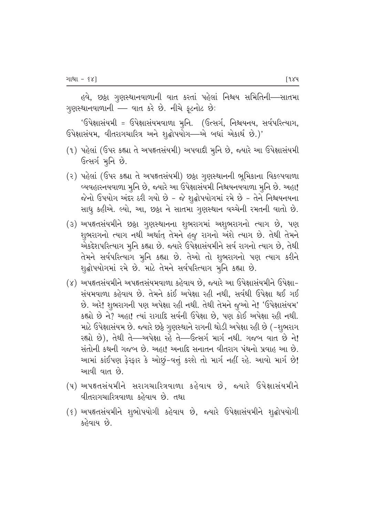હવે, છઠ્ઠા ગુણસ્થાનવાળાની વાત કરતાં પહેલાં નિશ્ચય સમિતિની—સાતમા ગુણસ્થાનવાળાની — વાત કરે છે. નીચે ફૂટનોટ છે:

'ઉપેક્ષાસંયમી = ઉપેક્ષાસંયમવાળા મુનિ. (ઉત્સર્ગ, નિશ્ચયનય, સર્વપરિત્યાગ, ઉપેક્ષાસંયમ, વીતરાગચારિત્ર અને શુદ્ધોપયોગ—એ બધાં એકાર્થ છે.)'

- (૧) પહેલાં (ઉપર કહ્યા તે અપહૃતસંયમી) અપવાદી મુનિ છે, જ્યારે આ ઉપેક્ષાસંયમી ઉત્સર્ગમૂનિ છે.
- (૨) પહેલાં (ઉપર કહ્યા તે અપહૃતસંયમી) છઠ્ઠા ગુણસ્થાનની ભૂમિકાના વિકલ્પવાળા વ્યવહારનયવાળા મુનિ છે, જ્યારે આ ઉપેક્ષાસંયમી નિશ્ચયનયવાળા મુનિ છે. અહા! જેનો ઉપયોગ અંદર ઠરી ગયો છે - જે શૃદ્ધોપયોગમાં રમે છે - તેને નિશ્ચયનયના સાધુ કહીએ. લ્યો, આ, છઠ્ઠા ને સાતમા ગુણસ્થાન વચ્ચેની રમતની વાતો છે.
- (૩) અપહૃતસંયમીને છઠ્ઠા ગૃણસ્થાનના શુભરાગમાં અશુભરાગનો ત્યાગ છે, પણ શુભરાગનો ત્યાગ નથી અર્થાત્ તેમને હજુ રાગનો અંશે ત્યાગ છે. તેથી તેમને એકદેશપરિત્યાગ મુનિ કહ્યા છે. જ્યારે ઉપેક્ષાસંયમીને સર્વ રાગનો ત્યાગ છે, તેથી તેમને સર્વપરિત્યાગ મુનિ કહ્યા છે. તેઓ તો શુભરાગનો પણ ત્યાગ કરીને શુદ્ધોપયોગમાં રમે છે. માટે તેમને સર્વપરિત્યાગ મુનિ કહ્યા છે.
- (૪) અપહૃતસંયમીને અપહૃતસંયમવાળા કહેવાય છે, જ્યારે આ ઉપેક્ષાસંયમીને ઉપેક્ષા-સંયમવાળા કહેવાય છે. તેમને કાંઈ અપેક્ષા રહી નથી. સર્વથી ઉપેક્ષા થઈ ગઈ છે. અરે! શુભરાગની પણ અપેક્ષા રહી નથી. તેથી તેમને જુઓ ને! 'ઉપેક્ષાસંયમ' કહ્યો છે ને? અહા! ત્યાં રાગાદિ સર્વની ઉપેક્ષા છે, પણ કોઈ અપેક્ષા રહી નથી. માટે ઉપેક્ષાસંયમ છે. જ્યારે છઠ્ઠે ગુણસ્થાને રાગની થોડી અપેક્ષા રહી છે (-શુભરાગ રહ્યો છે), તેથી તે—અપેક્ષા રહે તે—ઉત્સર્ગ માર્ગ નથી. ગજબ વાત છે ને! સંતોની કથની ગજબ છે. અહા! અનાદિ સનાતન વીતરાગ પંથનો પ્રવાહ આ છે. આમાં કાંઈપણ ફેરફાર કે ઓછું-વત્તું કરશે તો માર્ગ નહીં રહે. આવો માર્ગ છે! આવી વાત છે.
- (૫) અપહૃતસંયમીને સરાગચારિત્રવાળા કહેવાય છે, જ્યારે ઉપેક્ષાસંયમીને વીતરાગચારિત્રવાળા કહેવાય છે. તથા
- (૬) અપહૃતસંયમીને શુભોપયોગી કહેવાય છે, જ્યારે ઉપેક્ષાસંયમીને શુદ્ધોપયોગી કહેવાય છે.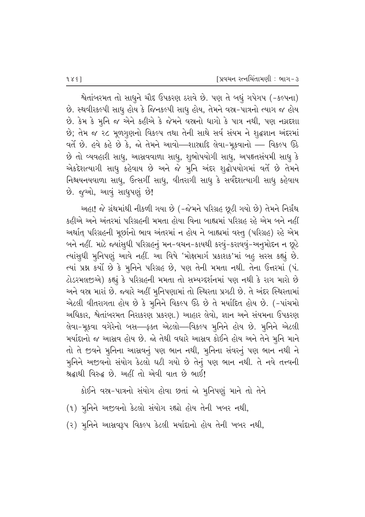%તાંબરમત તો સાધુને ચૌદ ઉપકરણ ઠરાવે છે. પણ તે બધું ગપેગપ (-કલ્પના) છે. સ્થવીરકલ્પી સાધુ હોય કે જિનકલ્પી સાધુ હોય, તેમને વસ્ર-પાત્રનો ત્યાગ જ હોય છે. કેમ કે મુનિ જ એને કહીએ કે જેમને વસ્ત્રનો ધાગો કે પાત્ર નથી, પણ નગ્નદશા છે; તેમ જ ૨૮ મૂળગુણનો વિકલ્પ તથા તેની સાથે સર્વ સંયમ ને શુદ્ધજ્ઞાન અંદરમાં  $\,$ વર્તે છે. હવે કહે છે કે, જો તેમને આવો—શાસ્રાદિ લેવા-મૂકવાનો — વિકલ્પ ઉઠે છે તો વ્યવહારી સાધુ, આસવવાળા સાધુ, શુભોપયોગી સાધુ, અપહૃતસંયમી સાધુ કે એકદેશત્યાગી સાધુ કહેવાય છે અને જે મૃનિ અંદર શૃદ્ધોપયોગમાં વર્તે છે તેમને નિશ્ચયનયવાળા સાધુ, ઉત્સગી સાધુ, વીતરાગી સાધુ કે સર્વદેશત્યાગી સાધુ કહેવાય છે. જુઓ, આવું સાધુપણું છે!

અહા! જે ગ્રંથમાંથી નીકળી ગયા છે (-જેમને પરિગ્રહ છૂટી ગયો છે) તેમને નિર્ગ્રંથ કહીએ અને અંતરમાં પરિગ્રહની મમતા હોયા વિના બાહ્યમાં પરિગ્રહ રહે એમ બને નહીં અર્થાત્ પરિગ્રહની મૂર્છાનો ભાવ અંતરમાં ન હોય ને બાહ્યમાં વસ્તુ (પરિગ્રહ) રહે એમ બને નહીં. માટે જ્યાંસુધી પરિગ્રહનું મન-વચન-કાયથી કરવું-કરાવવું-અનુમોદન ન છૂટે ત્યાંસુઘી મુનિપણું આવે નહીં. આ વિષે 'મોક્ષમાર્ગ પ્રકાશક'માં બહુ સરસ કહ્યું છે. ત્યાં પ્રશ્ન કર્યો છે કે મૂનિને પરિગ્રહ છે, પણ તેની મમતા નથી. તેના ઉત્તરમાં (પં. ટોડરમલજીએ) કહ્યું કે પરિગ્રહની મમતા તો સમ્યગ્દર્શનમાં પણ નથી કે રાગ મારો છે આને વસ્ત્ર મારાં છે. જ્યારે અહીં મુનિપણામાં તો સ્થિરતા પ્રગટી છે. તે અંદર સ્થિરતામાં એટલી વીતરાગતા હોય છે કે મુનિને વિકલ્પ ઉઠે છે તે મર્યાદિત હોય છે. (-પાંચમો આધિકાર, શ્વેતાંબરમત નિરાકરણ પ્રકરણ.) આહાર લેવો, જ્ઞાન અને સંયમના ઉપકરણ તેવા-મૂકવા વગેરેનો બસ—ફક્ત એટલો—વિકલ્પ મુનિને હોય છે. મૂનિને એટલી મર્યાદાનો જ આસ્રવ હોય છે. જો તેથી વધારે આસ્રવ કોઈને હોય અને તેને મૃનિ માને તો તે જીવને મુનિના આસ્રવનું પણ ભાન નથી, મુનિના સંવરનું પણ ભાન નથી ને મુનિને અજીવનો સંયોગ કેટલો ઘટી ગયો છે તેનું પણ ભાન નથી. તે નવે તત્ત્વની <u>શ્રદ્ધા</u>થી વિરુદ્ધ છે. અહીં તો એવી વાત છે ભાઈ!

કોઈને વસ્ત્ર–પાત્રનો સંયોગ હોવા છતાં જો મુનિપણું માને તો તેને

(૧) મુનિને અજીવનો કેટલો સંયોગ રહ્યો હોય તેની ખબર નથી,

(૨) મુનિને આસ્રવરૂપ વિકલ્પ કેટલી મર્યાદાનો હોય તેની ખબર નથી,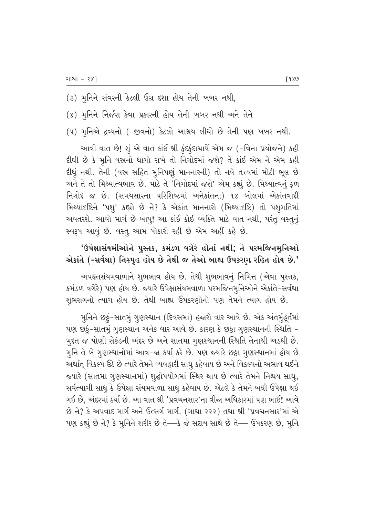- (૩) મુનિને સંવરની કેટલી ઉગ્ર દશા હોય તેની ખબર નથી,
- (४) મુનિને નિર્જરા કેવા પ્રકારની હોય તેની ખબર નથી અને તેને
- (૫) મુનિએ દ્રવ્યનો (-જીવનો) કેટલો આશ્રય લીધો છે તેની પણ ખબર નથી.

આવી વાત છે! શું એ વાત કાંઈ શ્રી કુંદકુંદાચાર્યે એમ જ (-વિના પ્રયોજને) કહી દીધી છે કે મૂનિ વસ્ત્રનો ધાગો રાખે તો નિગોદમાં જશે? તે કાંઈ એમ ને એમ કહી દીધું નથી. તેની (વસ્ર સહિત મુનિપણું માનનારની) તો નવે તત્ત્વમાં મોટી ભૂલ છે અને તે તો મિથ્યાત્વભાવ છે. માટે તે 'નિગોદમાં જશે' એમ કહ્યું છે. મિથ્યાત્વનું ફળ નિગોદ જ છે. (સમયસારના પરિશિષ્ટમાં અનેકાંતના) ૧૪ બોલમાં એકાંતવાદી મિથ્યાદષ્ટિને 'પશુ' કહ્યો છે ને? કે એકાંત માનનારો (મિથ્યાદષ્ટિ) તો પશુગતિમાં અવતરશે. આવો માર્ગ છે બાપ્! આ કાંઈ કોઈ વ્યક્તિ માટે વાત નથી, પરંતુ વસ્તુનું સ્વરૂપ આવું છે. વસ્તુ આમ પોકારી રહી છે એમ અહીં કહે છે.

## 'ઉપેક્ષાસંયમીઓને પુસ્તક, કમંડળ વગેરે હોતાં નથી; તે પરમજિનમુનિઓ એકાંતે (-સર્વથા) નિસ્પૃહ હોય છે તેથી જ તેઓ બાહ્ય ઉપકરાગ રહિત હોય છે.'

અપહૃતસંયમવાળાને શુભભાવ હોય છે. તેથી શુભભાવનું નિમિત્ત (એવા પુસ્તક, કમંડળ વગેરે) પણ હોય છે. જ્યારે ઉપેક્ષાસંયમવાળા પરમજિનમુનિઓને એકાંતે-સર્વથા શુભરાગનો ત્યાગ હોય છે. તેથી બાહ્ય ઉપકરણોનો પણ તેમને ત્યાગ હોય છે.

મુનિને છઠું-સાતમું ગુણસ્થાન (દિવસમાં) હજારો વાર આવે છે. એક અંતર્મુહૂર્તમાં પણ છઠું-સાતમું ગુણસ્થાન અનેક વાર આવે છે. કારણ કે છઠ્ઠા ગુણસ્થાનની સ્થિતિ -મુદત જ પોણી સેકંડની અંદર છે અને સાતમા ગુણસ્થાનની સ્થિતિ તેનાથી અડધી છે. મુનિ તે બે ગુણસ્થાનોમાં આવ-જા કર્યા કરે છે. પણ જ્યારે છઠ્ઠા ગુણસ્થાનમાં હોય છે અર્થાત્ વિકલ્પ ઉઠે છે ત્યારે તેમને વ્યવહારી સાધુ કહેવાય છે અને વિકલ્પનો અભાવ થઈને જ્યારે (સાતમા ગુણસ્થાનમાં) શુદ્ધોપયોગમાં સ્થિર થાય છે ત્યારે તેમને નિશ્ચય સાધુ, સર્વત્યાગી સાધુ કે ઉપેક્ષા સંયમવાળા સાધુ કહેવાય છે. એટલે કે તેમને બધી ઉપેક્ષા થઈ ગઈ છે, અંદરમાં ઠર્યા છે. આ વાત શ્રી 'પ્રવચનસાર'ના ત્રીજા અધિકારમાં પણ ભાઈ! આવે છે ને? કે અપવાદ માર્ગ અને ઉત્સર્ગ માર્ગ. (ગાથા ૨૨૨) તથા શ્રી 'પ્રવચનસાર'માં એ પણ કહ્યું છે ને? કે મૂનિને શરીર છે તે—કે જે સદાય સાથે છે તે— ઉપકરણ છે, મૂનિ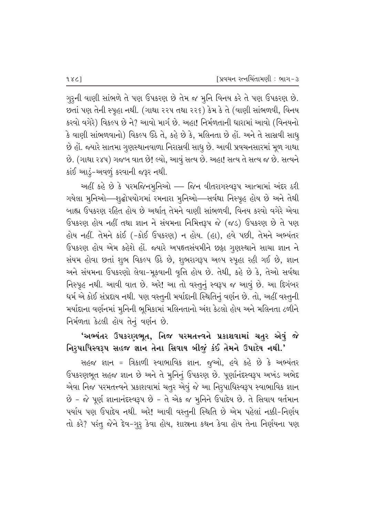ગુરૂની વાણી સાંભળે તે પણ ઉપકરણ છે તેમ જ મૂનિ વિનય કરે તે પણ ઉપકરણ છે. છતાં પણ તેની સ્પૂહા નથી. (ગાથા ૨૨૫ તથા ૨૨૬) કેમ કે તે (વાણી સાંભળવી, વિનય કરવો વગેરે) વિકલ્પ છે ને? આવો માર્ગ છે. અહા! નિર્મળતાની ધારામાં આવો (વિનયનો કે વાણી સાંભળવાનો) વિકલ્પ ઉઠે તે, કહે છે કે, મલિનતા છે હોં. અને તે સાસ્રવી સાધ્ છે હોં. જ્યારે સાતમા ગુણસ્થાનવાળા નિરાસ્રવી સાધુ છે. આવી પ્રવચનસારમાં મૂળ ગાથા છે. (ગાથા ૨૪૫) ગજબ વાત છે! લ્યો, આવું સત્ય છે. અહા! સત્ય તે સત્ય જ છે. સત્યને કાંઈ આડું-અવળું કરવાની જરૂર નથી.

અહીં કહે છે કે પરમજિનમુનિઓ — જિન વીતરાગસ્વરૂપ આત્મામાં અંદર ઠરી ગયેલા મુનિઓ—શુદ્ધોપયોગમાં રમનારા મુનિઓ—સર્વથા નિસ્પૃહ હોય છે અને તેથી બાહ્ય ઉપકરણ રહિત હોય છે અર્થાત્ તેમને વાણી સાંભળવી, વિનય કરવો વગેરે એવા ઉપકરણ હોય નહીં તથા જ્ઞાન ને સંયમના નિમિત્તરૂપ જે (જડ) ઉપકરણ છે તે પણ હોય નહીં. તેમને કાંઈ (-કોઈ ઉપકરણ) ન હોય. (હા), હવે પછી, તેમને અભ્યંતર ઉપકરણ હોય એમ કહેશે હોં. જ્યારે અપહૃતસંયમીને છઠ્ઠા ગુણસ્થાને સાચા જ્ઞાન ને સંયમ હોવા છતાં શુભ વિકલ્પ ઉઠે છે, શુભરાગરૂપ અલ્પ સ્પૃહા રહી ગઈ છે, જ્ઞાન અને સંયમના ઉપકરણો લેવા-મૂકવાની વૃત્તિ હોય છે. તેથી, કહે છે કે, તેઓ સર્વથા નિસ્પૃહ નથી. આવી વાત છે. અરે! આ તો વસ્તુનું સ્વરૂપ જ આવું છે. આ દિગંબર ધર્મ એ કોઈ સંપ્રદાય નથી. પણ વસ્તુની મર્યાદાની સ્થિતિનું વર્ણન છે. તો, અહીં વસ્તુની મર્યાદાના વર્ણનમાં મુનિની ભૂમિકામાં મલિનતાનો અંશ કેટલો હોય અને મલિનતા ટળીને નિર્મળતા કેટલી હોય તેનું વર્ણન છે.

# 'અભ્યંતર ઉપકરણભૂત, નિજ પરમતત્ત્વને પ્રકાશવામાં ચતુર એવું જે નિરુપાધિસ્વરૂપ સહજ જ્ઞાન તેના સિવાય બીજું કંઈ તેમને ઉપાદેય નથી.'

સહજ જ્ઞાન = ત્રિકાળી સ્વાભાવિક જ્ઞાન. જુઓ, હવે કહે છે કે અભ્યંતર ઉપકરણભૂત સહજ જ્ઞાન છે અને તે મુનિનું ઉપકરણ છે. પૂર્ણાનંદસ્વરૂપ અખંડ અભેદ એવા નિજ પરમતત્ત્વને પ્રકાશવામાં ચતુર એવું જે આ નિરૂપાધિસ્વરૂપ સ્વાભાવિક જ્ઞાન છે - જે પૂર્ણ જ્ઞાનાનંદસ્વરૂપ છે - તે એક જ મૂનિને ઉપાદેય છે. તે સિવાય વર્તમાન પર્યાય પણ ઉપાદેય નથી. અરે! આવી વસ્તુની સ્થિતિ છે એમ પહેલાં નક્કી-નિર્ણય તો કરે? પરંતુ જેને દેવ-ગુરૂ કેવા હોય, શાસ્ત્રના કથન કેવા હોય તેના નિર્ણયના પણ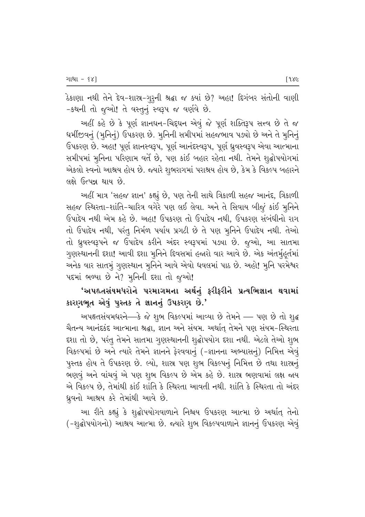ઠેકાણા નથી તેને દેવ-શાસ્ત્ર-ગુરૂની શ્રદ્ધા જ ક્યાં છે? અહા! દિગંબર સંતોની વાણી -કથની તો જુઓ! તે વસ્તુનું સ્વરૂપ જ વર્ણવે છે.

અહીં કહે છે કે પૂર્ણ જ્ઞાનઘન-ચિદ્દઘન એવું જે પૂર્ણ શક્તિરૂપ સત્ત્વ છે તે જ ધર્મીજીવનું (મૂનિનું) ઉપકરણ છે. મૂનિની સમીપમાં સહજભાવ પડ્યો છે અને તે મુનિનું ઉપકરણ છે. અહા! પૂર્ણ જ્ઞાનસ્વરૂપ, પૂર્ણ આનંદસ્વરૂપ, પૂર્ણ ધ્રુવસ્વરૂપ એવા આત્માના સમીપમાં મૂનિના પરિણામ વર્તે છે, પણ કાંઈ બહાર રહેતા નથી. તેમને શૃદ્ધોપયોગમાં એકલો સ્વનો આશ્રય હોય છે. જ્યારે શુભરાગમાં પરાશ્રય હોય છે, કેમ કે વિકલ્પ બહારને લક્ષે ઉત્પન્ન થાય છે.

અહીં માત્ર 'સહજ જ્ઞાન' કહ્યું છે, પણ તેની સાથે ત્રિકાળી સહજ આનંદ, ત્રિકાળી સહજ સ્થિરતા-શાંતિ-ચારિત્ર વગેરે પણ લઈ લેવા. અને તે સિવાય બીજું કાંઈ મુનિને ઉપાદેય નથી એમ કહે છે. અહા! ઉપકરણ તો ઉપાદેય નથી. ઉપકરણ સંબંધીનો રાગ તો ઉપાદેય નથી, પરંતુ નિર્મળ પર્યાય પ્રગટી છે તે પણ મુનિને ઉપાદેય નથી. તેઓ તો ધ્રુવસ્વરૂપને જ ઉપાદેય કરીને અંદર સ્વરૂપમાં પડ્યા છે. જૂઓ, આ સાતમા ગુણસ્થાનની દશા! આવી દશા મૂનિને દિવસમાં હજારો વાર આવે છે. એક અંતર્મહુર્તમાં અનેક વાર સાતમું ગૃણસ્થાન મૃનિને આવે એવો ધવલમાં પાઠ છે. અહો! મૃનિ પરમેશ્વર પદમાં ભળ્યા છે ને? મુનિની દશા તો જુઓ!

'અપહ્તસંયમધરોને પરમાગમના અર્થનું ફરીફરીને પ્રત્યભિજ્ઞાન થવામાં કારણભૂત એવું પુસ્તક તે જ્ઞાનનું ઉપકરણ છે.'

અપહૃતસંયમધરને—કે જે શુભ વિકલ્પમાં આવ્યા છે તેમને — પણ છે તો શુદ્ધ ચૈતન્ય આનંદકંદ આત્માના શ્રદ્ધા, જ્ઞાન અને સંયમ. અર્થાત્ તેમને પણ સંયમ-સ્થિરતા દશા તો છે, પરંતુ તેમને સાતમા ગુણસ્થાનની શુદ્ધોપયોગ દશા નથી. એટલે તેઓ શુભ વિકલ્પમાં છે અને ત્યારે તેમને જ્ઞાનને ફેરવવાનું (-જ્ઞાનના અભ્યાસનું) નિમિત્ત એવું પુસ્તક હોય તે ઉપકરણ છે. લ્યો, શાસ્ર પણ શુભ વિકલ્પનું નિમિત્ત છે તથા શાસ્રનું ભણવું અને વાંચવું એ પણ શુભ વિકલ્પ છે એમ કહે છે. શાસ્ર ભણવામાં લક્ષ જાય એ વિકલ્પ છે, તેમાંથી કાંઈ શાંતિ કે સ્થિરતા આવતી નથી. શાંતિ કે સ્થિરતા તો અંદર ધ્રુવનો આશ્રય કરે તેમાંથી આવે છે.

આ રીતે કહ્યું કે શૃદ્ધોપયોગવાળાને નિશ્ચય ઉપકરણ આત્મા છે અર્થાત્ તેનો (-શુદ્ધોપયોગનો) આશ્રય આત્મા છે. જ્યારે શુભ વિકલ્પવાળાને જ્ઞાનનું ઉપકરણ એવું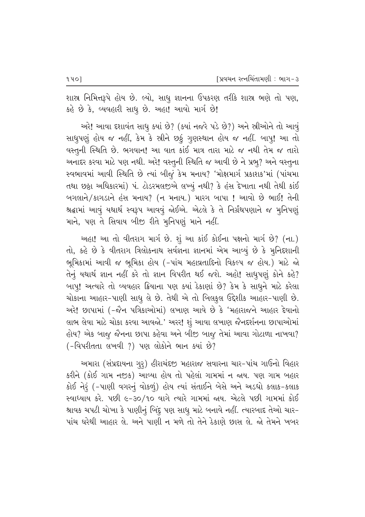શાસ્ર નિમિત્તરૂપે હોય છે. લ્યો, સાધુ જ્ઞાનના ઉપકરણ તરીકે શાસ્ર ભણે તો પણ, કહે છે કે, વ્યવહારી સાધુ છે. અહા! આવો માર્ગ છે!

અરે! આવા દશાવંત સાધુ ક્યાં છે? (ક્યાં નજરે પડે છે?) અને સ્રીઓને તો આવું સાધુપણું હોય જ નહીં, કેમ કે સ્ત્રીને છઠું ગુણસ્થાન હોય જ નહીં. બાપુ! આ તો વસ્તુની સ્થિતિ છે. ભગવાન! આ વાત કાંઈ માત્ર તારા માટે જ નથી તેમ જ તારો અનાદર કરવા માટે પણ નથી. અરે! વસ્તુની સ્થિતિ જ આવી છે ને પ્રભુ? અને વસ્તુના સ્વભાવમાં આવી સ્થિતિ છે ત્યાં બીજું કેમ મનાય? 'મોક્ષમાર્ગ પ્રકાશક'માં (પાંચમા તથા છઠ્ઠા અધિકારમાં) પં. ટોડરમલજીએ લખ્યું નથી? કે હંસ દેખાતા નથી તેથી કાંઈ બગલાને/કાગડાને હંસ મનાય? (ન મનાય.) મારગ બાપા ! આવો છે ભાઈ! તેની શ્રદ્ધામાં આવું યથાર્થ સ્વરૂપ આવવું જોઈએ. એટલે કે તે નિર્ગ્રંથપણાને જ મુનિપણું માને, પણ તે સિવાય બીજી રીતે મૂનિપણું માને નહીં.

અહા! આ તો વીતરાગ માર્ગ છે. શું આ કાંઈ કોઈના પક્ષનો માર્ગ છે? (ના.) તો, કહે છે કે વીતરાગ ત્રિલોકનાથ સર્વજ્ઞના જ્ઞાનમાં એમ આવ્યું છે કે મુનિદશાની ભૂમિકામાં આવી જ ભૂમિકા હોય (-પાંચ મહાવ્રતાદિનો વિકલ્પ જ હોય.) માટે જો તેનું યથાર્થ જ્ઞાન નહીં કરે તો જ્ઞાન વિપરીત થઈ જશે. અહો! સાધુપણું કોને કહે? બાપ! અત્યારે તો વ્યવહાર ક્રિયાના પણ ક્યાં ઠેકાણાં છે? કેમ કે સાધને માટે કરેલા ચોકાના આહાર-પાણી સાધુ લે છે. તેથી એ તો બિલકુલ ઉદ્દેશીક આહાર-પાણી છે. અરે! છાપામાં (-જૈન પત્રિકાઓમાં) લખાણ આવે છે કે 'મહારાજને આહાર દેવાનો લાભ લેવા માટે ચોકા કરવા આવજો.' અરર! શું આવા લખાણ જૈનદર્શનના છાપાઓમાં હોય? એક બાજુ જૈનના છાપા કહેવા અને બીજી બાજુ તેમાં આવા ગોટાળા નાખવા?  $(-$ િવિપરીતતા લખવી ?) પણ લોકોને ભાન ક્યાં છે?

આમારા (સંપ્રદાયના ગુરૂ) હીરાચંદજી મહારાજ સવારના ચાર-પાંચ ગાઉનો વિહાર કરીને (કોઈ ગામ નજીક) આવ્યા હોય તો પહેલાં ગામમાં ન જ્રય. પણ ગામ બહાર કોઈ નેરૂં (-પાણી વગરનું વોકળું) હોય ત્યાં સંતાઈને બેસે અને અડધો કલાક-કલાક સ્વાધ્યાય કરે. પછી ૯-૩૦/૧૦ વાગે ત્યારે ગામમાં જાય. એટલે પછી ગામમાં કોઈ શ્રાવક ચપટી ચોખા કે પાણીનું બિંદુ પણ સાધુ માટે બનાવે નહીં. ત્યારબાદ તેઓ ચાર− <u>પાંચ ઘરેથી આહાર લે. અને પાણી ન મળે તો તેને ઠેકાણે છાસ લે. જો તેમને ખબર</u>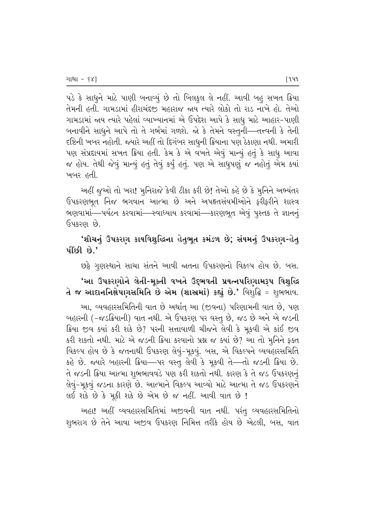પડે કે સાધુને માટે પાણી બનાવ્યું છે તો બિલકુલ લે નહીં. આવી બહુ સખત ક્રિયા તેમની હતી. ગામડામાં હીરાચંદજી મહારાજ જાય ત્યારે લોકો તો રાડ નાખે હો. તેઓ ગામડામાં જાય ત્યારે પહેલાં વ્યાખ્યાનમાં એ ઉપદેશ આપે કે સાધ માટે આહાર-પાણી બનાવીને સાધુને આપે તો તે ગર્ભમાં ગળશે. જો કે તેમને વસ્તુની—તત્ત્વની કે તેની દષ્ટિની ખબર નહોતી. જ્યારે અહીં તો દિગંબર સાધૂની ક્રિયાના પણ ઠેકાણા નથી. અમારી પણ સંપ્રદાયમાં સખત ક્રિયા હતી. કેમ કે એ વખતે એવું માન્યું હતું કે સાધુ આવા જ હોય. તેથી જેવું માન્યું હતું તેવું કર્યું હતું. પણ એ સાધુપણું જ નહોતું એમ ક્યાં ખબર હતી.

અહીં જૂઓ તો ખરા! મુનિરાજે કેવી ટીકા કરી છે! તેઓ કહે છે કે મુનિને અભ્યંતર ઉપકરણભૂત નિજ ભગવાન આત્મા છે અને અપહૃતસંયમીઓને ફરીફરીને શાસ્ત્ર ભણવામાં—પર્યટન કરવામાં—સ્વાધ્યાય કરવામાં—કારણભૂત એવું પુસ્તક તે જ્ઞાનનું ઉપકરણ છે.

## 'શૌચનું ઉપકરણ કાયવિશુદ્ધિના હેતુભૂત કમંડળ છે; સંયમનું ઉપકરણ-હેત<del>્</del>  $\mathbf{u}$  isole  $\mathbf{e}$ .

છઠ્ઠે ગૃણસ્થાને સાચા સંતને આવી જાતના ઉપકરણનો વિકલ્પ હોય છે. બસ.

## 'આ ઉપકરણોને લેતી-મૂક્તી વખતે ઉદ્દભવતી પ્રયત્નપરિણામરૂપ વિશુદ્ધિ તે જ આદાનનિક્ષેપણસમિતિ છે એમ (શાસ્ત્રમાં) કહ્યું છે.' વિશુદ્ધિ = શુભભાવ.

આ, વ્યવહારસમિતિની વાત છે અર્થાત્ આ (જીવના) પરિણામની વાત છે, પણ બહારની (−જડક્રિયાની) વાત નથી. એ ઉપકરણ પર વસ્તૂ છે, જડ છે અને એ જડની ક્રિયા જીવ ક્યાં કરી શકે છે? પરની સત્તાવાળી ચીજને લેવી કે મૂકવી એ કાંઈ જીવ કરી શકતો નથી. માટે એ જડની ક્રિયા કરવાનો પ્રશ્ન જ ક્યાં છે? આ તો મુનિને ફક્ત વિકલ્પ હોય છે કે જતનાથી ઉપકરણ લેવું-મૂકવું. બસ, એ વિકલ્પને વ્યવહારસમિતિ કહે છે. જ્યારે બહારની ક્રિયા—પર વસ્તુ લેવી કે મૂકવી તે—તો જડની ક્રિયા છે. તે જડની ક્રિયા આત્મા શુભભાવવડે પણ કરી શકતો નથી. કારણ કે તે જડ ઉપકરણનું લેવું-મૂકવું જડના કારણે છે. આત્માને વિકલ્પ આવ્યો માટે આત્મા તે જડ ઉપકરણને લઈ શકે છે કે મૂકી શકે છે એમ છે જ નહીં. આવી વાત છે !

અહા! અહીં વ્યવહારસમિતિમાં અજીવની વાત નથી. પરંતુ વ્યવહારસમિતિનો શુભરાગ છે તેને આવા અજીવ ઉપકરણ નિમિત્ત તરીકે હોય છે એટલી, બસ, વાત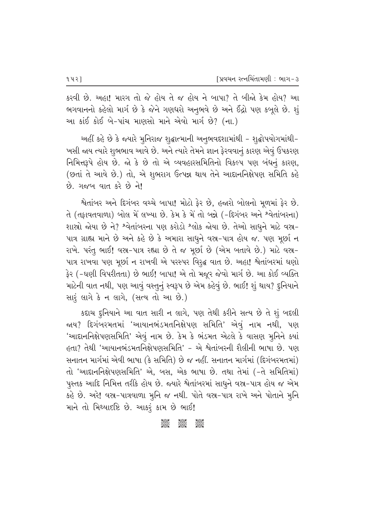કરવી છે. અહા! મારગ તો જે હોય તે જ હોય ને બાપા? તે બીજો કેમ હોય? આ ભગવાનનો કહેલો માર્ગ છે કે જેને ગણધરો અનુભવે છે અને ઈંદ્રો પણ કબૂલે છે. શું આ કાંઈ કોઈ બે-પાંચ માણસો માને એવો માર્ગ છે? (ના.)

અહીં કહે છે કે જ્યારે મુનિરાજ શૃદ્ધાત્માની અનુભવદશામાંથી - શૃદ્ધોપયોગમાંથી-ખસી જાય ત્યારે શુભભાવ આવે છે. અને ત્યારે તેમને જ્ઞાન ફેરવવાનું કારણ એવું ઉપકરણ નિમિત્તરૂપે હોય છે. જો કે છે તો એ વ્યવહારસમિતિનો વિકલ્પ પણ બંધનું કારણ, (છતાં તે આવે છે.) તો, એ શુભરાગ ઉત્પન્ન થાય તેને આદાનનિક્ષેપણ સમિતિ કહે છે. ગજબ વાત કરે છે ને!

શ્વેતાંબર અને દિગંબર વચ્ચે બાપા! મોટો ફેર છે, હજારો બોલનો મૂળમાં ફેર છે. તે (તફાવતવાળા) બોલ મેં લખ્યા છે. કેમ કે મેં તો બન્ને (-દિગંબર અને શ્વેતાંબરના) શાસ્ત્રો જોયા છે ને? શ્વેતાંબરના પણ કરોડો શ્લોક જોયા છે. તેઓ સાધુને માટે વસ્ત્ર-પાત્ર ગ્રાહ્ય માને છે અને કહે છે કે અમારા સાધુને વસ્ત્ર-પાત્ર હોય જ. પણ મૂર્છા ન રાખે. પરંતુ ભાઈ! વસ્ત-પાત્ર રહ્યા છે તે જ મૂર્છા છે (એમ બતાવે છે.) માટે વસ્ત-પાત્ર રાખવા પણ મૂછી ન રાખવી એ પરસ્પર વિરૂદ્ધ વાત છે. અહા! શ્વેતાંબરમાં ઘણો ફેર (-ઘણી વિપરીતતા) છે ભાઈ! બાપા! એ તો મજૂર જેવો માર્ગ છે. આ કોઈ વ્યક્તિ માટેની વાત નથી, પણ આવું વસ્તુનું સ્વરૂપ છે એમ કહેવું છે. ભાઈ! શું થાય? દુનિયાને સારૂં લાગે કે ન લાગે, (સત્ય તો આ છે.)

કદાચ દુનિયાને આ વાત સારી ન લાગે, પણ તેથી કરીને સત્ય છે તે શું બદલી જાય? દિગંબરમતમાં 'આયાનભંડમતનિક્ષેપણ સમિતિ' એવું નામ નથી, પણ 'આદાનનિક્ષેપણસમિતિ' એવું નામ છે. કેમ કે ભંડમત એટલે કે વાસણ મૂનિને ક્યાં હતા? તેથી 'આયાનભંડમતનિક્ષેપણસમિતિ' - એ શ્વેતાંબરની શૈલીની ભાષા છે. પણ સનાતન માર્ગમાં એવી ભાષા (કે સમિતિ) છે જ નહીં. સનાતન માર્ગમાં (દિગંબરમતમાં) તો 'આદાનનિક્ષેપણસમિતિ' એ, બસ, એક ભાષા છે. તથા તેમાં (-તે સમિતિમાં) પુસ્તક આદિ નિમિત્ત તરીકે હોય છે. જ્યારે શ્વેતાંબરમાં સાધુને વસ્ર-પાત્ર હોય જ એમ કહે છે. અરે! વસ્ત્ર-પાત્રવાળા મુનિ જ નથી. પોતે વસ્ત્ર-પાત્ર રાખે અને પોતાને મૂનિ માને તો મિથ્યાદષ્ટિ છે. આકરૂં કામ છે ભાઈ!

#### **Jeep 3885**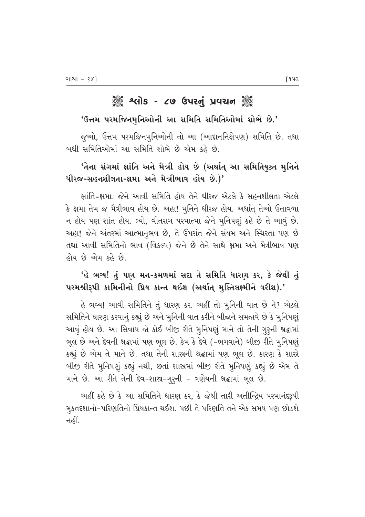# ૈું કે શ્લોક - ૮૭ ઉપરનું પ્રવચન ૅું

#### 'ઉત્તમ પરમજિનમુનિઓની આ સમિતિ સમિતિઓમાં શોભે છે.'

જૂઓ, ઉત્તમ પરમજિનમુનિઓની તો આ (આદાનનિક્ષેપણ) સમિતિ છે. તથા બધી સમિતિઓમાં આ સમિતિ શોભે છે એમ કહે છે.

## 'તેના સંગમાં ક્ષાંતિ અને મૈત્રી હોય છે (અર્થાત્ આ સમિતિયુક્ત મુનિને ધીરજ-સહનશીલતા-ક્ષમા અને મૈત્રીભાવ હોય છે.)'

ક્ષાંતિ=ક્ષમા. જેને આવી સમિતિ હોય તેને ધીરજ એટલે કે સહનશીલતા એટલે કે ક્ષમા તેમ જ મૈત્રીભાવ હોય છે. અહા! મુનિને ધીરજ હોય. અર્થાત્ તેઓ ઉતાવળા ન હોય પણ શાંત હોય. લ્યો, વીતરાગ પરમાત્મા જેને મુનિપણું કહે છે તે આવું છે. અહા! જેને અંતરમાં આત્માનૃભવ છે, તે ઉપરાંત જેને સંયમ અને સ્થિરતા પણ છે તથા આવી સમિતિનો ભાવ (વિકલ્પ) જેને છે તેને સાથે ક્ષમા અને મૈત્રીભાવ પણ હોય છે એમ કહે છે.

## 'હે ભવ્ય! તું પણ મન-કમળમાં સદા તે સમિતિ ધારણ કર, કે જેથી તું પરમશ્રીરૂપી કામિનીનો પ્રિય કાન્ત થઈશ (અર્થાત્ મુક્તિલક્ષ્મીને વરીશ).'

હે ભવ્ય! આવી સમિતિને તું ધારણ કર. અહીં તો મૂનિની વાત છે ને? એટલે સમિતિને ધારણ કરવાનું કહ્યું છે અને મૂનિની વાત કરીને બીજાને સમજાવે છે કે મુનિપણું આવું હોય છે. આ સિવાય જો કોઈ બીજી રીતે મુનિપણું માને તો તેની ગુરુની શ્રદ્ધામાં ભૂલ છે અને દેવની શ્રદ્ધામાં પણ ભૂલ છે. કેમ કે દેવે (-ભગવાને) બીજી રીતે મુનિપણું કહ્યું છે એમ તે માને છે. તથા તેની શાસ્ત્રની શ્રદ્ધામાં પણ ભૂલ છે. કારણ કે શાસ્ત્રે બીજી રીતે મુનિપણું કહ્યું નથી, છતાં શાસ્રમાં બીજી રીતે મુનિપણું કહ્યું છે એમ તે માને છે. આ રીતે તેની દેવ-શાસ્ર-ગુરૂની - ત્રણેયની શ્રદ્ધામાં ભૂલ છે.

અહીં કહે છે કે આ સમિતિને ધારણ કર, કે જેથી તારી અતીન્દ્રિય પરમાનંદરૂપી મુકતદશાનો-પરિણતિનો પ્રિયકાન્ત થઈશ. પછી તે પરિણતિ તને એક સમય પણ છોડશે નહીં.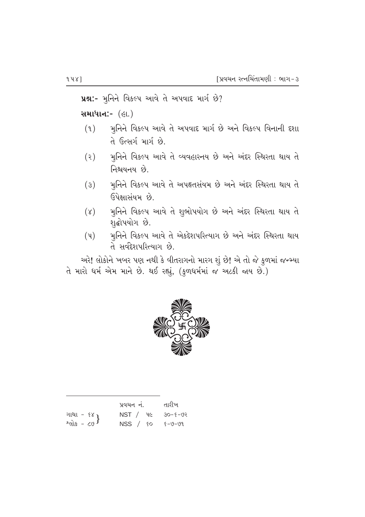ue:- મુનિને વિકલ્પ આવે તે અપવાદ માર્ગ છે?

સમાધાન:- (હા.)

- મુનિને વિકલ્પ આવે તે અપવાદ માર્ગ છે અને વિકલ્પ વિનાની દશા  $(9)$ તે ઉત્સર્ગ માર્ગ છે.
- મુનિને વિકલ્પ આવે તે વ્યવહારનય છે અને અંદર સ્થિરતા થાય તે  $(5)$ નિશ્ચયનય છે.
- મુનિને વિકલ્પ આવે તે અપહૃતસંયમ છે અને અંદર સ્થિરતા થાય તે  $(\mathcal{E})$ ઉપેક્ષાસંયમ છે.
- મુનિને વિકલ્પ આવે તે શુભોપયોગ છે અને અંદર સ્થિરતા થાય તે  $(\lambda)$ શૃદ્ધોપયોગ છે.
- મુનિને વિકલ્પ આવે તે એકદેશપરિત્યાગ છે અને અંદર સ્થિરતા થાય  $(\mathfrak{y})$ તે સર્વદેશપરિત્યાગ છે.

અરે! લોકોને ખબર પણ નથી કે વીતરાગનો મારગ શું છે! એ તો જે કુળમાં જન્મ્યા ते भारो धर्म એમ માને છે. થઈ રહ્યું, (કુળધર્મમાં જ અટકી જાય છે.)



|                             | પ્રવચન નં.                 | તારીખ |
|-----------------------------|----------------------------|-------|
|                             | $NST /$ 4 $6$ 30- $5 - 93$ |       |
| ગાથા - ૬૪ }<br>શ્લોક - ૮૭ } | $NSS / SO 6 - 9 - 99$      |       |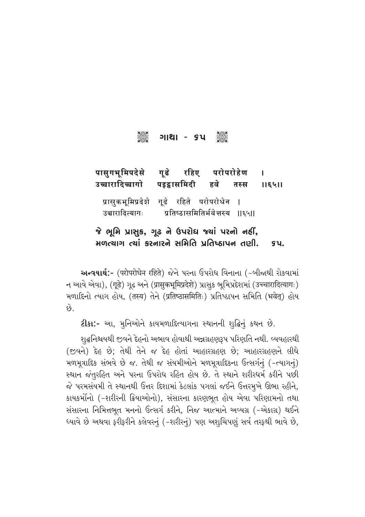# C U⁄z⁄ - 65 C

पासुगभूमिपदेसे गूढे रहिए परोपरोहेण ।<br>उच्चारादिच्चागो पइट्ठासमिदी हवे तस्स । उच्चारादिच्चागो पडद्रासमिदी हवे तस्स ॥६५॥ प्रासुकभूमिप्रदेशे गूढे रहिते परोपरोधेन |<br>उच्चारादित्यागः प्रतिष्ठासमितिर्भवेत्तस्य | प्रतिष्ठासमितिर्भवेत्तस्य ॥६५॥  $\delta$  ભૂમિ પ્રાસુક, ગૂઢ ને ઉપરોધ જ્યાં પરનો નહીં, મળત્યાગ ત્યાં કરનારને સમિતિ પ્રતિષ્ઠાપન તણી. કપ.

આન્વયાર્થ:- (परोपरोधेन रहिते) જેને પરના ઉપરોધ વિનાના (-બીજાથી રોકવામાં न આવે એવા), (गूढे) ગુઢ અને (प्रासुकभूमिप्रदेशे) પ્રાસુક ભૂમિપ્રદેશમાં (उच्चारादित्यागः) भणाहिनो त्याग होय, (तस्य) तेने (प्रतिष्ठासमितिः) प्रतिष्ठापन सभिति (भवेत्) होय  $\hat{\omega}$ .

**ટીકા:-** આ, મુનિઓને કાયમળાદિત્યાગના સ્થાનની શુદ્ધિનું કથન છે.

શ્∉નિશ્ચયથી જીવને દેહનો અભાવ હોવાથી અન્નગ્રહણરૂપ પરિણતિ નથી. વ્યવહારથી  $($ જીવને) દેહ છે; તેથી તેને જ દેહ હોતાં આહારગ્રહણ છે; આહારગ્રહણને લીધે Hળમૂત્રાદિક સંભવે છે જ. તેથી જ સંયમીઓને મળમૂત્રાદિકના ઉત્સર્ગનું (-ત્યાગનું) સ્થાન જંતુરહિત અને પરના ઉપરોધ રહિત હોય છે. તે સ્થાને શરીરધર્મ કરીને પછી જે પરમસંયમી તે સ્થાનથી ઉત્તર દિશામાં કેટલાંક પગલાં જઈને ઉત્તરમૂખે ઊભા રહીને, કાયકર્મોનો (-શરીરની ક્રિયાઓનો), સંસારના કારણભૂત હોય એવા પરિણામનો તથા સંસારના નિમિત્તભૂત મનનો ઉત્સર્ગ કરીને, નિજ આત્માને અવ્યગ્ર (-એકાગ્ર) થઈને ધ્યાવે છે અથવા ફરીફરીને કલેવરનું (-શરીરનું) પણ અશ્¤િયણું સર્વ તરફથી ભાવે છે,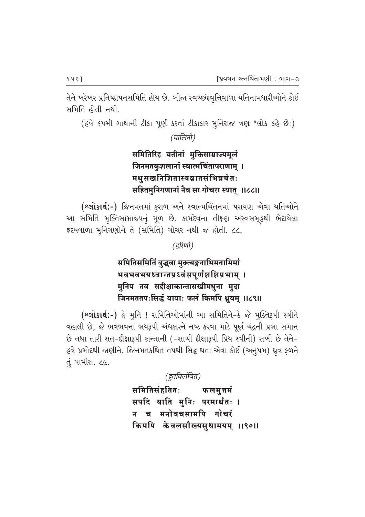તેને ખરેખર પ્રતિષ્ઠાપનસમિતિ હોય છે. બીજા સ્વચ્છંદવૃત્તિવાળા યતિનામધારીઓને કોઈ સમિતિ હોતી નથી.

(હવે ૬૫મી ગાથાની ટીકા પૂર્ણ કરતાં ટીકાકાર મુનિરાજ ત્રણ શ્લોક કહે છે:) (मालिनी)

# समितिरिह यतीनां मुक्तिसाम्राज्यमूलं जिनमतकुशलानां स्वात्मचिंतापराणाम् । मधुसखनिशितास्त्रव्रातसंभिन्नचेतः सहितमुनिगणानां नैव सा गोचरा स्यात् ॥८८॥

(શ્લોકાર્થ:-) જિનમતમાં કુશળ અને સ્વાત્મચિંતનમાં પરાયણ એવા યતિઓને આ સમિતિ મુક્તિસામ્રાજ્યનું મૂળ છે. કામદેવના તીક્ષ્ણ અસ્ત્રસમૂહથી ભેદાયેલા हृदयवाणा भुनिगણोने ते (समिति) गोयर नथी क होती. ८८.

(हरिणी)

# समितिसमितिं बुद्धवा मुक्त्यङ्गनाभिमतामिमां भवभवभयध्वान्तप्रध्वंसपूर्णशशिप्रभाम् । मुनिप तव सद्दीक्षाकान्तासखीमधुना मृदा जिनमततपःसिद्धं यायाः फलं किमपि ध्रुवम् ॥८९॥

(શ્લોકાર્થ:-) હે મુનિ ! સમિતિઓમાંની આ સમિતિને-કે જે મુક્તિરૂપી સ્ત્રીને વહાલી છે, જે ભવભવના ભયરૂપી અંધકારને નષ્ટ કરવા માટે પૂર્ણ ચંદ્રની પ્રભા સમાન છે તથા તારી સત્-દીક્ષારૂપી કાન્તાની (-સાચી દીક્ષારૂપી પ્રિય સ્ત્રીની) સખી છે તેને-હવે પ્રમોદથી જાણીને, જિનમતકથિત તપથી સિદ્ધ થતા એવા કોઈ (અનુપમ) ઘ્રુવ ફળને તું પામીશ. ૮૯.

(द्रुतविलंबित)

समितिसंहतितः फलमुत्तमं सपदि याति मुनिः परमार्थतः । च मनोवचसामपि गोचरं किमपि केवलसौख्यसुधामयम् ॥९०॥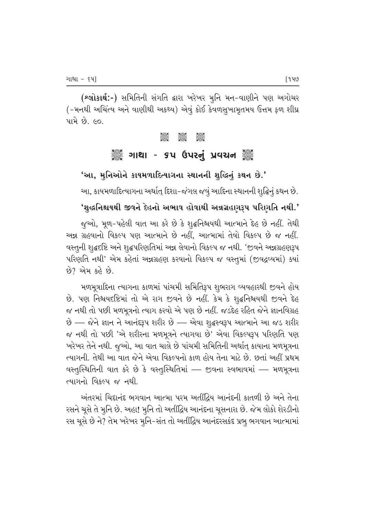(શ્લોકાર્થ:-) સમિતિની સંગતિ દ્વારા ખરેખર મુનિ મન-વાણીને પણ અગોચર (-મનથી અચિંત્ય અને વાણીથી અકથ્ય) એવું કોઈ કેવળસૂખામૃતમય ઉત્તમ ફળ શીઘ્ર પામે છે. ૯૦.

ිසිමිරි<br>පසුඉල

## ૈું ગાથા - ૬૫ ઉપરનું પ્રવચન ૈું ૈ

'આ, મુનિઓને કાયમળાદિત્યાગના સ્થાનની શુદ્ધિનું કથન છે.'

આ, કાયમળાદિત્યાગના અર્થાત્ દિશા-જંગલ જવું આદિના સ્થાનની શુદ્ધિનું કથન છે.

#### 'શુદ્ધનિશ્ચયથી જીવને દેહનો અભાવ હોવાથી અન્નગ્રહણરૂપ પરિણતિ નથી.'

જૂઓ, મૂળ-પહેલી વાત આ કરે છે કે શુદ્ધનિશ્ચયથી આત્માને દેહ છે નહીં. તેથી અન્ન ગ્રહવાનો વિકલ્પ પણ આત્માને છે નહીં. આત્મામાં તેવો વિકલ્પ છે જ નહીં. વસ્તુની શુદ્ધદષ્ટિ અને શુદ્ધપરિણતિમાં અન્ન લેવાનો વિકલ્પ જ નથી. 'જીવને અન્નગ્રહણરૂપ પરિણતિ નથી' એમ કહેતાં અન્નગ્રહણ કરવાનો વિકલ્પ જ વસ્તુમાં (જીવદ્રવ્યમાં) ક્યાં છે? એમ કહે છે.

મળમૂત્રાદિના ત્યાગના કાળમાં પાંચમી સમિતિરૂપ શુભરાગ વ્યવહારથી જીવને હોય છે. પણ નિશ્ચયદષ્ટિમાં તો એ રાગ જીવને છે નહીં. કેમ કે શુદ્ધનિશ્ચયથી જીવને દેહ જ નથી તો પછી મળમૂત્રનો ત્યાગ કરવો એ પણ છે નહીં. જડદેહ રહિત જેને જ્ઞાનવિગ્રહ છે – જેને જ્ઞાન ને આનંદરૂપ શરીર છે – એવા શુદ્ધસ્વરૂપ આત્માને આ જડ શરીર જ નથી તો પછી 'એ શરીરના મળમૂત્રને ત્યાગવા છે' એવા વિકલ્પરૂપ પરિણતિ પણ ખરેખર તેને નથી. જુઓ, આ વાત ચાલે છે પાંચમી સમિતિની અર્થાત્ કાયાના મળમૂત્રના ત્યાગની. તેથી આ વાત જેને એવા વિકલ્પનો કાળ હોય તેના માટે છે. છતાં અહીં પ્રથમ વસ્તુસ્થિતિની વાત કરે છે કે વસ્તુસ્થિતિમાં — જીવના સ્વભાવમાં — મળમૂત્રના ત્યાગનો વિકલ્પ જ નથી.

અંતરમાં ચિદાનંદ ભગવાન આત્મા પરમ અતીંદ્રિય આનંદની કાતળી છે અને તેના રસને ચૂસે તે મુનિ છે. અહા! મુનિ તો અતીંદ્રિય આનંદના ચૂસનારા છે. જેમ લોકો શેરડીનો રસ ચૂસે છે ને? તેમ ખરેખર મુનિ-સંત તો અતીંદ્રિય આનંદરસકંદ પ્રભુ ભગવાન આત્મામાં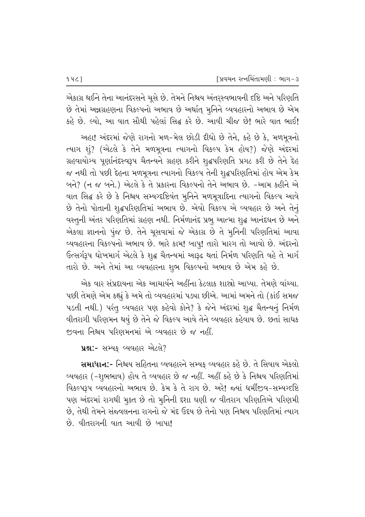એકાગ્ર થઈને તેના આનંદરસને ચૂસે છે. તેમને નિશ્ચય અંતર્**સ્વભાવની દષ્ટિ અને પરિ**ણતિ છે તેમાં અન્નગ્રહણના વિકલ્પનો અભાવ છે અર્થાત્ મુનિને વ્યવહારનો અભાવ છે એમ કહે છે. લ્યો. આ વાત સૌથી પહેલાં સિદ્ધ કરે છે. આવી ચીજ છે! ભારે વાત ભાઈ!

આહા! અંદરમાં જેણે રાગનો મળ-મેલ છોડી દીધો છે તેને, કહે છે કે, મળમૂત્રનો ત્યાગ શું? (એટલે કે તેને મળમૂત્રના ત્યાગનો વિકલ્પ કેમ હોય?) જેણે અંદરમાં ગ્રહવાયોગ્ય પૂર્ણાનંદસ્વરૂપ ચૈતન્યને ગ્રહણ કરીને શૃદ્ધપરિણતિ પ્રગટ કરી છે તેને દેહ જ નથી તો પછી દેહના મળમૂત્રના ત્યાગનો વિકલ્પ તેની શૃદ્ધપરિણતિમાં હોય એમ કેમ બને? (ન જ બને.) એટલે કે તે પ્રકારના વિકલ્પનો તેને અભાવ છે. -આમ કહીને એ વાત સિદ્ધ કરે છે કે નિશ્ચય સમ્યગ્દષ્ટિવંત મુનિને મળમૂત્રાદિના ત્યાગનો વિકલ્પ આવે છે તેનો પોતાની શુદ્ધપરિણતિમાં અભાવ છે. એવો વિકલ્પ એ વ્યવહાર છે અને તેનું વસ્તુની અંતર પરિણતિમાં ગ્રહણ નથી. નિર્મળાનંદ પ્રભૂ આત્મા શુદ્ધ આનંદઘન છે અને એકલા જ્ઞાનનો પુંજ છે. તેને ચૂસવામાં જે એકાગ્ર છે તે મૃનિની પરિણતિમાં આવા વ્યવહારના વિકલ્પનો અભાવ છે. ભારે કામ! બાપુ! તારો મારગ તો આવો છે. અંદરનો ઉત્સર્ગરૂપ ધોખમાર્ગ એટલે કે શુદ્ધ ચૈતન્યમાં આરૂઢ થતાં નિર્મળ પરિણતિ વહે તે માર્ગ તારો છે. અને તેમાં આ વ્યવહારના શુભ વિકલ્પનો અભાવ છે એમ કહે છે.

એક વાર સંપ્રદાયના એક આચાર્યને અહીંના કેટલાક શાસ્રો આપ્યા. તેમણે વાંચ્યા. પછી તેમણે એમ કહ્યું કે અમે તો વ્યવહારમાં પડ્યા છીએ. આમાં અમને તો (કાંઈ સમજ પડતી નથી.) પરંતુ વ્યવહાર પણ કહેવો કોને? કે જેને અંદરમાં શુદ્ધ ચૈતન્યનું નિર્મળ વીતરાગી પરિણમન થયું છે તેને જે વિકલ્પ આવે તેને વ્યવહાર કહેવાય છે. છતાં સાધક જીવના નિશ્ચય પરિણમનમાં એ વ્યવહાર છે જ નહીં.

પ્રશ્ન:- સમ્યક્ વ્યવહાર એટલે?

સમાધાન:- નિશ્ચય સહિતના વ્યવહારને સમ્યક્ વ્યવહાર કહે છે. તે સિવાય એકલો વ્યવહાર (-શુભભાવ) હોય તે વ્યવહાર છે જ નહીં. અહીં કહે છે કે નિશ્ચય પરિણતિમાં fi'Q¶º~t¶~ ¤•'q⁄T–⁄P #«⁄' cflP. QP¶E QP¶ sP T⁄U cflP. #TP! Ï•⁄˜ |E]ª''-Ƶ•§"fik¶ પણ અંદરમાં રાગથી મૂક્ત છે તો મૂનિની દશા ઘણી જ વીતરાગ પરિણતિએ પરિણમી છે, તેથી તેમને સંજ્વલનના રાગનો જે મંદ ઉદય છે તેનો પણ નિશ્રય પરિણતિમાં ત્યાગ  $\dot{\mathcal{B}}$ , વીતરાગની વાત આવી  $\dot{\mathcal{B}}$  બાપા!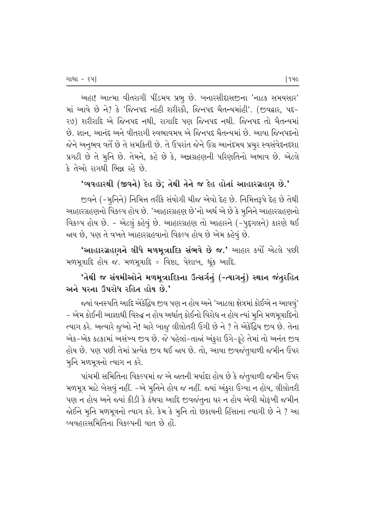અહા! આત્મા વીતરાગી પીંડમય પ્રભુ છે. બનારસીદાસજીના 'નાટક સમયસાર' માં આવે છે ને? કે 'જિનપદ નાંહી શરીરકો, જિનપદ ચૈતન્યમાંહી'. (જીવદ્વાર, પદ-29) શરીરાદિ એ જિનપદ નથી, રાગાદિ પણ જિનપદ નથી. જિનપદ તો ચૈતન્યમાં છે. જ્ઞાન, આનંદ અને વીતરાગી સ્વભાવમય એ જિનપદ ચૈતન્યમાં છે. આવા જિનપદનો જેને અનુભવ વર્તે છે તે સમકિતી છે. તે ઉપરાંત જેને ઉગ્ર આનંદમય પ્રચુર સ્વસંવેદનદશા પ્રગટી છે તે મુનિ છે. તેમને, કહે છે કે, અન્નગ્રહણની પરિણતિનો અભાવ છે. એટલે કે તેઓ રાગથી ભિન્ન રહે છે.

#### $'$ વ્યવહારથી (જીવને) દેહ છે; તેથી તેને જ દેહ હોતાં આહારગ્રહણ છે.'

જીવને (–મુનિને) નિમિત્ત તરીકે સંયોગી ચીજ એવો દેહ છે. નિમિત્તરૂપે દેહ છે તેથી આહારગ્રહણનો વિકલ્પ હોય છે. 'આહારગ્રહણ છે'નો અર્થ એ છે કે મૃનિને આહારગ્રહણનો fasau હોય છે. - એટલું કહેવું છે. આહારગ્રહણ તો આહારને (-પુદૃગલને) કારણે થઈ જાય છે, પણ તે વખતે આહારગ્રહવાનો વિકલ્પ હોય છે એમ કહેવું છે.

'આહારગ્રહણને લીધે મળમૂત્રાદિક સંભવે છે જ.' આહાર કર્યા<sup>ે</sup> એટલે પછી મળમૂત્રાદિ હોય જ. મળમૂત્રાદિ = વિષ્ટા, પેશાબ, થૂંક આદિ.

# 'તેથી જ સંયમીઓને મળમૂત્રાદિકના ઉત્સર્ગનું (-ત્યાગનું) સ્થાન જંતુરહિત અને પરના ઉપરોધ રહિત હોય છે.'

જયાં વનસ્પતિ આદિ એકેંદ્રિય જીવ પણ ન હોય અને 'આટલા ક્ષેત્રમાં કોઈએ ન આવવું' – એમ કોઈની આજ્ઞાથી વિરુદ્ધ ન હોય અર્થાત્ કોઈનો વિરોધ ન હોય ત્યાં મુનિ મળમૂત્રાદિનો ત્યાગ કરે. અત્યારે જૂઓ ને! ચારે બાજૂ લીલોતરી ઉગી છે ને ? તે એકેંદ્રિય જીવ છે. તેના એક-એક કટકામાં અસંખ્ય જીવ છે. જે પહેલાં-તાજાં અંકુરા ઉગે-ફુટે તેમાં તો અનંત જીવ હોય છે. પણ પછી તેમાં પ્રત્યેક જીવ થઈ જાય છે. તો, આવા જીવજંતુવાળી જમીન ઉપર મુનિ મળમૂત્રનો ત્યાગ ન કરે.

\_પાંચમી સમિતિના વિકલ્પમાં જ એ જાતની મર્યાદા હોય છે કે જંતુવાળી જમીન ઉપર મળમૂત્ર માટે બેસવું નહીં. -એ મુનિને હોય જ નહીં. જ્યાં અંકુરા ઉગ્યા ન હોય, લીલોતરી પણ ન હોય અને જ્યાં કીડી કે કંથવા આદિ જીવજંતુના ઘર ન હોય એવી ચોકૃખી જમીન જોઈને મુનિ મળમૂત્રનો ત્યાગ કરે. કેમ કે મુનિ તો છકાયની હિંસાના ત્યાગી છે ને ? આ <u>વ્યવહારસમિતિના વિકલ્પની વાત છે હોં.</u>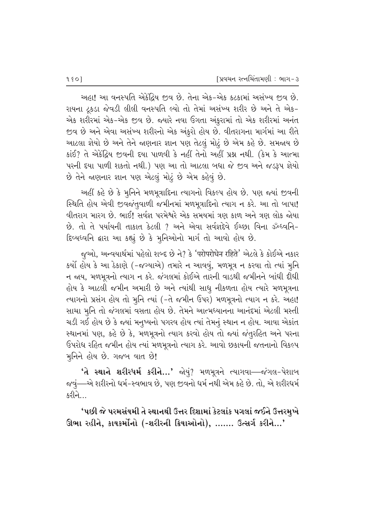<u>અહા! આ વનસ્પતિ એકેંદિય જીવ છે. તેના એક-એક કટકામાં અસંખ્ય જીવ છે.</u> રાયના ટ્રકડા જેવડી લીલી વનસ્પતિ લ્યો તો તેમાં અસંખ્ય શરીર છે અને તે એક-એક શરીરમાં એક-એક જીવ છે. જ્યારે નવા ઉગતા અંકુરામાં તો એક શરીરમાં અનંત જીવ છે અને એવા અસંખ્ય શરીરનો એક અંકુરો હોય છે. વીતરાગના માર્ગમાં આ રીતે આટલા જ્ઞેયો છે અને તેને જાણનાર જ્ઞાન પણ તેટલું મોટું છે એમ કહે છે. સમજાય છે  $s$ iઈ? તે એકેંદ્રિય જીવની દયા પાળવી કે નહીં તેનો અહીં પ્રશ્ન નથી. (કેમ કે આત્મા પરની દયા પાળી શકતો નથી.) પણ આ તો આટલા બધા જે જીવ અને જડરૂપ જ્ઞેયો છે તેને જાણનાર જ્ઞાન પણ એટલું મોટું છે એમ કહેવું છે.

અહીં કહે છે કે મૃનિને મળમૂત્રાદિના ત્યાગનો વિકલ્પ હોય છે. પણ જ્યાં જીવની સ્થિતિ હોય એવી જીવજંતુવાળી જમીનમાં મળમૂત્રાદિનો ત્યાગ ન કરે. આ તો બાપા! વીતરાગ મારગ છે. ભાઈ! સર્વજ્ઞ પરમેશ્વરે એક સમયમાં ત્રણ કાળ અને ત્રણ લોક જોયા છે. તો તે પર્યાયની તાકાત કેટલી ? અને એવા સર્વજ્ઞદેવે ઈચ્છા વિના ૐધ્વનિ-દિવ્યધ્વનિ દ્વારા આ કહ્યું છે કે મુનિઓનો માર્ગ તો આવો હોય છે.

જુઓ, અન્વયાર્થમાં પહેલો શબ્દ છે ને? કે 'परोपरोधेन रहिते' એટલે કે કોઈએ નકાર કર્યો હોય કે આ ઠેકાણે (-જગ્યાએ) તમારે ન આવવું, મળમૂત્ર ન કરવા તો ત્યાં મૃનિ ન જાય, મળમૂત્રનો ત્યાગ ન કરે. જંગલમાં કોઈએ તારની વાડથી જમીનને બાંધી દીધી હોય કે આટલી જમીન અમારી છે અને ત્યાંથી સાધુ નીકળતા હોય ત્યારે મળમૂત્રના ત્યાગનો પ્રસંગ હોય તો મૃનિ ત્યાં (-તે જમીન ઉપર) મળમૂત્રનો ત્યાગ ન કરે. અહા! સાચા મુનિ તો જંગલમાં વસતા હોય છે. તેમને આત્મધ્યાનના આનંદમાં એટલી મસ્તી ચડી ગઈ હોય છે કે જ્યાં મનુષ્યનો પગરવ હોય ત્યાં તેમનું સ્થાન ન હોય. આવા એકાંત સ્થાનમાં પણ, કહે છે કે, મળમૂત્રનો ત્યાગ કરવો હોય તો જ્યાં જંતુરહિત અને પરના ઉપરોધ રહિત જમીન હોય ત્યાં મળમૂત્રનો ત્યાગ કરે. આવો છકાયની જતનાનો વિકલ્પ મુનિને હોય છે. ગજબ વાત છે!

 $'$ તે સ્થાને શરીરધર્મ કરીને…' જોયું? મળમૂત્રને ત્યાગવા—જંગલ-પેશાબ જવું—-એ શરીરનો ધર્મ-સ્વભાવ છે, પણ જીવનો ધર્મ નથી એમ કહે છે. તો, એ શરીરધર્મ  $\mathcal{A}$ રીને $\Box$ 

'પછી જે પરમસંયમી તે સ્થાનથી ઉત્તર દિશામાં કેટલાંક પગલાં જઈને ઉત્તરમુખે ઊભા રહીને, કાયકર્મોનો (-શરીરની ક્રિયાઓનો), ....... ઉત્સર્ગ કરીને...'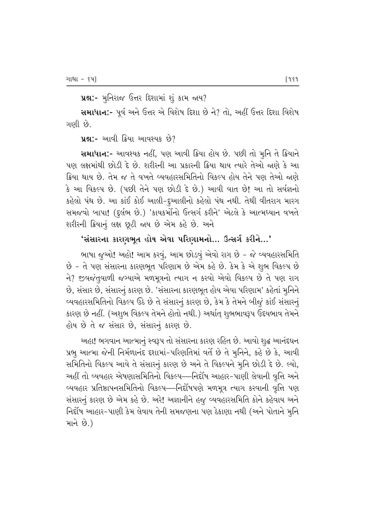પ્રશ્ન:- મુનિરાજ ઉત્તર દિશામાં શું કામ જાય?

સમાધાન:- પૂર્વ અને ઉત્તર એ વિશેષ દિશા છે ને? તો, અહીં ઉત્તર દિશા વિશેષ ગણી છે.

uશ:- આવી ક્રિયા આવશ્યક છે?

સમાધાન:- આવશ્યક નહીં, પણ આવી ક્રિયા હોય છે. પછી તો મૂનિ તે ક્રિયાને પણ લક્ષમાંથી છોડી દે છે. શરીરની આ પ્રકારની ક્રિયા થાય ત્યારે તેઓ જાણે કે આ ક્રિયા થાય છે. તેમ જ તે વખતે વ્યવહારસમિતિનો વિકલ્પ હોય તેને પણ તેઓ જાણે કે આ વિકલ્પ છે. (પછી તેને પણ છોડી દે છે.) આવી વાત છે! આ તો સર્વજ્ઞનો કહેલો પંથ છે. આ કાંઈ કોઈ આલી-દુઆલીનો કહેલો પંથ નથી. તેથી વીતરાગ મારગ સમજવો બાપા! (દુર્લભ છે.) 'કાયકર્મોનો ઉત્સર્ગ કરીને' એટલે કે આત્મધ્યાન વખતે શરીરની ક્રિયાનું લક્ષ છૂટી જાય છે એમ કહે છે. અને

# 'સંસારના કારણભૂત હોય એવા પરિણામનો… ઉત્સર્ગ કરીને…'

ભાષા જુઓ! અહો! આમ કરવું, આમ છોડવું એવો રાગ છે - જે વ્યવહારસમિતિ છે - તે પણ સંસારના કારણભૂત પરિણામ છે એમ કહે છે. કેમ કે એ શુભ વિકલ્પ છે ને? જીવજંતવાળી જગ્યાએ મળમત્રનો ત્યાગ ન કરવો એવો વિકલ્પ છે તે પણ રાગ છે, સંસાર છે, સંસારનું કારણ છે. 'સંસારના કારણભૂત હોય એવા પરિણામ' કહેતાં મુનિને વ્યવહારસમિતિનો વિકલ્પ ઉઠે છે તે સંસારનું કારણ છે, કેમ કે તેમને બીજું કાંઈ સંસારનું કારણ છે નહીં. (અશુભ વિકલ્પ તેમને હોતો નથી.) અર્થાત્ શુભભાવરૂપ ઉદયભાવ તેમને હોય છે તે જ સંસાર છે, સંસારનું કારણ છે.

અહા! ભગવાન આત્માનું સ્વરૂપ તો સંસારના કારણ રહિત છે. આવો શુદ્ધ આનંદઘન પ્રભુ આત્મા જેની નિર્મળાનંદ દશામાં-પરિણતિમાં વર્તે છે તે મુનિને, કહે છે કે, આવી સમિતિનો વિકલ્પ આવે તે સંસારનું કારણ છે અને તે વિકલ્પને મુનિ છોડી દે છે. લ્યો, અહીં તો વ્યવહાર એષણાસમિતિનો વિકલ્પ—નિર્દોષ આહાર-પાણી લેવાની વૃત્તિ અને વ્યવહાર પ્રતિષ્ઠાપનસમિતિનો વિકલ્પ—નિર્દોષપણે મળમૂત્ર ત્યાગ કરવાની વૃત્તિ પણ સંસારનું કારણ છે એમ કહે છે. અરે! અજ્ઞાનીને હજુ વ્યવહારસમિતિ કોને કહેવાય અને નિર્દોષ આહાર-પાણી કેમ લેવાય તેની સમજણના પણ ઠેકાણા નથી (અને પોતાને મુનિ માને છે.)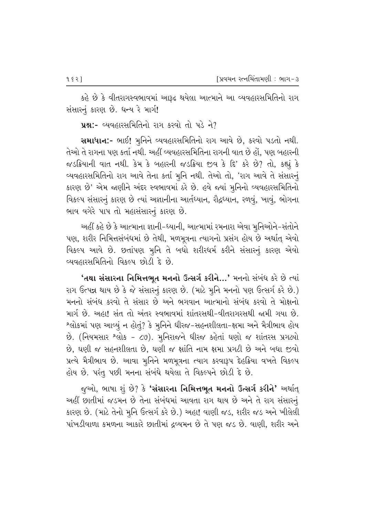કહે છે કે વીતરાગસ્વભાવમાં આરૂઢ થયેલા આત્માને આ વ્યવહારસમિતિનો રાગ સંસારનું કારણ છે. ધન્ય રે માર્ગ!

પ્રશ્ન:- વ્યવહારસમિતિનો રાગ કરવો તો પડે ને?

સમાધાન:- ભાઈ! મુનિને વ્યવહારસમિતિનો રાગ આવે છે, કરવો પડતો નથી. તેઓ તે રાગના પણ કર્તા નથી. અહીં વ્યવહારસમિતિના રાગની વાત છે હોં. પણ બહારની જડક્રિયાની વાત નથી. કેમ કે બહારની જડક્રિયા જીવ કે દિ' કરે છે? તો, કહ્યું કે વ્યવહારસમિતિનો રાગ આવે તેના કર્તા મૂનિ નથી. તેઓ તો, 'રાગ આવે તે સંસારનું કારણ છે' એમ જાણીને અંદર સ્વભાવમાં ઠરે છે. હવે જ્યાં મુનિનો વ્યવહારસમિતિનો વિકલ્પ સંસારનું કારણ છે ત્યાં અજ્ઞાનીના આર્તધ્યાન, રૌદ્રધ્યાન, રળવું, ખાવું, ભોગના ભાવ વગેરે પાપ તો મહાસંસારનું કારણ છે.

અહીં કહે છે કે આત્માના જ્ઞાની-ધ્યાની, આત્મામાં રમનારા એવા મૂનિઓને-સંતોને પણ, શરીર નિમિત્તસંબંધમાં છે તેથી, મળમૂત્રના ત્યાગનો પ્રસંગ હોય છે અર્થાત્ એવો વિકલ્પ આવે છે. છતાંપણ મુનિ તે બધો શરીરધર્મ કરીને સંસારનું કારણ એવો વ્યવહારસમિતિનો વિકલ્પ છોડી દે છે.

**'તથા સંસારના નિમિત્તભૂત મનનો ઉત્સર્ગ કરીને…'** મનનો સંબંધ કરે છે ત્યાં રાગ ઉત્પન્ન થાય છે કે જે સંસારનું કારણ છે. (માટે મૂનિ મનનો પણ ઉત્સર્ગ કરે છે.) મનનો સંબંધ કરવો તે સંસાર છે અને ભગવાન આત્માનો સંબંધ કરવો તે મોક્ષનો માર્ગ છે. અહા! સંત તો અંતર સ્વભાવમાં શાંતરસથી-વીતરાગરસથી જામી ગયા છે. શ્લોકમાં પણ આવ્યું ન હોતું? કે મૂનિને ધીરજ-સહનશીલતા-ક્ષમા અને મૈત્રીભાવ હોય છે. (નિયમસાર શ્લોક - ૮૭). મુનિરાજને ધીરજ કહેતાં ઘણો જ શાંતરસ પ્રગટ્યો છે, ઘણી જ સહનશીલતા છે, ઘણી જ ક્ષાંતિ નામ ક્ષમા પ્રગટી છે અને બધા જીવો પ્રત્યે મૈત્રીભાવ છે. આવા મુનિને મળમૂત્રના ત્યાગ કરવારૂપ દેહક્રિયા વખતે વિકલ્પ હોય છે. પરંતુ પછી મનના સંબંધે થયેલા તે વિકલ્પને છોડી દે છે.

જુઓ, ભાષા શું છે? કે **'સંસારના નિમિત્તભૂત મનનો ઉત્સર્ગ કરીને'** અર્થાત્ અહીં છાતીમાં જડમન છે તેના સંબંધમાં આવતા રાગ થાય છે અને તે રાગ સંસારનું કારણ છે. (માટે તેનો મૂનિ ઉત્સર્ગ કરે છે.) અહા! વાણી જડ, શરીર જડ અને ખીલેલી પાંખડીવાળા કમળના આકારે છાતીમાં દ્રવ્યમન છે તે પણ જડ છે. વાણી, શરીર અને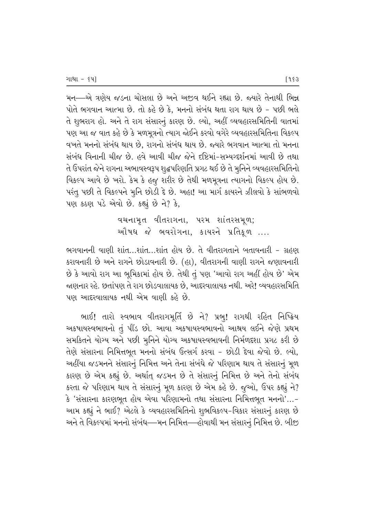મન—એ ત્રણેય જડના ચોસલા છે અને અજીવ થઈને રહ્યા છે. જ્યારે તેનાથી ભિન્ન  $v$ ોતે ભગવાન આત્મા છે. તો કહે છે કે, મનનો સંબંધ થતા રાગ થાય છે – પછી ભલે તે શુભરાગ હો. અને તે રાગ સંસારનું કારણ છે. લ્યો, અહીં વ્યવહારસમિતિની વાતમાં પણ આ જ વાત કહે છે કે મળમુત્રનો ત્યાગ જોઈને કરવો વગેરે વ્યવહારસમિતિના વિકલ્પ 'વખતે મનનો સંબંધ થાય છે. રાગનો સંબંધ થાય છે. જ્યારે ભગવાન આત્મા તો મનના સંબંધ વિનાની ચીજ છે. હવે આવી ચીજ જેને દષ્ટિમાં-સમ્યગ્દર્શનમાં આવી છે તથા તે ઉપરાંત જેને રાગના અભાવસ્વરૂપ શુદ્ધપરિણતિ પ્રગટ થઈ છે તે મુનિને વ્યવહારસમિતિનો વિકલ્પ આવે છે ખરો. કેમ કે હજુ શરીર છે તેથી મળમૂત્રના ત્યાગનો વિકલ્પ હોય છે. પરંતુ પછી તે વિકલ્પને મૂનિ છોડી દે છે. અહા! આ માર્ગ કાયરને ઝીલવો કે સાંભળવો પણ કઠણ પડે એવો છે. કહ્યું છે ને? કે,

> વચનામૃત વીતરાગના, પરમ શાંતરસમૂળ; ઓમધ જે ભવરોગના, કાયરને પ્રતિકુળ  $....$

ભગવાનની વાણી શાંત…શાંત…શાંત હોય છે. તે વીતરાગતાને બતાવનારી - ગ્રહણ કરાવનારી છે અને રાગને છોડાવનારી છે. (હા), વીતરાગની વાણી રાગને જણાવનારી છે કે આવો રાગ આ ભૂમિકામાં હોય છે. તેથી તું પણ 'આવો રાગ અહીં હોય છે' એમ ૂ જણનાર રહે. છતાંપણ તે રાગ છોડવાલાયક છે. આદરવાલાયક નથી. અરે! વ્યવહારસમિતિ <u>પણ આદરવાલાયક નથી એમ વાણી કહે છે.</u>

ભાઈ! તારો સ્વભાવ વીતરાગમૂર્તિ છે ને? પ્રભુ! રાગથી રહિત નિષ્ક્રિય અકષાયસ્વભાવનો તું પીંડ છો. આવા અકષાયસ્વભાવનો આશ્રય લઈને જેણે પ્રથમ સમકિતને યોગ્ય અને પછી મુનિને યોગ્ય અકષાયસ્વભાવની નિર્મળદૃશા પ્રગટ કરી છે તેણે સંસારના નિમિત્તભૂત મનનો સંબંધ ઉત્સર્ગ કરવા - છોડી દેવા જેવો છે. લ્યો, આહીંયા જડમનને સંસારનું નિમિત્ત અને તેના સંબંધે જે પરિણામ થાય તે સંસારનું મૂળ કારણ છે એમ કહ્યું છે. અર્થાત્ જડમન છે તે સંસારનું નિમિત્ત છે અને તેનો સંબંધ કરતા જે પરિણામ થાય તે સંસારનું મૂળ કારણ છે એમ કહે છે. જુઓ, ઉપર કહ્યું ને? કે 'સંસારના કારણભુત હોય એવા પરિણામનો તથા સંસારના નિમિત્તભુત મનનો'...− આમ કહ્યું ને ભાઈ? એટલે કે વ્યવહારસમિતિનો શુભવિકલ્પ-વિકાર સંસારનું કારણ છે અને તે વિકલ્પમાં મનનો સંબંધ—મન નિમિત્ત—હોવાથી મન સંસારનું નિમિત્ત છે. બીજી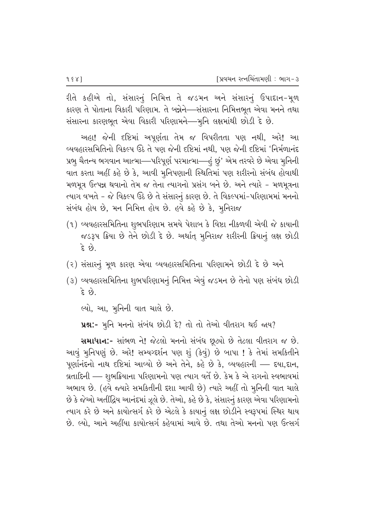રીતે કહીએ તો, સંસારનું નિમિત્ત તે જડમન અને સંસારનું ઉપાદાન-મૂળ કારણ તે પોતાના વિકારી પરિણામ. તે બન્નેને—સંસારના નિમિત્તભૂત એવા મનને તથા સંસારના કારણભૂત એવા વિકારી પરિણામને—મુનિ લક્ષમાંથી છોડી દે છે.

અહા! જેની દષ્ટિમાં અપૂર્ણતા તેમ જ વિપરીતતા પણ નથી, અરે! આ વ્યવહારસમિતિનો વિકલ્પ ઉઠે તે પણ જેની દષ્ટિમાં નથી, પણ જેની દષ્ટિમાં 'નિર્મળાનંદ પ્રભુ ચૈતન્ય ભગવાન આત્મા—પરિપૂર્ણ પરમાત્મા—હં છું' એમ તરવરે છે એવા મુનિની વાત કરતા અહીં કહે છે કે, આવી મુનિપણાની સ્થિતિમાં પણ શરીરનો સંબંધ હોવાથી મળમૂત્ર ઉત્પન્ન થવાનો તેમ જ તેના ત્યાગનો પ્રસંગ બને છે. અને ત્યારે - મળમૂત્રના ત્યાગ વખતે - જે વિકલ્પ ઉઠે છે તે સંસારનું કારણ છે. તે વિકલ્પમાં-પરિણામમાં મનનો સંબંધ હોય છે, મન નિમિત્ત હોય છે. હવે કહે છે કે, મુનિરાજ

- (૧) વ્યવહારસમિતિના શુભપરિણામ સમયે પેશાબ કે વિષ્ટા નીકળવી એવી જે કાયાની જડરૂપ ક્રિયા છે તેને છોડી દે છે. અર્થાત્ મુનિરાજ શરીરની ક્રિયાનું લક્ષ છોડી દે છે.
- (૨) સંસારનું મૂળ કારણ એવા વ્યવહારસમિતિના પરિણામને છોડી દે છે અને
- (૩) વ્યવહારસમિતિના શુભપરિણામનું નિમિત્ત એવું જડમન છે તેનો પણ સંબંધ છોડી ે છે.

લ્યો, આ, મુનિની વાત ચાલે છે.

**પ્રશ્ન:-** મુનિ મનનો સંબંધ છોડી દે? તો તો તેઓ વીતરાગ થઈ જાય?

સમાધાન:- સાંભળ ને! જેટલો મનનો સંબંધ છૂટ્યો છે તેટલા વીતરાગ જ છે. આવું મુનિપણું છે. અરે! સમ્યગ્દર્શન પણ શું (કેવું) છે બાપા ! કે તેમાં સમકિતીને પૂર્ણાનંદનો નાથ દષ્ટિમાં આવ્યો છે અને તેને, કહે છે કે, વ્યવહારની – દયા,દાન, વ્રતાદિની — શુભક્રિયાના પરિણામનો પણ ત્યાગ વર્તે છે. કેમ કે એ રાગનો સ્વભાવમાં અભાવ છે. (હવે જ્યારે સમકિતીની દશા આવી છે) ત્યારે અહીં તો મુનિની વાત ચાલે છે કે જેઓ અતીંદ્રિય આનંદમાં ઝૂલે છે. તેઓ, કહે છે કે, સંસારનું કારણ એવા પરિણામનો ત્યાગ કરે છે અને કાયોત્સર્ગ કરે છે એટલે કે કાયાનું લક્ષ છોડીને સ્વરૂપમાં સ્થિર થાય છે. લ્યો, આને અહીંયા કાયોત્સર્ગ કહેવામાં આવે છે. તથા તેઓ મનનો પણ ઉત્સર્ગ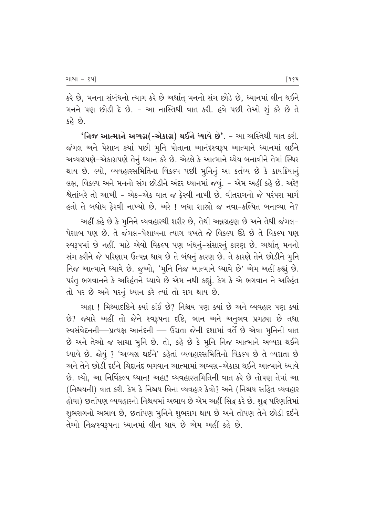કરે છે, મનના સંબંધનો ત્યાગ કરે છે અર્થાત્ મનનો સંગ છોડે છે, ધ્યાનમાં લીન થઈને મનને પણ છોડી દે છે. - આ નાસ્તિથી વાત કરી. હવે પછી તેઓ શું કરે છે તે  $\hat{g}$ 

 $'$ નિજ આત્માને અવ્યગ્ર(-એકાગ્ર) થઈને ધ્યાવે છે'. - આ અસ્તિથી વાત કરી. જંગલ અને પેશાબ કર્યા પછી મુનિ પોતાના આનંદસ્વરૂપ આત્માને ધ્યાનમાં લઈને અવ્યગ્રપણે-એકાગ્રપણે તેનું ધ્યાન કરે છે. એટલે કે આત્માને ધ્યેય બનાવીને તેમાં સ્થિર થાય છે. લ્યો, વ્યવહારસમિતિના વિકલ્પ પછી મૂનિનું આ કર્તવ્ય છે કે કાયક્રિયાન<del>ું</del> લક્ષ, વિકલ્પ અને મનનો સંગ છોડીને અંદર ધ્યાનમાં જવું. - એમ અહીં કહે છે. અરે! શ્વેતાંબરે તો આખી - એક-એક વાત જ ફેરવી નાખી છે. વીતરાગનો જે પરંપરા માર્ગ  $\alpha$ ેલો તે બધોય ફેરવી નાખ્યો છે. અરે ! બધા શાસ્રો જ નવા-કલ્પિત બનાવ્યા ને?

અહીં કહે છે કે મુનિને વ્યવહારથી શરીર છે, તેથી અન્નગ્રહણ છે અને તેથી જંગલ−  $\dot{\theta}$ શાબ પણ છે. તે જંગલ-પેશાબના ત્યાગ વખતે જે વિકલ્પ ઊઠે છે તે વિકલ્પ પણ સ્વરૂપમાં છે નહીં. માટે એવો વિકલ્પ પણ બંધનું-સંસારનું કારણ છે. અર્થાત મનનો સંગ કરીને જે પરિણામ ઉત્પન્ન થાય છે તે બંધનું કારણ છે. તે કારણે તેને છોડીને મૂનિ નિજ આત્માને ધ્યાવે છે. જુઓ, 'મુનિ નિજ આત્માને ધ્યાવે છે' એમ અહીં કહ્યું છે. પરંતુ ભગવાનને કે અરિહંતને ધ્યાવે છે એમ નથી કહ્યું. કેમ કે એ ભગવાન ને અરિહંત તો પર છે અને પરનું ધ્યાન કરે ત્યાં તો રાગ થાય છે.

<u>અહા ! મિથ્યાદષ્ટિને ક્યાં કાંઈ છે? નિશ્ચય પણ ક્યાં છે અને વ્યવહાર પણ ક્યાં</u> છે? જ્યારે અહીં તો જેને સ્વરૂપના દષ્ટિ, ભાન અને અનુભવ પ્રગટ્યા છે તથા સ્વસંવેદનની—પ્રત્યક્ષ આનંદની — ઉગ્રતા જેની દશામાં વર્તે છે એવા મુનિની વાત છે અને તેઓ જ સાચા મુનિ છે. તો, કહે છે કે મુનિ નિજ આત્માને અવ્યગ્ર થઈને ધ્યાવે છે. જોયું ? 'અવ્યગ્ર થઈને' કહેતાં વ્યવહારસમિતિનો વિકલ્પ છે તે વ્યગ્રતા છે અને તેને છોડી દઈને ચિદાનંદ ભગવાન આત્મામાં અવ્યગ્ર–એકાગ્ર થઈને આત્માને ધ્યાવે છે. લ્યો. આ નિર્વિકલ્પ ધ્યાન! અહા! વ્યવહારસમિતિની વાત કરે છે તોપણ તેમાં આ (નિશ્ચયની) વાત કરી. કેમ કે નિશ્ચય વિના વ્યવહાર કેવો? અને (નિશ્ચય સહિત વ્યવહાર હોવા) છતાંપણ વ્યવહારનો નિશ્ચયમાં અભાવ છે એમ અહીં સિદ્ધ કરે છે. શુદ્ધ પરિણતિમાં શુભરાગનો અભાવ છે, છતાંપણ મૂનિને શુભરાગ થાય છે અને તોપણ તેને છોડી દઈને તેઓ નિજસ્વરૂપના ધ્યાનમાં લીન થાય છે એમ અહીં કહે છે.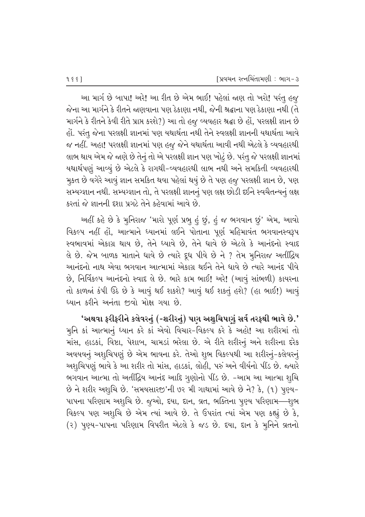આ માર્ગ છે બાપા! અરે! આ રીત છે એમ ભાઈ! પહેલાં જાણ તો ખરો! પરંતુ હજુ  $\gamma$ ના આ માર્ગને કે રીતને જાણવાના પણ ઠેકાણા નથી, જેની શ્રદ્ધાના પણ ઠેકાણા નથી (તે માર્ગને કે રીતને કેવી રીતે પ્રાપ્ત કરશે?) આ તો હજુ વ્યવહાર શ્રદ્ધા છે હોં, પરલક્ષી જ્ઞાન છે હોં. પરંતૂ જેના પરલક્ષી જ્ઞાનમાં પણ યથાર્થતા નથી તેને સ્વલક્ષી જ્ઞાનની યથાર્થતા આવે જ નહીં. અહા! પરલક્ષી જ્ઞાનમાં પણ હજુ જેને યથાર્થતા આવી નથી એટલે કે વ્યવહારથી લાભ થાય એમ જે જાણે છે તેનું તો એ પરલક્ષી જ્ઞાન પણ ખોટું છે. પરંતુ જે પરલક્ષી જ્ઞાનમાં યથાર્થપણું આવ્યું છે એટલે કે રાગથી-વ્યવહારથી લાભ નથી અને સમકિતી વ્યવહારથી મુકત છે વગેરે આવું જ્ઞાન સમકિત થવા પહેલાં થયું છે તે પણ હજુ પરલક્ષી જ્ઞાન છે, પણ સમ્યગ્જ્ઞાન નથી. સમ્યગ્જ્ઞાન તો, તે પરલક્ષી જ્ઞાનનું પણ લક્ષ છોડી દઈને સ્વચૈતન્યનું લક્ષ કરતાં જે જ્ઞાનની દશા પ્રગટે તેને કહેવામાં આવે છે.

અહીં કહે છે કે મુનિરાજ 'મારો પૂર્ણ પ્રભૂ હું છું, હું જ ભગવાન છું' એમ, આવો વિકલ્પ નહીં હોં, આત્માને ધ્યાનમાં લઈને પોતાના પૂર્ણ મહિમાવંત ભગવાનસ્વરૂપ સ્વભાવમાં એકાગ્ર થાય છે, તેને ધ્યાવે છે, તેને ધાવે છે એટલે કે આનંદનો સ્વાદ વે છે. જેમ બાળક માતાને ધાવે છે ત્યારે દૂધ પીવે છે ને ? તેમ મુનિરાજ અતીંદ્રિય આનંદનો નાથ એવા ભગવાન આત્મામાં એકાગ્ર થઈને તેને ધાવે છે ત્યારે આનંદ પીવે છે, નિર્વિકલ્પ આનંદનો સ્વાદ લે છે. ભારે કામ ભાઈ! અરે! (આવું સાંભળી) કાયરના તો કાળજાં કંપી ઉઠે છે કે આવું થઈ શકશે? આવું થઈ શકતું હશે? (હા ભાઈ!) આવું ધ્યાન કરીને અનંતા જીવો મોક્ષ ગયા છે.

'અથવા ફરીફરીને કલેવરનું (-શરીરનું) પણ અશુચિપણું સર્વ તરફથી ભાવે છે.' મુનિ કાં આત્માનું ધ્યાન કરે કાં એવો વિચાર-વિકલ્પ કરે કે અહો! આ શરીરમાં તો માંસ, હાડકાં, વિષ્ટા, પેશાબ, ચામડાં ભરેલા છે. એ રીતે શરીરનું અને શરીરના દરેક અવયવનું અશ્ચિપણું છે એમ ભાવના કરે. તેઓ શુભ વિકલ્પથી આ શરીરનું-કલેવરનું અશ્Ωિયણું ભાવે કે આ શરીર તો માંસ, હાડકાં, લોહી, પરું અને વીર્યનો પીંડ છે. જ્યારે ભગવાન આત્મા તો અતીંદ્રિય આનંદ આદિ ગુણોનો પીંડ છે. -આમ આ આત્મા શુચિ છે ને શરીર અશુચિ છે. 'સમયસારજી'ની ૭૨ મી ગાથામાં આવે છે ને? કે, (૧) પુણ્ય− પાપના પરિણામ અશુચિ છે. જુઓ, દયા, દાન, વ્રત, ભક્તિના પુણ્ય પરિણામ—શુભ વિકલ્પ પણ અશુચિ છે એમ ત્યાં આવે છે. તે ઉપરાંત ત્યાં એમ પણ કહ્યું છે કે, (૨) પૂણ્ય-પાપના પરિણામ વિપરીત એટલે કે જડ છે. દયા, દાન કે મૂનિને વ્રતનો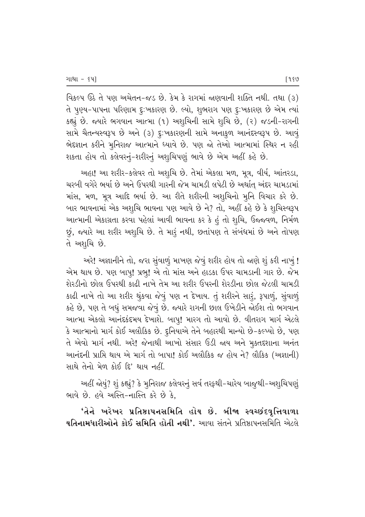વિકલ્પ ઉઠે તે પણ અચેતન-જડ છે. કેમ કે રાગમાં જાણવાની શક્તિ નથી. તથા (૩) તે પૂણ્ય-પાપના પરિણામ દુઃખકારણ છે. લ્યો, શુભરાગ પણ દુઃખકારણ છે એમ ત્યાં કહ્યું છે. જ્યારે ભગવાન આત્મા (૧) અશૃચિની સામે શૃચિ છે, (૨) જડની-રાગની સામે ચૈતન્યસ્વરૂપ છે અને (૩) દુ:ખકારણની સામે અનાકુળ આનંદસ્વરૂપ છે. આવું ભેદજ્ઞાન કરીને મુનિરાજ આત્માને ધ્યાવે છે. પણ જો તેઓ આત્મામાં સ્થિર ન રહી શકતા હોય તો કલેવરનું-શરીરનું અશુચિપણું ભાવે છે એમ અહીં કહે છે.

અહા! આ શરીર-કલેવર તો અશૃચિ છે. તેમાં એકલા મળ, મૂત્ર, વીર્ય, આંતરડા, ચરબી વગેરે ભર્યા છે અને ઉપરથી ગારની જેમ ચામડી લપેટી છે અર્થાત્ અંદર ચામડામાં માંસ, મળ, મૂત્ર આદિ ભર્યા છે. આ રીતે શરીરની અશુચિનો મુનિ વિચાર કરે છે. બાર ભાવનામાં એક અશુચિ ભાવના પણ આવે છે ને? તો, અહીં કહે છે કે શુચિસ્વરૂપ આત્માની એકાગ્રતા કરવા પહેલાં આવી ભાવના કર કે હું તો શૂચિ, ઉજ્જવળ, નિર્મળ છું, જ્યારે આ શરીર અશૃચિ છે. તે મારૃં નથી, છતાંપણ તે સંબંધમાં છે અને તોપણ તે અશૃચિ છે.

અરે! અજ્ઞાનીને તો, જરા સુંવાળું માખણ જેવું શરીર હોય તો જાણે શું કરી નાખું ! એમ થાય છે. પણ બાપુ! પ્રભુ! એ તો માંસ અને હાડકા ઉપર ચામડાની ગાર છે. જેમ શેરડીનો છોલ ઉપરથી કાઢી નાખે તેમ આ શરીર ઉપરની શેરડીના છોલ જેટલી ચામડી કાઢી નાખે તો આ શરીર થુંકવા જેવું પણ ન દેખાય. તું શરીરને સારૂં, રૂપાળું, સુંવાળું કહે છે, પણ તે બધું સમજવા જેવું છે. જ્યારે રાગની છાલ ઉખેડીને જોઈશ તો ભગવાન આત્મા એકલો આનંદકંદમય દેખાશે. બાપુ! મારગ તો આવો છે. વીતરાગ માર્ગ એટલે કે આત્માનો માર્ગ કોઈ અલૌકિક છે. દુનિયાએ તેને બહારથી માન્યો છે-કલ્પ્યો છે, પણ તે એવો માર્ગ નથી. અરે! જેનાથી આખો સંસાર ઉડી જાય અને મુક્તદશાના અનંત આનંદની પ્રાપ્તિ થાય એ માર્ગ તો બાપા! કોઈ અલૌકિક જ હોય ને? લૌકિક (અજ્ઞાની) સાથે તેનો મેળ કોઈ દિ' થાય નહીં.

અહીં જોયું? શું કહ્યું? કે મુનિરાજ કલેવરનું સર્વ તરફથી-ચારેય બાજુથી-અશુચિપણું ભાવે છે. હવે અસ્તિ-નાસ્તિ કરે છે કે.

'તેને ખરેખર પ્રતિષ્ઠાપનસમિતિ હોય છે. બીજા સ્વચ્છંદવૃત્તિવાળા યતિનામધારીઓને કોઈ સમિતિ હોતી નથી'. આવા સંતને પ્રતિષ્ઠાપનસમિતિ એટલે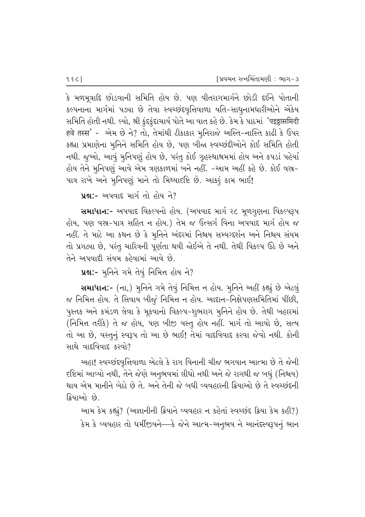કે મળમૂત્રાદિ છોડવાની સમિતિ હોય છે. પણ વીતરાગમાર્ગને છોડી દઈને પોતાની કલ્પનાના માર્ગમાં પઙ્યા છે તેવા સ્વચ્છંદવૃત્તિવાળા યતિ-સાધુનામધારીઓને એકેય સમિતિ હોતી નથી. લ્યો, શ્રી કુંદકુંદાચાર્ય પોતે આ વાત કહે છે. કેમ કે પાઠમાં *'*पइठ्ठासमिदी हवे तस्स' - એમ છે ને? તો, તેમાંથી ટીકાકાર મુનિરાજે અસ્તિ-નાસ્તિ કાઢી કે ઉપર કહ્યા પ્રમાણેના મૃનિને સમિતિ હોય છે, પણ બીજ્ઞ સ્વચ્છંદીઓને કોઈ સમિતિ હોતી નથી. જુઓ, આવું મુનિપણું હોય છે, પરંતુ કોઈ ગૃહસ્થાશ્રમમાં હોય અને કપડાં પહેર્યા હોય તેને મૂનિપણું આવે એમ ત્રણકાળમાં બને નહીં. -આમ અહીં કહે છે. કોઈ વસ્ત્ર-પાત્ર રાખે અને મુનિપણું માને તો મિથ્યાદષ્ટિ છે. આકરું કામ ભાઈ!

 $\mu$ શ્ન:- અપવાદ માર્ગ તો હોય ને?

સમાધાન:- અપવાદ વિકલ્પનો હોય. (અપવાદ માર્ગ ૨૮ મૂળગૃણના વિકલ્પરૂપ હોય, પણ વસ્ર-પાત્ર સહિત ન હોય.) તેમ જ ઉત્સર્ગ વિના અપવાદ માર્ગ હોય જ નહીં. તે માટે આ કથન છે કે મૂનિને અંદરમાં નિશ્રય સમ્યગ્દર્શન અને નિશ્ચય સંયમ તો પ્રગટ્યા છે, પરંતુ ચારિત્રની પૂર્ણતા થવી જોઈએ તે નથી. તેથી વિકલ્પ ઉઠે છે અને તેને અપવાદી સંયમ કહેવામાં આવે છે.

પ્રશ:- મૂનિને ગમે તેવું નિમિત્ત હોય ને?

સમાધાન:- (ના,) મુનિને ગમે તેવું નિમિત્ત ન હોય. મુનિને અહીં કહ્યું છે એટલું જ નિમિત્ત હોય. તે સિવાય બીજૂં નિમિત્ત ન હોય. આદાન-નિક્ષેપણસમિતિમાં પીંછી, પુસ્તક અને કમંડળ લેવા કે મૂકવાનો વિકલ્પ-શુભરાગ મુનિને હોય છે. તેથી બહારમાં (નિમિત્ત તરીકે) તે જ હોય, પણ બીજી વસ્તુ હોય નહીં. માર્ગ તો આવો છે, સત્ય તો આ છે, વસ્તુનું સ્વરૂપ તો આ છે ભાઈ! તેમાં વાદવિવાદ કરવા જેવો નથી. કોની સાથે વાદવિવાદ કરવો $\overline{?}$ 

અહા! સ્વચ્છંદવૃત્તિવાળા એટલે કે રાગ વિનાની ચીજ ભગવાન આત્મા છે તે જેની દષ્ટિમાં આવ્યો નથી, તેને જેણે અનુભવમાં લીધો નથી અને જે રાગથી જ બધું (નિશ્ચય) થાય એમ માનીને બેઠો છે તે. અને તેની જે બધી વ્યવહારની ક્રિયાઓ છે તે સ્વચ્છંદની ક્રિયાઓ છે.

આમ કેમ કહ્યું? (અજ્ઞાનીની ક્રિયાને વ્યવહાર ન કહેતાં સ્વચ્છંદ ક્રિયા કેમ કહી?) કેમ કે વ્યવહાર તો ધર્મીજીવને—કે જેને આત્મ-અનુભવ ને આનંદસ્વરૂપનું ભાન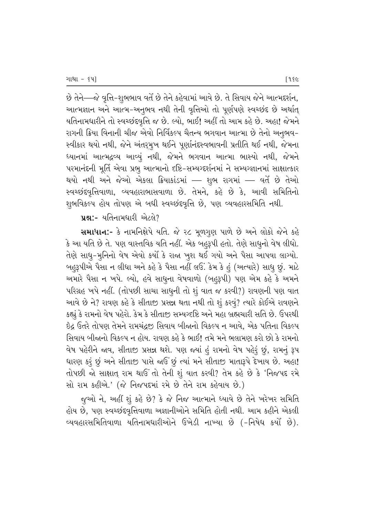છે તેને—જે વૃત્તિ-શુભભાવ વર્તે છે તેને કહેવામાં આવે છે. તે સિવાય જેને આત્મદર્શન, આત્મજ્ઞાન અને આત્મ-અનુભવ નથી તેની વૃત્તિઓ તો પૂર્ણપણે સ્વચ્છંદ છે અર્થાત્ યતિનામધારીને તો સ્વચ્છંદવૃત્તિ જ છે. લ્યો, ભાઈ! અહીં તો આમ કહે છે. અહા! જેમને રાગની ક્રિયા વિનાની ચીજ એવો નિર્વિકલ્પ ચૈતન્ય ભગવાન આત્મા છે તેનો અનુભવ− સ્વીકાર થયો નથી, જેને અંતરૂમૂખ થઈને પૂર્ણાનંદસ્વભાવની પ્રતીતિ થઈ નથી, જેમના ધ્યાનમાં આત્મદ્રવ્ય આવ્યું નથી, જેમને ભગવાન આત્મા ભાસ્યો નથી, જેમને પરમાનંદની મૂર્તિ એવા પ્રભૂ આત્માનો દષ્ટિ–સમ્યગ્દર્શનમાં ને સમ્યગ્જ્ઞાનમાં સાક્ષાત્કાર થયો નથી અને જેઓ એકલા ક્રિયાકાંડમાં — શુભ રાગમાં — વર્તે છે તેઓ સ્વચ્છંદવૃત્તિવાળા, વ્યવહારાભાસવાળા છે. તેમને, કહે છે કે, આવી સમિતિનો શુભવિકલ્પ હોય તોપણ એ બધી સ્વચ્છંદવૃત્તિ છે, પણ વ્યવહારસમિતિ નથી.

પ્ર**શ્ન:**- યતિનામધારી એટલે?

Rullel:- કે નામનિક્ષેપે યતિ. જે ૨૮ મૂળગુણ પાળે છે અને લોકો જેને કહે કે આ યતિ છે તે. પણ વાસ્તવિક યતિ નહીં. એક બહુરૂપી હતો. તેણે સાધુનો વેષ લીધો. તેણે સાધુ-મુનિનો વેષ એવો કર્યો કે રાજા ખુશ થઈ ગયો અને પૈસા આપવા લાગ્યો. બહુરૂપીએ પૈસા ન લીધા અને કહે કે પૈસા નહીં લઉં. કેમ કે હું (અત્યારે) સાધુ છું. માટે અમારે પૈસા ન ખપે. લ્યો, હવે સાધુના વેષવાળો (બહુરૂપી) પણ એમ કહે કે અમને પરિગ્રહ ખપે નહીં. (તોપછી સાચા સાધુની તો શું વાત જ કરવી?) રાવણની પણ વાત <u>આવે છે ને? રાવણ કહે કે સીતાજી પ્રસન્ન થતા નથી તો શું કરવું? ત્યારે કોઈએ રાવણને</u> કહ્યું કે રામનો વેષ પહેરો. કેમ કે સીતાજી સમ્યગ્દષ્ટિ અને મહા બ્રહ્મચારી સતિ છે. ઉપરથી <u>ઇે</u>ઢ ઉતરે તોપણ તેમને રામચંઢજ઼ સિવાય બીજાનો વિકલ્પ ન આવે. એક પતિના વિકલ્પ સિવાય બીજાનો વિકલ્પ ન હોય. રાવણ કહે કે ભાઈ! તમે મને ભલામણ કરો છો કે રામનો વેષ પહેરીને જાવ, સીતાજી પ્રસન્ન થશે. પણ જ્યાં હું રામનો વેષ પહેરૂં છું, રામનું રૂપ ધારણ કરૂં છું અને સીતાજી પાસે જઈ છું ત્યાં મને સીતાજી માતારૂપે દેખાય છે. અહા! તોપછી જો સાક્ષાત રામ થાઉં તો તેની શું વાત કરવી? તેમ કહે છે કે 'નિજપદ રમે સો રામ કહીએ.' (જે નિજપદમાં રમે છે તેને રામ કહેવાય છે.)

જુઓ ને, અહીં શું કહે છે? કે જે નિજ આત્માને ધ્યાવે છે તેને ખરેખર સમિતિ હોય છે, પણ સ્વચ્છંદવૃત્તિવાળા અજ્ઞાનીઓને સમિતિ હોતી નથી. આમ કહીને એકલી વ્યવહારસમિતિવાળા યતિનામધારીઓને ઉખેડી નાખ્યા છે (-નિષેધ કર્યો છે).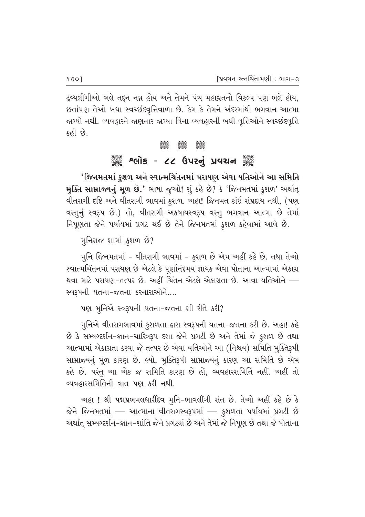દ્રવ્યલીંગીઓ ભલે તદ્દન નગ્ન હોય અને તેમને પંચ મહાવ્રતનો વિકલ્પ પણ ભલે હોય, છતાંપણ તેઓ બધા સ્વચ્છંદવૃત્તિવાળા છે. કેમ કે તેમને અંદરમાંથી ભગવાન આત્મા જાગ્યો નથી. વ્યવહારને જાણનાર જાગ્યા વિના વ્યવહારની બધી વૃત્તિઓને સ્વચ્છંદવૃત્તિ કહી છે.

#### **ී**ශාර්<br>පියල් ප්රමා

# ૺૺૺૺૺૺૺૺૺૺ*૱*લોક - ૮૮ ઉપરનું પ્રવચન ૺૺૺૺૺ

'જિનમતમાં કુશળ અને સ્વાત્મચિંતનમાં પરાયણ એવા યતિઓને આ સમિતિ મુક્તિ સામ્રાજ્યનું મૂળ છે.' ભાષા જુઓ! શું કહે છે? કે 'જિનમતમાં કુશળ' અર્થાત્ વીતરાગી દષ્ટિ અને વીતરાગી ભાવમાં કુશળ. અહા! જિનમત કાંઈ સંપ્રદાય નથી, (પણ વસ્તુનું સ્વરૂપ છે.) તો, વીતરાગી-અકષાયસ્વરૂપ વસ્તુ ભગવાન આત્મા છે તેમાં નિપૂણતા જેને પર્યાયમાં પ્રગટ થઈ છે તેને જિનમતમાં કુશળ કહેવામાં આવે છે.

મુનિરાજ શામાં કુશળ છે?

મુનિ જિનમતમાં - વીતરાગી ભાવમાં - કુશળ છે એમ અહીં કહે છે. તથા તેઓ સ્વાત્મચિંતનમાં પરાયણ છે એટલે કે પૂર્ણાનંદમય જ્ઞાયક એવા પોતાના આત્મામાં એકાગ્ર થવા માટે પરાયણ-તત્પર છે. અહીં ચિંતન એટલે એકાગ્રતા છે. આવા યતિઓને — સ્વરૂપની યતના-જતના કરનારાઓને....

પણ મુનિએ સ્વરૂપની યતના-જતના શી રીતે કરી?

મુનિએ વીતરાગભાવમાં કુશળતા દ્વારા સ્વરૂપની યતના-જતના કરી છે. અહા! કહે છે કે સમ્યગ્દર્શન-જ્ઞાન-ચારિત્રરૂપ દશા જેને પ્રગટી છે અને તેમાં જે કુશળ છે તથા આત્મામાં એકાગ્રતા કરવા જે તત્પર છે એવા યતિઓને આ (નિશ્ચય) સમિતિ મૂક્તિરૂપી સામ્રાજ્યનું મૂળ કારણ છે. લ્યો, મુક્તિરૂપી સામ્રાજ્યનું કારણ આ સમિતિ છે એમ કહે છે. પરંતુ આ એક જ સમિતિ કારણ છે હોં, વ્યવહારસમિતિ નહીં. અહીં તો વ્યવહારસમિતિની વાત પણ કરી નથી.

અહા! શ્રી પદ્મપ્રભમલધારીદેવ મુનિ-ભાવલીંગી સંત છે. તેઓ અહીં કહે છે કે જેને જિનમતમાં — આત્માના વીતરાગસ્વરૂપમાં — કુશળતા પર્યાયમાં પ્રગટી છે અર્થાત્ સમ્યગ્દર્શન-જ્ઞાન-શાંતિ જેને પ્રગટ્યાં છે અને તેમાં જે નિપૂણ છે તથા જે પોતાના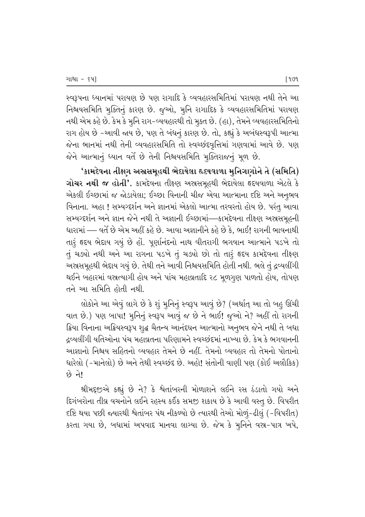સ્વરૂપના ધ્યાનમાં પરાયણ છે પણ રાગાદિ કે વ્યવહારસમિતિમાં પરાયણ નથી તેને આ નિશ્ચયસમિતિ મૂક્તિનું કારણ છે. જુઓ, મુનિ રાગાદિક કે વ્યવહારસમિતિમાં પરાયણ નથી એમ કહે છે. કેમ કે મુનિ રાગ-વ્યવહારથી તો મુક્ત છે. (હા), તેમને વ્યવહારસમિતિનો રાગ હોય છે -આવી જાય છે, પણ તે બંધનું કારણ છે. તો, કહ્યું કે અબંધસ્વરૂપી આત્મા જેના ભાનમાં નથી તેની વ્યવહારસમિતિ તો સ્વચ્છંદવૃત્તિમાં ગણવામાં આવે છે. પણ જેને આત્માનું ધ્યાન વર્તે છે તેની નિશ્ચયસમિતિ મુક્તિરાજનું મૂળ છે.

'કામદેવના તીક્ષ્ગ અસ્રસમૂહથી ભેદાયેલા હૃદયવાળા મુનિગણોને તે (સમિતિ) ગોચર નથી જ હોતી'. કામદેવના તીકરણ અસ્તરમૂહથી ભેદાયેલા હૃદયવાળા એટલે કે એકલી ઈચ્છામાં જ જોડાયેલા; ઈચ્છા વિનાની ચીજ એવા આત્માના દષ્ટિ અને અનુભવ વિનાના. અહા ! સમ્યગ્દર્શન અને જ્ઞાનમાં એકલો આત્મા તરવરતો હોય છે. પરંતુ આવા સમ્યગ્દર્શન અને જ્ઞાન જેને નથી તે અજ્ઞાની ઈચ્છામાં—કામદેવના તીકૃણ અસ્રસમૂહની ધારામાં — વર્તે છે એમ અહીં કહે છે. આવા અજ્ઞાનીને કહે છે કે, ભાઈ! રાગની ભાવનાથી તારૂં હૃદય ભેદાય ગયું છે હોં. પૂર્ણાનંદનો નાથ વીતરાગી ભગવાન આત્માને પડખે તો તું ચડ્યો નથી અને આ રાગના પડખે તું ચડ્યો છો તો તારું હૃદય કામદેવના તીક્ષ્ણ અસ્ત્રસમૂહથી ભેદાય ગયું છે. તેથી તને આવી નિશ્ચયસમિતિ હોતી નથી. ભલે તું દ્રવ્યલીંગી થઈને બહારમાં વસ્તત્યાગી હોય અને પાંચ મહાવ્રતાદિ ૨૮ મૂળગુણ પાળતો હોય, તોપણ તને આ સમિતિ હોતી નથી.

લોકોને આ એવું લાગે છે કે શું મુનિનું સ્વરૂપ આવું છે? (અર્થાત્ આ તો બહુ ઊંચી વાત છે.) પણ બાપા! મુનિનું સ્વરૂપ આવું જ છે ને ભાઈ! જૂઓ ને? અહીં તો રાગની ક્રિયા વિનાના અક્રિયસ્વરૂપ શુદ્ધ ચૈતન્ય આનંદઘન આત્માનો અનુભવ જેને નથી તે બધા દ્રવ્યલીંગી યતિઓના પંચ મહાવ્રતના પરિણામને સ્વચ્છંદમાં નાખ્યા છે. કેમ કે ભગવાનની આજ્ઞાનો નિશ્ચય સહિતનો વ્યવહાર તેમને છે નહીં. તેમનો વ્યવહાર તો તેમનો પોતાનો ધારેલો (-માનેલો) છે અને તેથી સ્વચ્છંદ છે. અહો! સંતોની વાણી પણ (કોઈ અલૌકિક) छे ने।

શ્રીમદ્દજીએ કહ્યું છે ને? કે શ્વેતાંબરની મોળાશને લઈને રસ ઠંડાતો ગયો અને દિગંબરોના તીવ્ર વચનોને લઈને રહસ્ય કઈંક સમજી શકાય છે કે આવી વસ્તુ છે. વિપરીત દષ્ટિ થયા પછી જ્યારથી શ્વેતાંબર પંથ નીકળ્યો છે ત્યારથી તેઓ મોળું-ઢીલું (-વિપરીત) કરતા ગયા છે, બધામાં અપવાદ માનવા લાગ્યા છે. જેમ કે મૂનિને વસ્ત-પાત્ર ખપે,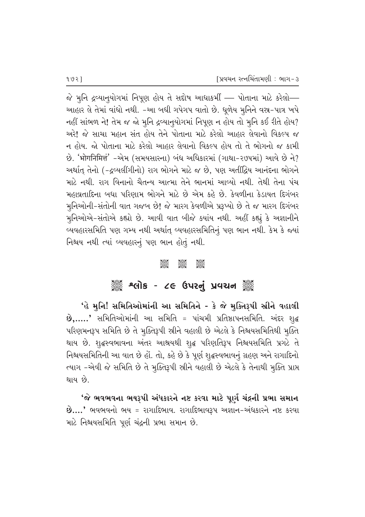$\delta$ ે મુનિ દ્રવ્યાનુયોગમાં નિપૂણ હોય તે સદ્દોષ આધાકર્મી — પોતાના માટે કરેલો— આહાર લે તેમાં વાંધો નથી. -આ બધી ગપેગપ વાતો છે. ધૂળેય મૃનિને વસ્ર-પાત્ર ખપે નહીં સાંભળ ને! તેમ જ જો મુનિ દ્રવ્યાનુયોગમાં નિપૂણ ન હોય તો મુનિ કઈ રીતે હોય? અરે! જે સાચા મહાન સંત હોય તેને પોતાના માટે કરેલો આહાર લેવાનો વિકલ્પ જ ન હોય. જો પોતાના માટે કરેલો આહાર લેવાનો વિકલ્પ હોય તો તે ભોગનો જ કામી છે. 'भोगनिमित्तं' -એમ (સમયસારના) બંધ અધિકારમાં (ગાથા-૨૭૫માં) આવે છે ને? અર્થાત્ તેનો (-દ્રવ્યલીંગીનો) રાગ ભોગને માટે જ છે, પણ અતીંદ્રિય આનંદના ભોગને માટે નથી. રાગ વિનાનો ચૈતન્ય આત્મા તેને ભાનમાં આવ્યો નથી. તેથી તેના પંચ <u>મહાવ્રતાદિના બધા પરિણામ ભોગને માટે છે એમ કહે છે. કેવળીના કેડાયત દિગંબર</u> મુનિઓની-સંતોની વાત ગજબ છે! જે મારગ કેવળીએ પ્રરૂપ્યો છે તે જ મારગ દિગંબર મુનિઓએ-સંતોએ કહ્યો છે. આવી વાત બીજે ક્યાંય નથી. અહીં કહ્યું કે અજ્ઞાનીને વ્યવહારસમિતિ પણ ગમ્ય નથી અર્થાત્ વ્યવહારસમિતિનું પણ ભાન નથી. કેમ કે જ્યાં નિશ્ચય નથી ત્યાં વ્યવહારનું પણ ભાન હોતું નથી.

#### $\frac{1}{\sqrt{2}}$

# ે અલોક - ૮૯ ઉપરનું પ્રવચન ૅુ

 $'$ હે મુનિ! સમિતિઓમાંની આ સમિતિને - કે જે મુક્તિરૂપી સ્રીને વહાલી  $\dot{\mathbf{B}},\dots$ ,' સમિતિઓમાંની આ સમિતિ = પાંચમી પ્રતિષ્ઠાપનસમિતિ. અંદર શૃદ્ધ પરિણમનરૂપ સમિતિ છે તે મુક્તિરૂપી સ્રીને વહાલી છે એટલે કે નિશ્ચયસમિતિથી <u>મુ</u>ક્તિ થાય છે. શૃદ્ધસ્વભાવના અંતર આશ્રયથી શૃદ્ધ પરિણતિરૂપ નિશ્ચયસમિતિ પ્રગટે તે નિશ્ચયસમિતિની આ વાત છે હોં. તો, કહે છે કે પૂર્ણ શુદ્ધસ્વભાવનું ગ્રહણ અને રાગાદિનો ત્યાગ -એવી જે સમિતિ છે તે મૂક્તિરૂપી સ્રીને વહાલી છે એટલે કે તેનાથી મૂક્તિ પ્રાપ્ત થાય છે.

'જે ભવભવના ભયરૂપી અંધકારને નષ્ટ કરવા માટે પૂર્ણ ચંદ્રની પ્રભા સમાન  $\dot{\mathbf{B}}....'$  ભવભવનો ભય = રાગાદિભાવ. રાગાદિભાવરૂપ અજ્ઞાન-અંધકારને નષ્ટ કરવા માટે નિશ્ચયસમિતિ પૂર્ણ ચંદ્રની પ્રભા સમાન છે.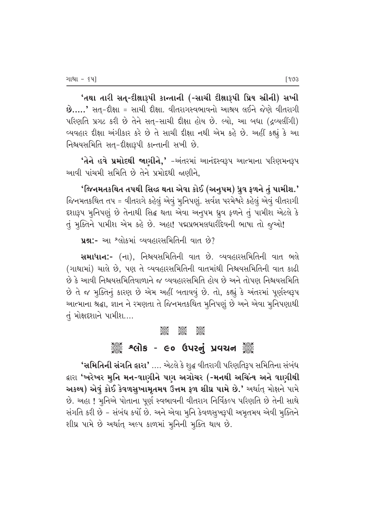'તથા તારી સત્-દીક્ષારૂપી કાન્તાની (-સાચી દીક્ષારૂપી પ્રિય સ્રીની) સખી  $\dot{\mathbf{B}}$ .....' સત્-દીક્ષા = સાચી દીક્ષા. વીતરાગસ્વભાવનો આશ્રય લઈને જેણે વીતરાગી ~પરિણતિ પ્રગટ કરી છે તેને સત્-સાચી દીક્ષા હોય છે. લ્યો, આ બધા (દ્રવ્યલીંગી) વ્યવહાર દીક્ષા અંગીકાર કરે છે તે સાચી દીક્ષા નથી એમ કહે છે. અહીં કહ્યું કે આ નિશ્ચયસમિતિ સત્−દીક્ષારૂપી કાન્તાની સખી છે.

 $'$ તેને હવે પ્રમોદથી જાણીને,' -અંતરમાં આનંદસ્વરૂપ આત્માના પરિણમનરૂપ આવી પાંચમી સમિતિ છે તેને પ્રમોદથી જાણીને.

 $'$ જિનમતકથિત તપથી સિદ્ધ થતા એવા કોઈ (અનુપમ) ધ્રુવ ફળને તું પામીશ.' જિનમતકથિત તપ = વીતરાગે કહેલું એવું મુનિપણું. સર્વજ્ઞ પરમેશ્વરે કહેલું એવું વીતરાગી દશારૂપ મુનિપણું છે તેનાથી સિદ્ધ થતા એવા અનૂપમ ધ્રૂવ ફળને તું પામીશ એટલે કે તું મૂક્તિને પામીશ એમ કહે છે. અહા! પદ્મપ્રભમલધારીદેવની ભાષા તો જૂઓ!

```
\muશ્ન:- આ શ્લોકમાં વ્યવહારસમિતિની વાત છે?
```
સમાધાન:- (ના), નિશ્ચિયસમિતિની વાત છે. વ્યવહારસમિતિની વાત ભલે (ગાથામાં) ચાલે છે. પણ તે વ્યવહારસમિતિની વાતમાંથી નિશ્ચયસમિતિની વાત કાઢી 'છે કે આવી નિશ્ચયસમિતિવાળાને જ વ્યવહારસમિતિ હોય છે અને તોપણ નિશ્ચયસમિતિ છે તે જ મૂક્તિનું કારણ છે એમ અહીં બતાવવું છે. તો, કહ્યું કે અંતરમાં પૂર્ણસ્વરૂપ આત્માના શ્રદ્ધા, જ્ઞાન ને રમણતા તે જિનમતકથિત મુનિપણું છે અને એવા મુનિપણાથી તું મોક્ષદશાને પામીશ....

#### C C C

# ેં શ્લોક - ૯૦ ઉપરનું પ્રવચન ૅં

 $\cdot$ સમિતિની સંગતિ દ્વારા $\cdot$  .... એટલે કે શુદ્ધ વીતરાગી પરિણતિરૂપ સમિતિના સંબંધ દ્વારા 'ખરેખર મુનિ મન-વાણીને પણ અગોચર (-મનથી અચિંત્ય અને વાણીથી અકથ્ય) એવું કોઈ કેવળસુખામૃતમય ઉત્તમ ફળ શીઘ્ર પામે છે.' અર્થાત્ મોક્ષને પામે છે. અહા ! મુનિએ પોતાના પૂર્ણ સ્વભાવની વીતરાગ નિર્વિકલ્પ પરિણતિ છે તેની સાથે સંગતિ કરી છે – સંબંધ કર્યો છે. અને એવા મુનિ કેવળસુખરૂપી અમૃતમય એવી મુક્તિને શીઘ્ર પામે છે અર્થાત્ અલ્પ કાળમાં મૂનિની મૂક્તિ થાય છે.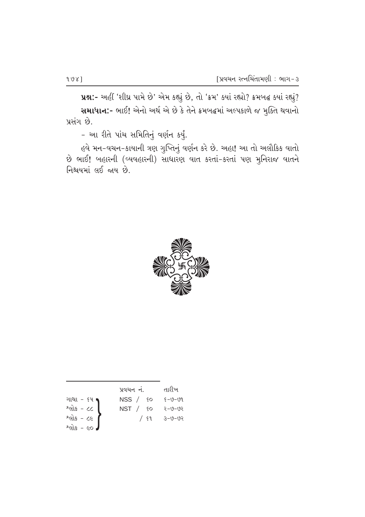uશ:- અહીં 'શીઘ્ર પામે છે' એમ કહ્યું છે, તો 'ક્રમ' ક્યાં રહ્યો? ક્રમબદ્ધ ક્યાં રહ્યું? સમાધાન:- ભાઈ! એનો અર્થ એ છે કે તેને ક્રમબદ્ધમાં અલ્પકાળે જ મુક્તિ થવાનો પ્રસંગ છે.

- આ રીતે પાંચ સમિતિનું વર્ણન કર્યું.

હવે મન-વચન-કાયાની ત્રણ ગુપ્તિનું વર્ણન કરે છે. અહા! આ તો અલૌકિક વાતો છે ભાઈ! બહારની (વ્યવહારની) સાધારણ વાત કરતાં-કરતાં પણ મુનિરાજ વાતને નિશ્ચયમાં લઈ જાય છે.



|                              | પ્રવચન નં.     | તારીખ        |
|------------------------------|----------------|--------------|
| ગાથા - ૬૫                    | $NSS /$ so     | 8–७–७१       |
| $Pdis - CC$                  | NST / <i>6</i> | २–७–७२       |
| $2e$ is - ce                 | / ६१           | $3 - 0 - 02$ |
| $2$ cils - co $\overline{J}$ |                |              |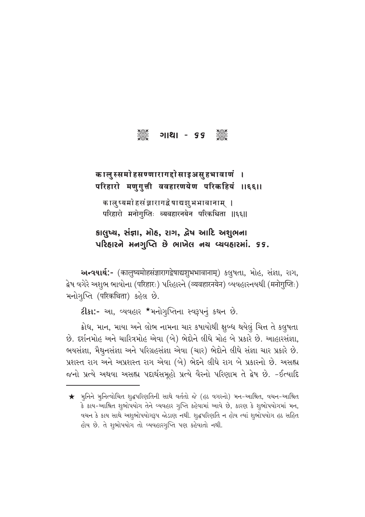C U⁄z⁄ - 66 C

## कालुस्समोहसण्णारागद्दोसाइअसुहभावाणं । परिहारो मणुगुत्ती ववहारणयेण परिकहियं ॥६६॥

कालुष्यमो हसंज्ञारागद्वेषाद्यशुभभावानाम् । परिहारो मनोगुप्तिः व्यवहारनयेन परिकथिता ॥६६॥

કાલુષ્ય, સંજ્ઞા, મોહ, રાગ, દ્વેષ આદિ અશુભના  $\nu$ રિહારને મનગૃપ્તિ છે ભાખેલ નય વ્યવહારમાં. ૬૬.

અन्वयार्थ:- (कालुष्यमोहसंज्ञारागद्वेषाद्यशुभभावानाम्) કલુષતા, મોહ, સંજ્ઞા, રાગ, द्वेष वगेरे અशुભ ભાવોના (परिहारः) પरिહारने (व्यवहारनयेन) વ્યવહારનયથી (मनोगुप्तिः) મનોગૃપ્તિ (परिकथिता) કહેલ છે.

ટીકા:- આ, વ્યવહાર \*મનોગુપ્તિના સ્વરૂપનું કથન છે.

ક્રોધ, માન, માયા અને લોભ નામના ચાર કષાયોથી ક્ષુબ્ધ થયેલું ચિત્ત તે કલુષતા છે. દર્શનમોહ અને ચારિત્રમોહ એવા (બે) ભેદોને લીધે મોહ બે પ્રકારે છે. આહારસંજ્ઞા, ભયસંજ્ઞા, મૈથુનસંજ્ઞા અને પરિગ્રહસંજ્ઞા એવા (ચાર) ભેદોને લીધે સંજ્ઞા ચાર પ્રકારે છે. પ્રશસ્ત રાગ અને અપ્રશસ્ત રાગ એવા (બે) ભેદને લીધે રાગ બે પ્રકારનો છે. અસહ્ય જનો પ્રત્યે અથવા અસહ્ય પદાર્થસમૂહો પ્રત્યે વૈરનો પરિણામ તે દ્વેષ છે. -ઈત્યાદિ

 $\bigstar$  મૂનિને મૂનિત્વોચિત શૃદ્ધપરિણતિની સાથે વર્તતો જે (હઠ વગરનો) મન-આશ્રિત, વચન-આશ્રિત કે કાય-આશ્રિત શૃભોપયોગ તેને વ્યવહાર ગૃપ્તિ કહેવામાં આવે છે, કારણ કે શૃભોપયોગમાં મન, વચન કે કાય સાથે અશુભોપયોગરૂપ જોડાણ નથી. શુદ્ધપરિણતિ ન હોય ત્યાં શુભોપયોગ હઠ સહિત હોય છે. તે શુભોપયોગ તો વ્યવહારગુપ્તિ પણ કહેવાતો નથી.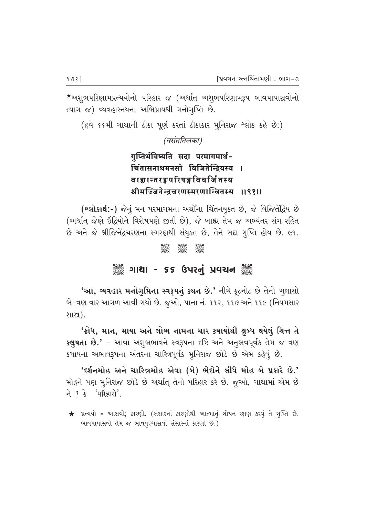\*અશુભપરિણામપ્રત્યયોનો પરિહાર જ (અર્થાત્ અશુભપરિણામરૂપ ભાવપાપાસ્રવોનો त्याग ४) व्यवहारनयना अलिप्रायथी भनोगृप्ति છે.

(હવે ૬૬મી ગાથાની ટીકા પૂર્ણ કરતાં ટીકાકાર મૂનિરાજ શ્લોક કહે છે:)

(वसंततिलका)

# गुप्तिर्भविष्यति सदा परमागमार्थ-चिंतासनाथमनसो विजितेन्द्रियस्य । बाह्यान्तरङ्गपरिषङ्गविवर्जि तस्य श्रीमज्जिनेन्दचरणस्मरणान्वितस्य ॥९१॥

(શ્લોકાર્થ:-) જેનું મન પરમાગમના અર્થોના ચિંતનયુક્ત છે, જે વિજિતેદ્રિય છે (અર્થાત જેણે ઈંદ્રિયોને વિશેષપણે જીતી છે), જે બાહ્ય તેમ જ અભ્યંતર સંગ રહિત છે અને જે શ્રીજિનેંદ્રચરણના સ્મરણથી સંયુક્ત છે, તેને સદ્દા ગૃપ્તિ હોય છે. ૯૧.

#### **Sept JAN** asses<br>Sesse

## ૾ૢૺૢ૾ૺ ગાથા - ૬૬ ઉપરનું પ્રવચન ૢ૾ૺૢ

'આ, વ્યવહાર મનોગૃપ્તિના સ્વરૂપનું કથન છે.' નીચે ફૂટનોટ છે તેનો ખુલાસો બે-ત્રણ વાર આગળ આવી ગયો છે. જૂઓ, પાના નં. ૧૧૨, ૧૧૭ અને ૧૧૯ (નિયમસાર શાસ્ત્ર).

'ક્રોધ, માન, માયા અને લોભ નામના ચાર કષાયોથી ક્ષુબ્ધ થયેલું ચિત્ત તે કલુષતા છે.' - આવા અશુભભાવને સ્વરૂપના દષ્ટિ અને અનુભવપૂર્વક તેમ જ ત્રણ કષાયના અભાવરૂપના અંતરના ચારિત્રપૂર્વક મૂનિરાજ છોડે છે એમ કહેવું છે.

'દર્શનમોહ અને ચારિત્રમોહ એવા (બે) ભેદોને લીધે મોહ બે પ્રકારે છે.' મોહને પણ મુનિરાજ છોડે છે અર્થાત્ તેનો પરિહાર કરે છે. જૂઓ, ગાથામાં એમ છે ने ? डे 'परिहारो'.

ભાવપાપાસવો તેમ જ ભાવપુણ્યાસવો સંસારનાં કારણો છે.)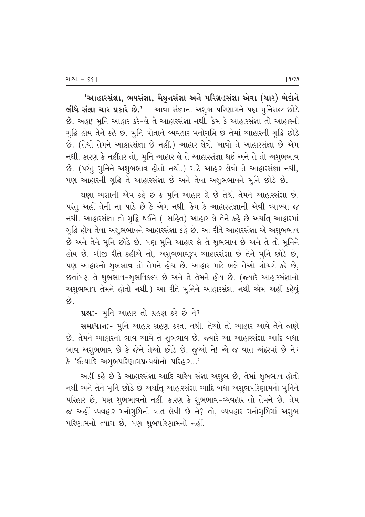'આહારસંજ્ઞા, ભયસંજ્ઞા, મૈથુનસંજ્ઞા અને પરિગ્રહસંજ્ઞા એવા (ચાર) ભેદોને લીધે સંજ્ઞા ચાર પ્રકારે છે.' - આવા સંજ્ઞાના અશુભ પરિણામને પણ મુનિરાજ છોડે છે. અહા! મુનિ આહાર કરે-લે તે આહારસંજ્ઞા નથી. કેમ કે આહારસંજ્ઞા તો આહારની ગૃદ્ધિ હોય તેને કહે છે. મૂનિ પોતાને વ્યવહાર મનોગૃપ્તિ છે તેમાં આહારની ગૃદ્ધિ છોડે છે. (તેથી તેમને આહારસંજ્ઞા છે નહીં.) આહાર લેવો-ખાવો તે આહારસંજ્ઞા છે એમ નથી. કારણ કે નહીંતર તો, મુનિ આહાર લે તે આહારસંજ્ઞા થઈ અને તે તો અશુભભાવ છે. (પરંતુ મુનિને અશુભભાવ હોતો નથી.) માટે આહાર લેવો તે આહારસંજ્ઞા નથી, પણ આહારની ગૃદ્ધિ તે આહારસંજ્ઞા છે અને તેવા અશુભભાવને મુનિ છોડે છે.

ઘણા અજ્ઞાની એમ કહે છે કે મુનિ આહાર લે છે તેથી તેમને આહારસંજ્ઞા છે. પરંતુ અહીં તેની ના પાડે છે કે એમ નથી. કેમ કે આહારસંજ્ઞાની એવી વ્યાખ્યા જ નથી. આહારસંજ્ઞા તો ગૃદ્ધિ થઈને (-સહિત) આહાર લે તેને કહે છે અર્થાત્ આહારમાં ગૃદ્ધિ હોય તેવા અશુભભાવને આહારસંજ્ઞા કહે છે. આ રીતે આહારસંજ્ઞા એ અશુભભાવ છે અને તેને મૂનિ છોડે છે. પણ મૂનિ આહાર લે તે શુભભાવ છે અને તે તો મૂનિને હોય છે. બીજી રીતે કહીએ તો, અશુભભાવરૂપ આહારસંજ્ઞા છે તેને મૂનિ છોડે છે, પણ આહારનો શુભભાવ તો તેમને હોય છે. આહાર માટે ભલે તેઓ ગોચરી કરે છે, છતાંપણ તે શુભભાવ-શુભવિકલ્પ છે અને તે તેમને હોય છે. (જ્યારે આહારસંજ્ઞાનો અશુભભાવ તેમને હોતો નથી.) આ રીતે મુનિને આહારસંજ્ઞા નથી એમ અહીં કહેવું કરે

ue:- મૂનિ આહાર તો ગ્રહણ કરે છે ને?

સમાધાન:- મૂનિ આહાર ગ્રહણ કરતા નથી. તેઓ તો આહાર આવે તેને જાણે છે. તેમને આહારનો ભાવ આવે તે શુભભાવ છે. જ્યારે આ આહારસંજ્ઞા આદિ બધા ભાવ અશુભભાવ છે કે જેને તેઓ છોડે છે. જુઓ ને! એ જ વાત અંદરમાં છે ને? કે 'ઈત્યાદિ અશુભપરિણામપ્રત્યયોનો પરિહાર...'

અહીં કહે છે કે આહારસંજ્ઞા આદિ ચારેય સંજ્ઞા અશુભ છે, તેમાં શુભભાવ હોતો નથી અને તેને મુનિ છોડે છે અર્થાત્ આહારસંજ્ઞા આદિ બધા અશુભપરિણામનો મુનિને પરિહાર છે, પણ શુભભાવનો નહીં. કારણ કે શુભભાવ-વ્યવહાર તો તેમને છે. તેમ જ અહીં વ્યવહાર મનોગુપ્તિની વાત લેવી છે ને? તો, વ્યવહાર મનોગુપ્તિમાં અશુભ પરિણામનો ત્યાગ છે, પણ શુભપરિણામનો નહીં.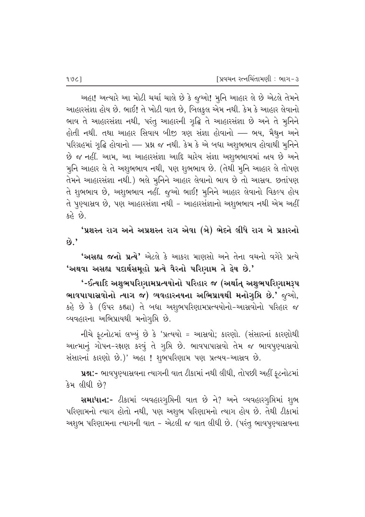અહા! અત્યારે આ મોટી ચર્ચા ચાલે છે કે જુઓ! મુનિ આહાર લે છે એટલે તેમને આહારસંજ્ઞા હોય છે. ભાઈ! તે ખોટી વાત છે, બિલકુલ એમ નથી. કેમ કે આહાર લેવાનો ભાવ તે આહારસંજ્ઞા નથી, પરંતુ આહારની ગૃદ્ધિ તે આહારસંજ્ઞા છે અને તે મુનિને હોતી નથી. તથા આહાર સિવાય બીજી ત્રણ સંજ્ઞા હોવાનો — ભય, મૈથુન અને પરિગ્રહમાં ગૃદ્ધિ હોવાનો — પ્રશ્ન જ નથી. કેમ કે એ બધા અશુભભાવ હોવાથી મુનિને છે જ નહીં. આમ, આ આહારસંજ્ઞા આદિ ચારેય સંજ્ઞા અશુભભાવમાં જાય છે અને મુનિ આહાર લે તે અશુભભાવ નથી, પણ શુભભાવ છે. (તેથી મુનિ આહાર લે તોપણ તેમને આહારસંજ્ઞા નથી.) ભલે મુનિને આહાર લેવાનો ભાવ છે તો આસ્રવ. છતાંપણ તે શુભભાવ છે, અશુભભાવ નહીં. જૂઓ ભાઈ! મૂનિને આહાર લેવાનો વિકલ્પ હોય તે પુણ્યાસ્રવ છે, પણ આહારસંજ્ઞા નથી – આહારસંજ્ઞાનો અશુભભાવ નથી એમ અહીં કહે છે.

'પ્રશસ્ત રાગ અને અપ્રશસ્ત રાગ એવા (બે) ભેદને લીધે રાગ બે પ્રકારનો  $\hat{\omega}$ ,

'અસહ્ય જનો પ્રત્યે' એટલે કે આકરા માણસો અને તેના વચનો વગેરે પ્રત્યે 'અથવા અસહ્ય પદાર્થસમૂહો પ્રત્યે વૈરનો પરિણામ તે દ્વેષ છે.'

'-ઈત્યાદિ અશુભપરિણામપ્રત્યયોનો પરિહાર જ (અર્થાત્ અશુભપરિણામરૂપ ભાવપાપાસ્રવોનો ત્યાગ જ) વ્યવહારનયના અભિપ્રાયથી મનોગુપ્તિ છે.' જુઓ, કહે છે કે (ઉપર કહ્યા) તે બધા અશુભપરિણામપ્રત્યયોનો-આસ્રવોનો પરિહાર જ વ્યવહારના અભિપ્રાયથી મનોગુપ્તિ છે.

નીચે ફૂટનોટમાં લખ્યું છે કે 'પ્રત્યયો = આસ્રવો; કારણો. (સંસારનાં કારણોથી આત્માનું ગોપન-રક્ષણ કરવું તે ગુપ્તિ છે. ભાવપાપાસ્રવો તેમ જ ભાવપુણ્યાસ્રવો સંસારનાં કારણો છે.)' અહા ! શુભપરિણામ પણ પ્રત્યય-આસ્રવ છે.

પ્રશ્ન:- ભાવપુણ્યાસ્રવના ત્યાગની વાત ટીકામાં નથી લીધી, તોપછી અહીં ફટનોટમાં કેમ લીધી છે?

સમાધાન:- ટીકામાં વ્યવહારગૃપ્તિની વાત છે ને? અને વ્યવહારગૃપ્તિમાં શુભ પરિણામનો ત્યાગ હોતો નથી, પણ અશુભ પરિણામનો ત્યાગ હોય છે. તેથી ટીકામાં અશુભ પરિણામના ત્યાગની વાત - એટલી જ વાત લીધી છે. (પરંતુ ભાવપુણ્યાસ્રવના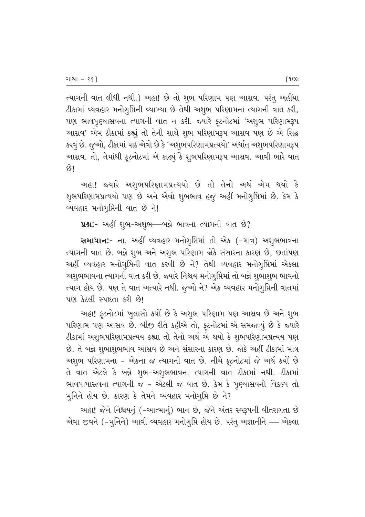ત્યાગની વાત લીધી નથી.) અહા! છે તો શુભ પરિણામ પણ આસ્રવ. પરંતુ અહીંયા ટીકામાં વ્યવહાર મનોગુપ્તિની વ્યાખ્યા છે તેથી અશુભ પરિણામના ત્યાગની વાત કરી, પણ ભાવપુણ્યાસ્રવના ત્યાગની વાત ન કરી. જ્યારે ફૂટનોટમાં 'અશુભ પરિણામરૂપ આસવ' એમ ટીકામાં કહ્યું તો તેની સાથે શુભ પરિણામરૂપ આસવ પણ છે એ સિદ્ધ કરવું છે. જુઓ, ટીકામાં પાઠ એવો છે કે 'અશુભપરિણામપ્રત્યયો' અર્થાત્ અશુભપરિણામરૂપ આસ્રવ. તો, તેમાંથી ફૂટનોટમાં એ કાઢ્યું કે શુભપરિણામરૂપ આસ્રવ. આવી ભારે વાત छे।

અહા! જ્યારે અશુભપરિણામપ્રત્યયો છે તો તેનો અર્થ એમ થયો કે શુભપરિણામપ્રત્યયો પણ છે અને એવો શુભભાવ હજુ અહીં મનોગુપ્તિમાં છે. કેમ કે વ્યવહાર મનોગુમિની વાત છે ને!

ue:- અહીં શુભ-અશુભ-બન્ને ભાવના ત્યાગની વાત છે?

સમાધાન:- ના, અહીં વ્યવહાર મનોગુપ્તિમાં તો એક (-માત્ર) અશુભભાવના ત્યાગની વાત છે. બન્ને શુભ અને અશુભ પરિણામ જોકે સંસારના કારણ છે, છતાંપણ અહીં વ્યવહાર મનોગુપ્તિની વાત કરવી છે ને? તેથી વ્યવહાર મનોગુપ્તિમાં એકલા અશુભભાવના ત્યાગની વાત કરી છે. જ્યારે નિશ્ચય મનોગુપ્તિમાં તો બન્ને શુભાશુભ ભાવનો ત્યાગ હોય છે. પણ તે વાત અત્યારે નથી. જુઓ ને? એક વ્યવહાર મનોગૃપ્તિની વાતમાં પણ કેટલી સ્પષ્ટતા કરી છે!

અહા! ફૂટનોટમાં ખુલાસો કર્યો છે કે અશુભ પરિણામ પણ આસ્રવ છે અને શુભ પરિણામ પણ આસવ છે. બીજી રીતે કહીએ તો, ફૂટનોટમાં એ સમજાવ્યું છે કે જ્યારે ટીકામાં અશુભપરિણામપ્રત્યય કહ્યા તો તેનો અર્થ એ થયો કે શુભપરિણામપ્રત્યય પણ છે. તે બન્ને શુભાશુભભાવ આસવ છે અને સંસારના કારણ છે. જોકે અહીં ટીકામાં માત્ર અશુભ પરિણામના - એકના જ ત્યાગની વાત છે. નીચે ફટનોટમાં જે અર્થ કર્યો છે તે વાત એટલે કે બન્ને શુભ-અશુભભાવના ત્યાગની વાત ટીકામાં નથી. ટીકામાં ભાવપાપાસવના ત્યાગની જ - એટલી જ વાત છે. કેમ કે પૂણ્યાસવનો વિકલ્પ તો મુનિને હોય છે. કારણ કે તેમને વ્યવહાર મનોગુપ્તિ છે ને?

અહા! જેને નિશ્ચયનું (-આત્માનું) ભાન છે, જેને અંતર સ્વરૂપની વીતરાગતા છે એવા જીવને (-મુનિને) આવી વ્યવહાર મનોગુપ્તિ હોય છે. પરંતુ અજ્ઞાનીને — એકલા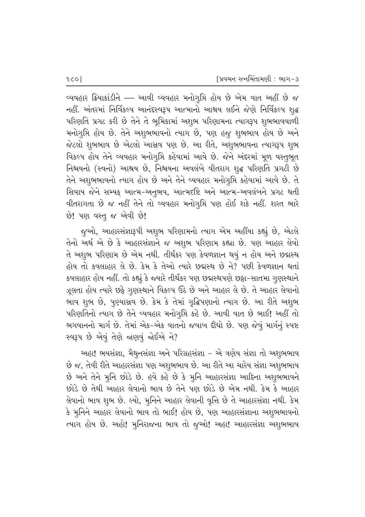વ્યવહાર ક્રિયાકાંડીને — આવી વ્યવહાર મનોગુપ્તિ હોય છે એમ વાત અહીં છે જ નહીં. અંતરમાં નિર્વિકલ્પ આનંદસ્વરૂપ આત્માનો આશ્રય લઈને જેણે નિર્વિકલ્પ શૃદ્ધ પરિણતિ પ્રગટ કરી છે તેને તે ભૂમિકામાં અશુભ પરિણામના ત્યાગરૂપ શુભભાવવાળી મનોગુપ્તિ હોય છે. તેને અશુભભાવનો ત્યાગ છે, પણ હજુ શુભભાવ હોય છે અને જેટલો શુભભાવ છે એટલો આસ્રવ પણ છે. આ રીતે, અશુભભાવના ત્યાગરૂપ શુભ વિકલ્પ હોય તેને વ્યવહાર મનોગુપ્તિ કહેવામાં આવે છે. જેને અંદરમાં મૂળ વસ્તુભૂત નિશ્ચયનો (સ્વનો) આશ્રય છે, નિશ્ચયના અવલંબે વીતરાગ શુદ્ધ પરિણતિ પ્રગટી છે તેને અશુભભાવનો ત્યાગ હોય છે અને તેને વ્યવહાર મનોગૃપ્તિ કહેવામાં આવે છે. તે સિવાય જેને સમ્યક્ આત્મ-અનૂભવ, આત્મદષ્ટિ અને આત્મ-અવલંબને પ્રગટ થતી વીતરાગતા છે જ નહીં તેને તો વ્યવહાર મનોગુમિ પણ હોઈ શકે નહીં. શરત ભારે છે! પણ વસ્તુ જ એવી છે!

જુઓ, આહારસંજ્ઞારૂપી અશુભ પરિણામનો ત્યાગ એમ અહીંયા કહ્યું છે, એટલે તેનો અર્થ એ છે કે આહારસંજ્ઞાને જ અશુભ પરિણામ કહ્યા છે. પણ આહાર લેવો તે અશુભ પરિણામ છે એમ નથી. તીર્થંકર પણ કેવળજ્ઞાન થયું ન હોય અને છદ્મસ્થ હોય તો કવલાહાર લે છે. કેમ કે તેઓ ત્યારે છદ્મસ્થ છે ને? પછી કેવળજ્ઞાન થતાં કવલાહાર હોય નહીં. તો કહ્યું કે જ્યારે તીર્થંકર પણ છદ્મસ્થપણે છઠ્ઠા-સાતમા ગૃણસ્થાને ઝૂલતા હોય ત્યારે છઠ્ઠે ગુણસ્થાને વિકલ્પ ઉઠે છે અને આહાર લે છે. તે આહાર લેવાનો ભાવ શુભ છે, પુણ્યાસ્રવ છે. કેમ કે તેમાં ગૃદ્ધિપણાનો ત્યાગ છે. આ રીતે અશુભ પરિણતિનો ત્યાગ છે તેને વ્યવહાર મનોગૃપ્તિ કહે છે. આવી વાત છે ભાઈ! અહીં તો ભગવાનનો માર્ગ છે. તેમાં એક-એક વાતનો જવાબ દીધો છે. પણ જેવું માર્ગનું સ્પષ્ટ સ્વરૂપ છે એવું તેણે જાણવું જોઈએ ને?

અહા! ભયસંજ્ઞા, મૈથુનસંજ્ઞા અને પરિગ્રહસંજ્ઞા - એ ત્રણેય સંજ્ઞા તો અશુભભાવ છે જ, તેવી રીતે આહારસંજ્ઞા પણ અશુભભાવ છે. આ રીતે આ ચારેય સંજ્ઞા અશુભભાવ છે અને તેને મુનિ છોડે છે. હવે કહે છે કે મુનિ આહારસંજ્ઞા આદિના અશુભભાવને છોડે છે તેથી આહાર લેવાનો ભાવ છે તેને પણ છોડે છે એમ નથી. કેમ કે આહાર લેવાનો ભાવ શુભ છે. લ્યો, મુનિને આહાર લેવાની વૃત્તિ છે તે આહારસંજ્ઞા નથી. કેમ કે મુનિને આહાર લેવાનો ભાવ તો ભાઈ! હોય છે, પણ આહારસંજ્ઞાના અશુભભાવનો ત્યાગ હોય છે. અહો! મુનિરાજના ભાવ તો જુઓ! અહા! આહારસંજ્ઞા અશુભભાવ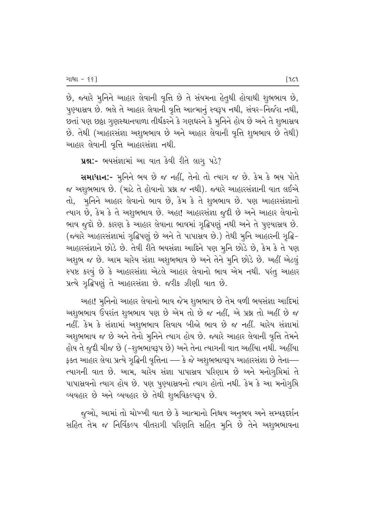છે, જ્યારે મુનિને આહાર લેવાની વૃત્તિ છે તે સંયમના હેતુથી હોવાથી શુભભાવ છે, પુણ્યાસ્રવ છે. ભલે તે આહાર લેવાની વૃત્તિ આત્માનું સ્વરૂપ નથી, સંવર-નિર્જરા નથી, છતાં પણ છઠ્ઠા ગુણસ્થાનવાળા તીર્થંકરને કે ગણધરને કે મુનિને હોય છે અને તે શુભાસ્રવ છે. તેથી (આહારસંજ્ઞા અશુભભાવ છે અને આહાર લેવાની વૃત્તિ શુભભાવ છે તેથી) આહાર લેવાની વૃત્તિ આહારસંજ્ઞા નથી.

ue:- ભયસંજ્ઞામાં આ વાત કેવી રીતે લાગુ પડે?

સમાધાન:- મુનિને ભય છે જ નહીં, તેનો તો ત્યાગ જ છે. કેમ કે ભય પોતે જ અશુભભાવ છે. (માટે તે હોવાનો પ્રશ્ન જ નથી). જ્યારે આહારસંજ્ઞાની વાત લઈએ તો, મુનિને આહાર લેવાનો ભાવ છે, કેમ કે તે શુભભાવ છે. પણ આહારસંજ્ઞાનો ત્યાગ છે, કેમ કે તે અશુભભાવ છે. અહા! આહારસંજ્ઞા જૂદી છે અને આહાર લેવાનો ભાવ જૂદો છે. કારણ કે આહાર લેવાના ભાવમાં ગુદ્ધિપણું નથી અને તે પુણ્યાસ્રવ છે. (જ્યારે આહારસંજ્ઞામાં ગૃદ્ધિપણું છે અને તે પાપાસ્રવ છે.) તેથી મુનિ આહારની ગૃદ્ધિ-આહારસંજ્ઞાને છોડે છે. તેવી રીતે ભયસંજ્ઞા આદિને પણ મુનિ છોડે છે, કેમ કે તે પણ અશુભ જ છે. આમ ચારેય સંજ્ઞા અશુભભાવ છે અને તેને મૂનિ છોડે છે. અહીં એટલું સ્પષ્ટ કરવું છે કે આહારસંજ્ઞા એટલે આહાર લેવાનો ભાવ એમ નથી. પરંતુ આહાર પ્રત્યે ગૃદ્ધિપણું તે આહારસંજ્ઞા છે. જરીક ઝીણી વાત છે.

અહા! મુનિનો આહાર લેવાનો ભાવ જેમ શુભભાવ છે તેમ વળી ભયસંજ્ઞા આદિમાં અશુભભાવ ઉપરાંત શુભભાવ પણ છે એમ તો છે જ નહીં, એ પ્રશ્ન તો અહીં છે જ નહીં. કેમ કે સંજ્ઞામાં અશુભભાવ સિવાય બીજો ભાવ છે જ નહીં. ચારેય સંજ્ઞામાં અશુભભાવ જ છે અને તેનો મુનિને ત્યાગ હોય છે. જ્યારે આહાર લેવાની વૃત્તિ તેમને હોય તે જૂદી ચીજ છે (-શુભભાવરૂપ છે) અને તેના ત્યાગની વાત અહીંયા નથી. અહીંયા ફક્ત આહાર લેવા પ્રત્યે ગૃદ્ધિની વૃત્તિના — કે જે અશુભભાવરૂપ આહારસંજ્ઞા છે તેના— ત્યાગની વાત છે. આમ, ચારેય સંજ્ઞા પાપાસ્રવ પરિણામ છે અને મનોગૃપ્તિમાં તે પાપાસવનો ત્યાગ હોય છે. પણ પુણ્યાસવનો ત્યાગ હોતો નથી. કેમ કે આ મનોગુપ્તિ વ્યવહાર છે અને વ્યવહાર છે તેથી શુભવિકલ્પરૂપ છે.

જૂઓ, આમાં તો ચોખ્ખી વાત છે કે આત્માનો નિશ્ચય અનુભવ અને સમ્યફદર્શન સહિત તેમ જ નિર્વિકલ્પ વીતરાગી પરિણતિ સહિત મુનિ છે તેને અશુભભાવના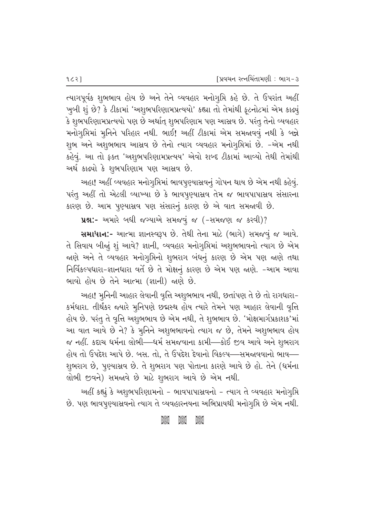ત્યાગપૂર્વક શુભભાવ હોય છે અને તેને વ્યવહાર મનોગુપ્તિ કહે છે. તે ઉપરાંત અહીં ખૂબી શું છે? કે ટીકામાં 'અશુભપરિણામપ્રત્યયો' કહ્યા તો તેમાંથી ફટનોટમાં એમ કાઢ્યું કે શુભપરિણામપ્રત્યયો પણ છે અર્થાત્ શુભપરિણામ પણ આસ્રવ છે. પરંતુ તેનો વ્યવહાર મનોગુપ્તિમાં મુનિને પરિહાર નથી. ભાઈ! અહીં ટીકામાં એમ સમજાવવું નથી કે બન્ને શુભ અને અશુભભાવ આસ્રવ છે તેનો ત્યાગ વ્યવહાર મનોગૃપ્તિમાં છે. -એમ નથી કહેવું. આ તો ફક્ત 'અશુભપરિણામપ્રત્યય' એવો શબ્દ ટીકામાં આવ્યો તેથી તેમાંથી અર્થ કાઢ્યો કે શુભપરિણામ પણ આસવ છે.

અહા! અહીં વ્યવહાર મનોગુપ્તિમાં ભાવપુણ્યાસ્રવનું ગોપન થાય છે એમ નથી કહેવું. પરંતુ અહીં તો એટલી વ્યાખ્યા છે કે ભાવપુણ્યાસ્રવ તેમ જ ભાવપાપાસ્રવ સંસારના કારણ છે. આમ પુણ્યાસ્રવ પણ સંસારનું કારણ છે એ વાત સમજાવી છે.

ue:- અમારે બધી જગ્યાએ સમજવું જ (-સમજણ જ કરવી)?

સમાધાન:- આત્મા જ્ઞાનસ્વરૂપ છે. તેથી તેના માટે (ભાગે) સમજવું જ આવે. તે સિવાય બીજું શું આવે? જ્ઞાની, વ્યવહાર મનોગુપ્તિમાં અશુભભાવનો ત્યાગ છે એમ જાણે અને તે વ્યવહાર મનોગૂમિનો શુભરાગ બંધનું કારણ છે એમ પણ જાણે તથા નિર્વિકલ્પધારા-જ્ઞાનધારા વર્તે છે તે મોક્ષનું કારણ છે એમ પણ જાણે. -આમ આવા ભાવો હોય છે તેને આત્મા (જ્ઞાની) જાણે છે.

અહા! મુનિની આહાર લેવાની વૃત્તિ અશુભભાવ નથી, છતાંપણ તે છે તો રાગધારા-કર્મધારા. તીર્થંકર જ્યારે મૃનિપણે છદ્મસ્થ હોય ત્યારે તેમને પણ આહાર લેવાની વૃત્તિ હોય છે. પરંતુ તે વૃત્તિ અશુભભાવ છે એમ નથી, તે શુભભાવ છે. 'મોક્ષમાર્ગપ્રકાશક'માં આ વાત આવે છે ને? કે મૂનિને અશુભભાવનો ત્યાગ જ છે, તેમને અશુભભાવ હોય જ નહીં. કદાચ ધર્મના લોભી—ધર્મ સમજવાના કામી—કોઈ જીવ આવે અને શુભરાગ હોય તો ઉપદેશ આપે છે. બસ. તો, તે ઉપદેશ દેવાનો વિકલ્પ—સમજાવવાનો ભાવ— શુભરાગ છે, પુણ્યાસ્રવ છે. તે શુભરાગ પણ પોતાના કારણે આવે છે હો. તેને (ધર્મના લોભી જીવને) સમજાવે છે માટે શુભરાગ આવે છે એમ નથી.

અહીં કહ્યું કે અશુભપરિણામનો - ભાવપાપાસ્રવનો - ત્યાગ તે વ્યવહાર મનોગૃપ્તિ છે. પણ ભાવપુણ્યાસ્રવનો ત્યાગ તે વ્યવહારનયના અભિપ્રાયથી મનોગુપ્તિ છે એમ નથી.

> ခွဲမိမိခဲ့ ခြွမ်းမိုင်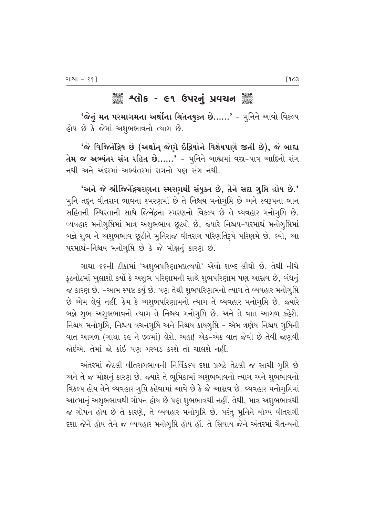# 

**'જેનું મન પરમાગમના અર્થોના ચિંતનયુક્ત છે……'** - મૂનિને આવો વિકલ્પ હોય છે કે જેમાં અશુભભાવનો ત્યાગ છે.

'જે વિજિતેંદ્રિય છે (અર્થાત્ જેણે ઇંદ્રિયોને વિશેષપણે જીતી છે), જે બાહ્ય તેમ જ અભ્યંતર સંગ રહિત છે......' - મુનિને બાહ્યમાં વસ્ર-પાત્ર આદિનો સંગ નથી અને અંદરમાં-અભ્યંતરમાં રાગનો પણ સંગ નથી.

'અને જે શ્રીજિનેંદ્રચરણના સ્મરણથી સંયુક્ત છે, તેને સદા ગુપ્તિ હોય છે.' મુનિ તદ્દન વીતરાગ ભાવના સ્મરણમાં છે તે નિશ્ચય મનોગુપ્તિ છે અને સ્વરૂપના ભાન સહિતની સ્થિરતાની સાથે જિનેંદ્રના સ્મરણનો વિકલ્પ છે તે વ્યવહાર મનોગૃપ્તિ છે. વ્યવહાર મનોગૃપ્તિમાં માત્ર અશુભભાવ છૂટ્યો છે, જ્યારે નિશ્ચય-પરમાર્થ મનોગૃપ્તિમાં બન્ને શુભ ને અશુભભાવ છૂટીને મુનિરાજ વીતરાગ પરિણતિરૂપે પરિણમે છે. લ્યો, આ પરમાર્થ-નિશ્ચય મનોગુપ્તિ છે કે જે મોક્ષનું કારણ છે.

ગાથા ૬૬ની ટીકામાં 'અશુભપરિણામપ્રત્યયો' એવો શબ્દ લીધો છે. તેથી નીચે ફ્ટનોટમાં ખૂલાશો કર્યો કે અશુભ પરિણામની સાથે શુભપરિણામ પણ આસ્રવ છે, બંધનું જ કારણ છે. -આમ સ્પષ્ટ કર્યું છે. પણ તેથી શુભપરિણામનો ત્યાગ તે વ્યવહાર મનોગૃપ્તિ છે એમ લેવું નહીં. કેમ કે અશુભપરિણામનો ત્યાગ તે વ્યવહાર મનોગુપ્તિ છે. જ્યારે બન્ને શુભ-અશુભભાવનો ત્યાગ તે નિશ્ચય મનોગૃપ્તિ છે. અને તે વાત આગળ કહેશે. નિશ્ચય મનોગુપ્તિ, નિશ્ચય વચનગુપ્તિ અને નિશ્ચય કાયગુપ્તિ - એમ ત્રણેય નિશ્ચય ગુપ્તિની વાત આગળ (ગાથા ૬૯ ને ૭૦માં) લેશે. અહા! એક-એક વાત જેવી છે તેવી જાણવી જોઈએ. તેમાં જો કાંઈ પણ ગરબડ કરશે તો ચાલશે નહીં.

અંતરમાં જેટલી વીતરાગભાવની નિર્વિકલ્પ દશા પ્રગટે તેટલી જ સાચી ગુપ્તિ છે અને તે જ મોક્ષનું કારણ છે. જ્યારે તે ભૂમિકામાં અશુભભાવનો ત્યાગ અને શુભભાવનો વિકલ્પ હોય તેને વ્યવહાર ગૃપ્તિ કહેવામાં આવે છે કે જે આસ્રવ છે. વ્યવહાર મનોગૃપ્તિમાં આત્માનું અશુભભાવથી ગોપન હોય છે પણ શુભભાવથી નહીં. તેથી, માત્ર અશુભભાવથી જ ગોપન હોય છે તે કારણે, તે વ્યવહાર મનોગુપ્તિ છે. પરંતુ મુનિને યોગ્ય વીતરાગી દશા જેને હોય તેને જ વ્યવહાર મનોગુપ્તિ હોય હોં. તે સિવાય જેને અંતરમાં ચૈતન્યનો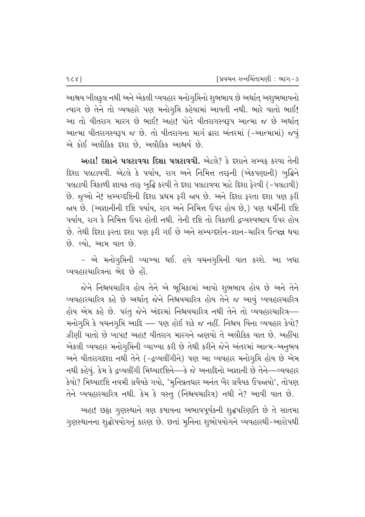આશ્રય બીલકુલ નથી અને એકલી વ્યવહાર મનોગુમિનો શુભભાવ છે અર્થાત્ અશુભભાવનો ત્યાગ છે તેને તો વ્યવહારે પણ મનોગૃપ્તિ કહેવામાં આવતી નથી. ભારે વાતો ભાઈ! આ તો વીતરાગ મારગ છે ભાઈ! અહા! પોતે વીતરાગસ્વરૂપ આત્મા જ છે અર્થાત્ આત્મા વીતરાગસ્વરૂપ જ છે. તો વીતરાગના માર્ગ દ્વારા અંતરમાં (-આત્મામાં) જવું એ કોઈ અલૌકિક દશા છે. અલૌકિક આશ્ચર્ય છે.

અહા! દશાને પલટાવવા દિશા પલટાવવી. એટલે? કે દશાને સમ્યક કરવા તેની દિશા પલટાવવી. એટલે કે પર્યાય, રાગ અને નિમિત્ત તરફની (એકપણાની) બુદ્ધિને પલટાવી ત્રિકાળી જ્ઞાયક તરફ બૃદ્ધિ કરવી તે દશા પલટાવવા માટે દિશા ફેરવી (−પલટાવી) છે. જુઓ ને! સમ્ય∘દષ્ટિની દિશા પ્રથમ ફરી જાય છે. અને દિશા ફરતા દશા પણ ફરી જાય છે. (અજ્ઞાનીની દષ્ટિ પર્યાય, રાગ અને નિમિત્ત ઉપર હોય છે,) પણ ધર્મીની દષ્ટિ પર્યાય. રાગ કે નિમિત્ત ઉપર હોતી નથી. તેની દષ્ટિ તો ત્રિકાળી ઢવ્યસ્વભાવ ઉપર હોય છે. તેથી દિશા ફરતા દશા પણ ફરી ગઈ છે અને સમ્યગ્દર્શન-જ્ઞાન-ચારિત્ર ઉત્પન્ન થયા છે. લ્યો, આમ વાત છે.

- એ મનોગુપ્તિની વ્યાખ્યા થઈ. હવે વચનગુપ્તિની વાત કરશે. આ બધા <u>વ્યવહારચારિત્રના ભેદ છે હોં.</u>

જેને નિશ્ચયચારિત્ર હોય તેને એ ભૂમિકામાં આવો શુભભાવ હોય છે અને તેને વ્યવહારચારિત્ર કહે છે અર્થાત્ જેને નિશ્ચયચારિત્ર હોય તેને જ આવું વ્યવહારચારિત્ર હોય એમ કહે છે. પરંતુ જેને અંદરમાં નિશ્ચયચારિત્ર નથી તેને તો વ્યવહારચારિત્ર— મનોગૃપ્તિ કે વચનગૃપ્તિ આદિ — પણ હોઈ શકે જ નહીં. નિશ્ચય વિના વ્યવહાર કેવો? ઝીણી વાતો છે બાપા! અહા! વીતરાગ મારગને જણવો તે અલૌકિક વાત છે. અહીંયા એકલી વ્યવહાર મનોગૃપ્તિની વ્યાખ્યા કરી છે તેથી કરીને જેને અંતરમાં આત્મ-અનુભવ અને વીતરાગદશા નથી તેને (−દ્રવ્યલીંગીને) પણ આ વ્યવહાર મનોગૃપ્તિ હોય છે એમ નથી કહેવું. કેમ કે દ્રવ્યલીંગી મિથ્યાદષ્ટિને—કે જે અનાદિનો અજ્ઞાની છે તેને—વ્યવહાર  $\delta$ વો? મિથ્યાદષ્ટિ નવમી ગ્રવૈયકે ગયો, 'મુનિવ્રતધાર અનંત બૈર ગ્રવૈયક ઉપજાયો', તોપણ તેને વ્યવહારચારિત્ર નથી. કેમ કે વસ્તુ (નિશ્ચયચારિત્ર) નથી ને? આવી વાત છે.

અહા! છઠ્ઠા ગુણસ્થાને ત્રણ કષાયના અભાવપૂર્વકની શૃદ્ધપરિણતિ છે તે સાતમા ગુણસ્થાનના શુદ્ધોપયોગનું કારણ છે. છતાં મુનિના શુભોપયોગને વ્યવહારથી-આરોપથી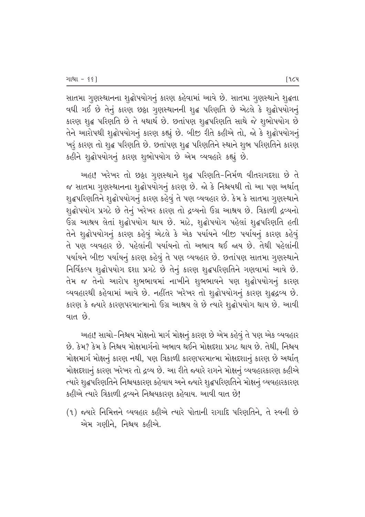સાતમા ગુણસ્થાનના શુદ્ધોપયોગનું કારણ કહેવામાં આવે છે. સાતમા ગુણસ્થાને શુદ્ધતા વધી ગઈ છે તેનું કારણ છઠ્ઠા ગુણસ્થાનની શુદ્ધ પરિણતિ છે એટલે કે શુદ્ધોપયોગનું કારણ શુદ્ધ પરિણતિ છે તે યથાર્થ છે. છતાંપણ શુદ્ધપરિણતિ સાથે જે શુભોપયોગ છે તેને આરોપથી શૃદ્ધોપયોગનું કારણ કહ્યું છે. બીજી રીતે કહીએ તો, જો કે શૃદ્ધોપયોગનું `ખરૂં કારણ તો શૃદ્ધ પરિણતિ છે. છતાંપણ શૃદ્ધ પરિણતિને સ્થાને શૃભ પરિણતિને કારણ કહીને શુદ્ધોપયોગનું કારણ શુભોપયોગ છે એમ વ્યવહારે કહ્યું છે.

આહા! ખરેખર તો છઠ્ઠા ગુણસ્થાને શુદ્ધ પરિણતિ-નિર્મળ વીતરાગદશા છે તે જ સાતમા ગુણસ્થાનના શુદ્ધોપયોગનું કારણ છે. જો કે નિશ્ચયથી તો આ પણ અર્થાત્ શૃદ્ધપરિણતિને શૃદ્ધોપયોગનું કારણ કહેવું તે પણ વ્યવહાર છે. કેમ કે સાતમા ગૃણસ્થાને શુદ્ધોપયોગ પ્રગટે છે તેનું ખરેખર કારણ તો દ્રવ્યનો ઉગ્ર આશ્રય છે. ત્રિકાળી દ્રવ્યનો ઉગ્ર આશ્રય લેતાં શુદ્ધોપયોગ થાય છે. માટે, શુદ્ધોપયોગ પહેલાં શુદ્ધપરિણતિ હતી તેને શૃદ્ધોપયોગનું કારણ કહેવું એટલે કે એક પર્યાયને બીજી પર્યાયનું કારણ કહેવું તે પણ વ્યવહાર છે. પહેલાંની પર્યાયનો તો અભાવ થઈ જાય છે. તેથી પહેલાંની પર્યાયને બીજી પર્યાયનું કારણ કહેવું તે પણ વ્યવહાર છે. છતાંપણ સાતમા ગુણસ્થાને fiese શુદ્ધોપયોગ દશા પ્રગટે છે તેનું કારણ શુદ્ધપરિણતિને ગણવામાં આવે છે. તેમ જ તેનો આરોપ શુભભાવમાં નાખીને શુભભાવને પણ શુદ્ધોપયોગનું કારણ વ્યવહારથી કહેવામાં આવે છે. નહીંતર ખરેખર તો શૃદ્ધોપયોગનું કારણ શૃદ્ધદ્રવ્ય છે. કારણ કે જ્યારે કારણપરમાત્માનો ઉગ્ર આશ્રય લે છે ત્યારે શૃદ્ધોપયોગ થાય છે. આવી વાત $\hat{\mathcal{B}}$ .

આહા! સાચો−નિશ્રય મોક્ષનો માર્ગ મોક્ષનું કારણ છે એમ કહેવું તે પણ એક વ્યવહાર છે. કેમ? કેમ કે નિશ્ચય મોક્ષમાર્ગનો અભાવ થઈને મોક્ષદશા પ્રગટ થાય છે. તેથી. નિશ્ચય મોક્ષમાર્ગ મોક્ષનું કારણ નથી, પણ ત્રિકાળી કારણપરમાત્મા મોક્ષદશાનું કારણ છે અર્થાત્ મોક્ષદશાનું કારણ ખરેખર તો દ્રવ્ય છે. આ રીતે જ્યારે રાગને મોક્ષનું વ્યવહારકારણ કહીએ ત્યારે શુદ્ધપરિણતિને નિશ્ચયકારણ કહેવાય અને જ્યારે શુદ્ધપરિણતિને મોક્ષનું વ્યવહારકારણ કહીએ ત્યારે ત્રિકાળી દ્રવ્યને નિશ્ચયકારણ કહેવાય. આવી વાત છે!

(१) જ્યારે નિમિત્તને વ્યવહાર કહીએ ત્યારે પોતાની રાગાદિ પરિણતિને, તે સ્વની છે એમ ગણીને, નિશ્ચય કહીએ.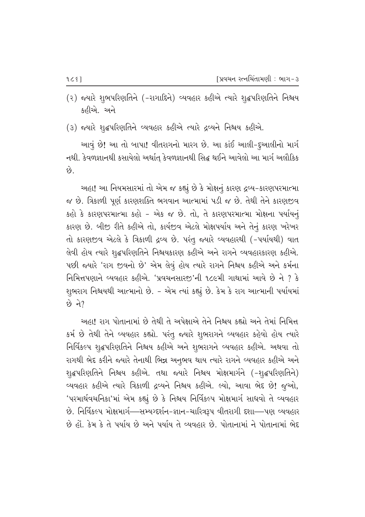- (૨) જ્યારે શુભપરિણતિને (-રાગાદિને) વ્યવહાર કહીએ ત્યારે શુદ્ધપરિણતિને નિશ્ચય કહીએ. અને
- (3) જ્યારે શુદ્ધપરિણતિને વ્યવહાર કહીએ ત્યારે દ્રવ્યને નિશ્ચય કહીએ.

આવું છે! આ તો બાપા! વીતરાગનો મારગ છે. આ કાંઈ આલી-દૃઆલીનો માર્ગ નથી. કેવળજ્ઞાનથી કસાયેલો અર્થાત્ કેવળજ્ઞાનથી સિદ્ધ થઈને આવેલો આ માર્ગ અલૌકિક  $\hat{\Theta}$ .

અહા! આ નિયમસારમાં તો એમ જ કહ્યું છે કે મોક્ષનું કારણ દ્રવ્ય−કારણપરમાત્મા જ છે. ત્રિકાળી પૂર્ણ કારણશક્તિ ભગવાન આત્મામાં પડી જ છે. તેથી તેને કારણજીવ કહો કે કારણપરમાત્મા કહો - એક જ છે. તો, તે કારણપરમાત્મા મોક્ષના પર્યાયનું કારણ છે. બીજી રીતે કહીએ તો, કાર્યજીવ એટલે મોક્ષપર્યાય અને તેનું કારણ ખરેખર તો કારણજીવ એટલે કે ત્રિકાળી દ્રવ્ય છે. પરંતુ જ્યારે વ્યવહારથી (-પર્યાયથી) વાત તેવી હોય ત્યારે શૃદ્ધપરિણતિને નિશ્ચયકારણ કહીએ અને રાગને વ્યવહારકારણ કહીએ. પછી જ્યારે 'રાગ જીવનો છે' એમ લેવું હોય ત્યારે રાગને નિશ્ચય કહીએ અને કર્મના <u>નિમિત્તપણાને વ્યવહાર કહીએ. 'પ્રવચનસારજ</u>'ની ૧૮૯મી ગાથામાં આવે છે ને ? કે શુભરાગ નિશ્ચયથી આત્માનો છે. - એમ ત્યાં કહ્યું છે. કેમ કે રાગ આત્માની પર્યાયમાં  $\Theta$  ને?

અહા! રાગ પોતાનામાં છે તેથી તે અપેક્ષાએ તેને નિશ્રય કહ્યો અને તેમાં નિમિત્ત કર્મ છે તેથી તેને વ્યવહાર કહ્યો. પરંતુ જ્યારે શુભરાગને વ્યવહાર કહેવો હોય ત્યારે fiese શુદ્ધપરિણતિને નિશ્ચય કહીએ અને શુભરાગને વ્યવહાર કહીએ. અથવા તો રાગથી ભેદ કરીને જ્યારે તેનાથી ભિન્ન અનુભવ થાય ત્યારે રાગને વ્યવહાર કહીએ અને શ્α્રપરિણતિને નિશ્ચય કહીએ. તથા જ્યારે નિશ્ચય મોક્ષમાર્ગને (-શ્α્રપરિણતિને) વ્યવહાર કહીએ ત્યારે ત્રિકાળી દ્રવ્યને નિશ્ચય કહીએ. લ્યો, આવા ભેદ છે! જુઓ, 'પરમાર્થવચનિકા'માં એમ કહ્યું છે કે નિશ્ચય નિર્વિકલ્પ મોક્ષમાર્ગ સાધવો તે વ્યવહાર છે. નિર્વિકલ્પ મોક્ષમાર્ગ—સમ્યગ્દર્શન-જ્ઞાન-ચારિત્રરૂપ વીતરાગી દશા—પણ વ્યવહાર છે હોં. કેમ કે તે પર્યાય છે અને પર્યાય તે વ્યવહાર છે. પોતાનામાં ને પોતાનામાં ભેદ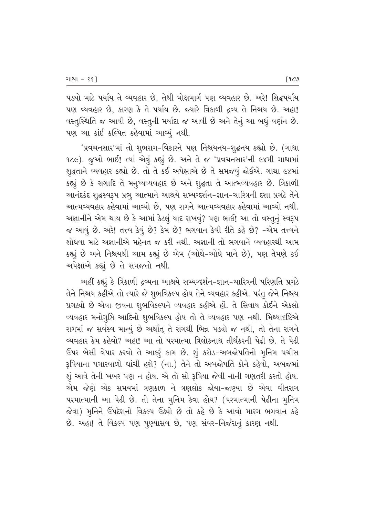પડ્યો માટે પર્યાય તે વ્યવહાર છે. તેથી મોક્ષમાર્ગ પણ વ્યવહાર છે. અરે! સિદ્ધપર્યાય પણ વ્યવહાર છે, કારણ કે તે પર્યાય છે. જ્યારે ત્રિકાળી દ્રવ્ય તે નિશ્ચય છે. અહા! વસ્તુસ્થિતિ જ આવી છે, વસ્તુની મર્યાદા જ આવી છે અને તેનું આ બધું વર્ણન છે. પણ આ કાંઈ કલ્પિત કહેવામાં આવ્યું નથી.

'પ્રવચનસાર'માં તો શુભરાગ-વિકારને પણ નિશ્ચયનય-શૃદ્ધનય કહ્યો છે. (ગાથા 1૮૯). જુઓ ભાઈ! ત્યાં એવું કહ્યું છે. અને તે જ 'પ્રવચનસાર'ની ૯૪મી ગાથામાં શૃદ્ધતાને વ્યવહાર કહ્યો છે. તો તે કઈ અપેક્ષાએ છે તે સમજવું જોઈએ. ગાથા ૯૪માં કહ્યું છે કે રાગાદિ તે મનુષ્યવ્યવહાર છે અને શુદ્ધતા તે આત્મવ્યવહાર છે. ત્રિકાળી આનંદકંદ શૃદ્ધસ્વરૂપ પ્રભુ આત્માને આશ્રયે સમ્યગ્દર્શન-જ્ઞાન-ચારિત્રની દશા પ્રગટે તેને આત્મવ્યવહાર કહેવામાં આવ્યો છે. પણ રાગને આત્મવ્યવહાર કહેવામાં આવ્યો નથી. અજ્ઞાનીને એમ થાય છે કે આમાં કેટલું યાદ રાખવું? પણ ભાઈ! આ તો વસ્તુનું સ્વરૂપ જ આવું છે. અરે! તત્ત્વ કેવું છે? કેમ છે? ભગવાન કેવી રીતે કહે છે? -એમ તત્ત્વને શોધવા માટે અજ્ઞાનીએ મહેનત જ કરી નથી. અજ્ઞાની તો ભગવાને વ્યવહારથી આમ કહ્યું છે અને નિશ્ચયથી આમ કહ્યું છે એમ (ઓઘે-ઓઘે માને છે), પણ તેમણે કઈ અપેક્ષાએ કહ્યું છે તે સમજતો નથી.

અહીં કહ્યું કે ત્રિકાળી દ્રવ્યના આશ્રયે સમ્યગ્દર્શન-જ્ઞાન-ચારિત્રની પરિણતિ પ્રગટે તેને નિશ્ચય કહીએ તો ત્યારે જે શુભવિકલ્પ હોય તેને વ્યવહાર કહીએ. પરંતુ જેને નિશ્ચય પ્રગટ્યો છે એવા જીવના શુભવિકલ્પને વ્યવહાર કહીએ હોં. તે સિવાય કોઈને એકલો વ્યવહાર મનોગૃપ્તિ આદિનો શુભવિકલ્પ હોય તો તે વ્યવહાર પણ નથી. મિથ્યાદષ્ટિએ રાગમાં જ સર્વસ્વ માન્યું છે અર્થાત્ તે રાગથી ભિન્ન પડ્યો જ નથી, તો તેના રાગને વ્યવહાર કેમ કહેવો? અહા! આ તો પરમાત્મા ત્રિલોકનાથ તીર્થંકરની પેઢી છે. તે પેઢી ઉપર બેસી વેપાર કરવો તે આકરૂં કામ છે. શું કરોડ-અબજોપતિનો મુનિમ પચીસ રૂપિયાના પગારવાળો ઘાંચી હશે? (ના.) તેને તો અબજોપતિ કોને કહેવો, અબજમાં શું આવે તેની ખબર પણ ન હોય. એ તો સો રૂપિયા જેવી નાની ગણતરી કરતો હોય. એમ જેણે એક સમયમાં ત્રણકાળ ને ત્રણલોક જોયા-જાણ્યા છે એવા વીતરાગ પરમાત્માની આ પેઢી છે. તો તેના મુનિમ કેવા હોય? (પરમાત્માની પેઢીના મુનિમ જેવા) મૂનિને ઉપદેશનો વિકલ્પ ઉઠ્યો છે તો કહે છે કે આવો મારગ ભગવાન કહે છે. અહા! તે વિકલ્પ પણ પુણ્યાસવ છે, પણ સંવર-નિર્જરાનું કારણ નથી.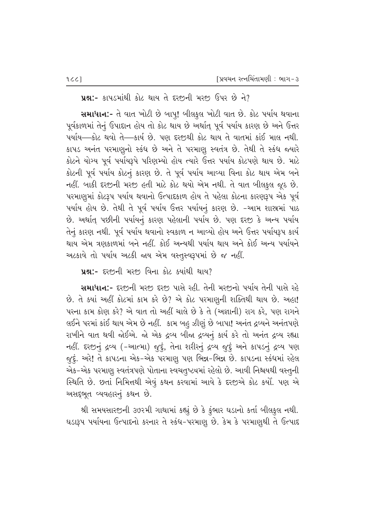$\,$ પ્રશ્ન:- કાપડમાંથી કોટ થાય તે દરજીની મરજી ઉપર છે ને?

સમાધાન:- તે વાત ખોટી છે બાપ્! બીલકુલ ખોટી વાત છે. કોટ પર્યાય થવાના પૂર્વકાળમાં તેનું ઉપાદાન હોય તો કોટ થાય છે અર્થાત્ પૂર્વ પર્યાય કારણ છે અને ઉત્તર પર્યાય—કોટ થવો તે—કાર્ય છે. પણ દરજીથી કોટ થાય તે વાતમાં કાંઈ માલ નથી. કાપડ અનંત પરમાણૂનો સ્કંધ છે અને તે પરમાણૂ સ્વતંત્ર છે. તેથી તે સ્કંધ જ્યારે કોટને યોગ્ય પૂર્વ પર્યાયરૂપે પરિણમ્યો હોય ત્યારે ઉત્તર પર્યાય કોટપણે થાય છે. માટે કોટની પૂર્વ પર્યાય કોટનું કારણ છે. તે પૂર્વ પર્યાય આવ્યા વિના કોટ થાય એમ બને નહીં. બાકી દરજીની મરજી હતી માટે કોટ થયો એમ નથી. તે વાત બીલકુલ જૂઠ છે. પરમાણુમાં કોટરૂપ પર્યાય થવાનો ઉત્પાદકાળ હોય તે પહેલા કોટના કારણરૂપ એક પૂર્વ પર્યાય હોય છે. તેથી તે પૂર્વ પર્યાય ઉત્તર પર્યાયનું કારણ છે. -આમ શાસ્રમાં પાઠ છે. અર્થાત્ પછીની પર્યાયનું કારણ પહેલાની પર્યાય છે. પણ દરજી કે અન્ય પર્યાય તેનું કારણ નથી. પૂર્વ પર્યાય થવાનો સ્વકાળ ન આવ્યો હોય અને ઉત્તર પર્યાયરૂપ કાર્ય થાય એમ ત્રણકાળમાં બને નહીં. કોઈ અન્યથી પર્યાય થાય અને કોઈ અન્ય પર્યાયને અટકાવે તો પર્યાય અટકી જાય એમ વસ્તુસ્વરૂપમાં છે જ નહીં.

પ્રશ્ન:- દરજીની મરજી વિના કોટ ક્યાંથી થાય?

સમાધાન:- દરછની મરછ દરછ પાસે રહી. તેની મરછનો પર્યાય તેની પાસે રહે છે. તે ક્યાં અહીં કોટમાં કામ કરે છે? એ કોટ પરમાણુની શક્તિથી થાય છે. અહા! પરના કામ કોણ કરે? એ વાત તો અહીં ચાલે છે કે તે (અજ્ઞાની) રાગ કરે, પણ રાગને લઈને પરમાં કાંઈ થાય એમ છે નહીં. કામ બહુ ઝીણું છે બાપા! અનંત દ્રવ્યને અનંતપણે રાખીને વાત થવી જોઈએ. જો એક દ્રવ્ય બીજા દ્રવ્યનું કાર્ય કરે તો અનંત દ્રવ્ય રહ્યા નહીં. દરજીનું દ્રવ્ય (-આત્મા) જુદું, તેના શરીરનું દ્રવ્ય જુદું અને કાપડનું દ્રવ્ય પણ જુદું. અરે! તે કાપડના એક-એક પરમાણુ પણ ભિન્ન-ભિન્ન છે. કાપડના સ્કંધમાં રહેલ એક-એક પરમાણુ સ્વતંત્રપણે પોતાના સ્વચતુષ્ટયમાં રહેલો છે. આવી નિશ્ચયથી વસ્તુની સ્થિતિ છે. છતાં નિમિત્તથી એવું કથન કરવામાં આવે કે દરજીએ કોટ કર્યો. પણ એ અસદ્દભૂત વ્યવહારનું કથન છે.

શ્રી સમયસારજીની ૩૭૨મી ગાથામાં કહ્યું છે કે કુંભાર ઘડાનો કર્તા બીલકુલ નથી. ઘડારૂપ પર્યાયના ઉત્પાદનો કરનાર તે સ્કંધ-પરમાણુ છે. કેમ કે પરમાણુથી તે ઉત્પાદ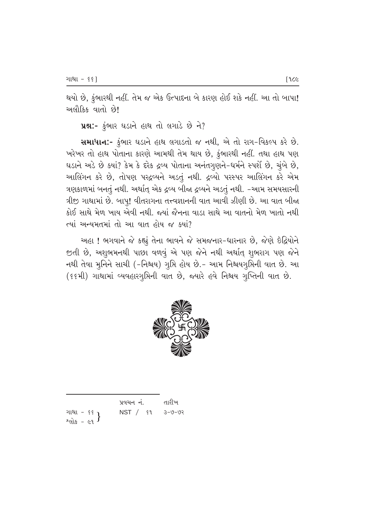થયો છે, કુંભારથી નહીં. તેમ જ એક ઉત્પાદના બે કારણ હોઈ શકે નહીં. આ તો બાપા! <u>અલૌકિક વાતો છે!</u>

 $yx$ :-  $\dot{\xi}$ ભાર ઘડાને હાથ તો લગાડે છે ને?

સમાધાન:- ફુંભાર ઘડાને હાથ લગાડતો જ નથી, એ તો રાગ-વિકલ્પ કરે છે. ખરેખર તો હાથ પોતાના કારણે આમથી તેમ થાય છે, કુંભારથી નહીં. તથા હાથ પણ ઘડાને અડે છે ક્યાં? કેમ કે દરેક દ્રવ્ય પોતાના અનંતગૃણને-ધર્મને સ્પર્શે છે, ચૂંબે છે, આલિંગન કરે છે, તોપણ પરદ્રવ્યને અડતું નથી. દ્રવ્યો પરસ્પર આલિંગન કરે એમ ત્રણકાળમાં બનતું નથી. અર્થાત્ એક દ્રવ્ય બીજા દ્રવ્યને અડતું નથી. -આમ સમયસારની  $|A|$ જી ગાથામાં છે. બાપ્! વીતરાગના તત્ત્વજ્ઞાનની વાત આવી ઝીણી છે. આ વાત બીજા કોઈ સાથે મેળ ખાય એવી નથી. જ્યાં જૈનના વાડા સાથે આ વાતનો મેળ ખાતો નથી ત્યાં અન્યમતમાં તો આ વાત હોય જ ક<u>્યાં</u>?

આહા ! ભગવાને જે કહ્યું તેના ભાવને જે સમજનાર-ધારનાર છે, જેણે ઇંદ્રિયોને જીતી છે, અશુભમનથી પાછા વળવું એ પણ જેને નથી અર્થાત્ શુભરાગ પણ જેને નથી તેવા મૂનિને સાચી (-નિશ્રય) ગુપ્તિ હોય છે.- આમ નિશ્ચયગ્રૂપ્તિની વાત છે. આ (૬૬મી) ગાથામાં વ્યવહારગુમિની વાત છે, જ્યારે હવે નિશ્ચય ગુપ્તિની વાત છે.



|                                         | પ્રવચન નં.                | તારીખ |
|-----------------------------------------|---------------------------|-------|
| ગાથા - ૬૬ 1                             | $NST /$ $$1$ $3 - 9 - 92$ |       |
| $^{2}$ cils - $\epsilon$ 9 <sup>}</sup> |                           |       |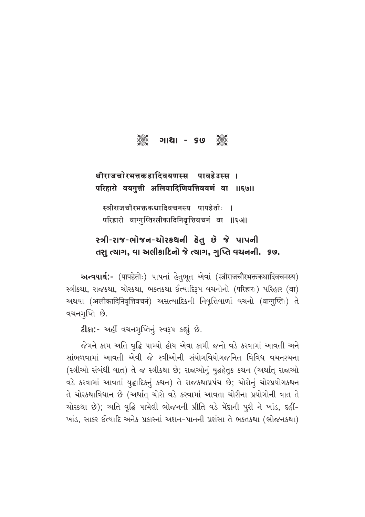#### **Seep** ୁଞ୍ଚି ଓ ୨୮ ||ଆ|

## थीराजचोरभत्तकहादिवयणस्स पावहेउस्स । परिहारो वयगुत्ती अलियादिणियत्तिवयणं वा ॥६७॥

स्त्रीराजचौरभक्तकथादिवचनस्य पापहेतोः **।** परिहारो वाग्गुप्तिरलीकादिनिवृत्तिवचनं वा ॥६७॥

# સ્ત્રી-રાજ-ભોજન-ચોરકથની હેતુ છે જે પાપની તસુ ત્યાગ, વા અલીકાદિનો જે ત્યાગ, ગુપ્તિ વચનની. કહ.

**અન્વયાર્થ:-** (पापहेतोः) પાપનાં હેતુભૂત એવાં (स्त्रीराजचौरभक्तकथादिवचनस्य) स्त्रीक्ष्था, राજકથा, ચોરકથા, ભક્તકથા ઈત્યાદિરૂપ વચનોનો (परिहारः) પરિહાર (वा) અથવા (अलीकादिनिवृत्तिवचनं) અસત્યાદિકની નિવૃત્તિવાળાં વચનો (वागुप्तिः) તે વચનગૃપ્તિ છે.

2ીકા:- અહીં વચનગુપ્તિનું સ્વરૂપ કહ્યું છે.

જેમને કામ અતિ વૃદ્ધિ પામ્યો હોય એવા કામી જનો વડે કરવામાં આવતી અને સાંભળવામાં આવતી એવી જે સ્ત્રીઓની સંયોગવિયોગજનિત વિવિધ વચનરચના (સ્ત્રીઓ સંબંધી વાત) તે જ સ્ત્રીકથા છે; રાજાઓનું યુદ્ધહેતુક કથન (અર્થાત્ રાજાઓ વડે કરવામાં આવતાં યુદ્ધાદિકનું કથન) તે રાજકથાપ્રપંચ છે; ચોરોનું ચોરપ્રયોગકથન તે ચોરકથાવિધાન છે (અર્થાત્ ચોરો વડે કરવામાં આવતા ચોરીના પ્રયોગોની વાત તે ચોરકથા છે); અતિ વૃદ્ધિ પામેલી ભોજનની પ્રીતિ વડે મેંદાની પૂરી ને ખાંડ, દહીં-ખાંડ, સાકર ઈત્યાદિ અનેક પ્રકારનાં અશન-પાનની પ્રશંસા તે ભક્તકથા (ભોજનકથા)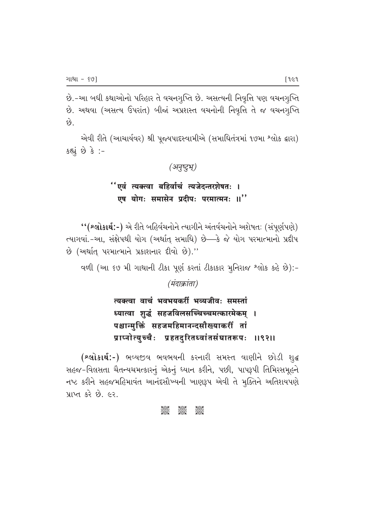છે.-આ બધી કથાઓનો પરિહાર તે વચનગુપ્તિ છે. અસત્યની નિવૃત્તિ પણ વચનગુપ્તિ છે. અથવા (અસત્ય ઉપરાંત) બીજાં અપ્રશસ્ત વચનોની નિવૃત્તિ તે જ વચનગૃપ્તિ  $\hat{e}$ 

એવી રીતે (આચાર્યવર) શ્રી પૂજ્યપાદસ્વામીએ (સમાધિતંત્રમાં ૧૭મા શ્લોક દ્વારા)  $s$ હ્યું છે કે :-

#### *(b|‹µ√‹>·∆)*

# "एवं त्यक्त्वा बहिर्वाचं त्यजेदन्तरशेषतः । एष योग: समासेन प्रदीप: परमात्मन: ॥''

" (શ્લોકાર્થ:-) એ રીતે બહિર્વચનોને ત્યાગીને અંતર્વચનોને અશેષતઃ (સંપૂર્ણપણે) ત્યાગવાં.-આ, સંક્ષેપથી યોગ (અર્થાત્ સમાધિ) છે—કે જે યોગ પરમાત્માનો પ્રદીપ  $\dot{\vartheta}$  (અર્થાત્ પરમાત્માને પ્રકાશનાર દીવો છે)."

વળી (આ ૬૭ મી ગાથાની ટીકા પૂર્ણ કરતાં ટીકાકાર મુનિરાજ શ્લોક કહે છે):-

*(मंदाक्रांता)* 

त्यक्त्वा वाचं भवभयकरीं भव्यजीवः समस्तां ध्यात्वा शृद्धं सहजविलसच्चिच्चमत्कारमेकम् । पश्चान्मक्तिं सहजमहिमानन्दसौख्याकरीं तां प्राप्नोत्युच्चैः प्रहतदुरितध्वांतसंघातरूपः ॥९२॥

(શ્લોકાર્થ:-) ભવ્યજીવ ભવભયની કરનારી સમસ્ત વાણીને છોડી શુદ્ધ સહજ-વિલસતા ચૈતન્યચમત્કારનું એકનું ધ્યાન કરીને, પછી, પાપરૂપી તિમિરસમૂહને નષ્ટ કરીને સહજમહિમાવંત આનંદસૌખ્યની ખાણરૂપ એવી તે મૂક્તિને અતિશયપણે પ્રાપ્ત કરે છે. ૯૨.

#### **C C C C**<br>C C C C C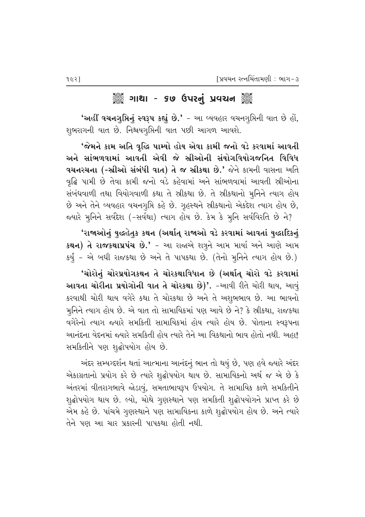#### ૈું ગાથા - ૬૭ ઉપરનું પ્રવચન ૅું

'અહીં વચનગૃપ્તિનું સ્વરૂપ કહ્યું છે.' - આ વ્યવહાર વચનગૃપ્તિની વાત છે હોં, શુભરાગની વાત છે. નિશ્ચયગૃપ્તિની વાત પછી આગળ આવશે.

'જેમને કામ અતિ વૃદ્ધિ પામ્યો હોય એવા કામી જનો વડે કરવામાં આવતી અને સાંભળવામાં આવતી એવી જે સ્રીઓની સંયોગવિયોગજનિત વિવિધ **વચનરચના (-સ્રીઓ સંબંધી વાત) તે જ સ્રીકથા છે.'** જેને કામની વાસના અતિ વૃદ્ધિ પામી છે તેવા કામી જનો વડે કહેવામાં અને સાંભળવામાં આવતી સ્રીઓના સંબંધવાળી તથા વિયોગવાળી કથા તે સ્રીકથા છે. તે સ્રીકથાનો મૂનિને ત્યાગ હોય છે અને તેને વ્યવહાર વચનગૃપ્તિ કહે છે. ગુહસ્થને સ્રીકથાનો એકદેશ ત્યાગ હોય છે, જયારે મુનિને સર્વદેશ (-સર્વથા) ત્યાગ હોય છે. કેમ કે મુનિ સર્વવિરતિ છે ને?

'રાજાઓનું યુદ્ધહેતુક કથન (અર્થાત્ રાજાઓ વડે કરવામાં આવતાં યુદ્ધાદિકનું ક**થન) તે રાજકથાપ્રપંચ છે.'** – આ રાજાએ શત્રુને આમ માર્યા અને આણે આમ કર્યું - એ બધી રાજકથા છે અને તે પાપકથા છે. (તેનો મુનિને ત્યાગ હોય છે.)

'ચોરોનું ચોરપ્રયોગકથન તે ચોરકથાવિધાન છે (અર્થાત્ ચોરો વડે કરવામાં આવતા ચોરીના પ્રયોગોની વાત તે ચોરકથા છે)'. -આવી રીતે ચોરી થાય, આવું કરવાથી ચોરી થાય વગેરે કથા તે ચોરકથા છે અને તે અશુભભાવ છે. આ ભાવનો મુનિને ત્યાગ હોય છે. એ વાત તો સામાયિકમાં પણ આવે છે ને? કે સ્રીકથા, રાજકથા વગેરેનો ત્યાગ જ્યારે સમકિતી સામાયિકમાં હોય ત્યારે હોય છે. પોતાના સ્વરૂપના આનંદના વેદનમાં જ્યારે સમકિતી હોય ત્યારે તેને આ વિકથાનો ભાવ હોતો નથી. અહા! સમકિતીને પણ શુદ્ધોપયોગ હોય છે.

અંદર સમ્યગ્દર્શન થતાં આત્માના આનંદનું ભાન તો થયું છે, પણ હવે જ્યારે અંદર એકાગ્રતાનો પ્રયોગ કરે છે ત્યારે શુદ્ધોપયોગ થાય છે. સામાયિકનો અર્થ જ એ છે કે અંતરમાં વીતરાગભાવે જોડાવું, સમતાભાવરૂપ ઉપયોગ. તે સામાયિક કાળે સમકિતીને શૃદ્ધોપયોગ થાય છે. લ્યો, ચોથે ગુણસ્થાને પણ સમકિતી શૃદ્ધોપયોગને પ્રાપ્ત કરે છે એમ કહે છે. પાંચમે ગુણસ્થાને પણ સામાયિકના કાળે શુદ્ધોપયોગ હોય છે. અને ત્યારે તેને પણ આ ચાર પ્રકારની પાપકથા હોતી નથી.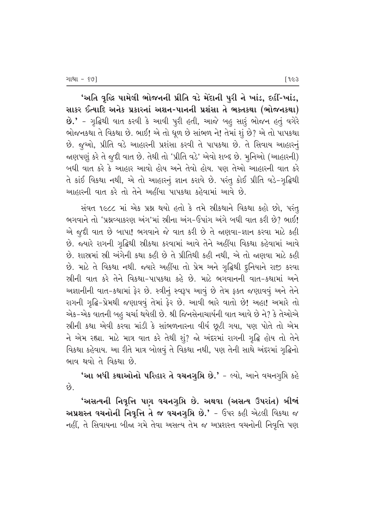'અતિ વૃદ્ધિ પામેલી ભોજનની પ્રીતિ વડે મેંદાની પુરી ને ખાંડ, દહીં-ખાંડ, સાકર ઈત્યાદિ અનેક પ્રકારનાં અશન-પાનની પ્રશંસા તે ભક્તકથા (ભોજનકથા) **છે.'** - ગૃદ્ધિથી વાત કરવી કે આવી પૂરી હતી, આજે બહ સારૃં ભોજન હતું વગેરે ભોજનકથા તે વિકથા છે. ભાઈ! એ તો ધૂળ છે સાંભળ ને! તેમાં શું છે? એ તો પાપકથા છે. જૂઓ, પ્રીતિ વડે આહારની પ્રશંસા કરવી તે પાપકથા છે. તે સિવાય આહારન<del>ું</del> જાણપણું કરે તે જુદી વાત છે. તેથી તો 'પ્રીતિ વડે' એવો શબ્દ છે. મુનિઓ (આહારની) બધી વાત કરે કે આહાર આવો હોય અને તેવો હોય. પણ તેઓ આહારની વાત કરે તે કાંઈ વિકથા નથી, એ તો આહારનું જ્ઞાન કરાવે છે. પરંતુ કોઈ પ્રીતિ વડે-ગૃદ્ધિથી <u>આહારની વાત કરે તો તેને અહીંયા પાપકથા કહેવામાં આવે છે.</u>

સંવત ૧૯૮૮ માં એક પ્રશ્ન થયો હતો કે તમે સ્રીકથાને વિકથા કહો છો, પરંતુ ભગવાને તો 'પ્રશ્નવ્યાકરણ અંગ'માં સ્રીના અંગ-ઉપાંગ અંગે બધી વાત કરી છે? ભાઈ! એ જૂદી વાત છે બાપા! ભગવાને જે વાત કરી છે તે જાણવા-જ્ઞાન કરવા માટે કહી છે. જ્યારે રાગની ગૃદ્ધિથી સ્ત્રીકથા કરવામાં આવે તેને અહીંયા વિકથા કહેવામાં આવે છે. શાસ્રમાં સ્રી અંગેની કથા કહી છે તે પ્રીતિથી કહી નથી, એ તો જણવા માટે કહી છે. માટે તે વિકથા નથી. જ્યારે અહીંયા તો પ્રેમ અને ગુદ્ધિથી દૃનિયાને રાજી કરવા <u>સ્ત્રીની વાત કરે તેને વિકથા-પાપકથા કહે છે. માટે ભગવાનની વાત-કથામાં અને</u> આજ્ઞાનીની વાત-કથામાં ફેર છે. સ્ત્રીનું સ્વરૂપ આવું છે તેમ ફક્ત જણાવવું અને તેને રાગની ગૃદ્ધિ-પ્રેમથી જણાવવું તેમાં ફેર છે. આવી ભારે વાતો છે! અહા! અમારે તો એક-એક વાતની બહુ ચર્ચા થયેલી છે. શ્રી જિનસેનાચાર્યની વાત આવે છે ને? કે તેઓએ સ્ત્રીની કથા એવી કરવા માંડી કે સાંભળનારના વીર્ય છૂટી ગયા, પણ પોતે તો એમ  $-$ ને એમ રહ્યા. માટે માત્ર વાત કરે તેથી શું? જો અંદરમાં રાગની ગૃદ્ધિ હોય તો તેને વિકથા કહેવાય. આ રીતે માત્ર બોલવું તે વિકથા નથી, પણ તેની સાથે અંદરમાં ગૃદ્ધિનો ભાવ થવો તે વિકથા છે.

'આ બધી કથાઓનો પરિહાર તે વચનગુપ્તિ છે.' – લ્યો, આને વચનગુપ્તિ કહે છે.

'અસત્યની નિવૃત્તિ પણ વચનગુપ્તિ છે. અથવા (અસત્ય ઉપરાંત) બીજાં અપ્રશસ્ત વચનોની નિવૃત્તિ તે જ વચનગૃપ્તિ છે.' – ઉપર કહી એટલી વિકથા જ નહીં, તે સિવાયના બીજા ગમે તેવા અસત્ય તેમ જ અપ્રશસ્ત વચનોની નિવૃત્તિ પણ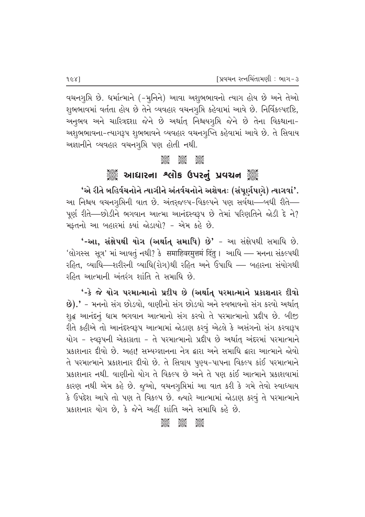વચનગુપ્તિ છે. ધર્માત્માને (-મુનિને) આવા અશુભભાવનો ત્યાગ હોય છે અને તેઓ શુભભાવમાં વર્તતા હોય છે તેને વ્યવહાર વચનગૃપ્તિ કહેવામાં આવે છે. નિર્વિકલ્પદષ્ટિ, અનુભવ અને ચારિત્રદશા જેને છે અર્થાત્ નિશ્ચયગુપ્તિ જેને છે તેના વિકથાના-અશુભભાવના-ત્યાગરૂપ શુભભાવને વ્યવહાર વચનગુપ્તિ કહેવામાં આવે છે. તે સિવાય અજ્ઞાનીને વ્યવહાર વચનગૃપ્તિ પણ હોતી નથી.

#### $\frac{8}{2000}$

# ે આઘારના શ્લોક ઉપરનું પ્રવચન ૅુ

'એ રીતે બહિર્વચનોને ત્યાગીને અંતર્વચનોને અશેષતઃ (સંપાર્ગપાગે) ત્યાગવાં'. આ નિશ્ચય વચનગૃપ્તિની વાત છે. અંતરજલ્પ-વિકલ્પને પણ સર્વથા—બધી રીતે— પૂર્ણ રીતે—છોડીને ભગવાન આત્મા આનંદસ્વરૂપ છે તેમાં પરિણતિને જોડી દે ને? મફતનો આ બહારમાં ક્યાં જોડાયો? - એમ કહે છે.

'-આ, સંક્ષેપથી યોગ (અર્થાત્ સમાધિ) છે' - આ સંક્ષેપથી સમાધિ છે. 'લોગસ્સ સૂત્ર' માં આવતું નથી? કે समाहिवरमुत्तमं दिंतु । આધિ – મનના સંકલ્પથી રહિત, વ્યાધિ—શરીરની વ્યાધિ(રોગ)થી રહિત અને ઉપાધિ — બહારના સંયોગથી રહિત આત્માની અંતરંગ શાંતિ તે સમાધિ છે.

'-કે જે યોગ પરમાત્માનો પ્રદીપ છે (અર્થાત્ પરમાત્માને પ્રકાશનાર દીવો છે).' - મનનો સંગ છોડવો, વાણીનો સંગ છોડવો અને સ્વભાવનો સંગ કરવો અર્થાત્ શુદ્ધ આનંદનું ધામ ભગવાન આત્માનો સંગ કરવો તે પરમાત્માનો પ્રદીપ છે. બીજી રીતે કહીએ તો આનંદસ્વરૂપ આત્મામાં જોડાણ કરવું એટલે કે અસંગનો સંગ કરવારૂપ યોગ - સ્વરૂપની એકાગ્રતા - તે પરમાત્માનો પ્રદીપ છે અર્થાત અંદરમાં પરમાત્માને પ્રકાશનાર દીવો છે. અહા! સમ્યગ્જ્ઞાનના નેત્ર દ્વારા અને સમાધિ દ્વારા આત્માને જોવો તે પરમાત્માને પ્રકાશનાર દીવો છે. તે સિવાય પૂણ્ય-પાપના વિકલ્પ કાંઈ પરમાત્માને પ્રકાશનાર નથી. વાણીનો યોગ તે વિકલ્પ છે અને તે પણ કાંઈ આત્માને પ્રકાશવામાં કારણ નથી એમ કહે છે. જુઓ, વચનગુપ્તિમાં આ વાત કરી કે ગમે તેવો સ્વાધ્યાય કે ઉપદેશ આપે તો પણ તે વિકલ્પ છે. જ્યારે આત્મામાં જોડાણ કરવું તે પરમાત્માને પ્રકાશનાર યોગ છે, કે જેને અહીં શાંતિ અને સમાધિ કહે છે.

> $\frac{1}{2}$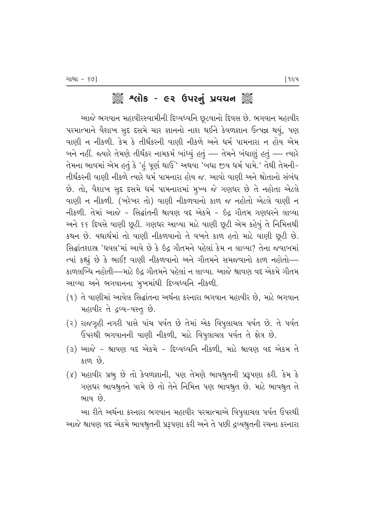# ેં કહે કર્યોક - ૯૨ ઉપરનું પ્રવચન ૅં

આજે ભગવાન મહાવીરસ્વામીની દિવ્યધ્વનિ છૂટવાનો દિવસ છે. ભગવાન મહાવીર પરમાત્માને વૈશાખ સુદ દસમે ચાર જ્ઞાનનો નાશ થઈને કેવળજ્ઞાન ઉત્પન્ન થયું, પણ વાણી ન નીકળી. કેમ કે તીર્થંકરની વાણી નીકળે અને ધર્મ પામનારા ન હોય એમ બને નહીં. જ્યારે તેમણે તીર્થંકર નામકર્મ બાંધ્યું હતું — તેમને બંધાણું હતું — ત્યારે તેમના ભાવમાં એમ હતું કે 'હં પૂર્ણ થાઉં' અથવા 'બધા જીવ ધર્મ પામે.' તેથી તેમની-તીર્થંકરની વાણી નીકળે ત્યારે ધર્મ પામનારા હોય જ. આવો વાણી અને શ્રોતાનો સંબંધ છે. તો, વૈશાખ સુદ દસમે ધર્મ પામનારામાં મુખ્ય જે ગણધર છે તે નહોતા એટલે વાણી ન નીકળી. (ખરેખર તો) વાણી નીકળવાનો કાળ જ નહોતો એટલે વાણી ન નીકળી. તેમાં આજે - સિદ્ધાંતની શ્રાવણ વદ એકમે - ઇંદ ગૌતમ ગણધરને લાવ્યા અને ૬૬ દિવસે વાણી છૂટી. ગણધર આવ્યા માટે વાણી છૂટી એમ કહેવું તે નિમિત્તથી કથન છે. યથાર્થમાં તો વાણી નીકળવાનો તે વખતે કાળ હતો માટે વાણી છૂ*ટી* છે. સિદ્ધાંતશાસ્ર 'ધવલ'માં આવે છે કે છેદ્ર ગૌતમને પહેલાં કેમ ન લાવ્યા? તેના જવાબમાં ત્યાં કહ્યું છે કે ભાઈ! વાણી નીકળવાનો અને ગૌતમને સમજવાનો કાળ નહોતો— કાળલબ્ધિ નહોતી—માટે ઇેદ્ર ગૌતમને પહેલાં ન લાવ્યા. આજે શ્રાવણ વદ એકમે ગૌતમ આવ્યા અને ભગવાનના મુખમાંથી દિવ્યધ્વનિ નીકળી.

- $(1)$  તે વાણીમાં આવેલ સિદ્ધાંતના અર્થના કરનારા ભગવાન મહાવીર છે, માટે ભગવાન મહાવીર તે દ્રવ્ય-વસ્તૂ છે.
- (२) રાજગૃહી નગરી પાસે પાંચ પર્વત છે તેમાં એક વિપુલાચલ પર્વત છે. તે પર્વત ઉપરથી ભગવાનની વાણી નીકળી, માટે વિપુલાચલ પર્વત તે ક્ષેત્ર છે.
- $(3)$  આજે શ્રાવણ વદ એકમે દિવ્યધ્વનિ નીકળી. માટે શ્રાવણ વદ એકમ તે કાળ $\Theta$ .
- (४) મહાવીર પ્રભૂ છે તો કેવળજ્ઞાની, પણ તેમણે ભાવશ્રૃતની પ્રરૂપણા કરી. કેમ કે ગણધર ભાવશ્રુતને પામે છે તો તેને નિમિત્ત પણ ભાવશ્રુત છે. માટે ભાવશ્રુત તે ભાવ $\omega$ .

આ રીતે અર્થના કરનારા ભગવાન મહાવીર પરમાત્માએ વિપૂલાચલ પર્વત ઉપરથી આજે શ્રાવણ વદ એકમે ભાવશ્રુતની પ્રરૂપણા કરી અને તે પછી દ્રવ્યશ્રુતની રચના કરનારા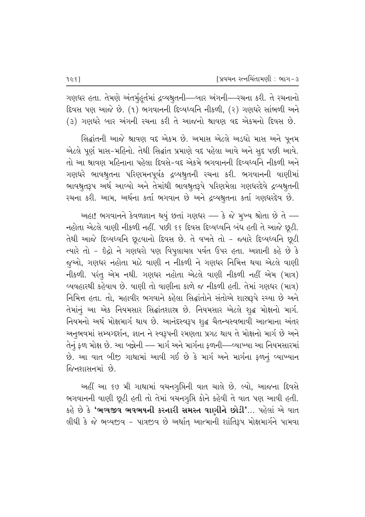ગણધર હતા. તેમણે અંતર્મુહુર્તમાં દ્રવ્યશ્રુતની—બાર અંગની—રચના કરી. તે રચનાનો દિવસ પણ આજે છે. (૧) ભગવાનની દિવ્યધ્વનિ નીકળી, (૨) ગણધરે સાંભળી અને (૩) ગણધરે બાર અંગની રચના કરી તે આજનો શ્રાવણ વદ એકમનો દિવસ છે.

સિદ્ધાંતની આજે શ્રાવણ વદ એકમ છે. અમાસ એટલે અડધો માસ અને પૂનમ એટલે પૂર્ણ માસ-મહિનો. તેથી સિદ્ધાંત પ્રમાણે વદ પહેલા આવે અને સુદ પછી આવે. તો આ શ્રાવણ મહિનાના પહેલા દિવસે-વદ એકમે ભગવાનની દિવ્યધ્વનિ નીકળી અને ગણધરે ભાવશ્રુતના પરિણમનપૂર્વક દ્રવ્યશ્રુતની રચના કરી. ભગવાનની વાણીમાં ભાવશ્રુતરૂપ અર્થ આવ્યો અને તેમાંથી ભાવશ્રુતરૂપે પરિણમેલા ગણધરદેવે દ્રવ્યશ્રુતની રચના કરી. આમ, અર્થના કર્તા ભગવાન છે અને દ્રવ્યશ્રુતના કર્તા ગણધરદેવ છે.

અહા! ભગવાનને કેવળજ્ઞાન થયું છતાં ગણધર — કે જે મુખ્ય શ્રોતા છે તે — નહોતા એટલે વાણી નીકળી નહીં. પછી ૬૬ દિવસ દિવ્યધ્વનિ બંધ હતી તે આજે છૂટી. તેથી આજે દિવ્યધ્વનિ છૂટવાનો દિવસ છે. તે વખતે તો - જ્યારે દિવ્યધ્વનિ છૂટી ત્યારે તો - ઇંદ્રો ને ગણધરો પણ વિપુલાચલ પર્વત ઉપર હતા. અજ્ઞાની કહે છે કે જુઓ, ગણધર નહોતા માટે વાણી ન નીકળી ને ગણધર નિમિત્ત થયા એટલે વાણી નીકળી. પરંતુ એમ નથી. ગણધર નહોતા એટલે વાણી નીકળી નહીં એમ (માત્ર) વ્યવહારથી કહેવાય છે. વાણી તો વાણીના કાળે જ નીકળી હતી. તેમાં ગણધર (માત્ર) નિમિત્ત હતા. તો, મહાવીર ભગવાને કહેલા સિદ્ધાંતોને સંતોએ શાસ્ત્રરૂપે રચ્યા છે અને તેમાંનું આ એક નિયમસાર સિદ્ધાંતશાસ્ર છે. નિયમસાર એટલે શુદ્ધ મોક્ષનો માર્ગ. નિયમનો અર્થ મોક્ષમાર્ગ થાય છે. આનંદસ્વરૂપ શુદ્ધ ચૈતન્યસ્વભાવી આત્માના અંતર અનુભવમાં સમ્યગ્દર્શન, જ્ઞાન ને સ્વરૂપની રમણતા પ્રગટ થાય તે મોક્ષનો માર્ગ છે અને તેનું ફળ મોક્ષ છે. આ બન્નેની — માર્ગ અને માર્ગના ફળની—વ્યાખ્યા આ નિયમસારમાં છે. આ વાત બીજી ગાથામાં આવી ગઈ છે કે માર્ગ અને માર્ગના ફળનું વ્યાખ્યાન જિનશાસનમાં છે.

અહીં આ ૬૭ મી ગાથામાં વચનગૃપ્તિની વાત ચાલે છે. લ્યો, આજના દિવસે ભગવાનની વાણી છૂટી હતી તો તેમાં વચનગુપ્તિ કોને કહેવી તે વાત પણ આવી હતી. કહે છે કે **'ભવ્યજીવ ભવભયની કરનારી સમસ્ત વાણીને છોડી'**… પહેલાં એ વાત લીધી કે જે ભવ્યજીવ - પાત્રજીવ છે અર્થાત્ આત્માની શાંતિરૂપ મોક્ષમાર્ગને પામવા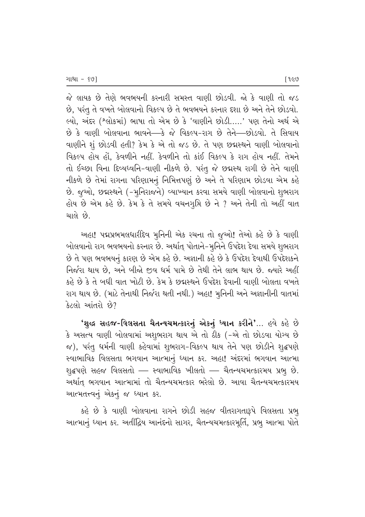જે લાયક છે તેણે ભવભયની કરનારી સમસ્ત વાણી છોડવી. જો કે વાણી તો જડ છે, પરંતુ તે વખતે બોલવાનો વિકલ્પ છે તે ભવભયને કરનાર દશા છે અને તેને છોડવો. લ્યો, અંદર (શ્લોકમાં) ભાષા તો એમ છે કે 'વાણીને છોડી.....' પણ તેનો અર્થ એ  $\dot{\vartheta}$  કે વાણી બોલવાના ભાવને—કે જે વિકલ્પ-રાગ છે તેને—છોડવો. તે સિવાય વાણીને શં છોડવી હતી? કેમ કે એ તો જડ છે. તે પણ છદ્મસ્થને વાણી બોલવાનો વિકલ્પ હોય હોં, કેવળીને નહીં. કેવળીને તો કાંઈ વિકલ્પ કે રાગ હોય નહીં. તેમને તો ઈચ્છા વિના દિવ્યધ્વનિ-વાણી નીકળે છે. પરંતુ જે છદ્મસ્થ રાગી છે તેને વાણી નીકળે છે તેમાં રાગના પરિણામનું નિમિત્તપણું છે અને તે પરિણામ છોડવા એમ કહે છે. જૂઓ, છદ્મસ્થને (-મૂનિરાજને) વ્યાખ્યાન કરવા સમયે વાણી બોલવાનો શુભરાગ હોય છે એમ કહે છે. કેમ કે તે સમયે વચનગુપ્તિ છે ને ? અને તેની તો અહીં વાત ચાલે છે.

અહા! પદ્મપ્રભમલધારીદેવ મુનિની એક રચના તો જૂઓ! તેઓ કહે છે કે વાણી બોલવાનો રાગ ભવભયનો કરનાર છે. અર્થાત્ પોતાને-મૃનિને ઉપદેશ દેવા સમયે શુભરાગ છે તે પણ ભવભયનું કારણ છે એમ કહે છે. અજ્ઞાની કહે છે કે ઉપદેશ દેવાથી ઉપદેશકને નિર્જરા થાય છે. અને બીજો જીવ ધર્મ પામે છે તેથી તેને લાભ થાય છે. જ્યારે અહીં કહે છે કે તે બધી વાત ખોટી છે. કેમ કે છદ્મસ્થને ઉપદેશ દેવાની વાણી બોલતા વખતે રાગ થાય છે. (માટે તેનાથી નિર્જરા થતી નથી.) અહા! મુનિની અને અજ્ઞાનીની વાતમાં  $3$ ટલો આંતરો છે?

'શુદ્ધ સહજ-વિલસતા ચૈતન્યચમત્કારનું એકનું ધ્યાન કરીને'... હવે કહે છે કે અસત્ય વાણી બોલવામાં અશુભરાગ થાય એ તો ઠીક (-એ તો છોડવા યોગ્ય છે જ), પરંતુ ધર્મની વાણી કહેવામાં શુભરાગ-વિકલ્પ થાય તેને પણ છોડીને શુદ્ધપણે સ્વાભાવિક વિલસતા ભગવાન આત્માનું ધ્યાન કર. અહા! અંદરમાં ભગવાન આત્મા શુદ્ધપણે સહજ વિલસતો — સ્વાભાવિક ખીલતો — ચૈતન્યચમત્કારમય પ્રભુ છે. અર્થાત ભગવાન આત્મામાં તો ચૈતન્યચમત્કાર ભરેલો છે. આવા ચૈતન્યચમત્કારમય આત્મતત્ત્વનું એકનું જ ધ્યાન કર.

કહે છે કે વાણી બોલવાના રાગને છોડી સહજ વીતરાગતારૂપે વિલસતા પ્રભ<u>ૂ</u> આત્માનું ધ્યાન કર. અતીંદ્રિય આનંદનો સાગર, ચૈતન્યચમત્કારમૂર્તિ, પ્રભુ આત્મા પોતે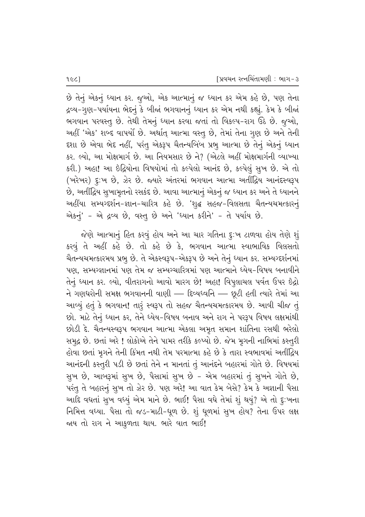છે તેનું એકનું ધ્યાન કર. જુઓ, એક આત્માનું જ ધ્યાન કર એમ કહે છે, પણ તેના દ્રવ્ય-ગુણ-પર્યાયના ભેદનું કે બીજાં ભગવાનનું ધ્યાન કર એમ નથી કહ્યું. કેમ કે બીજાં ભગવાન પરવસ્તુ છે. તેથી તેમનું ધ્યાન કરવા જતાં તો વિકલ્પ-રાગ ઉઠે છે. જુઓ, આહીં 'એક' શબ્દ વાપર્યો છે. અર્થાત્ આત્મા વસ્તુ છે, તેમાં તેના ગુણ છે અને તેની દશા છે એવા ભેદ નહીં, પરંતુ એકરૂપ ચૈતન્યબિંબ પ્રભૂ આત્મા છે તેનું એકનું ધ્યાન કર. લ્યો, આ મોક્ષમાર્ગ છે. આ નિયમસાર છે ને? (એટલે અહીં મોક્ષમાર્ગની વ્યાખ્યા કરી.) અહા! આ ઇંદ્રિયોના વિષયોમાં તો કલ્પેલો આનંદ છે, કલ્પેલું સૂખ છે. એ તો (ખરેખર) દુ:ખ છે, ઝેર છે. જ્યારે અંતરમાં ભગવાન આત્મા અતીંદ્વિય આનંદસ્વરૂપ છે, અતીદ્વિય સુખામૃતનો રસકંદ છે. આવા આત્માનું એકનું જ ધ્યાન કર અને તે ધ્યાનને અહીંયા સમ્યગ્દર્શન-જ્ઞાન-ચારિત્ર કહે છે. 'શુદ્ધ સહજ-વિલસતા ચૈતન્યચમત્કારનું એકનું' - એ દ્રવ્ય છે, વસ્તુ છે અને 'ધ્યાન કરીને' - તે પર્યાય છે.

જેણે આત્માનું હિત કરવું હોય અને આ ચાર ગતિના દૃ:ખ ટાળવા હોય તેણે શું કરવું તે અહીં કહે છે. તો કહે છે કે, ભગવાન આત્મા સ્વાભાવિક વિલસતો ચૈતન્યચમત્કારમય પ્રભુ છે. તે એકસ્વરૂપ-એકરૂપ છે અને તેનું ધ્યાન કર. સમ્યગ્દર્શનમાં પણ, સમ્યગ્જ્ઞાનમાં પણ તેમ જ સમ્યગ્ચારિત્રમાં પણ આત્માને ધ્યેય-વિષય બનાવીને તેનું ધ્યાન કર. લ્યો, વીતરાગનો આવો મારગ છે! અહા! વિપુલાચલ પર્વત ઉપર છેદ્રો ને ગણધરોની સમક્ષ ભગવાનની વાણી — દિવ્યધ્વનિ — છૂટી હતી ત્યારે તેમાં આ આવ્યું હતું કે ભગવાન! તારૂં સ્વરૂપ તો સહજ ચૈતન્યચમત્કારમય છે. આવી ચીજ તું છો. માટે તેનું ધ્યાન કર, તેને ધ્યેય–વિષય બનાવ અને રાગ ને પરરૂપ વિષય લક્ષમાંથી છોડી દે. ચૈતન્યસ્વરૂપ ભગવાન આત્મા એકલા અમૃત સમાન શાંતિના રસથી ભરેલો સમુદ્ર છે. છતાં અરે ! લોકોએ તેને પામર તરીકે કલ્પ્યો છે. જેમ મૃગની નાભિમાં કસ્તૂરી ્ણેવા છતાં મુગને તેની કિંમત નથી તેમ પરમાત્મા કહે છે કે તારા સ્વભાવમાં અતીંદ્રિય આનંદની કસ્તુરી પડી છે છતાં તેને ન માનતાં તું આનંદને બહારમાં ગોતે છે. વિષયમાં સુખ છે, આબરૂમાં સુખ છે, પૈસામાં સુખ છે - એમ બહારમાં તું સુખને ગોતે છે, પરંતુ તે બહારનું સુખ તો ઝેર છે. પણ અરે! આ વાત કેમ બેસે? કેમ કે અજ્ઞાની પૈસા આદિ વધતાં સૂખ વધ્યું એમ માને છે. ભાઈ! પૈસા વધે તેમાં શું થયું? એ તો દૃઃખના fiમિત્ત વધ્યા. પૈસા તો જડ-માટી-ધૂળ છે. શું ધૂળમાં સુખ હોય? તેના ઉપર લક્ષ જાય તો રાગ ને આકુળતા થાય. ભારે વાત ભાઈ!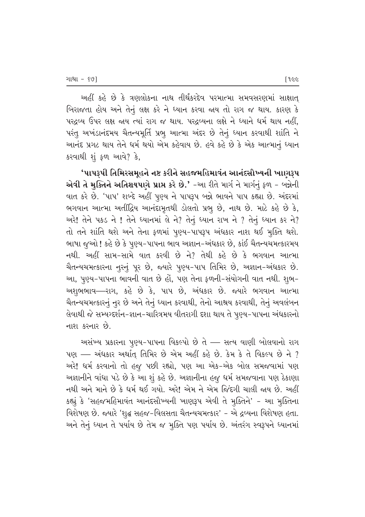અહીં કહે છે કે ત્રણલોકના નાથ તીર્થંકરદેવ પરમાત્મા સમવસરણમાં સાક્ષાત<del>્</del> બિરાજતા હોય અને તેનું લક્ષ કરે ને ધ્યાન કરવા જાય તો રાગ જ થાય. કારણ કે પરદ્રવ્ય ઉપર લક્ષ જાય ત્યાં રાગ જ થાય. પરદ્રવ્યના લક્ષે ને ધ્યાને ધર્મ થાય નહીં, પરંતુ અખંડાનંદમય ચૈતન્યમૂર્તિ પ્રભૂ આત્મા અંદર છે તેનું ધ્યાન કરવાથી શાંતિ ને આનંદ પ્રગટ થાય તેને ધર્મ થયો એમ કહેવાય છે. હવે કહે છે કે એક આત્માનું ધ્યાન કરવાથી શું ફળ આવે? કે,

'પાપરૂપી તિમિરસમુહને નષ્ટ કરીને સહજમહિમાવંત આનંદસૌખ્યની ખાણરૂપ એવી તે મૃક્તિને અતિશયપણે પ્રાપ્ત કરે છે.' −આ રીતે માર્ગ ને માર્ગનું ફળ − બન્નેની વાત કરે છે. 'પાપ' શબ્દે અહીં પુણ્ય ને પાપરૂપ બન્ને ભાવને પાપ કહ્યા છે. અંદરમાં ભગવાન આત્મા અતીંદ્રિય આનંદામૃતથી ડોલતો પ્રભુ છે, નાથ છે. માટે કહે છે કે, અરે! તેને પકડ ને ! તેને ધ્યાનમાં લે ને? તેનું ધ્યાન રાખ ને ? તેનું ધ્યાન કર ને? તો તને શાંતિ થશે અને તેના ફળમાં પૂણ્ય–પાપરૂપ અંધકાર નાશ થઈ મૂક્તિ થશે. ભાષા જુઓ ! કહે છે કે પુણ્ય-પાપના ભાવ અજ્ઞાન-અંધકાર છે, કાંઈ ચૈતન્યચમત્કારમય નથી. અહીં સામ-સામે વાત કરવી છે ને? તેથી કહે છે કે ભગવાન આત્મા ચૈતન્યચમત્કારના નુરનું પૂર છે, જ્યારે પુણ્ય-પાપ તિમિર છે, અજ્ઞાન-અંધકાર છે. આ, પૂણ્ય-પાપના ભાવની વાત છે હોં, પણ તેના ફળની-સંયોગની વાત નથી. શુભ-અશુભભાવ—રાગ, કહે છે કે, પાપ છે, અંધકાર છે. જ્યારે ભગવાન આત્મા ચૈતન્યચમત્કારનું નુર છે અને તેનું ધ્યાન કરવાથી, તેનો આશ્રય કરવાથી, તેનું અવલંબન લેવાથી જે સમ્યગ્દર્શન-જ્ઞાન-ચારિત્રમય વીતરાગી દશા થાય તે પુણ્ય-પાપના અંધકારનો નાશ કરનાર  $\hat{\vartheta}$ .

અસંખ્ય પ્રકારના પુણ્ય-પાપના વિકલ્પો છે તે — સત્ય વાણી બોલવાનો રાગ  $u$ ણ – અંધકાર અર્થાત્ તિમિર છે એમ અહીં કહે છે. કેમ કે તે વિકલ્પ છે ને ? અરે! ધર્મ કરવાનો તો હજુ પછી રહ્યો, પણ આ એક-એક બોલ સમજવામાં પણ અજ્ઞાનીને વાંધા પડે છે કે આ શું કહે છે. અજ્ઞાનીના હજુ ધર્મ સમજવાના પણ ઠેકાણા નથી અને માને છે કે ધર્મ થઈ ગયો. અરે! એમ ને એમ જિંદગી ચાલી જાય છે. અહીં કહ્યું કે 'સહજમહિમાવંત આનંદસૌખ્યની ખાણરૂપ એવી તે મૂક્તિને' - આ મૂક્તિના faશેષણ છે. જ્યારે 'શૃદ્ધ સહજ-વિલસતા ચૈતન્યચમત્કાર' - એ દ્રવ્યના વિશેષણ હતા. અને તેનું ધ્યાન તે પર્યાય છે તેમ જ મૂક્તિ પણ પર્યાય છે. અંતરંગ સ્વરૂપને ધ્યાનમાં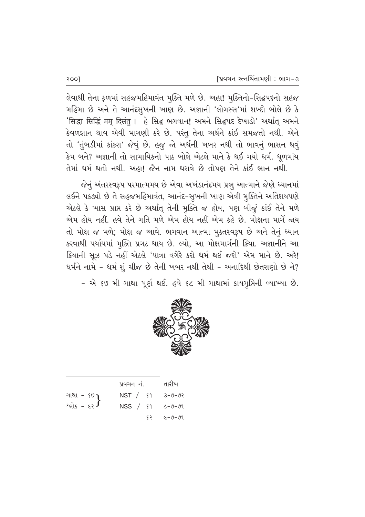લેવાથી તેના ફળમાં સહજમહિમાવંત મુક્તિ મળે છે. અહા! મુક્તિનો-સિદ્ધપદનો સહજ મહિમા છે અને તે આનંદસૂખની ખાણ છે. અજ્ઞાની 'લોગસ્સ'માં શબ્દો બોલે છે કે 'सिद्धा सिद्धिं मम् दिसंतु । હે સિદ્ધ ભગવાન! અમને સિદ્ધપદ દેખાડો' અર્થાત્ અમને કેવળજ્ઞાન થાવ એવી માગણી કરે છે. પરંતુ તેના અર્થને કાંઈ સમજતો નથી. એને તો 'તુંબડીમાં કાંકરા' જેવું છે. હજુ જો અર્થની ખબર નથી તો ભાવનું ભાસન થવું કેમ બને? અજ્ઞાની તો સામાયિકનો પાઠ બોલે એટલે માને કે થઈ ગયો ધર્મ. ધૂળમાંય તેમાં ધર્મ થતો નથી. અહા! જૈન નામ ધરાવે છે તોપણ તેને કાંઈ ભાન નથી.

જેનું અંતરસ્વરૂપ પરમાત્મમય છે એવા અખંડાનંદમય પ્રભૂ આત્માને જેણે ધ્યાનમાં લઈને પકડ્યો છે તે સહજમહિમાવંત, આનંદ-સુખની ખાણ એવી મુક્તિને અતિશયપણે એટલે કે ખાસ પ્રાપ્ત કરે છે અર્થાત્ તેની મુક્તિ જ હોય, પણ બીજું કાંઈ તેને મળે એમ હોય નહીં. હવે તેને ગતિ મળે એમ હોય નહીં એમ કહે છે. મોક્ષના માર્ગે જાય તો મોક્ષ જ મળે; મોક્ષ જ આવે. ભગવાન આત્મા મુક્તસ્વરૂપ છે અને તેનું ધ્યાન કરવાથી પર્યાયમાં મૂક્તિ પ્રગટ થાય છે. લ્યો, આ મોક્ષમાર્ગની ક્રિયા. અજ્ઞાનીને આ ક્રિયાની સૂઝ પડે નહીં એટલે 'યાત્રા વગેરે કરો ધર્મ થઈ જશે' એમ માને છે. અરે! ધર્મને નામે - ધર્મ શું ચીજ છે તેની ખબર નથી તેથી - અનાદિથી છેતરાણો છે ને?

- એ ૬૭ મી ગાથા પૂર્ણ થઈ. હવે ૬૮ મી ગાથામાં કાયગુપ્તિની વ્યાખ્યા છે.



|                                               | પ્રવચન નં.                             | તારીખ             |
|-----------------------------------------------|----------------------------------------|-------------------|
| ગાથા - <sup>૬૭</sup> }<br>શ્લોક - ૯૨ <b>}</b> | $NST /$ $$1$                           | $50 - 0 - 5$      |
|                                               | $NSS / \mathfrak{sl}$ $\zeta - 0 - 01$ |                   |
|                                               |                                        | $$2$ $$6 - 0 - 0$ |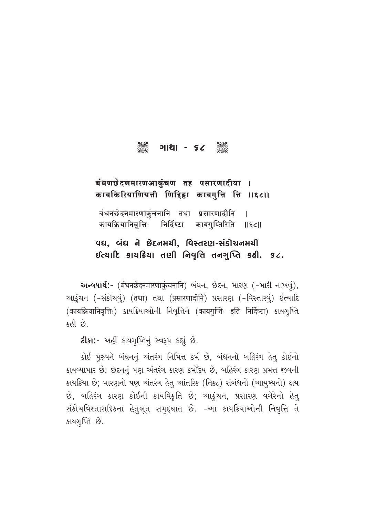# C U⁄z⁄ - 68 C

## बंधणछेदणमारणआकुंचण तह पसारणादीया । कायकिरियाणियत्ती णिद्दिडा कायगुत्ति त्ति ॥६८॥

बंधनछेदनमारणाकुंचनानि तथा प्रसारणादीनि ।<br>कायक्रियानिवृत्तिः निर्दिष्टा कायगुप्तिरिति ॥ कायक्रियानिवृत्तिः निर्दिष्टा कायगुप्तिरिति ||६८||

## 'વધ, બંધ ને છેદનમચી, વિસ્તરણ-સંકોચનમચી  $i$ દિયાદિ કાયક્રિયા તણી નિવૃત્તિ તનગુપ્તિ કહી. ૬૮.

અन्ययार्थ:- (बंधनछेदनमारणाकुंचनानि) બंधन, છેદન, મારણ (-મારી નાખવું), આકુંચન (-સંકોચવું) (तथा) તથા (प्रसारणादीनि) પ્રસારણ (-વિસ્તારવું) ઈત્યાદિ (कायक्रियानिवृत्तिः) કાયક્રિયાઓની નિવૃત્તિને (कायगुप्तिः इति निर्दिष्टा) કાયગૂપ્તિ કહી છે.

 $2$ [3]:- અહીં કાયગૃપ્તિનું સ્વરૂપ કહ્યું છે.

કોઈ પુરુષને બંધનનું અંતરંગ નિમિત્ત કર્મ છે, બંધનનો બહિરંગ હેતુ કોઈનો કાયવ્યાપાર છે; છેદનનું પણ અંતરંગ કારણ કર્મોદય છે, બહિરંગ કારણ પ્રમત્ત જીવની કાયક્રિયા છે; મારણનો પણ અંતરંગ હેત્ આંતરિક (નિકટ) સંબંધનો (આયુષ્યનો) ક્ષય છે, બહિરંગ કારણ કોઈની કાયવિકૃતિ છે; આકુંચન, પ્રસારણ વગેરેનો હેત્ સંકોચવિસ્તારાદિકના હેતુભૂત સમુદૃઘાત છે. -આ કાયક્રિયાઓની નિવૃત્તિ તે કાયગૃપ્તિ છે.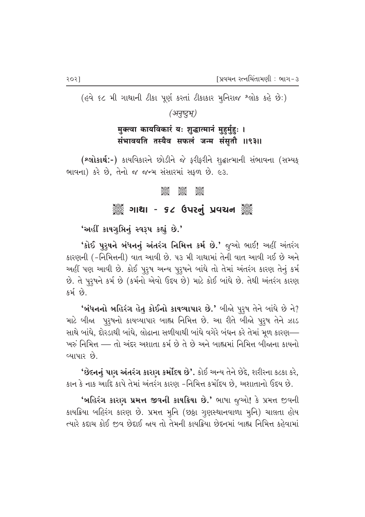२०२]

(હવે ૬૮ મી ગાથાની ટીકા પૂર્ણ કરતાં ટીકાકાર મુનિરાજ શ્લોક કહે છે:)

(अनुष्टुभू)

मुक्त्वा कायविकारं यः शुद्धात्मानं मुहुर्मुहुः । संभावयति तस्यैव सफलं जन्म संसुतौ ॥९३॥

(શ્લોકાર્થ:-) કાયવિકારને છોડીને જે ફરીફરીને શુદ્ધાત્માની સંભાવના (સમ્યક્ ભાવના) કરે છે, તેનો જ જન્મ સંસારમાં સફળ છે. ૯૩.

#### **See Jess**

### ૈું ગાથા - ૬૮ ઉપરનું પ્રવચન ૅું

'અહીં કાયગુપ્તિનું સ્વરૂપ કહ્યું છે.'

'કોઈ પુરૂષને બંધનનું અંતરંગ નિમિત્ત કર્મ છે.' જુઓ ભાઈ! અહીં અંતરંગ કારણની (-નિમિત્તની) વાત આવી છે. ૫૩ મી ગાથામાં તેની વાત આવી ગઈ છે અને અહીં પણ આવી છે. કોઈ પુરૂષ અન્ય પુરૂષને બાંધે તો તેમાં અંતરંગ કારણ તેનું કર્મ છે. તે પુરૂષને કર્મ છે (કર્મનો એવો ઉદય છે) માટે કોઈ બાંધે છે. તેથી અંતરંગ કારણ કર્મ છે.

'બંધનનો બહિરંગ હેતુ કોઈનો કાયવ્યાપાર છે.' બીજો પુરૂષ તેને બાંધે છે ને? માટે બીજા પુરૂષનો કાયવ્યાપાર બાહ્ય નિમિત્ત છે. આ રીતે બીજો પુરૂષ તેને ઝાડ સાથે બાંધે, દોરડાથી બાંધે, લોઢાના સળીયાથી બાંધે વગેરે બંધન કરે તેમાં મૂળ કારણ— ખરું નિમિત્ત — તો અંદર અશાતા કર્મ છે તે છે અને બાહ્યમાં નિમિત્ત બીજાના કાયનો વ્યાપાર છે.

'છેદનનું પાગ અંતરંગ કારણ કર્મોદય છે'. કોઈ અન્ય તેને છેદે, શરીરના કટકા કરે, કાન કે નાક આદિ કાપે તેમાં અંતરંગ કારણ -નિમિત્ત કર્મોદય છે, અશાતાનો ઉદય છે.

'બહિરંગ કારણ પ્રમત્ત જીવની કાયક્રિયા છે.' ભાષા જુઓ! કે પ્રમત્ત જીવની કાયક્રિયા બહિરંગ કારણ છે. પ્રમત્ત મૂનિ (છઠ્ઠા ગૃણસ્થાનવાળા મૂનિ) ચાલતા હોય ત્યારે કદાચ કોઈ જીવ છેદાઈ જાય તો તેમની કાયક્રિયા છેદનમાં બાહ્ય નિમિત્ત કહેવામાં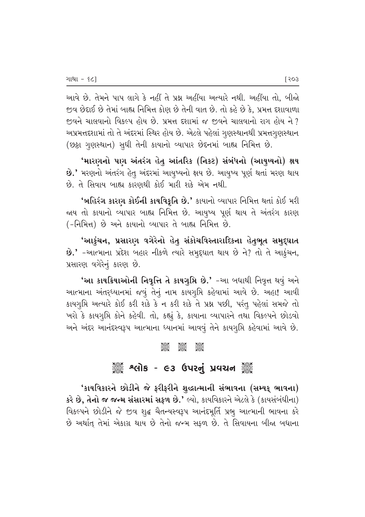આવે છે. તેમને પાપ લાગે કે નહીં તે પ્રશ્ન અહીંયા અત્યારે નથી. અહીંયા તો, બીજ<mark>ો</mark> જીવ છેદાઈ છે તેમાં બાહ્ય નિમિત્ત કોણ છે તેની વાત છે. તો કહે છે કે. પ્રમત્ત દશાવાળા જીવને ચાલવાનો વિકલ્પ હોય છે. પ્રમત્ત દશામાં જ જીવને ચાલવાનો રાગ હોય ને ? અપ્રમત્તદશામાં તો તે અંદરમાં સ્થિર હોય છે. એટલે પહેલાં ગુણસ્થાનથી પ્રમત્તગુણસ્થાન (છઠ્ઠા ગુણસ્થાન) સુધી તેની કાયાનો વ્યાપાર છેદનમાં બાહ્ય નિમિત્ત છે.

<u>'મારણનો પણ અંતરંગ હેતુ આંતરિક (નિકટ) સંબંધનો (આયુષ્યનો) ક્ષય</u>  $9.'$  મરણનો અંતરંગ હેતુ અંદરમાં આયુષ્યનો ક્ષય છે. આયુષ્ય પૂર્ણ થતાં મરણ થાય છે. તે સિવાય બાહ્ય કારણથી કોઈ મારી શકે એમ નથી.

 $\cdot$ બહિરંગ કારણ કોઈની કાયવિકૃતિ છે.' કાયાનો વ્યાપાર નિમિત્ત થતાં કોઈ મરી જાય તો કાયાનો વ્યાપાર બાહ્ય નિમિત્ત છે. આયુષ્ય પૂર્ણ થાય તે અંતરંગ કારણ  $(-$ નિમિત્ત) છે અને કાયાનો વ્યાપાર તે બાહ્ય નિમિત્ત છે.

'આકુંચન, પ્રસારણ વગેરેનો હેતુ સંકોચવિસ્તારાદિકના હેતુભૂત સમુદ્દઘાત  $\dot{\mathbf{B}}$ .' -આત્માના પ્રદેશ બહાર નીકળે ત્યારે સમુદ્દઘાત થાય છે ને? તો તે આકુંચન, પ્રસારણ વગેરેનું કારણ છે.

'આ કાયક્રિયાઓની નિવૃત્તિ તે કાયગુપ્તિ છે.' -આ બધાથી નિવૃત્ત થવું અને આત્માના અંતર્**ધ્યાનમાં જવું તેનું નામ કાયગુ**પ્તિ કહેવામાં આવે છે. અહા! આવી કાયગૃપ્તિ અત્યારે કોઈ કરી શકે કે ન કરી શકે તે પ્રશ્ન પછી, પરંતુ પહેલાં સમજે તો ખરો કે કાયગૃપ્તિ કોને કહેવી. તો, કહ્યું કે, કાયાના વ્યાપારને તથા વિકલ્પને છોડવો અને અંદર આનંદસ્વરૂપ આત્માના ધ્યાનમાં આવવું તેને કાયગૃપ્તિ કહેવામાં આવે છે.

#### C C C

### ું કે શ્લોક - ૯૩ ઉપરનું પ્રવચન યું

'કાયવિકારને છોડીને જે ફરીફરીને શુદ્ધાત્માની સંભાવના (સમ્યક્ ભાવના)  $S^{2}$  છે, તેનો જ જન્મ સંસારમાં સફળ છે.' લ્યો, કાયવિકારને એટલે કે (કાયસંબંધીના) વિકલ્પને છોડીને જે જીવ શૃદ્ધ ચૈતન્યસ્વરૂપ આનંદમૂર્તિ પ્રભૂ આત્માની ભાવના કરે છે અર્થાત તેમાં એકાગ્ર થાય છે તેનો જન્મ સફળ છે. તે સિવાયના બીજા બધાના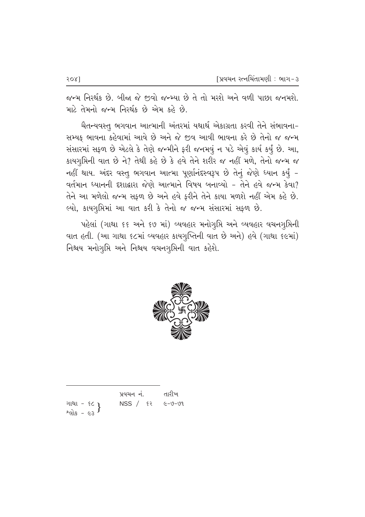જન્મ નિરર્થક છે. બીજા જે જીવો જન્મ્યા છે તે તો મરશે અને વળી પાછા જનમશે. માટે તેમનો જન્મ નિરર્થક છે એમ કહે છે.

ચૈતન્યવસ્તુ ભગવાન આત્માની અંતરમાં યથાર્થ એકાગ્રતા કરવી તેને સંભાવના-સમ્યક ભાવના કહેવામાં આવે છે અને જે જીવ આવી ભાવના કરે છે તેનો જ જન્મ સંસારમાં સફળ છે એટલે કે તેણે જન્મીને ફરી જનમવું ન પડે એવું કાર્ય કર્યું છે. આ, કાયગૃપ્તિની વાત છે ને? તેથી કહે છે કે હવે તેને શરીર જ નહીં મળે, તેનો જન્મ જ નહીં થાય. અંદર વસ્તુ ભગવાન આત્મા પૂર્ણાનંદસ્વરૂપ છે તેનું જેણે ધ્યાન કર્યું -વર્તમાન ધ્યાનની દશાદ્વારા જેણે આત્માને વિષય બનાવ્યો - તેને હવે જન્મ કેવા? તેને આ મળેલો જન્મ સફળ છે અને હવે ફરીને તેને કાયા મળશે નહીં એમ કહે છે. લ્યો, કાયગુપ્તિમાં આ વાત કરી કે તેનો જ જન્મ સંસારમાં સફળ છે.

પહેલાં (ગાથા ૬૬ અને ૬૭ માં) વ્યવહાર મનોગૃપ્તિ અને વ્યવહાર વચનગૃપ્તિની વાત હતી. (આ ગાથા ૬૮માં વ્યવહાર કાયગુપ્તિની વાત છે અને) હવે (ગાથા ૬૯માં) નિશ્ચય મનોગૃપ્તિ અને નિશ્વય વચનગૃપ્તિની વાત કહેશે.



|                                               | પ્રવચન નં.                | તારીખ |
|-----------------------------------------------|---------------------------|-------|
| ગાથા - ૬૮ <b>ા</b><br>શ્લોક - ૯૩ <sup>}</sup> | $NSS /$ $52$ $6 - 0 - 01$ |       |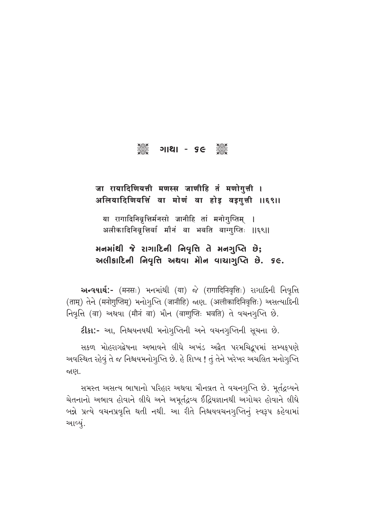# ૂ<br>કહ્યું ગાથા - ૬૯ ઁૢ

### जा रायादिणियत्ती मणस्स जाणीहि तं मणोगुत्ती । अलियादिणियत्तिं वा मोणं वा होड़ वड़गुत्ती ॥६९॥

या रागादिनिवृत्तिर्मनसो जानीहि तां मनोगुप्तिम् । अलीकादिनिवृत्तिर्वा मौनं वा भवति वाग्गुप्तिः ॥६९॥

### મનમાંથી જે રાગાદિની નિવૃત્તિ તે મનગુપ્તિ છે; અલીકાદિની નિવૃત્તિ અથવા મોન વાચાગૃપ્તિ છે. ૬૯.

અન્વયાર્થ:- (मनसः) भनभांथी (या) જે (रागादिनिवृत्तिः) રાગાદિની નિવૃત્તિ (ताम्) तेने (मनोगुप्तिम्) भनोगृप्ति (जानीहि) काष्टा. (अलीकादिनिवृत्तिः) असत्यादिनी निवृत्ति (वा) અथवा (मौनं वा) भौन (वागुप्तिः भवति) ते वयनगृप्ति છे.

2ીકા:- આ, નિશ્ચયનયથી મનોગુપ્તિની અને વચનગુપ્તિની સૂચના છે.

સકળ મોહરાગદ્વેષના અભાવને લીધે અખંડ અદ્વૈત પરમચિદ્રૂપમાં સમ્યક્પણે અવસ્થિત રહેવું તે જ નિશ્ચયમનોગૃપ્તિ છે. હે શિષ્ય ! તું તેને ખરેખર અચલિત મનોગૃપ્તિ જાણ.

સમસ્ત અસત્ય ભાષાનો પરિહાર અથવા મૌનવ્રત તે વચનગૃપ્તિ છે. મૂર્તદ્રવ્યને ચેતનાનો અભાવ હોવાને લીધે અને અમૂર્તદ્રવ્ય ઈંદ્રિયજ્ઞાનથી અગોચર હોવાને લીધે બન્ને પ્રત્યે વચનપ્રવૃત્તિ થતી નથી. આ રીતે નિશ્ચયવચનગુપ્તિનું સ્વરૂપ કહેવામાં આવ્યું.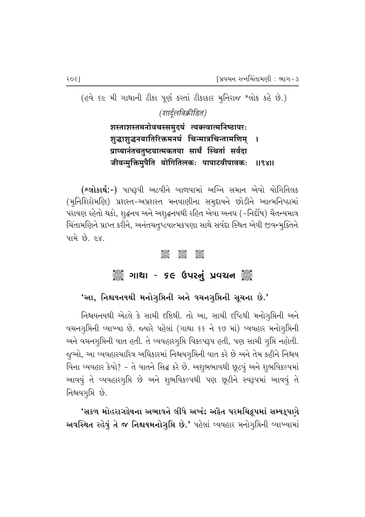(હવે ૬૯ મી ગાથાની ટીકા પૂર્ણ કરતાં ટીકાકાર મુનિરાજ શ્લોક કહે છે.) (शार्दुलविक्रीडित)

> शस्ताशस्तमनोवचस्समुदयं त्यक्त्वात्मनिष्ठापरः शुद्धाशुद्धनयातिरिक्तमनघं चिन्मात्रचिन्तामणिम् प्राप्यानंतचतुष्टयात्मकतया सार्धं स्थितां सर्वदा जीवन्मुक्तिमुपैति योगितिलकः पापाटवीपावकः 119811

(શ્લોકાર્થ:-) પાપરૂપી અટવીને બાળવામાં અગ્નિ સમાન એવો યોગિતિલક (મુનિશિરોમણિ) પ્રશસ્ત-અપ્રશસ્ત મનવાણીના સમુદાયને છોડીને આત્મનિષ્ઠામાં પરાયણ રહેતો થકો, શુદ્ધનય અને અશુદ્ધનયથી રહિત એવા અનઘ (-નિર્દોષ) ચૈતન્યમાત્ર ચિંતામણિને પ્રાપ્ત કરીને, અનંતચતુષ્ટયાત્મકપણા સાથે સર્વદા સ્થિત એવી જીવન્મુક્તિને <u>પામે છે. ૯૪.</u>

#### **Jean**

### ૈું ગાથા - ૬૯ ઉપરનું પ્રવચન ૈું

# 'આ, નિશ્ચયનયથી મનોગુપ્તિની અને વચનગુપ્તિની સૂચના છે.'

નિશ્ચયનયથી એટલે કે સાચી દષ્ટિથી. તો આ, સાચી દષ્ટિથી મનોગુપ્તિની અને વચનગુપ્તિની વ્યાખ્યા છે. જ્યારે પહેલાં (ગાથા ૬૬ ને ૬૭ માં) વ્યવહાર મનોગુપ્તિની અને વચનગુમિની વાત હતી. તે વ્યવહારગુમિ વિકલ્પરૂપ હતી, પણ સાચી ગુમિ નહોતી. જુઓ, આ વ્યવહારચારિત્ર અધિકારમાં નિશ્ચયગુપ્તિની વાત કરે છે અને તેમ કહીને નિશ્ચય વિના વ્યવહાર કેવો? - તે વાતને સિદ્ધ કરે છે. અશુભભાવથી છૂટવું અને શુભવિકલ્પમાં આવવું તે વ્યવહારગુપ્તિ છે અને શુભવિકલ્પથી પણ છૂટીને સ્વરૂપમાં આવવું તે નિશ્ચયગૃપ્તિ છે.

'સકળ મોહરાગદ્વેષના અભાવને લીધે અખંડ અદ્વૈત પરમચિદ્રપમાં સમ્યક્પણે અવસ્થિત રહેવું તે જ નિશ્ચયમનોગુમિ છે.' પહેલાં વ્યવહાર મનોગુમિની વ્યાખ્યામાં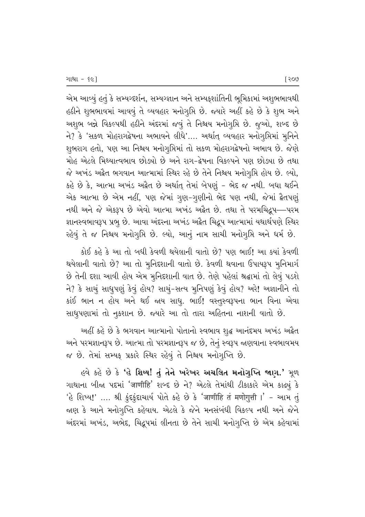એમ આવ્યું હતું કે સમ્યગ્દર્શન, સમ્યગ્જ્ઞાન અને સમ્યકુશાંતિની ભૂમિકામાં અશુભભાવથી હઠીને શુભભાવમાં આવવું તે વ્યવહાર મનોગુપ્તિ છે. જ્યારે અહીં કહે છે કે શુભ અને અશુભ બન્ને વિકલ્પથી હઠીને અંદરમાં જવું તે નિશ્ચય મનોગૃપ્તિ છે. જુઓ, શબ્દ છે ને? કે 'સકળ મોહરાગદ્વેષના અભાવને લીધે'.... અર્થાત્ વ્યવહાર મનોગુપ્તિમાં મુનિને શુભરાગ હતો, પણ આ નિશ્ચય મનોગુપ્તિમાં તો સકળ મોહરાગદ્વેષનો અભાવ છે. જેણે મોહ એટલે મિથ્યાત્વભાવ છોડ્યો છે અને રાગ-દ્વેષના વિકલ્પને પણ છોડ્યા છે તથા જે અખંડ અદ્વૈત ભગવાન આત્મામાં સ્થિર રહે છે તેને નિશ્ચય મનોગમિ હોય છે. લ્યો, કહે છે કે, આત્મા અખંડ અદ્વૈત છે અર્થાત્ તેમાં બેપણું - ભેદ જ નથી. બધા થઈને એક આત્મા છે એમ નહીં, પણ જેમાં ગુણ-ગુણીનો ભેદ પણ નથી, જેમાં દ્વૈતપણું નથી અને જે એકરૂપ છે એવો આત્મા અખંડ અદ્વૈત છે. તથા તે પરમચિદ્રૂપ—પરમ જ્ઞાનસ્વભાવરૂપ પ્રભુ છે. આવા અંદરના અખંડ અદ્વેત ચિદ્રૂપ આત્મામાં યથાર્થપણે સ્થિર રહેવું તે જ નિશ્ચય મનોગુપ્તિ છે. લ્યો, આનું નામ સાચી મનોગુપ્તિ અને ધર્મ છે.

કોઈ કહે કે આ તો બધી કેવળી થયેલાની વાતો છે? પણ ભાઈ! આ ક્યાં કેવળી થયેલાની વાતો છે? આ તો મુનિદશાની વાતો છે. કેવળી થવાના ઉપાયરૂપ મુનિમાર્ગ છે તેની દશા આવી હોય એમ મુનિદશાની વાત છે. તેણે પહેલાં શ્રદ્ધામાં તો લેવું પડશે ને? કે સાચું સાધુપણું કેવું હોય? સાચું-સત્ય મુનિપણું કેવું હોય? અરે! અજ્ઞાનીને તો કાંઈ ભાન ન હોય અને થઈ જાય સાધુ. ભાઈ! વસ્તુસ્વરૂપના ભાન વિના એવા સાધુપણામાં તો નુકશાન છે. જ્યારે આ તો તારા અહિતના નાશની વાતો છે.

અહીં કહે છે કે ભગવાન આત્માનો પોતાનો સ્વભાવ શુદ્ધ આનંદમય અખંડ અદ્વૈત અને પરમજ્ઞાનરૂપ છે. આત્મા તો પરમજ્ઞાનરૂપ જ છે, તેનું સ્વરૂપ જાણવાના સ્વભાવમય જ છે. તેમાં સમ્યક્ પ્રકારે સ્થિર રહેવું તે નિશ્ચય મનોગુપ્તિ છે.

હવે કહે છે કે 'હે શિષ્ય! તું તેને ખરેખર અચલિત મનોગુપ્તિ જાણ.' મૂળ ગાથાના બીજા પદમાં 'जाणीहि' શબ્દ છે ને? એટલે તેમાંથી ટીકાકારે એમ કાઢ્યું કે 'હે શિષ્ય!' .... શ્રી કુંદકુંદાચાર્ય પોતે કહે છે કે 'जाणीहि तं मणोगुत्ती ।' - આમ તું જાણ કે આને મનોગુપ્તિ કહેવાય. એટલે કે જેને મનસંબંધી વિકલ્પ નથી અને જેને અંદરમાં અખંડ, અભેદ, ચિદ્રુપમાં લીનતા છે તેને સાચી મનોગૃપ્તિ છે એમ કહેવામાં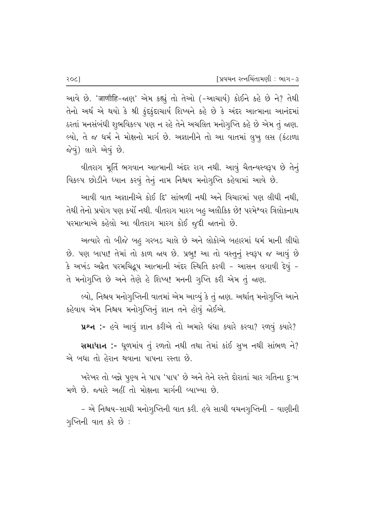આવે છે. 'जाणीहि-જાણ' એમ કહ્યું તો તેઓ (-આચાર્ય) કોઈને કહે છે ને? તેથી તેનો અર્થ એ થયો કે શ્રી કુંદકુંદાચાર્ય શિષ્યને કહે છે કે અંદર આત્માના આનંદમાં ઠરતાં મનસંબંધી શુભવિકલ્પ પણ ન રહે તેને અચલિત મનોગુપ્તિ કહે છે એમ તું જાણ. લ્યો, તે જ ધર્મ ને મોક્ષનો માર્ગ છે. અજ્ઞાનીને તો આ વાતમાં લુખુ લસ (કંટાળા જેવું) લાગે એવું છે.

વીતરાગ મૂર્તિ ભગવાન આત્માની અંદર રાગ નથી. આવું ચૈતન્યસ્વરૂપ છે તેનું વિકલ્પ છોડીને ધ્યાન કરવું તેનું નામ નિશ્ચય મનોગુપ્તિ કહેવામાં આવે છે.

આવી વાત અજ્ઞાનીએ કોઈ દિ' સાંભળી નથી અને વિચારમાં પણ લીધી નથી, તેથી તેનો પ્રયોગ પણ કર્યો નથી. વીતરાગ મારગ બહુ અલૌકિક છે! પરમેશ્વર ત્રિલોકનાથ પરમાત્માએ કહેલો આ વીતરાગ મારગ કોઈ જુદી જાતનો છે.

અત્યારે તો બીજે બહ ગરબડ ચાલે છે અને લોકોએ બહારમાં ધર્મ માની લીધો છે. પણ બાપા! તેમાં તો કાળ જાય છે. પ્રભૂ! આ તો વસ્તુનું સ્વરૂપ જ આવું છે કે અખંડ અદ્વૈત પરમચિદ્રુપ આત્માની અંદર સ્થિતિ કરવી - આસન લગાવી દેવું -તે મનોગુપ્તિ છે અને તેણે હે શિષ્ય! મનની ગુપ્તિ કરી એમ તું જાણ.

લ્યો, નિશ્ચય મનોગુપ્તિની વાતમાં એમ આવ્યું કે તું જાણ. અર્થાત્ મનોગુપ્તિ આને કહેવાય એમ નિશ્ચય મનોગુપ્તિનું જ્ઞાન તને હોવું જોઈએ.

 $x^2 + y^2 - 6$ વે આવું જ્ઞાન કરીએ તો અમારે ધંધા ક્યારે કરવા? રળવું ક્યારે?

 $R$ માધાન :- ધૂળમાંય તું રળતો નથી તથા તેમાં કાંઈ સૂખ નથી સાંભળ ને? એ બધા તો હેરાન થવાના પાપના રસ્તા છે.

ખરેખર તો બન્ને પુણ્ય ને પાપ 'પાપ' છે અને તેને રસ્તે દોરાતાં ચાર ગતિના દુઃખ મળે છે. જ્યારે અહીં તો મોક્ષના માર્ગની વ્યાખ્યા છે.

– એ નિશ્ચય–સાચી મનોગુપ્તિની વાત કરી. હવે સાચી વચનગુપ્તિની – વાણીની ગુપ્તિની વાત કરે છે :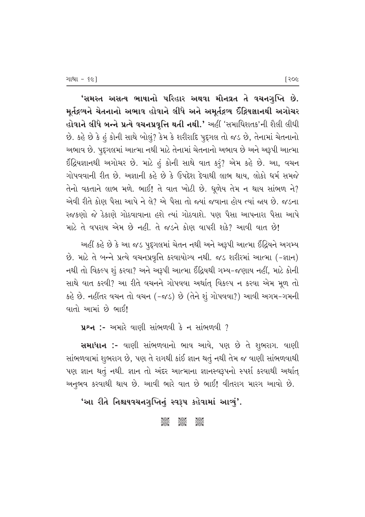'સમસ્ત અસત્ય ભાષાનો પરિહાર અથવા મૌનવ્રત તે વચનગુપ્તિ છે. મુર્તદ્રવ્યને ચેતનાનો અભાવ હોવાને લીધે અને અમુર્તદ્રવ્ય ઈંદ્રિયજ્ઞાનથી અગોચર હોવાને લીધે બન્ને પ્રત્યે વચનપ્રવૃત્તિ થતી નથી.' અહીં 'સમાધિશતક'ની શૈલી લીધી  $\hat{P}$ . કહે છે કે હં કોની સાથે બોલું? કેમ કે શરીરાદિ પુદૃગલ તો જડ છે, તેનામાં ચેતનાનો અભાવ છે. પુદૃગલમાં આત્મા નથી માટે તેનામાં ચેતનાનો અભાવ છે અને અરૂપી આત્મા  $66$ દિયજ્ઞાનથી અગોચર છે. માટે હું કોની સાથે વાત કરૂં? એમ કહે છે. આ, વચન ગોપવવાની રીત છે. અજ્ઞાની કહે છે કે ઉપદેશ દેવાથી લાભ થાય. લોકો ધર્મ સમજે  $\hat{a}$ નો વકતાને લાભ મળે. ભાઈ! તે વાત ખોટી છે. ધુળેય તેમ ન થાય સાંભળ ને? એવી રીતે કોણ પૈસા આપે ને લે? એ પૈસા તો જ્યાં જવાના હોય ત્યાં જાય છે. જડના રજકણો જે ઠેકાણે ગોઠવાવાના હશે ત્યાં ગોઠવાશે. પણ પૈસા આપનારા પૈસા આપે માટે તે વપરાય એમ છે નહીં. તે જડને કોણ વાપરી શકે? આવી વાત છે!

આહીં કહે છે કે આ જડ પુદૃગલમાં ચેતન નથી અને અરૂપી આત્મા ઈંદ્રિયને અગમ્ય છે. માટે તે બન્ને પ્રત્યે વચનપ્રવૃત્તિ કરવાયોગ્ય નથી. જડ શરીરમાં આત્મા (-જ્ઞાન) નથી તો વિકલ્પ શું કરવા? અને અરૂપી આત્મા ઈંદ્રિયથી ગમ્ય-જણાય નહીં, માટે કોની સાથે વાત કરવી? આ રીતે વચનને ગોપવવા અર્થાત્ વિકલ્પ ન કરવા એમ મૂળ તો કહે છે. નહીંતર વચન તો વચન (-જડ) છે (તેને શું ગોપવવા?) આવી અગમ-ગમની વાતો આમાં છે ભાઈ!

 $x^2-$  :- આમારે વાણી સાંભળવી કે ન સાંભળવી ?

સમાધાન :- વાણી સાંભળવાનો ભાવ આવે, પણ છે તે શુભરાગ. વાણી સાંભળવામાં શુભરાગ છે, પણ તે રાગથી કાંઈ જ્ઞાન થતું નથી તેમ જ વાણી સાંભળવાથી પણ જ્ઞાન થતું નથી. જ્ઞાન તો અંદર આત્માના જ્ઞાનસ્વરૂપનો સ્પર્શ કરવાથી અર્થાત્ અનુભવ કરવાથી થાય છે. આવી ભારે વાત છે ભાઈ! વીતરાગ મારગ આવો છે.

### 'આ રીતે નિશ્ચયવચનગુપ્તિનું સ્વરૂપ કહેવામાં આવ્યું**'**.

#### යුගුව දිගිවර් යුගුව<br>පසුව පසුව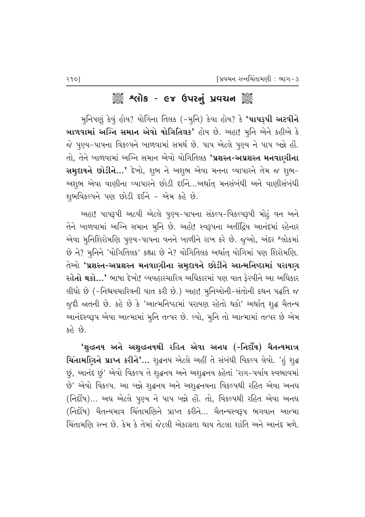## ૺૺૺૺૺૺૺૺૺૺ*૱*લોક - ૯૪ ઉપરનું પ્રવચન ૺૺૺૺૺ

મુનિપણું કેવું હોય? યોગિના તિલક (-મુનિ) કેવા હોય? કે **'પાપરૂપી અટવીને** બાળવામાં અગ્નિ સમાન એવો યોગિતિલક' હોય છે. અહા! મુનિ એને કહીએ કે જે પુણ્ય-પાપના વિકલ્પને બાળવામાં સમર્થ છે. પાપ એટલે પુણ્ય ને પાપ બન્ને હોં. તો, તેને બાળવામાં અગ્નિ સમાન એવો યોગિતિલક **'પ્રશસ્ત-અપ્રશસ્ત મનવાણીના** સમૃદાયને છોડીને...' દેખો, શુભ ને અશુભ એવા મનના વ્યાપારને તેમ જ શુભ-અશુભ એવા વાણીના વ્યાપારને છોડી દઈને...અર્થાત્ મનસંબંધી અને વાણીસંબંધી શુભવિકલ્પને પણ છોડી દઈને - એમ કહે છે.

અહા! પાપરૂપી અટવી એટલે પુણ્ય-પાપના સંકલ્પ-વિકલ્પરૂપી મોટું વન અને તેને બાળવામાં અગ્નિ સમાન મુનિ છે. અહો! સ્વરૂપના અતીંદ્રિય આનંદમાં રહેનાર એવા મુનિશિરોમણિ પુણ્ય-પાપના વનને બાળીને રાખ કરે છે. જૂઓ, અંદર શ્લોકમાં છે ને? મૂનિને 'યોગિતિલક' કહ્યા છે ને? યોગિતિલક અર્થાત્ યોગિમાં પણ શિરોમણિ. તેઓ 'પ્રશસ્ત-અપ્રશસ્ત મનવાણીના સમૃદાયને છોડીને આત્મનિષ્ઠામાં પરાયણ **રહેતો થકો…'** ભાષા દેખો! વ્યવહારચારિત્ર અધિકારમાં પણ વાત કેરવીને આ અધિકાર લીધો છે (-નિશ્ચયચારિત્રની વાત કરી છે.) અહા! મુનિઓની-સંતોની કથન પદ્ધતિ જ જુદી જાતની છે. કહે છે કે 'આત્મનિષ્ઠામાં પરાયણ રહેતો થકો' અર્થાત્ શુદ્ધ ચૈતન્ય આનંદસ્વરૂપ એવા આત્મામાં મુનિ તત્પર છે. લ્યો, મુનિ તો આત્મામાં તત્પર છે એમ કહે છે.

'શુદ્ધનય અને અશુદ્ધનયથી રહિત એવા અનઘ (-નિર્દોષ) ચૈતન્યમાત્ર ચિંતામણિને પ્રાપ્ત કરીને'... શુદ્ધનય એટલે અહીં તે સંબંધી વિકલ્પ લેવો. 'હું શુદ્ધ છું, આનંદ છું' એવો વિકલ્પ તે શૃદ્ધનય અને અશૃદ્ધનય કહેતાં 'રાગ-પર્યાય સ્વભાવમાં છે' એવો વિકલ્પ. આ બન્ને શુદ્ધનય અને અશુદ્ધનયના વિકલ્પથી રહિત એવા અનઘ (નિર્દોષ)... અઘ એટલે પુણ્ય ને પાપ બન્ને હોં. તો, વિકલ્પથી રહિત એવા અનઘ (નિર્દોષ) ચૈતન્યમાત્ર ચિંતામણિને પ્રાપ્ત કરીને... ચૈતન્યસ્વરૂપ ભગવાન આત્મા ચિંતામણિ રત્ન છે. કેમ કે તેમાં જેટલી એકાગ્રતા થાય તેટલા શાંતિ અને આનંદ મળે.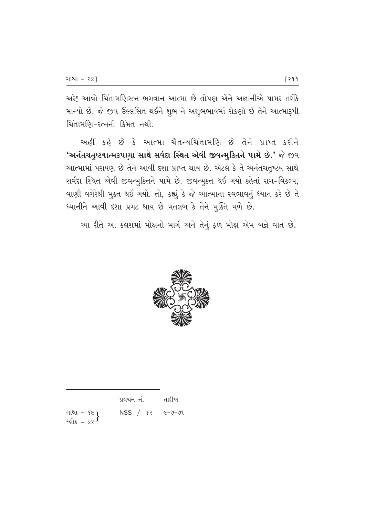અરે! આવો ચિંતામણિરત્ન ભગવાન આત્મા છે તોપણ એને અજ્ઞાનીએ પામર તરીકે માન્યો છે. જે જીવ ઉલ્લસિત થઈને શુભ ને અશુભભાવમાં રોકણો છે તેને આત્મારૂપી ચિંતામણિ-રત્નની કિંમત નથી.

અહીં કહે છે કે આત્મા ચૈતન્યચિંતામણિ છે તેને પ્રાપ્ત કરીને 'અનંતચતુષ્ટયાત્મકપણા સાથે સર્વદા સ્થિત એવી જીવન્મુકિતને પામે છે.' જે જીવ આત્મામાં પરાયણ છે તેને આવી દશા પ્રાપ્ત થાય છે. એટલે કે તે અનંતચતુષ્ટય સાથે સર્વદા સ્થિત એવી જીવન્મુકિતને પામે છે. જીવન્મુકત થઈ ગયો કહેતાં રાગ-વિકલ્પ, વાણી વગેરેથી મુક્ત થઈ ગયો. તો, કહ્યું કે જે આત્માના સ્વભાવનું ધ્યાન કરે છે તે ધ્યાનીને આવી દશા પ્રગટ થાય છે મતલબ કે તેને મુક્તિ મળે છે.

આ રીતે આ કલશમાં મોક્ષનો માર્ગ અને તેનું ફળ મોક્ષ એમ બન્ને વાત છે.



|                             | પ્રવચન નં.                                  | તારીખ |
|-----------------------------|---------------------------------------------|-------|
| ગાથા - ૬૯ }<br>શ્લોક - ૯૪ } | $NSS / \varepsilon$ $\varepsilon$ $-9 - 91$ |       |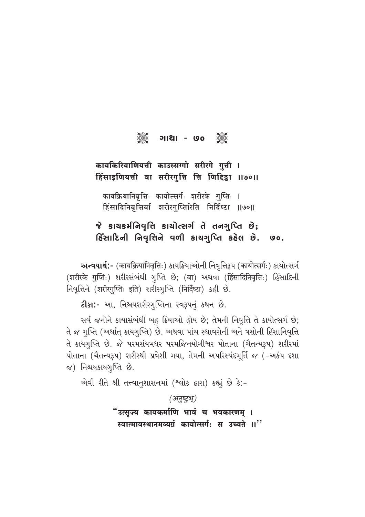#### ၁၆၁၀<br>၁၉၄၁ ୁଞ୍ଚି ୦୦ - ।ଥା।

## कायकिरियाणियत्ती काउस्सग्गो सरीरगे गुत्ती । हिंसाइणियत्ती वा सरीरगुत्ति त्ति णिद्दिडा ॥७०॥

कायक्रियानिवृत्तिः कायोत्सर्गः शरीरके गुप्तिः । हिंसादिनिवृत्तिर्वा शरीरगुप्तिरिति निर्दिष्टा ॥७०॥

જે કાચકર્મનિવૃત્તિ કાર્યોત્સર્ગ તે તનગુપ્તિ છે; હિંસાદિની નિવૃત્તિને વળી કાચગૃપ્તિ કહેલ છે.  $\mathsf{yo}$ .

અન્વયાર્થ:- (कायक्रियानिवृत्तिः) કાયક્રિયાઓની નિવૃત્તિરૂપ (कायोत्सर्गः) કાયોત્સર્ગ (शरीरके गुप्तिः) शरीरसंબंधी गुप्ति छे; (वा) अथवा (हिंसादिनिवृत्तिः) હिंसादिनी निवृत्तिने (शरीरगुप्तिः इति) शरीरगुप्ति (निर्दिष्टा) કહી છે.

ટીકા:- આ, નિશ્ચયશરીરગૃપ્તિના સ્વરૂપનું કથન છે.

સર્વ જનોને કાયાસંબંધી બહુ ક્રિયાઓ હોય છે; તેમની નિવૃત્તિ તે કાયોત્સર્ગ છે; તે જ ગુપ્તિ (અર્થાત્ કાયગુપ્તિ) છે. અથવા પાંચ સ્થાવરોની અને ત્રસોની હિંસાનિવૃત્તિ તે કાયગુપ્તિ છે. જે પરમસંયમધર પરમજિનયોગીશ્વર પોતાના (ચૈતન્યરૂપ) શરીરમાં પોતાના (ચૈતન્યરૂપ) શરીરથી પ્રવેશી ગયા, તેમની અપરિસ્પંદમૂર્તિ જ (-અકંપ દશા જ) નિશ્ચયકાયગૃપ્તિ છે.

એવી રીતે શ્રી તત્ત્વાનુશાસનમાં (શ્લોક દ્વારા) કહ્યું છે કે:-

(अनुष्टुभू)

"उत्सुज्य कायकर्माणि भावं च भवकारणम् । स्वात्मावस्थानमव्यग्रं कायोत्सर्गः स उच्यते ॥"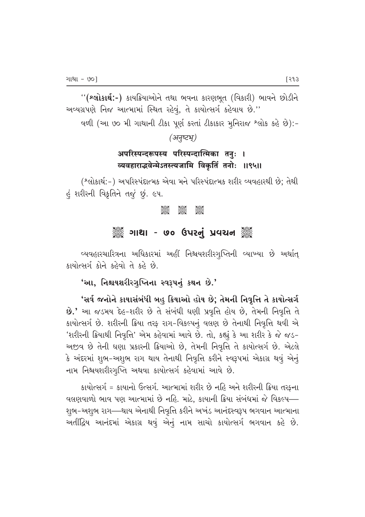''(શ્લોકાર્થ:-) કાયક્રિયાઓને તથા ભવના કારણભૂત (વિકારી) ભાવને છોડીને અવ્યગ્રપણે નિજ આત્મામાં સ્થિત રહેવું, તે કાયોત્સર્ગ કહેવાય છે."

વળી (આ ૭૦ મી ગાથાની ટીકા પૂર્ણ કરતાં ટીકાકાર મુનિરાજ શ્લોક કહે છે):-

(अनुष्टभू)

## अपरिस्पन्दरूपस्य परिस्पन्दात्मिका तनुः । व्यवहाराद्भवेन्मेऽतस्त्यजामि विकृतिं तनोः ॥९५॥

(શ્લોકાર્થ:-) અપરિસ્પંદાત્મક એવા મને પરિસ્પંદાત્મક શરીર વ્યવહારથી છે; તેથી હું શરીરની વિકૃતિને તજું છું. ૯૫.

> **Beec** asas asas<br>Sese Sese

## ▒ ગાથા - ૭૦ ઉપરનું પ્રવચન ▒

વ્યવહારચારિત્રના અધિકારમાં અહીં નિશ્ચયશરીરગૃપ્તિની વ્યાખ્યા છે અર્થાત્ કાયોત્સર્ગ કોને કહેવો તે કહે છે.

## 'આ, નિશ્ચયશરીરગૃપ્તિના સ્વરૂપનું કથન છે.'

'સર્વ જનોને કાયાસંબંધી બહુ ક્રિયાઓ હોય છે; તેમની નિવૃત્તિ તે કાયોત્સર્ગ છે.' આ જડમય દેહ-શરીર છે તે સંબંધી ઘણી પ્રવૃત્તિ હોય છે, તેમની નિવૃત્તિ તે કાયોત્સર્ગ છે. શરીરની ક્રિયા તરફ રાગ-વિકલ્પનું વલણ છે તેનાથી નિવૃત્તિ થવી એ 'શરીરની ક્રિયાથી નિવૃત્તિ' એમ કહેવામાં આવે છે. તો, કહ્યું કે આ શરીર કે જે જડ-અજીવ છે તેની ઘણા પ્રકારની ક્રિયાઓ છે, તેમની નિવૃત્તિ તે કાયોત્સર્ગ છે. એટલે કે અંદરમાં શુભ-અશુભ રાગ થાય તેનાથી નિવૃત્તિ કરીને સ્વરૂપમાં એકાગ્ર થવું એનું નામ નિશ્ચયશરીરગુપ્તિ અથવા કાયોત્સર્ગ કહેવામાં આવે છે.

કાયોત્સર્ગ = કાયાનો ઉત્સર્ગ. આત્મામાં શરીર છે નહિ અને શરીરની ક્રિયા તરફના વલણવાળો ભાવ પણ આત્મામાં છે નહિ. માટે, કાયાની ક્રિયા સંબંધમાં જે વિકલ્પ— શુભ-અશુભ રાગ—થાય એનાથી નિવૃત્તિ કરીને અખંડ આનંદસ્વરૂપ ભગવાન આત્માના અતીંદ્રિય આનંદમાં એકાગ્ર થવું એનું નામ સાચો કાયોત્સર્ગ ભગવાન કહે છે.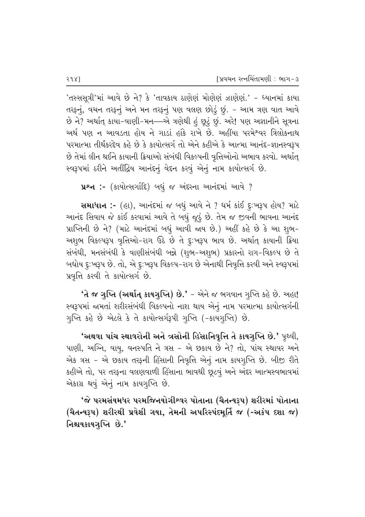'તસ્સસૂત્રી'માં આવે છે ને? કે 'તાવકાય ઠાણેણં મોણેણં ઝાણેણં.' - ધ્યાનમાં કાયા તરફનું, વચન તરફનું અને મન તરફનું પણ વલણ છોડું છું. - આમ ત્રણ વાત આવે છે ને? અર્થાત્ કાયા-વાણી-મન—એ ત્રણેથી હું છૂટું છું. અરે! પણ અજ્ઞાનીને સૂત્રના અર્થ પણ ન આવડતા હોય ને ગાડાં હાંકે રાખે છે. અહીંયા પરમે<sup>શ્</sup>વર ત્રિલોકનાથ પરમાત્મા તીર્થંકરદેવ કહે છે કે કાયોત્સર્ગ તો એને કહીએ કે આત્મા આનંદ-જ્ઞાનસ્વરૂપ છે તેમાં લીન થઈને કાયાની ક્રિયાઓ સંબંધી વિકલ્પની વૃત્તિઓનો અભાવ કરવો. અર્થાત્ સ્વરૂપમાં ઠરીને અતીંદ્રિય આનંદનું વેદન કરવું એનું નામ કાયોત્સર્ગ છે.

 $x^2 +$  :- (કાર્યોત્સર્ગાદિ) બધું જ અંદરના આનંદમાં આવે ?

સમાધાન :- (હા), આનંદમાં જ બધું આવે ને ? ધર્મ કાંઈ દુ:ખરૂપ હોય? માટે આનંદ સિવાય જે કાંઈ કરવામાં આવે તે બધું જૂઠું છે. તેમ જ જીવની ભાવના આનંદ yાપ્તિની છે ને? (માટે આનંદમાં બધું આવી જાય છે.) અહીં કહે છે કે આ શુભ-અશુભ વિકલ્પરૂપ વૃત્તિઓ-રાગ ઉઠે છે તે દૃઃખરૂપ ભાવ છે. અર્થાત્ કાયાની ક્રિયા સંબંધી, મનસંબંધી કે વાણીસંબંધી બન્ને (શુભ-અશુભ) પ્રકારનો રાગ-વિકલ્પ છે તે બધોય દૃ:ખરૂપ છે. તો, એ દૃ:ખરૂપ વિકલ્પ-રાગ છે એનાથી નિવૃત્તિ કરવી અને સ્વરૂપમાં પ્રવૃત્તિ કરવી તે કાયોત્સર્ગ છે.

 $'$ તે જ ગુપ્તિ (અર્થાત્ કાયગુપ્તિ) છે.' - એને જ ભગવાન ગુપ્તિ કહે છે. અહા! સ્વરૂપમાં જામતાં શરીરસંબંધી વિકલ્પનો નાશ થાય એનું નામ પરમાત્મા કાયોત્સર્ગની ગુપ્તિ કહે છે એટલે કે તે કાયોત્સર્ગરૂપી ગુપ્તિ (-કાયગુપ્તિ) છે.

**'અથવા પાંચ સ્થાવરોની અને ત્રસોની હિંસાનિવૃત્તિ તે કાયગુપ્તિ છે.'** પૃથ્વી,  $u$ ણી, અગ્નિ, વાયુ, વનસ્પતિ ને ત્રસ – એ છકાય છે ને? તો, પાંચ સ્થાવર અને એક ત્રસ - એ છકાય તરફની હિંસાની નિવૃત્તિ એનું નામ કાયગુપ્તિ છે. બીજી રીતે કહીએ તો, પર તરફના વલણવાળી હિંસાના ભાવથી છૂટવું અને અંદર આત્મસ્વભાવમાં એકાગ્ર થવું એનું નામ કાયગુપ્તિ છે.

'જે પરમસંયમધર પરમજિનયોગીશ્વર પોતાના (ચૈતન્યરૂપ) શરીરમાં પોતાના (ચૈતન્યરૂપ) શરીરથી પ્રવેશી ગયા, તેમની અપરિસ્પંદમૂર્તિ જ (-અકંપ દશા જ) નિશ્ચયકાયગૃપ્તિ છે.'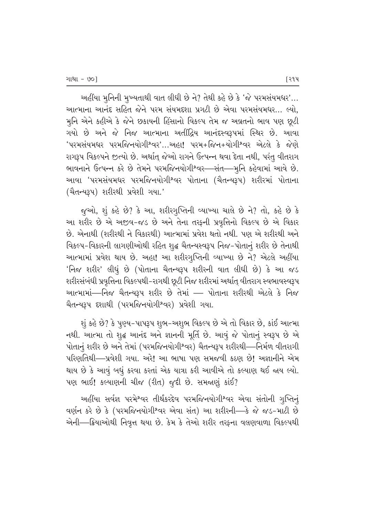અહીંયા મુનિની મુખ્યતાથી વાત લીધી છે ને? તેથી કહે છે કે 'જે પરમસંયમધર'... આત્માના આનંદ સહિત જેને પરમ સંયમદશા પ્રગટી છે એવા પરમસંયમધર… લ્યો. મુનિ એને કહીએ કે જેને છકાયની હિંસાનો વિકલ્પ તેમ જ અવ્રતનો ભાવ પણ છૂટી ગયો છે અને જે નિજ આત્માના અતીંદ્રિય આનંદસ્વરૂપમાં સ્થિર છે. આવા 'પરમસંયમધર પરમજિનયોગીશ્વર'…અહા! પરમ+જિન+યોગીશ્વર એટલે કે જેણે રાગરૂપ વિકલ્પને જુત્યો છે. અર્થાત્ જેઓ રાગને ઉત્પન્ન થવા દેતા નથી, પરંતુ વીતરાગ ભાવનાને ઉત્પન્ન કરે છે તેમને પરમજિનયોગીશ્વર—સંત—મૃનિ કહેવામાં આવે છે. આવા 'પરમસંયમધર પરમજિનયોગીશ્વર પોતાના (ચૈતન્યરૂપ) શરીરમાં પોતાના (ચૈતન્યરૂપ) શરીરથી પ્રવેશી ગયા.'

જુઓ, શું કહે છે? કે આ, શરીરગુપ્તિની વ્યાખ્યા ચાલે છે ને? તો, કહે છે કે આ શરીર છે એ અજીવ-જડ છે અને તેના તરફની પ્રવૃત્તિનો વિકલ્પ છે એ વિકાર છે. એનાથી (શરીરથી ને વિકારથી) આત્મામાં પ્રવેશ થતો નથી. પણ એ શરીરથી અને વિકલ્પ-વિકારની લાગણીઓથી રહિત શુદ્ધ ચૈતન્યસ્વરૂપ નિજ-પોતાનું શરીર છે તેનાથી આત્મામાં પ્રવેશ થાય છે. અહા! આ શરીરગૃપ્તિની વ્યાખ્યા છે ને? એટલે અહીંયા 'નિજ શરીર' લીધું છે (પોતાના ચૈતન્યરૂપ શરીરની વાત લીધી છે) કે આ જડ શરીરસંબંધી પ્રવૃત્તિના વિકલ્પથી−રાગથી છૂટી નિજ શરીરમાં અર્થાત્ વીતરાગ સ્વભાવસ્વરૂપ આત્મામાં—નિજ ચૈતન્યરૂપ શરીર છે તેમાં — પોતાના શરીરથી એટલે કે નિજ ચૈતન્યરૂપ દશાથી (પરમજિનયોગીશ્વર) પ્રવેશી ગયા.

શું કહે છે? કે પૂણ્ય-પાપરૂપ શુભ-અશુભ વિકલ્પ છે એ તો વિકાર છે, કાંઈ આત્મા નથી. આત્મા તો શૃદ્ધ આનંદ અને જ્ઞાનની મૂર્તિ છે. આવું જે પોતાનું સ્વરૂપ છે એ પોતાનું શરીર છે અને તેમાં (પરમજિનયોગીશ્વર) ચૈતન્યરૂપ શરીરથી—નિર્મળ વીતરાગી પરિણતિથી—પ્રવેશી ગયા. અરે! આ ભાષા પણ સમજવી કઠણ છે! અજ્ઞાનીને એમ થાય છે કે આવું બધું કરવા કરતાં એક યાત્રા કરી આવીએ તો કલ્યાણ થઈ જાય લ્યો.  $\nu$ ણ ભાઈ! કલ્યાણની ચીજ (રીત) જૂદી છે. સમજાણું કાંઈ?

અહીંયા સર્વજ્ઞ પરમેશ્વર તીર્થંકરદેવ પરમજિનયોગીશ્વર એવા સંતોની ગુપ્તિનું વર્ણન કરે છે કે (પરમજિનયોગીશ્વર એવા સંત) આ શરીરની—કે જે જડ-માટી છે એની—ક્રિયાઓથી નિવૃત્ત થયા છે. કેમ કે તેઓ શરીર તરફના વલણવાળા વિકલ્પથી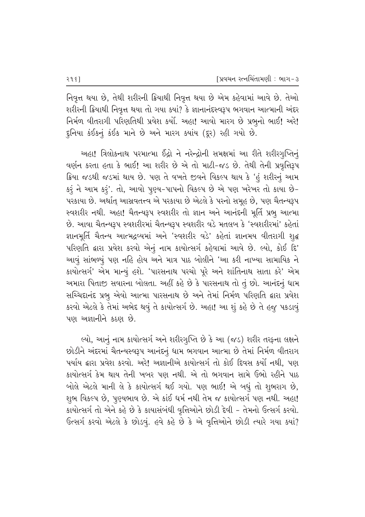નિવૃત્ત થયા છે, તેથી શરીરની ક્રિયાથી નિવૃત્ત થયા છે એમ કહેવામાં આવે છે. તેઓ શરીરની ક્રિયાથી નિવૃત્ત થયા તો ગયા ક્યાં? કે જ્ઞાનાનંદસ્વરૂપ ભગવાન આત્માની અંદર fi40 વીતરાગી પરિણતિથી પ્રવેશ કર્યો. અહા! આવો મારગ છે પ્રભૂનો ભાઈ! અરે! દુનિયા કંઈકનું કંઈક માને છે અને મારગ ક્યાંય (દૂર) રહી ગયો છે.

અહા! ત્રિલોકનાથ પરમાત્મા ઈંદ્રો ને નરેન્દ્રોની સમક્ષમાં આ રીતે શરીરગૃપ્તિનું વર્ણન કરતા હતા કે ભાઈ! આ શરીર છે એ તો માટી-જડ છે. તેથી તેની પ્રવૃત્તિરૂપ ક્રિયા જડથી જડમાં થાય છે. પણ તે વખતે જીવને વિકલ્પ થાય કે 'હું શરીરનું આમ કરૂં ને આમ કરૂં'. તો, આવો પુણ્ય-પાપનો વિકલ્પ છે એ પણ ખરેખર તો કાયા છે-પરકાયા છે. અર્થાત્ આસ્રવતત્ત્વ એ પરકાયા છે એટલે કે પરનો સમૂહ છે, પણ ચૈતન્યરૂપ સ્વશરીર નથી. અહા! ચૈતન્યરૂપ સ્વશરીર તો જ્ઞાન અને આનંદની મૂર્તિ પ્રભુ આત્મા  $\dot{\vartheta}$ . આવા ચૈતન્યરૂપ સ્વશરીરમાં ચૈતન્યરૂપ સ્વશરીર વડે મતલબ કે 'સ્વશરીરમાં' કહેતાં જ્ઞાનમૂર્તિ ચૈતન્ય આત્મદ્રવ્યમાં અને 'સ્વશરીર વડે' કહેતાં જ્ઞાનમય વીતરાગી શુદ્ધ પરિણતિ દ્વારા પ્રવેશ કરવો એનું નામ કાયોત્સર્ગ કહેવામાં આવે છે. લ્યો, કોઈ દિ' આવું સાંભળ્યું પણ નહિ હોય અને માત્ર પાઠ બોલીને 'આ કરી નાખ્યા સામાયિક ને કાયોત્સર્ગ' એમ માન્યું હશે. 'પારસનાથ પરચો પૂરે અને શાંતિનાથ સાતા કરે' એમ અમારા પિતાજી સવારના બોલતા. અહીં કહે છે કે પારસનાથ તો તું છો. આનંદનું ધામ સચ્ચિદાનંદ પ્રભુ એવો આત્મા પારસનાથ છે અને તેમાં નિર્મળ પરિણતિ દ્વારા પ્રવેશ કરવો એટલે કે તેમાં અભેદ થવું તે કાયોત્સર્ગ છે. અહા! આ શું કહે છે તે હજુ પકડાવું પણ અજ્ઞાનીને કઠણ છે.

લ્યો, આનું નામ કાયોત્સર્ગ અને શરીરગુપ્તિ છે કે આ (જડ) શરીર તરફના લક્ષને છોડીને અંદરમાં ચૈતન્યસ્વરૂપ આનંદનું ધામ ભગવાન આત્મા છે તેમાં નિર્મળ વીતરાગ પર્યાય દ્વારા પ્રવેશ કરવો. અરે! અજ્ઞાનીએ કાયોત્સર્ગ તો કોઈ દિવસ કર્યો નથી. પણ કાયોત્સર્ગ કેમ થાય તેની ખબર પણ નથી. એ તો ભગવાન સામે ઉભો રહીને પાઠ <u>બોલે એટલે માની લે કે કાયોત્સર્ગ થઈ ગયો. પણ ભાઈ! એ બધું તો શુભરાગ છે,</u> શુભ વિકલ્પ છે, પુણ્યભાવ છે. એ કાંઈ ધર્મ નથી તેમ જ કાયોત્સર્ગ પણ નથી. અહા! કાયોત્સર્ગ તો એને કહે છે કે કાયાસંબંધી વૃત્તિઓને છોડી દેવી – તેમનો ઉત્સર્ગ કરવો.  $6$ ત્સર્ગ કરવો એટલે કે છોડવું. હવે કહે છે કે એ વૃત્તિઓને છોડી ત્યારે ગયા ક્યાં?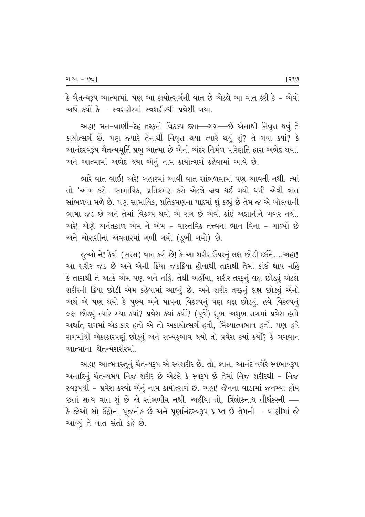કે ચૈતન્યરૂપ આત્મામાં. પણ આ કાયોત્સર્ગની વાત છે એટલે આ વાત કરી કે – એવો અર્થ કર્યો કે - સ્વશરીરમાં સ્વશરીરથી પ્રવેશી ગયા.

અહા! મન-વાણી-દેહ તરફની વિકલ્પ દશા—રાગ—છે એનાથી નિવૃત્ત થવું તે કાયોત્સર્ગ છે. પણ જ્યારે તેનાથી નિવૃત્ત થયા ત્યારે થયું શું? તે ગયા ક્યાં? કે આનંદસ્વરૂપ ચૈતન્યમૂર્તિ પ્રભુ આત્મા છે એની અંદર નિર્મળ પરિણતિ દ્વારા અભેદ થયા. અને આત્મામાં અભેદ થયા એનું નામ કાયોત્સર્ગ કહેવામાં આવે છે.

ભારે વાત ભાઈ! અરે! બહારમાં આવી વાત સાંભળવામાં પણ આવતી નથી. ત્યાં તો 'આમ કરો- સામાયિક. પ્રતિક્રમણ કરો એટલે જાવ થઈ ગયો ધર્મ' એવી વાત સાંભળવા મળે છે. પણ સામાયિક, પ્રતિક્રમણના પાઠમાં શું કહ્યું છે તેમ જ એ બોલવાની ભાષા જડ છે અને તેમાં વિકલ્પ થવો એ રાગ છે એવી કાંઈ અજ્ઞાનીને ખબર નથી. અરે! એણે અનંતકાળ એમ ને એમ - વાસ્તવિક તત્ત્વના ભાન વિના - ગાળ્યો છે અને ચોરાશીના અવતારમાં ગળી ગયો (ડુબી ગયો) છે.

જૂઓ ને! કેવી (સરસ) વાત કરી છે! કે આ શરીર ઉપરનું લક્ષ છોડી દઈને....અહા! આ શરીર જડ છે અને એની ક્રિયા જડક્રિયા હોવાથી તારાથી તેમાં કાંઈ થાય નહિ કે તારાથી તે અટકે એમ પણ બને નહિ. તેથી અહીંયા, શરીર તરફનું લક્ષ છોડ્યું એટલે શરીરની ક્રિયા છોડી એમ કહેવામાં આવ્યું છે. અને શરીર તરફનું લક્ષ છોડ્યું એનો અર્થ એ પણ થયો કે પુણ્ય અને પાપના વિકલ્પનું પણ લક્ષ છોડ્યું. હવે વિકલ્પનું લક્ષ છોડ્યું ત્યારે ગયા ક્યાં? પ્રવેશ ક્યાં કર્યો? (પૂર્વે) શુભ-અશુભ રાગમાં પ્રવેશ હતો અર્થાત રાગમાં એકાકાર હતો એ તો અકાયોત્સર્ગ હતો. મિથ્યાત્વભાવ હતો. પણ હવે રાગમાંથી એકાકારપણું છોડ્યું અને સમ્યક્ભાવ થયો તો પ્રવેશ કયાં કર્યો? કે ભગવાન આત્માના ચૈતન્યશરીરમાં.

અહા! આત્મવસ્તુનું ચૈતન્યરૂપ એ સ્વશરીર છે. તો, જ્ઞાન, આનંદ વગેરે સ્વભાવરૂપ અનાદિનું ચૈતન્યમય નિજ શરીર છે એટલે કે સ્વરૂપ છે તેમાં નિજ શરીરથી - નિજ સ્વરૂપથી - પ્રવેશ કરવો એનું નામ કાયોત્સર્ગ છે. અહા! જૈનના વાડામાં જનમ્યા હોય છતાં સત્ય વાત શું છે એ સાંભળીય નથી. અહીંયા તો, ત્રિલોકનાથ તીર્થંકરની — કે જેઓ સો ઈંદ્રોના પૂજનીક છે અને પૂર્ણાનંદસ્વરૂપ પ્રાપ્ત છે તેમની— વાણીમાં જે આવ્યું તે વાત સંતો કહે છે.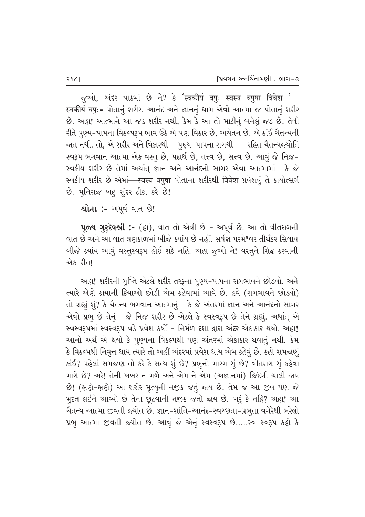<u>જ</u>ૂઓ, અંદર પાઠમાં છે ને? કે 'स्वकीयं वपुः स्वस्य वपुषा विवेश '। स्वकीयं वपुः= પોતાનું શરીર. આનંદ અને જ્ઞાનનું ધામ એવો આત્મા જ પોતાનું શરીર છે. અહા! આત્માને આ જડ શરીર નથી, કેમ કે આ તો માટીનું બનેલું જડ છે. તેવી રીતે પૂણ્ય-પાપના વિકલ્પરૂપ ભાવ ઉઠે એ પણ વિકાર છે, અચેતન છે. એ કાંઈ ચૈતન્યની જાત નથી. તો, એ શરીર અને વિકારથી—પુણ્ય-પાપના રાગથી — રહિત ચૈતન્યજયોતિ સ્વરૂપ ભગવાન આત્મા એક વસ્તુ છે, પદાર્થ છે, તત્ત્વ છે, સત્ત્વ છે. આવું જે નિજ-સ્વકીય શરીર છે તેમાં અર્થાત્ જ્ઞાન અને આનંદનો સાગર એવા આત્મામાં—કે જે स्वકીય શરીર છે એમાં—स्वस्य वपुषा પોતાના શરીરથી विवेश પ્રવેશવું તે કાયોત્સર્ગ છે. મુનિરાજ બહુ સુંદર ટીકા કરે છે!

શ્રોતા :- અપૂર્વ વાત છે!

પૂજ્ય ગુરૃદેવશ્રી :- (હા), વાત તો એવી છે - અપૂર્વ છે. આ તો વીતરાગની વાત છે અને આ વાત ત્રણકાળમાં બીજે ક્યાંય છે નહીં. સર્વજ્ઞ પરમેશ્વર તીર્થંકર સિવાય બીજે ક્યાંય આવું વસ્તુસ્વરૂપ હોઈ શકે નહિ. અહા જુઓ ને! વસ્તુને સિદ્ધ કરવાની એક રીત!

અહા! શરીરની ગુપ્તિ એટલે શરીર તરફના પુણ્ય-પાપના રાગભાવને છોડવો. અને ત્યારે એણે કાયાની ક્રિયાઓ છોડી એમ કહેવામાં આવે છે. હવે (રાગભાવને છોડ્યો) તો ગ્રહ્યું શું? કે ચૈતન્ય ભગવાન આત્માનું—કે જે અંતરમાં જ્ઞાન અને આનંદનો સાગર એવો પ્રભુ છે તેનું—જે નિજ શરીર છે એટલે કે સ્વસ્વરૂપ છે તેને ગ્રહ્યું. અર્થાત્ એ સ્વસ્વરૂપમાં સ્વસ્વરૂપ વડે પ્રવેશ કર્યો - નિર્મળ દશા દ્વારા અંદર એકાકાર થયો. અહા! આનો અર્થ એ થયો કે પૂણ્યના વિકલ્પથી પણ અંતરમાં એકાકાર થવાતું નથી. કેમ કે વિકલ્પથી નિવૃત્ત થાય ત્યારે તો અહીં અંદરમાં પ્રવેશ થાય એમ કહેવું છે. કહો સમજાણું કાંઈ? પહેલાં સમજણ તો કરે કે સત્ય શું છે? પ્રભુનો મારગ શું છે? વીતરાગ શું કહેવા માગે છે? અરે! તેની ખબર ન મળે અને એમ ને એમ (અજ્ઞાનમાં) જિંદગી ચાલી જાય છે! (ક્ષણે-ક્ષણે) આ શરીર મૃત્યુની નજીક જતું જાય છે. તેમ જ આ જીવ પણ જે મુદત લઈને આવ્યો છે તેના છૂટવાની નજીક જતો જાય છે. ખરૂં કે નહિ? અહા! આ ચૈતન્ય આત્મા જીવતી જ્યોત છે. જ્ઞાન-શાંતિ-આનંદ-સ્વચ્છતા-પ્રભુતા વગેરેથી ભરેલો પ્રભૂ આત્મા જીવતી જયોત છે. આવું જે એનું સ્વસ્વરૂપ છે.....સ્વ-સ્વરૂપ કહો કે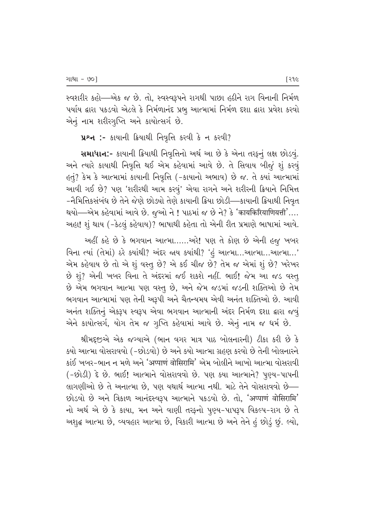સ્વશરીર કહો—એક જ છે. તો, સ્વસ્વરૂપને રાગથી પાછા હઠીને રાગ વિનાની નિર્મળ vર્યાય દ્વારા પકડવો એટલે કે નિર્મળાનંદ પ્રભુ આત્મામાં નિર્મળ દશા દ્વારા પ્રવેશ કરવો એનું નામ શરીરગુપ્તિ અને કાયોત્સર્ગ છે.

 $\mu$ શ્ન :- કાયાની ક્રિયાથી નિવૃત્તિ કરવી કે ન કરવી?

સમાધાન:- કાયાની ક્રિયાથી નિવૃત્તિનો અર્થ આ છે કે એના તરફનું લક્ષ છોડવું. અને ત્યારે કાયાથી નિવૃત્તિ થઈ એમ કહેવામાં આવે છે. તે સિવાય બીજું શું કરવું  $6\sigma$ ું? કેમ કે આત્મામાં કાયાની નિવૃત્તિ (-કાયાનો અભાવ) છે જ. તે ક્યાં આત્મામાં આવી ગઈ છે? પણ 'શરીરથી આમ કરવું' એવા રાગને અને શરીરની ક્રિયાને નિમિત્ત −નૈમિત્તિકસંબંધ છે તેને જેણે છોઙ્યો તેણે કાયાની ક્રિયા છોડી—કાયાની ક્રિયાથી નિવૃત થયો—–એમ કહેવામાં આવે છે. જુઓ ને ! પાઠમાં જ છે ને? કે 'कायकिरियाणियत्ती'.... અહા! શું થાય (-કેટલું કહેવાય)? ભાષાથી કહેતા તો એની રીત પ્રમાણે ભાષામાં આવે.

અહીં કહે છે કે ભગવાન આત્મા…….અરે! પણ તે કોણ છે એની હજુ ખબર વિના ત્યાં (તેમાં) ઠરે ક્યાંથી? અંદર જાય ક્યાંથી? 'હું આત્મા...આત્મા...આત્મા...' એમ કહેવાય છે તો એ શું વસ્તુ છે? એ કઈ ચીજ છે? તેમ જ એમાં શું છે? ખરેખર  $\dot{\vartheta}$  શું? એની ખબર વિના તે અંદરમાં જઈ શકશે નહીં. ભાઈ! જેમ આ જડ વસ્ત્ છે એમ ભગવાન આત્મા પણ વસ્તૂ છે, અને જેમ જડમાં જડની શક્તિઓ છે તેમ ભગવાન આત્મામાં પણ તેની અરૂપી અને ચૈતન્યમય એવી અનંત શક્તિઓ છે. આવી અનંત શક્તિનું એકરૂપ સ્વરૂપ એવા ભગવાન આત્માની અંદર નિર્મળ દશા દ્વારા જવું એને કાયોત્સર્ગ, યોગ તેમ જ ગૃપ્તિ કહેવામાં આવે છે. એનું નામ જ ધર્મ છે.

 ${}$ શ્રીમદૃજીએ એક જગ્યાએ (ભાન વગર માત્ર પાઠ બોલનારની) ટીકા કરી છે કે  $\,$ ક્યો આત્મા વોસરાવવો (–છોડવો) છે અને ક્યો આત્મા ગ્રહણ કરવો છે તેની બોલનારને કાંઈ ખબર-ભાન ન મળે અને 'अप्पाणं वोसिरामि' એમ બોલીને આખો આત્મા વોસરાવી (-છોડી) દે છે. ભાઈ! આત્માને વોસરાવવો છે. પણ કયા આત્માને? પુણ્ય-પાપની લાગણીઓ છે તે અનાત્મા છે. પણ યથાર્થ આત્મા નથી. માટે તેને વોસરાવવો છે—  $\vartheta$ રી $\vartheta$  એને ત્રિકાળ આનંદસ્વરૂપ આત્માને પકડવો છે. તો, 'अप्पाणं वोसिरामि'  $-$ નો અર્થ એ છે કે કાયા, મન અને વાણી તરફનો પુણ્ય-પાપરૂપ વિકલ્પ-રાગ છે તે અશુદ્ધ આત્મા છે, વ્યવહાર આત્મા છે, વિકારી આત્મા છે અને તેને હં છોડું છું. લ્યો,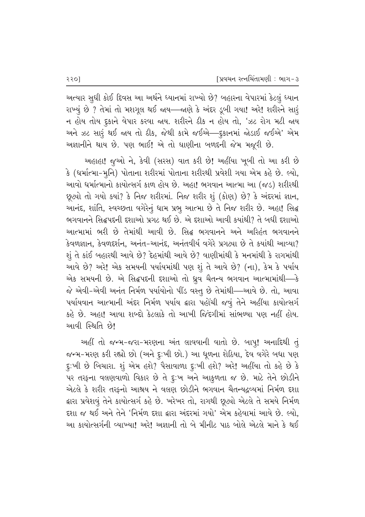અત્યાર સુધી કોઈ દિવસ આ અર્થને ધ્યાનમાં રાખ્યો છે? બહારના વેપારમાં કેટલું ધ્યાન રાખ્યું છે ? તેમાં તો મશગૂલ થઈ જાય—જાણે કે અંદર ડૂબી ગયા! અરે! શરીરને સારૂં ન હોય તોય દુકાને વેપાર કરવા જાય. શરીરને ઠીક ન હોય તો, 'ઝટ રોગ મટી જાય અને ઝટ સારૂં થઈ જાય તો ઠીક, જેથી કામે જઈએ—દૃકાનમાં જોડાઈ જઈએ' એમ અજ્ઞાનીને થાય છે. પણ ભાઈ! એ તો ઘાણીના બળદની જેમ મજૂરી છે.

અહાહા! જૂઓ ને, કેવી (સરસ) વાત કરી છે! અહીંયા ખૂબી તો આ કરી છે  $\hat{B}$  (ધર્માત્મા–મુનિ) પોતાના શરીરમાં પોતાના શરીરથી પ્રવેશી ગયા એમ કહે છે. લ્યો, આવો ધર્માત્માનો કાયોત્સર્ગ કાળ હોય છે. અહા! ભગવાન આત્મા આ (જડ) શરીરથી છૂટ્યો તો ગયો ક્યાં? કે નિજ શરીરમાં. નિજ શરીર શું (કોણ) છે? કે અંદરમાં જ્ઞાન, આનંદ, શાંતિ, સ્વચ્છતા વગેરેનું ધામ પ્રભુ આત્મા છે તે નિજ શરીર છે. અહા! સિદ્ધ  $\alpha$ ગવાનને સિદ્ધપદની દુશાઓ પ્રગટ થઈ છે. એ દુશાઓ આવી કુયાંથી? તે બધી દુશાઓ આત્મામાં ભરી છે તેમાંથી આવી છે. સિદ્ધ ભગવાનને અને અરિહંત ભગવાનને  $\overline{\mathcal{S}}$ વળજ્ઞાન,  $\overline{\mathcal{S}}$ વળદર્શન, અનંત-આનંદ, અનંતવીર્ય વગેરે પ્રગટ્યા છે તે કયાંથી આવ્યા?  $\Sigma$ ્યું તે કાંઈ બહારથી આવે છે? દેહમાંથી આવે છે? વાણીમાંથી કે મનમાંથી કે રાગમાંથી આવે છે? અરે! એક સમયની પર્યાયમાંથી પણ શું તે આવે છે? (ના), કેમ કે પર્યાય એક સમયની છે. એ સિદ્ધપદની દશાઓ તો ધ્રુવ ચૈતન્ય ભગવાન આત્મામાંથી—કે જે એવી-એવી અનંત નિર્મળ પર્યાયોનો પીંડ વસ્તુ છે તેમાંથી—આવે છે. તો, આવા પર્યાયવાન આત્માની અંદર નિર્મળ પર્યાય દ્વારા પહોંચી જવું તેને અહીંયા કાયોત્સર્ગ કહે છે. અહા! આવા શબ્દો કેટલાકે તો આખી જિંદગીમાં સાંભળ્યા પણ નહીં હોય. <u>આવી સ્થિતિ છે!</u>

અહીં તો જન્મ-જરા-મરણના અંત લાવવાની વાતો છે. બાપુ! અનાદિથી તું જન્મ-મરણ કરી રહ્યો છો (અને દુ:ખી છો.) આ ધૂળના શેઠિયા, દેવ વગેરે બધા પણ દુ:ખી છે બિચારા. શું એમ હશે? પૈસાવાળા દૃઃખી હશે? અરે! અહીંયા તો કહે છે કે પર તરફના વલણવાળો વિકાર છે તે દુઃખ અને આકુળતા જ છે. માટે તેને છોડીને એટલે કે શરીર તરફનો આશ્રય ને વલણ છોડીને ભગવાન ચૈતન્યદ્રવ્યમાં નિર્મળ દશા ફ્રારા પ્રવેશવું તેને કાયોત્સર્ગ કહે છે. ખરેખર તો, રાગથી છૂ*ટ*યો એટલે તે સમયે નિર્મળ દશા જ થઈ અને તેને 'નિર્મળ દશા દ્વારા અંદરમાં ગયો' એમ કહેવામાં આવે છે. લ્યો. આ કાયોત્સર્ગની વ્યાખ્યા! અરે! અજ્ઞાની તો બે મીનીટ પાઠ બોલે એટલે માને કે થઈ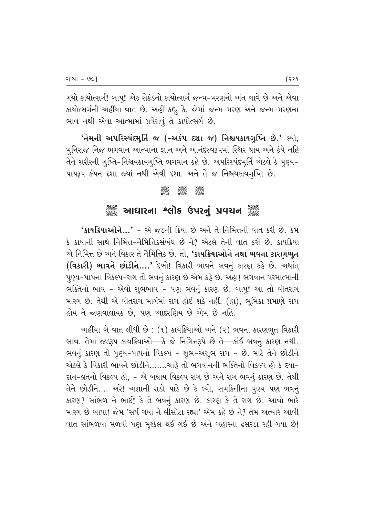ગયો કાયોત્સર્ગ! બાપુ! એક સેકંડનો કાયોત્સર્ગ જન્મ-મરણનો અંત લાવે છે અને એવા કાયોત્સર્ગની અહીંયા વાત છે. અહીં કહ્યું કે, જેમાં જન્મ-મરણ અને જન્મ-મરણના ભાવ નથી એવા આત્મામાં પ્રવેશવું તે કાયોત્સર્ગ છે.

 $\hat{a}$ મની અપરિસ્પંદમર્તિ જ (-અકંપ દશા જ) નિશ્ચયકાયગૃપ્તિ છે.' લ્યો, મુનિરાજ નિજ ભગવાન આત્માના જ્ઞાન અને આનંદસ્વરૂપમાં સ્થિર થાય અને કંપે નહિ તેને શરીરની ગુપ્તિ-નિશ્ચયકાયગુપ્તિ ભગવાન કહે છે. અપરિસ્પંદમૂર્તિ એટલે કે પુણ્ય-~ પાપરૂપ કંપન દશા જ્યાં નથી એવી દશા. અને તે જ નિશ્ચયકાયગુપ્તિ છે.

### C C C

## ું આઘારના શ્લોક ઉપરનું પ્રવચન ું

 $'$ કાયક્રિયાઓને...' - એ જડની ક્રિયા છે અને તે નિમિત્તની વાત કરી છે. કેમ કે કાયાની સાથે નિમિત્ત-નૈમિત્તિકસંબંધ છે ને? એટલે તેની વાત કરી છે. કાયક્રિયા એ નિમિત્ત છે અને વિકાર તે નૈમિત્તિક છે. તો, **'કાયક્રિયાઓને તથા ભવના કારણભુત** (**વિકારી) ભાવને છોડીને….'** દેખો! વિકારી ભાવને ભવનું કારણ કહે છે. અર્થાત્ પુણ્ય-પાપના વિકલ્પ-રાગ તો ભવનું કારણ છે એમ કહે છે. અહા! ભગવાન પરમાત્માની ભક્તિનો ભાવ - એવો શુભભાવ - પણ ભવનું કારણ છે. બાપ્! આ તો વીતરાગ મારગ છે. તેથી એ વીતરાગ માર્ગમાં રાગ હોઈ શકે નહીં. (હા), ભુમિકા પ્રમાણે રાગ હોય તે જણવાલાયક છે. પણ આદરણિય છે એમ છે નહિ.

અહીંયા બે વાત લીધી છે: (૧) કાયક્રિયાઓ અને (૨) ભવના કારણભૂત વિકારી ભાવ. તેમાં જડરૂપ કાયક્રિયાઓ—કે જે નિમિત્તરૂપે છે તે—કાંઈ ભવનું કારણ નથી. ભવનું કારણ તો પુણ્ય-પાપનો વિકલ્પ - શુભ-અશુભ રાગ - છે. માટે તેને છોડીને એટલે કે વિકારી ભાવને છોડીને…….ચાહે તો ભગવાનની ભક્તિનો વિકલ્પ હો કે દયા− દાન-વ્રતનો વિકલ્પ હો, - એ બધાય વિકલ્પ રાગ છે અને રાગ ભવનું કારણ છે. તેથી તેને છોડીને…. અરે! અજ્ઞાની રાડો પાડે છે કે લ્યો, સમકિતીના પૃણ્ય પણ ભવનું  $S$ ારણ? સાંભળ ને ભાઈ! કે તે ભવનું કારણ છે. કારણ કે તે રાગ છે. આવો ભારે મારગ છે બાપા! જેમ 'સર્પ ગયા ને લીસોટા રહ્યા' એમ કહે છે ને? તેમ અત્યારે આવી વાત સાંભળવા મળવી પણ મુશ્કેલ થઈ ગઈ છે અને બહારના ઢસરડા રહી ગયા છે!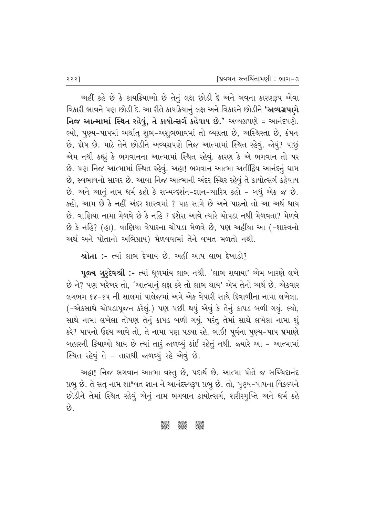આહીં કહે છે કે કાયક્રિયાઓ છે તેનું લક્ષ છોડી દે અને ભવના કારણરૂપ એવા વિકારી ભાવને પણ છોડી દે. આ રીતે કાયક્રિયાનું લક્ષ અને વિકારને છોડીને **'અવ્યગ્રપ**ણે **નિજ આત્મામાં સ્થિત રહેવું, તે કાયોત્સર્ગ કહેવાય છે.'** અવ્યગ્રપણે = આનંદપણે. લ્યો, પુણ્ય-પાપમાં અર્થાત્ શુભ-અશુભભાવમાં તો વ્યગ્રતા છે, અસ્થિરતા છે, કંપન છે, દોષ છે. માટે તેને છોડીને અવ્યગ્રપણે નિજ આત્મામાં સ્થિત રહેવું. જોયું? પાછું એમ નથી કહ્યું કે ભગવાનના આત્મામાં સ્થિત રહેવું. કારણ કે એ ભગવાન તો પર છે. પણ નિજ આત્મામાં સ્થિત રહેવું. અહા! ભગવાન આત્મા અતીંદ્રિય આનંદનું ધામ છે, સ્વભાવનો સાગર છે. આવા નિજ આત્માની અંદર સ્થિર રહેવું તે કાયોત્સર્ગ કહેવાય છે. અને આનું નામ ધર્મ કહો કે સમ્યગ્દર્શન-જ્ઞાન-ચારિત્ર કહો - બધું એક જ છે. કહો. આમ છે કે નહીં અંદર શાસ્ત્રમાં ? પાઠ સામે છે અને પાઠનો તો આ અર્થ થાય  $\dot{\vartheta}$ . વાણિયા નામા મેળવે છે કે નહિ ? દરોરા આવે ત્યારે ચોપડા નથી મેળવતા? મેળવે છે કે નહિ? (હા). વાણિયા વેપારના ચોપડા મેળવે છે, પણ અહીંયા આ (-શાસ્ત્રનો અર્થ અને પોતાનો અભિપ્રાય) મેળવવામાં તેને વખત મળતો નથી.

 $\ast$ ોતા :- ત્યાં લાભ દેખાય છે. અહીં આપ લાભ દેખાડો?

પૂજ્ય ગુરુદેવશ્રી :- ત્યાં ધૂળમાંય લાભ નથી. 'લાભ સવાયા' એમ બારણે લખે છે ને? પણ ખરેખર તો, 'આત્માનું લક્ષ કરે તો લાભ થાય' એમ તેનો અર્થ છે. એકવાર લગભગ ૬૪-૬૫ ની સાલમાં પાલેજમાં અમે એક વેપારી સાથે દિવાળીના નામા લખેલા. (-એકસાથે ચોપડાપૂજન કરેલું.) પણ પછી થયું એવું કે તેનું કાપડ બળી ગયું. લ્યો, સાથે નામા લખેલા તોપણ તેનું કાપડ બળી ગયું. પરંતુ તેમાં સાથે લખેલા નામા શું કરે? પાપનો ઉદય આવે તો, તે નામા પણ પડ્યા રહે. ભાઈ! પૂર્વના પુણ્ય-પાપ પ્રમાણે બહારની ક્રિયાઓ થાય છે ત્યાં તારું જળવ્યું કાંઈ રહેતું નથી. જ્યારે આ - આત્મામાં સ્થિત રહેવું તે - તારાથી જાળવ્યું રહે એવું છે.

આહા! નિજ ભગવાન આત્મા વસ્તૂ છે, પદાર્થ છે. આત્મા પોતે જ સચ્ચિદાનંદ પ્રભૂ છે. તે સત્ નામ શાશ્વત જ્ઞાન ને આનંદસ્વરૂપ પ્રભૂ છે. તો, પુણ્ય-પાપના વિકલ્પને છોડીને તેમાં સ્થિત રહેવું એનું નામ ભગવાન કાયોત્સર્ગ, શરીરગુપ્તિ અને ધર્મ કહે છે.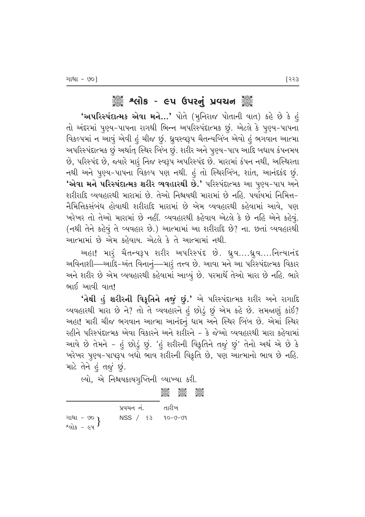## ેૢઁૺ૿ૢ શ્વીક - ૯૫ ઉપરનું પ્રવચન ૅુંૺ

**'અપરિસ્પંદાત્મક એવા મને…'** પોતે (મુનિરાજ પોતાની વાત) કહે છે કે હું તો અંદરમાં પુણ્ય-પાપના રાગથી ભિન્ન અપરિસ્પંદાત્મક છું. એટલે કે પુણ્ય-પાપના વિકલ્પમાં ન આવું એવી હું ચીજ છું. ધ્રુવસ્વરૂપ ચૈતન્યબિંબ એવો હું ભગવાન આત્મા આપરિસ્પંદાત્મક છું અર્થાત્ સ્થિર બિંબ છું. શરીર અને પુણ્ય-પાપ આદિ બધાય કંપનમય છે, પરિસ્પંદ છે, જ્યારે મારૂં નિજ સ્વરૂપ અપરિસ્પંદ છે. મારામાં કંપન નથી, અસ્થિરતા નથી અને પુણ્ય-પાપના વિકલ્પ પણ નથી. હું તો સ્થિરબિંબ, શાંત, આનંદકંદ છું. **'એવા મને પરિસ્પંદાત્મક શરીર વ્યવહારથી છે.'** પરિસ્પંદાત્મક આ પૃણ્ય−પાપ અને શરીરાદિ વ્યવહારથી મારામાં છે. તેઓ નિશ્ચયથી મારામાં છે નહિ. પર્યાયમાં નિમિત્ત− નૈમિત્તિકસંબંધ હોવાથી શરીરાદિ મારામાં છે એમ વ્યવહારથી કહેવામાં આવે, પણ `ખરેખર તો તેઓ મારામાં છે નહીં. વ્યવહારથી કહેવાય એટલે કે છે નહિ એને કહેવું. (નથી તેને કહેવું તે વ્યવહાર છે.) આત્મામાં આ શરીરાદિ છે? ના. છતાં વ્યવહારથી આત્મામાં છે એમ કહેવાય. એટલે કે તે આત્મામાં નથી.

આહા! મારૂં ચૈતન્યરૂપ શરીર અપરિસ્પંદ છે. ધ્રુવ….ધ્રુવ….નિત્યાનંદ અવિનાશી—આદિ-અંત વિનાનું—મારૂં તત્ત્વ છે. આવા મને આ પરિસ્પંદાત્મક વિકાર અને શરીર છે એમ વ્યવહારથી કહેવામાં આવ્યું છે. પરમાર્થે તેઓ મારા છે નહિ. ભારે ભાઈ આવી વાત!

'તેથી હું શરીરની વિકૃતિને તજું છું.' એ પરિસ્પંદાત્મક શરીર અને રાગાદિ વ્યવહારથી મારા છે ને? તો તે વ્યવહારને હું છોડું છું એમ કહે છે. સમજાણું કાંઈ? અહા! મારી ચીજ ભગવાન આત્મા આનંદનું ધામ અને સ્થિર બિંબ છે. એમાં સ્થિર રહીને પરિસ્પંદાત્મક એવા વિકારને અને શરીરને – કે જેઓ વ્યવહારથી મારા કહેવામાં આવે છે તેમને - હું છોડું છું. 'હું શરીરની વિકૃતિને તજું છું' તેનો અર્થ એ છે કે `ખરેખર પુણ્ય-પાપરૂપ બધો ભાવ શરીરની વિકૃતિ છે, પણ આત્માનો ભાવ છે નહિ. માટે તેને હું ત*ું* છું.

લ્યો, એ નિશ્ચયકાયગુપ્તિની વ્યાખ્યા કરી.

**COOL COOL**<br>Cool Cool Cool

|                               | પ્રવચન નં. | તારીખ   |
|-------------------------------|------------|---------|
| $a_{\text{cls}} - \epsilon$ y | NSS / 83   | 90-V-09 |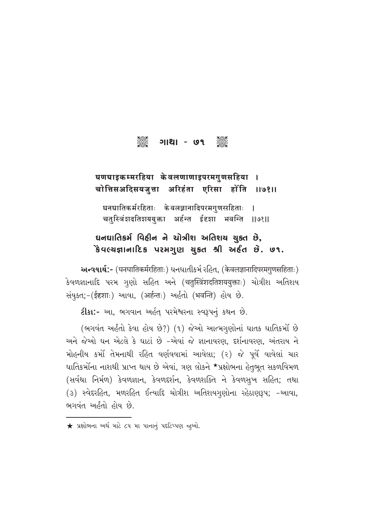# 

#### घणघाइकम्मरहिया केवलणाणाइपरमगुणसहिया चोत्तिसअदिसयजुत्ता अरिहंता एरिसा होंति 119811

घनघातिकर्मरहिताः केवलज्ञानादिपरमगुणसहिताः चतुस्त्रिंशदतिशययुक्ता अर्हन्त ईदृशा भवन्ति ।।७१।।

## ઘનઘાતિકર્મ વિઠીન ને ચોત્રીશ અતિશચ ચુક્ત છે, કેવલ્ચજ્ઞાનાદિક પરમગુણ ચુકત શ્રી અર્દત છે. ૭૧.

અન્વયાર્થ:- (घनघातिकर्मरहिताः) धनधातीकर्म रહित, (केवलज्ञानादिपरमगुणसहिताः) કેવળજ્ઞાનાદિ પરમ ગુણો સહિત અને (चतुस्त्रिंशदतिशययुक्ताः) ચોત્રીશ અતિશય સંયૂકત;-(ईदृशाः) આવા, (अर्हन्तः) અહીતો (भवन्ति) હોય છે.

ટીકા:- આ, ભગવાન અર્હત્ પરમેશ્વરના સ્વરૂપનું કથન છે.

(ભગવંત અહંતો કેવા હોય છે?) (૧) જેઓ આત્મગુણોનાં ઘાતક ઘાતિકર્મો છે અને જેઓ ઘન એટલે કે ઘાટાં છે -એવાં જે જ્ઞાનાવરણ. દર્શનાવરણ. અંતરાય ને મોહનીય કર્મો તેમનાથી રહિત વર્ણવવામાં આવેલા; (૨) જે પૂર્વે વાવેલાં ચાર ઘાતિકર્મોના નાશથી પ્રાપ્ત થાય છે એવાં, ત્રણ લોકને \*પ્રક્ષોભના હેતુભૂત સકળવિમળ (સર્વથા નિર્મળ) કેવળજ્ઞાન, કેવળદર્શન, કેવળશક્તિ ને કેવળસુખ સહિત; તથા (૩) સ્વેદરહિત, મળરહિત ઈત્યાદિ ચોત્રીશ અતિશયગૃણોના રહેઠાણરૂપ; -આવા, ભગવંત અહીતો હોય છે.

 $\bigstar$  પ્રક્ષોભના અર્થ માટે ૮૫ મા પાનાનું પદટિપ્પણ જુઓ.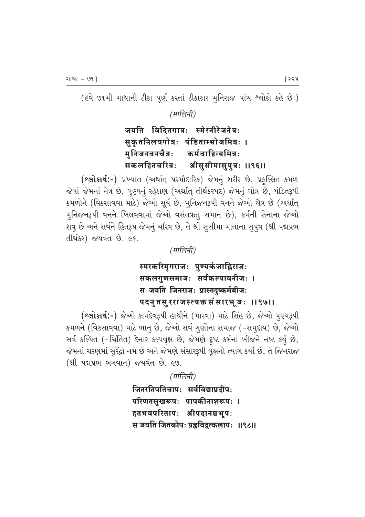(હવે ૭૧મી ગાથાની ટીકા પૂર્ણ કરતાં ટીકાકાર મુનિરાજ પાંચ શ્લોકો કહે છે:)

(मालिनी)

#### जयति विदितगात्रः स्मेरनीरेजनेत्रः सुकृतनिलयगोत्रः पंडिताम्भोजमित्रः । मुनिजनवनचैत्रः कर्मवाहिन्यमित्रः सकलहितचरित्रः श्रीसुसीमासुपुत्रः ॥९६॥

(શ્લોકાર્થ:-) પ્રખ્યાત (અર્થાત્ પરમૌદારિક) જેમનું શરીર છે, પ્રફુલ્લિત કમળ જેવાં જેમનાં નેત્ર છે, પુણ્યનું રહેઠાણ (અર્થાત્ તીર્થંકરપદ) જેમનું ગોત્ર છે, પંડિતરૂપી કમળોને (વિકસાવવા માટે) જેઓ સૂર્ય છે, મુનિજનરૂપી વનને જેઓ ચૈત્ર છે (અર્થાત્ મુનિજનરૂપી વનને ખિલવવામાં જેઓ વસંતઋતુ સમાન છે), કર્મની સેનાના જેઓ શત્રુ છે અને સર્વને હિતરૂપ જેમનું ચરિત્ર છે, તે શ્રી સુસીમા માતાના સુપુત્ર (શ્રી પદ્મપ્રભ તીર્થંકર) જયવંત છે. ૯૬.

(मालिनी)

स्मरकरिमुगराजः पुण्यकंजाह्निराजः सकलगुणसमाजः सर्वकल्पावनीजः । स जयति जिनराजः प्रास्तदुष्कर्मबीजः पदनुतसुरराजस्त्यक्त संसारभूजः ॥९७॥

(શ્લોકાર્થ:-) જેઓ કામદેવરૂપી હાથીને (મારવા) માટે સિંહ છે, જેઓ પુણ્યરૂપી કમળને (વિકસાવવા) માટે ભાનૂ છે, જેઓ સર્વ ગૃણોના સમાજ (-સમૃદાય) છે, જેઓ સર્વ કલ્પિત (-ચિંતિત) દેનાર કલ્પવૃક્ષ છે, જેમણે દૃષ્ટ કર્મના બીજને નષ્ટ કર્યું છે, જેમનાં ચરણમાં સુરેંદ્રો નમે છે અને જેમણે સંસારરૂપી વૃક્ષનો ત્યાગ કર્યો છે, તે જિનરાજ (श्री पद्मप्रल लगवान) જયવંત છે. ૯७.

> (मालिनी) जितरतिपतिचापः सर्वविद्याप्रदीपः परिणतसुखरूपः पापकीनाशरूपः । हतभवपरितापः श्रीपदानम्रभूपः स जयति जितकोपः प्रह्वविद्वत्कलापः ॥९८॥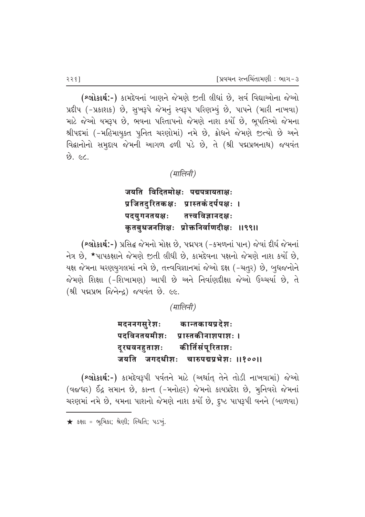(saisie:-) કામદેવનાં બાણને જેમણે જીતી લીધાં છે, સર્વ વિદ્યાઓના જેઓ પ્રદીપ (-પ્રકાશક) છે, સુખરૂપે જેમનું સ્વરૂપ પરિણમ્યું છે, પાપને (મારી નાખવા) માટે જેઓ યમરૂપ છે, ભવના પરિતાપનો જેમણે નાશ કર્યો છે, ભૂપતિઓ જેમના શ્રીપદમાં (-મહિમાયૂક્ત પુનિત ચરણોમાં) નમે છે, ક્રોધને જેમણે જુત્યો છે અને વિદ્વાનોનો સમદાય જેમની આગળ ઢળી પડે છે, તે (શ્રી પદ્મપ્રભનાથ) જયવંત  $\vartheta$ .  $\epsilon$ c.

## *(मालिनी)*

जयति विदितमोक्षः पद्मपत्रायताक्षः प्रजितदुरितकक्षः प्रास्तकंदर्पपक्षः । पदयुगनतयक्षः तत्त्वविज्ञानदक्षः कुतबुधजनशिक्षः प्रोक्तनिर्वाणदीक्षः ॥९९॥

(**શ્લોકાર્થ:-**) પ્રસિદ્ધ જેમનો મોક્ષ છે, પદ્મપત્ર (-કમળનાં પાન) જેવાં દીર્ઘ જેમનાં નેત્ર છે, \*પાપકક્ષાને જેમણે જીતી લીધી છે, કામદેવના પક્ષનો જેમણે નાશ કર્યો છે, યક્ષ જેમના ચરણયુગલમાં નમે છે, તત્ત્વવિજ્ઞાનમાં જેઓ દક્ષ (-ચતુર) છે, બુધજનોને જેમણે શિક્ષા (-શિખામણ) આપી છે અને નિર્વાણદીક્ષા જેઓ ઉચ્ચર્યા છે. તે  $($ શ્રી પદ્મપ્રભ જિનેન્દ્ર) જયવંત છે. ૯૯.

*(मालिनी)* 

**मदननगसुरेशः कान्तकायप्रदेशः** पदविनतयमीशः प्रास्तकीनाशपाशः।<br>दुरघवनहुताशः कीर्तिसंपूरिताशः दूरघवनहुताशः कीर्तिसंपूरिताशः<br>जयति जगदधीशः चारुपद्मप्रभेशः चारुपद्मप्रभेशः ॥१००॥

(શ્લોકાર્થ:-) કામદેવરૂપી પર્વતને માટે (અર્થાત્ તેને તોડી નાખવામાં) જેઓ (વજધર) ઈંદ્ર સમાન છે, કાન્ત (-મનોહર) જેમનો કાયપ્રદેશ છે, મુનિવરો જેમનાં ચરણમાં નમે છે, યમના પાશનો જેમણે નાશ કર્યો છે, દુષ્ટ પાપરૂપી વનને (બાળવા)

 $\bigstar$  કક્ષા = ભૂમિકા; શ્રેણી; સ્થિતિ; પડખું.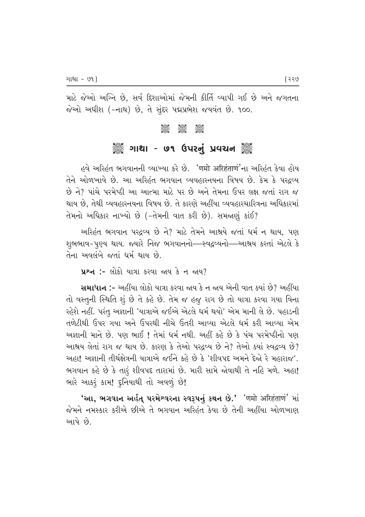માટે જેઓ અગ્નિ છે. સર્વ દિશાઓમાં જેમની કીર્તિ વ્યાપી ગઈ છે અને જગતના જેઓ અધીશ (-નાથ) છે, તે સુંદર પદ્મપ્રભેશ જયવંત છે. ૧૦૦.

#### E CONSTRUCTION

## ે ગાથા - ૭૧ ઉપરનું પ્રવચન ૅુ

, હવે અરિહંત ભગવાનની વ્યાખ્યા કરે છે. <mark>'णमो अरिहंताणं'</mark>ના અરિહંત કેવા હોય તેને ઓળખાવે છે. આ અરિહંત ભગવાન વ્યવહારનયના વિષય છે. કેમ કે પરઢવ્ય  $\dot{\vartheta}$  ને? પાંચે પરમેષ્ઠી આ આત્મા માટે પર છે અને તેમના ઉપર લક્ષ જતાં રાગ જ થાય છે. તેથી વ્યવહારનયના વિષય છે. તે કારણે અહીંયા વ્યવહારચારિત્રના અધિકારમાં  $\hat{d}$ મનો અધિકાર નાખ્યો છે (- $\hat{d}$ મની વાત કરી છે). સમજાણું કાંઈ?

અરિહંત ભગવાન પરદ્રવ્ય છે ને? માટે તેમને આશ્રયે જતાં ધર્મ ન થાય, પણ શુભભાવ-પુણ્ય થાય. જ્યારે નિજ ભગવાનનો—સ્વદ્રવ્યનો—આશ્રય કરતાં એટલે કે તેના અવલંબે જતાં ધર્મ થાય છે.

 $\mu$ શ્ન :- લોકો યાત્રા કરવા જ્ઞય કે ન જાય?

સમાધાન :- અહીંયા લોકો યાત્રા કરવા જાય કે ન જાય એની વાત ક્યાં છે? અહીંયા તો વસ્તૃની સ્થિતિ શું છે તે કહે છે. તેમ જ હજૂ રાગ છે તો યાત્રા કરવા ગયા વિના રહેશે નહીં. પરંતુ અજ્ઞાની 'યાત્રાએ જઈએ એટલે ધર્મ થયો' એમ માની લે છે. પહાડની તળેટીથી ઉપર ગયા અને ઉપરથી નીચે ઉતરી આવ્યા એટલે ધર્મ કરી આવ્યા એમ અજ્ઞાની માને છે. પણ ભાઈ ! તેમાં ધર્મ નથી. અહીં કહે છે કે પંચ પરમેષ્ઠીનો પણ આશ્રય લેતાં રાગ જ થાય છે. કારણ કે તેઓ પરદવ્ય છે ને? તેઓ ક્યાં સ્વદ્રવ્ય છે? અહા! અજ્ઞાની તીર્થક્ષેત્રની યાત્રાએ જઈને કહે છે કે 'શીવપદ અમને દેજો રે મહારાજ'. ભગવાન કહે છે કે તારૂં શીવપદ તારામાં છે. મારી સામે જોવાથી તે નહિ મળે. અહા! ભારે આકરૂં કામ! દુનિયાથી તો અવળું છે!

'આ, ભગવાન અર્હત્ પરમેશ્વરના સ્વરૂપનું કથન છે.' <sup>'</sup>णमो अरिहंताणं' માં જેમને નમસ્કાર કરીએ છીએ તે ભગવાન અરિહંત કેવા છે તેની અહીંયા ઓળખાણ <u>આપે</u> છે.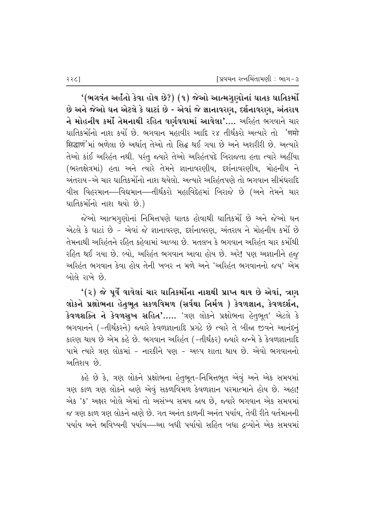'(ભગવંત અર્હતો કેવા હોય છે?) (૧) જેઓ આત્મગુણોનાં ઘાતક ઘાતિકર્મો છે અને જેઓ ઘન એટલે કે ઘાટાં છે - એવાં જે જ્ઞાનાવરણ, દર્શનાવરણ, અંતરાય ને મોહનીય કર્મો તેમનાથી રહિત વર્ણવવામાં આવેલા'…. અરિહંત ભગવાને ચાર ઘાતિકર્મોનો નાશ કર્યો છે. ભગવાન મહાવીર આદિ ૨૪ તીર્થંકરો અત્યારે તો <sup>'</sup>णमो सिद्धाण'માં ભળેલા છે અર્થાત તેઓ તો સિદ્ધ થઈ ગયા છે અને અશરીરી છે. અત્યારે તેઓ કાંઈ અરિહંત નથી. પરંતુ જ્યારે તેઓ અરિહંતપદે બિરાજતા હતા ત્યારે અહીંયા (ભરતક્ષેત્રમાં) હતા અને ત્યારે તેમને જ્ઞાનાવરણીય. દર્શનાવરણીય. મોહનીય ને અંતરાય–એ ચાર ઘાતિકર્મોંનો નાશ થયેલો. અત્યારે અરિહ્નિપણે તો ભગવાન સીમંધરાદિ વીસ વિહરમાન—વિદ્યમાન—તીર્થંકરો મહાવિદેહમાં બિરાજે છે (અને તેમને ચાર ઘાતિકર્મોનો નાશ થયો છે.)

જેઓ આત્મગૃણોનાં નિમિત્તપણે ઘાતક હોવાથી ઘાતિકર્મો છે અને જેઓ ઘન એટલે કે ઘાટાં છે - એવાં જે જ્ઞાનાવરણ, દર્શનાવરણ, અંતરાય ને મોહનીય કર્મો છે તેમનાથી અરિહંતને રહિત કહેવામાં આવ્યા છે. મતલબ કે ભગવાન અરિહંત ચાર કર્મોથી રહિત થઈ ગયા છે. લ્યો, અરિહંત ભગવાન આવા હોય છે. અરે! પણ અજ્ઞાનીને હજ અરિહંત ભગવાન કેવા હોય તેની ખબર ન મળે અને 'અરિહંત ભગવાનનો જય' એમ બોલે રાખે છે.

 $\bm{Y}(\bm{z})$  જે પૂર્વે વાવેલાં ચાર ઘાતિકર્મોના નાશથી પ્રાપ્ત થાય છે એવાં, ત્રણ લોકને પ્રક્ષોભના હેતુભૂત સકળવિમળ (સર્વથા નિર્મળ ) કેવળજ્ઞાન, કેવળદર્શન, કેવળશક્તિ ને કેવળસુખ સહિત'..... 'ત્રણ લોકને પ્રક્ષોભના હેતુભૂત' એટલે કે ભગવાનને (-તીર્થંકરને) જ્યારે કેવળજ્ઞાનાદિ પ્રગટે છે ત્યારે તે બીજા જીવને આનંદનું કારણ થાય છે એમ કહે છે. ભગવાન અરિહંત (-તીર્થંકર) જ્યારે જન્મે કે કેવળજ્ઞાનાદિ પામે ત્યારે ત્રણ લોકમાં - નારકીને પણ - અલ્પ શાતા થાય છે. એવો ભગવાનનો અતિશય*્* છે.

કહે છે કે, ત્રણ લોકને પ્રક્ષોભના હેતુભૂત-નિમિત્તભૂત એવું અને એક સમયમાં ત્રણ કાળ ત્રણ લોકને જાણે એવું સકળવિમળ કેવળજ્ઞાન પરમાત્માને હોય છે. અહા! એક 'ક' અક્ષર બોલે એમાં તો અસંખ્ય સમય જાય છે. જ્યારે ભગવાન એક સમયમાં જ ત્રણ કાળ ત્રણ લોકને જાણે છે. ગત અનંત કાળની અનંત પર્યાય. તેવી રીતે વર્તમાનની પર્યાય અને ભવિષ્યની પર્યાય—આ બધી પર્યાયો સહિત બધા દ્રવ્યોને એક સમયમાં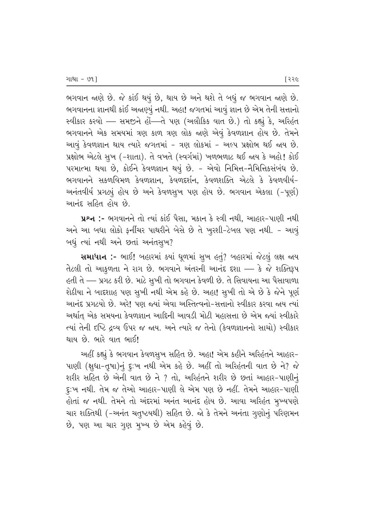ભગવાન જાણે છે. જે કાંઈ થયું છે, થાય છે અને થશે તે બધું જ ભગવાન જાણે છે. ભગવાનના જ્ઞાનથી કાંઈ અજાણ્યું નથી. અહા! જગતમાં આવું જ્ઞાન છે એમ તેની સત્તાનો  $R$ વીકાર કરવો — સમજીને હોં—તે પણ (અલૌકિક વાત છે.) તો કહ્યું કે, અરિહંત ભગવાનને એક સમયમાં ત્રણ કાળ ત્રણ લોક જાણે એવું કેવળજ્ઞાન હોય છે. તેમને આવું કેવળજ્ઞાન થાય ત્યારે જગતમાં - ત્રણ લોકમાં - અલ્પ પ્રક્ષોભ થઈ જાય છે. પ્રક્ષોભ એટલે સુખ (-શાતા). તે વખતે (સ્વર્ગમાં) ખળભળાટ થઈ જાય કે અહો! કોઈ પરમાત્મા થયા છે, કોઈને કેવળજ્ઞાન થયું છે. - એવો નિમિત્ત-નૈમિત્તિકસંબંધ છે. ભગવાનને સકળવિમળ કેવળજ્ઞાન, કેવળદર્શન, કેવળશક્તિ એટલે કે કેવળવીર્ય– આનંતવીર્ય પ્રગટ્યું હોય છે અને કેવળસુખ પણ હોય છે. ભગવાન એકલા (-પૂર્ણ) <u>આનંદ સહિત હોય છે.</u>

**પ્રશ્ન :-** ભગવાનને તો ત્યાં કાંઈ પૈસા. મકાન કે સ્ત્રી નથી. આહાર-પાણી નથી અને આ બધા લોકો ફર્નીચર પાથરીને બેસે છે તે ખુરશી-ટેબલ પણ નથી. - આવું બધું ત્યાં નથી અને છતાં અનંતસૂખ?

સમાધાન :- ભાઈ! બહારમાં કયાં ઘૂળમાં સૂખ હતું? બહારમાં જેટલું લક્ષ જાય  $\frac{1}{2}$ તેટલી તો આકુળતા ને રાગ છે. ભગવાને અંતરની આનંદ દશા — કે જે શક્તિરૂપ હતી તે — પ્રગટ કરી છે. માટે સુખી તો ભગવાન કેવળી છે. તે સિવાયના આ પૈસાવાળા શેઠીયા ને બાદશાહ પણ સુખી નથી એમ કહે છે. અહા! સુખી તો એ છે કે જેને પૂર્ણ <u>આનંદ પ્રગટયો છે. અરે! પણ જ્યાં એવા અસ્તિત્વનો-સત્તાનો સ્વીકાર કરવા જ્ઞય ત્યાં</u> આર્થાત એક સમયના કેવળજ્ઞાન આદિની આવડી મોટી મહાસત્તા છે એમ જયાં સ્વીકારે ત્યાં તેની દષ્ટિ દ્રવ્ય ઉપર જ જાય. અને ત્યારે જ તેનો (કેવળજ્ઞાનનો સાચો) સ્વીકાર <u>થાય છે. ભારે વાત ભાઈ!</u>

અહીં કહ્યું કે ભગવાન કેવળસૂખ સહિત છે. અહા! એમ કહીને અરિહંતને આહાર– ~ પાણી (ક્ષુધા-તુષા)નું દૃ:ખ નથી એમ કહે છે. અહીં તો અરિહંતની વાત છે ને? જે શરીર સહિત છે એની વાત છે ને ? તો, અરિહંતને શરીર છે છતાં આહાર-પાણીનું દુ:ખ નથી. તેમ જ તેઓ આહાર-પાણી લે એમ પણ છે નહીં. તેમને આહાર-પાણી હોતાં જ નથી. તેમને તો અંદરમાં અનંત આનંદ હોય છે. આવા અરિહંત મુખ્યપણે ચાર શક્તિથી (-અનંત ચતુષ્ટયથી) સહિત છે. જો કે તેમને અનંતા ગૃણોનું પરિણમન છે, પણ આ ચાર ગુણ મુખ્ય છે એમ કહેવું છે.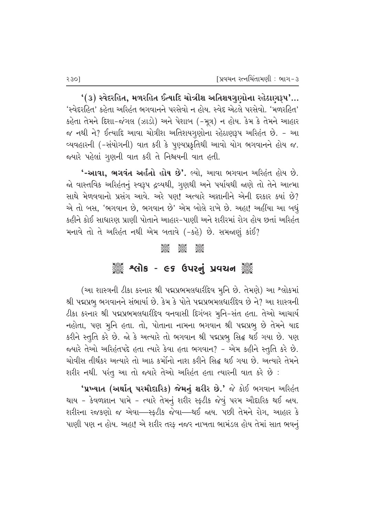$'(3)$  સ્વેદરહિત, મળરહિત ઈત્યાદિ ચોત્રીશ અતિશયગુણોના રહેઠાણરૂપ'... 'સ્વેદરહિત' કહેતા અરિહંત ભગવાનને પરસેવો ન હોય. સ્વેદ એટલે પરસેવો. 'મળરહિત' કહેતા તેમને દિશા–જંગલ (ઝાડો) અને પેશાબ (−મૂત્ર) ન હોય. કેમ કે તેમને આહાર જ નથી ને? ઈત્યાદિ આવા ચોત્રીશ અતિશયગૃણોના રહેઠાણરૂપ અરિહંત છે. - આ વ્યવહારની (-સંયોગની) વાત કરી કે પૃણ્યપ્રકૃતિથી આવો યોગ ભગવાનને હોય જ. જયારે પહેલાં ગુણની વાત કરી તે નિશ્ચયની વાત હતી.

 $'$ -આવા, ભગવંત અર્હતો હોય છે'. લ્યો, આવા ભગવાન અરિહંત હોય છે. જો વાસ્તવિક અરિહંતનું સ્વરૂપ દ્રવ્યથી, ગુણથી અને પર્યાયથી જાણે તો તેને આત્મા સાથે મેળવવાનો પ્રસંગ આવે. અરે પણ! અત્યારે અજ્ઞાનીને એની દરકાર ક્યાં છે? એ તો બસ, 'ભગવાન છે, ભગવાન છે' એમ બોલે રાખે છે. અહા! અહીંયા આ બધું કહીને કોઈ સાધારણ પ્રાણી પોતાને આહાર–પાણી અને શરીરમાં રોગ હોય છતાં અરિહંત મનાવે તો તે અરિહંત નથી એમ બતાવે (-કહે) છે. સમજણું કાંઈ?

#### C C C

# ૈૂ<sup>ૢ</sup> શ્વિમિક - ૯૬ ઉપરનું પ્રવચન ૅૢૢ

(આ શાસ્ત્રની ટીકા કરનાર શ્રી પદ્મપ્રભમલધારીદેવ મૂનિ છે. તેમણે) આ શ્લોકમાં શ્રી પદ્મપ્રભુ ભગવાનને સંભાર્યા છે. કેમ કે પોતે પદ્મપ્રભમલધારીદેવ છે ને? આ શાસ્ત્રની  $\ell$ કા કરનાર શ્રી પદ્મપ્રભમલધારીદેવ વનવાસી દિગંબર મુનિ-સંત હતા. તેઓ આચાર્ય નહોતા, પણ મૂનિ હતા. તો, પોતાના નામના ભગવાન શ્રી પદ્મપ્રભૂ છે તેમને યાદ કરીને સ્તુતિ કરે છે. જો કે અત્યારે તો ભગવાન શ્રી પદ્મપ્રભુ સિદ્ધ થઈ ગયા છે. પણ જયારે તેઓ અરિહંતપદે હતા ત્યારે કેવા હતા ભગવાન? - એમ કહીને સ્તુતિ કરે છે. ચોવીસ તીર્થંકર અત્યારે તો આઠ કર્મોનો નાશ કરીને સિદ્ધ થઈ ગયા છે. અત્યારે તેમને શરીર નથી. પરંતૂ આ તો જ્યારે તેઓ અરિહંત હતા ત્યારની વાત કરે છે ∶

**'પ્રખ્યાત (અર્થાત્ પરમૌદારિક) જેમનું શરીર છે.'** જે કોઈ ભગવાન અરિહંત થાય - કેવળજ્ઞાન પામે - ત્યારે તેમનું શરીર સ્ક**ટીક જેવું પરમ ઔદારિક થઈ જાય**. શરીરના રજકણો જ એવા—રફ્ટીક જેવા—થઈ જાય. પછી તેમને રોગ, આહાર કે પાણી પણ ન હોય. અહા! એ શરીર તરફ નજર નાખતા ભામંડલ હોય તેમાં સાત ભવનું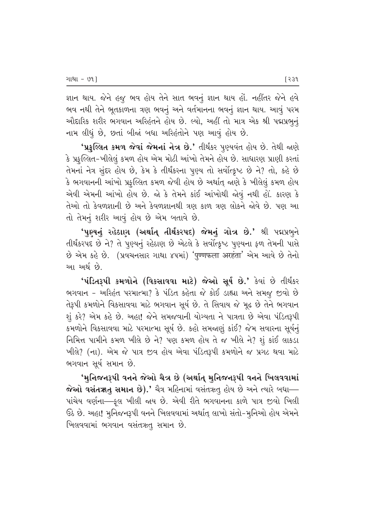ક્ષાન થાય. જેને હજુ ભવ હોય તેને સાત ભવનું જ્ઞાન થાય હોં. નહીંતર જેને હવે ભવ નથી તેને ભૂતકાળના ત્રણ ભવનું અને વર્તમાનના ભવનું જ્ઞાન થાય. આવું પરમ ઔદારિક શરીર ભગવાન અરિહંતને હોય છે. લ્યો, અહીં તો માત્ર એક શ્રી પદ્મપ્રભુનું નામ લીધું છે, છતાં બીજાં બધા અરિહંતોને પણ આવું હોય છે.

**'પ્રફલ્લિત કમળ જેવાં જેમનાં નેત્ર છે.'** તીર્થંકર પુણ્યવંત હોય છે. તેથી જાણે કે પ્રફુલ્લિત-ખીલેલું કમળ હોય એમ મોટી આંખો તેમને હોય છે. સાધારણ પ્રાણી કરતાં તેમનાં નેત્ર સુંદર હોય છે, કેમ કે તીર્થંકરના પુણ્ય તો સર્વોત્ક્રૃષ્ટ છે ને? તો, કહે છે કે ભગવાનની આંખો પ્રફુલ્લિત કમળ જેવી હોય છે અર્થાત્ જાણે કે ખીલેલું કમળ હોય એવી એમની આંખો હોય છે. જો કે તેમને કાંઈ આંખોથી જોવું નથી હોં. કારણ કે તેઓ તો કેવળજ્ઞાની છે અને કેવળજ્ઞાનથી ત્રણ કાળ ત્રણ લોકને જોવે છે. પણ આ તો તેમનું શરીર આવું હોય છે એમ બતાવે છે.

'પુણ્યનું રહેઠાણ (અર્થાત્ તીર્થંકરપદ) જેમનું ગોત્ર છે.' શ્રી પદ્મપ્રભુને તીર્થંકરપદ છે ને? તે પુણ્યનું રહેઠાણ છે એટલે કે સર્વોત્કૃષ્ટ પુણ્યના ફળ તેમની પાસે  $\vartheta$  એમ કહે છે. (પ્રવચનસાર ગાથા ૪૫માં) 'पुण्णफला अरहंता' એમ આવે છે તેનો આ અર્થ છે.

'પંડિતરૂપી કમળોને (વિકસાવવા માટે) જેઓ સૂર્ય છે.' કેવાં છે તીર્થંકર ભગવાન - અરિહંત પરમાત્મા? કે પંડિત કહેતા જે કોઈ ડાહ્યા અને સમજ઼ જીવો છે તેરૂપી કમળોને વિકસાવવા માટે ભગવાન સૂર્ય છે. તે સિવાય જે મૂઢ છે તેને ભગવાન શું કરે? એમ કહે છે. અહા! જેને સમજવાની યોગ્યતા ને પાત્રતા છે એવા પંડિતરૂપી કમળોને વિકસાવવા માટે પરમાત્મા સૂર્ય છે. કહો સમજાણું કાંઈ? જેમ સવારના સૂર્યનું fifted of Pigs and the chief of the chies of the chies the chies of the form of the twist the twist of the twi ેખીલે? (ના). એમ જે પાત્ર જીવ હોય એવા પંડિતરૂપી કમળોને જ પ્રગટ થવા માટે ભગવાન સૂર્ય સમાન છે.

'મુનિજનરૂપી વનને જેઓ ચૈત્ર છે (અર્થાત્ મુનિજનરૂપી વનને ખિલવવામાં  $\hat{\bm{\alpha}}$ ઓ વસંતૠતુ સમાન છે).' ચૈત્ર મહિનામાં વસંતઋતુ હોય છે અને ત્યારે બધા— પાંચેય વર્ણના—ફુલ ખીલી જાય છે. એવી રીતે ભગવાનના કાળે પાત્ર જીવો ખિલી  $6$ ેઠ છે. અહા! મૂનિજનરૂપી વનને ખિલવવામાં અર્થાત્ લાખો સંતો–મૂનિઓ હોય એમને ખિલવવામાં ભગવાન વસંતઋતુ સમાન છે.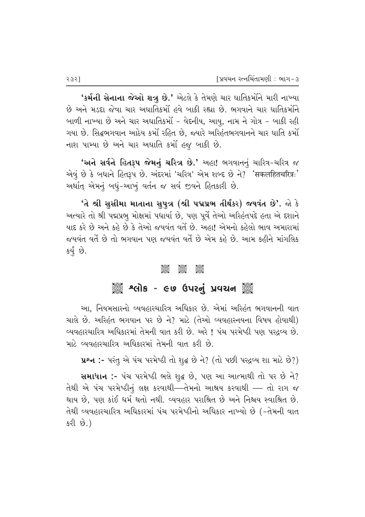**'કર્મની સેનાના જેઓ શત્રુ છે.'** એટલે કે તેમણે ચાર ઘાતિકર્મોને મારી નાખ્યા છે અને મડદા જેવા ચાર અઘાતિકર્મો હવે બાકી રહ્યા છે. ભગવાને ચાર ઘાતિકર્મોને બાળી નાખ્યા છે અને ચાર અઘાતિકર્મો - વેદનીય, આયુ, નામ ને ગોત્ર - બાકી રહી <u>ગયા છે. સિદ્ધભગવાન આઠેય કર્મો રહિત છે, જ્યારે અરિહંતભગવાનને ચાર ઘાતિ કર્મો</u> નાશ પામ્યા છે અને ચાર અઘાતિ કર્મો હજુ બાકી છે.

'અને સર્વને હિતરૂપ જેમનું ચરિત્ર છે.' અહા! ભગવાનનું ચારિત્ર-ચરિત્ર જ એવું છે કે બધાને હિતરૂપ છે. અંદરમાં 'ચરિત્ર' એમ શબ્દ છે ને? 'सकलहितचरित्रः' આર્થાત્ એમનું બધું-આખું વર્તન જ સર્વ જીવને હિતકારી છે.

<mark>ʻતે શ્રી સુસીમા માતાના સુપુત્ર (શ્રી પદ્મપ્રભ તીર્થંકર) જયવંત છે'.</mark> જો કે અત્યારે તો શ્રી પદ્મપ્રભુ મોક્ષમાં પધાર્યા છે, પણ પૂર્વે તેઓ અરિહંતપદે હતા એ દશાને પાદ કરે છે અને કહે છે કે તેઓ જયવંત વર્તે છે. અહા! એમનો કહેલો ભાવ અમારામાં જયવંત વર્તે છે તો ભગવાન પણ જયવંત વર્તે છે એમ કહે છે. આમ કહીને માંગલિક કર્યું છે.

#### AGOS<br>CGOS CGOS CGOS<br>CGOSC CGOSC CGOSC

## ે અલોક - ૯૭ ઉપરનું પ્રવચન ૅુ

આ, નિયમસારનો વ્યવહારચારિત્ર અધિકાર છે. એમાં અરિહંત ભગવાનની વાત ચાલે છે. અરિહંત ભગવાન પર છે ને? માટે (તેઓ વ્યવહારનયના વિષય હોવાથી) વ્યવહારચારિત્ર અધિકારમાં તેમની વાત કરી છે. અરે ! પંચ પરમેષ્ઠી પણ પરદ્રવ્ય છે. માટે વ્યવહારચારિત્ર અધિકારમાં તેમની વાત કરી છે.

 $x^2 + y^2 - z^2 = 2$  with weak of a sign of the sole of the vertex  $\frac{1}{2}$  .

સમાધાન :- પંચ પરમેષ્ઠી ભલે શુદ્ધ છે, પણ આ આત્માથી તો પર છે ને? તેથી એ પંચ પરમેષ્ઠીનું લક્ષ કરવાથી—તેમનો આશ્રય કરવાથી — તો રાગ જ થાય છે, પણ કાંઈ ધર્મ થતો નથી. વ્યવહાર પરાશ્રિત છે અને નિશ્ચય સ્વાશ્રિત છે. તેથી વ્યવહારચારિત્ર અધિકારમાં પંચ પરમેષ્ઠીનો અધિકાર નાખ્યો છે (-તેમની વાત કરી છે.)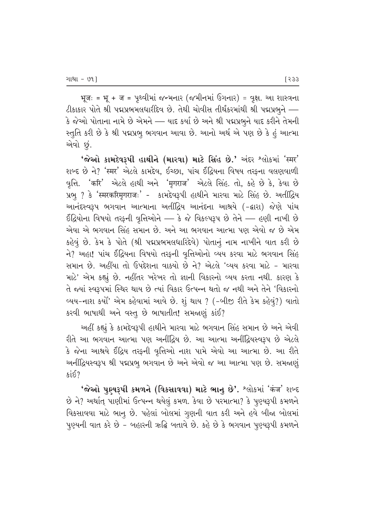भूजः = भू + ज = પૃથ્વીમાં જન્મનાર (જમીનમાં ઉગનાર) = વૃક્ષ. આ શાસ્ત્રના ટીકાકાર પોતે શ્રી પદ્મપ્રભમલધારીદેવ છે. તેથી ચોવીસ તીર્થંકરમાંથી શ્રી પદ્મપ્રભુને — કે જેઓ પોતાના નામે છે એમને — યાદ કર્યા છે અને શ્રી પદ્મપ્રભુને યાદ કરીને તેમની સ્તુતિ કરી છે કે શ્રી પદ્મપ્રભૂ ભગવાન આવા છે. આનો અર્થ એ પણ છે કે હું આત્મા એવો છું.

'જેઓ કામદેવરૂપી હાથીને (મારવા) માટે સિંહ છે.' અંદર શ્લોકમાં 'स्मर' शબ્દ છે ને? 'स्मर' એટલે કામદેવ, ઈચ્છા, પાંચ ઈંદ્રિયના વિષય તરફના વલણવાળી વૃત્તિ. 'करि' એટલે હાથી અને 'मृगराज' એટલે સિંહ. તો, કહે છે કે, કેવા છે प्रભू? કે 'स्मरकरिमृगराजः' - કામદેવરૂપી હાથીને મારવા માટે સિંહ છે. અતીંદ્રિય આનંદસ્વરૂપ ભગવાન આત્માના અતીંદ્રિય આનંદના આશ્રયે (-દ્વારા) જેણે પાંચ ઈંદ્રિયોના વિષયો તરફની વૃત્તિઓને — કે જે વિકલ્પરૂપ છે તેને — હણી નાખી છે એવા એ ભગવાન સિંહ સમાન છે. અને આ ભગવાન આત્મા પણ એવો જ છે એમ કહેવું છે. કેમ કે પોતે (શ્રી પદ્મપ્રભમલધારિદેવે) પોતાનું નામ નાખીને વાત કરી છે ને? અહા! પાંચ ઈંદ્રિયના વિષયો તરફની વૃત્તિઓનો વ્યય કરવા માટે ભગવાન સિંહ સમાન છે. અહીંયા તો ઉપદેશના વાક્યો છે ને? એટલે 'વ્યય કરવા માટે - મારવા માટે' એમ કહ્યું છે. નહીંતર ખરેખર તો જ્ઞાની વિકારનો વ્યય કરતા નથી. કારણ કે તે જ્યાં સ્વરૂપમાં સ્થિર થાય છે ત્યાં વિકાર ઉત્પન્ન થતો જ નથી અને તેને 'વિકારનો વ્યય-નાશ કર્યાં' એમ કહેવામાં આવે છે. શું થાય ? (-બીજી રીતે કેમ કહેવું?) વાતો કરવી ભાષાથી અને વસ્તૂ છે ભાષાતીત! સમજાણું કાંઈ?

અહીં કહ્યું કે કામદેવરૂપી હાથીને મારવા માટે ભગવાન સિંહ સમાન છે અને એવી રીતે આ ભગવાન આત્મા પણ અનીંદ્રિય છે. આ આત્મા અનીંદ્રિયસ્વરૂપ છે એટલે કે જેના આશ્રયે ઈંદ્રિય તરફની વૃત્તિઓ નાશ પામે એવો આ આત્મા છે. આ રીતે અનીંદ્રિયસ્વરૂપ શ્રી પદ્મપ્રભૂ ભગવાન છે અને એવો જ આ આત્મા પણ છે. સમજાણું  $s$ is<sup>2</sup>

'જેઓ પુણ્યરૂપી કમળને (વિકસાવવા) માટે ભાનુ છે'. શ્લોકમાં 'कंज' શબ્દ છે ને? અર્થાત્ પાણીમાં ઉત્પન્ન થયેલું કમળ. કેવા છે પરમાત્મા? કે પુણ્યરૂપી કમળને વિકસાવવા માટે ભાનુ છે. પહેલાં બોલમાં ગુણની વાત કરી અને હવે બીજા બોલમાં પુણ્યની વાત કરે છે - બહારની ઋદ્ધિ બતાવે છે. કહે છે કે ભગવાન પુણ્યરૂપી કમળને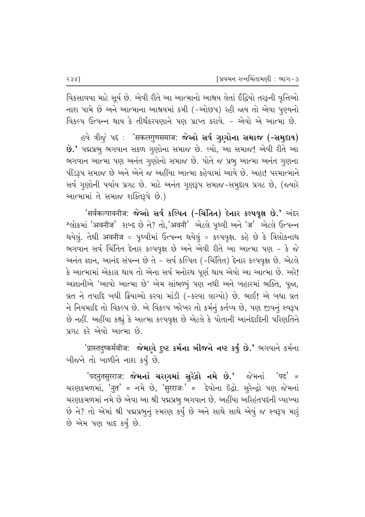વિકસાવવા માટે સૂર્ય છે. એવી રીતે આ આત્માનો આશ્રય લેતાં ઈંદ્રિયો તરફની વૃત્તિઓ નાશ પામે છે અને આત્માના આશ્રયમાં કમી (-ઓછપ) રહી જાય તો એવા પુણ્યનો વિકલ્પ ઉત્પન્ન થાય કે તીર્થંકરપણાને પણ પ્રાપ્ત કરાવે. - એવો એ આત્મા છે.

*હ*વે ત્રીજું પદ : 'सकलगुणसमाज: **જેઓ સર્વ ગુણોના સમાજ (-સમૃદાય)** છે.' પદ્મપ્રભુ ભગવાન સકળ ગુણોના સમાજ છે. લ્યો, આ સમાજ! એવી રીતે આ ભગવાન આત્મા પણ અનંત ગુણોનો સમાજ છે. પોતે જ પ્રભૂ આત્મા અનંત ગુણના પીંડરૂપ સમાજ છે અને એને જ અહીંયા આત્મા કહેવામાં આવે છે. અહા! પરમાત્માને સર્વ ગુણોની પર્યાય પ્રગટ છે. માટે અનંત ગુણરૂપ સમાજ-સમૂદાય પ્રગટ છે, (જ્યારે આત્મામાં તે સમાજ શક્તિરૂપે છે.)

'सर्वकल्पावनीज: જેઓ સર્વ કલ્પિત (-ચિંતિત) દેનાર કલ્પવૃક્ષ છે.' અંદર श्લोકમાં 'अवनीज' શબ્દ છે ને? તો, 'अवनी' એટલે પૃથ્વી અને 'ज' એટલે ઉત્પન્ન થયેલું. તેથી अवनीज = પૃથ્વીમાં ઉત્પન્ન થયેલું = કલ્પવૃક્ષ. કહે છે કે ત્રિલોકનાથ ભગવાન સર્વ ચિંતિત દેનાર કલ્પવૃક્ષ છે અને એવી રીતે આ આત્મા પણ - કે જે અનંત જ્ઞાન, આનંદ સંપન્ન છે તે - સર્વ કલ્પિત (-ચિંતિત) દેનાર કલ્પવૃક્ષ છે. એટલે કે આત્મામાં એકાગ્ર થાય તો એના સર્વ મનોરથ પૂર્ણ થાય એવો આ આત્મા છે. અરે! અજ્ઞાનીએ 'આવો આત્મા છે' એમ સાંભળ્યું પણ નથી અને બહારમાં ભક્તિ, પૂજા, વ્રત ને તપાદિ બધી ક્રિયાઓ કરવા માંડી (-કરવા લાગ્યો) છે. ભાઈ! એ બધા વ્રત ને નિયમાદિ તો વિકલ્પ છે. એ વિકલ્પ ખરેખર તો કર્મનું કર્તવ્ય છે, પણ જીવનું સ્વરૂપ છે નહીં. અહીંયા કહ્યું કે આત્મા કલ્પવૃક્ષ છે એટલે કે પોતાની આનંદાદિની પરિણતિને પ્રગટ કરે એવો આત્મા છે.

'प्रास्ततुष्कर्मबीज: **જેમાગે દુષ્ટ કર્મના બીજને નષ્ટ કર્યું છે.'** ભગવાને કર્મના બીજને તો બાળીને નાશ કર્યું છે.

'पदनुतसुरराज: **જેમનાં ચરણમાં સુરેંદ્રો નમે છે.'** જેમનાં 'पद' = ચરણકમળમાં, 'नुत' = નમે છે, 'सुरराजः' = દેવોના છેદ્રો. સુરેન્દ્રો પણ જેમનાં ચરણકમળમાં નમે છે એવા આ શ્રી પદ્મપ્રભૂ ભગવાન છે. અહીંયા અરિહંતપદની વ્યાખ્યા છે ને? તો એમાં શ્રી પદ્મપ્રભુનું સ્મરણ કર્યું છે અને સાથે સાથે એવું જ સ્વરૂપ મારૂં છે એમ પણ યાદ કર્યું છે.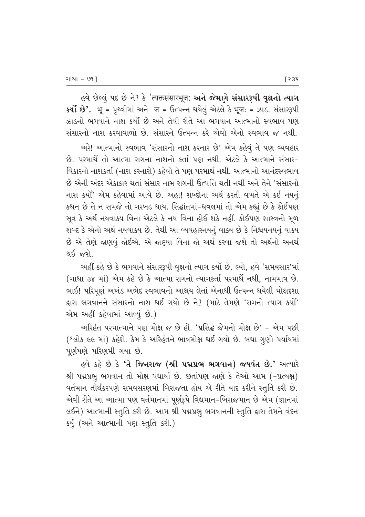Gqे છેલ્લું પદ છે ને? કે 'त्यक्तसंसारभूज: અને જેમાગે સંસારરૂપી વૃક્ષનો ત્યાગ  $\overline{\mathbf{B}}^{\mathbf{a}}$  :  $\overline{\mathbf{B}}^{\mathbf{b}}$  =  $\overline{\mathbf{B}}$   $\overline{\mathbf{B}}$  =  $\overline{\mathbf{B}}$  =  $\overline{\mathbf{B}}$  =  $\overline{\mathbf{B}}$  =  $\overline{\mathbf{B}}$  =  $\overline{\mathbf{B}}$ ઝાડનો ભગવાને નાશ કર્યો છે અને તેવી રીતે આ ભગવાન આત્માનો સ્વભાવ પણ સંસારનો નાશ કરવાવાળો છે. સંસારને ઉત્પન્ન કરે એવો એનો સ્વભાવ જ નથી.

અરે! આત્માનો સ્વભાવ 'સંસારનો નાશ કરનાર છે' એમ કહેવું તે પણ વ્યવહાર છે. પરમાર્થે તો આત્મા રાગના નાશનો કર્તા પણ નથી. એટલે કે આત્માને સંસારfi'Qકારનો નાશકર્તા (નાશ કરનારો) કહેવો તે પણ પરમાર્થ નથી. આત્માનો આનંદસ્વભાવ છે એની અંદર એકાકાર થતાં સંસાર નામ રાગની ઉત્પત્તિ થતી નથી અને તેને 'સંસારનો નાશ કર્યા' એમ કહેવામાં આવે છે. અહા! શબ્દોના અર્થ કરતી વખતે એ કઈ નયનું કથન છે તે ન સમજે તો ગરબડ થાય. સિદ્ઘાંતમાં-ધવલમાં તો એમ કહ્યું છે કે કોઈપણ સૂત્ર કે અર્થ નયવાકય વિના એટલે કે નય વિના હોઈ શકે નહીં. કોઈપણ શાસ્ત્રનો મૂળ શબ્દ કે એનો અર્થ નયવાકય છે. તેથી આ વ્યવહારનયનું વાકય છે કે નિશ્ચયનયનું વાક્ય છે એ તેણે જાણવું જોઈએ. એ જાણ્યા વિના જો અર્થ કરવા જશે તો અર્થનો અનર્થ થઈ જશે.

અહીં કહે છે કે ભગવાને સંસારરૂપી વૃક્ષનો ત્યાગ કર્યો છે. લ્યો, હવે 'સમયસાર'માં (ગાથા ૩૪ માં) એમ કહે છે કે આત્મા રાગનો ત્યાગકર્તા પરમાર્થે નથી, નામમાત્ર છે. ભાઈ! પરિપૂર્ણ અખંડ અભેદ સ્વભાવનો આશ્રય લેતાં એનાથી ઉત્પન્ન થયેલી મોક્ષદશા દ્વારા ભગવાનને સંસારનો નાશ થઈ ગયો છે ને? (માટે તેમણે 'રાગનો ત્યાગ કર્યો' એમ અહીં કહેવામાં આવ્યું છે.)

અરિહંત પરમાત્માને પણ મોક્ષ જ છે હોં. 'પ્રસિદ્ધ જેમનો મોક્ષ છે' - એમ પછી (^લોક ૯૯ માં) કહેશે. કેમ કે અરિહંતને ભાવમોક્ષ થઈ ગયો છે. બધા ગુણો પર્યાયમાં પૂર્ણપણે પરિણમી ગયા છે.

હવે કહે છે કે 'તે જિનરાજ (શ્રી પદ્મપ્રભ ભગવાન) જયવંત છે.' અત્યારે શ્રી પદ્મપ્રભુ ભગવાન તો મોક્ષ પધાર્યા છે. છતાંપણ જાણે કે તેઓ આમ (-પ્રત્યક્ષ) વર્તમાન તીર્થંકરપણે સમવસરણમાં બિરાજતા હોય એ રીતે યાદ કરીને સ્તુતિ કરી છે. એવી રીતે આ આત્મા પણ વર્તમાનમાં પૂર્ણરૂપે વિદ્યમાન-બિરાજમાન છે એમ (જ્ઞાનમાં લઈને) આત્માની સ્તુતિ કરી છે. આમ શ્રી પદ્મપ્રભુ ભગવાનની સ્તુતિ દ્વારા તેમને વંદન કર્યું (અને આત્માની પણ સ્તુતિ કરી.)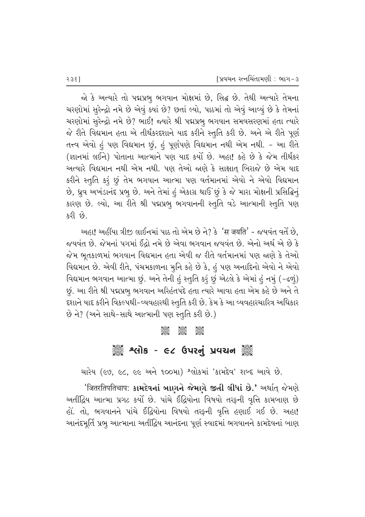જો કે અત્યારે તો પદ્મપ્રભુ ભગવાન મોક્ષમાં છે, સિદ્ધ છે. તેથી અત્યારે તેમના ચરણોમાં સુરેન્દ્રો નમે છે એવું ક્યાં છે? છતાં લ્યો, પાઠમાં તો એવું આવ્યું છે કે તેમનાં ચરણોમાં સુરેન્દ્રો નમે છે? ભાઈ! જ્યારે શ્રી પદ્મપ્રભૂ ભગવાન સમવસરણમાં હતા ત્યારે જે રીતે વિદ્યમાન હતા એ તીર્થંકરદશાને યાદ કરીને સ્તુતિ કરી છે. અને એ રીતે પૂર્ણ તત્ત્વ એવો હું પણ વિદ્યમાન છું, હું પૂર્ણપણે વિદ્યમાન નથી એમ નથી. - આ રીતે (જ્ઞાનમાં લઈને) પોતાના આત્માને પણ યાદ કર્યો છે. અહા! કહે છે કે જેમ તીર્થંકર અત્યારે વિદ્યમાન નથી એમ નથી. પણ તેઓ જાણે કે સાક્ષાત બિરાજે છે એમ યાદ કરીને સ્તુતિ કરૂં છું તેમ ભગવાન આત્મા પણ વર્તમાનમાં એવો ને એવો વિદ્યમાન છે, ધ્રુવ અખંડાનંદ પ્રભૂ છે. અને તેમાં હું એકાગ્ર થાઉં છું કે જે મારા મોક્ષની પ્રસિદ્ધિનું કારણ છે. લ્યો, આ રીતે શ્રી પદ્મપ્રભુ ભગવાનની સ્તુતિ વડે આત્માની સ્તુતિ પણ કરી છે.

અહા! અહીંયા ત્રીજી લાઈનમાં પાઠ તો એમ છે ને? કે 'स जयति' - જયવંત વર્તે છે, જયવંત છે. જેમનાં પગમાં ઈંદ્રો નમે છે એવા ભગવાન જયવંત છે. એનો અર્થ એ છે કે જેમ ભતકાળમાં ભગવાન વિદ્યમાન હતા એવી જ રીતે વર્તમાનમાં પણ જાણે કે તેઓ વિદ્યમાન છે. એવી રીતે, પંચમકાળના મુનિ કહે છે કે, હું પણ અનાદિનો એવો ને એવો વિદ્યમાન ભગવાન આત્મા છું. અને તેની હું સ્તુતિ કરું છું એટલે કે એમાં હું નમું (-ઢળું) છું. આ રીતે શ્રી પદ્મપ્રભુ ભગવાન અરિહંતપદે હતા ત્યારે આવા હતા એમ કહે છે અને તે દશાને યાદ કરીને વિકલ્પથી-વ્યવહારથી સ્તુતિ કરી છે. કેમ કે આ વ્યવહારચારિત્ર અધિકાર છે ને? (અને સાથે-સાથે આત્માની પણ સ્તૃતિ કરી છે.)

#### **See Seek Jeso**

# <sup>ૅ</sup>ૺૺૺ૾૾ ૧૯૦ – ૯૮ ઉપરનું પ્રવચન ૅુ

ચારેય (૯૭, ૯૮, ૯૯ અને ૧૦૦મા) શ્લોકમાં 'કામદેવ' શબ્દ આવે છે.

*'*जितरतिपतिचाप: કામદેવનાં બાણને જેમણે જીતી લીધાં છે.' અર્થાત્ જેમણે અતીંદ્રિય આત્મા પ્રગટ કર્યો છે. પાંચે ઈંદ્રિયોના વિષયો તરફની વૃત્તિ કામબાણ છે હોં. તો, ભગવાનને પાંચે ઈંદ્રિયોના વિષયો તરફની વૃત્તિ હણાઈ ગઈ છે. અહા! આનંદમૂર્તિ પ્રભુ આત્માના અતીંદ્રિય આનંદના પૂર્ણ સ્વાદમાં ભગવાનને કામદેવનાં બાણ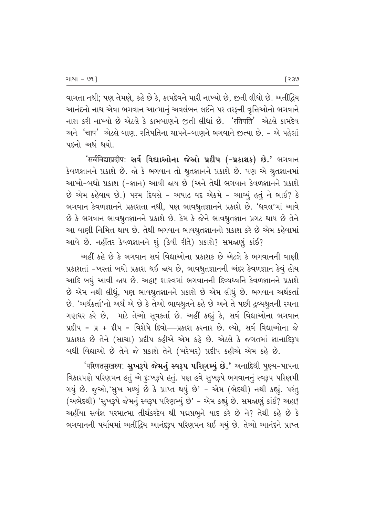વાગતા નથી; પણ તેમણે, કહે છે કે, કામદેવને મારી નાખ્યો છે, જીતી લીધો છે. અતીંદ્રિય આનંદનો નાથ એવા ભગવાન આત્માનું અવલંબન લઈને પર તરફની વૃત્તિઓનો ભગવાને નાશ કરી નાખ્યો છે એટલે કે કામબાણને જીતી લીધાં છે. *'*રતિપતિ' એટલે કામદેવ અને *'*चाप' એટલે બાણ, રતિપતિના ચાપને-બાણને ભગવાને જ઼ત્યા છે. - એ પહેલાં પદનો અર્થ થયો.

 $'$ सर्वविद्याप्रदीप: સર્વ વિદ્યાઓના જેઓ પ્રદીપ (-પ્રકાશક) છે.' ભગવાન કેવળજ્ઞાનને પ્રકાશે છે. જો કે ભગવાન તો શ્રુતજ્ઞાનને પ્રકાશે છે. પણ એ શ્રુતજ્ઞાનમાં આખો-બધો પ્રકાશ (-જ્ઞાન) આવી જાય છે (અને તેથી ભગવાન કેવળજ્ઞાનને પ્રકાશે  $\dot{\vartheta}$  એમ કહેવાય છે.) પરમ દિવસે - અષાઢ વદ એકમે - આવ્યું હતું ને ભાઈ? કે ભગવાન કેવળજ્ઞાનને પ્રકાશતા નથી, પણ ભાવશ્રુતજ્ઞાનને પ્રકાશે છે. 'ધવલ'માં આવે છે કે ભગવાન ભાવશ્રુતજ્ઞાનને પ્રકાશે છે. કેમ કે જેને ભાવશ્રુતજ્ઞાન પ્રગટ થાય છે તેને આ વાણી નિમિત્ત થાય છે. તેથી ભગવાન ભાવશ્રુતજ્ઞાનનો પ્રકાશ કરે છે એમ કહેવામાં આવે છે. નહીંતર કેવળજ્ઞાનને શું (કેવી રીતે) પ્રકાશે? સમજાણું કાંઈ?

આહીં કહે છે કે ભગવાન સર્વ વિદ્યાઓના પ્રકાશક છે એટલે કે ભગવાનની વાણી yકાશતાં -ખરતાં બધો પ્રકાશ થઈ જાય છે, ભાવશ્રુતજ્ઞાનની અંદર કેવળજ્ઞાન કેવું હોય આદિ બધું આવી જાય છે. અહા! શાસ્ત્રમાં ભગવાનની દિવ્યધ્વનિ કેવળજ્ઞાનને પ્રકાશે  $\dot{\vartheta}$  એમ નથી લીધું, પણ ભાવશ્રુતજ્ઞાનને પ્રકાશે છે એમ લીધું છે. ભગવાન અર્થકર્તા છે. 'અર્થકર્તા'નો અર્થ એ છે કે તેઓ ભાવશ્રુતને કહે છે અને તે પછી દ્રવ્યશ્રુતની રચના ગણધર કરે છે, માટે તેઓ સૂત્રકર્તા છે. અહીં કહ્યું કે, સર્વ વિદ્યાઓના ભગવાન  $\overline{x}$ ધ્રીપ =  $x + \overline{x}$ ીપ = વિશેષે દિવો—પ્રકાશ કરનાર છે. લ્યો. સર્વ વિદ્યાઓના જે પ્રકાશક છે તેને (સાચા) પ્રદીપ કહીએ એમ કહે છે. એટલે કે જગતમાં જ્ઞાનાદિરૂપ બધી વિદ્યાઓ છે તેને જે પ્રકાશે તેને (ખરેખર) પ્રદીપ કહીએ એમ કહે છે.

'परिणतसुखरुप: **સુખરૂપે જેમનું સ્વરૂપ પરિણમ્યું છે.'** અનાદિથી પુણ્ય−પાપના વિકારપણે પરિણમન હતું એ દુઃખરૂપે હતું. પણ હવે સુખરૂપે ભગવાનનું સ્વરૂપ પરિણમી ગયું છે. જુઓ, 'સુખ મળ્યું છે કે પ્રાપ્ત થયું છે' - એમ (ભેદથી) નથી કહ્યું. પરંતુ (અભેદથી) 'સુખરૂપે જેમનું સ્વરૂપ પરિણમ્યું છે' - એમ કહ્યું છે. સમજાણું કાંઈ? અહા! અહીંયા સર્વજ્ઞ પરમાત્મા તીર્થંકરદેવ શ્રી પદ્મપ્રભૂને યાદ કરે છે ને? તેથી કહે છે કે ભગવાનની પર્યાયમાં અતીંદ્રિય આનંદરૂપ પરિણમન થઈ ગયું છે. તેઓ આનંદને પ્રાપ્ત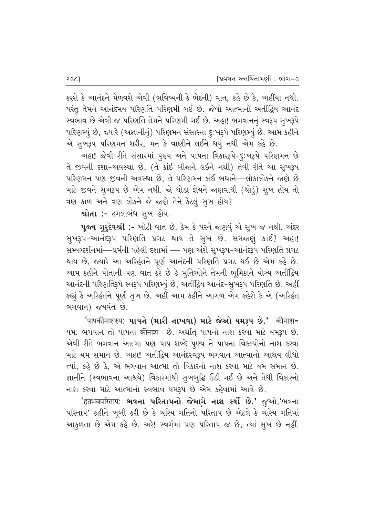કરશે કે આનંદને મેળવશે એવી (ભવિષ્યની કે ભેદની) વાત, કહે છે કે, અહીંયા નથી. પરંતુ તેમને આનંદમય પરિણતિ પરિણમી ગઈ છે. જેવો આત્માનો અતીંદ્રિય આનંદ સ્વભાવ છે એવી જ પરિણતિ તેમને પરિણમી ગઈ છે. અહા! ભગવાનનું સ્વરૂપ સુખરૂપે પરિણમ્યું છે, જ્યારે (અજ્ઞાનીનું) પરિણમન સંસારના દુઃખરૂપે પરિણમ્યું છે. આમ કહીને એ સુખરૂપ પરિણમન શરીર, મન કે વાણીને લઈને થયું નથી એમ કહે છે.

અહા! જેવી રીતે સંસારમાં પૂણ્ય અને પાપના વિકારરૂપે-દૃઃખરૂપે પરિણમન છે તે જીવની દશા-અવસ્થા છે, (તે કાંઈ બીજાને લઈને નથી) તેવી રીતે આ સુખરૂપ પરિણમન પણ જીવની અવસ્થા છે. તે પરિણમન કાંઈ બધાને—લોકાલોકને જાણે છે માટે જીવને સુખરૂપ છે એમ નથી. જો થોડા જ્ઞેયને જાણવાથી (થોડું) સુખ હોય તો  $a$ ણ કાળ અને ત્રણ લોકને જે જાણે તેને કેટલું સુખ હોય?

શ્રોતા :- ઢગલાબંધ સૂખ હોય.

 $\nu$ જય ગુરૃદેવશ્રી :- ખોટી વાત છે. કેમ કે પરને જાણવું એ સુખ જ નથી. અંદર સુખરૂપ-આનંદરૂપ પરિણતિ પ્રગટ થાય તે સૂખ છે. સમજાણું કાંઈ? અહા! સમ્યગ્દર્શનમાં—ધર્મની પહેલી દશામાં — પણ અંશે સુખરૂપ-આનંદરૂપ પરિણતિ પ્રગટ થાય છે, જ્યારે આ અરિહંતને પૂર્ણ આનંદની પરિણતિ પ્રગટ થઈ છે એમ કહે છે. આમ કહીને પોતાની પણ વાત કરે છે કે મૂનિઓને તેમની ભૂમિકાને યોગ્ય અતીંદ્રિય આનંદની પરિણતિરૂપે સ્વરૂપ પરિણમ્યું છે, અતીંદ્રિય આનંદ-સુખરૂપ પરિણતિ છે. અહીં કહ્યું કે અરિહંતને પૂર્ણ સુખ છે. અહીં આમ કહીને આગળ એમ કહેશે કે એ (અરિહંત ભગવાન) જયવંત છે.

 $'$ पापकीनाशरुप: **પાપને (મારી નાખવા) માટે જેઓ યમરૂપ છે.'** कीनाश= યમ. ભગવાન તો પાપના कीनाश છે. અર્થાત્ પાપનો નાશ કરવા માટે યમરૂપ છે. એવી રીતે ભગવાન આત્મા પણ પાપ શબ્દે પુણ્ય ને પાપના વિકલ્પોનો નાશ કરવા માટે યમ સમાન છે. અહા! અતીંદ્રિય આનંદસ્વરૂપ ભગવાન આત્માનો આશ્રય લીધો ત્યાં, કહે છે કે, એ ભગવાન આત્મા તો વિકારનો નાશ કરવા માટે યમ સમાન છે*.* જ્ઞાનીને (સ્વભાવના આશ્રયે) વિકારમાંથી સુખબુદ્ધિ ઉડી ગઈ છે અને તેથી વિકારનો નાશ કરવા માટે આત્માનો સ્વભાવ યમરૂપ છે એમ કહેવામાં આવે છે.

 $^{\prime}$ हतभवपरिताप: ભવના પરિતાપનો જેમાગે નાશ કર્યો છે.' જૂઓ,'ભવના પરિતાપ' કહીને ખૂબી કરી છે કે ચારેય ગતિનો પરિતાપ છે એટલે કે ચારેય ગતિમાં આકુળતા છે એમ કહે છે. અરે! સ્વર્ગમાં પણ પરિતાપ જ છે, ત્યાં સુખ છે નહીં.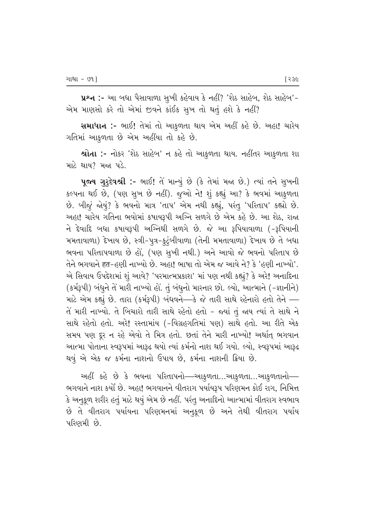પ્રશ્ન :- આ બધા પૈસાવાળા સુખી કહેવાય કે નહીં? 'શેઠ સાહેબ, શેઠ સાહેબ'−  $2\pi$  માણસો કરે તો એમાં જીવને કાંઈક સૂખ તો થતું હશે કે નહીં?

સમાધાન :- ભાઈ! તેમાં તો આકુળતા થાય એમ અહીં કહે છે. અહા! ચારેય ગતિમાં આકુળતા છે એમ અહીંયા તો કહે છે*.* 

<mark>શ્રોતા :-</mark> નોકર 'શેઠ સાહેબ' ન કહે તો આકુળતા થાય. નહીંતર આકુળતા શા માટે થાય $?$  મજા પડે.

પૂજ્ય ગુરૂદેવશ્રી :- ભાઈ! તે માન્યું છે (કે તેમાં મજા છે.) ત્યાં તને સુખની કલ્પના થઈ છે, (પણ સૂખ છે નહીં). જૂઓ ને! શું કહ્યું આ? કે ભવમાં આકુળતા છે. બીજું જોયું? કે ભવનો માત્ર 'તાપ' એમ નથી કહ્યું, પરંતુ 'પરિતાપ' કહ્યો છે. અહા! ચારેય ગતિના ભવોમાં કષાયરૂપી અગ્નિ સળગે છે એમ કહે છે. આ શેઠ, રાજા  $-$ ને દેવાદિ બધા કષાયરૂપી અગ્નિથી સળગે છે. જે આ રૂપિયાવાળા  $(-3)$ પિયાની મમતાવાળા) દેખાય છે, સ્ત્રી-પુત્ર-કુટુંબીવાળા (તેની મમતાવાળા) દેખાય છે તે બધા ભવના પરિતાપવાળા છે હોં. (પણ સખી નથી.) અને આવો જે ભવનો પરિતાપ છે તેને ભગવાને हृत−હુણી નાખ્યો છે. અહા! ભાષા તો એમ જ આવે ને? કે 'હુણી નાખ્યો'. એ સિવાય ઉપદેશમાં શું આવે? 'પરમાત્મપ્રકાશ' માં પણ નથી કહ્યું? કે અરે! અનાદિના (કર્મરૂપી) બંધુને તે મારી નાખ્યો હો. તું બંધુનો મારનાર છો. લ્યો, આત્માને (-જ્ઞાનીને) માટે એમ કહ્યું છે. તારા (કર્મફપી) બંધવને—કે જે તારી સાથે રહેનારો હતો તેને — તે મારી નાખ્યો. તે બિચારો તારી સાથે રહેતો હતો – જ્યાં તું જાય ત્યાં તે સાથે ને સાથે રહેતો હતો. અરે! રસ્તામાંય (-વિગ્રહગતિમાં પણ) સાથે હતો. આ રીતે એક સમય પણ દૂર ન રહે એવો તે મિત્ર હતો. છતાં તેને મારી નાખ્યો! અર્થાત્ ભગવાન આત્મા પોતાના સ્વરૂપમાં આરૂઢ થયો ત્યાં કર્મનો નાશ થઈ ગયો. લ્યો, સ્વરૂપમાં આરૂઢ થવું એ એક જ કર્મના નાશનો ઉપાય છે, કર્મના નાશની ક્રિયા છે.

અહીં કહે છે કે ભવના પરિતાપનો—આકુળતા…આકુળતા…આકુળતાનો— ભગવાને નાશ કર્યો છે. અહા! ભગવાનને વીતરાગ પર્યાયરૂપ પરિણમન કોઈ રાગ, નિમિત્ત  $\,$ કે અનુકૂળ શરીર હતું માટે થયું એમ છે નહીં. પરંતુ અનાદિનો આત્મામાં વીતરાગ સ્વભાવ છે તે વીતરાગ પર્યાયના પરિણમનમાં અનુકૂળ છે અને તેથી વીતરાગ પર્યાય પરિણમી છે.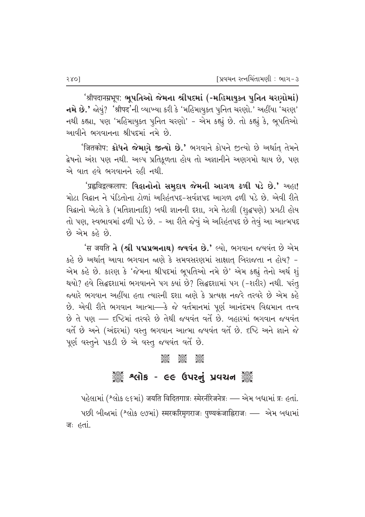$^{\prime}$ श्रीपदानम्रभूप: ભૂપતિઓ જેમના શ્રીપદમાં (-મહિમાયુક્ત પુનિત ચરણોમાં)  $-$ નમે છે.' જોયું? 'શ્રીपद'ની વ્યાખ્યા કરી કે 'મહિમાયૂક્ત પુનિત ચરણો.' અહીંયા 'ચરણ' નથી કહ્યા, પણ 'મહિમાયુક્ત પુનિત ચરણો' - એમ કહ્યું છે. તો કહ્યું કે, ભૂપતિઓ આવીને ભગવાનના શ્રીપદમાં નમે છે.

'जितकोप: **ક્રોધને જેમાગે જીત્યો છે.'** ભગવાને કોપને જીત્યો છે અર્થાત્ તેમને ફેષનો અંશ પણ નથી. અલ્પ પ્રતિકૂળતા હોય તો અજ્ઞાનીને અણગમો થાય છે, પણ એ વાત હવે ભગવાનને રહી નથી.

 $'$ प्रह्वविद्वत्कलाप: વિદ્વાનોનો સમુદાય જેમની આગળ ઢળી પડે છે.' અહા! <u>મોટા વિદ્વાન ને પંડિતોના ટોળાં અરિહંતપદ-સર્વજ્ઞપદ આગળ ઢળી પડે છે. એવી રીતે</u> વિદ્વાનો એટલે કે (મતિજ્ઞાનાદિ) બધી જ્ઞાનની દશા, ગમે તેટલી (શુદ્ધપણે) પ્રગટી હોય તો પણ, સ્વભાવમાં ઢળી પડે છે. - આ રીતે જેવું એ અરિહંતપદ છે તેવું આ આત્મપદ  $69$  એમ કહે છે.

**'स जयति તે (શ્રી પદ્મપ્રભનાથ) જયવંત છે.'** લ્યો, ભગવાન જયવંત છે એમ કહે છે અર્થાત્ આવા ભગવાન જાણે કે સમવસરણમાં સાક્ષાત્ બિરાજતા ન હોય? *–* એમ કહે છે. કારણ કે 'જેમના શ્રીપદમાં ભુપતિઓ નમે છે' એમ કહ્યું તેનો અર્થ શૃં થયો? હવે સિદ્ધદશામાં ભગવાનને પગ ક્યાં છે? સિદ્ધદશામાં પગ (−શરીર) નથી. પરંત જયારે ભગવાન અહીંયા હતા ત્યારની દશા જાણે કે પ્રત્યક્ષ નજરે તરવરે છે એમ કહે છે. એવી રીતે ભગવાન આત્મા—કે જે વર્તમાનમાં પૂર્ણ આનંદમય વિદ્યમાન તત્ત્વ છે તે પણ — દષ્ટિમાં તરવરે છે તેથી જયવંત વર્તે છે. બહારમાં ભગવાન જયવંત વર્તે છે અને (અંદરમાં) વસ્તૂ ભગવાન આત્મા જયવંત વર્તે છે. દષ્ટિ અને જ્ઞાને જે પૂર્ણ વસ્તુને પકડી છે એ વસ્તુ જયવંત વર્તે છે.

#### C C C

# ે અલોક - ૯૯ ઉપરનું પ્રવચન ૅુ

પહેલામાં (શ્લોક ૯૬માં) जयति विदितगात्रः स्मेरनीरेजनेत्रः — એમ બધામાં त्रः હતાં. पछी जीलभां (श्तोर c७भां) स्मरकरिमृगराजः पुण्यकंजाह्निराजः — એभ जधाभां जः *हर्ता*.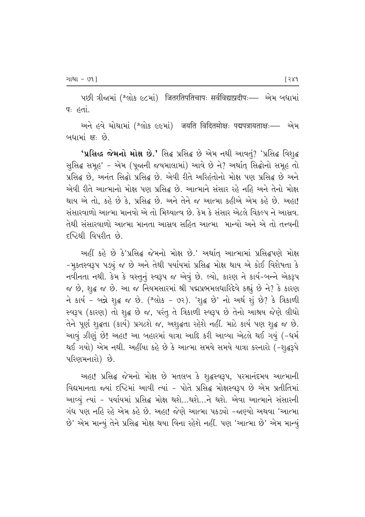પછી ત્રીજામાં (શ્લોક ૯૮માં) जितरतिपतिचापः सर्वविद्याप्रदीपः— એમ બધામાં पः *हतां.* 

અને હવે ચોથામાં (શ્લોક ૯૯માં) जयति विदितमोक्षः पद्मपत्रायताक्षः- એમ બધામાં ક્ષ: છે.

'પ્રસિદ્ધ જેમનો મોક્ષ છે.' સિદ્ધ પ્રસિદ્ધ છે એમ નથી આવતું? 'પ્રસિદ્ધ વિશુદ્ધ સુસિદ્ધ સમૂહ' - એમ (પૂજાની જયમાલામાં) આવે છે ને? અર્થાત્ સિદ્ઘોનો સમૂહ તો પ્રસિદ્ધ છે, અનંત સિદ્ધો પ્રસિદ્ધ છે. એવી રીતે અરિહંતોનો મોક્ષ પણ પ્રસિદ્ધ છે અને એવી રીતે આત્માનો મોક્ષ પણ પ્રસિદ્ધ છે. આત્માને સંસાર રહે નહિ અને તેનો મોક્ષ થાય એ તો. કહે છે કે. પ્રસિદ્ધ છે. અને તેને જ આત્મા કહીએ એમ કહે છે. અહા! સંસારવાળો આત્મા માનવો એ તો મિથ્યાત્વ છે. કેમ કે સંસાર એટલે વિકલ્પ ને આસવ. તેથી સંસારવાળો આત્મા માનતા આસ્રવ સહિત આત્મા માન્યો અને એ તો તત્ત્વની દૃષ્ટિથી વિપરીત છે.

અહીં કહે છે કે'પ્રસિદ્ધ જેમનો મોક્ષ છે.' અર્થાત આત્મામાં પ્રસિદ્ધપણે મોક્ષ -મૂક્તસ્વરૂપ પડ્યું જ છે અને તેથી પર્યાયમાં પ્રસિદ્ધ મોક્ષ થાય એ કોઈ વિશેષતા કે નવીનતા નથી. કેમ કે વસ્તુનું સ્વરૂપ જ એવું છે. લ્યો, કારણ ને કાર્ય-બન્ને એકરૂપ જ છે, શુદ્ધ જ છે. આ જ નિયમસારમાં શ્રી પદ્મપ્રભમલધારિદેવે કહ્યું છે ને? કે કારણ ને કાર્ય - બન્ને શુદ્ધ જ છે. (શ્લોક - ૭૨). 'શુદ્ધ છે' નો અર્થ શું છે? કે ત્રિકાળી સ્વરૂપ (કારણ) તો શુદ્ધ છે જ, પરંતુ તે ત્રિકાળી સ્વરૂપ છે તેનો આશ્રય જેણે લીધો તેને પૂર્ણ શુદ્ધતા (કાર્ય) પ્રગટશે જ, અશુદ્ધતા રહેશે નહીં. માટે કાર્ય પણ શુદ્ધ જ છે. આવું ઝીણું છે! અહા! આ બહારમાં યાત્રા આદિ કરી આવ્યા એટલે થઈ ગયું (-ધર્મ થઈ ગયો) એમ નથી. અહીંયા કહે છે કે આત્મા સમયે સમયે યાત્રા કરનારો (-શુદ્ધરૂપે પરિણમનારો) છે.

અહા! પ્રસિદ્ધ જેમનો મોક્ષ છે મતલબ કે શુદ્ધસ્વરૂપ, પરમાનંદમય આત્માની વિદ્યમાનતા જ્યાં દષ્ટિમાં આવી ત્યાં - પોતે પ્રસિદ્ધ મોક્ષસ્વરૂપ છે એમ પ્રતીતિમાં આવ્યું ત્યાં - પર્યાયમાં પ્રસિદ્ધ મોક્ષ થશે...થશે...ને થશે. એવા આત્માને સંસારની ગંધ પણ નહિ રહે એમ કહે છે. અહા! જેણે આત્મા પકડ્યો -જાણ્યો અથવા 'આત્મા છે' એમ માન્યું તેને પ્રસિદ્ધ મોક્ષ થયા વિના રહેશે નહીં. પણ 'આત્મા છે' એમ માન્યું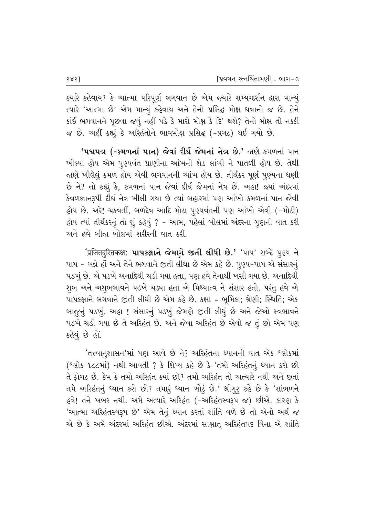$\,$ ક્યારે કહેવાય? કે આત્મા પરિપૂર્ણ ભગવાન છે એમ જ્યારે સમ્યગ્દર્શન ક્રારા માન્યું ત્યારે 'આત્મા છે' એમ માન્યું કહેવાય અને તેનો પ્રસિદ્ધ મોક્ષ થવાનો જ છે. તેને કાંઈ ભગવાનને પૂછવા જવું નહીં પડે કે મારો મોક્ષ કે દિ' થશે? તેનો મોક્ષ તો નક્કી જ છે. અહીં કહ્યું કે અરિહંતોને ભાવમોક્ષ પ્રસિદ્ઘ (-પ્રગટ) થઈ ગયો છે.

**'પદ્મપત્ર (-કમળનાં પાન) જેવાં દીર્ઘ જેમનાં નેત્ર છે.'** જાણે કમળનાં પાન ખીલ્યા હોય એમ પુણ્યવંત પ્રાણીના આંખની શેડ લાંબી ને પાતળી હોય છે. તેથી જાણે ખીલેલું કમળ હોય એવી ભગવાનની આંખ હોય છે. તીર્થંકર પૂર્ણ પૂણ્યના ધણી  $\vartheta$  ને? તો કહ્યું કે, કમળનાં પાન જેવાં દીર્ઘ જેમનાં નેત્ર છે. અહા! જ્યાં અંદરમાં કેવળજ્ઞાનરૂપી દીર્ઘ નેત્ર ખીલી ગયા છે ત્યાં બહારમાં પણ આંખો કમળનાં પાન જેવી હોય છે. અરે! ચક્રવર્તી, બળદેવ આદિ મોટા પુણ્યવંતની પણ આંખો એવી (-મોટી) હોય ત્યાં તીર્થંકરનું તો શું કહેવું ? - આમ, પહેલાં બોલમાં અંદરના ગુણની વાત કરી અને હવે બીજા બોલમાં શરીરની વાત કરી.

*'*प्रजितदुरितकक्ष: **પાપકક્ષાને જેમાગે જીતી લીધી છે.'** 'પાપ' શબ્દે પૂણ્ય ને પાપ - બન્ને હોં અને તેને ભગવાને જીતી લીધા છે એમ કહે છે. પુણ્ય-પાપ એ સંસારનું પડખું છે. એ પડખે અનાદિથી ચડી ગયા હતા, પણ હવે તેનાથી ખસી ગયા છે. અનાદિથી શુભ અને અશુભભાવને પડખે ચડ્યા હતા એ મિથ્યાત્વ ને સંસાર હતો. પરંતુ હવે એ  $~$ પાપકક્ષાને ભગવાને જીતી લીધી છે એમ કહે છે. કક્ષા = ભૂમિકા; શ્રેણી; સ્થિતિ; એક બાજૂનું પડખું. અહા ! સંસારનું પડખું જેમણે જીતી લીધું છે અને જેઓ સ્વભાવને  $u$ ડખે ચડી ગયા છે તે અરિહંત છે. અને જેવા અરિહંત છે એવો જ તું છો એમ પણ કહેવું છે હોં.

'તત્ત્વાનુશાસન'માં પણ આવે છે ને? અરિહંતના ધ્યાનની વાત એક શ્લોકમાં (^લોક ૧૮૮માં) નથી આવતી ? કે શિષ્ય કહે છે કે 'તમો અરિહંતનું ધ્યાન કરો છો તે ફોગટ છે. કેમ કે તમો અરિહંત ક્યાં છો? તમો અરિહંત તો અત્યારે નથી અને છતાં તમે અરિહંતનું ધ્યાન કરો છો? તમારૃં ધ્યાન ખોટું છે.' શ્રીગુરૂ કહે છે કે 'સાંભળને હવે! તને ખબર નથી. અમે અત્યારે અરિહંત (-અરિહંતસ્વરૂપ જ) છીએ. કારણ કે 'આત્મા અરિહંતસ્વરૂપ છે' એમ તેનું ધ્યાન કરતાં શાંતિ વળે છે તો એનો અર્થ જ એ છે કે અમે અંદરમાં અરિહંત છીએ. અંદરમાં સાક્ષાત્ અરિહંતપદ વિના એ શાંતિ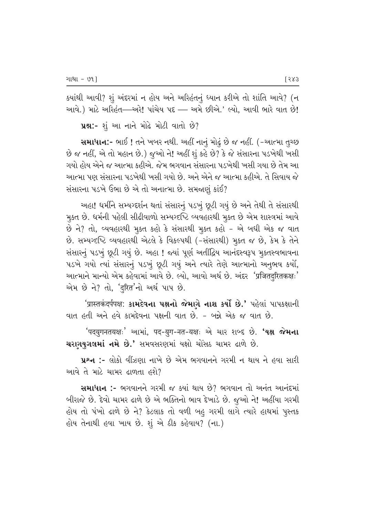$s$ યાંથી આવી? શું અંદરમાં ન હોય અને અરિહંતનું ધ્યાન કરીએ તો શાંતિ આવે? (ન આવે.) માટે અરિહંત—અરે! પાંચેય પદ — અમે છીએ.' લ્યો, આવી ભારે વાત છે!

 $\mu$ શ્ન:- શું આ નાને મોઢે મોટી વાતો છે?

સમાધાન:- ભાઈ ! તને ખબર નથી. અહીં નાનું મોઢું છે જ નહીં. (−આત્મા તુચ્છ છે જ નહીં, એ તો મહાન છે.) જૂઓ ને! અહીં શું કહે છે? કે જે સંસારના પડખેથી ખસી <u>ગયો હોય એને જ આત્મા કહીએ. જેમ ભગવાન સંસારના પડખેથી ખસી ગયા છે તેમ આ</u> આત્મા પણ સંસારના પડખેથી ખસી ગયો છે. અને એને જ આત્મા કહીએ. તે સિવાય જે સંસારના પડખે ઉભા $\Theta$ એ તો અનાત્મા છે. સમજાણું કાંઈ?

અહા! ધર્મીને સમ્યગ્દર્શન થતાં સંસારનું પડખું છુટી ગયું છે અને તેથી તે સંસારથી મુક્ત છે. ધર્મની પહેલી સીઢીવાળો સમ્યગ્દષ્ટિ વ્યવહારથી મુક્ત છે એમ શાસ્ત્રમાં આવે છે ને? તો, વ્યવહારથી મુક્ત કહો કે સંસારથી મુક્ત કહો – એ બધી એક જ વાત છે. સમ્યગ્દષ્ટિ વ્યવહારથી એટલે કે વિકલ્પથી (-સંસારથી) મુક્ત જ છે, કેમ કે તેને સંસારનું પડખું છૂટી ગયું છે. અહા ! જ્યાં પૂર્ણ અતીંદ્રિય આનંદસ્વરૂપ મૂકતસ્વભાવના પડખે ગયો ત્યાં સંસારનું પડખું છૂટી ગયું અને ત્યારે તેણે આત્માનો અનુભવ કર્યો, આત્માને માન્યો એમ કહેવામાં આવે છે. લ્યો, આવો અર્થ છે. અંદર*'प्र*जितदरितकक्षः' એમ છે ને? તો, *'*दुरित'નો અર્થ પાપ છે.

'प्रास्तकंदर्पपक्ष: કામદેવના પક્ષનો જેમાગે નાશ કર્યો છે.' પહેલાં પાપકક્ષાની વાત હતી અને હવે કામદેવના પક્ષની વાત છે. – બન્ને એક જ વાત છે.

'पदयुगनतयक्षः' આમાં, पद-युग-नत-यक्षः એ ચાર શબ્દ છે. **'યક્ષ જેમના** ચરાગયુગલમાં નમે છે.' સમવસરણમાં યક્ષો ચોંસઠ ચામર ઢાળે છે.

પ્રશ્ન :- લોકો વીંઝણા નાખે છે એમ ભગવાનને ગરમી ન થાય ને હવા સારી આવે તે માટે ચામર ઢાળતા હશે $\overline{?}$ 

 $\mathbf{u}_1$ માધાન :- ભગવાનને ગરમી જ ક્યાં થાય છે? ભગવાન તો અનંત આનંદમાં બીરાજે છે. દેવો ચામર ઢાળે છે એ ભક્તિનો ભાવ દેખાડે છે. જૂઓ ને! અહીંયા ગરમી હોય તો પંખો ઢાળે છે ને? કેટલાક તો વળી બહુ ગરમી લાગે ત્યારે હાથમાં પુસ્તક હોય તેનાથી હવા ખાય છે. શું એ ઠીક કહેવાય? (ના.)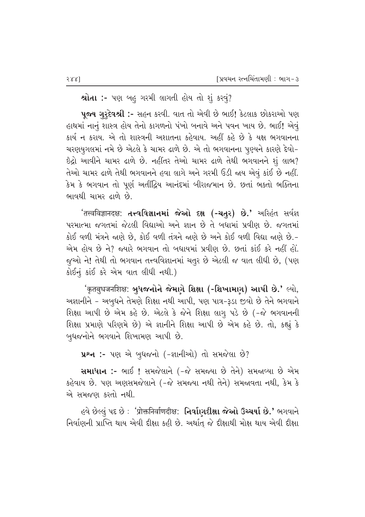**શ્રોતા :-** પણ બહુ ગરમી લાગતી હોય તો શું કરવું?

 $\n$ પૂજ્ય ગૃરૃદેવશ્રી :- સહન કરવી. વાત તો એવી છે ભાઈ! કેટલાક છોકરાઓ પણ હાથમાં નાનું શાસ્ત્ર હોય તેનો કાગળનો પંખો બનાવે અને પવન ખાય છે. ભાઈ! એવું કાર્ય ન કરાય. એ તો શાસ્ત્રની અશાતના કહેવાય. અહીં કહે છે કે યક્ષ ભગવાનના ચરણયુગલમાં નમે છે એટલે કે ચામર ઢાળે છે. એ તો ભગવાનના પૂણ્યને કારણે દેવો- $\delta$ દ્રો આવીને ચામર ઢાળે છે. નહીંતર તેઓ ચામર ઢાળે તેથી ભગવાનને શું લાભ? તેઓ ચામર ઢાળે તેથી ભગવાનને હવા લાગે અને ગરમી ઉડી જાય એવું કાંઈ છે નહીં. કેમ કે ભગવાન તો પૂર્ણ અતીંદ્રિય આનંદમાં બીરાજમાન છે. છતાં ભક્તો ભક્તિના ભાવથી ચામર ઢાળે છે.

 $\hat{\mathcal{A}}$ तत्त्वविज्ञानदक्ष: **તત્ત્વવિજ્ઞાનમાં જેઓ દક્ષ (-ચતુર) છે.'** અરિહંત સર્વજ્ઞ પરમાત્મા જગતમાં જેટલી વિદ્યાઓ અને જ્ઞાન છે તે બધામાં પ્રવીણ છે. જગતમાં કોઈ વળી મંત્રને જાણે છે, કોઈ વળી તંત્રને જાણે છે અને કોઈ વળી વિદ્યા જાણે છે.-એમ હોય છે ને? જ્યારે ભગવાન તો બધાયમાં પ્રવીણ છે. છતાં કાંઈ કરે નહીં હોં. જૂઓ ને! તેથી તો ભગવાન તત્ત્વવિજ્ઞાનમાં ચતુર છે એટલી જ વાત લીધી છે, (પણ કોઈનું કાંઈ કરે એમ વાત લીધી નથી.)

 $\hat{z}$ कृतबुधजनशिक्ष: બૃધજનોને જેમાગે શિક્ષા (-શિખામાગ) આપી છે.' લ્યો, અજ્ઞાનીને – અબૃધને તેમણે શિક્ષા નથી આપી, પણ પાત્ર-રૂડા જીવો છે તેને ભગવાને િશિક્ષા આપી છે એમ કહે છે. એટલે કે જેને શિક્ષા લાગૂ પડે છે (-જે ભગવાનની શિક્ષા પ્રમાણે પરિણમે છે) એ જ્ઞાનીને શિક્ષા આપી છે એમ કહે છે. તો, કહ્યું કે બુધજનોને ભગવાને શિખામણ આપી છે.

```
પ્રશ્ન :- પણ એ બુધજનો (-જ્ઞાનીઓ) તો સમજેલા છે?
```
સમાધાન :- ભાઈ ! સમજેલાને (-જે સમજ્યા છે તેને) સમજ્રવ્યા છે એમ કહેવાય છે. પણ અણસમજેલાને (-જે સમજ્યા નથી તેને) સમજ્રવતા નથી, કેમ કે એ સમજણ કરતો નથી.

 $e$ વે છે $\epsilon$ લું પદ છે : 'प्रोक्तनिर्वाणदीक्ष: નિર્વાણદીક્ષા જેઓ ઉચ્ચર્યા છે.' ભગવાને નિર્વાણની પ્રાપ્તિ થાય એવી દીક્ષા કહી છે. અર્થાત્ જે દીક્ષાથી મોક્ષ થાય એવી દીક્ષા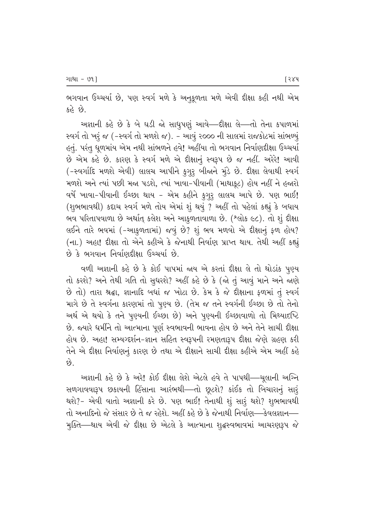ભગવાન ઉચ્ચર્યા છે, પણ સ્વર્ગ મળે કે અનુકૂળતા મળે એવી દીક્ષા કહી નથી એમ કહે છે.

અજ્ઞાની કહે છે કે બે ઘડી જો સાધુપણું આવે—દીક્ષા લે—તો તેના કપાળમાં સ્વર્ગ તો ખરૂં જ (-સ્વર્ગ તો મળશે જ). - આવું ૨૦૦૦ ની સાલમાં રાજકોટમાં સાંભળ્યું હતું. પરંતુ ધૂળમાંય એમ નથી સાંભળને હવે! અહીંયા તો ભગવાન નિર્વાણદીક્ષા ઉચ્ચર્યા છે એમ કહે છે. કારણ કે સ્વર્ગ મળે એ દીક્ષાનું સ્વરૂપ છે જ નહીં. અરેરે! આવી (-સ્વર્ગાદિ મળશે એવી) લાલચ આપીને ક્ર્ગુરૂ બીજાને મુંડે છે. દીક્ષા લેવાથી સ્વર્ગ મળશે અને ત્યાં પછી મજા પડશે, ત્યાં ખાવા-પીવાની (માથાકૂટ) હોય નહીં ને હજારો વર્ષે ખાવા-પીવાની ઈચ્છા થાય - એમ કહીને કુગુરૂ લાલચ આપે છે. પણ ભાઈ! (શુભભાવથી) કદાચ સ્વર્ગ મળે તોય એમાં શું થયું ? અહીં તો પહેલાં કહ્યું કે બધાય ભવ પરિતાપવાળા છે અર્થાત્ કલેશ અને આકુળતાવાળા છે. (શ્લોક ૯૮). તો શું દીક્ષા લઈને તારે ભવમાં (-આકુળતામાં) જવું છે? શું ભવ મળવો એ દીક્ષાનું ફળ હોય? (ના.) અહા! દીક્ષા તો એને કહીએ કે જેનાથી નિર્વાણ પ્રાપ્ત થાય. તેથી અહીં કહ્યું  $\vartheta$  કે ભગવાન નિર્વાણદીક્ષા ઉચ્ચર્યા છે.

વળી અજ્ઞાની કહે છે કે કોઈ પાપમાં જાય એ કરતાં દીક્ષા લે તો થોડાંક પૂણ્ય તો કરશે? અને તેથી ગતિ તો સુધરશે? અહીં કહે છે કે (જો તું આવું માને અને જાણે છે તો) તારા શ્રદ્ધા, જ્ઞાનાદિ બધાં જ ખોટા છે. કેમ કે જે દીક્ષાના ફળમાં તું સ્વર્ગ માગે છે તે સ્વર્ગના કારણમાં તો પૂણ્ય છે. (તેમ જ તને સ્વર્ગની ઈચ્છા છે તો તેનો અર્થ એ થયો કે તને પૂણ્યની ઈચ્છા છે) અને પૂણ્યની ઈચ્છાવાળો તો મિથ્યાદષ્ટિ છે. જ્યારે ધર્મીને તો આત્માના પૂર્ણ સ્વભાવની ભાવના હોય છે અને તેને સાચી દીક્ષા હોય છે. અહા! સમ્યગ્દર્શન-જ્ઞાન સહિત સ્વરૂપની રમણતારૂપ દીક્ષા જેણે ગ્રહણ કરી તેને એ દીક્ષા નિર્વાણનું કારણ છે તથા એ દીક્ષાને સાચી દીક્ષા કહીએ એમ અહીં કહે  $\hat{\mathcal{C}}$ .

અજ્ઞાની કહે છે કે અરે! કોઈ દીક્ષા લેશે એટલે હવે તે પાપથી—ચૂલાની અગ્નિ સળગાવવારૂપ છકાયની હિંસાના આરંભથી—તો છૂટશે? કાંઈક તો બિચારાનું સારૂં થશે?- એવી વાતો અજ્ઞાની કરે છે. પણ ભાઈ! તેનાથી શું સારૂં થશે? શુભભાવથી તો અનાદિનો જે સંસાર છે તે જ રહેશે. અહીં કહે છે કે જેનાથી નિર્વાણ—કેવલજ્ઞાન— મુક્તિ—થાય એવી જે દીક્ષા છે એટલે કે આત્માના શુદ્ધસ્વભાવમાં આચરણરૂપ જે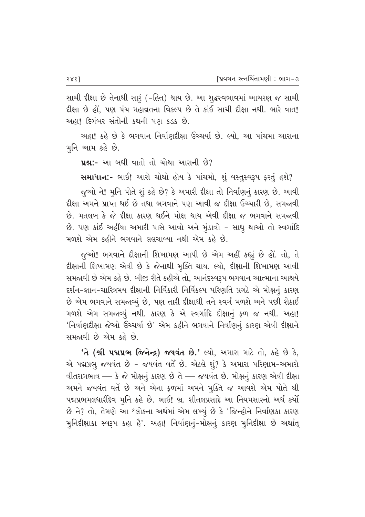સાચી દીક્ષા છે તેનાથી સારૂં (-હિત) થાય છે. આ શુદ્ધસ્વભાવમાં આચરણ જ સાચી દીક્ષા છે હોં. પણ પંચ મહાવ્રતના વિકલ્પ છે તે કાંઈ સાચી દીક્ષા નથી. ભારે વાત! આહા! દિગંબર સંતોની કથની પણ કડક છે.

અહા! કહે છે કે ભગવાન નિર્વાણદીક્ષા ઉચ્ચર્યા છે. લ્યો, આ પાંચમા આરાના મૂનિ આમ કહે છે.

 $\mu$ શ્ન:- આ બધી વાતો તો ચોથા આરાની છે?

સમાધાન:- ભાઈ! આરો ચોથો હોય કે પાંચમો, શું વસ્તુસ્વરૂપ ફરતું હશે?

જુઓ ને! મુનિ પોતે શું કહે છે? કે અમારી દીક્ષા તો નિર્વાણનું કારણ છે. આવી દીક્ષા અમને પ્રાપ્ત થઈ છે તથા ભગવાને પણ આવી જ દીક્ષા ઉચ્ચારી છે. સમજાવી છે. મતલબ કે જે દીક્ષા કારણ થઈને મોક્ષ થાય એવી દીક્ષા જ ભગવાને સમજાવી છે. પણ કાંઈ અહીંયા અમારી પાસે આવો અને મુંડાવો - સાધુ થાઓ તો સ્વર્ગાદિ મળશે એમ કહીને ભગવાને લલચાવ્યા નથી એમ કહે છે.

જૂઓ! ભગવાને દીક્ષાની શિખામણ આપી છે એમ અહીં કહ્યું છે હોં. તો, તે દીક્ષાની શિખામણ એવી છે કે જેનાથી મૂક્તિ થાય. લ્યો, દીક્ષાની શિખામણ આવી સમજાવી છે એમ કહે છે. બીજી રીતે કહીએ તો, આનંદસ્વરૂપ ભગવાન આત્માના આશ્રયે દર્શન-જ્ઞાન-ચારિત્રમય દીક્ષાની નિર્વિકારી નિર્વિકલ્પ પરિણતિ પ્રગટે એ મોક્ષનું કારણ  $\dot{\vartheta}$  એમ ભગવાને સમજ્રવ્યું છે, પણ તારી દીક્ષાથી તને સ્વર્ગ મળશે અને પછી શેઠાઈ મળશે એમ સમજાવ્યું નથી. કારણ કે એ સ્વર્ગાદિ દીક્ષાનું ફળ જ નથી. અહા! 'નિર્વાણદીક્ષા જેઓ ઉચ્ચર્યા છે' એમ કહીને ભગવાને નિર્વાણનું કારણ એવી દીક્ષાને સમજાવી છે એમ કહે છે.

 $'$ તે (શ્રી પદ્મપ્રભ જિનેન્દ્ર) જયવંત છે.' લ્યો, અમારા માટે તો, કહે છે કે, એ પદ્મપ્રભુ જયવંત છે - જયવંત વર્તે છે. એટલે શું? કે અમારા પરિણામ-અમારો  $\ell$ વીતરાગભાવ — કે જે મોક્ષનું કારણ છે તે — જયવંત છે. મોક્ષનું કારણ એવી દીક્ષા અમને જયવંત વર્તે છે અને એના ફળમાં અમને મૂક્તિ જ આવશે એમ પોતે શ્રી પદ્મપ્રભમલધારીદેવ મૂનિ કહે છે. ભાઈ! બ્ર. શીતલપ્રસાદે આ નિયમસારનો અર્થ કર્યો છે ને? તો, તેમણે આ શ્લોકના અર્થમાં એમ લખ્યું છે કે 'જિન્હોને નિર્વાણકા કારણ મુનિદીક્ષાકા સ્વરૂપ કહા હૈ'. અહા! નિર્વાણનું-મોક્ષનું કારણ મુનિદીક્ષા છે અર્થાત્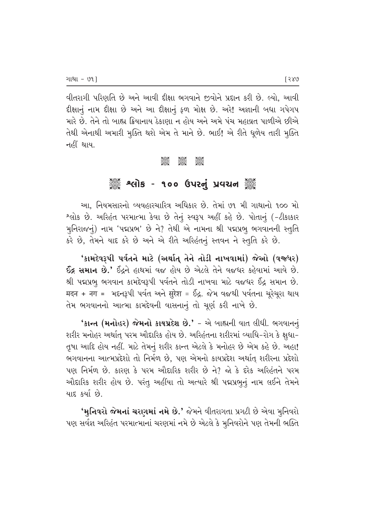'વીતરાગી પરિણતિ છે અને આવી દીક્ષા ભગવાને જીવોને પ્રદાન કરી છે. લ્યો, આવી हीक्षानुं नाम हीक्षा છે અને આ हीक्षानुं ફળ મોક્ષ છે. અરે! અજ્ઞાની બધા ગપેગપ <u>મારે છે. તેને તો બાહ્ય ક્રિયાનાય ઠેકાણા ન હોય અને અમે પંચ મહાવ્રત પાળીએ છીએ</u> તેથી એનાથી અમારી મૂક્તિ થશે એમ તે માને છે. ભાઈ! એ રીતે ધૂળેય તારી મૂક્તિ નહીં થાય.

#### C C C

## ું કે શ્લોક - ૧૦૦ ઉપરનું પ્રવચન ૅું

આ, નિયમસારનો વ્યવહારચારિત્ર અધિકાર છે. તેમાં **૭૧ મી ગાથાનો ૧૦૦** મો ^લોક છે. અરિહંત પરમાત્મા કેવા છે તેનું સ્વરૂપ અહીં કહે છે. પોતાનું (-*ટી*કાકાર મુનિરાજનું) નામ 'પદ્મપ્રભ' છે ને? તેથી એ નામના શ્રી પદ્મપ્રભુ ભગવાનની સ્તુતિ કરે છે, તેમને યાદ કરે છે અને એ રીતે અરિહંતનું સ્તવન ને સ્તુતિ કરે છે.

'કામદેવરૂપી પર્વતને માટે (અર્થાત્ તેને તોડી નાખવામાં) જેઓ (વજ્રધર)  $56$ , સમાન છે.' ઈંદ્રને હાથમાં વજ હોય છે એટલે તેને વજધર કહેવામાં આવે છે. શ્રી પદ્મપ્રભૂ ભગવાન કામદેવરૂપી પર્વતને તોડી નાખવા માટે વજધર ઈંદ્ર સમાન છે. मदन + नग = भदन३पी पर्वत અને सुरेश = ઈંદ્ર. જેમ વજથી પર્વતના ચૂરેચૂરા થાય તેમ ભગવાનનો આત્મા કામદેવની વાસનાનું તો ચૂર્ણ કરી નાખે છે.

'કાન્ત (મનોહર) જેમનો કાયપ્રદેશ છે.' - એ બાહ્યની વાત લીધી. ભગવાનનું શરીર મનોહર અર્થાત્ પરમ ઔદારિક હોય છે. અરિહંતના શરીરમાં વ્યાધિ−રોગ કે ક્ષુધા− તૃષા આદિ હોય નહીં. માટે તેમનું શરીર કાન્ત એટલે કે મનોહર છે એમ કહે છે. અહા! ભગવાનના આત્મપ્રદેશો તો નિર્મળ છે, પણ એમનો કાયપ્રદેશ અર્થાત્ શરીરના પ્રદેશો પણ નિર્મળ છે. કારણ કે પરમ ઔદારિક શરીર છે ને? જો કે દરેક અરિહંતને પરમ ઔદારિક શરીર હોય છે. પરંતુ અહીંયા તો અત્યારે શ્રી પદ્મપ્રભૂનું નામ લઈને તેમને યાદ કર્યા છે.

'મુનિવરો જેમનાં ચરણમાં નમે છે.' જેમને વીતરાગતા પ્રગટી છે એવા મુનિવરો પણ સર્વજ્ઞ અરિહંત પરમાત્માનાં ચરણમાં નમે છે એટલે કે મુનિવરોને પણ તેમની ભક્તિ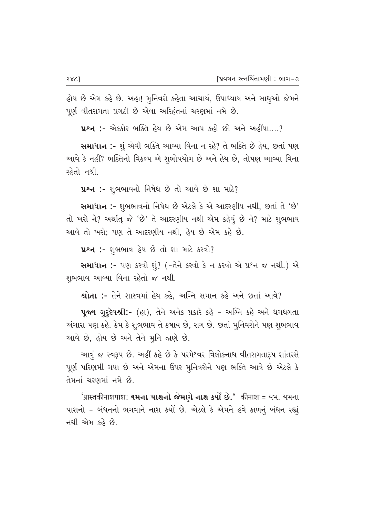હોય છે એમ કહે છે. અહા! મુનિવરો કહેતા આચાર્ય, ઉપાધ્યાય અને સાધુઓ જેમને પૂર્ણ વીતરાગતા પ્રગટી છે એવા અરિહંતનાં ચરણમાં નમે છે.

**4ºન :-** એક્કોર ભક્તિ હેય છે એમ આપ કહો છો અને અહીંયા....?

સમાધાન :- શું એવી ભક્તિ આવ્યા વિના ન રહે? તે ભક્તિ છે હેય, છતાં પણ આવે કે નહીં? ભક્તિનો વિકલ્પ એ શુભોપયોગ છે અને હેય છે, તોપણ આવ્યા વિના રહેતો નથી.

 $x^2-$  :- શુભભાવનો નિષેધ છે તો આવે છે શા માટે?

સમાધાન :- શુભભાવનો નિષેધ છે એટલે કે એ આદરણીય નથી, છતાં તે 'છે' તો ખરો ને? અર્થાત જે 'છે' તે આદરણીય નથી એમ કહેવું છે ને? માટે શુભભાવ આવે તો ખરો: પણ તે આદરણીય નથી, હેય છે એમ કહે છે*.* 

124 :- શુભભાવ હેય છે તો શા માટે કરવો?

સમાધાન :- પણ કરવો શું? (-તેને કરવો કે ન કરવો એ પ્રશ્ન જ નથી.) એ શભભાવ આવ્યા વિના રહેતો જ નથી.

 $x$ ે આેતા :- તેને શાસ્ત્રમાં હેય કહે, અગ્નિ સમાન કહે અને છતાં આવે?

 $\bf{u}$ જ્ય ગુરૃદેવશ્રી:- (હા), તેને અનેક પ્રકારે કહે – અગ્નિ કહે અને ધગધગતા અંગારા પણ કહે. કેમ કે શુભભાવ તે કષાય છે, રાગ છે. છતાં મુનિવરોને પણ શુભભાવ આવે છે, હોય છે અને તેને મુનિ *જા*ણે છે.

આવું જ સ્વરૂપ છે. અહીં કહે છે કે પરમેશ્વર ત્રિલોકનાથ વીતરાગતારૂપ શાંતરસે પૂર્ણ પરિણમી ગયા છે અને એમના ઉપર મુનિવરોને પણ ભક્તિ આવે છે એટલે કે તેમનાં ચરણમાં નમે છે.

 $'$ प्रास्तकीनाशपाश: **यमना पाशनो જેમાગે નાશ કર્યો છે.'** कीनाश = યમ. યમના પાશનો – બંધનનો ભગવાને નાશ કર્યો છે. એટલે કે એમને હવે કાળનું બંધન રહ્યું નથી એમ ક $\delta$  છે.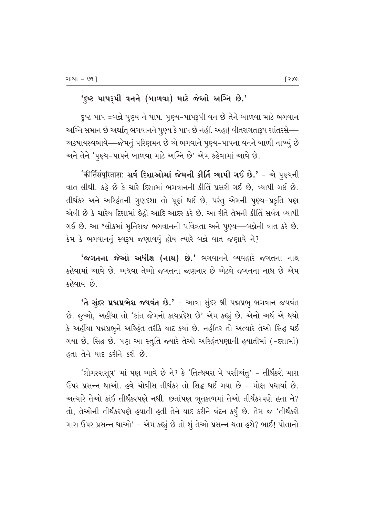### 'દૃષ્ટ પાપરૂપી વનને (બાળવા) માટે જેઓ અગ્નિ છે.'

દૃષ્ટ પાપ =બન્ને પૂણ્ય ને પાપ. પૂણ્ય−પાપરૂપી વન છે તેને બાળવા માટે ભગવાન અગ્નિ સમાન છે અર્થાત્ ભગવાનને પુણ્ય કે પાપ છે નહીં. અહા! વીતરાગતારૂપ શાંતરસે—– અકષાયસ્વભાવે—જેમનું પરિણમન છે એ ભગવાને પુણ્ય-પાપના વનને બાળી નાખ્યું છે અને તેને 'પુણ્ય-પાપને બાળવા માટે અગ્નિ છે' એમ કહેવામાં આવે છે.

*'*कीर्तिसंपूरिताश: **સર્વ દિશાઓમાં જેમની કીર્તિ વ્યાપી ગઈ છે.'** − એ પુણ્યની વાત લીધી. કહે છે કે ચારે દિશામાં ભગવાનની કીર્તિ પ્રસરી ગઈ છે, વ્યાપી ગઈ છે. તીર્થંકર અને અરિહંતની ગુણદરાા તો પૂર્ણ થઈ છે, પરંતુ એમની પૂણ્ય-પ્રકૃતિ પણ એવી છે કે ચારેય દિશામાં ઇેદ્રો આદિ આદર કરે છે. આ રીતે તેમની કીર્તિ સર્વત્ર વ્યાપી ગઈ છે. આ <sup>શ્</sup>લોકમાં મુનિરાજ ભગવાનની પવિત્રતા અને પુણ્ય—બન્નેની વાત કરે છે.  $3$ મ કે ભગવાનનું સ્વરૂપ જણાવવું હોય ત્યારે બન્ને વાત જણાવે ને?

 $'$ જગતના જેઓ અધીશ (નાથ) છે.' ભગવાનને વ્યવહારે જગતના નાથ કહેવામાં આવે છે. અથવા તેઓ જગતના જણનાર છે એટલે જગતના નાથ છે એમ કહેવાય છે.

 $'$ તે સુંદર પ્રદ્મપ્રભેશ જયવંત છે.' - આવા સુંદર શ્રી પદ્મપ્રભુ ભગવાન જયવંત છે. જુઓ, અહીંયા તો 'કાંત જેમનો કાયપ્રદેશ છે' એમ કહ્યું છે. એનો અર્થ એ થયો કે અહીંયા પદ્મપ્રભુને અરિહંત તરીકે યાદ કર્યા છે. નહીંતર તો અત્યારે તેઓ સિદ્<mark>ધ</mark> થઈ ગયા છે, સિદ્ધ છે. પણ આ સ્તુતિ જ્યારે તેઓ અરિહંતપણાની હયાતીમાં (-દશામાં)  $\kappa$ તા તેને યાદ કરીને કરી છે.

'લોગસ્સસૂત્ર' માં પણ આવે છે ને? કે 'તિત્થયરા મે પસીઅંતુ' – તીર્થંકરો મારા ઉપર પ્રસન્ન થાઓ. હવે ચોવીસ તીર્થંકર તો સિદ્ઘ થઈ ગયા છે - મોક્ષ પધાર્યા છે. 'અત્યારે તેઓ કાંઈ તીર્થંકરપણે નથી. છતાંપણ ભૂતકાળમાં તેઓ તીર્થંકરપણે હતા ને? તો, તેઓની તીર્થંકરપણે હયાતી હતી તેને યાદ કરીને વંદન કર્યું છે. તેમ જ 'તીર્થંકરો મારા ઉપર પ્રસન્ન થાઓ' - એમ કહ્યું છે તો શું તેઓ પ્રસન્ન થતા હશે? ભાઈ! પોતાનો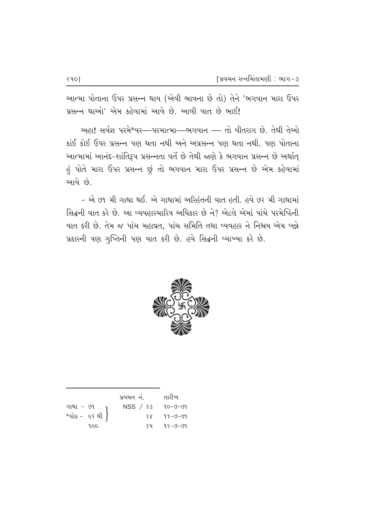આત્મા પોતાના ઉપર પ્રસન્ન થાય (એવી ભાવના છે તો) તેને 'ભગવાન મારા ઉપર પ્રસન્ન થાઓ' એમ કહેવામાં આવે છે. આવી વાત છે ભાઈ!

અહા! સર્વજ્ઞ પરમેશ્વર—પરમાત્મા—ભગવાન — તો વીતરાગ છે. તેથી તેઓ કાંઈ કોઈ ઉપર પ્રસન્ન પણ થતા નથી અને અપ્રસન્ન પણ થતા નથી. પણ પોતાના આત્મામાં આનંદ-શાંતિરૂપ પ્રસન્નતા વર્તે છે તેથી જાણે કે ભગવાન પ્રસન્ન છે અર્થાત્ હું પોતે મારા ઉપર પ્રસન્ન છું તો ભગવાન મારા ઉપર પ્રસન્ન છે એમ કહેવામાં આવે છે.

- એ ૭૧ મી ગાથા થઈ. એ ગાથામાં અરિહંતની વાત હતી. હવે ૭૨ મી ગાથામાં સિદ્ધની વાત કરે છે. આ વ્યવહારચારિત્ર અધિકાર છે ને? એટલે એમાં પાંચે પરમેષ્ઠિની વાત કરી છે. તેમ જ પાંચ મહાવ્રત. પાંચ સમિતિ તથા વ્યવહાર ને નિશ્ચય એમ બન્ને પ્રકારની ત્રણ ગુપ્તિની પણ વાત કરી છે. હવે સિદ્ધની વ્યાખ્યા કરે છે.



|                              | પ્રવચન નં. |      | તારીખ   |
|------------------------------|------------|------|---------|
|                              | NSS / 83   |      | 90-0-09 |
| ગાથા - ૭૧<br>શ્લોક - ૯૬ થી } |            | $\×$ | 99-0-09 |
| 9.00                         |            | ६५ - | ૧२−७−७૧ |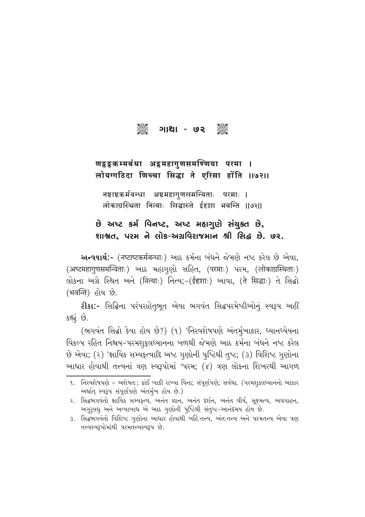#### 3225 **Jese** <u> ગાથા - ७२</u>

## णट्ठट्ठकम्मबंधा अट्ठमहागुणसमण्णिया परमा । लोयग्गठिदा णिच्चा सिद्धा ते एरिसा होंति ॥७२॥

नष्टाष्टकर्मबन्धा अष्टमहागुणसमन्विताः परमाः । लोकाग्रस्थिता नित्याः सिद्धास्ते ईहज्ञा भवन्ति ॥७२॥

## છે અષ્ટ કર્મ વિનષ્ટ, અષ્ટ મહાગણે સંચુક્ત છે, શાશ્વત, પરમ ને લોક-અગ્રવિરાજમાન શ્રી સિદ્ધ છે. ૭૨.

અन्वयार्थ:- (नष्टाष्टकर्मबन्धाः) આઠ કર્મના બંધને જેમણે નષ્ટ કરેલ છે એવા, (अष्टमहागुणसमन्विताः) આઠ મહાગૃણો સહિત, (परमाः) પરમ, (लोकाग्रस्थिताः) લોકના અગ્રે સ્થિત અને (नित्याः) નિત્ય;-(ईदृशाः) આવા, (ते सिद्धाः) તે સિદ્ધો (भवन्ति) હોય છે.

ટીકા:- સિદ્ધિના પરંપરાહેતૃભૂત એવા ભગવંત સિદ્ધપરમેષ્ઠીઓનું સ્વરૂપ અહીં કહ્યું છે.

(ભગવંત સિદ્ધો કેવા હોય છે?) (૧) 'નિરવશેષપણે અંતર્મુખાકાર, ધ્યાનધ્યેયના વિકલ્પ રહિત નિશ્ચય-પરમશુકુલધ્યાનના બળથી જેમણે આઠ કર્મના બંધને નષ્ટ કરેલ છે એવા; (૨) <sup>ર</sup>ક્ષાયિક સમ્યક્¢વાદિ અષ્ટ ગુણોની પુષ્ટિથી તુષ્ટ; (૩) વિશિષ્ટ ગુણોના આધાર હોવાથી તત્ત્વનાં ત્રણ સ્વરૂપોમાં <sup>ગ</sup>પરમ; (૪) ત્રણ લોકના શિખરથી આગળ

૧. નિરવશેષપણે = અશેષત:; કાંઈ બાકી રાખ્યા વિના; સંપૂર્ણપણે; સર્વથા. (પરમશુક્લધ્યાનનો આકાર અર્થાત્ સ્વરૂપ સંપૂર્ણપણે અંતર્મુખ હોય છે.)

૨. સિદ્ધભગવંતો ક્ષાયિક સમ્યકત્વ, અનંત જ્ઞાન, અનંત દર્શન, અનંત વીર્ય, સક્ષ્મત્વ, અવગાહન, અગુરૂલઘુ અને અવ્યાબાધ એ આઠ ગુણોની પુષ્ટિથી સંતુષ્ટ-આનંદમય હોય છે.

૩. સિદ્ધભગવંતો વિશિષ્ટ ગુણોના આધાર હોવાથી બહિઃતત્ત્વ, અંતઃતત્ત્વ અને પરમતત્ત્વ એવા ત્રણ તત્ત્વસ્વરૂપોમાંથી પરમતત્ત્વસ્વરૂપ છે.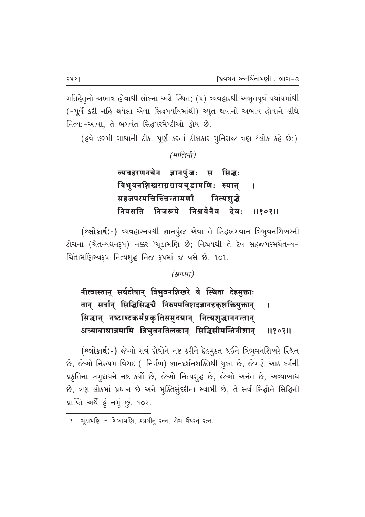ગતિહેતનો અભાવ હોવાથી લોકના અગ્રે સ્થિત; (૫) વ્યવહારથી અભુતપૂર્વ પર્યાયમાંથી (-પૂર્વે કદી નહિ થયેલા એવા સિદ્ધપર્યાયમાંથી) ચ્યુત થવાનો અભાવ હોવાને લીધે નિત્ય:-આવા. તે ભગવંત સિદ્ધપરમેષ્ઠીઓ હોય છે.

(હવે ૭૨મી ગાથાની ટીકા પૂર્ણ કરતાં ટીકાકાર મુનિરાજ ત્રણ શ્લોક કહે છે:)

(मालिनी)

व्यवहरणनयेन ज्ञानपंजः स सिद्धः त्रिभुवनशिखराग्रग्रावचूडामणिः स्यात्  $\mathbf{I}$ सहजपरमचिच्चिन्तामणौ नित्यशद्धे निवसति निजरूपे निश्चयेनैव देवः 1180811

(શ્લોકાર્થ:-) વ્યવહારનયથી જ્ઞાનપુંજ એવા તે સિદ્ધભગવાન ત્રિભુવનશિખરની ટોચના (ચૈતન્યઘનરૂપ) નક્કર 'ચૂડામણિ છે; નિશ્ચયથી તે દેવ સહજપરમચૈતન્ય-ચિંતામણિસ્વરૂપ નિત્યશૃદ્ધ નિજ રૂપમાં જ વસે છે. ૧૦૧.

(म्रग्धरा)

नीत्वास्तान् सर्वदोषान् त्रिभुवनशिखरे ये स्थिता देहमुक्ताः तान् सर्वान् सिद्धिसिद्धचै निरुपमविशदज्ञानदृकुशक्तियुक्तान्  $\mathbf{I}$ सिद्धान् नष्टाष्टकर्मप्रकृतिसमुदयान् नित्यशुद्धाननन्तान् अव्याबाधान्नमामि त्रिभुवनतिलकान् सिद्धिसीमन्तिनीशान् 1180311

(શ્લોકાર્થ:-) જેઓ સર્વ દોષોને નષ્ટ કરીને દેહમુક્ત થઈને ત્રિભુવનશિખરે સ્થિત છે, જેઓ નિરુપમ વિશદ (-નિર્મળ) જ્ઞાનદર્શનશક્તિથી યુક્ત છે, જેમણે આઠ કર્મની પ્રકૃતિના સમુદાયને નષ્ટ કર્યો છે, જેઓ નિત્યશુદ્ધ છે, જેઓ અનંત છે, અવ્યાબાધ છે, ત્રણ લોકમાં પ્રધાન છે અને મુક્તિસુંદરીના સ્વામી છે, તે સર્વ સિદ્ધોને સિદ્ધિની પ્રાપ્તિ અર્થે હું નમું છું. ૧૦૨.

૧. ચુડામણિ = શિખામણિ; કલગીનું રત્ન; ટોચ ઉપરનું રત્ન.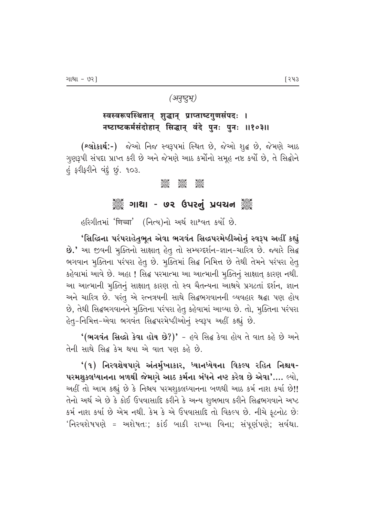#### (अनुष्टुभू)

## स्वस्वरूपस्थितान् शुद्धान् प्राप्ताष्टगुणसंपदः । नष्टाष्टकर्मसंदोहान् सिद्धान् वंदे पुनः पुनः ॥१०३॥

(**શ્લોકાર્થ:-**) જેઓ નિજ સ્વરૂપમાં સ્થિત છે, જેઓ શુદ્ધ છે, જેમણે આઠ ગુણરૂપી સંપદા પ્રાપ્ત કરી છે અને જેમણે આઠ કર્મોનો સમૂહ નષ્ટ કર્યો છે, તે સિદ્ધોને હું ફરીફરીને વંદું છું. ૧૦૩.

#### $\frac{1}{2}$ **Beec Jese**

### ૈું ગાથા - ૭૨ ઉપરનું પ્રવચન ૅું

હરિગીતમાં 'णिच्चा' (નિત્ય)નો અર્થ શાશ્વત કર્યો છે.

'સિદ્ધિના પરંપરાહેતુભૂત એવા ભગવંત સિદ્ધપરમેષ્ઠીઓનું સ્વરૂપ અહીં કહ્યું છે.' આ જીવની મુક્તિનો સાક્ષાત્ હેતુ તો સમ્યગ્દર્શન-જ્ઞાન-ચારિત્ર છે. જ્યારે સિદ્ધ ભગવાન મુક્તિના પરંપરા હેતુ છે. મુક્તિમાં સિદ્ધ નિમિત્ત છે તેથી તેમને પરંપરા હેતુ કહેવામાં આવે છે. અહા! સિદ્ધ પરમાત્મા આ આત્માની મુક્તિનું સાક્ષાત્ કારણ નથી. આ આત્માની મુક્તિનું સાક્ષાતુ કારણ તો સ્વ ચૈતન્યના આશ્રયે પ્રગટતાં દર્શન, જ્ઞાન અને ચારિત્ર છે. પરંતુ એ રત્નત્રયની સાથે સિદ્ધભગવાનની વ્યવહાર શ્રદ્ધા પણ હોય છે, તેથી સિદ્ધભગવાનને મુક્તિના પરંપરા હેતુ કહેવામાં આવ્યા છે. તો, મુક્તિના પરંપરા હેતુ-નિમિત્ત-એવા ભગવંત સિદ્ધપરમેષ્ઠીઓનું સ્વરૂપ અહીં કહ્યું છે.

 $($ ભગવંત સિદ્ધો કેવા હોય છે?)' - હવે સિદ્ધ કેવા હોય તે વાત કહે છે અને તેની સાથે સિદ્ધ કેમ થયા એ વાત પણ કહે છે.

<u>'(૧) નિરવશેષપણે અંતર્મુખાકાર, ધ્યાનધ્યેયના વિકલ્પ રહિત નિશ્ચય-</u> પરમશુક્લધ્યાનના બળથી જેમણે આઠ કર્મના બંધને નષ્ટ કરેલ છે એવા'.... લ્યો, અહીં તો આમ કહ્યું છે કે નિશ્ચય પરમશુકલધ્યાનના બળથી આઠ કર્મ નાશ કર્યા છે!! તેનો અર્થ એ છે કે કોઈ ઉપવાસાદિ કરીને કે અન્ય શુભભાવ કરીને સિદ્ધભગવાને અષ્ટ કર્મ નાશ કર્યા છે એમ નથી. કેમ કે એ ઉપવાસાદિ તો વિકલ્પ છે. નીચે ફટનોટ છે: 'નિરવશેષપણે = અશેષતઃ; કાંઈ બાકી રાખ્યા વિના; સંપૂર્ણપણે; સર્વથા.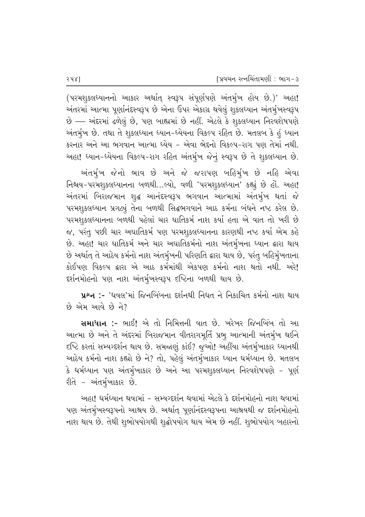(પરમશુક્લધ્યાનનો આકાર અર્થાત્ સ્વરૂપ સંપૂર્ણપણે અંતર્મુખ હોય છે.)' અહા! અંતરમાં આત્મા પૂર્ણાનંદસ્વરૂપ છે એના ઉપર એકાગ્ર થયેલું શુકલધ્યાન અંતર્મૃખસ્વરૂપ  $\dot{\vartheta}$  — અંદરમાં ઢળેલું છે, પણ બાહ્યમાં છે નહીં. એટલે કે શુક્લધ્યાન નિરવશેષપણે અંતર્મૃખ છે. તથા તે શુક્લધ્યાન ધ્યાન-ધ્યેયના વિકલ્પ રહિત છે. મતલબ કે હું ધ્યાન કરનાર અને આ ભગવાન આત્મા ધ્યેય – એવા ભેદનો વિકલ્પ-રાગ પણ તેમાં નથી. અહા! ધ્યાન-ધ્યેયના વિકલ્પ-રાગ રહિત અંતર્મુખ જેનું સ્વરૂપ છે તે શુકલધ્યાન છે.

અંતર્મૂખ જેનો ભાવ છે અને જે જરાપણ બહિર્મૃખ છે નહિ એવા fileve-un indeption of the capacitom of the chive in the chive of the chive the chive chive chives for the chi અંતરમાં બિરાજમાન શુદ્ધ આનંદસ્વરૂપ ભગવાન આત્મામાં અંતર્મુખ થતાં જે પરમશુકલધ્યાન પ્રગટ્યું તેના બળથી સિદ્ધભગવાને આઠ કર્મના બંધને નષ્ટ કરેલ છે. પરમશુકલધ્યાનના બળથી પહેલાં ચાર ઘાતિકર્મ નાશ કર્યા હતા એ વાત તો ખરી છે જ, પરંતુ પછી ચાર અઘાતિકર્મ પણ પરમશુકલધ્યાનના કારણથી નષ્ટ કર્યા એમ કહે છે. અહા! ચાર ઘાતિકર્મ અને ચાર અઘાતિકર્મનો નાશ અંતર્મૃખના ધ્યાન દ્વારા થાય છે અર્થાત્ તે આઠેય કર્મનો નાશ અંતર્મૃખની પરિણતિ દ્વારા થાય છે, પરંતુ બહિર્મૃખતાના કોઈપણ વિકલ્પ દ્વારા એ આઠ કર્મમાંથી એકપણ કર્મનો નાશ થતો નથી. અરે! દર્શનમોહનો પણ નાશ અંતર્મુખસ્વરૂપ દષ્ટિના બળથી થાય છે.

પ્રશ્ન :- 'ધવલ'માં જિનબિંબના દર્શનથી નિધત ને નિકાચિત કર્મનો નાશ થાય  $\dot{\mathcal{B}}$  એમ આવે છે ને?

સમાધાન :- ભાઈ! એ તો નિમિત્તની વાત છે. ખરેખર જિનબિંબ તો આ આત્મા છે અને તે અંદરમાં બિરાજમાન વીતરાગમૂર્તિ પ્રભુ આત્માની અંતર્મુખ થઈને દષ્ટિ કરતાં સમ્યગ્દર્શન થાય છે. સમજાણું કાંઈ? જુઓ! અહીંયા અંતર્મુખાકાર ધ્યાનથી આઠેય કર્મનો નાશ કહ્યો છે ને? તો, પહેલું અંતર્મૃખાકાર ધ્યાન ધર્મધ્યાન છે. મતલબ કે ધર્મધ્યાન પણ અંતર્મુખાકાર છે અને આ પરમશુકલધ્યાન નિરવશેષપણે – પૂર્ણ રીતે - અંતર્મૃખાકાર છે.

અહા! ધર્મધ્યાન થવામાં – સમ્યર્ગ્દર્શન થવામાં એટલે કે દર્શનમોહનો નાશ થવામાં પણ અંતર્મૂખસ્વરૂપનો આશ્રય છે. અર્થાત્ પૂર્ણાનંદસ્વરૂપના આશ્રયથી જ દર્શનમોહનો નાશ થાય છે. તેથી શુભોપયોગથી શૃદ્ધોપયોગ થાય એમ છે નહીં. શુભોપયોગ બહારનો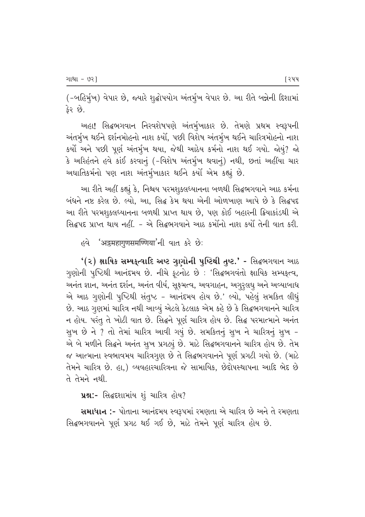(-બહિર્મુખ) વેપાર છે, જ્યારે શુદ્ધોપયોગ અંતર્મુખ વેપાર છે. આ રીતે બન્નેની દિશામાં કેર છે.

આહા! સિદ્ધભગવાન નિરવશેષપણે અંતર્મુખાકાર છે. તેમણે પ્રથમ સ્વરૂપની અંતર્મૃખ થઈને દર્શનમોહનો નાશ કર્યો, પછી વિશેષ અંતર્મૃખ થઈને ચારિત્રમોહનો નાશ કર્યો અને પછી પૂર્ણ અંતર્મુખ થયા, જેથી આઠેય કર્મનો નાશ થઈ ગયો. જોયું? જો કે અરિહંતને હવે કાંઈ કરવાનું (-વિશેષ અંતર્મુખ થવાનું) નથી, છતાં અહીંયા ચાર અઘાતિકર્મનો પણ નાશ અંતર્મૃખાકાર થઈને કર્યો એમ કહ્યું છે.

આ રીતે અહીં કહ્યું કે, નિશ્ચય પરમશુકલધ્યાનના બળથી સિદ્ધભગવાને આઠ કર્મના બંધને નષ્ટ કરેલ છે. લ્યો, આ, સિદ્ધ કેમ થયા એની ઓળખાણ આપે છે કે સિદ્ધપદ આ રીતે પરમશકલધ્યાનના બળથી પ્રાપ્ત થાય છે. પણ કોઈ બહારની ક્રિયાકાંડથી એ સિદ્ધપદ પ્રાપ્ત થાય નહીં. - એ સિદ્ધભગવાને આઠ કર્માંનો નાશ કર્યાં તેની વાત કરી.

*ह*वे 'अडमहागुणसमण्णिया'नी वात करे छेः

 $'(z)$  ક્ષાયિક સમ્યક્ત્વાદિ અષ્ટ ગુણોની પુષ્ટિથી તુષ્ટ.' - સિદ્ધભગવાન આઠ ગુણોની પૂષ્ટિથી આનંદમય છે. નીચે ફૂટનોટ છે : 'સિદ્ધભગવંતો ક્ષાયિક સમ્યકૃત્વ, આનંત જ્ઞાન, અનંત દર્શન, અનંત વીર્ય, સુક્ષ્મત્વ, અવગાહન, અગુરૃલઘૃ અને અવ્યાબાધ એ આઠ ગુણોની પુષ્ટિથી સંતુષ્ટ - આનંદમય હોય છે.' લ્યો, પહેલું સમકિત લીધું છે. આઠ ગુણમાં ચારિત્ર નથી આવ્યું એટલે કેટલાક એમ કહે છે કે સિદ્ધભગવાનને ચારિત્ર ન હોય. પરંતુ તે ખોટી વાત છે. સિદ્ધને પૂર્ણ ચારિત્ર હોય છે. સિદ્ધ પરમાત્માને અનંત સુખ છે ને ? તો તેમાં ચારિત્ર આવી ગયું છે. સમકિતનું સુખ ને ચારિત્રનું સુખ -એ બે મળીને સિદ્ધને અનંત સુખ પ્રગટ્યું છે. માટે સિદ્ધભગવાનને ચારિત્ર હોય છે. તેમ જ આત્માના સ્વભાવમય ચારિત્રગુણ છે તે સિદ્ધભગવાનને પૂર્ણ પ્રગટી ગયો છે. (માટે તેમને ચારિત્ર છે. હા,) વ્યવહારચારિત્રના જે સામાયિક, છેદોપસ્થાપના આદિ ભેદ છે તે તેમને નથી.

પ્રશ્ન:- સિદ્ધદરાામાંય શું ચારિત્ર હોય?

સમાધાન :- પોતાના આનંદમય સ્વરૂપમાં રમણતા એ ચારિત્ર છે અને તે રમણતા સિદ્ધભગવાનને પૂર્ણ પ્રગટ થઈ ગઈ છે, માટે તેમને પૂર્ણ ચારિત્ર હોય છે.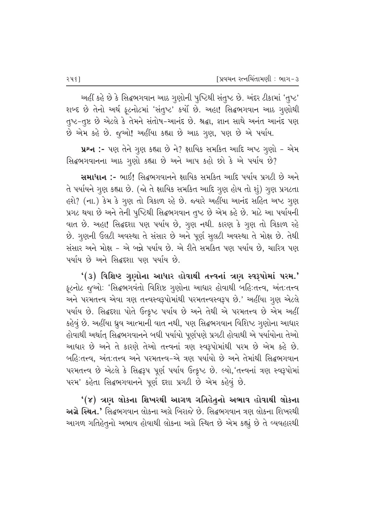અહીં કહે છે કે સિદ્ધભગવાન આઠ ગુણોની પુષ્ટિથી સંતુષ્ટ છે. અંદર ટીકામાં 'તુષ્ટ' શબ્દ છે તેનો અર્થ ફૂટનોટમાં 'સંતુષ્ટ' કર્યો છે. અહા! સિદ્ધભગવાન આઠ ગુણોથી તુષ્ટ-તુષ્ટ છે એટલે કે તેમને સંતોષ-આનંદ છે. શ્રદ્ધા, જ્ઞાન સાથે અનંત આનંદ પણ છે એમ કહે છે. જૂઓ! અહીંયા કહ્યા છે આઠ ગુણ, પણ છે એ પર્યાય.

પ્રશ્ન :- પણ તેને ગુણ કહ્યા છે ને? ક્ષાયિક સમકિત આદિ અષ્ટ ગુણો - એમ સિદ્ધભગવાનના આઠ ગુણો કહ્યા છે અને આપ કહો છો કે એ પર્યાય છે?

**સમાધાન :-** ભાઈ! સિદ્ગભગવાનને ક્ષાયિક સમકિત આદિ પર્યાય પ્રગટી છે અને તે પર્યાયને ગુણ કહ્યા છે. (જો તે ક્ષાયિક સમકિત આદિ ગુણ હોય તો શું) ગુણ પ્રગટતા હશે? (ના.) કેમ કે ગુણ તો ત્રિકાળ રહે છે. જ્યારે અહીંયા આનંદ સહિત અષ્ટ ગુણ પ્રગટ થયા છે અને તેની પુષ્ટિથી સિદ્ધભગવાન તૃષ્ટ છે એમ કહે છે. માટે આ પર્યાયની વાત છે. અહા! સિદ્ધદશા પણ પર્યાય છે, ગુણ નથી. કારણ કે ગુણ તો ત્રિકાળ રહે છે. ગુણની ઉલટી અવસ્થા તે સંસાર છે અને પૂર્ણ સુલટી અવસ્થા તે મોક્ષ છે. તેથી સંસાર અને મોક્ષ - એ બન્ને પર્યાય છે. એ રીતે સમકિત પણ પર્યાય છે, ચારિત્ર પણ પર્યાય છે અને સિદ્ધદશા પણ પર્યાય છે.

 $(3)$  વિશિષ્ટ ગુણોના આધાર હોવાથી તત્ત્વનાં ત્રણ સ્વરૂપોમાં પરમ.' ફૂટનોટ જૂઓ: 'સિદ્ધભગવંતો વિશિષ્ટ ગૃણોના આધાર હોવાથી બહિ:તત્ત્વ, અંત:તત્ત્વ અને પરમતત્ત્વ એવા ત્રણ તત્ત્વસ્વરૂપોમાંથી પરમતત્ત્વસ્વરૂપ છે.' અહીંયા ગુણ એટલે પર્યાય છે. સિદ્ધદશા પોતે ઉત્કૃષ્ટ પર્યાય છે અને તેથી એ પરમતત્ત્વ છે એમ અહીં કહેવું છે. અહીંયા ધ્રુવ આત્માની વાત નથી, પણ સિદ્ધભગવાન વિશિષ્ટ ગૃણોના આધાર હોવાથી અર્થાત્ સિદ્ધભગવાનને બધી પર્યાયો પૂર્ણપણે પ્રગટી હોવાથી એ પર્યાયોના તેઓ આધાર છે અને તે કારણે તેઓ તત્ત્વનાં ત્રણ સ્વરૂપોમાંથી પરમ છે એમ કહે છે. બહિ:તત્ત્વ, અંત:તત્ત્વ અને પરમતત્ત્વ-એ ત્રણ પર્યાયો છે અને તેમાંથી સિદ્ધભગવાન પરમતત્ત્વ છે એટલે કે સિદ્ધરૂપ પૂર્ણ પર્યાય ઉત્કૃષ્ટ છે. લ્યો, તત્ત્વનાં ત્રણ સ્વરૂપોમાં પરમ' કહેતા સિદ્ધભગવાનને પૂર્ણ દશા પ્રગટી છે એમ કહેવું છે.

'(૪) ત્રણ લોકના શિખરથી આગળ ગતિહેતૃનો અભાવ હોવાથી લોકના <mark>અગ્રે સ્થિત.'</mark> સિદ્ધભગવાન લોકના અગ્રે બિરાજે છે. સિદ્ધભગવાન ત્રણ લોકના શિખરથી આગળ ગતિહેતૃનો અભાવ હોવાથી લોકના અગ્રે સ્થિત છે એમ કહ્યું છે તે વ્યવહારથી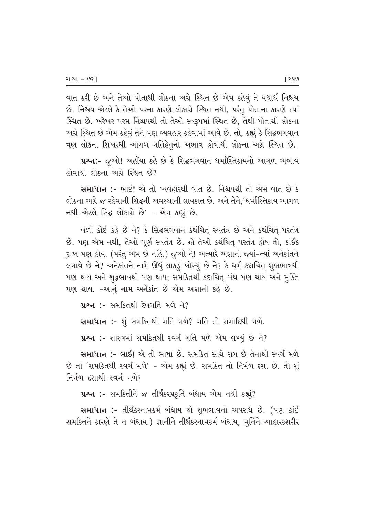વાત કરી છે અને તેઓ પોતાથી લોકના અગ્રે સ્થિત છે એમ કહેવું તે યથાર્થ નિશ્ચય છે. નિશ્ચય એટલે કે તેઓ પરના કારણે લોકાગ્રે સ્થિત નથી, પરંતુ પોતાના કારણે ત્યાં સ્થિત છે. ખરેખર પરમ નિશ્ચયથી તો તેઓ સ્વરૂપમાં સ્થિત છે, તેથી પોતાથી લોકના અગ્રે સ્થિત છે એમ કહેવું તેને પણ વ્યવહાર કહેવામાં આવે છે. તો, કહ્યું કે સિદ્ધભગવાન ત્રણ લોકના શિખરથી આગળ ગતિહેતૃનો અભાવ હોવાથી લોકના અગ્રે સ્થિત છે.

પ્રશ્ન:- જૂઓ! અહીંયા કહે છે કે સિદ્ધભગવાન ધર્માસ્તિકાયનો આગળ અભાવ  $\dot{\theta}$ ોવાથી લોકના અગ્રે સ્થિત છે?

સમાધાન :- ભાઈ! એ તો વ્યવહારથી વાત છે. નિશ્ચયથી તો એમ વાત છે કે લોકના અગ્રે જ રહેવાની સિદ્ધની અવસ્થાની લાયકાત છે. અને તેને,'ધર્માસ્તિકાય આગળ નથી એટલે સિદ્ધ લોકાગ્રે છે' - એમ કહ્યું છે.

વળી કોઈ કહે છે ને? કે સિદ્ધભગવાન કથંચિત્ સ્વતંત્ર છે અને કથંચિત્ પરતંત્ર છે. પણ એમ નથી, તેઓ પૂર્ણ સ્વતંત્ર છે. જો તેઓ કથંચિત્ પરતંત્ર હોય તો, કાંઈક દૂ:ખ પણ હોય. (પરંતુ એમ છે નહિ.) જૂઓ ને! અત્યારે અજ્ઞાની જ્યાં-ત્યાં અનેકાંતને લગાવે છે ને? અનેકાંતને નામે ઊંધું લાકડું ખોસ્યું છે ને? કે ધર્મ કદાચિત્ શુભભાવથી પણ થાય અને શુદ્ધભાવથી પણ થાય; સમકિતથી કદાચિત્ બંધ પણ થાય અને મુક્તિ પણ થાય. -આનું નામ અનેકાંત છે એમ અજ્ઞાની કહે છે.

 $y$ શ્ન :- સમકિતથી દેવગતિ મળે ને?

સમાધાન :- શું સમકિતથી ગતિ મળે? ગતિ તો રાગાદિથી મળે.

પ્રશ્ન :- શાસ્ત્રમાં સમકિતથી સ્વર્ગ ગતિ મળે એમ લખ્યું છે ને?

સમાધાન :- ભાઈ! એ તો ભાષા છે. સમકિત સાથે રાગ છે તેનાથી સ્વર્ગ મળે છે તો 'સમકિતથી સ્વર્ગ મળે' - એમ કહ્યું છે. સમકિત તો નિર્મળ દશા છે. તો શું નિર્મળ દશાથી સ્વર્ગ મળે?

પ્રશ્ન :- સમકિતીને જ તીર્થંકરપ્રકૃતિ બંધાય એમ નથી કહ્યું?

સમાધાન :- તીર્થંકરનામકર્મ બંધાય એ શુભભાવનો અપરાધ છે. (પણ કાંઈ સમકિતને કારણે તે ન બંધાય.) જ્ઞાનીને તીર્થંકરનામકર્મ બંધાય, મુનિને આહારકશરીર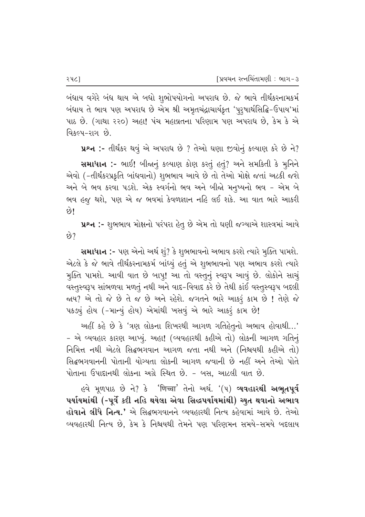બંધાય વગેરે બંધ થાય એ બધો શુભોપયોગનો અપરાધ છે. જે ભાવે તીર્થંકરનામકર્મ બંધાય તે ભાવ પણ અપરાધ છે એમ શ્રી અમૃતચંદ્રાચાર્યકૃત 'પૂરૃષાર્થસિદ્ધિ-ઉપાય'માં પાઠ છે. (ગાથા ૨૨૦) અહા! પંચ મહાવ્રતના પરિણામ પણ અપરાધ છે, કેમ કે એ <u>વિકલ્પ-રાગ છે.</u>

¥ન :- તીર્થંકર થવું એ અપરાધ છે ? તેઓ ઘણા જીવોનું કલ્યાણ કરે છે ને?

**સમાધાન :-** ભાઈ! બીજાનું કલ્યાણ કોણ કરતું હતું? અને સમકિતી કે મુનિને એવો (-તીર્થંકરપ્રકૃતિ બાંધવાનો) શુભભાવ આવે છે તો તેઓ મોક્ષે જતાં અટકી જશે અને બે ભવ કરવા પડશે. એક સ્વર્ગનો ભવ અને બીજો મનૃષ્યનો ભવ – એમ બે ભવ હજુ થશે, પણ એ જ ભવમાં કેવળજ્ઞાન નહિ લઈ શકે. આ વાત ભારે આકરી  $\omega$ 

પ્રશ્ન :- શુભભાવ મોક્ષનો પરંપરા હેતુ છે એમ તો ઘણી જગ્યાએ શાસ્ત્રમાં આવે  $\Theta$ ?

Rullel :- પણ એનો અર્થ શું? કે શુભભાવનો અભાવ કરશે ત્યારે મુક્તિ પામશે. એટલે કે જે ભાવે તીર્થંકરનામકર્મ બાંધ્યું હતું એ શુભભાવનો પણ અભાવ કરશે ત્યારે મુક્તિ પામશે. આવી વાત છે બાપ્! આ તો વસ્તુનું સ્વરૂપ આવું છે. લોકોને સાચું વસ્તુસ્વરૂપ સાંભળવા મળતું નથી અને વાદ-વિવાદ કરે છે તેથી કાંઈ વસ્તુસ્વરૂપ બદલી જાય? એ તો જે છે તે જ છે અને રહેશે. જગતને ભારે આકરૂં કામ છે ! તેણે જે પકડ્યું હોય (-માન્યું હોય) એમાંથી ખસવું એ ભારે આકરૂં કામ છે!

આહીં કહે છે કે 'ત્રણ લોકના શિખરથી આગળ ગતિહેતૂનો અભાવ હોવાથી…' - એ વ્યવહાર કારણ આપ્યું. અહા! (વ્યવહારથી કહીએ તો) લોકની આગળ ગતિનું fiમિત્ત નથી એટલે સિદ્ધભગવાન આગળ જતા નથી અને (નિશ્ચયથી કહીએ તો) સિદ્ધભગવાનની પોતાની યોગ્યતા લોકની આગળ જવાની છે નહીં અને તેઓ પોતે <u>પોતાના ઉપાદાનથી લોકના અગ્રે સ્થિત છે. - બસ. આટલી વાત છે.</u>

હવે મૂળપાઠ છે ને? કે 'णिच्चा' તેનો અર્થ. '(૫) **વ્યવહારથી અભૂતપૂર્વ** પર્યાયમાંથી (-પૂર્વે કદી નહિ થયેલા એવા સિદ્ધપર્યાયમાંથી) ચ્યુત થવાનો અભાવ <mark>હોવાને લીધે નિત્ય.'</mark> એ સિદ્ધભગવાનને વ્યવહારથી નિત્ય કહેવામાં આવે છે. તેઓ વ્યવહારથી નિત્ય છે, કેમ કે નિશ્ચયથી તેમને પણ પરિણમન સમયે-સમયે બદલાય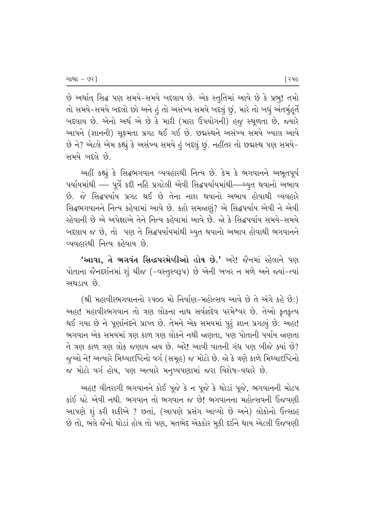છે અર્થાત્ સિદ્ધ પણ સમયે-સમયે બદલાય છે. એક સ્તુતિમાં આવે છે કે પ્રભુ! તમો તો સમયે-સમયે બદલો છો અને હું તો અસંખ્ય સમયે બદલું છું, મારે તો બધું અંતર્મૂહુર્તે બદલાય છે. એનો અર્થ એ છે કે મારી (મારા ઉપયોગની) હજુ સ્થૂળતા છે, જ્યારે આપને (જ્ઞાનની) સુક્ષ્મતા પ્રગટ થઈ ગઈ છે. છદ્મસ્થને અસંખ્ય સમયે ખ્યાલ આવે છે ને? એટલે એમ કહ્યું કે અસંખ્ય સમયે હં બદલું છું. નહીંતર તો છદ્મસ્થ પણ સમયે-સમયે બદલે છે.

આહીં કહ્યું કે સિદ્ધભગવાન વ્યવહારથી નિત્ય છે. કેમ કે ભગવાનને અભૂતપૂર્વ પર્યાયમાંથી — પૂર્વે કદી નહિ પ્રગટેલી એવી સિદ્ધપર્યાયમાંથી—ચ્યુત થવાનો અભાવ છે. જે સિદ્ધપર્યાય પ્રગટ થઈ છે તેના નાશ થવાનો અભાવ હોવાથી વ્યવહારે સિદ્ધભગવાનને નિત્ય કહેવામાં આવે છે. કહો સમજાણું? એ સિદ્ધપર્યાય એવી ને એવી રહેવાની છે એ અપેક્ષાએ તેને નિત્ય કહેવામાં આવે છે. જો કે સિદ્ધપર્યાય સમયે-સમયે બદલાય જ છે, તો પણ તે સિદ્ધપર્યાયમાંથી ચ્યૃત થવાનો અભાવ હોવાથી ભગવાનને વ્યવહારથી નિત્ય કહેવાય છે.

**'આવા, તે ભગવંત સિદ્ધપરમેષ્ઠીઓ હોય છે.'** અરે! જૈનમાં રહેલાને પણ પોતાના જૈનદર્શનમાં શું ચીજ (-વસ્તુસ્વરૂપ) છે એની ખબર ન મળે અને જ્યાં-ત્યાં અથડાય છે.

(શ્રી મહાવીરભગવાનનો ૨૫૦૦ મો નિર્વાણ-મહોત્સવ આવે છે તે અંગે કહે છે:) અહા! મહાવીરભગવાન તો ત્રણ લોકના નાથ સર્વજ્ઞદેવ પરમે<sup>શ્</sup>વર છે. તેઓ કૃતકૃત્ય થઈ ગયા છે ને પૂર્ણાનંદને પ્રાપ્ત છે. તેમને એક સમયમાં પુરૂં જ્ઞાન પ્રગટ્યું છે. અહા! ભગવાન એક સમયમાં ત્રણ કાળ ત્રણ લોકને નથી જાણતા. પણ પોતાની પર્યાય જાણતા તે ત્રણ કાળ ત્રણ લોક જણાય જ્ય છે. અરે! આવી વાતની ગંધ પણ બીજે ક્યાં છે? જૂઓ ને! અત્યારે મિથ્યાદષ્ટિનો વર્ગ (સમૂહ) જ મોટો છે. જો કે ત્રણે કાળે મિથ્યાદષ્ટિનો જ મોટો વર્ગ હોય, પણ અત્યારે મનુષ્યપણામાં જરા વિશેષ-વધારે છે.

આહા! વીતરાગી ભગવાનને કોઈ પૂજે કે ન પૂજે કે થોડાં પૂજે, ભગવાનની મોટપ કાંઈ ઘટે એવી નથી. ભગવાન તો ભગવાન જ છે! ભગવાનના મહોત્સવની ઉજવણી આપણે શું કરી શકીએ ? છતાં, (આપણે પ્રસંગ આવ્યો છે અને) લોકોનો ઉત્સાહ છે તો, ભલે જૈનો થોડાં હોય તો પણ, મતભેદ એકકોર મુકી દઈને થાય એટલી ઉજવણી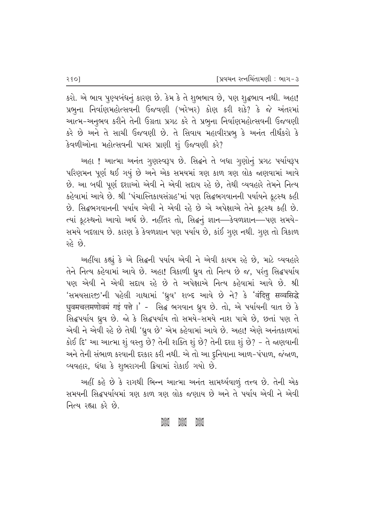કરો. એ ભાવ પુણ્યબંધનું કારણ છે. કેમ કે તે શુભભાવ છે, પણ શુદ્ધભાવ નથી. અહા! પ્રભૂના નિર્વાણમહોત્સવની ઉજવણી (ખરેખર) કોણ કરી શકે? કે જે અંતરમાં આત્મ-અનુભવ કરીને તેની ઉગ્રતા પ્રગટ કરે તે પ્રભુના નિર્વાણમહોત્સવની ઉજવણી કરે છે અને તે સાચી ઉજવણી છે. તે સિવાય મહાવીરપ્રભૂ કે અનંત તીર્થંકરો કે કેવળીઓના મહોત્સવની પામર પ્રાણી શું ઉજવણી કરે?

અહા! આત્મા અનંત ગુણસ્વરૂપ છે. સિદ્ધને તે બધા ગુણોનું પ્રગટ પર્યાયરૂપ પરિણમન પૂર્ણ થઈ ગયું છે અને એક સમયમાં ત્રણ કાળ ત્રણ લોક જાણવામાં આવે છે. આ બધી પૂર્ણ દશાઓ એવી ને એવી સદાય રહે છે, તેથી વ્યવહારે તેમને નિત્ય કહેવામાં આવે છે. શ્રી 'પંચાસ્તિકાયસંગ્રહ'માં પણ સિદ્ધભગવાનની પર્યાયને કૂટસ્થ કહી છે. સિદ્ધભગવાનની પર્યાય એવી ને એવી રહે છે એ અપેક્ષાએ તેને કૂટસ્થ કહી છે. ત્યાં કૂટસ્થનો આવો અર્થ છે. નહીંતર તો, સિદ્ધનું જ્ઞાન—કેવળજ્ઞાન—પણ સમયે-સમયે બદલાય છે. કારણ કે કેવળજ્ઞાન પણ પર્યાય છે, કાંઈ ગુણ નથી. ગુણ તો ત્રિકાળ રહે છે.

અહીંયા કહ્યું કે એ સિદ્ધની પર્યાય એવી ને એવી કાયમ રહે છે, માટે વ્યવહારે તેને નિત્ય કહેવામાં આવે છે. અહા! ત્રિકાળી ધ્રુવ તો નિત્ય છે જ, પરંતુ સિદ્ધપર્યાય પણ એવી ને એવી સદ્દાય રહે છે તે અપેક્ષાએ નિત્ય કહેવામાં આવે છે. શ્રી 'સમયસારજ'ની પહેલી ગાથામાં 'ધ્રૂવ' શબ્દ આવે છે ને? કે 'वंदित्तु सव्वसिद्धे धुवमचलमणोवमं गइं पत्ते ।' - सिद्ध ભગવાન ધ્રુવ છે. તો, એ પર્યાયની વાત છે કે સિદ્ધપર્યાય ધ્રુવ છે. જો કે સિદ્ધપર્યાય તો સમયે-સમયે નાશ પામે છે, છતાં પણ તે એવી ને એવી રહે છે તેથી 'ધ્રુવ છે' એમ કહેવામાં આવે છે. અહા! એણે અનંતકાળમાં કોઈ દિ' આ આત્મા શું વસ્તુ છે? તેની શક્તિ શું છે? તેની દશા શું છે? - તે જાણવાની અને તેની સંભાળ કરવાની દરકાર કરી નથી. એ તો આ દુનિયાના આળ-પંપાળ, જંજાળ, વ્યવહાર, ઘંઘા કે શુભરાગની ક્રિયામાં રોકાઈ ગયો છે.

અહીં કહે છે કે રાગથી ભિન્ન આત્મા અનંત સામર્થ્યવાળું તત્ત્વ છે. તેની એક સમયની સિદ્ધપર્યાયમાં ત્રણ કાળ ત્રણ લોક જણાય છે અને તે પર્યાય એવી ને એવી નિત્ય રહ્યા કરે છે.

#### asse asse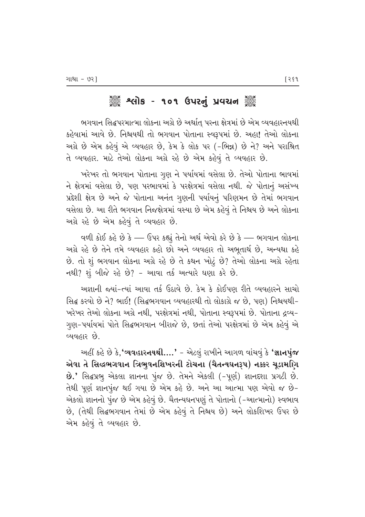# ેં શ્લિમિક - ૧૦૧ ઉપરનું પ્રવચન ૅં

ભગવાન સિદ્ધપરમાત્મા લોકના અગ્રે છે અર્થાત્ પરના ક્ષેત્રમાં છે એમ વ્યવહારનયથી કહેવામાં આવે છે. નિશ્ચયથી તો ભગવાન પોતાના સ્વરૂપમાં છે. અહા! તેઓ લોકના અગ્રે છે એમ કહેવું એ વ્યવહાર છે, કેમ કે લોક પર (-ભિન્ન) છે ને? અને પરાશ્રિત તે વ્યવહાર. માટે તેઓ લોકના અગ્રે રહે છે એમ કહેવું તે વ્યવહાર છે.

`ખરેખર તો ભગવાન પોતાના ગૃણ ને પર્યાયમાં વસેલા છે. તેઓ પોતાના ભાવમાં ને ક્ષેત્રમાં વસેલા છે, પણ પરભાવમાં કે પરક્ષેત્રમાં વસેલા નથી. જે પોતાનું અસંખ્ય પ્રદેશી ક્ષેત્ર છે અને જે પોતાના અનંત ગુણની પર્યાયનું પરિણમન છે તેમાં ભગવાન વસેલા છે. આ રીતે ભગવાન નિજક્ષેત્રમાં વસ્યા છે એમ કહેવું તે નિશ્ચય છે અને લોકના અગ્રે રહે છે એમ કહેવું તે વ્યવહાર છે.

વળી કોઈ કહે છે કે — ઉપર કહ્યું તેનો અર્થ એવો કરે છે કે — ભગવાન લોકના અગ્રે રહે છે તેને તમે વ્યવહાર કહો છો અને વ્યવહાર તો અભૂતાર્થ છે, અન્યથા કહે  $\dot{\vartheta}$ . તો શું ભગવાન લોકના અગ્રે રહે છે તે કથન ખોટું છે? તેઓ લોકના અગ્રે રહેતા  $-1$ થી? શું બીજે રહે છે? - આવા તર્ક અત્યારે ઘણા કરે છે.

આજ્ઞાની જયાં-ત્યાં આવા તર્ક ઉઠાવે છે. કેમ કે કોઈપણ રીતે વ્યવહારને સાચો સિદ્ધ કરવો છે ને? ભાઈ! (સિદ્ધભગવાન વ્યવહારથી તો લોકાગ્રે જ છે, પણ) નિશ્ચયથી− `ખરેખર તેઓ લોકના અગ્રે નથી, પરક્ષેત્રમાં નથી, પોતાના સ્વરૂપમાં છે. પોતાના દ્રવ્ય– ગુણ-પર્યાયમાં પોતે સિદ્ધભગવાન બીરાજે છે, છતાં તેઓ પરક્ષેત્રમાં છે એમ કહેવું એ વ્યવહાર છે.

અહીં કહે છે કે, **'વ્યવહારનયથી….'** – એટલું રાખીને આગળ વાંચવું કે **'જ્ઞાનપુંજ** એવા તે સિદ્ધભગવાન ત્રિભુવનશિખરની ટોચના (ચૈતન્યઘનરૂપ) નક્કર ચૂડામણિ B.' સિદ્ધપ્રભુ એકલા જ્ઞાનના પુંજ છે. તેમને એકલી (-પૂર્ણ) જ્ઞાનદશા પ્રગટી છે. તેથી પૂર્ણ જ્ઞાનપુંજ થઈ ગયા છે એમ કહે છે. અને આ આત્મા પણ એવો જ છે− એકલો જ્ઞાનનો પુંજ છે એમ કહેવું છે. ચૈતન્યઘનપણું તે પોતાનો (–આત્માનો) સ્વભાવ છે, (તેથી સિદ્ધભગવાન તેમાં છે એમ કહેવું તે નિશ્ચય છે) અને લોકશિખર ઉપર છે એમ કહેવું તે વ્યવહાર છે.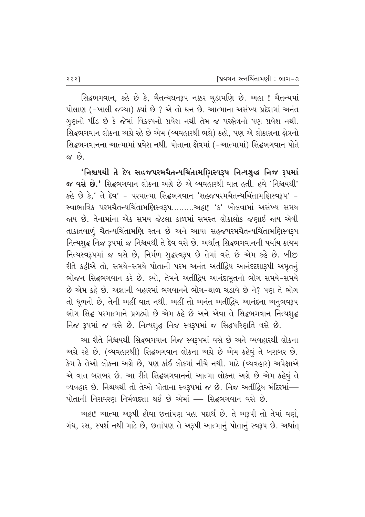સિદ્ધભગવાન, કહે છે કે, ચૈતન્યઘનરૂપ નક્કર ચૂડામણિ છે. અહા ! ચૈતન્યમાં µોલાણ (-ખાલી જગ્યા) ક્યાં છે ? એ તો ઘન છે. આત્માના અસંખ્ય પ્રદેશમાં અનંત ગુણનો પીંડ છે કે જેમાં વિકલ્પનો પ્રવેશ નથી તેમ જ પરક્ષેત્રનો પણ પ્રવેશ નથી. સિદ્ધભગવાન લોકના અગ્રે રહે છે એમ (વ્યવહારથી ભલે) કહો, પણ એ લોકાગ્રના ક્ષેત્રનો સિદ્ધભગવાનના આત્મામાં પ્રવેશ નથી. પોતાના ક્ષેત્રમાં (–આત્મામાં) સિદ્ધભગવાન પોતે  $\alpha$  છે.

'નિશ્ચયથી તે દેવ સહજપરમચૈતન્યચિંતામ**ણિસ્વરૂપ નિત્યશુ**દ્ધ નિજ રૂપમાં  $\bm{\alpha}$  વસે છે.' સિદ્ગભગવાન લોકના અગ્રે છે એ વ્યવહારથી વાત હતી. હવે 'નિશ્ચયથી' કહે છે કે,' તે દેવ' - પરમાત્મા સિદ્ધભગવાન 'સહજપરમચૈતન્યચિંતામણિસ્વરૂપ' -સ્વાભાવિક પરમચૈતન્યચિંતામણિસ્વરૂપ..........આહા! 'ક' બોલવામાં અસંખ્ય સમય જાય છે. તેનામાંના એક સમય જેટલા કાળમાં સમસ્ત લોકાલોક જણાઈ જાય એવી તાકાતવાળું ચૈતન્યચિંતામણિ રતન છે અને આવા સહજપરમચૈતન્યચિંતામણિસ્વરૂપ તિત્યશૃદ્ધ નિજ રૂપમાં જ નિશ્ચયથી તે દેવ વસે છે. અર્થાત્ સિદ્ધભગવાનની પર્યાય કાયમ નિત્યસ્વરૂપમાં જ વસે છે, નિર્મળ શૃદ્ધસ્વરૂપ છે તેમાં વસે છે એમ કહે છે. બીજી રીતે કહીએ તો, સમયે-સમયે પોતાની પરમ અનંત અતીંદ્વિય આનંદદશારૂપી અમૃતન<del>ું</del> ભોજન સિદ્ધભગવાન કરે છે. લ્યો, તેમને અતીંદ્રિય આનંદામૃતનો ભોગ સમયે-સમયે  $\dot{\vartheta}$  એમ કહે છે. અજ્ઞાની બહારમાં ભગવાનને ભોગ-થાળ ચડાવે છે ને? પણ તે ભોગ તો ધૂળનો છે, તેની અહીં વાત નથી. અહીં તો અનંત અતીંદ્રિય આનંદના અનુભવરૂપ ભોગ સિદ્ધ પરમાત્માને પ્રગટ્યો છે એમ કહે છે અને એવા તે સિદ્ધભગવાન નિત્યશ્*દ્ધ* flજ રૂપમાં જ વસે છે. નિત્યશૃદ્ધ નિજ સ્વરૂપમાં જ સિદ્ધપરિણતિ વસે છે.

આ રીતે નિશ્ચયથી સિદ્ધભગવાન નિજ સ્વરૂપમાં વસે છે અને વ્યવહારથી લોકના આગ્રે રહે છે. (વ્યવહારથી) સિદ્ધભગવાન લોકના અગ્રે છે એમ કહેવું તે બરાબર છે. કેમ કે તેઓ લોકના અગ્રે છે, પણ કાંઈ લોકમાં નીચે નથી. માટે (વ્યવહાર) અપેક્ષાએ એ વાત બરાબર છે. આ રીતે સિદ્ધભગવાનનો આત્મા લોકના અગ્રે છે એમ કહેવું તે વ્યવહાર છે. નિશ્ચયથી તો તેઓ પોતાના સ્વરૂપમાં જ છે. નિજ અતીંદ્રિય મંદિરમાં—  $\mu$ ોતાની નિરાવરણ નિર્મળદ્દશા થઈ છે એમાં — સિદ્ધભગવાન વસે છે.

અહા! આત્મા અરૂપી હોવા છતાંપણ મહા પદાર્થ છે. તે અરૂપી તો તેમાં વર્ણ, ગંધ, રસ, સ્પર્શ નથી માટે છે, છતાંપણ તે અરૂપી આત્માનું પોતાનું સ્વરૂપ છે. અર્થાત્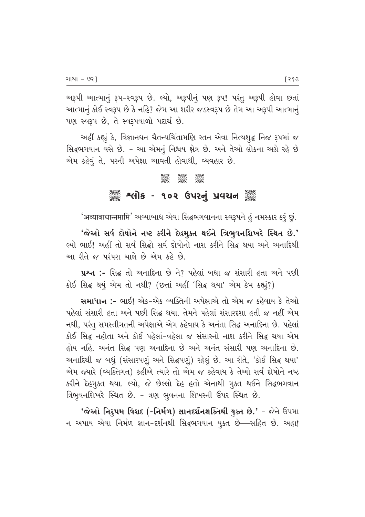અરૂપી આત્માનું રૂપ-સ્વરૂપ છે. લ્યો, અરૂપીનું પણ રૂપ! પરંતુ અરૂપી હોવા છતાં આત્માનું કોઈ સ્વરૂપ છે કે નહિ? જેમ આ શરીર જડસ્વરૂપ છે તેમ આ અરૂપી આત્માનું  $\mu$ ણ સ્વરૂપ છે, તે સ્વરૂપવાળો પદાર્થ છે.

અહીં કહ્યું કે, વિજ્ઞાનઘન ચૈતન્યચિંતામણિ રતન એવા નિત્યશ્¢ નિજ રૂપમાં જ સિદ્ધભગવાન વસે છે. - આ એમનું નિશ્ચય ક્ષેત્ર છે. અને તેઓ લોકના અગ્રે રહે છે એમ કહેવું તે, પરની અપેક્ષા આવતી હોવાથી, વ્યવહાર છે.

# $\frac{1}{2}$   $\frac{1}{2}$   $\frac{1}{2}$   $\frac{1}{2}$   $\frac{1}{2}$   $\frac{1}{2}$   $\frac{1}{2}$   $\frac{1}{2}$   $\frac{1}{2}$   $\frac{1}{2}$   $\frac{1}{2}$   $\frac{1}{2}$   $\frac{1}{2}$   $\frac{1}{2}$   $\frac{1}{2}$   $\frac{1}{2}$   $\frac{1}{2}$   $\frac{1}{2}$   $\frac{1}{2}$   $\frac{1}{2}$   $\frac{1}{2}$   $\frac{1}{2}$  ે અલોક - ૧૦૨ ઉપરનું પ્રવચન ૅુ

'अव्याबाधान्नमामि' અવ્યાબાધ એવા સિદ્ધભગવાનના સ્વરૂપને હું નમસ્કાર કરૂં છું.

 $'$ જેઓ સર્વ દોષોને નષ્ટ કરીને દેહમુક્ત થઈને ત્રિભુવનશિખરે સ્થિત છે.' º•⁄P «⁄˙! #q]> s⁄P Æ'› fiƯ⁄P Æ'› ¡¶⁄PN⁄P–⁄P –⁄∞ Q¶T]–P fiƯ z•⁄ #–P #–⁄A¡¶z] આ રીતે જ પરંપરા ચાલે છે એમ કહે છે.

પ્રશ્ન :- સિદ્ધ તો અનાદિના છે ને? પહેલાં બધા જ સંસારી હતા અને પછી કોઈ સિદ્ધ થયું એમ તો નથી? (છતાં અહીં 'સિદ્ધ થયા' એમ કેમ કહ્યું?)

 $\mathbf{u}$ માધાન :- ભાઈ! એક-એક વ્યક્તિની અપેક્ષાએ તો એમ જ કહેવાય કે તેઓ \_<br>પહેલાં સંસારી હતા અને પછી સિદ્ધ થયા. તેમને પહેલાં સંસારદશા હતી જ નહીં એમ નથી, પરંતુ સમસ્તીગતની અપેક્ષાએ એમ કહેવાય કે અનંતા સિદ્ધ અનાદિના છે. પહેલાં કોઈ સિદ્ધ નહોતા અને કોઈ પહેલાં-વહેલા જ સંસારનો નાશ કરીને સિદ્ધ થયા એમ હોય નહિ. અનંત સિદ્ધ પણ અનાદિના છે અને અનંત સંસારી પણ અનાદિના છે. અનાદિથી જ બધું (સંસારપણું અને સિદ્ધપણું) રહેલું છે. આ રીતે, 'કોઈ સિદ્ધ થયા' એમ જયારે (વ્યક્તિગત) કહીએ ત્યારે તો એમ જ કહેવાય કે તેઓ સર્વ દોષોને નષ્ટ કરીને દેહમુક્ત થયા. લ્યો, જે છેલ્લો દેહ હતો એનાથી મુક્ત થઈને સિદ્ધભગવાન ત્રિભુવનશિખરે સ્થિત છે. - ત્રણ ભુવનના શિખરની ઉપર સ્થિત છે.

 $'$ જેઓ નિરૂપમ વિશદ (-નિર્મળ) જ્ઞાનદર્શનશક્તિથી યુક્ત છે.' – જેને ઉપમા  $-$  +  $-$  2010  $-$  24 $-$  and  $-$  58 $\alpha$   $\alpha$   $\alpha$   $\alpha$   $\alpha$   $\alpha$   $\alpha$   $\alpha$   $\alpha$   $\alpha$   $\alpha$   $\alpha$   $\alpha$   $\alpha$   $\alpha$   $\alpha$   $\alpha$   $\alpha$   $-$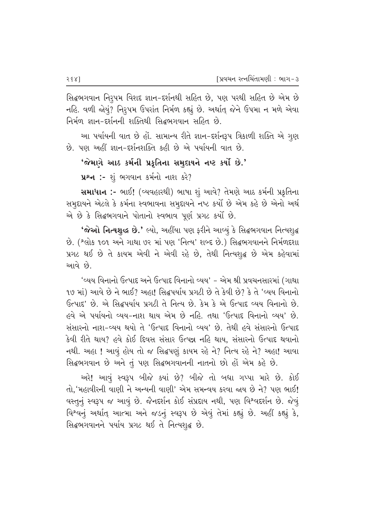સિદ્ધભગવાન નિરુપમ વિશદ જ્ઞાન-દર્શનથી સહિત છે, પણ પરથી સહિત છે એમ છે નહિ. વળી જોયું? નિરૂપમ ઉપરાંત નિર્મળ કહ્યું છે. અર્થાત્ જેને ઉપમા ન મળે એવા નિર્મળ જ્ઞાન–દર્શનની શક્તિથી સિદ્ધભગવાન સહિત છે.

આ પર્યાયની વાત છે હોં. સામાન્ય રીતે જ્ઞાન-દર્શનરૂપ ત્રિકાળી શક્તિ એ ગુણ છે. પણ અહીં જ્ઞાન-દર્શનશક્તિ કહી છે એ પર્યાયની વાત છે.

#### $'$ જેમાગે આઠ કર્મની પ્રકૃતિના સમુદાયને નષ્ટ કર્યો છે.'

પ્રશ્ન :- શું ભગવાન કર્મનો નાશ કરે?

Rulle :- ભાઈ! (વ્યવહારથી) ભાષા શું આવે? તેમણે આઠ કર્મની પ્રકૃતિના સમુદ્દાયને એટલે કે કર્મના સ્વભાવના સમુદ્દાયને નષ્ટ કર્યો છે એમ કહે છે એનો અર્થ એ છે કે સિદ્ધભગવાને પોતાનો સ્વભાવ પૂર્ણ પ્રગટ કર્યો છે.

 $\hat{\mathbf{v}}$ જેઓ નિત્યશુદ્ધ છે.' લ્યો, અહીંયા પણ ફરીને આવ્યું કે સિદ્ધભગવાન નિત્યશુદ્ધ છે. (શ્લોક ૧૦૧ અને ગાથા ૭૨ માં પણ 'નિત્ય' શબ્દ છે.) સિદ્ધભગવાનને નિર્મળદશા પ્રગટ થઈ છે તે કાયમ એવી ને એવી રહે છે, તેથી નિત્યશુદ્ધ છે એમ કહેવામાં <u>આવે છે.</u>

'વ્યય વિનાનો ઉત્પાદ અને ઉત્પાદ વિનાનો વ્યય' – એમ શ્રી પ્રવચનસારમાં (ગાથા <u>૧૭ માં) આવે છે ને ભાઈ? અહા! સિદ્ધપર્યાય પ્રગટી છે તે કેવી છે? કે તે 'વ્યય વિનાનો</u>  $6$ ત્પાદ' છે. એ સિદ્ધપર્યાય પ્રગટી તે નિત્ય છે. કેમ કે એ ઉત્પાદ વ્યય વિનાનો છે. હવે એ પર્યાયનો વ્યય-નાશ થાય એમ છે નહિ. તથા 'ઉત્પાદ વિનાનો વ્યય' છે. સંસારનો નાશ-વ્યય થયો તે 'ઉત્પાદ વિનાનો વ્યય' છે. તેથી હવે સંસારનો ઉત્પાદ કેવી રીતે થાય? હવે કોઈ દિવસ સંસાર ઉત્પન્ન નહિ થાય. સંસારનો ઉત્પાદ થવાનો નથી. અહા ! આવું હોય તો જ સિદ્ધપણું કાયમ રહે ને? નિત્ય રહે ને? અહા! આવા સિદ્ધભગવાન છે અને તું પણ સિદ્ધભગવાનની નાતનો છો હોં એમ કહે છે.

અરે! આવું સ્વરૂપ બીજે ક્યાં છે? બીજે તો બધા ગપ્પા મારે છે. કોઈ તો.'મહાવીરની વાણી ને અન્યની વાણી' એમ સમન્વય કરવા જાય છે ને? પણ ભાઈ! વસ્તુનું સ્વરૂપ જ આવું છે. જૈનદર્શન કોઈ સંપ્રદાય નથી, પણ વિશ્વદર્શન છે. જેવું વિશ્વનું અર્થાત્ આત્મા અને જડનું સ્વરૂપ છે એવું તેમાં કહ્યું છે. અહીં કહ્યું કે, સિદ્ધભગવાનને પર્યાય પ્રગટ થઈ તે નિત્યશ્*દ્ધ* છે.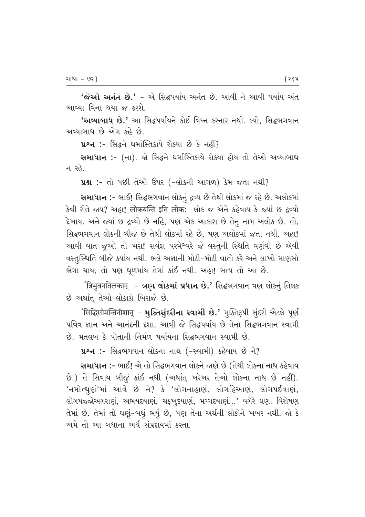$'$ જેઓ અનંત છે.' – એ સિદ્ધપર્યાય અનંત છે. આવી ને આવી પર્યાય અંત આવ્યા વિના થયા જ કરશે.

'અવ્યાબાધ છે.' આ સિદ્ધપર્યાયને કોઈ વિઘ્ન કરનાર નથી. લ્યો, સિદ્ધભગવાન અવ્યાબાધ છે એમ કહે છે.

 $x^2 \ldots$  સિદ્ધને ધર્માસ્તિકાયે રોક્યા છે કે નહીં?

સમાધાન :- (ના). જો સિદ્ધને ધર્માસ્તિકાયે રોક્યા હોય તો તેઓ અવ્યાબાધ ન ર $\delta$ .

પ્રશ્ન :- તો પછી તેઓ ઉપર (-લોકની આગળ) કેમ જતા નથી?

સમાધાન :- ભાઈ! સિદ્ધભગવાન લોકનું દ્રવ્ય છે તેથી લોકમાં જ રહે છે. અલોકમાં કેવી રીતે જાય? અહા! लोकयन्ति इति लोक: લોક જ એને કહેવાય કે જ્યાં છ દવ્યો हेખાય. અને જ્યાં છ દ્રવ્યો છે નહિ, પણ એક આકાશ છે તેનું નામ અલોક છે. તો, ક્ષિદ્ધભગવાન લોકની ચીજ છે તેથી લોકમાં રહે છે. પણ અલોકમાં જતા નથી, અહા! આવી વાત જૂઓ તો ખરા! સર્વજ્ઞ પરમેશ્વરે જે વસ્તુની સ્થિતિ વર્ણવી છે એવી 'વસ્તુસ્થિતિ બીજે ક્યાંય નથી. ભલે અજ્ઞાની મોટી-મોટી વાતો કરે અને લાખો માણસો ભેગા થાય, તો પણ ધૂળમાંય તેમાં કાંઈ નથી. અહા! સત્ય તો આ છે.

'त्रिभुवनतिलकान् - ત્રણ લોકમાં પ્રધાન છે.' સિદ્ધભગવાન ત્રણ લોકનું તિલક છે અર્થાત્ તેઓ લોકાગ્રે બિરાજે છે.

 $^{\prime}$ सिद्धिसीमन्तिनीशान् – भु $\bf{G}$ नसुंदृरीना स्वाभी છે.' મૂક્તિરૂપી સુંદરી એટલે પૂર્ણ પવિત્ર જ્ઞાન અને આનંદની દશા. આવી જે સિદ્ધપર્યાય છે તેના સિદ્ધભગવાન સ્વામી છે. મતલબ કે પોતાની નિર્મળ પર્યાયના સિદ્ધભગવાન સ્વામી છે.

 $x^2-$  :- સિદ્ધભગવાન લોકના નાથ (-સ્વામી) કહેવાય છે ને?

**સમાધાન :-** ભાઈ! એ તો સિદ્ધભગવાન લોકને જાણે છે (તેથી લોકના નાથ કહેવાય છે.) તે સિવાય બીજું કાંઈ નથી (અર્થાત્ ખરેખર તેઓ લોકના નાથ છે નહીં).  $'$ નમોત્થ્યુણં'માં આવે છે ને? કે 'લોગનાહાણં, લોગહિઆણં, લોગપઈવાણં, faloru ana beyo beyo beyo beyo beyo ta book and the setting the cast with the cast of the cast the control of તેમાં છે. તેમાં તો ઘણું-બધું ભર્યું છે, પણ તેના અર્થની લોકોને ખબર નથી. જો કે અમે તો આ બધાના અર્થ સંપ્રદાયમાં કરતા.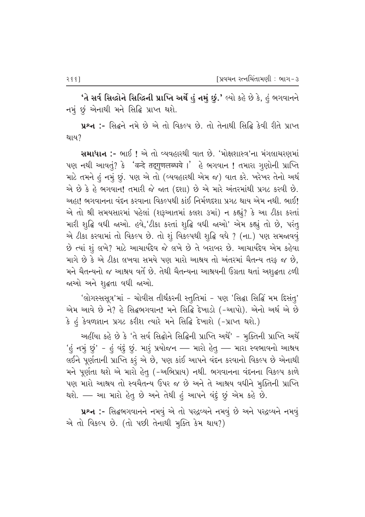$^{\prime}$ તે સર્વ સિદ્ધોને સિદ્ધિની પ્રાપ્તિ અર્થે હું નમું છું.' લ્યો કહે છે કે, હું ભગવાનને નમું છું એનાથી મને સિદ્ધિ પ્રાપ્ત થશે.

**પ્રશ્ન :-** સિદ્ધને નમે છે એ તો વિકલ્પ છે. તો તેનાથી સિદ્ધિ કેવી રીતે પ્રાપ્ત થાય?

સમાધાન :- ભાઈ ! એ તો વ્યવહારથી વાત છે. 'મોક્ષશાસ્ત્ર'ના મંગલાચરણમાં ~a –z] #⁄'sÒ˜? QP¶ "f…zË az∆´‹ƒTŒ¡EË \$' qP «U'⁄– ! sE⁄T⁄ UÒa⁄P–] ~˚⁄»Ls માટે તમને હું નમું છું. પણ એ તો (વ્યવહારથી એમ જ) વાત કરે. ખરેખર તેનો અર્થ એ છે કે હે ભગવાન! તમારી જે જાત (દશા) છે એ મારે અંતરમાંથી પ્રગટ કરવી છે. અહા! ભગવાનના વંદન કરવાના વિકલ્પથી કાંઈ નિર્મળદશા પ્રગટ થાય એમ નથી. ભાઈ! એ તો શ્રી સમયસારમાં પહેલાં (શરૂઆતમાં કલશ ૩માં) ન કહ્યું? કે આ ટીકા કરતાં મારી શૃદ્ધિ વધી જાઓ. હવે,'ટીકા કરતાં શૃદ્ધિ વધી જાઓ' એમ કહ્યું તો છે, પરંત<del>્</del> એ ટીકા કરવામાં તો વિકલ્પ છે. તો શું વિકલ્પથી શુદ્ધિ વધે ? (ના.) પણ સમજાવવું છે ત્યાં શું લખે? માટે આચાર્યદેવ જે લખે છે તે બરાબર છે. આચાર્યદેવ એમ કહેવા માગે છે કે એ ટીકા લખવા સમયે પણ મારો આશ્રય તો અંતરમાં ચૈતન્ય તરફ જ છે<u>,</u> મને ચૈતન્યનો જ આશ્રય વર્તે છે. તેથી ચૈતન્યના આશ્રયની ઉગ્રતા થતાં અશુદ્ધતા ટળી જાઓ અને શુદ્ધતા વધી જાઓ.

'લોગસ્સસૂત્ર'માં - ચોવીસ તીર્થંકરની સ્તુતિમાં - પણ 'સિદ્ધા સિદ્ધિં મમ દિસંતુ' એમ આવે છે ને? હે સિદ્ધભગવાન! મને સિદ્ધિ દેખાડો (-આપો). એનો અર્થ એ છે કે હું કેવળજ્ઞાન પ્રગટ કરીશ ત્યારે મને સિદ્ધિ દેખાશે (-પ્રાપ્ત થશે.)

અહીંયા કહે છે કે 'તે સર્વ સિદ્ધોને સિદ્ધિની પ્રાપ્તિ અર્થે' - મુક્તિની પ્રાપ્તિ અર્થે 'હું નમું છું' - હું વંદું છું. મારું પ્રયોજન — મારો હેતુ — મારા સ્વભાવનો આશ્રય લઈને પૂર્ણતાની પ્રાપ્તિ કરું એ છે, પણ કાંઈ આપને વંદન કરવાનો વિકલ્પ છે એનાથી મને પૂર્ણતા થશે એ મારો હેત્ (-અભિપ્રાય) નથી. ભગવાનના વંદનના વિકલ્પ કાળે પણ મારો આશ્રય તો સ્વચૈતન્ય ઉપર જ છે અને તે આશ્રય વધીને મુક્તિની પ્રાપ્તિ થશે. – આ મારો હેતુ છે અને તેથી હું આપને વંદું છું એમ કહે છે.

પ્રશ્ન :- સિદ્ધભગવાનને નમવું એ તો પરદ્રવ્યને નમવું છે અને પરદ્રવ્યને નમવું  $\omega$  તો વિકલ્પ છે. (તો પછી તેનાથી મુક્તિ કેમ થાય?)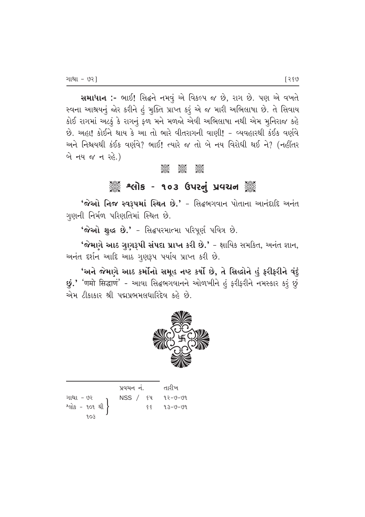સમાધાન :- ભાઈ! સિદ્ધને નમવું એ વિકલ્પ જ છે, રાગ છે. પણ એ વખતે સ્વના આશ્રયનું જોર કરીને હું મુક્તિ પ્રાપ્ત કરૂં એ જ મારી અભિલાષા છે. તે સિવાય કોઈ રાગમાં અટકું કે રાગનું ફળ મને મળજો એવી અભિલાષા નથી એમ મુનિરાજ કહે છે. અહા! કોઈને થાય કે આ તો ભારે વીતરાગની વાણી! - વ્યવહારથી કંઈક વર્ણવે અને નિશ્ચયથી કંઈક વર્ણવે? ભાઈ! ત્યારે જ તો બે નય વિરોધી થઈ ને? (નહીંતર બે નય જ ન રહે.)

# ૾ૢૺૺ૾ૢૺ શ્લોક - ૧૦૩ ઉપરનું પ્રવચન ૅુ

'જેઓ નિજ સ્વરૂપમાં સ્થિત છે.' - સિદ્ધભગવાન પોતાના આનંદાદિ અનંત ગુણની નિર્મળ પરિણતિમાં સ્થિત છે.

'જેઓ શુદ્ધ છે.' - સિદ્ધપરમાત્મા પરિપૂર્ણ પવિત્ર છે.

'જેમણે આઠ ગુણરૂપી સંપદા પ્રાપ્ત કરી છે.' - ક્ષાયિક સમકિત, અનંત જ્ઞાન, અનંત દર્શન આદિ આઠ ગુણરૂપ પર્યાય પ્રાપ્ત કરી છે.

'અને જેમણે આઠ કર્મોનો સમૂહ નષ્ટ કર્યો છે, તે સિલ્હોને હું ફરીફરીને વંદું છું.' 'णमो सिद्धाणं' - આવા સિદ્ધભગવાનને ઓળખીને હું ફરીફરીને નમસ્કાર કરું છું એમ ટીકાકાર શ્રી પદ્મપ્રભમલધારિદેવ કહે છે.



| પ્રવચન નં. |      | તારીખ   |
|------------|------|---------|
| NSS / 84   |      | ૧२−७−७૧ |
|            | ६६ । | 93-V-V9 |
|            |      |         |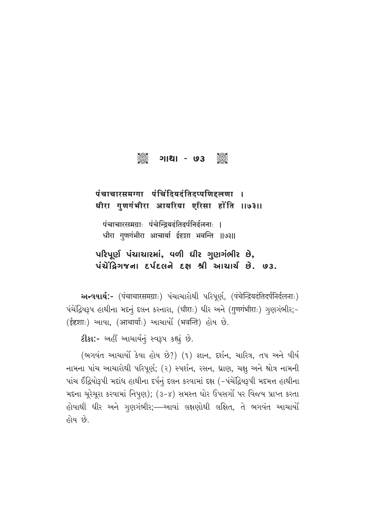

## पंचाचारसमग्गा पंचिंदियदंतिदप्पणिदृलणा । धीरा गुणगंभीरा आयरिया एरिसा होंति ।।७३।।

पंचाचारसमग्राः पंचेन्द्रियदंतिदर्पनिर्दलनाः । धीरा गुणगंभीरा आचार्या ईदृशा भवन्ति ॥७३॥

# $\nu$ રિપૂર્ણ પંચાચારમાં, વળી ધીર ગુણગંભીર છે,  $\overrightarrow{V}$ ચેંદ્રિગજના દર્પદલને દક્ષ શ્રી આચાર્ચ છે. ७૩.

અन्वयार्थ:- (पंचाचारसमग्राः) પંચાચારોથી પરિપૂર્ણ, (पंचेन्द्रियदंतिदर्पनिर्दलनाः)  $\sim$ પંચેંદ્રિયરૂપ હાથીના મદનું દલન કરનારા, (धीराः) ધીર અને (गुणगंभीराः) ગુણગંભીર;-(ईदृशाः) આવા, (आचार्याः) આચાર્યો (भवन्ति) હોય છે.

**ટીકા:-** અહીં આચાર્યનં સ્વરૂપ કહ્યં છે.

(ભગવંત આચાર્યો કેવા હોય છે?) (૧) જ્ઞાન, દર્શન, ચારિત્ર, તપ અને વીર્ય નામના પાંચ આચારોથી પરિપૂર્ણ; (૨) સ્પર્શન, રસન, ધ્રાણ, ચક્ષુ અને શ્રોત્ર નામની vાંચ ઈંદ્રિયોરૂપી મદાંધ હાથીના દર્પનું દલન કરવામાં દક્ષ (-પંચેંદ્રિયરૂપી મદમત્ત હાથીના મદના ચુરેચુરા કરવામાં નિપુણ); (૩-૪) સમસ્ત ઘોર ઉપસગોં પર વિજય પ્રાપ્ત કરતા હોવાથી ધીર અને ગૃણગંભીર;—આવાં લક્ષણોથી લક્ષિત, તે ભગવંત આચાર્યો હોય છે.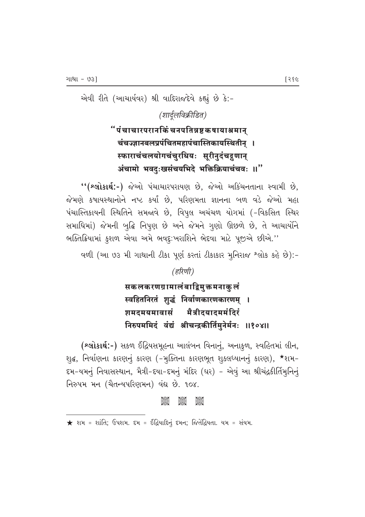એવી રીતે (આચાર્યવર) શ્રી વાદિરાજદેવે કહ્યું છે કે:-

(शार्दलविक्रीडित)

# "पंचाचारपरानकिं चनपतिन्नष्टकषायाश्रमान् चंचज्ज्ञानबलप्रपंचितमहापंचास्तिकायस्थितीन् । स्फाराचंचलयोगचंचुरधियः सूरीनुदंचद्गुणान् अंचामो भवदुःखसंचयभिदे भक्तिक्रियाचंचवः ॥"

"(શ્લોકાર્થ:-) જેઓ પંચાચારપરાયણ છે, જેઓ અકિંચનતાના સ્વામી છે, જેમણે કષાયસ્થાનોને નષ્ટ કર્યાં છે, પરિણમતા જ્ઞાનના બળ વડે જેઓ મહા પંચાસ્તિકાયની સ્થિતિને સમજાવે છે, વિપુલ અચંચળ યોગમાં (-વિકસિત સ્થિર સમાધિમાં) જેમની બુદ્ધિ નિપૂણ છે અને જેમને ગુણો ઊછળે છે, તે આચાર્યોને ભક્તિક્રિયામાં કુશળ એવા અમે ભવદૃઃખરાશિને ભેદવા માટે પૂજીએ છીએ.''

વળી (આ ૭૩ મી ગાથાની ટીકા પૂર્ણ કરતાં ટીકાકાર મુનિરાજ શ્લોક કહે છે):-

(हरिणी)

सकलकरणग्रामालंबाद्विमुक्तमनाकु**लं** स्वहितनिरतं शुद्धं निर्वाणकारणकारणम् । मैत्रीदयादममंदिरं **शमदमयमा**वासं निरुपममिदं वंद्यं श्रीचन्द्रकीर्तिमनेर्मनः ॥१०४॥

(શ્લોકાર્થ:-) સકળ ઈંદ્રિયસમૂહના આલંબન વિનાનું, અનાકુળ, સ્વહિતમાં લીન, શૃદ્ધ, નિર્વાણના કારણનું કારણ (−મૂક્તિના કારણભૂત શુક્લધ્યાનનું કારણ), \*શમ− દમ-યમનું નિવાસસ્થાન, મૈત્રી-દયા-દમનું મંદિર (ઘર) - એવું આ શ્રીચંદ્રકીર્તિમુનિનું નિરુપમ મન (ચૈતન્યપરિણમન) વંદ્ય છે. ૧૦૪.

#### **AGOS Jess Jesp**

 $\star$  શમ = શાંતિ; ઉપશમ. દમ = ઈંદ્રિયાદિનું દમન; જિતેંદ્રિયતા. યમ = સંયમ.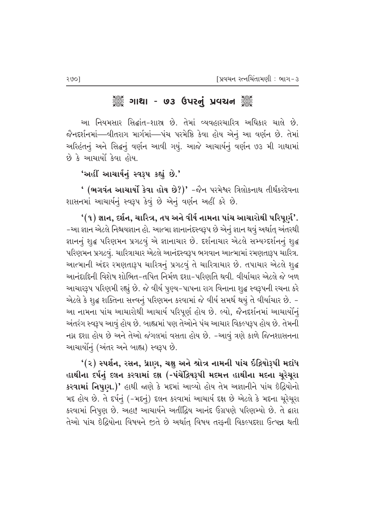## ેૢૺૺ૾ ગાથા - ७૩ ઉપરનું પ્રવચન ૅુ

આ નિયમસાર સિદ્ધાંત–શાસ્ર છે. તેમાં વ્યવહારચારિત્ર અધિકાર ચાલે છે. જૈનદર્શનમાં—વીતરાગ માર્ગમાં—પંચ પરમેષ્ઠિ કેવા હોય એનું આ વર્ણન છે. તેમાં આરેહંતનું અને સિદ્ધનું વર્ણન આવી ગયું. આજે આચાર્યનું વર્ણન ૭૩ મી ગાથામાં છે કે આચાર્યો કેવા હોય.

'અહીં આચાર્યનું સ્વરૂપ કહ્યું છે.**'** 

 $'$  (ભગવંત આચાર્યો કેવા હોય છે?)' -જૈન પરમેશ્વર ત્રિલોકનાથ તીર્થંકરદેવના શાસનમાં આચાર્યનું સ્વરૂપ કેવું છે એનું વર્ણન અહીં કરે છે.

 $\bm{``}(\bm{\mathsf{a}})$  જ્ઞાન, દર્શન, ચારિત્ર, તપ અને વીર્ય નામના પાંચ આચારોથી પરિપૂર્ણ'. −આ જ્ઞાન એટલે નિશ્ચયજ્ઞાન હો. આત્મા જ્ઞાનાનંદસ્વરૂપ છે એનું જ્ઞાન થવું અર્થાત્ અંતરથી જ્ઞાનનું શુદ્ધ પરિણમન પ્રગટવું એ જ્ઞાનાચાર છે. દર્શનાચાર એટલે સમ્યગ્દર્શનનું શુદ્ધ પરિણમન પ્રગટવું. ચારિત્રાચાર એટલે આનંદસ્વરૂપ ભગવાન આત્મામાં રમણતારૂપ ચારિત્ર. આત્માની અંદર રમણતારૂપ ચારિત્રનું પ્રગટવું તે ચારિત્રાચાર છે. તપાચાર એટલે શુદ્ધ આનંદાદિની વિશેષ શોભિત–તપિત નિર્મળ દશા–પરિણતિ થવી. વીર્યાચાર એટલે જે બળ આચારરૂપ પરિણમી રહ્યું છે. જે વીર્ય પુણ્ય-પાપના રાગ વિનાના શુદ્ધ સ્વરૂપની રચના કરે એટલે કે શુદ્ધ શક્તિના સત્ત્વનું પરિણમન કરવામાં જે વીર્ય સમર્થ થયું તે વીર્યાચાર છે. − આ નામના પાંચ આચારોથી આચાર્ય પરિપૂર્ણ હોય છે. લ્યો, જૈનદર્શનમાં આચાર્યોનું અંતરંગ સ્વરૂપ આવું હોય છે. બાહ્યમાં પણ તેઓને પંચ આચાર વિકલ્પરૂપ હોય છે. તેમની નગ્ન દશા હોય છે અને તેઓ જંગલમાં વસતા હોય છે. -આવું ત્રણે કાળે જિનશાસનના આચાર્યોનું (અંતર અને બાહ્ય) સ્વરૂપ છે.

 $\cdot$ (૨) સ્પર્શન, રસન, ધ્રાણ, ચક્ષુ અને શ્રોત્ર નામની પાંચ ઇંદ્રિયોરૂપી મદાંધ હાથીના દર્પનું દલન કરવામાં દક્ષ (-પંચેંદ્રિયરૂપી મદમત્ત હાથીના મદના ચૂરેચૂરા કરવામાં નિપૂણ.)' હાથી જાણે કે મદમાં આવ્યો હોય તેમ અજ્ઞાનીને પાંચ ઇંદ્રિયોનો મદ હોય છે. તે દર્પનું (-મદનું) દલન કરવામાં આચાર્ય દક્ષ છે એટલે કે મદના ચૂરેચૂરા કરવામાં નિપુણ છે. અહા! આચાર્યને અતીંદ્રિય આનંદ ઉગ્રપણે પરિણમ્યો છે. તે દ્વારા તેઓ પાંચ ઇંદ્રિયોના વિષયને જીતે છે અર્થાત્ વિષય તરફની વિકલ્પદશા ઉત્પન્ન થતી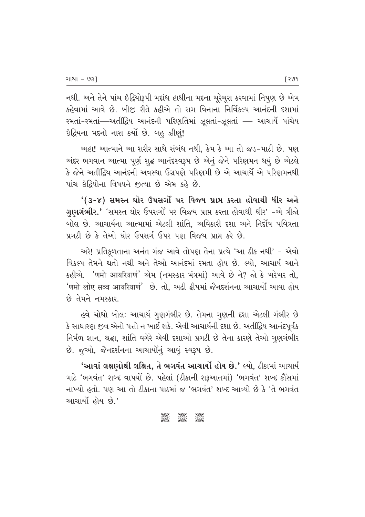નથી. અને તેને પાંચ ઇંદ્રિયોરૂપી મદાંધ હાથીના મદના ચૂરેચૂરા કરવામાં નિપુણ છે એમ કહેવામાં આવે છે. બીજી રીતે કહીએ તો રાગ વિનાના નિર્વિકલ્પ આનંદની દશામાં રમતાં-રમતાં—અતીંદ્રિય આનંદની પરિણતિમાં ઝૂલતાં-ઝૂલતાં — આચાર્યે પાંચેય ઈંદ્રિયના મદનો નાશ કર્યો છે. બહુ ઝીણું!

અહા! આત્માને આ શરીર સાથે સંબંધ નથી, કેમ કે આ તો જડ-માટી છે. પણ અંદર ભગવાન આત્મા પૂર્ણ શુદ્ધ આનંદસ્વરૂપ છે એનું જેને પરિણમન થયું છે એટલે કે જેને અતીંદ્રિય આનંદની અવસ્થા ઉગ્રપણે પરિણમી છે એ આચાર્યે એ પરિણમનથી પાંચ ઇંદિયોના વિષયને જુત્યા છે એમ કહે છે.

'(૩-૪) સમસ્ત ઘોર ઉપસર્ગો પર વિજય પ્રાપ્ત કરતા હોવાથી ધીર અને ગુણગંભીર.' 'સમસ્ત ઘોર ઉપસર્ગો પર વિજય પ્રાપ્ત કરતા હોવાથી ધીર' -એ ત્રીજો બોલ છે. આચાર્યના આત્મામાં એટલી શાંતિ. અવિકારી દશા અને નિર્દોષ પવિત્રતા પગટી છે કે તેઓ ઘોર ઉપસર્ગ ઉપર પણ વિજય પામ કરે છે.

અરે! પ્રતિકૂળતાના અનંત ગંજ આવે તોપણ તેના પ્રત્યે 'આ ઠીક નથી' - એવો વિકલ્પ તેમને થતો નથી અને તેઓ આનંદમાં રમતા હોય છે. લ્યો. આચાર્ય આને કહીએ. 'णमो आयरियाणं' એમ (નમસ્કાર મંત્રમાં) આવે છે ને? જો કે ખરેખર તો, 'णमो लोए सव्व आयरियाणं' છે. તો. અઢી ઢીપમાં જૈનદર્શનના આચાર્યો આવા હોય છે તેમને નમસ્કાર.

હવે ચોથો બોલઃ આચાર્ય ગુણગંભીર છે. તેમના ગુણની દશા એટલી ગંભીર છે કે સાધારણ જીવ એનો પત્તો ન ખાઈ શકે. એવી આચાર્યની દશા છે. અતીંદ્રિય આનંદપૂર્વક નિર્મળ જ્ઞાન, શ્રદ્ધા, શાંતિ વગેરે એવી દશાઓ પ્રગટી છે તેના કારણે તેઓ ગુણગંભીર છે. જુઓ, જૈનદર્શનના આચાર્યોનું આવું સ્વરૂપ છે.

'આવાં લક્ષણોથી લક્ષિત, તે ભગવંત આચાર્યો હોય છે.' લ્યો, ટીકામાં આચાર્ય માટે 'ભગવંત' શબ્દ વાપર્યો છે. પહેલાં (ટીકાની શરૂઆતમાં) 'ભગવંત' શબ્દ કૌંસમાં નાખ્યો હતો. પણ આ તો ટીકાના પાઠમાં જ 'ભગવંત' શબ્દ આવ્યો છે કે 'તે ભગવંત આચાર્યો હોય છે.'

#### **0880**<br>0890 **assis**<br>Sese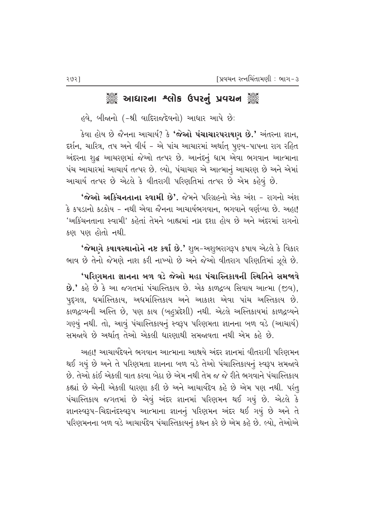## ઁૢૺ૾ૢૺ આધારના શ્લોક ઉપરનું પ્રવચન ઁૢૺ

હવે, બીજાનો (-શ્રી વાદિરાજદેવનો) આધાર આપે છે:

 $\,$ કેવા હોય છે જૈનના આચાર્ય? કે 'જેઓ પંચાચારપરાયાગ છે.' અંતરના જ્ઞાન, દર્શન, ચારિત્ર, તપ અને વીર્ય – એ પાંચ આચારમાં અર્થાત્ પૂણ્ય−પાપના રાગ રહિત અંદરના શુદ્ધ આચરણમાં જેઓ તત્પર છે. આનંદનું ધામ એવા ભગવાન આત્માના <u>પંચ આચારમાં આચાર્ય તત્પર છે. લ્યો, પંચાચાર એ આત્માનું આચરણ છે અને એમાં</u> આચાર્ય તત્પર છે એટલે કે વીતરાગી પરિણતિમાં તત્પર છે એમ કહેવું છે.

<mark>'જેઓ અકિંયનતાના સ્વામી છે'.</mark> જેમને પરિગ્રહનો એક અંશ – રાગનો અંશ  $\,$ કે કપડાનો કટકોય – નથી એવા જૈનના આચાર્યભગવાન, ભગવાને વર્ણવ્યા છે. અહા! 'અકિંચનતાના સ્વામી' કહેતાં તેમને બાહ્યમાં નગ્ન દશા હોય છે અને અંદરમાં રાગનો કણ પણ હોતો નથી.

'જેમાગે કષાયસ્થાનોને નષ્ટ કર્યાં છે.' શુભ−અશુભરાગરૂપ કષાય એટલે કે વિકાર ભાવ છે તેનો જેમણે નાશ કરી નાખ્યો છે અને જેઓ વીતરાગ પરિણતિમાં ઝૂલે છે.

'પરિણમતા જ્ઞાનના બળ વડે જેઓ મહા પંચાસ્તિકાયની સ્થિતિને સમજાવે  $\dot{\mathbf{B}}$ .' કહે છે કે આ જગતમાં પંચાસ્તિકાય છે. એક કાળદ્રવ્ય સિવાય આત્મા (જીવ), પદગલ, ધર્માસ્તિકાય, અધર્માસ્તિકાય અને આકાશ એવા પાંચ અસ્તિકાય છે. કાળદ્રવ્યની અસ્તિ છે, પણ કાય (બહુપ્રદેશી) નથી. એટલે અસ્તિકાયમાં કાળદ્રવ્યને ગણ્યું નથી. તો, આવું પંચાસ્તિકાયનું સ્વરૂપ પરિણમતા જ્ઞાનના બળ વડે (આચાર્ય) સમજાવે છે અર્થાતુ તેઓ એકલી ધારણાથી સમજાવતા નથી એમ કહે છે.

આહા! આચાર્યદેવને ભગવાન આત્માના આશ્રયે અંદર જ્ઞાનમાં વીતરાગી પરિણમન થઈ ગયું છે અને તે પરિણમતા જ્ઞાનના બળ વડે તેઓ પંચાસ્તિકાયનું સ્વરૂપ સમજાવે છે. તેઓ કાંઈ એકલી વાત કરવા બેઠા છે એમ નથી તેમ જ જે રીતે ભગવાને પંચાસ્તિકાય કહ્યાં છે એની એકલી ધારણા કરી છે અને આચાર્યદેવ કહે છે એમ પણ નથી. પરંતુ પંચાસ્તિકાય જગતમાં છે એવું અંદર જ્ઞાનમાં પરિણમન થઈ ગયું છે. એટલે કે જ્ઞાનસ્વરૂપ–ચિદાનંદસ્વરૂપ આત્માના જ્ઞાનનું પરિણમન અંદર થઈ ગયું છે અને તે પરિણમનના બળ વડે આચાર્યદેવ પંચાસ્તિકાયનું કથન કરે છે એમ કહે છે. લ્યો, તેઓએ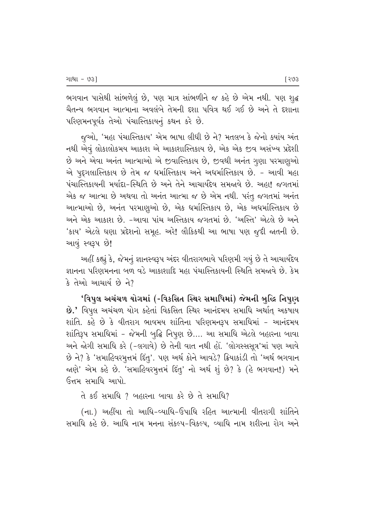ભગવાન પાસેથી સાંભળેલું છે, પણ માત્ર સાંભળીને જ કહે છે એમ નથી. પણ શુદ્ધ ચૈતન્ય ભગવાન આત્માના અવલંબે તેમની દશા પવિત્ર થઈ ગઈ છે અને તે દશાના પરિણમનપૂર્વક તેઓ પંચાસ્તિકાયનું કથન કરે છે.

જુઓ, 'મહા પંચાસ્તિકાય' એમ ભાષા લીધી છે ને? મતલબ કે જેનો ક્યાંય અંત નથી એવું લોકાલોકમય આકાશ એ આકાશાસ્તિકાય છે, એક એક જીવ અસંખ્ય પ્રદેશી છે અને એવા અનંત આત્માઓ એ જીવાસ્તિકાય છે, જીવથી અનંત ગુણા પરમાણુઓ એ પદગલાસ્તિકાય છે તેમ જ ધર્માસ્તિકાય અને અધર્માસ્તિકાય છે. - આવી મહા પંચાસ્તિકાયની મર્યાદા-સ્થિતિ છે અને તેને આચાર્યદેવ સમજાવે છે. અહા! જગતમાં એક જ આત્મા છે અથવા તો અનંત આત્મા જ છે એમ નથી. પરંતુ જગતમાં અનંત આત્માઓ છે, અનંત પરમાણુઓ છે, એક ધર્માસ્તિકાય છે, એક અધર્માસ્તિકાય છે અને એક આકાશ છે. -આવા પાંચ અસ્તિકાય જગતમાં છે. 'અસ્તિ' એટલે છે અને 'કાય' એટલે ઘણા પ્રદેશનો સમૂહ. અરે! લૌકિકથી આ ભાષા પણ જૂદી જાતની છે. આવું સ્વરૂપ છે!

આહીં કહ્યું કે, જેમનું જ્ઞાનસ્વરૂપ અંદર વીતરાગભાવે પરિણમી ગયું છે તે આચાર્યદેવ ક્ષાનના પરિણમનના બળ વડે આકાશાદિ મહા પંચાસ્તિકાયની સ્થિતિ સમજ્<mark>ત</mark>વે છે. કેમ કે તેઓ આચાર્ય છે ને?

'વિપુલ અચંચળ યોગમાં (-વિકસિત સ્થિર સમાધિમાં) જેમની બુદ્ધિ નિપુણ  $\dot{\mathbf{B}}$ .' વિપુલ અચંચળ યોગ કહેતાં વિકસિત સ્થિર આનંદમય સમાધિ અર્થાત્ અકષાય શાંતિ. કહે છે કે વીતરાગ ભાવમય શાંતિના પરિણમનરૂપ સમાધિમાં − આનંદમય શાંતિરૂપ સમાધિમાં - જેમની બુદ્ધિ નિપુણ છે…. આ સમાધિ એટલે બહારના બાવા અને જોગી સમાધિ કરે (-લગાવે) છે તેની વાત નથી હોં. 'લોગસ્સસૂત્ર'માં પણ આવે છે ને? કે 'સમાહિવરમૂત્તમં દિંતૂ'. પણ અર્થ કોને આવડે? ક્રિયાકાંડી તો 'અર્થ ભગવાન જાણે' એમ કહે છે. 'સમાહિવરમુત્તમં દિંતુ' નો અર્થ શું છે? કે (હે ભગવાન!) મને ઉત્તમ સમાધિ આપો.

તે કઈ સમાધિ  $\it 7$  બહારના બાવા કરે છે તે સમાધિ $\it 7$ 

(ના.) અહીંયા તો આધિ-વ્યાધિ-ઉપાધિ રહિત આત્માની વીતરાગી શાંતિને સમાધિ કહે છે. આધિ નામ મનના સંકલ્પ-વિકલ્પ, વ્યાધિ નામ શરીરના રોગ અને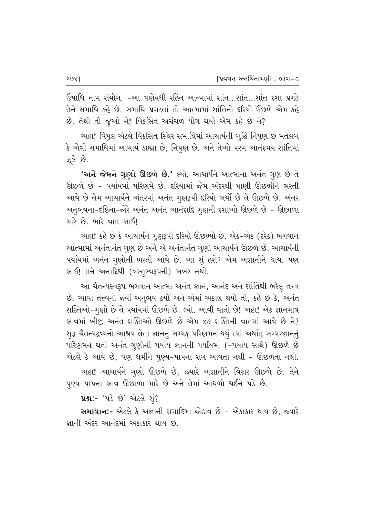ઉપાધિ નામ સંયોગ. -આ ત્રણેયથી રહિત આત્મામાં શાંત…શાંત…શાંત દશા પ્રગટે તેને સમાધિ કહે છે. સમાધિ પ્રગટતાં તો આત્મામાં શાંતિનો દરિયો ઉછળે એમ કહે છે. તેથી તો જુઓ ને! વિકસિત અચંચળ યોગ થયો એમ કહે છે ને?

અહા! વિપુલ એટલે વિકસિત સ્થિર સમાધિમાં આચાર્યની બુદ્ધિ નિપુણ છે મતલબ કે એવી સમાધિમાં આચાર્ય ડાહ્યા છે, નિપુણ છે. અને તેઓ પરમ આનંદમય શાંતિમાં ઝલે છે.

'અને જેમને ગુણો ઊછળે છે.' લ્યો, આચાર્યને આત્માના અનંત ગુણ છે તે ઊછળે છે - પર્યાયમાં પરિણમે છે. દરિયામાં જેમ અંદરથી પાણી ઊછળીને ભરતી આવે છે તેમ આચાર્યને અંતરમાં અનંત ગુણરૂપી દરિયો ભર્યો છે તે ઊછળે છે. અંતર અનુભવના-દષ્ટિના-જોરે અનંત અનંત આનંદાદિ ગુણની દશાઓ ઊછળે છે - ઊછાળા મારે છે. ભારે વાત ભાઈ!

અહા! કહે છે કે આચાર્યને ગુણરૂપી દરિયો ઊછળ્યો છે. એક-એક (દરેક) ભગવાન આત્મામાં અનંતાનંત ગુણ છે અને એ અનંતાનંત ગુણો આચાર્યને ઊછળે છે. આચાર્યની પર્યાયમાં અનંત ગૃણોની ભરતી આવે છે. આ શું હશે? એમ અજ્ઞાનીને થાય. પણ ભાઈ! તને અનાદિથી (વસ્તુસ્વરૂપની) ખબર નથી.

આ ચૈતન્યસ્વરૂપ ભગવાન આત્મા અનંત જ્ઞાન, આનંદ અને શાંતિથી ભરેલું તત્ત્વ છે. આવા તત્ત્વનો જ્યાં અનુભવ કર્યો અને એમાં એકાગ્ર થયો તો, કહે છે કે, અનંત શક્તિઓ-ગુણો છે તે પર્યાયમાં ઊછળે છે. લ્યો, આવી વાતો છે! અહા! એક જ્ઞાનમાત્ર ભાવમાં બીજી અનંત શક્તિઓ ઊછળે છે એમ ૪૭ શક્તિની વાતમાં આવે છે ને? શુદ્ધ ચૈતન્યદ્રવ્યનો આશ્રય લેતાં જ્ઞાનનું સમ્યક્ પરિણમન થયું ત્યાં અર્થાત્ સમ્યગ્જ્ઞાનનું પરિણમન થતાં અનંત ગુણોની પર્યાય જ્ઞાનની પર્યાયમાં (-પર્યાય સાથે) ઊછળે છે એટલે કે આવે છે, પણ ધર્મીને પુણ્ય-પાપના રાગ આવતા નથી - ઊછળતા નથી. અહા! આચાર્યને ગૃણો ઊછળે છે, જ્યારે અજ્ઞાનીને વિકાર ઊછળે છે. તેને પુણ્ય-પાપના ભાવ ઊછાળા મારે છે અને તેમાં આંધળો થઈને પડે છે.

**પ્રશ:-** 'પડે છે' એટલે શું?

સમાધાન:- એટલે કે અજ્ઞાની રાગાદિમાં જોડાય છે - એકાકાર થાય છે, જ્યારે જ્ઞાની અંદર આનંદમાં એકાકાર થાય છે.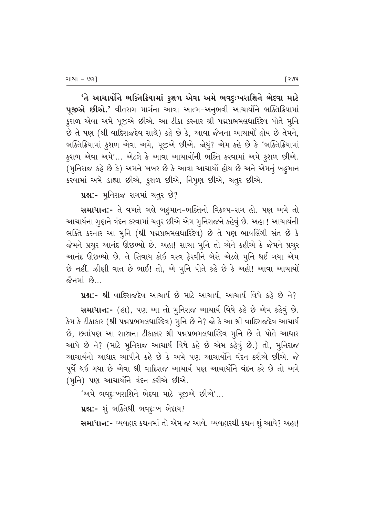'તે આચાર્યોને ભક્તિક્રિયામાં કુશળ એવા અમે ભવદુઃખરાશિને ભેદવા માટે પૂજીએ છીએ.' વીતરાગ માર્ગના આવા આત્મ-અનુભવી આચાર્યોને ભક્તિક્રિયામાં કુશળ એવા અમે પૂજીએ છીએ. આ ટીકા કરનાર શ્રી પદ્મપ્રભમલધારિદેવ પોતે મુનિ છે તે પણ (શ્રી વાદિરાજદેવ સાથે) કહે છે કે, આવા જૈનના આચાર્યો હોય છે તેમને, ભક્તિક્રિયામાં કુશળ એવા અમે, પૂજીએ છીએ. જોયું? એમ કહે છે કે 'ભક્તિક્રિયામાં કુશળ એવા અમે'… એટલે કે આવા આચાર્યોની ભક્તિ કરવામાં અમે કુશળ છીએ. (મુનિરાજ કહે છે કે) અમને ખબર છે કે આવા આચાર્યો હોય છે અને એમનું બહુમાન કરવામાં અમે ડાહ્યા છીએ, કુશળ છીએ, નિપુણ છીએ, ચતુર છીએ.

uશ:- મુનિરાજ રાગમાં ચતુર છે?

સમાધાન:- તે વખતે ભલે બહુમાન-ભક્તિનો વિકલ્પ-રાગ હો. પણ અમે તો આચાર્યના ગુણને વંદન કરવામાં ચતુર છીએ એમ મુનિરાજને કહેવું છે. અહા ! આચાર્યની ભક્તિ કરનાર આ મૃનિ (શ્રી પદ્મપ્રભમલધારિદેવ) છે તે પણ ભાવલિંગી સંત છે કે જેમને પ્રચુર આનંદ ઊછળ્યો છે. અહા! સાચા મૂનિ તો એને કહીએ કે જેમને પ્રચુર આનંદ ઊછળ્યો છે. તે સિવાય કોઈ વસ્ત્ર ફેરવીને બેસે એટલે મૂનિ થઈ ગયા એમ છે નહીં. ઝીણી વાત છે ભાઈ! તો, એ મુનિ પોતે કહે છે કે અહો! આવા આચાર્યો જૈનમાં છે.

ue:- શ્રી વાદિરાજદેવ આચાર્ય છે માટે આચાર્ય, આચાર્ય વિષે કહે છે ને?

સમાધાન:- (હા), પણ આ તો મૂનિરાજ આચાર્ય વિષે કહે છે એમ કહેવું છે. કેમ કે ટીકાકાર (શ્રી પદ્મપ્રભમલધારિદેવ) મૂનિ છે ને? જો કે આ શ્રી વાદિરાજદેવ આચાર્ય છે, છતાંપણ આ શાસના ટીકાકાર શ્રી પદ્મપ્રભમલધારિદેવ મૂનિ છે તે પોતે આધાર આપે છે ને? (માટે મુનિરાજ આચાર્ય વિષે કહે છે એમ કહેવું છે.) તો, મુનિરાજ આચાર્યનો આધાર આપીને કહે છે કે અમે પણ આચાર્યોને વંદન કરીએ છીએ. જે પૂર્વે થઈ ગયા છે એવા શ્રી વાદિરાજ આચાર્ય પણ આચાર્યોને વંદન કરે છે તો અમે (મૂનિ) પણ આચાર્યાને વંદન કરીએ છીએ.

'અમે ભવદૃ:ખરાશિને ભેદવા માટે પૂજીએ છીએ'...

uશ:- શું ભક્તિથી ભવદૃ:ખ ભેદાય?

સમાધાન:- વ્યવહાર કથનમાં તો એમ જ આવે. વ્યવહારથી કથન શું આવે? અહા!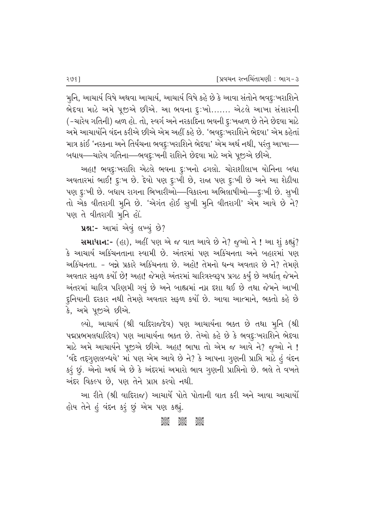મુનિ, આચાર્ય વિષે અથવા આચાર્ય, આચાર્ય વિષે કહે છે કે આવા સંતોને ભવદુ:ખરાશિને ભેદવા માટે અમે પૂજીએ છીએ. આ ભવના દુ:ખો....... એટલે આખા સંસારની (-ચારેય ગતિની) જાળ હો. તો, સ્વર્ગ અને નરકાદિના ભવની દૃ∶ખજાળ છે તેને છેદવા માટે આમે આચાર્યાેને વંદન કરીએ છીએ એમ અહીં કહે છે. 'ભવદૃ∶ખરાશિને ભેદવા' એમ કહેતાં માત્ર કાંઈ 'નરકના અને તિર્યંચના ભવદૃઃખરાશિને ભેદવા' એમ અર્થ નથી, પરંતુ આખા— બધાય—ચારેય ગતિના—ભવદુ∶ખની રાશિને છેદવા માટે અમે પૂજીએ છીએ.

અહા! ભવદુ:ખરાશિ એટલે ભવના દુ:ખનો ઢગલો. ચોરાશીલાખ યોનિના બધા 'અવતારમાં ભાઈ! દુ:ખ છે. દેવો પણ દુ:ખી છે, રાજા પણ દુ:ખી છે અને આ શેઠીયા પણ દૃઃખી છે. બધાય રાગના ભિખારીઓ—વિકારના અભિલાષીઓ—દૃઃખી છે. સુખી તો એક વીતરાગી મુનિ છે. 'એગંત હોઈ સુખી મુનિ વીતરાગી' એમ આવે છે ને? પણ તે વીતરાગી મુનિ હોં.

 $yx$  :- આમાં એવું લખ્યું છે?

**સમાધાન:**- (હા), અહીં પણ એ જ વાત આવે છે ને? જુઓ ને ! આ શું કહ્યું?  $\,$ કે આચાર્ય અકિંચનતાના સ્વામી છે. અંતરમાં પણ અકિંચનતા અને બહારમાં પણ અકિંચનતા. - બન્ને પ્રકારે અકિંચનતા છે. અહો! તેમનો ધન્ય અવતાર છે ને? તેમણે અવતાર સફળ કર્યો છે! અહા! જેમણે અંતરમાં ચારિત્રસ્વરૂપ પ્રગટ કર્યું છે અર્થાત્ જેમને અંતરમાં ચારિત્ર પરિણમી ગયું છે અને બાહ્યમાં નગ્ન દશા થઈ છે તથા જેમને આખી દુનિયાની દરકાર નથી તેમણે અવતાર સફળ કર્યો છે. આવા આત્માને, ભક્તો કહે છે કે, અમે પૂજીએ છીએ.

લ્યો, આચાર્ય (શ્રી વાદિરાજદેવ) પણ આચાર્યના ભક્ત છે તથા મુનિ (શ્રી પદ્મપ્રભમલધારિદેવ) પણ આચાર્યના ભક્ત છે. તેઓ કહે છે કે ભવદુ:ખરાશિને ભેદવા માટે અમે આચાર્યને પૂજીએ છીએ. અહા! ભાષા તો એમ જ આવે ને? જૂઓ ને ! 'વંદે તદ્દગૃણલબ્ધયે' માં પણ એમ આવે છે ને? કે આપના ગૃણની પ્રાપ્તિ માટે હં વંદન કરું છું. એનો અર્થ એ છે કે અંદરમાં અમારો ભાવ ગુણની પ્રાપ્તિનો છે. ભલે તે વખતે અંદર વિકલ્પ છે. પણ તેને પ્રાપ્ત કરવો નથી.

આ રીતે (શ્રી વાદિરાજ) આચાર્યે પોતે પોતાની વાત કરી અને આવા આચાર્યો હોય તેને હં વંદન કરૂં છું એમ પણ કહ્યું.

#### AGOS<br>CGOS CGOS CGOS<br>CGOSC CGOSC CGOSC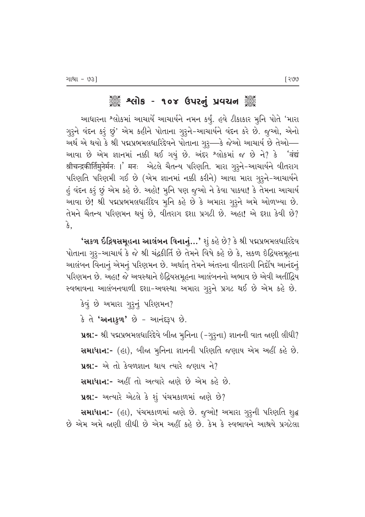# ે અલોક - ૧૦૪ ઉપરનું પ્રવચન ૅુ

આધારના <sup>શ્</sup>લોકમાં આચાર્યે આચાર્યને નમન કર્યું. હવે *ટી*કાકાર મુનિ પોતે 'મારા ગુરૂને વંદન કરૂં છું' એમ કહીને પોતાના ગુરૂને-આચાર્યને વંદન કરે છે. જુઓ, એનો અર્થ એ થયો કે શ્રી પદ્મપ્રભમલધારિદેવને પોતાના ગુરૂ—કે જેઓ આચાર્ય છે તેઓ— આવા છે એમ જ્ઞાનમાં નક્કી થઈ ગયું છે. અંદર શ્લોકમાં જ છે ને? કે 'वंद्यं श्रीचन्द्रकीर्तिमुनेर्मनः ।' मनः એટલે ચૈતન્ય પરિણતિ. મારા ગુરૃને-આચાર્યને વીતરાગ ~પરિણતિ પરિણમી ગઈ છે (એમ જ્ઞાનમાં નક્કી કરીને) આવા મારા ગુરૂને-આચાર્યને હું વંદન કરૂં છું એમ કહે છે. અહો! મૂનિ પણ જૂઓ ને કેવા પાક્યા! કે તેમના આચાર્ય આવા છે! શ્રી પદ્મપ્રભમલધારીદેવ મુનિ કહે છે કે અમારા ગુરૂને અમે ઓળખ્યા છે. તેમને ચૈતન્ય પરિણમન થયું છે, વીતરાગ દશા પ્રગટી છે. અહા! એ દશા કેવી છે? કે,

**'સકળ ઇંદ્રિયસમૂહના આલંબન વિનાનું…'** શું કહે છે? કે શ્રી પદ્મપ્રભમલધારિદેવ ખોતાના ગુરૃ-આચાર્ય કે જે શ્રી ચંદ્રકીર્તિ છે તેમને વિષે કહે છે કે, સકળ ઇંદ્રિયસમૂહના આલંબન વિનાનું એમનું પરિણમન છે. અર્થાત્ તેમને અંતરના વીતરાગી નિર્દોષ આનંદનું પરિણમન છે. અહા! જે અવસ્થાને ઇંદ્રિયસમૂહના આલંબનનો અભાવ છે એવી અતીંદ્રિય સ્વભાવના આલંબનવાળી દશા-અવસ્થા અમારા ગુરૂને પ્રગટ થઈ છે એમ કહે છે.

કેવું છે અમારા ગુરૂનું પરિણમન?  $\hat{\mathcal{S}}$  તે **'અનાકુળ'** છે - આનંદરૂપ છે. પ્રશ્ન:- શ્રી પદ્મપ્રભમલધારિદેવે બીજા મુનિના (-ગુરૂના) જ્ઞાનની વાત જાણી લીધી? **સમાધાન:-** (હા), બીજા મુનિના જ્ઞાનની પરિણતિ જણાય એમ અહીં કહે છે. પ્રશ્ન:- એ તો કેવળજ્ઞાન થાય ત્યારે જણાય ને? સમાધાન:- અહીં તો અત્યારે જાણે છે એમ કહે છે.  $x$ 2:- અત્યારે એટલે કે શું પંચમકાળમાં જાણે છે?

સમાધાન:- (હા), પંચમકાળમાં જાણે છે. જુઓ! અમારા ગુરૂની પરિણતિ શુદ્ધ છે એમ અમે જાણી લીધી છે એમ અહીં કહે છે. કેમ કે સ્વભાવને આશ્રયે પ્રગટેલા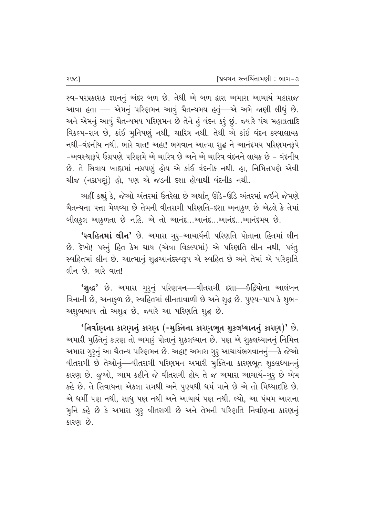સ્વ-પરપ્રકાશક જ્ઞાનનું અંદર બળ છે. તેથી એ બળ દ્વારા અમારા આચાર્ય મહારાજ આવા હતા – એમનું પરિણમન આવું ચૈતન્યમય હતું—એ અમે જાણી લીધું છે. અને એમનું આવું ચૈતન્યમય પરિણમન છે તેને હું વંદન કરું છું. જ્યારે પંચ મહાવ્રતાદિ વિકલ્પ-રાગ છે, કાંઈ મુનિપણું નથી, ચારિત્ર નથી. તેથી એ કાંઈ વંદન કરવાલાયક નથી-વંદનીય નથી. ભારે વાત! અહા! ભગવાન આત્મા શૃદ્ધ ને આનંદમય પરિણમનરૂપે -અવસ્થારૂપે ઉગ્રપણે પરિણમે એ ચારિત્ર છે અને એ ચારિત્ર વંદનને લાયક છે - વંદનીય છે. તે સિવાય બાહ્યમાં નગ્નપણું હોય એ કાંઈ વંદનીક નથી. હા, નિમિત્તપણે એવી ચીજ (નગ્નપણું) હો. પણ એ જડની દશા હોવાથી વંદનીક નથી.

અહીં કહ્યું કે, જેઓ અંતરમાં ઉતરેલા છે અર્થાત્ ઊંડે-ઊંડે અંતરમાં જઈને જેમણે थैतन्यना पत्ता मेળવ્યા છે તેમની વીતરાગી પરિણતિ-દશા અનાકુળ છે એટલે કે તેમાં બીલકુલ આકુળતા છે નહિ. એ તો આનંદ...આનંદ...આનંદ...આનંદમય છે.

'સ્વહિતમાં લીન' છે. અમારા ગુરૂ-આચાર્યની પરિણતિ પોતાના હિતમાં લીન છે. દેખો! પરનું હિત કેમ થાય (એવા વિકલ્પમાં) એ પરિણતિ લીન નથી, પરંતુ સ્વહિતમાં લીન છે. આત્માનું શુદ્ધઆનંદસ્વરૂપ એ સ્વહિત છે અને તેમાં એ પરિણતિ લીન છે. ભારે વાત!

'શુદ્ધ' છે. અમારા ગુરૂનું પરિણમન—વીતરાગી દશા—ઇંદ્રિયોના આલંબન fi-// વિનાની છે, અનાકૃળ છે, સ્વહિતમાં લીનતાવાળી છે અને શુદ્ધ છે. પૂણ્ય-પાપ કે શુભ અશુભભાવ તો અશુદ્ધ છે, જ્યારે આ પરિણતિ શુદ્ધ છે.

'નિર્વાણના કારણનું કારણ (-મુક્તિના કારણભૂત શુકલધ્યાનનું કારણ)' છે. અમારી મુક્તિનું કારણ તો અમારૂં પોતાનું શુકલધ્યાન છે. પણ એ શુકલધ્યાનનું નિમિત્ત અમારા ગુરૂનું આ ચૈતન્ય પરિણમન છે. અહા! અમારા ગુરૂ આચાર્યભગવાનનું—કે જેઓ વીતરાગી છે તેઓનું—વીતરાગી પરિણમન અમારી મૂક્તિના કારણભૂત શુકલધ્યાનનું કારણ છે. જૂઓ, આમ કહીને જે વીતરાગી હોય તે જ અમારા આચાર્ય-ગુરૃ છે એમ કહે છે. તે સિવાયના એકલા રાગથી અને પુણ્યથી ધર્મ માને છે એ તો મિથ્યાદષ્ટિ છે. એ ધર્મી પણ નથી, સાધુ પણ નથી અને આચાર્ય પણ નથી. લ્યો, આ પંચમ આરાના મુનિ કહે છે કે અમારા ગુરૂ વીતરાગી છે અને તેમની પરિણતિ નિર્વાણના કારણનું કારણ છે.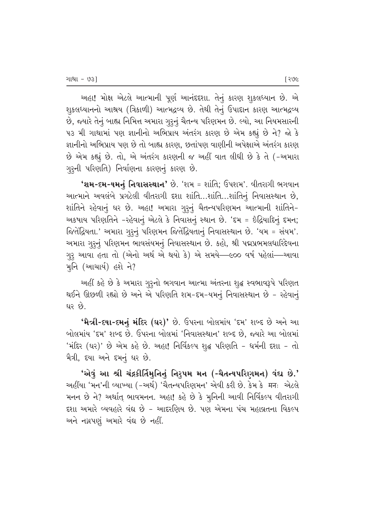અહા! મોક્ષ એટલે આત્માની પૂર્ણ આનંદદશા. તેનું કારણ શુકલધ્યાન છે. એ શુકલધ્યાનનો આશ્રય (ત્રિકાળી) આત્મદ્રવ્ય છે. તેથી તેનું ઉપાદાન કારણ આત્મદ્રવ્ય છે, જ્યારે તેનું બાહ્ય નિમિત્ત અમારા ગુરૂનું ચૈતન્ય પરિણમન છે. લ્યો, આ નિયમસારની પ૩ મી ગાથામાં પણ જ્ઞાનીનો અભિપ્રાય અંતરંગ કારણ છે એમ કહ્યું છે ને? જો કે જ્ઞાનીનો અભિપ્રાય પણ છે તો બાહ્ય કારણ, છતાંપણ વાણીની અપેક્ષાએ અંતરંગ કારણ છે એમ કહ્યું છે. તો, એ અંતરંગ કારણની જ અહીં વાત લીધી છે કે તે (-અમારા ગુરૂની પરિણતિ) નિર્વાણના કારણનું કારણ છે.

 $'$ શમ-દમ-યમનું નિવાસસ્થાન' છે. 'શમ = શાંતિ; ઉપશમ'. વીતરાગી ભગવાન આત્માને અવલંબે પ્રગટેલી વીતરાગી દશા શાંતિ...શાંતિ...શાંતિનું નિવાસસ્થાન છે, શાંતિને રહેવાનું ઘર છે. અહા! અમારા ગુરૂનું ચૈતન્યપરિણમન આત્માની શાંતિને− અકષાય પરિણતિને -રહેવાનું એટલે કે નિવાસનું સ્થાન છે. 'દમ = ઇંદ્રિયાદિનું દમન; જિતેંદ્રિયતા.' અમારા ગુરૂનું પરિણમન જિતેંદ્રિયતાનું નિવાસસ્થાન છે. 'યમ = સંયમ'. અમારા ગુરૂનું પરિણમન ભાવસંયમનું નિવાસસ્થાન છે. કહો, શ્રી પદ્મપ્રભમલધારિદેવના ગુરૃ આવા હતા તો (એનો અર્થ એ થયો કે) એ સમયે—૯૦૦ વર્ષ પહેલાં—આવા મૂનિ  $($  આચાર્ય) હશે ને?

અહીં કહે છે કે અમારા ગુરૂનો ભગવાન આત્મા અંતરના શુદ્ધ સ્વભાવરૂપે પરિણત થઈને ઊછળી રહ્યો છે અને એ પરિણતિ શમ-દમ-યમનું નિવાસસ્થાન છે - રહેવાનું ઘર $\dot{\vartheta}$ .

'મૈત્રી-દયા-દમનું મંદિર (ઘર)' છે. ઉપરના બોલમાંય 'દમ' શબ્દ છે અને આ · બોલમાંય 'દમ' શબ્દ છે. ઉપરના બોલમાં 'નિવાસસ્થાન' શબ્દ છે, જ્યારે આ બોલમાં  $'$ મંદિર (ઘર)' છે એમ કહે છે. અહા! નિર્વિકલ્પ શુદ્ધ પરિણતિ – ધર્મની દશા – તો મૈત્રી, દયા અને દમનું ઘર છે.

'એવું આ શ્રી ચંદ્રકીર્તિમુનિનું નિરૃપમ મન (-ચૈતન્યપરિણમન) વંદ્ય છે.' અહીંયા 'મન'ની વ્યાખ્યા (-અર્થ) 'ચૈતન્યપરિણમન' એવી કરી છે. કેમ કે मनः એટલે મનન છે ને? અર્થાત્ ભાવમનન. અહા! કહે છે કે મુનિની આવી નિર્વિકલ્પ વીતરાગી દશા અમારે વ્યવહારે વંદ્ય છે − આદરણિય છે. પણ એમના પંચ મહાવ્રતના વિકલ્પ અને નગ્નપણું અમારે વંદ્ય છે નહીં.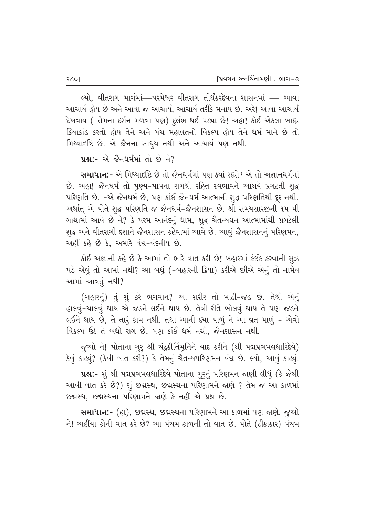લ્યો. વીતરાગ માર્ગમાં—પરમેશ્વર વીતરાગ તીર્થંકરદેવના શાસનમાં — આવા આચાર્ય હોય છે અને આવા જ આચાર્ય, આચાર્ય તરીકે મનાય છે. અરે! આવા આચાર્ય `દેખવાય (-તેમના દર્શન મળવા પણ) દુર્લભ થઈ પડ્યા છે! અહા! કોઈ એકલા બાહ્ય *ક્રિ*યાકાંડ કરતો હોય તેને અને પંચ મહાવ્રતનો વિકલ્પ હોય તેને ધર્મ માને છે તો મિથ્યાદષ્ટિ છે. એ જૈનના સાધુય નથી અને આચાર્ય પણ નથી.

```
પશ:- એ જૈનધર્મમાં તો છે ને?
```
સમાધાન:- એ મિથ્યાદષ્ટિ છે તો જૈનધર્મમાં પણ ક્યાં રહ્યો? એ તો અજ્ઞાનધર્મમાં છે. અહા! જૈનધર્મ તો પુણ્ય-પાપના રાગથી રહિત સ્વભાવને આશ્રયે પ્રગટતી શુદ્ધ પરિણતિ છે. -એ જૈનધર્મ છે, પણ કાંઈ જૈનધર્મ આત્માની શુદ્ધ પરિણતિથી દૂર નથી. અર્થાત્ એ પોતે શુદ્ધ પરિણતિ જ જૈનધર્મ-જૈનશાસન છે. શ્રી સમયસારજીની ૧૫ મી ગાથામાં આવે છે ને? કે પરમ આનંદનું ધામ, શુદ્ધ ચૈતન્યઘન આત્મામાંથી પ્રગટેલી શૃદ્ધ અને વીતરાગી દશાને જૈનશાસન કહેવામાં આવે છે. આવું જૈનશાસનનું પરિણમન, આહીં કહે છે કે, અમારે વંદ્ય-વંદનીય છે.

 $\hat s$ ઈ અજ્ઞાની કહે છે કે આમાં તો ભારે વાત કરી છે! બહારમાં કંઈક કરવાની સૂઝ પડે એવું તો આમાં નથી? આ બધું (-બહારની ક્રિયા) કરીએ છીએ એનું તો નામેય આમાં આવતું નથી?

(બહારનું) તું શું કરે ભગવાન? આ શરીર તો માટી-જડ છે. તેથી એનું હાલવું-ચાલવું થાય એ જડને લઈને થાય છે. તેવી રીતે બોલવું થાય તે પણ જડને લઈને થાય છે, તે તારૂં કામ નથી. તથા આની દયા પાળું ને આ વ્રત પાળું – એવો વિકલ્પ ઉઠે તે બધો રાગ છે, પણ કાંઈ ધર્મ નથી, જૈનશાસન નથી.

જૂઓ ને! પોતાના ગુરૃ શ્રી ચંદ્રકીર્તિમુનિને યાદ કરીને (શ્રી પદ્મપ્રભમલધારિદેવે) કેવું કાઢ્યું? (કેવી વાત કરી?) કે તેમનું ચૈતન્યપરિણમન વંદ્ય છે. લ્યો, આવું કાઢ્યું.

પ્રશ્ન:- શું શ્રી પદ્મપ્રભમલધારિદેવે પોતાના ગુરૂનું પરિણમન જાણી લીધું (કે જેથી આવી વાત કરે છે?) શું છદ્મસ્થ, છદ્મસ્થના પરિણામને જાણે ? તેમ જ આ કાળમાં છદ્મસ્થ, છદ્મસ્થના પરિણામને જાણે કે નહીં એ પ્રશ્ન છે.

સમાધાન:- (હા), છદ્મસ્થ, છદ્મસ્થના પરિણામને આ કાળમાં પણ જાણે. જૂઓ ને! અહીંયા કોની વાત કરે છે? આ પંચમ કાળની તો વાત છે. પોતે (ટીકાકાર) પંચમ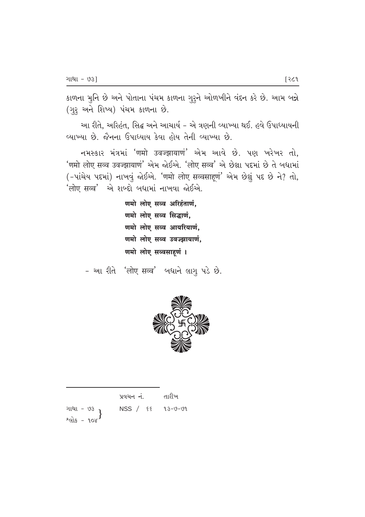કાળના મુનિ છે અને પોતાના પંચમ કાળના ગુરુને ઓળખીને વંદન કરે છે. આમ બન્ને (ગુરૂ અને શિષ્ય) પંચમ કાળના છે.

આ રીતે, અરિહંત, સિદ્ધ અને આચાર્ય – એ ત્રણની વ્યાખ્યા થઈ. હવે ઉપાધ્યાયની <u>વ્યાખ્યા છે. જૈનના ઉપાધ્યાય કેવા હોય તેની વ્યાખ્યા છે.</u>

 $-$  नभस्क्षार भंत्रभां 'णमो उवज्झायाणं' એમ આવે છે. પણ ખરેખર તો, 'णमो लोए सव्व उवज्झायाणं' એમ જોઈએ. 'लोए सव्व' એ છેલ્લા પદમાં છે તે બધામાં (- पांचेय पद्दमां) नाजयुं कोर्थसे. 'णमो लोए सव्वसाहूणं' એभ छेधुं पद छे ने? तो,  $'$ लोए सव्व $'$  એ શબ્દો બધામાં નાખવા જોઈએ.

> णमो लोए सव्व अरिहंताणं. णमो लोए सव्व सिद्धाणं, णमो लोए सव्व आयरियाणं, णमो लोए सव्व उवज्झायाणं, णमो लोए सव्वसाहणं ।

 $-$  આ રીતે 'लोए सव्व' બધાને લાગુ પડે છે.



|                                    | પ્રવચન નં.             | તારીખ |
|------------------------------------|------------------------|-------|
| ગાથા - <i>৩</i> ૩ <sub>1</sub>     | $NSS / 88 13 - 9 - 91$ |       |
| શ્લોક - ૧૦૪ $^{\text{\textsf{f}}}$ |                        |       |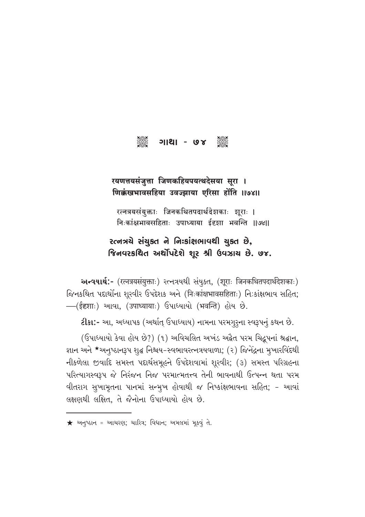

## रयणत्तयसंजुत्ता जिणकहियपयत्थदेसया सूरा । णिक्कंखभावसहिया उवज्झाया एरिसा होंति ॥७४॥

रत्नत्रयसंयुक्ताः जिनकथितपदार्थदेशकाः शूराः । निःकांक्षभावसहिताः उपाध्याया ईदृशा भवन्ति ॥७४॥

## રત્નત્રયે સંયુક્ત ને નિઃકાંક્ષભાવથી ચુક્ત છે, જિનવરકથિત અર્થોપદેશે શર શ્રી ઉવઝાય છે. ૭૪.

**અન્વયાર્થ:-** (रत्नत्रयसंयुक्ताः) २त्नत्रथथी संयुक्ष्त, (शूराः जिनकथितपदार्थदेशकाः) જિનકથિત પદાર્થોના શૂરવીર ઉપદેશક અને (निःकांक्षभावसहिताः) નિ:કાંક્ષભાવ સહિત; -(ईदृशाः) આવા, (उपाध्यायाः) ઉપાધ્યાયો (भवन्ति) હોય છે.

ટીકા:- આ, અધ્યાપક (અર્થાત્ ઉપાધ્યાય) નામના પરમગુરૃના સ્વરૂપનું કથન છે.

(ઉપાધ્યાયો કેવા હોય છે?) (૧) અવિચલિત અખંડ અદ્વૈત પરમ ચિદ્રુપનાં શ્રદ્ધાન, જ્ઞાન અને \*અનુષ્ઠાનરૂપ શુદ્ધ નિશ્ચય-સ્વભાવરત્નત્રયવાળા; (૨) જિનેદ્રના મુખારવિંદથી નીકળેલા જીવાદિ સમસ્ત પદાર્થસમૂહને ઉપદેશવામાં શૂરવીર; (૩) સમસ્ત પરિગ્રહના પરિત્યાગસ્વરૂપ જે નિરંજન નિજ પરમાત્મતત્ત્વ તેની ભાવનાથી ઉત્પન્ન થતા પરમ વીતરાગ સુખામૃતના પાનમાં સન્મૃખ હોવાથી જ નિષ્કાંક્ષભાવના સહિત; - આવાં લક્ષણથી લક્ષિત, તે જૈનોના ઉપાધ્યાયો હોય છે.

 $\bigstar$  અનુષ્ઠાન = આચરણ; ચારિત્ર; વિદ્યાન; અમલમાં મૂકવું તે.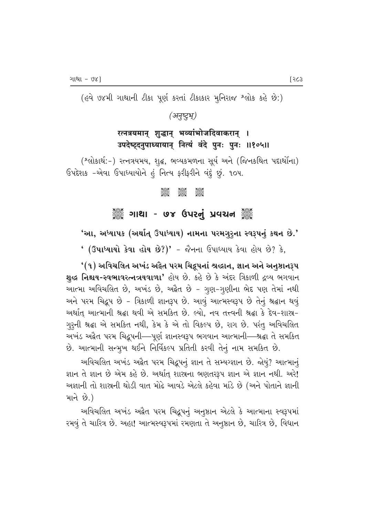(હવે ૭૪મી ગાથાની ટીકા પૂર્ણ કરતાં ટીકાકાર મુનિરાજ શ્લોક કહે છે:)

*(b|‹µ√‹>·∆)*

## रत्नत्रयमान् शुद्धान् भव्यांभोजदिवाकरान् । उपदेष्ट्दनुपाध्यायान् नित्यं वंदे पुनः पुनः ॥१०५॥

(^લોકાર્થ:-) રત્નત્રયમય, શુદ્ધ, ભવ્યકમળના સૂર્ય અને (જિનકથિત પદાર્થોના) ઉપદેશક -એવા ઉપાધ્યાયોને હં નિત્ય ફરીફરીને વંદું છું. 10૫.

#### C C C

### ુઁ ગાથા - ७૪ ઉપરનું પ્રવચન ૅું

'આ, અધ્યાપક (અર્થાત્ ઉપાધ્યાય) નામના પરમગુરૂના સ્વરૂપનું કથન છે.'

 $'$  (ઉપાધ્યાયો કેવા હોય છે?)' - જૈનના ઉપાધ્યાય કેવા હોય છે? કે,

 $^{\prime}($ ૧) અવિચલિત અખંડ અદ્વૈત પરમ ચિદ્રુપનાં શ્રદ્ધાન, જ્ઞાન અને અનુષ્ઠાનરૂપ શુદ્ધ નિશ્ચય-સ્વભાવરત્નત્રયવાળા' હોય છે. કહે છે કે અંદર ત્રિકાળી દ્રવ્ય ભગવાન આત્મા અવિચલિત છે, અખંડ છે, અદ્વૈત છે - ગુણ-ગુણીના ભેદ પણ તેમાં નથી અને પરમ ચિદ્રુપ છે - ત્રિકાળી જ્ઞાનરૂપ છે. આવું આત્મસ્વરૂપ છે તેનું શ્રદ્ધાન થવું અર્થાત્ આત્માની શ્રદ્ધા થવી એ સમકિત છે. લ્યો, નવ તત્ત્વની શ્રદ્ધા કે દેવ-શાસ્ર-ગુરૂની શ્રદ્ધા એ સમકિત નથી, કેમ કે એ તો વિકલ્પ છે, રાગ છે. પરંતુ અવિચલિત આખંડ અદ્વૈત પરમ ચિદ્રૂપની—પૂર્ણ જ્ઞાનસ્વરૂપ ભગવાન આત્માની—શ્રદ્ધા તે સમકિત છે. આત્માની સન્મુખ થઈને નિર્વિકલ્પ પ્રતિતી કરવી તેનું નામ સમકિત છે.

આવિચલિત અખંડ અક્ષેત પરમ ચિદ્રૂપનું જ્ઞાન તે સમ્યગ્જ્ઞાન છે. જોયું? આત્માનું જ્ઞાન તે જ્ઞાન છે એમ કહે છે. અર્થાત્ શાસ્રના ભણતરરૂપ જ્ઞાન એ જ્ઞાન નથી. અરે! અજ્ઞાની તો શાસ્ત્રની થોડી વાત મોઢે આવડે એટલે કહેવા માંડે છે (અને પોતાને જ્ઞાની માને $\Theta$ .)

આવિચલિત અખંડ અદ્વૈત પરમ ચિદ્રૂપનું અનુષ્ઠાન એટલે કે આત્માના સ્વરૂપમાં રમવું તે ચારિત્ર છે. અહા! આત્મસ્વરૂપમાં રમણતા તે અનુષ્ઠાન છે, ચારિત્ર છે, વિધાન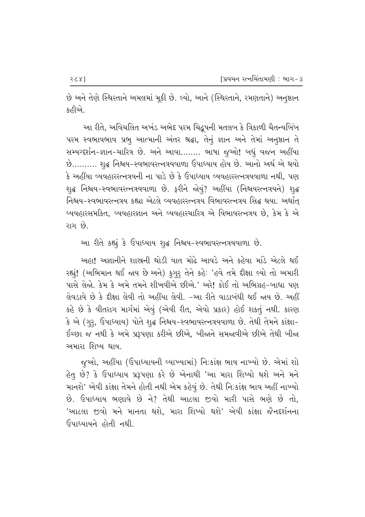છે અને તેણે સ્થિરતાને અમલમાં મૂકી છે. લ્યો, આને (સ્થિરતાને, રમણતાને) અનુષ્ઠાન કહીએ.

આ રીતે, અવિચલિત અખંડ અભેદ પરમ ચિદ્ભૂપની મતલબ કે ત્રિકાળી ચૈતન્યબિંબ પરમ સ્વભાવભાવ પ્રભુ આત્માની અંતર શ્રદ્ધા, તેનું જ્ઞાન અને તેમાં અનુષ્ઠાન તે સમ્યગ્દર્શન-જ્ઞાન-ચારિત્ર છે. અને આવા……. ભાષા જુઓ! બધું વજન અહીંયા છે.......... શૃદ્ધ નિશ્ચય-સ્વભાવરત્નત્રયવાળા ઉપાધ્યાય હોય છે. આનો અર્થ એ થયો કે અહીંયા વ્યવહારરત્નત્રયની ના પાડે છે કે ઉપાધ્યાય વ્યવહારરત્નત્રયવાળા નથી, પણ શ્∉ નિશ્રય-સ્વભાવરત્નત્રયવાળા છે. ફરીને જોયું? અહીંયા (નિશ્ચયરત્નત્રયને) શ્∉ નિશ્ચય-સ્વભાવરત્નત્રય કહ્યા એટલે વ્યવહારરત્નત્રય વિભાવરત્નત્રય સિદ્ધ થયા. અર્થાત્ વ્યવહારસમકિત, વ્યવહારજ્ઞાન અને વ્યવહારચારિત્ર એ વિભાવરત્નત્રય છે, કેમ કે એ  $\mathcal{S}_3$   $\mathcal{S}_1$ 

આ રીતે કહ્યું કે ઉપાધ્યાય શૃદ્ધ નિશ્ચય-સ્વભાવરત્નત્રયવાળા છે.

આહા! અજ્ઞાનીને શાસ્રની થોડી વાત મોઢે આવડે અને કહેવા માંડે એટલે થઈ रह्यूं! (અભિમાન થઈ જાય છે અને) કુગુરૂ તેને કહે: 'હવે તમે દીક્ષા લ્યો તો અમારી પાસે લેજો. કેમ કે અમે તમને શીખવીએ છીએ.' અરે! કોઈ તો અભિગ્રહ-બાધા પણ તેવડાવે છે કે દીક્ષા લેવી તો અહીંયા લેવી. -આ રીતે વાડાબંધી થઈ જાય છે. અહીં કહે છે કે વીતરાગ માર્ગમાં એવું (એવી રીત, એવો પ્રકાર) હોઈ શકતું નથી. કારણ કે એ (ગુરૂ, ઉપાધ્યાય) પોતે શુદ્ધ નિશ્ચય-સ્વભાવરત્નત્રયવાળા છે. તેથી તેમને કાંક્ષા− ઈચ્છા જ નથી કે અમે પ્રરૂપણા કરીએ છીએ, બીજાને સમજાવીએ છીએ તેથી બીજા <u>અમારા શિષ્ય થાય.</u>

જુઓ, અહીંયા (ઉપાધ્યાયની વ્યાખ્યામાં) નિઃકાંક્ષ ભાવ નાખ્યો છે. એમાં શો હેતુ છે? કે ઉપાધ્યાય પ્રરૂપણા કરે છે એનાથી 'આ મારા શિષ્યો થશે અને મને માનશે' એવી કાંક્ષા તેમને હોતી નથી એમ કહેવું છે. તેથી નિઃકાંક્ષ ભાવ અહીં નાખ્યો  $\dot{\vartheta}$ . ઉપાધ્યાય ભણાવે છે ને? તેથી આટલા જીવો મારી પાસે ભણે છે તો, 'આટલા જીવો મને માનતા થશે, મારા શિષ્યો થશે' એવી કાંક્ષા જૈનદર્શનના ઉપાધ્યાયને હોતી નથી.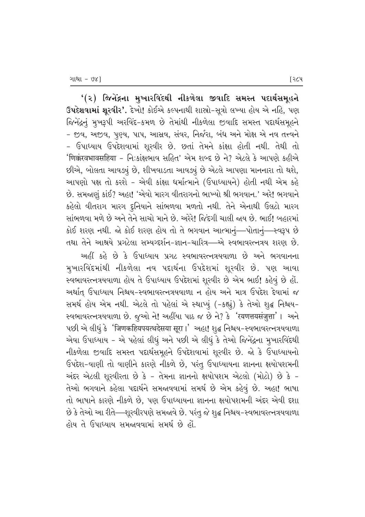'(૨) જિનેંદ્રના મુખારવિંદથી નીકળેલા જીવાદિ સમસ્ત પદાર્થસમૂહને ઉપદેશવામાં શુરવીર'. દેખો! કોઈએ કલ્પનાથી શાસ્રો-સૂત્રો લખ્યા હોય એ નહિ, પણ જિનેંદ્રનું મુખરૂપી અરવિંદ-કમળ છે તેમાંથી નીકળેલા જીવાદિ સમસ્ત પદાર્થસમૂહને - જીવ, અજીવ, પુણ્ય, પાપ, આસ્રવ, સંવર, નિર્જરા, બંધ અને મોક્ષ એ નવ તત્ત્વને - ઉપાધ્યાય ઉપદેશવામાં શુરવીર છે. છતાં તેમને કાંક્ષા હોતી નથી. તેથી તો 'णिक्करवभावसहिया - નિ:કાંક્ષભાવ સહિત' એમ શબ્દ છે ને? એટલે કે આપણે કહીએ છીએ, બોલતા આવઙ્યું છે, શીખવાડતા આવઙ્યું છે એટલે આપણા માનનારા તો થશે, આપણો પક્ષ તો કરશે - એવી કાંક્ષા ધર્માત્માને (ઉપાધ્યાયને) હોતી નથી એમ કહે છે. સમજાણું કાંઈ? અહા! 'એવો મારગ વીતરાગનો ભાખ્યો શ્રી ભગવાન.' અરે! ભગવાને કહેલો વીતરાગ મારગ દૃનિયાને સાંભળવા મળતો નથી. તેને એનાથી ઉલટો મારગ સાંભળવા મળે છે અને તેને સાચો માને છે. અરેરે! જિંદગી ચાલી જાય છે. ભાઈ! બહારમાં કોઈ શરણ નથી. જો કોઈ શરણ હોય તો તે ભગવાન આત્માનું—પોતાનું—સ્વરૂપ છે તથા તેને આશ્રયે પ્રગટેલા સમ્યગ્દર્શન-જ્ઞાન-ચારિત્ર—એ સ્વભાવરત્નત્રય શરણ છે.

આઈ કહે છે કે ઉપાધ્યાય પ્રગટ સ્વભાવરત્નત્રયવાળા છે અને ભગવાનના મુખારવિંદમાંથી નીકળેલા નવ પદાર્થના ઉપદેશમાં શૂરવીર છે. પણ આવા સ્વભાવરત્નત્રયવાળા હોય તે ઉપાધ્યાય ઉપદેશમાં શૂરવીર છે એમ ભાઈ! કહેવું છે હોં. અર્થાત ઉપાધ્યાય નિશ્ચય-સ્વભાવરત્નત્રયવાળા ન હોય અને માત્ર ઉપદેશ દેવામાં જ સમર્થ હોય એમ નથી. એટલે તો પહેલાં એ સ્થાપ્યું (-કહ્યું) કે તેઓ શુદ્ધ નિશ્ચય− स्वलावरत्नत्रयवाणा છે. જુઓ ને! અહીંયા પાઠ જ છે ને? કે 'रयणत्तयसंजुत्ता'। અને પછી એ લીધું કે 'जिणकहियपयत्थदेसया सूरा।' અહા! શુદ્ધ નિશ્ચય−સ્વભાવરત્નત્રયવાળા એવા ઉપાધ્યાય - એ પહેલાં લીધું અને પછી એ લીધું કે તેઓ જિનેંદ્રના મુખારવિંદથી નીકળેલા જીવાદિ સમસ્ત પદાર્થસમૂહને ઉપદેશવામાં શૂરવીર છે. જો કે ઉપાધ્યાયનો ઉપદેશ-વાણી તો વાણીને કારણે નીકળે છે, પરંતુ ઉપાધ્યાયના જ્ઞાનના ક્ષયોપશમની અંદર એટલી શૂરવીરતા છે કે - તેમના જ્ઞાનનો ક્ષયોપશમ એટલો (મોટો) છે કે -તેઓ ભગવાને કહેલા પદાર્થને સમજાવવામાં સમર્થ છે એમ કહેવું છે. અહા! ભાષા તો ભાષાને કારણે નીકળે છે. પણ ઉપાધ્યાયના જ્ઞાનના ક્ષયોપશમની અંદર એવી દશા છે કે તેઓ આ રીતે—્શૂરવીરપણે સમજાવે છે. પરંતુ જે શુદ્ધ નિશ્ચય-સ્વભાવરત્નત્રયવાળા હોય તે ઉપાધ્યાય સમજાવવામાં સમર્થ છે હો.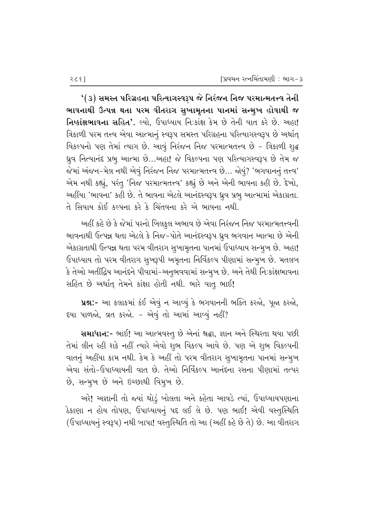$^{\prime}\left( 3\right)$  સમસ્ત પરિગ્રહના પરિત્યાગસ્વરૂપ જે નિરંજન નિજ પરમાત્મતત્ત્વ તેની ભાવનાથી ઉત્પન્ન થતા પરમ વીતરાગ સુખામૃતના પાનમાં સન્મુખ હોવાથી જ **નિષ્કાંક્ષભાવના સહિત'.** લ્યો, ઉપાધ્યાય નિઃકાંક્ષ કેમ છે તેની વાત કરે છે. અહા! ત્રિકાળી પરમ તત્ત્વ એવા આત્માનું સ્વરૂપ સમસ્ત પરિગ્રહના પરિત્યાગસ્વરૂપ છે અર્થાત્ વિકલ્પનો પણ તેમાં ત્યાગ છે. આવું નિરંજન નિજ પરમાત્મતત્ત્વ છે - ત્રિકાળી શુદ્ધ ધ્રુવ નિત્યાનંદ પ્રભૂ આત્મા છે…અહા! જે વિકલ્પના પણ પરિત્યાગસ્વરૂપ છે તેમ જ જેમાં અંજન-મેલ નથી એવું નિરંજન નિજ પરમાત્મતત્ત્વ છે... જોયું? 'ભગવાનનું તત્ત્વ' એમ નથી કહ્યું, પરંતુ 'નિજ પરમાત્મતત્ત્વ' કહ્યું છે અને એની ભાવના કહી છે. દેખો, અહીંયા 'ભાવના' કહી છે. તે ભાવના એટલે આનંદસ્વરૂપ ધ્રૂવ પ્રભૂ આત્મામાં એકાગ્રતા. તે સિવાય કોઈ કલ્પના કરે કે ચિંતવના કરે એ ભાવના નથી.

આહીં કહે છે કે જેમાં પરનો બિલકુલ અભાવ છે એવા નિરંજન નિજ પરમાત્મતત્ત્વની ભાવનાથી ઉત્પન્ન થતા એટલે કે નિજ-પોતે આનંદસ્વરૂપ ઘ્રુવ ભગવાન આત્મા છે એની એકાગ્રતાથી ઉત્પન્ન થતા પરમ વીતરાગ સુખામૃતના પાનમાં ઉપાધ્યાય સન્મુખ છે. અહા! ઉપાધ્યાય તો પરમ વીતરાગ સુખરૂપી અમૃતના નિર્વિકલ્પ પીણામાં સન્મુખ છે. મતલબ કે તેઓ અતીંદ્રિય આનંદને પીવામાં-અનુભવવામાં સન્મૂખ છે. અને તેથી નિઃકાંક્ષભાવના સહિત છે અર્થાત્ તેમને કાંક્ષા હોતી નથી. ભારે વાતુ ભાઈ!

**પ્રશ:-** આ કલાકમાં કંઈ એવું ન આવ્યું કે ભગવાનની ભક્તિ કરજો, પૂજા કરજો, દયા પાળજો, વ્રત કરજો. - એવું તો આમાં આવ્યું નહીં?

સમાધાન:- ભાઈ! આ આત્મવસ્તુ છે એનાં શ્રદ્ધા, જ્ઞાન અને સ્થિરતા થયા પછી તેમાં લીન રહી શકે નહીં ત્યારે એવો શુભ વિકલ્પ આવે છે. પણ એ શુભ વિકલ્પની વાતનું અહીંયા કામ નથી. કેમ કે અહીં તો પરમ વીતરાગ સુખામૃતના પાનમાં સન્મુખ એવા સંતો-ઉપાધ્યાયની વાત છે. તેઓ નિર્વિકલ્પ આનંદના રસના પીણામાં તત્પર છે, સન્મૂખ છે અને ઇચ્છાથી વિમુખ છે.

અરે! અજ્ઞાની તો જ્યાં થોડું બોલતા અને કહેતા આવડે ત્યાં, ઉપાધ્યાયપણાના ેકાણા ન હોય તોપણ, ઉપાધ્યાયનું પદ લઈ લે છે. પણ ભાઈ! એવી વસ્તુસ્થિતિ (ઉપાધ્યાયનું સ્વરૂપ) નથી બાપા! વસ્તુસ્થિતિ તો આ (અહીં કહે છે તે) છે. આ વીતરાગ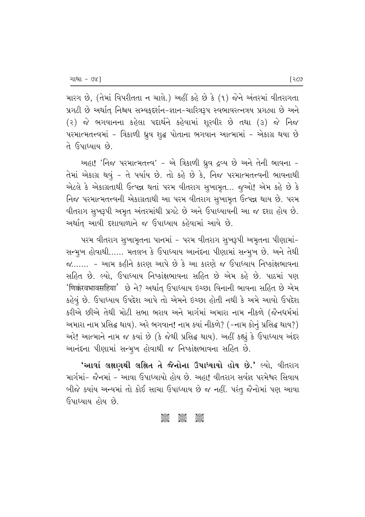મારગ છે, (તેમાં વિપરીતતા ન ચાલે.) અહીં કહે છે કે (૧) જેને અંતરમાં વીતરાગતા પ્રગટી છે અર્થાત્ નિશ્ચય સમ્યક઼દર્શન-જ્ઞાન-ચારિત્રરૂપ સ્વભાવરત્નત્રય પ્રગટ્યા છે અને  $(3)$  જે ભગવાનના કહેલા પદાર્થને કહેવામાં શૂરવીર છે તથા  $(3)$  જે નિજ  $\alpha$ યરમાત્મતત્ત્વમાં - ત્રિકાળી ધ્રુવ શુદ્ધ પોતાના ભગવાન આત્મામાં - એકાગ્ર થયા છે તે ઉપાધ્યાય છે.

અહા! 'નિજ પરમાત્મતત્ત્વ' - એ ત્રિકાળી ઘ્રુવ દ્રવ્ય છે અને તેની ભાવના -તેમાં એકાગ્ર થવું - તે પર્યાય છે. તો કહે છે કે, નિજ પરમાત્મતત્ત્વની ભાવનાથી  $20$ ટલે કે એકાગ્રતાથી ઉત્પન્ન થતાં પરમ વીતરાગ સુખામૃત... જુઓ! એમ કહે છે કે flજ પરમાત્મતત્ત્વની એકાગ્રતાથી આ પરમ વીતરાગ સુખામૃત ઉત્પન્ન થાય છે. પરમ વીતરાગ સુખરૂપી અમૃત અંતરમાંથી પ્રગટે છે અને ઉપાધ્યાયની આ જ દશા હોય છે. અર્થાત્ આવી દશાવાળાને જ ઉપાધ્યાય કહેવામાં આવે છે.

પરમ વીતરાગ સુખામૃતના પાનમાં − પરમ વીતરાગ સુખરૂપી અમૃતના પીણામાં− સન્મૂખ હોવાથી...... મતલબ કે ઉપાધ્યાય આનંદના પીણામાં સન્મુખ છે. અને તેથી  $\gamma$ ....... - આમ કહીને કારણ આપે છે કે આ કારણે જ ઉપાધ્યાય નિષ્કાંક્ષભાવના સહિત છે. લ્યો, ઉપાધ્યાય નિષ્કાંક્ષભાવના સહિત છે એમ કહે છે. પાઠમાં પણ 'णिक्कंरवभावसहिया' છે ને? અર્થાત્ ઉપાધ્યાય ઇચ્છા વિનાની ભાવના સહિત છે એમ કહેવું છે. ઉપાધ્યાય ઉપદેશ આપે તો એમને ઇચ્છા હોતી નથી કે અમે આવો ઉપદેશ કરીએ છીએ તેથી મોટી સભા ભરાય અને માર્ગમાં અમારા નામ નીકળે (જૈનધર્મમાં અમારા નામ પ્રસિદ્ધ થાય). અરે ભગવાન! નામ ક્યાં નીકળે? (–નામ કોનું પ્રસિદ્ધ થાય?) અરે! આત્માને નામ જ કયાં છે (કે જેથી પ્રસિદ્ધ થાય). અહીં કહ્યું કે ઉપાધ્યાય અંદર આનંદના પીણામાં સન્મુખ હોવાથી જ નિષ્કાંક્ષભાવના સહિત છે.

'આવાં લક્ષણથી લક્ષિત તે જૈનોના ઉપાધ્યાયો હોય છે.' લ્યો, વીતરાગ માર્ગમાં- જૈનમાં - આવા ઉપાધ્યાયો હોય છે. અહા! વીતરાગ સર્વજ્ઞ પરમેશ્વર સિવાય બીજે ક્યાંય અન્યમાં તો કોઈ સાચા ઉપાધ્યાય છે જ નહીં. પરંતુ જૈનોમાં પણ આવા ઉપાધ્યાય હોય છે.

#### C C C C C<br>C C C C C C<br>C C C C C C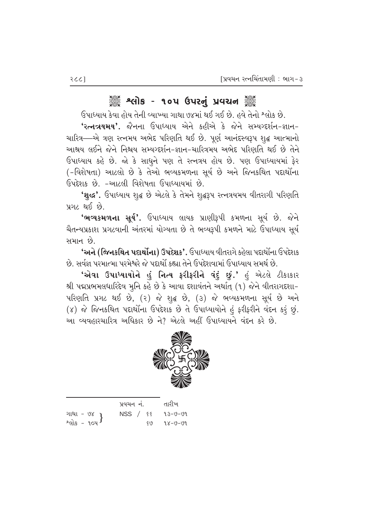# ેં શ્લોક - ૧૦૫ ઉપરનું પ્રવચન ૅં

 $6$ પાધ્યાય કેવા હોય તેની વ્યાખ્યા ગાથા ૭૪માં થઈ ગઈ છે. હવે તેનો શ્લોક છે. <mark>'રત્નત્રયમય'.</mark> જૈનના ઉપાધ્યાય એને કહીએ કે જેને સમ્યગ્દર્શન-જ્ઞાન− ચારિત્ર—એ ત્રણ રત્નમય અભેદ પરિણતિ થઈ છે. પૂર્ણ આનંદસ્વરૂપ શુદ્ધ આત્માનો આશ્રય લઈને જેને નિશ્ચય સમ્યગ્દર્શન-જ્ઞાન-ચારિત્રમય અભેદ પરિણતિ થઈ છે તેને ઉપાધ્યાય કહે છે. જો કે સાધુને પણ તે રત્નત્રય હોય છે. પણ ઉપાધ્યાયમાં ફેર (-વિશેષતા) આટલો છે કે તેઓ ભવ્યકમળના સૂર્ય છે અને જિનકથિત પદાર્થોના ઉપદેશક છે. −આટલી વિશેષતા ઉપાધ્યાયમાં છે.

'શુદ્ધ'. ઉપાધ્યાય શુદ્ધ છે એટલે કે તેમને શુદ્ધરૂપ રત્નત્રયમય વીતરાગી પરિણતિ  $292$  શઈ છે.

**'ભવ્યકમળના સૂર્ય'.** ઉપાધ્યાય લાયક પ્રાણીરૂપી કમળના સૂર્ય છે. જેને ચૈતન્યપ્રકાશ પ્રગટવાની અંતરમાં યોગ્યતા છે તે ભવ્યરૂપી કમળને માટે ઉપાધ્યાય સૂર્ય સમાન છે.

 $\cdot$ અને (જિનકથિત પદાર્થોના) ઉપદેશક $\cdot$ . ઉપાધ્યાય વીતરાગે કહેલા પદાર્થોના ઉપદેશક <u>છે. સર્વજ્ઞ પરમાત્મા પરમેશ્વરે જે પદાર્થો કહ્યા તેને ઉપદેશવામાં ઉપાધ્યાય સમર્થ છે.</u>

<mark>ʻએવા ઉપાધ્યાયોને હું નિત્ય ફરીફરીને વંદું છું.'</mark> હું એટલે ટીકાકાર શ્રી પદ્મપ્રભમલધારિદેવ મુનિ કહે છે કે આવા દશાવંતને અર્થાત્ (૧) જેને વીતરાગદશા−  $u$ રિણતિ પ્રગટ થઈ છે,  $(2)$  જે શુદ્ધ છે,  $(3)$  જે ભવ્યકમળના સૂર્ય છે અને  $(8)$  જે જિનકથિત પદાર્થોના ઉપદેશક છે તે ઉપાધ્યાયોને હું ફરીફરીને વંદન કરૂં છું. આ વ્યવહારચારિત્ર અધિકાર છે ને? એટલે અહીં ઉપાધ્યાયને વંદન કરે છે.



|                                       | પ્રવચન નં. |     | તારીખ   |
|---------------------------------------|------------|-----|---------|
|                                       | NSS / ૬૬   |     | 93-V-V9 |
| ગાથા - ૭૪<br>શ્લોક - ૧૦૫ <sup>)</sup> |            | 519 | 98-0-09 |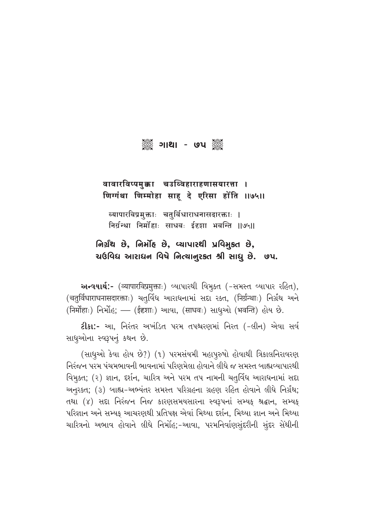

## वावारविप्पमुक्का चउव्विहाराहणासयारत्ता । गिग्गंथा णिम्मोहा साहू दे एरिसा होंति ।।७५।।

ब्यापारविप्रमुक्ताः चतुर्विधाराधनासदारक्ताः । त्तिर्ग्रन्था निर्मोहाः साधवः ईदृशा भवन्ति ॥७५॥

## નિર્ગ્રંથ છે, નિર્મોદ છે, વ્યાપારથી પ્રવિમકત છે,  $u$ ઉવિધ આરાધન વિષે નિત્યાનુરકત શ્રી સાધુ છે. ૭૫.

અન્વયાર્થ:- (व्यापारविप्रमुक्ताः) વ્યાપારથી વિમૂક્ત (-સમસ્ત વ્યાપાર રહિત), (चतुर्विधाराधनासदारक्ताः) ચતુર્વિધ આરાધનામાં સદ્દા રક્ત, (निर्ग्रन्थाः) નિર્ગ્રથ અને (निर्मोहाः) निर्भोह; — (ईदृशाः) આવા, (साधवः) સાધૂઓ (भवन्ति) होय છे.

**ટીકા:-** આ, નિરંતર અખંડિત પરમ તપશ્ચરણમાં નિરત (-લીન) એવા સર્વ સાધુઓના સ્વરૂપનું કથન છે.

(સાધુઓ કેવા હોય છે?) (૧) પરમસંયમી મહાપૂરુષો હોવાથી ત્રિકાલનિરાવરણ નિરંજન પરમ પંચમભાવની ભાવનામાં પરિણમેલા હોવાને લીધે જ સમસ્ત બાહ્યવ્યાપારથી વિમુક્ત; (૨) જ્ઞાન, દર્શન, ચારિત્ર અને પરમ તપ નામની ચતુર્વિધ આરાધનામાં સદા અનુરકત; (3) બાહ્ય-અભ્યંતર સમસ્ત પરિગ્રહના ગ્રહણ રહિત હોવાને લીધે નિર્ગ્રંથ; તથા (४) સદ્દા નિરંજન નિજ કારણસમયસારના સ્વરૂપનાં સમ્યક શ્રદ્ધાન, સમ્યક પરિજ્ઞાન અને સમ્યક આચરણથી પ્રતિપક્ષ એવાં મિથ્યા દર્શન, મિથ્યા જ્ઞાન અને મિથ્યા ચારિત્રનો અભાવ હોવાને લીધે નિર્મોહ;-આવા, પરમનિર્વાણસુંદરીની સુંદર સેથીની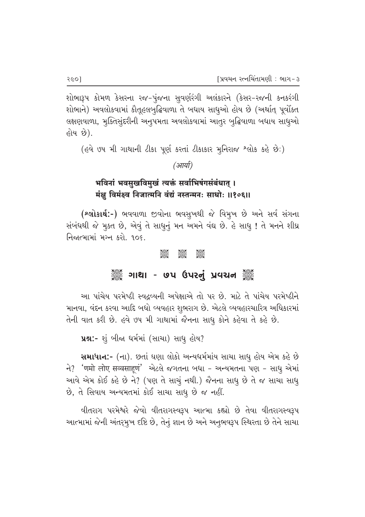શોભારૂપ કોમળ કેસરના રજ-પુંજના સુવર્ણરંગી અલંકારને (કેસર-રજની કનકરંગી શોભાને) અવલોકવામાં કૌતૂહલબુદ્ધિવાળા તે બધાય સાધૂઓ હોય છે (અર્થાત્ પૂર્વોક્ત લક્ષણવાળા, મુક્તિસુંદરીની અનુપમતા અવલોકવામાં આતુર બુદ્ધિવાળા બધાય સાધુઓ હોય છે).

(હવે ૭૫ મી ગાથાની ટીકા પૂર્ણ કરતાં ટીકાકાર મુનિરાજ શ્લોક કહે છે:)

(आर्या)

# भविनां भवसुखविमुखं त्यक्तं सर्वाभिषंगसंबंधात् । मंक्षु विमंक्ष्व निजात्मनि वंद्यं नस्तन्मनः साधोः ॥१०६॥

(**શ્લોકાર્થ:-**) ભવવાળા જીવોના ભવસૂખથી જે વિમૂખ છે અને સર્વ સંગના સંબંધથી જે મુક્ત છે, એવું તે સાધુનું મન અમને વંદ્ય છે. હે સાધુ ! તે મનને શીઘ્ર નિજાત્મામાં મગ્ન કરો. ૧૦૬.

#### $\frac{1}{2}$  $\frac{3600}{2000}$ **deep**

# ૈું ગાથા - ૭૫ ઉપરનું પ્રવચન ૅુ

આ પાંચેય પરમેષ્ઠી સ્વઢવ્યની અપેક્ષાએ તો પર છે. માટે તે પાંચેય પરમેષ્ઠીને માનવા, વંદન કરવા આદિ બધો વ્યવહાર શુભરાગ છે. એટલે વ્યવહારચારિત્ર અધિકારમાં તેની વાત કરી છે. હવે ૭૫ મી ગાથામાં જૈનના સાધુ કોને કહેવા તે કહે છે.

**પ્રશ્ન:-** શું બીજા ધર્મમાં (સાચા) સાધુ હોય?

સમાધાન:- (ના). છતાં ઘણા લોકો અન્યધર્મમાંય સાચા સાધુ હોય એમ કહે છે ने? 'णमो लोए सव्वसाहणं' એટલે જગતના બધા - અન્યમતના પણ - સાધુ એમાં આવે એમ કોઈ કહે છે ને? (પણ તે સાચું નથી.) જૈનના સાધુ છે તે જ સાચા સાધુ છે, તે સિવાય અન્યમતમાં કોઈ સાચા સાધુ છે જ નહીં.

વીતરાગ પરમેશ્વરે જેવો વીતરાગસ્વરૂપ આત્મા કહ્યો છે તેવા વીતરાગસ્વરૂપ આત્મામાં જેની અંતર્મુખ દષ્ટિ છે, તેનું જ્ઞાન છે અને અનુભવરૂપ સ્થિરતા છે તેને સાચા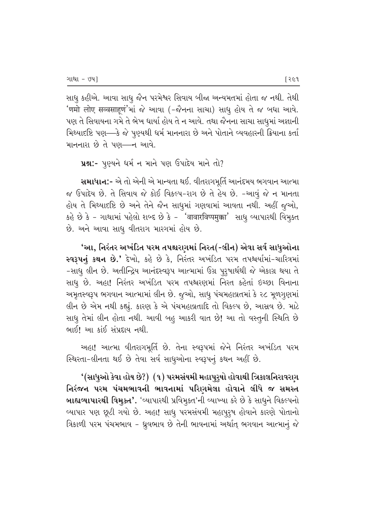સાધુ કહીએ. આવા સાધુ જૈન પરમેશ્વર સિવાય બીજા અન્યમતમાં હોતા જ નથી. તેથી 'णमो लोए सव्वसाहण'भां જે આવા (-જૈનના સાચા) સાધૂ હોય તે જ બધા આવે. પણ તે સિવાયના ગમે તે ભેખ ધાર્યા હોય તે ન આવે. તથા જૈનના સાચા સાધુમાં અજ્ઞાની મિથ્યાદષ્ટિ પણ—કે જે પુણ્યથી ધર્મ માનનારા છે અને પોતાને વ્યવહારની ક્રિયાના કર્તા માનનારા છે તે પણ—ન આવે.

\*\*\*\* 1992 124 124 124 124 PAR 2012

સમાધાન:- એ તો એની એ માન્યતા થઈ. વીતરાગમૂર્તિ આનંદમય ભગવાન આત્મા જ ઉપાદેય છે. તે સિવાય જે કોઈ વિકલ્પ-રાગ છે તે હેય છે. -આવું જે ન માનતા હોય તે મિથ્યાદષ્ટિ છે અને તેને જૈન સાધુમાં ગણવામાં આવતા નથી. અહીં જૂઓ, કહે છે કે - ગાથામાં પહેલો શબ્દ છે કે - 'वावारविप्पमुक्का' સાધુ વ્યાપારથી વિમુક્ત છે. અને આવા સાધુ વીતરાગ મારગમાં હોય છે.

'આ, નિરંતર અખંડિત પરમ તપશ્ચરણમાં નિરત(-લીન) એવા સર્વ સાધુઓના સ્વરૂપનું કથન છે.' દેખો, કહે છે કે, નિરંતર અખંડિત પરમ તપશ્ચર્યામાં-ચારિત્રમાં −સાધુ લીન છે. અતીન્દ્રિય આનંદસ્વરૂપ આત્મામાં ઉગ્ર પુરૂષાર્થથી જે એકાગ્ર થયા તે સાધૂ છે. અહા! નિરંતર અખંડિત પરમ તપશ્ચરણમાં નિરત કહેતાં ઇચ્છા વિનાના અમૃતસ્વરૂપ ભગવાન આત્મામાં લીન છે. જુઓ, સાધુ પંચમહાવ્રતમાં કે ૨૮ મૂળગુણમાં લીન છે એમ નથી કહ્યું. કારણ કે એ પંચમહાવ્રતાદિ તો વિકલ્પ છે, આસવ છે. માટે સાધુ તેમાં લીન હોતા નથી. આવી બહુ આકરી વાત છે! આ તો વસ્તુની સ્થિતિ છે ભાઈ! આ કાંઈ સંપ્રદાય નથી.

અહા! આત્મા વીતરાગમૂર્તિ છે. તેના સ્વરૂપમાં જેને નિરંતર અખંડિત પરમ સ્થિરતા-લીનતા થઈ છે તેવા સર્વ સાધુઓના સ્વરૂપનું કથન અહીં છે.

'(સાધુઓ કેવા હોય છે?) (૧) પરમસંયમી મહાપુરૃષો હોવાથી ત્રિકાલનિરાવરણ નિરંજન પરમ પંચમભાવની ભાવનામાં પરિણમેલા હોવાને લીધે જ સમસ્ત •⁄ આહ્યવ્યાપારથી વિમુક્ત'. 'વ્યાપારથી પ્રવિમુક્ત'ની વ્યાખ્યા કરે છે કે સાધુને વિકલ્પનો વ્યાપાર પણ છૂટી ગયો છે. અહા! સાધુ પરમસંયમી મહાપૂરૃષ હોવાને કારણે પોતાનો ત્રિકાળી પરમ પંચમભાવ - ધ્રુવભાવ છે તેની ભાવનામાં અર્થાત્ ભગવાન આત્માનું જે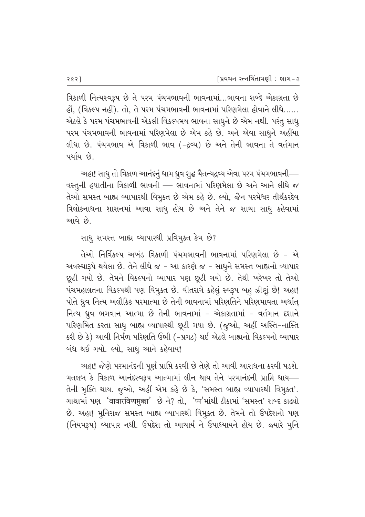aિકાળી નિત્યસ્વરૂપ છે તે પરમ પંચમભાવની ભાવનામાં…ભાવના શબ્દે એકાગ્રતા છે હોં, (વિકલ્પ નહીં). તો, તે પરમ પંચમભાવની ભાવનામાં પરિણમેલા હોવાને લીધે…… એટલે કે પરમ પંચમભાવની એકલી વિકલ્પમય ભાવના સાધુને છે એમ નથી. પરંતુ સાધુ પરમ પંચમભાવની ભાવનામાં પરિણમેલા છે એમ કહે છે. અને એવા સાધુને અહીંયા flધા છે. પંચમભાવ એ ત્રિકાળી ભાવ (-દ્રવ્ય) છે અને તેની ભાવના તે વર્તમાન પર્યાય છે.

અહા! સાધુ તો ત્રિકાળ આનંદનું ધામ ધ્રુવ શુદ્ધ ચૈતન્યદ્રવ્ય એવા પરમ પંચમભાવની— વસ્તુની હયાતીના ત્રિકાળી ભાવની — ભાવનામાં પરિણમેલા છે અને આને લીધે જ તેઓ સમસ્ત બાહ્ય વ્યાપારથી વિમૂક્ત છે એમ કહે છે. લ્યો, જૈન પરમેશ્વર તીર્થંકરદેવ વિલોકનાથના શાસનમાં આવા સાધુ હોય છે અને તેને જ સાચા સાધુ કહેવામાં આવે છે.

સાધુ સમસ્ત બાહ્ય વ્યાપારથી પ્રવિમુક્ત કેમ છે?

તેઓ નિર્વિકલ્પ અખંડ ત્રિકાળી પંચમભાવની ભાવનામાં પરિણમેલા છે - એ અવસ્થારૂપે થયેલા છે. તેને લીધે જ – આ કારણે જ – સાધુને સમસ્ત બાહ્યનો વ્યાપાર છૂટી ગયો છે. તેમને વિકલ્પનો વ્યાપાર પણ છૂટી ગયો છે. તેથી ખરેખર તો તેઓ પંચમહાવ્રતના વિકલ્પથી પણ વિમૂક્ત છે. વીતરાગે કહેલું સ્વરૂપ બહુ ઝીણું છે! અહા! પોતે ધ્રુવ નિત્ય અલૌકિક પરમાત્મા છે તેની ભાવનામાં પરિણતિને પરિણમાવતા અર્થાત્ fice ધ્રુવ ભગવાન આત્મા છે તેની ભાવનામાં - એકાગ્રતામાં - વર્તમાન દશાને પરિણમિત કરતા સાધુ બાહ્ય વ્યાપારથી છૂટી ગયા છે. (જુઓ, અહીં અસ્તિ-નાસ્તિ કરી છે કે) આવી નિર્મળ પરિણતિ ઉભી (-પ્રગટ) થઈ એટલે બાહ્યનો વિકલ્પનો વ્યાપાર બંધ થઈ ગયો. લ્યો, સાધુ આને કહેવાય!

અહા! જેણે પરમાનંદની પૂર્ણ પ્રાપ્તિ કરવી છે તેણે તો આવી આરાધના કરવી પડશે. મતલબ કે ત્રિકાળ આનંદસ્વરૂપ આત્મામાં લીન થાય તેને પરમાનંદની પ્રાપ્તિ થાય— તેની મુક્તિ થાય. જુઓ, અહીં એમ કહે છે કે, 'સમસ્ત બાહ્ય વ્યાપારથી વિમુક્ત'. ગાથામાં પણ 'वावारविप्पमुक्का' છે ને? તો, 'प्प'માંથી ટીકામાં 'સમસ્ત' શબ્દ કાઢ્યો છે. અહા! મુનિરાજ સમસ્ત બાહ્ય વ્યાપારથી વિમૂક્ત છે. તેમને તો ઉપદેશનો પણ (નિયમરૂપ) વ્યાપાર નથી. ઉપદેશ તો આચાર્ય ને ઉપાધ્યાયને હોય છે. જ્યારે મૂનિ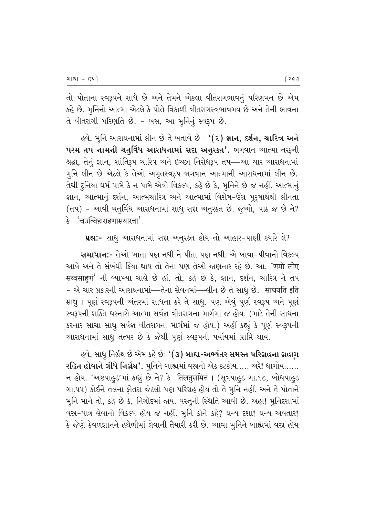તો પોતાના સ્વરૂપને સાધે છે અને તેમને એકલા વીતરાગભાવનું પરિણમન છે એમ કહે છે. મુનિનો આત્મા એટલે કે પોતે ત્રિકાળી વીતરાગસ્વભાવમય છે અને તેની ભાવના તે વીતરાગી પરિણતિ છે. - બસ, આ મુનિનું સ્વરૂપ છે.

હવે, મુનિ આરાધનામાં લીન છે તે બતાવે છે : **'(૨) જ્ઞાન, દર્શન, ચારિત્ર અને** પરમ તપ નામની ચતુર્વિધ આરાધનામાં સદા અનુરક્ત'. ભગવાન આત્મા તરફની શ્રદ્ધા, તેનું જ્ઞાન, શાંતિરૂપ ચારિત્ર અને ઇચ્છા નિરોધરૂપ તપ—આ ચાર આરાધનામાં મુનિ લીન છે એટલે કે તેઓ અમૃતસ્વરૂપ ભગવાન આત્માની આરાધનામાં લીન છે. તેથી દુનિયા ધર્મ પામે કે ન પામે એવો વિકલ્પ, કહે છે કે, મુનિને છે જ નહીં. આત્માનું જ્ઞાન, આત્માનું દર્શન, આત્મચારિત્ર અને આત્મામાં વિશેષ-ઉગ્ર પુરૂષાર્થથી લીનતા (તપ) - આવી ચતુર્વિધ આરાધનામાં સાધુ સદા અનુરક્ત છે. જુઓ, પાઠ જ છે ને? <u> ३ 'चउब्बिहाराहणासयारत्ता'.</u>

પ્રશ્ન:- સાધુ આરાધનામાં સદ્દા અનુરક્ત હોય તો આહાર-પાણી ક્યારે લે?

**સમાધાન:**- તેઓ ખાતા પણ નથી ને પીતા પણ નથી. એ ખાવા-પીવાનો વિકલ્પ આવે અને તે સંબંધી ક્રિયા થાય તો તેના પણ તેઓ જણનાર રહે છે. આ, 'णमो लोए सव्वसाहणं' ની વ્યાખ્યા ચાલે છે હોં. તો, કહે છે કે, જ્ઞાન, દર્શન, ચારિત્ર ને તપ - એ ચાર પ્રકારની આરાધનામાં—તેના સેવનમાં—લીન છે તે સાધૂ છે. साधयति इति साधु । પૂર્ણ સ્વરૂપની અંતરમાં સાધના કરે તે સાધુ. પણ એવું પૂર્ણ સ્વરૂપ અને પૂર્ણ સ્વરૂપની શક્તિ ધરનારો આત્મા સર્વજ્ઞ વીતરાગના માર્ગમાં જ હોય. (માટે તેની સાધના કરનાર સાચા સાધૂ સર્વજ્ઞ વીતરાગના માર્ગમાં જ હોય.) અહીં કહ્યું કે પૂર્ણ સ્વરૂપની આરાધનામાં સાધુ તત્પર છે કે જેથી પૂર્ણ સ્વરૂપની પર્યાયમાં પ્રાપ્તિ થાય.

હવે, સાધુ નિર્ગ્રંથ છે એમ કહે છેઃ '(૩) **બાહ્ય-અભ્યંતર સમસ્ત પરિગ્રહના ગ્રહાગ** રહિત હોવાને લીધે નિર્ગ્રંથ'. મુનિને બાહ્યમાં વસ્ત્રનો એક કટકોય..... અરે! ધાગોય...... ન હોય. 'અષ્ટપાહુડ'માં કહ્યું છે ને? કે तिलतुसमित्तं । (સૂત્રપાહુડ ગા.૧૮, બોધપાહુડ ગા.૫૫) કોઈને તલના ફોતરા જેટલો પણ પરિગ્રહ હોય તો તે મુનિ નહીં. અને તે પોતાને મુનિ માને તો, કહે છે કે, નિગોદમાં જાય. વસ્તુની સ્થિતિ આવી છે. અહા! મુનિદશામાં વસ્ત્ર-પાત્ર લેવાનો વિકલ્પ હોય જ નહીં. મુનિ કોને કહે? ધન્ય દશા! ધન્ય અવતાર! કે જેણે કેવળજ્ઞાનને હથેળીમાં લેવાની તૈયારી કરી છે. આવા મુનિને બાહ્યમાં વસ્ર હોય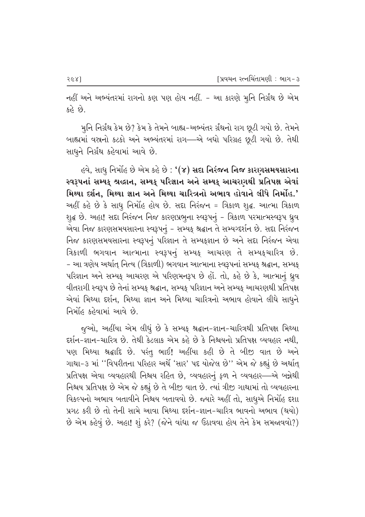નહીં અને અભ્યંતરમાં રાગનો કણ પણ હોય નહીં. - આ કારણે મુનિ નિર્ગ્રંથ છે એમ કહે છે.

મુનિ નિર્ગ્રંથ કેમ છે? કેમ કે તેમને બાહ્ય–અભ્યંતર ર્ગ્રંથનો રાગ છૂટી ગયો છે. તેમને બાહ્યમાં વસ્ત્રનો કટકો અને અભ્યંતરમાં રાગ—એ બધો પરિગ્રહ છૂટી ગયો છે. તેથી સાધુને નિર્ગ્રંથ કહેવામાં આવે છે.

હવે, સાધુ નિર્મોહ છે એમ કહે છે : '(૪) સદા નિરંજન નિજ કારણસમયસારના સ્વરૂપનાં સમ્યક્ શ્રહ્માન, સમ્યક્ પરિજ્ઞાન અને સમ્યક્ આચરણથી પ્રતિપક્ષ એવાં મિથ્યા દર્શન, મિથ્યા જ્ઞાન અને મિથ્યા ચારિત્રનો અભાવ હોવાને લીધે નિર્મોહ.' અહીં કહે છે કે સાધૂ નિર્મોહ હોય છે. સદા નિરંજન = ત્રિકાળ શુદ્ધ. આત્મા ત્રિકાળ શુદ્ધ છે. અહા! સદા નિરંજન નિજ કારણપ્રભુના સ્વરૂપનું – ત્રિકાળ પરમાત્મસ્વરૂપ ઘ્રુવ એવા નિજ કારણસમયસારના સ્વરૂપનું – સમ્યક્ શ્રદ્ધાન તે સમ્યગ્દર્શન છે. સદા નિરંજન flજ કારણસમયસારના સ્વરૂપનું પરિજ્ઞાન તે સમ્યક્જ્ઞાન છે અને સદા નિરંજન એવા ત્રિકાળી ભગવાન આત્માના સ્વરૂપનું સમ્યક્ આચરણ તે સમ્યક્ચારિત્ર છે. - આ ત્રણેય અર્થાત્ નિત્ય (ત્રિકાળી) ભગવાન આત્માના સ્વરૂપનાં સમ્યફ શ્રદ્ઘાન, સમ્યક્ પરિજ્ઞાન અને સમ્યક્ આચરણ એ પરિણમનરૂપ છે હોં. તો, કહે છે કે, આત્માનું ઘ્રુવ વીતરાગી સ્વરૂપ છે તેનાં સમ્યક્ શ્રદ્ધાન, સમ્યક્ પરિજ્ઞાન અને સમ્યક્ આચરણથી પ્રતિપક્ષ એવાં મિથ્યા દર્શન, મિથ્યા જ્ઞાન અને મિથ્યા ચારિત્રનો અભાવ હોવાને લીધે સાધુને નિર્મોહ કહેવામાં આવે છે.

જુઓ, અહીંયા એમ લીધું છે કે સમ્યક્ શ્રદ્ધાન-જ્ઞાન-ચારિત્રથી પ્રતિપક્ષ મિથ્યા દર્શન-જ્ઞાન-ચારિત્ર છે. તેથી કેટલાક એમ કહે છે કે નિશ્ચયનો પ્રતિપક્ષ વ્યવહાર નથી. પણ મિથ્યા શ્રદ્ધાદિ છે. પરંતુ ભાઈ! અહીંયા કહી છે તે બીજી વાત છે અને ગાથા-૩ માં ''વિપરીતના પરિહાર અર્થે 'સાર' પદ યોજેલ છે'' એમ જે કહ્યું છે અર્થાત્ પ્રતિપક્ષ એવા વ્યવહારથી નિશ્ચય રહિત છે, વ્યવહારનું ફળ ને વ્યવહાર—એ બન્નેથી નિશ્ચય પ્રતિપક્ષ છે એમ જે કહ્યું છે તે બીજી વાત છે. ત્યાં ત્રીજી ગાથામાં તો વ્યવહારના વિકલ્પનો અભાવ બતાવીને નિશ્ચય બતાવવો છે. જ્યારે અહીં તો, સાધુએ નિર્મોહ દશા પ્રગટ કરી છે તો તેની સામે આવા મિથ્યા દર્શન-જ્ઞાન-ચારિત્ર ભાવનો અભાવ (થયો)  $\hat{\mathcal{B}}$  એમ કહેવું છે. અહા! શું કરે? (જેને વાંધા જ ઉઠાવવા હોય તેને કેમ સમજાવવો?)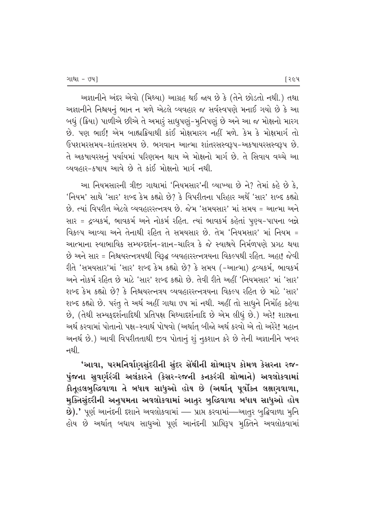અજ્ઞાનીને અંદર એવો (મિથ્યા) આગ્રહ થઈ જાય છે કે (તેને છોડતો નથી.) તથા અજ્ઞાનીને નિશ્ચયનું ભાન ન મળે એટલે વ્યવહાર જ સર્વસ્વપણે મનાઈ ગયો છે કે આ બધું (ક્રિયા) પાળીએ છીએ તે અમારૂં સાધુપણું-મૂનિપણું છે અને આ જ મોક્ષનો મારગ છે. પણ ભાઈ! એમ બાહ્યક્રિયાથી કાંઈ મોક્ષમારગ નહીં મળે. કેમ કે મોક્ષમાર્ગ તો & ઉપશમરસમય-શાંતરસમય છે. ભગવાન આત્મા શાંતરસસ્વરૂપ-અકષાયરસસ્વરૂપ છે. તે અકષાયરસનું પર્યાયમાં પરિણમન થાય એ મોક્ષનો માર્ગ છે. તે સિવાય વચ્ચે આ <u>વ્યવહાર-કષાય આવે છે તે કાંઈ મોક્ષનો માર્ગ નથી.</u>

આ નિયમસારની ત્રીજી ગાથામાં 'નિયમસાર'ની વ્યાખ્યા છે ને? તેમાં કહે છે કે. 'નિયમ' સાથે 'સાર' શબ્દ કેમ કહ્યો છે? કે વિપરીતના પરિહાર અર્થે 'સાર' શબ્દ કહ્યો છે. ત્યાં વિપરીત એટલે વ્યવહારરત્નત્રય છે. જેમ 'સમયસાર' માં સમય = આત્મા અને સાર = દ્રવ્યકર્મ, ભાવકર્મ અને નોકર્મ રહિત. ત્યાં ભાવકર્મ કહેતાં પુણ્ય-પાપના બન્ને વિકલ્પ આવ્યા અને તેનાથી રહિત તે સમયસાર છે. તેમ 'નિયમસાર' માં નિયમ = આત્માના સ્વાભાવિક સમ્યગ્દર્શન–જ્ઞાન–ચારિત્ર કે જે સ્વાશ્રયે નિર્મળપણે પ્રગટ થયા છે અને સાર = નિશ્ચયરત્નત્રયથી વિરૂદ્ઘ વ્યવહારરત્નત્રયના વિકલ્પથી રહિત. અહા! જેવી રીતે 'સમયસાર'માં 'સાર' શબ્દ કેમ કહ્યો છે? કે સમય (-આત્મા) દ્રવ્યકર્મ. ભાવકર્મ #–P –⁄PQ¶E› Tfiqs cflP E⁄SP¶ "Æ⁄T' ∞≈¡¶ Q¶˘⁄P cflP. sP'] T]sP #q]> "fi–•EÆ⁄T' E⁄˜ "Æ⁄T' ્શબ્દ કેમ કહ્યો છે? કે નિશ્ચયરત્નત્રય વ્યવહારરત્નત્રયના વિકલ્પ રહિત છે માટે 'સાર' શબ્દ કહ્યો છે. પરંતુ તે અર્થ અહીં ગાથા ૭૫ માં નથી. અહીં તો સાધુને નિર્મોહ કહેવા છે, (તેથી સમ્યકુદર્શનાદિથી પ્રતિપક્ષ મિથ્યાદર્શનાદિ છે એમ લીધું છે.) અરે! શાસ્રના અર્થ કરવામાં પોતાનો પક્ષ-સ્વાર્થ પોષવો (અર્થાત બીજો અર્થ કરવો એ તો અરેરે! મહાન અનર્થ છે.) આવી વિપરીતતાથી જીવ પોતાનું શું નકશાન કરે છે તેની અજ્ઞાનીને ખબર નથી. $\overline{\phantom{a}}$ 

'આવા, પરમનિર્વાણસુંદરીની સુંદર સેંથીની શોભારૂપ કોમળ કેસરના રજ-પુંજના સુવર્ણરંગી અલંકારને (કેસર-રજની કનકરંગી શોભાને) અવલોકવામાં  $\hat{\mathfrak{sl}}$ તુહલબુદ્ધિવાળા તે બધાય સાધુઓ હોય છે (અર્થાત્ પૂર્વોક્ત લક્ષણવાળા, મુક્તિસુંદરીની અનુપમતા અવલોકવામાં આતુર બુદ્ધિવાળા બધાય સાધુઓ હોય B).' પૂર્ણ આનંદની દશાને અવલોકવામાં — પ્રાપ્ત કરવામાં—આતુર બુદ્ધિવાળા મુનિ હોય છે અર્થાત્ બધાય સાધુઓ પૂર્ણ આનંદની પ્રાપ્તિરૂપ મુક્તિને અવલોકવામાં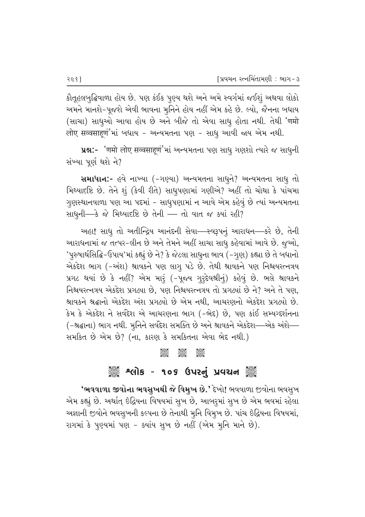કૌતૂહલબુદ્ધિવાળા હોય છે. પણ કંઈક પુણ્ય થશે અને અમે સ્વર્ગમાં જઈશું અથવા લોકો અમને માનશે-પૂજશે એવી ભાવના મૂનિને હોય નહીં એમ કહે છે. લ્યો, જૈનના બધાય (સાચા) સાધુઓ આવા હોય છે અને બીજે તો એવા સાધુ હોતા નથી. તેથી 'णमो लोए सव्वसाहणं'मां બધાય - અન્યમતના પણ - સાધૂ આવી જાય એમ નથી.

¥8:- 'णमो लोए सव्वसाहणं'भां અन्यभतना पણ સાધુ ગણશો ત્યારે જ સાધુની સંખ્યા પૂર્ણ થશે ને?

સમાધાન:- હવે નાખ્યા (-ગણ્યા) અન્યમતના સાધૂને? અન્યમતના સાધૂ તો fiPઆદષ્ટિ છે. તેને શું (કેવી રીતે) સાધુપણામાં ગણીએ? અહીં તો ચોથા કે પાંચમા ગુણસ્થાનવાળા પણ આ પદમાં - સાધુપણામાં ન આવે એમ કહેવું છે ત્યાં અન્યમતના સાધુની—કે જે મિથ્યાદષ્ટિ છે તેની — તો વાત જ ક્યાં રહી?

અહા! સાધુ તો અતીન્દ્રિય આનંદની સેવા—સ્વરૂપનું આરાધન—કરે છે, તેની આરાધનામાં જ તત્પર-લીન છે અને તેમને અહીં સાચા સાધુ કહેવામાં આવે છે. જુઓ, 'પૂરુષાર્થસિદ્ધિ-ઉપાય'માં કહ્યું છે ને? કે જેટલા સાધુના ભાવ (–ગુણ) કહ્યા છે તે બધાનો એકદેશ ભાગ (-અંશ) શ્રાવકને પણ લાગૃ પડે છે. તેથી શ્રાવકને પણ નિશ્વયરત્નત્રય પ્રગટ થયાં છે કે નહીં? એમ મારૂં (-પૂજ્ય ગુરૂદેવશ્રીનું) કહેવું છે. ભલે શ્રાવકને fi42 - Favor Haver Book 2012 to the Review of the Pays and the pays . <sup>9</sup> શ્રાવકને શ્રદ્ધાનો એકદેશ અંશ પ્રગટ્યો છે એમ નથી. આચરણનો એકદેશ પ્રગટ્યો છે. કેમ કે એકદેશ ને સર્વદેશ એ આચરણના ભાગ (−ભેદ) છે, પણ કાંઈ સમ્યગ્દર્શનના  $($ –શ્રદ્ધાના) ભાગ નથી. મૃનિને સર્વદેશ સમક્તિ છે અને શ્રાવકને એકદેશ—-એક અંશે—– સમકિત છે એમ છે? (ના, કારણ કે સમકિતના એવા ભેદ નથી.)

#### ter 1996 1996<br>C C C C

## ેં શ્લોક - ૧૦૬ ઉપરનું પ્રવચન ૅં

'ભવવાળા જીવોના ભવસુખથી જે વિમુખ છે.' દેખો! ભવવાળા જીવોના ભવસુખ એમ કહ્યું છે. અર્થાત્ ઇંદ્રિયના વિષયમાં સુખ છે, આબરૂમાં સુખ છે એમ ભવમાં રહેલા અજ્ઞાની જીવોને ભવસુખની કલ્પના છે તેનાથી મુનિ વિમૂખ છે. પાંચ ઇંદ્રિયના વિષયમાં, રાગમાં કે પુણ્યમાં પણ - ક્યાંય સૂખ છે નહીં (એમ મુનિ માને છે).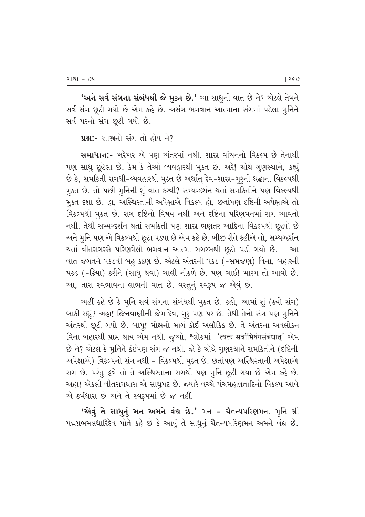**'અને સર્વ સંગના સંબંધથી જે મુક્ત છે.'** આ સાધુની વાત છે ને? એટલે તેમને સર્વ સંગ છૂટી ગયો છે એમ કહે છે. અસંગ ભગવાન આત્માના સંગમાં પડેલા મુનિને સર્વ પરનો સંગ છૂટી ગયો છે.

```
પ્રશ્ન:- શાસનો સંગ તો હોય ને?
```
સમાધાન:- ખરેખર એ પણ અંતરમાં નથી. શાસ્ર વાંચનનો વિકલ્પ છે તેનાથી પણ સાધુ છૂટેલા છે. કેમ કે તેઓ વ્યવહારથી મુક્ત છે. અરે! ચોથે ગુણસ્થાને, કહ્યું છે કે, સમકિતી રાગથી-વ્યવહારથી મુક્ત છે અર્થાત્ દેવ-શાસ્ર-ગુરૂની શ્રદ્ધાના વિકલ્પથી મુક્ત છે. તો પછી મુનિની શું વાત કરવી? સમ્યગ્દર્શન થતાં સમકિતીને પણ વિકલ્પથી મૂકત દશા છે. હા, અસ્થિરતાની અપેક્ષાએ વિકલ્પ હો, છતાંપણ દષ્ટિની અપેક્ષાએ તો વિકલ્પથી મુકત છે. રાગ દષ્ટિનો વિષય નથી અને દષ્ટિના પરિણમનમાં રાગ આવતો નથી. તેથી સમ્યગ્દર્શન થતાં સમકિતી પણ શાસ્ર ભણતર આદિના વિકલ્પથી છૂત્યો છે અને મૃનિ પણ એ વિકલ્પથી છૂટા પડ્યા છે એમ કહે છે. બીજી રીતે કહીએ તો, સમ્યગ્દર્શન થતાં વીતરાગરસે પરિણમેલો ભગવાન આત્મા રાગરસથી છૂટો પડી ગયો છે. - આ વાત જગતને પકડવી બહુ કઠણ છે. એટલે અંતરની પકડ (-સમજણ) વિના, બહારની પકડ (-ક્રિયા) કરીને (સાધુ થવા) ચાલી નીકળે છે. પણ ભાઈ! મારગ તો આવો છે. આ, તારા સ્વભાવના લાભની વાત છે. વસ્તુનું સ્વરૂપ જ એવું છે.

અહીં કહે છે કે મૂનિ સર્વ સંગના સંબંધથી મૂક્ત છે. કહો, આમાં શું (ક્યો સંગ) બાકી રહ્યું? અહા! જિનવાણીની જેમ દેવ, ગુરૂ પણ પર છે. તેથી તેનો સંગ પણ મુનિને અંતરથી છૂટી ગયો છે. બાપુ! મોક્ષનો માર્ગ કોઈ અલૌકિક છે. તે અંતરના અવલોકન વિના બહારથી પ્રાપ્ત થાય એમ નથી. જુઓ, શ્લોકમાં 'त्यक्तं सर्वाभिषंगसंबंधात्' એમ છે ને? એટલે કે મુનિને કંઈપણ સંગ જ નથી. જો કે ચોથે ગુણસ્થાને સમકિતીને (દષ્ટિની અપેક્ષાએ) વિકલ્પનો સંગ નથી - વિકલ્પથી મૂક્ત છે. છતાંપણ અસ્થિરતાની અપેક્ષાએ રાગ છે. પરંતુ હવે તો તે અસ્થિરતાના રાગથી પણ મૂનિ છૂટી ગયા છે એમ કહે છે. અહા! એકલી વીતરાગધારા એ સાધુપદ છે. જ્યારે વચ્ચે પંચમહાવ્રતાદિનો વિકલ્પ આવે એ કર્મધારા છે અને તે સ્વરૂપમાં છે જ નહીં.

'એવું તે સાધુનું મન અમને વંદ્ય છે.' મન = ચૈતન્યપરિણમન. મુનિ શ્રી પદ્મપ્રભમલધારિદેવ પોતે કહે છે કે આવું તે સાધુનું ચૈતન્યપરિણમન અમને વંદ્ય છે.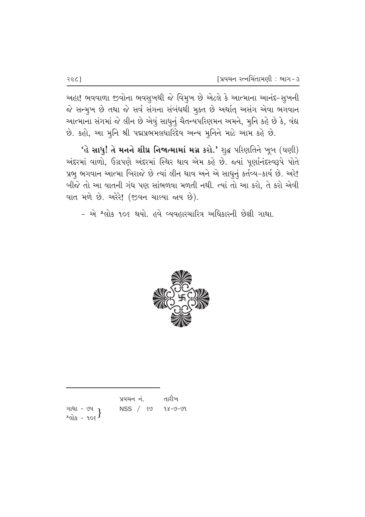અહા! ભવવાળા જીવોના ભવસુખથી જે વિમુખ છે એટલે કે આત્માના આનંદ-સુખની જે સન્મુખ છે તથા જે સર્વ સંગના સંબંધથી મુક્ત છે અર્થાત્ અસંગ એવા ભગવાન આત્માના સંગમાં જે લીન છે એવું સાધુનું ચૈતન્યપરિણમન અમને, મુનિ કહે છે કે, વંદ્ય છે. કહો, આ મુનિ શ્રી પદ્મપ્રભમલધારિદેવ અન્ય મુનિને માટે આમ કહે છે.

'હે સાધુ! તે મનને શીઘ્ર નિજાત્મામાં મગ્ન કરો.' શુદ્ધ પરિણતિને ખૂબ (ઘણી) અંદરમાં વાળો, ઉગ્રપણે અંદરમાં સ્થિર થાવ એમ કહે છે. જ્યાં પૂર્ણાનંદસ્વરૂપે પોતે પ્રભુ ભગવાન આત્મા બિરાજે છે ત્યાં લીન થાવ અને એ સાધુનું કર્તવ્ય-કાર્ય છે. અરે! બીજે તો આ વાતની ગંધ પણ સાંભળવા મળતી નથી. ત્યાં તો આ કરો, તે કરો એવી વાત મળે છે. અરેરે! (જીવન ચાલ્યા જાય છે).

- એ શ્લોક ૧૦૬ થયો. હવે વ્યવહારચારિત્ર અધિકારની છેલ્રી ગાથા.



|                                             | પ્રવચન નં. | તારીખ   |
|---------------------------------------------|------------|---------|
| ગાથા - ૭૫ <sub>1</sub><br>$2$ and $s - 906$ | NSS / 80   | १४–७–७१ |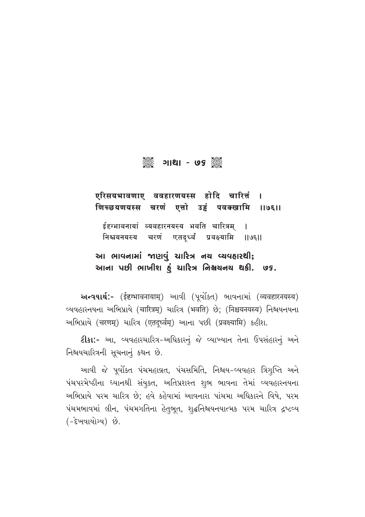# $\frac{1}{2}$  - 76  $\frac{1}{2}$  - 76  $\frac{1}{2}$

# एरिसयभावणाए ववहारणयस्स होदि चारित्तं । णिच्छयणयस्स चरणं एत्तो उड्ढं पवक्खामि ॥७६॥

ईद्दग्भावनायां व्यवहारनयस्य भवति चारित्रम् **|** निश्चयनयस्य चरणं एतदूर्ध्वं प्रवक्ष्यामि ॥७६॥

## આ ભાવનામાં જાણવું ચારિત્ર નચ વ્યવહારથી; આના પછી ભાખીશ હું ચારિત્ર નિશ્ચયનચ થકી. *७૬*.

અन्વયાર્થ:- (ईद्दग्भावनायाम्) આવી (પૂર્વોક્ત) ભાવનામાં (व्यवहारनयस्य) વ્યવહારનયના અભિપ્રાયે (चारित्रम्) ચારિત્ર (भवति) છે; (निश्चयनयस्य) નિશ્ચયનયના અભિપ્રાયે (चरणम्) ચારિત્ર (एतदूर्ध्वम्) આના પછી (प्रवक्ष्यामि) કહીશ.

zlsı:- આ, વ્યવહારચારિત્ર-અધિકારનું જે વ્યાખ્યાન તેના ઉપસંહારનું અને નિશ્ચયચારિત્રની સુચનાનું કથન છે.

આવી જે પૂર્વોક<sub>ં</sub>ત પંચમહાવ્રત, પંચસમિતિ, નિશ્ચય−વ્યવહાર ત્રિગુપ્તિ અને પંચપરમેષ્ઠીના ધ્યાનથી સંયુક્ત, અતિપ્રશસ્ત શુભ ભાવના તેમાં વ્યવહારનયના અભિપ્રાયે પરમ ચારિત્ર છે; હવે કહેવામાં આવનારા પાંચમા અધિકારને વિષે, પરમ પંચમભાવમાં લીન, પંચમગતિના હેતુભૂત, શૃદ્ધનિશ્ચયનયાત્મક પરમ ચારિત્ર દ્રષ્ટવ્ય (-દેખવાયોગ્ય) છે.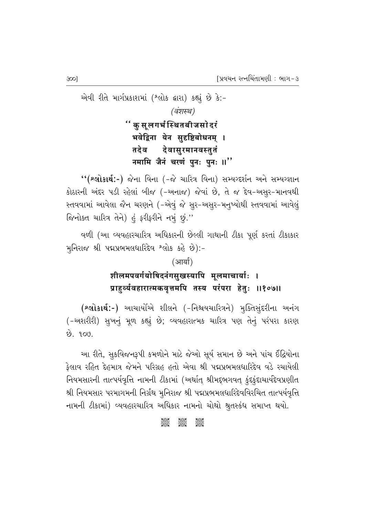એવી રીતે માર્ગપ્રકાશમાં (શ્લોક દ્વારા) કહ્યું છે કે:-(वंशस्थ) '' क स लगर्भ स्थितबीजसो दरं भवेद्विना येन सुदृष्टिबोधनम् । देवासुरमानवस्तुतं तदेव नमामि जैनं चरणं पुनः पुनः ॥"

"(શ્લોકાર્થ:-) જેના વિના (-જે ચારિત્ર વિના) સમ્યગ્દર્શન અને સમ્યગ્જ્ઞાન કોઠારની અંદર પડી રહેલાં બીજ (-અનાજ) જેવાં છે, તે જ દેવ-અસૂર-માનવથી સ્તવવામાં આવેલા જૈન ચરણને (-એવું જે સુર-અસુર-મનુષ્યોથી સ્તવવામાં આવેલું જિનોક્ત ચારિત્ર તેને) હું ફરીફરીને નમું છું."

વળી (આ વ્યવહારચારિત્ર અધિકારની છેલ્લી ગાથાની ટીકા પૂર્ણ કરતાં ટીકાકાર મુનિરાજ શ્રી પદ્મપ્રભમલધારિદેવ શ્લોક કહે છે):-

#### (आर्या)

# शीलमपवर्गयोषिदनंगसुखस्यापि मुलमाचार्याः । प्राहुर्व्यवहारात्मकवृत्तमपि तस्य परंपरा हेतुः ॥१०७॥

(શ્લોકાર્થ:-) આચાર્યોએ શીલને (-નિશ્ચયચારિત્રને) મૂક્તિસુંદરીના અનંગ (-અશરીરી) સુખનું મૂળ કહ્યું છે; વ્યવહારાત્મક ચારિત્ર પણ તેનું પરંપરા કારણ  $69.909.$ 

આ રીતે, સૂકવિજનરૂપી કમળોને માટે જેઓ સૂર્ય સમાન છે અને પાંચ ઈંદ્રિયોના ફેલાવ રહિત દેહમાત્ર જેમને પરિગ્રહ હતો એવા શ્રી પદ્મપ્રભમલધારિદેવ વડે રચાયેલી નિયમસારની તાત્પર્યવૃત્તિ નામની ટીકામાં (અર્થાત્ શ્રીમદ્દભગવત્ કુંદકુંદાચાર્યદેવપ્રણીત શ્રી નિયમસાર પરમાગમની નિર્ગ્રંથ મુનિરાજ શ્રી પદ્મપ્રભમલધારિદેવવિરચિત તાત્પર્યવૃત્તિ નામની ટીકામાં) વ્યવહારચારિત્ર અધિકાર નામનો ચોથો શ્રુતસ્કંધ સમાપ્ત થયો.

#### asse<br>Sese **3685**  $\frac{1}{2}$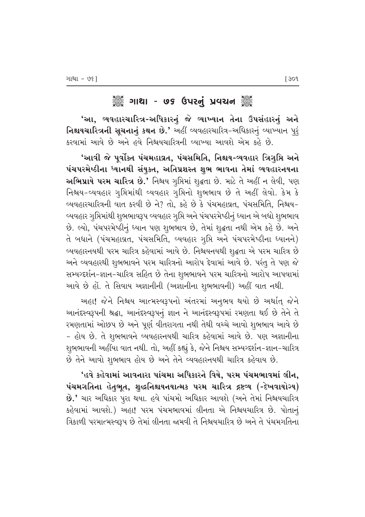# ુઁિંગાથા - ७૬ ઉપરનું પ્રવચન ૅુ

'આ, વ્યવહારચારિત્ર-અધિકારનું જે વ્યાખ્યાન તેના ઉપસંહારનું અને **નિશ્ચયચારિત્રની સુચનાનું કથન છે.'** અહીં વ્યવહારચારિત્ર-અધિકારનું વ્યાખ્યાન પુર્ કરવામાં આવે છે અને હવે નિશ્ચયચારિત્રની વ્યાખ્યા આવશે એમ કહે છે.

'આવી જે પૂર્વોક્ત પંચમહાવ્રત, પંચસમિતિ, નિશ્ચય-વ્યવહાર ત્રિગૃપ્તિ અને પંચપરમેષ્ઠીના ધ્યાનથી સંયુક્ત, અતિપ્રશસ્ત શુભ ભાવના તેમાં વ્યવહારનયના અ**ભિપ્રાયે પરમ ચારિત્ર છે.'** નિશ્ચય ગૃપ્તિમાં શુદ્ધતા છે. માટે તે અહીં ન લેવી, પણ નિશ્ચય-વ્યવહાર ગૃપ્તિમાંથી વ્યવહાર ગૃપ્તિનો શુભભાવ છે તે અહીં લેવો. કેમ કે વ્યવહારચારિત્રની વાત કરવી છે ને? તો, કહે છે કે પંચમહાવ્રત, પંચસમિતિ, નિશ્ચય− વ્યવહાર ગુપ્તિમાંથી શુભભાવરૂપ વ્યવહાર ગુપ્તિ અને પંચપરમેષ્ઠીનું ધ્યાન એ બધો શુભભાવ છે. લ્યો, પંચપરમેષ્ઠીનું ધ્યાન પણ શુભભાવ છે, તેમાં શુદ્ધતા નથી એમ કહે છે. અને તે બધાને (પંચમહાવ્રત, પંચસમિતિ, વ્યવહાર ગુપ્તિ અને પંચપરમેષ્ઠીના ધ્યાનને) વ્યવહારનયથી પરમ ચારિત્ર કહેવામાં આવે છે. નિશ્ચયનયથી શૃદ્ધતા એ પરમ ચારિત્ર છે અને વ્યવહારથી શુભભાવને પરમ ચારિત્રનો આરોપ દેવામાં આવે છે. પરંતુ તે પણ જે સમ્યગ્દર્શન-જ્ઞાન-ચારિત્ર સહિત છે તેના શુભભાવને પરમ ચારિત્રનો આરોપ આપવામાં આવે છે હોં. તે સિવાય અજ્ઞાનીની (અજ્ઞાનીના શુભભાવની) અહીં વાત નથી.

અહા! જેને નિશ્ચય આત્મસ્વરૂપનો અંતરમાં અનુભવ થયો છે અર્થાત્ જેને આનંદસ્વરૂપની શ્રદ્ધા, આનંદસ્વરૂપનું જ્ઞાન ને આનંદસ્વરૂપમાં રમણતા થઈ છે તેને તે રમણતામાં ઓછપ છે અને પૂર્ણ વીતરાગતા નથી તેથી વચ્ચે આવો શુભભાવ આવે છે - હોય છે. તે શુભભાવને વ્યવહારનયથી ચારિત્ર કહેવામાં આવે છે. પણ અજ્ઞાનીના શૃભભાવની અહીંયા વાત નથી. તો, અહીં કહ્યું કે, જેને નિશ્ચય સમ્યગ્દર્શન-જ્ઞાન-ચારિત્ર છે તેને આવો શુભભાવ હોય છે અને તેને વ્યવહારનયથી ચારિત્ર કહેવાય છે.

'હવે કહેવામાં આવનારા પાંચમા અધિકારને વિષે, પરમ પંચમભાવમાં લીન, પંચમગતિના હેતુભૃત, શુદ્ધનિશ્ચયનયાત્મક પરમ ચારિત્ર દ્રષ્ટવ્ય (-દેખવાયોગ્ય) છે.' ચાર અધિકાર પુરા થયા. હવે પાંચમો અધિકાર આવશે (અને તેમાં નિશ્ચયચારિત્ર કહેવામાં આવશે.) અહા! પરમ પંચમભાવમાં લીનતા એ નિશ્ચયચારિત્ર છે. પોતાનું ત્રિકાળી પરમાત્મસ્વરૂપ છે તેમાં લીનતા જામવી તે નિશ્ચયચારિત્ર છે અને તે પંચમગતિના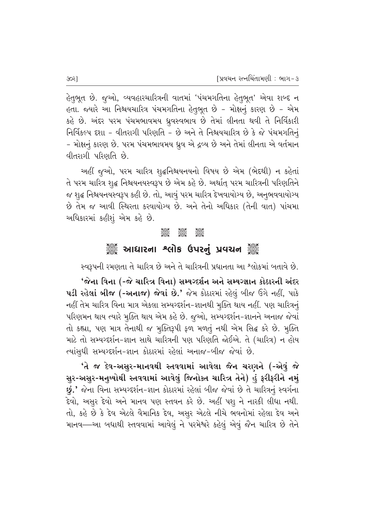હેતુભૂત છે. જુઓ, વ્યવહારચારિત્રની વાતમાં 'પંચમગતિના હેતુભૂત' એવા શબ્દ ન હતા. જ્યારે આ નિશ્ચયચારિત્ર પંચમગતિના હેતુભૂત છે – મોક્ષનું કારણ છે – એમ કહે છે. અંદર પરમ પંચમભાવમય ધ્રૂવસ્વભાવ છે તેમાં લીનતા થવી તે નિર્વિકારી નિર્વિકલ્પ દશા - વીતરાગી પરિણતિ - છે અને તે નિશ્ચયચારિત્ર છે કે જે પંચમગતિનું – મોક્ષનું કારણ છે. પરમ પંચમભાવમય ધ્રુવ એ દ્રવ્ય છે અને તેમાં લીનતા એ વર્તમાન વીતરાગી પરિણતિ છે.

અહીં જુઓ, પરમ ચારિત્ર શુદ્ધનિશ્ચયનયનો વિષય છે એમ (ભેદથી) ન કહેતાં તે પરમ ચારિત્ર શુદ્ધ નિશ્ચયનયસ્વરૂપ છે એમ કહે છે. અર્થાત્ પરમ ચારિત્રની પરિણતિને જ શુદ્ધ નિશ્ચયનયસ્વરૂપ કહી છે. તો, આવું પરમ ચારિત્ર દેખવાયોગ્ય છે, અનુભવવાયોગ્ય છે તેમ જ આવી સ્થિરતા કરવાયોગ્ય છે. અને તેનો અધિકાર (તેની વાત) પાંચમા આધિકારમાં કહીશું એમ કહે છે.

#### J995 J995 J995<br>Cose Cose Cose

# ેૢૢૺ૾ આધારના શ્લોક ઉપરનું પ્રવચન ૅું

સ્વરૂપની રમણતા તે ચારિત્ર છે અને તે ચારિત્રની પ્રધાનતા આ શ્લોકમાં બતાવે છે.

'જેના વિના (-જે ચારિત્ર વિના) સમ્યગ્દર્શન અને સમ્યગ્જ્ઞાન કોઠારની અંદર પડી રહેલાં બીજ (-અનાજ) જેવાં છે.' જેમ કોઠારમાં રહેલું બીજ ઉગે નહીં, પાકે નહીં તેમ ચારિત્ર વિના માત્ર એકલા સમ્યગ્દર્શન−જ્ઞાનથી મૂક્તિ થાય નહીં. પણ ચારિત્રનું પરિણમન થાય ત્યારે મુક્તિ થાય એમ કહે છે. જુઓ, સમ્યગ્દર્શન-જ્ઞાનને અનાજ જેવાં તો કહ્યા, પણ માત્ર તેનાથી જ મુક્તિરૂપી ફળ મળતું નથી એમ સિદ્ઘ કરે છે. મુક્તિ માટે તો સમ્યગ્દર્શન-જ્ઞાન સાથે ચારિત્રની પણ પરિણતિ જોઈએ. તે (ચારિત્ર) ન હોય ત્યાંસુધી સમ્યગ્દર્શન-જ્ઞાન કોઠારમાં રહેલાં અનાજ-બીજ જેવાં છે.

'તે જ દેવ-અસુર-માનવથી સ્તવવામાં આવેલા જૈન ચરાગને (-એવું જે સુર-અસુર-મનુષ્યોથી સ્તવવામાં આવેલું જિનોક્ત ચારિત્ર તેને) હું ફરીફરીને નમું g.' જેના વિના સમ્યગ્દર્શન-જ્ઞાન કોઠારમાં રહેલાં બીજ જેવાં છે તે ચારિત્રનું સ્વર્ગના દેવો, અસૂર દેવો અને માનવ પણ સ્તવન કરે છે. અહીં પશુ ને નારકી લીધા નથી. તો, કહે છે કે દેવ એટલે વૈમાનિક દેવ, અસુર એટલે નીચે ભવનોમાં રહેલા દેવ અને માનવ—આ બધાથી સ્તવવામાં આવેલું ને પરમેશ્વરે કહેલું એવું જૈન ચારિત્ર છે તેને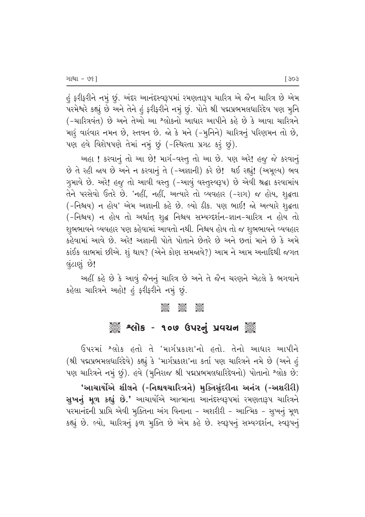હું ફરીફરીને નમું છું. અંદર આનંદસ્વરૂપમાં રમણતારૂપ ચારિત્ર એ જૈન ચારિત્ર છે એમ પરમેશ્વરે કહ્યું છે અને તેને હું ફરીફરીને નમું છું. પોતે શ્રી પદ્મપ્રભમલધારિદેવ પણ મુનિ (-ચારિત્રવંત) છે અને તેઓ આ શ્લોકનો આધાર આપીને કહે છે કે આવા ચારિત્રને મારૂં વારંવાર નમન છે, સ્તવન છે. જો કે મને (-મુનિને) ચારિત્રનું પરિણમન તો છે, પણ હવે વિશેષપણે તેમાં નમું છું (-સ્થિરતા પ્રગટ કરૂં છું).

આહા ! કરવાનું તો આ છે! માર્ગ-વસ્તુ તો આ છે. પણ અરે! હજૂ જે કરવાનું છે તે રહી જાય છે અને ન કરવાનું તે (-અજ્ઞાની) કરે છે! થઈ રહ્યું! (અમૂલ્ય) ભવ ગુમાવે છે. અરે! હજુ તો આવી વસ્તૂ (-આવું વસ્તુસ્વરૂપ) છે એવી શ્રદ્ધા કરવામાંય તેને પરસેવો ઉતરે છે. 'નહીં, નહીં, અત્યારે તો વ્યવહાર (-રાગ) જ હોય, શૃદ્ધતા (-નિશ્ચય) ન હોય' એમ અજ્ઞાની કહે છે. લ્યો ઠીક. પણ ભાઈ! જો અત્યારે શૃદ્ધતા (-નિશ્રય) ન હોય તો અર્થાત્ શ્¢ નિશ્રય સમ્યગ્દર્શન-જ્ઞાન-ચારિત્ર ન હોય તો શુભભાવને વ્યવહાર પણ કહેવામાં આવતો નથી. નિશ્ચય હોય તો જ શુભભાવને વ્યવહાર *ક*હેવામાં આવે છે. અરે! અજ્ઞાની પોતે પોતાને છેતરે છે અને છતાં માને છે કે અમે  $s$ iઈક લાભમાં છીએ. શું થાય? (એને કોણ સમજાવે?) આમ ને આમ અનાદિથી જગત લુંટાણું છે!

આહીં કહે છે કે આવું જૈનનું ચારિત્ર છે અને તે જૈન ચરણને એટલે કે ભગવાને કહેલા ચારિત્રને અહો! હું ફરીફરીને નમું છું.

#### **COC COC COC**<br>Coco Coco Coco

# ે અનોક - ૧૦૭ ઉપરનું પ્રવચન ૅુ

ઉપરમાં <sup>શ્</sup>લોક હતો તે 'માર્ગપ્રકાશ'નો હતો. તેનો આધાર આપીને (શ્રી પદ્મપ્રભમલધારિદેવે) કહ્યું કે 'માર્ગપ્રકાશ'ના કર્તા પણ ચારિત્રને નમે છે (અને હું પણ ચારિત્રને નમું છું). હવે (મુનિરાજ શ્રી પદ્મપ્રભમલધારિદેવનો) પોતાનો શ્લોક છે: 'આચાર્યોએ શીલને (-નિશ્ચયચારિત્રને) મુક્તિસુંદરીના અનંગ (-અશરીરી) સુખનું મૂળ કહ્યું છે.' આચાર્યોએ આત્માના આનંદસ્વરૂપમાં રમણતારૂપ ચારિત્રને પરમાનંદની પ્રાપ્તિ એવી મુક્તિના અંગ વિનાના – અશરીરી – આત્મિક – સુખનું મૂળ કહ્યું છે. લ્યો, ચારિત્રનું ફળ મુક્તિ છે એમ કહે છે. સ્વરૂપનું સમ્યગ્દર્શન, સ્વરૂપનું